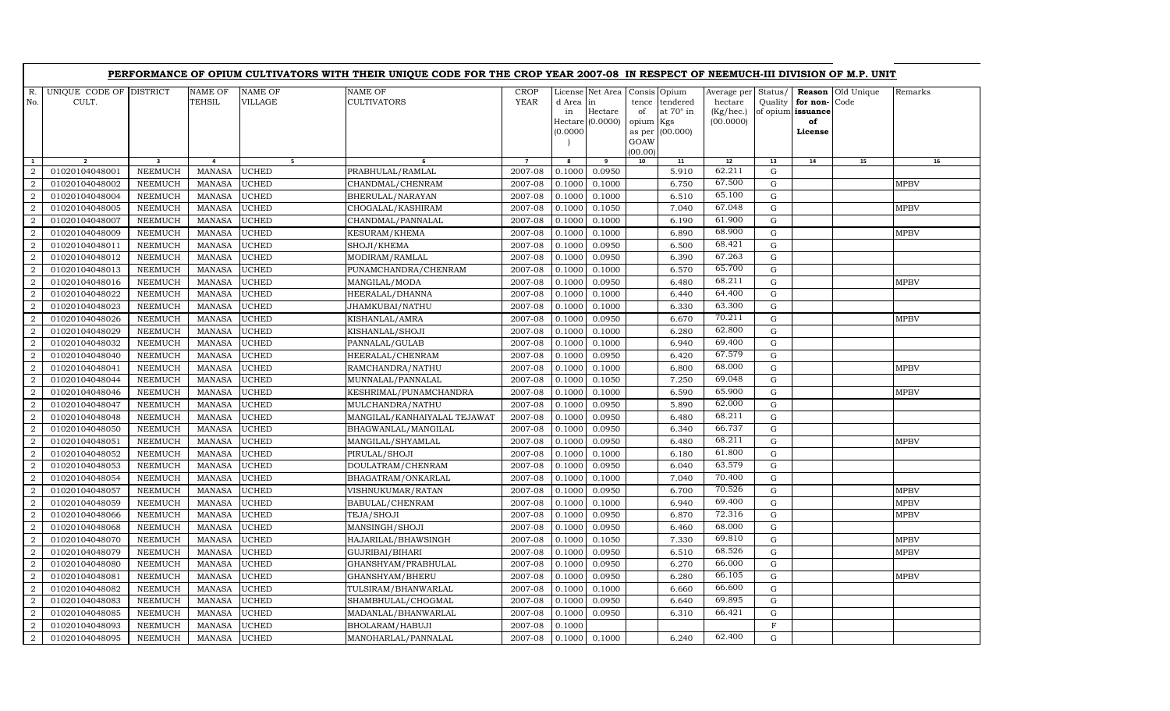|                     | PERFORMANCE OF OPIUM CULTIVATORS WITH THEIR UNIQUE CODE FOR THE CROP YEAR 2007-08 IN RESPECT OF NEEMUCH-III DIVISION OF M.P. UNIT |                                  |                                |                              |                                           |                            |                             |                                                   |                                                                   |                                                 |                                                  |                    |                                                          |                    |             |
|---------------------|-----------------------------------------------------------------------------------------------------------------------------------|----------------------------------|--------------------------------|------------------------------|-------------------------------------------|----------------------------|-----------------------------|---------------------------------------------------|-------------------------------------------------------------------|-------------------------------------------------|--------------------------------------------------|--------------------|----------------------------------------------------------|--------------------|-------------|
| No.                 | UNIQUE CODE OF<br>CULT.                                                                                                           | <b>DISTRICT</b>                  | NAME OF<br>TEHSIL              | <b>NAME OF</b><br>VILLAGE    | <b>NAME OF</b><br><b>CULTIVATORS</b>      | <b>CROP</b><br><b>YEAR</b> | d Area in<br>in<br>(0.0000) | License Net Area<br>Hectare<br>$Hectare (0.0000)$ | Consis Opium<br>tence<br>of<br>opium<br>as per<br>GOAW<br>(00.00) | tendered<br>at $70^\circ$ in<br>Kgs<br>(00.000) | Average per<br>hectare<br>(Kg/hec.)<br>(00.0000) | Status/<br>Quality | Reason<br>for non-<br>of opium issuance<br>of<br>License | Old Unique<br>Code | Remarks     |
| $\mathbf{1}$        | $\overline{2}$                                                                                                                    | $\overline{\mathbf{3}}$          | $\overline{a}$                 | 5 <sub>1</sub>               | 6                                         | $\overline{7}$             | 8                           | 9                                                 | 10                                                                | 11                                              | 12<br>62.211                                     | 13                 | 14                                                       | 15                 | 16          |
| $\overline{2}$      | 01020104048001                                                                                                                    | <b>NEEMUCH</b>                   | <b>MANASA</b>                  | <b>UCHED</b>                 | PRABHULAL/RAMLAL                          | 2007-08                    | 0.1000                      | 0.0950                                            |                                                                   | 5.910                                           | 67.500                                           | G                  |                                                          |                    |             |
| $\overline{2}$      | 01020104048002                                                                                                                    | <b>NEEMUCH</b>                   | <b>MANASA</b>                  | <b>UCHED</b>                 | CHANDMAL/CHENRAM                          | 2007-08                    | 0.1000                      | 0.1000                                            |                                                                   | 6.750                                           | 65.100                                           | $\mathbf G$        |                                                          |                    | <b>MPBV</b> |
| $\overline{2}$<br>2 | 01020104048004                                                                                                                    | <b>NEEMUCH</b>                   | <b>MANASA</b>                  | <b>UCHED</b>                 | BHERULAL/NARAYAN                          | 2007-08<br>2007-08         | 0.1000                      | 0.1000                                            |                                                                   | 6.510<br>7.040                                  | 67.048                                           | $\mathbf G$<br>G   |                                                          |                    | <b>MPBV</b> |
| 2                   | 01020104048005<br>01020104048007                                                                                                  | <b>NEEMUCH</b><br><b>NEEMUCH</b> | <b>MANASA</b><br><b>MANASA</b> | <b>UCHED</b><br><b>UCHED</b> | CHOGALAL/KASHIRAM                         | 2007-08                    | 0.1000<br>0.1000            | 0.1050<br>0.1000                                  |                                                                   | 6.190                                           | 61.900                                           | G                  |                                                          |                    |             |
| 2                   | 01020104048009                                                                                                                    | <b>NEEMUCH</b>                   | <b>MANASA</b>                  | <b>UCHED</b>                 | CHANDMAL/PANNALAL<br><b>KESURAM/KHEMA</b> | 2007-08                    | 0.1000                      | 0.1000                                            |                                                                   | 6.890                                           | 68.900                                           | $\mathbf G$        |                                                          |                    | <b>MPBV</b> |
| $\overline{2}$      | 01020104048011                                                                                                                    | <b>NEEMUCH</b>                   | <b>MANASA</b>                  | <b>UCHED</b>                 | SHOJI/KHEMA                               | 2007-08                    | 0.1000                      | 0.0950                                            |                                                                   | 6.500                                           | 68.421                                           | $\mathbf G$        |                                                          |                    |             |
| $\overline{2}$      | 01020104048012                                                                                                                    | <b>NEEMUCH</b>                   | <b>MANASA</b>                  | <b>UCHED</b>                 | MODIRAM/RAMLAL                            | 2007-08                    | 0.1000                      | 0.0950                                            |                                                                   | 6.390                                           | 67.263                                           | $\mathbf G$        |                                                          |                    |             |
| 2                   | 01020104048013                                                                                                                    | <b>NEEMUCH</b>                   | <b>MANASA</b>                  | <b>UCHED</b>                 | PUNAMCHANDRA/CHENRAM                      | 2007-08                    | 0.1000                      | 0.1000                                            |                                                                   | 6.570                                           | 65.700                                           | G                  |                                                          |                    |             |
| 2                   | 01020104048016                                                                                                                    | NEEMUCH                          | <b>MANASA</b>                  | <b>UCHED</b>                 | MANGILAL/MODA                             | 2007-08                    | 0.1000                      | 0.0950                                            |                                                                   | 6.480                                           | 68.211                                           | G                  |                                                          |                    | <b>MPBV</b> |
| 2                   | 01020104048022                                                                                                                    | <b>NEEMUCH</b>                   | <b>MANASA</b>                  | <b>UCHED</b>                 | HEERALAL/DHANNA                           | 2007-08                    | 0.1000                      | 0.1000                                            |                                                                   | 6.440                                           | 64.400                                           | $\mathbf G$        |                                                          |                    |             |
| $\overline{2}$      | 01020104048023                                                                                                                    | <b>NEEMUCH</b>                   | <b>MANASA</b>                  | <b>UCHED</b>                 | JHAMKUBAI/NATHU                           | 2007-08                    | 0.1000                      | 0.1000                                            |                                                                   | 6.330                                           | 63.300                                           | $\mathbf G$        |                                                          |                    |             |
| 2                   | 01020104048026                                                                                                                    | <b>NEEMUCH</b>                   | <b>MANASA</b>                  | <b>UCHED</b>                 | KISHANLAL/AMRA                            | 2007-08                    | 0.1000                      | 0.0950                                            |                                                                   | 6.670                                           | 70.211                                           | $\mathbf G$        |                                                          |                    | <b>MPBV</b> |
| 2                   | 01020104048029                                                                                                                    | <b>NEEMUCH</b>                   | <b>MANASA</b>                  | <b>UCHED</b>                 | KISHANLAL/SHOJI                           | 2007-08                    | 0.1000                      | 0.1000                                            |                                                                   | 6.280                                           | 62.800                                           | G                  |                                                          |                    |             |
| 2                   | 01020104048032                                                                                                                    | <b>NEEMUCH</b>                   | <b>MANASA</b>                  | <b>UCHED</b>                 | PANNALAL/GULAB                            | 2007-08                    | 0.1000                      | 0.1000                                            |                                                                   | 6.940                                           | 69.400                                           | G                  |                                                          |                    |             |
| 2                   | 01020104048040                                                                                                                    | <b>NEEMUCH</b>                   | <b>MANASA</b>                  | <b>UCHED</b>                 | HEERALAL/CHENRAM                          | 2007-08                    | 0.1000                      | 0.0950                                            |                                                                   | 6.420                                           | 67.579                                           | $\mathbf G$        |                                                          |                    |             |
| $\overline{2}$      | 01020104048041                                                                                                                    | <b>NEEMUCH</b>                   | <b>MANASA</b>                  | <b>UCHED</b>                 | RAMCHANDRA/NATHU                          | 2007-08                    | 0.1000                      | 0.1000                                            |                                                                   | 6.800                                           | 68.000                                           | $\mathbf G$        |                                                          |                    | <b>MPBV</b> |
| $\overline{2}$      | 01020104048044                                                                                                                    | <b>NEEMUCH</b>                   | <b>MANASA</b>                  | <b>UCHED</b>                 | MUNNALAL/PANNALAL                         | 2007-08                    | 0.1000                      | 0.1050                                            |                                                                   | 7.250                                           | 69.048                                           | $\mathbf G$        |                                                          |                    |             |
| 2                   | 01020104048046                                                                                                                    | <b>NEEMUCH</b>                   | <b>MANASA</b>                  | <b>UCHED</b>                 | KESHRIMAL/PUNAMCHANDRA                    | 2007-08                    | 0.1000                      | 0.1000                                            |                                                                   | 6.590                                           | 65.900                                           | G                  |                                                          |                    | <b>MPBV</b> |
| 2                   | 01020104048047                                                                                                                    | <b>NEEMUCH</b>                   | <b>MANASA</b>                  | <b>UCHED</b>                 | MULCHANDRA/NATHU                          | 2007-08                    | 0.1000                      | 0.0950                                            |                                                                   | 5.890                                           | 62.000                                           | G                  |                                                          |                    |             |
| 2                   | 01020104048048                                                                                                                    | <b>NEEMUCH</b>                   | <b>MANASA</b>                  | <b>UCHED</b>                 | MANGILAL/KANHAIYALAL TEJAWAT              | 2007-08                    | 0.1000                      | 0.0950                                            |                                                                   | 6.480                                           | 68.211                                           | ${\rm G}$          |                                                          |                    |             |
| $\overline{2}$      | 01020104048050                                                                                                                    | <b>NEEMUCH</b>                   | <b>MANASA</b>                  | <b>UCHED</b>                 | BHAGWANLAL/MANGILAL                       | 2007-08                    | 0.1000                      | 0.0950                                            |                                                                   | 6.340                                           | 66.737                                           | $\mathbf G$        |                                                          |                    |             |
| $\overline{2}$      | 01020104048051                                                                                                                    | <b>NEEMUCH</b>                   | <b>MANASA</b>                  | <b>UCHED</b>                 | MANGILAL/SHYAMLAL                         | 2007-08                    | 0.1000                      | 0.0950                                            |                                                                   | 6.480                                           | 68.211                                           | $\mathbf G$        |                                                          |                    | <b>MPBV</b> |
| $\overline{a}$      | 01020104048052                                                                                                                    | <b>NEEMUCH</b>                   | <b>MANASA</b>                  | <b>UCHED</b>                 | PIRULAL/SHOJI                             | 2007-08                    | 0.1000                      | 0.1000                                            |                                                                   | 6.180                                           | 61.800                                           | G                  |                                                          |                    |             |
| 2                   | 01020104048053                                                                                                                    | <b>NEEMUCH</b>                   | <b>MANASA</b>                  | <b>UCHED</b>                 | DOULATRAM/CHENRAM                         | 2007-08                    | 0.1000                      | 0.0950                                            |                                                                   | 6.040                                           | 63.579                                           | G                  |                                                          |                    |             |
| 2                   | 01020104048054                                                                                                                    | <b>NEEMUCH</b>                   | <b>MANASA</b>                  | <b>UCHED</b>                 | BHAGATRAM/ONKARLAL                        | 2007-08                    | 0.1000                      | 0.1000                                            |                                                                   | 7.040                                           | 70.400                                           | ${\rm G}$          |                                                          |                    |             |
| $\overline{2}$      | 01020104048057                                                                                                                    | <b>NEEMUCH</b>                   | <b>MANASA</b>                  | <b>UCHED</b>                 | VISHNUKUMAR/RATAN                         | 2007-08                    | 0.1000                      | 0.0950                                            |                                                                   | 6.700                                           | 70.526                                           | G                  |                                                          |                    | <b>MPBV</b> |
| 2                   | 01020104048059                                                                                                                    | <b>NEEMUCH</b>                   | <b>MANASA</b>                  | <b>UCHED</b>                 | BABULAL/CHENRAM                           | 2007-08                    | 0.1000                      | 0.1000                                            |                                                                   | 6.940                                           | 69.400                                           | $\mathbf G$        |                                                          |                    | <b>MPBV</b> |
| $\overline{2}$      | 01020104048066                                                                                                                    | <b>NEEMUCH</b>                   | <b>MANASA</b>                  | <b>UCHED</b>                 | TEJA/SHOJI                                | 2007-08                    | 0.1000                      | 0.0950                                            |                                                                   | 6.870                                           | 72.316                                           | G                  |                                                          |                    | <b>MPBV</b> |
| 2                   | 01020104048068                                                                                                                    | <b>NEEMUCH</b>                   | <b>MANASA</b>                  | <b>UCHED</b>                 | MANSINGH/SHOJI                            | 2007-08                    | 0.1000                      | 0.0950                                            |                                                                   | 6.460                                           | 68.000                                           | $\mathbf G$        |                                                          |                    |             |
| $\overline{2}$      | 01020104048070                                                                                                                    | <b>NEEMUCH</b>                   | <b>MANASA</b>                  | <b>UCHED</b>                 | HAJARILAL/BHAWSINGH                       | 2007-08                    | 0.1000                      | 0.1050                                            |                                                                   | 7.330                                           | 69.810                                           | $\mathbf G$        |                                                          |                    | <b>MPBV</b> |
| $\mathcal{D}$       | 01020104048079                                                                                                                    | <b>NEEMUCH</b>                   | <b>MANASA</b>                  | <b>UCHED</b>                 | GUJRIBAI/BIHARI                           | 2007-08                    | 0.1000                      | 0.0950                                            |                                                                   | 6.510                                           | 68.526                                           | G                  |                                                          |                    | <b>MPBV</b> |
| $\overline{2}$      | 01020104048080                                                                                                                    | <b>NEEMUCH</b>                   | <b>MANASA</b>                  | <b>UCHED</b>                 | GHANSHYAM/PRABHULAL                       | 2007-08                    | 0.1000                      | 0.0950                                            |                                                                   | 6.270                                           | 66.000                                           | G                  |                                                          |                    |             |
| $\overline{2}$      | 01020104048081                                                                                                                    | <b>NEEMUCH</b>                   | <b>MANASA</b>                  | <b>UCHED</b>                 | GHANSHYAM/BHERU                           | 2007-08                    | 0.1000                      | 0.0950                                            |                                                                   | 6.280                                           | 66.105                                           | G                  |                                                          |                    | <b>MPBV</b> |
| 2                   | 01020104048082                                                                                                                    | NEEMUCH                          | <b>MANASA</b>                  | <b>UCHED</b>                 | TULSIRAM/BHANWARLAL                       | 2007-08                    | 0.1000                      | 0.1000                                            |                                                                   | 6.660                                           | 66.600                                           | G                  |                                                          |                    |             |
| 2                   | 01020104048083                                                                                                                    | <b>NEEMUCH</b>                   | <b>MANASA</b>                  | <b>UCHED</b>                 | SHAMBHULAL/CHOGMAL                        | 2007-08                    | 0.1000                      | 0.0950                                            |                                                                   | 6.640                                           | 69.895<br>66.421                                 | ${\rm G}$          |                                                          |                    |             |
| 2                   | 01020104048085                                                                                                                    | <b>NEEMUCH</b>                   | <b>MANASA</b>                  | <b>UCHED</b>                 | MADANLAL/BHANWARLAL                       | 2007-08                    | 0.1000                      | 0.0950                                            |                                                                   | 6.310                                           |                                                  | $\mathbf G$        |                                                          |                    |             |
| $\overline{2}$      | 01020104048093                                                                                                                    | <b>NEEMUCH</b>                   | <b>MANASA</b>                  | <b>UCHED</b>                 | BHOLARAM/HABUJI                           | 2007-08                    | 0.1000                      |                                                   |                                                                   |                                                 | 62.400                                           | F                  |                                                          |                    |             |
| $\overline{a}$      | 01020104048095                                                                                                                    | <b>NEEMUCH</b>                   | <b>MANASA</b>                  | <b>UCHED</b>                 | MANOHARLAL/PANNALAL                       | 2007-08                    |                             | $0.1000$ 0.1000                                   |                                                                   | 6.240                                           |                                                  | G                  |                                                          |                    |             |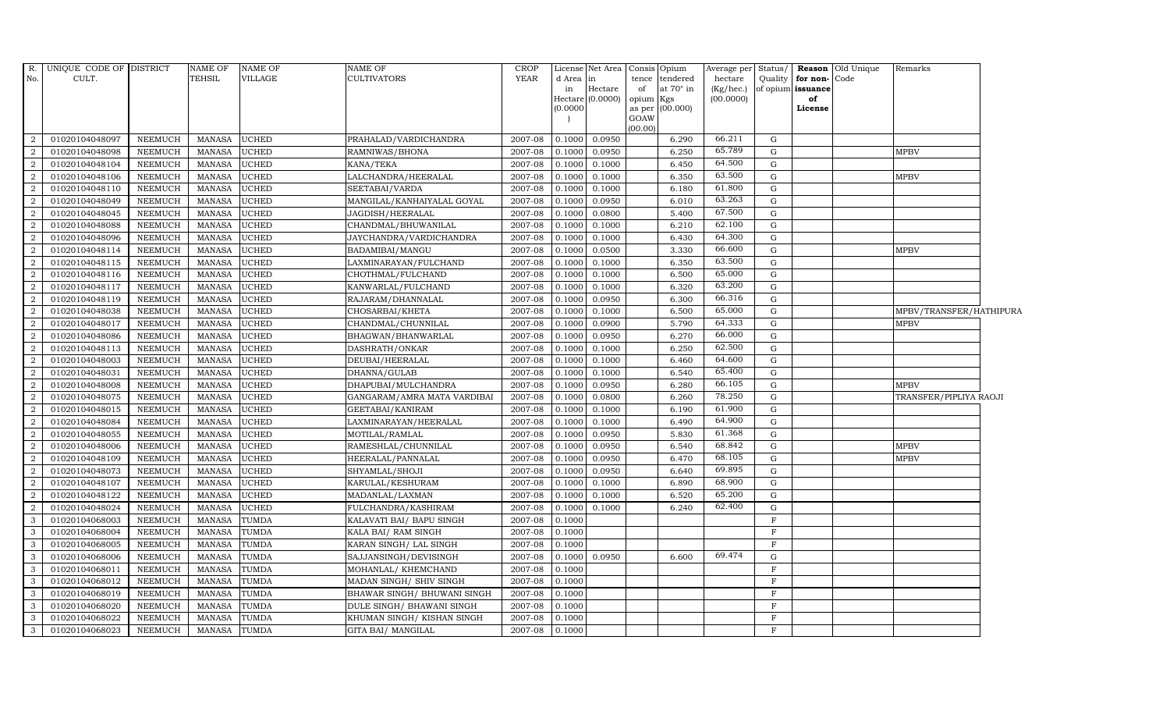| R.<br>No.      | UNIQUE CODE OF DISTRICT<br>CULT. |                | <b>NAME OF</b><br><b>TEHSIL</b> | <b>NAME OF</b><br><b>VILLAGE</b> | <b>NAME OF</b><br><b>CULTIVATORS</b> | <b>CROP</b><br><b>YEAR</b> | d Area<br>in<br>(0.0000) | License Net Area<br>in<br>Hectare<br>$Hectare (0.0000)$ | of<br>opium Kgs | Consis Opium<br>tence tendered<br>at $70^\circ$ in<br>as per (00.000) | Average per Status/<br>hectare<br>(Kg/hec.)<br>(00.0000) | Quality     | for non-Code<br>of opium issuance<br>of<br>License | <b>Reason</b> Old Unique | Remarks                 |
|----------------|----------------------------------|----------------|---------------------------------|----------------------------------|--------------------------------------|----------------------------|--------------------------|---------------------------------------------------------|-----------------|-----------------------------------------------------------------------|----------------------------------------------------------|-------------|----------------------------------------------------|--------------------------|-------------------------|
|                |                                  |                |                                 |                                  |                                      |                            |                          |                                                         | GOAW<br>(00.00) |                                                                       |                                                          |             |                                                    |                          |                         |
| $\overline{2}$ | 01020104048097                   | <b>NEEMUCH</b> | MANASA                          | <b>UCHED</b>                     | PRAHALAD/VARDICHANDRA                | 2007-08                    | 0.1000                   | 0.0950                                                  |                 | 6.290                                                                 | 66.211                                                   | G           |                                                    |                          |                         |
| $\overline{2}$ | 01020104048098                   | <b>NEEMUCH</b> | MANASA                          | <b>UCHED</b>                     | RAMNIWAS/BHONA                       | 2007-08                    | 0.1000                   | 0.0950                                                  |                 | 6.250                                                                 | 65.789                                                   | G           |                                                    |                          | <b>MPBV</b>             |
| 2              | 01020104048104                   | <b>NEEMUCH</b> | <b>MANASA</b>                   | <b>UCHED</b>                     | KANA/TEKA                            | 2007-08                    | 0.1000                   | 0.1000                                                  |                 | 6.450                                                                 | 64.500                                                   | G           |                                                    |                          |                         |
| $\overline{2}$ | 01020104048106                   | <b>NEEMUCH</b> | <b>MANASA</b>                   | <b>UCHED</b>                     | LALCHANDRA/HEERALAL                  | 2007-08                    | 0.1000                   | 0.1000                                                  |                 | 6.350                                                                 | 63.500                                                   | G           |                                                    |                          | <b>MPBV</b>             |
| 2              | 01020104048110                   | <b>NEEMUCH</b> | <b>MANASA</b>                   | <b>UCHED</b>                     | SEETABAI/VARDA                       | 2007-08                    | 0.1000                   | 0.1000                                                  |                 | 6.180                                                                 | 61.800                                                   | G           |                                                    |                          |                         |
| $\overline{2}$ | 01020104048049                   | <b>NEEMUCH</b> | MANASA                          | <b>UCHED</b>                     | MANGILAL/KANHAIYALAL GOYAL           | 2007-08                    | 0.1000                   | 0.0950                                                  |                 | 6.010                                                                 | 63.263                                                   | G           |                                                    |                          |                         |
| $\overline{2}$ | 01020104048045                   | <b>NEEMUCH</b> | <b>MANASA</b>                   | <b>UCHED</b>                     | JAGDISH/HEERALAL                     | 2007-08                    | 0.1000                   | 0.0800                                                  |                 | 5.400                                                                 | 67.500                                                   | G           |                                                    |                          |                         |
| 2              | 01020104048088                   | <b>NEEMUCH</b> | <b>MANASA</b>                   | <b>UCHED</b>                     | CHANDMAL/BHUWANILAL                  | 2007-08                    | 0.1000                   | 0.1000                                                  |                 | 6.210                                                                 | 62.100                                                   | G           |                                                    |                          |                         |
| 2              | 01020104048096                   | <b>NEEMUCH</b> | <b>MANASA</b>                   | <b>UCHED</b>                     | JAYCHANDRA/VARDICHANDRA              | 2007-08                    | 0.1000                   | 0.1000                                                  |                 | 6.430                                                                 | 64.300                                                   | G           |                                                    |                          |                         |
| $\overline{2}$ | 01020104048114                   | <b>NEEMUCH</b> | <b>MANASA</b>                   | <b>UCHED</b>                     | BADAMIBAI/MANGU                      | 2007-08                    | 0.1000                   | 0.0500                                                  |                 | 3.330                                                                 | 66.600                                                   | ${\rm G}$   |                                                    |                          | <b>MPBV</b>             |
| 2              | 01020104048115                   | <b>NEEMUCH</b> | MANASA                          | <b>UCHED</b>                     | LAXMINARAYAN/FULCHAND                | 2007-08                    | 0.1000                   | 0.1000                                                  |                 | 6.350                                                                 | 63.500                                                   | G           |                                                    |                          |                         |
| 2              | 01020104048116                   | <b>NEEMUCH</b> | MANASA                          | <b>UCHED</b>                     | CHOTHMAL/FULCHAND                    | 2007-08                    | 0.1000                   | 0.1000                                                  |                 | 6.500                                                                 | 65.000                                                   | G           |                                                    |                          |                         |
| $\overline{2}$ | 01020104048117                   | <b>NEEMUCH</b> | <b>MANASA</b>                   | UCHED                            | KANWARLAL/FULCHAND                   | 2007-08                    | 0.1000                   | 0.1000                                                  |                 | 6.320                                                                 | 63.200                                                   | G           |                                                    |                          |                         |
| 2              | 01020104048119                   | <b>NEEMUCH</b> | <b>MANASA</b>                   | <b>UCHED</b>                     | RAJARAM/DHANNALAL                    | 2007-08                    | 0.1000                   | 0.0950                                                  |                 | 6.300                                                                 | 66.316                                                   | G           |                                                    |                          |                         |
| $\overline{2}$ | 01020104048038                   | <b>NEEMUCH</b> | <b>MANASA</b>                   | UCHED                            | CHOSARBAI/KHETA                      | 2007-08                    | 0.1000                   | 0.1000                                                  |                 | 6.500                                                                 | 65.000                                                   | G           |                                                    |                          | MPBV/TRANSFER/HATHIPURA |
| $\overline{2}$ | 01020104048017                   | <b>NEEMUCH</b> | MANASA                          | <b>UCHED</b>                     | CHANDMAL/CHUNNILAL                   | 2007-08                    | 0.1000                   | 0.0900                                                  |                 | 5.790                                                                 | 64.333                                                   | G           |                                                    |                          | <b>MPBV</b>             |
| 2              | 01020104048086                   | <b>NEEMUCH</b> | MANASA                          | <b>UCHED</b>                     | BHAGWAN/BHANWARLAL                   | 2007-08                    | 0.1000                   | 0.0950                                                  |                 | 6.270                                                                 | 66.000                                                   | G           |                                                    |                          |                         |
| 2              | 01020104048113                   | <b>NEEMUCH</b> | MANASA                          | <b>UCHED</b>                     | DASHRATH/ONKAR                       | 2007-08                    | 0.1000                   | 0.1000                                                  |                 | 6.250                                                                 | 62.500                                                   | G           |                                                    |                          |                         |
| 2              | 01020104048003                   | <b>NEEMUCH</b> | <b>MANASA</b>                   | <b>UCHED</b>                     | DEUBAI/HEERALAL                      | 2007-08                    | 0.1000                   | 0.1000                                                  |                 | 6.460                                                                 | 64.600                                                   | ${\rm G}$   |                                                    |                          |                         |
| $\overline{2}$ | 01020104048031                   | <b>NEEMUCH</b> | <b>MANASA</b>                   | <b>UCHED</b>                     | DHANNA/GULAB                         | 2007-08                    | 0.1000                   | 0.1000                                                  |                 | 6.540                                                                 | 65.400                                                   | G           |                                                    |                          |                         |
| 2              | 01020104048008                   | NEEMUCH        | <b>MANASA</b>                   | <b>UCHED</b>                     | DHAPUBAI/MULCHANDRA                  | 2007-08                    | 0.1000                   | 0.0950                                                  |                 | 6.280                                                                 | 66.105                                                   | G           |                                                    |                          | <b>MPBV</b>             |
| $\overline{2}$ | 01020104048075                   | <b>NEEMUCH</b> | <b>MANASA</b>                   | <b>UCHED</b>                     | GANGARAM/AMRA MATA VARDIBAI          | 2007-08                    | 0.1000                   | 0.0800                                                  |                 | 6.260                                                                 | 78.250                                                   | G           |                                                    |                          | TRANSFER/PIPLIYA RAOJI  |
| 2              | 01020104048015                   | <b>NEEMUCH</b> | MANASA                          | <b>UCHED</b>                     | GEETABAI/KANIRAM                     | 2007-08                    | 0.1000                   | 0.1000                                                  |                 | 6.190                                                                 | 61.900                                                   | G           |                                                    |                          |                         |
| $\overline{2}$ | 01020104048084                   | <b>NEEMUCH</b> | <b>MANASA</b>                   | <b>UCHED</b>                     | LAXMINARAYAN/HEERALAL                | 2007-08                    | 0.1000                   | 0.1000                                                  |                 | 6.490                                                                 | 64.900                                                   | G           |                                                    |                          |                         |
| 2              | 01020104048055                   | <b>NEEMUCH</b> | <b>MANASA</b>                   | <b>UCHED</b>                     | MOTILAL/RAMLAL                       | 2007-08                    | 0.1000                   | 0.0950                                                  |                 | 5.830                                                                 | 61.368                                                   | G           |                                                    |                          |                         |
| $\overline{2}$ | 01020104048006                   | <b>NEEMUCH</b> | <b>MANASA</b>                   | <b>UCHED</b>                     | RAMESHLAL/CHUNNILAL                  | 2007-08                    | 0.1000                   | 0.0950                                                  |                 | 6.540                                                                 | 68.842                                                   | G           |                                                    |                          | <b>MPBV</b>             |
| 2              | 01020104048109                   | <b>NEEMUCH</b> | <b>MANASA</b>                   | <b>UCHED</b>                     | HEERALAL/PANNALAL                    | 2007-08                    | 0.1000                   | 0.0950                                                  |                 | 6.470                                                                 | 68.105                                                   | G           |                                                    |                          | <b>MPBV</b>             |
| 2              | 01020104048073                   | <b>NEEMUCH</b> | MANASA                          | <b>UCHED</b>                     | SHYAMLAL/SHOJI                       | 2007-08                    | 0.1000                   | 0.0950                                                  |                 | 6.640                                                                 | 69.895                                                   | G           |                                                    |                          |                         |
| 2              | 01020104048107                   | <b>NEEMUCH</b> | <b>MANASA</b>                   | <b>UCHED</b>                     | KARULAL/KESHURAM                     | 2007-08                    | 0.1000                   | 0.1000                                                  |                 | 6.890                                                                 | 68.900                                                   | ${\rm G}$   |                                                    |                          |                         |
| 2              | 01020104048122                   | <b>NEEMUCH</b> | <b>MANASA</b>                   | <b>UCHED</b>                     | MADANLAL/LAXMAN                      | 2007-08                    | 0.1000                   | 0.1000                                                  |                 | 6.520                                                                 | 65.200                                                   | G           |                                                    |                          |                         |
| 2              | 01020104048024                   | <b>NEEMUCH</b> | <b>MANASA</b>                   | <b>UCHED</b>                     | FULCHANDRA/KASHIRAM                  | 2007-08                    | 0.1000                   | 0.1000                                                  |                 | 6.240                                                                 | 62.400                                                   | G           |                                                    |                          |                         |
| 3              | 01020104068003                   | <b>NEEMUCH</b> | <b>MANASA</b>                   | <b>TUMDA</b>                     | KALAVATI BAI / BAPU SINGH            | 2007-08                    | 0.1000                   |                                                         |                 |                                                                       |                                                          | $\mathbf F$ |                                                    |                          |                         |
| 3              | 01020104068004                   | <b>NEEMUCH</b> | <b>MANASA</b>                   | <b>TUMDA</b>                     | KALA BAI/ RAM SINGH                  | 2007-08                    | 0.1000                   |                                                         |                 |                                                                       |                                                          | $\mathbf F$ |                                                    |                          |                         |
| 3              | 01020104068005                   | <b>NEEMUCH</b> | MANASA                          | <b>TUMDA</b>                     | KARAN SINGH/ LAL SINGH               | 2007-08                    | 0.1000                   |                                                         |                 |                                                                       |                                                          | $\mathbf F$ |                                                    |                          |                         |
| $\mathbf{3}$   | 01020104068006                   | <b>NEEMUCH</b> | MANASA                          | <b>TUMDA</b>                     | SAJJANSINGH/DEVISINGH                | 2007-08                    | 0.1000                   | 0.0950                                                  |                 | 6.600                                                                 | $69.47\overline{4}$                                      | G           |                                                    |                          |                         |
| 3              | 01020104068011                   | <b>NEEMUCH</b> | <b>MANASA</b>                   | <b>TUMDA</b>                     | MOHANLAL/ KHEMCHAND                  | 2007-08                    | 0.1000                   |                                                         |                 |                                                                       |                                                          | $\mathbf F$ |                                                    |                          |                         |
| 3              | 01020104068012                   | <b>NEEMUCH</b> | <b>MANASA</b>                   | <b>TUMDA</b>                     | MADAN SINGH/ SHIV SINGH              | 2007-08                    | 0.1000                   |                                                         |                 |                                                                       |                                                          | F           |                                                    |                          |                         |
| 3              | 01020104068019                   | <b>NEEMUCH</b> | MANASA                          | <b>TUMDA</b>                     | BHAWAR SINGH / BHUWANI SINGH         | 2007-08                    | 0.1000                   |                                                         |                 |                                                                       |                                                          | $_{\rm F}$  |                                                    |                          |                         |
| 3              | 01020104068020                   | <b>NEEMUCH</b> | MANASA                          | <b>TUMDA</b>                     | DULE SINGH/ BHAWANI SINGH            | 2007-08                    | 0.1000                   |                                                         |                 |                                                                       |                                                          | $\mathbf F$ |                                                    |                          |                         |
| $\mathbf{3}$   | 01020104068022                   | <b>NEEMUCH</b> | MANASA                          | <b>TUMDA</b>                     | KHUMAN SINGH/KISHAN SINGH            | 2007-08                    | 0.1000                   |                                                         |                 |                                                                       |                                                          | F           |                                                    |                          |                         |
| $\mathbf{3}$   | 01020104068023                   | <b>NEEMUCH</b> | MANASA                          | <b>TUMDA</b>                     | GITA BAI/ MANGILAL                   | 2007-08                    | 0.1000                   |                                                         |                 |                                                                       |                                                          | $\mathbf F$ |                                                    |                          |                         |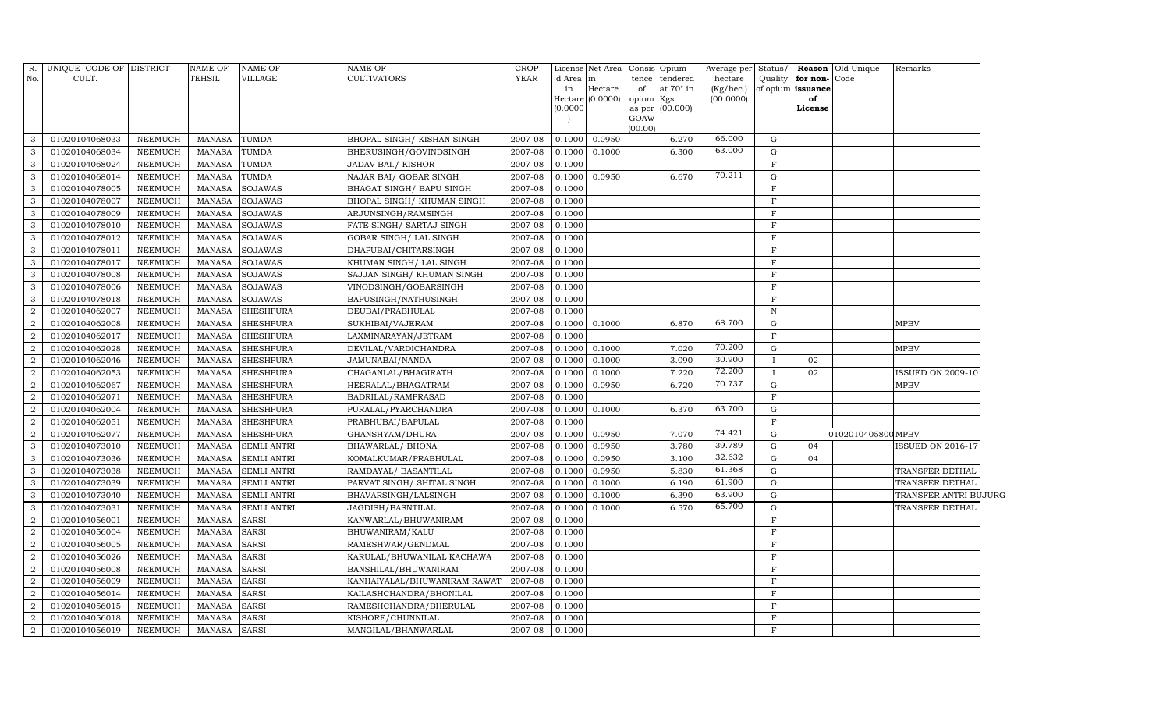| R.<br>No.      | UNIQUE CODE OF DISTRICT<br>CULT. |                | <b>NAME OF</b><br><b>TEHSIL</b> | <b>NAME OF</b><br>VILLAGE | <b>NAME OF</b><br><b>CULTIVATORS</b> | <b>CROP</b><br><b>YEAR</b> | d Area<br>in<br>(0.0000) | License Net Area Consis<br>$\ln$<br>Hectare<br>Hectare (0.0000) | tence<br>of<br>opium Kgs<br>as per<br>GOAW<br>(00.00) | Opium<br>$\,$ tendered $\,$<br>at 70° in<br>(00.000) | Average per<br>hectare<br>(Kg/hec.)<br>(00.0000) | Status/<br>Quality | for non-Code<br>of opium issuance<br>of<br>License | Reason Old Unique  | Remarks                  |
|----------------|----------------------------------|----------------|---------------------------------|---------------------------|--------------------------------------|----------------------------|--------------------------|-----------------------------------------------------------------|-------------------------------------------------------|------------------------------------------------------|--------------------------------------------------|--------------------|----------------------------------------------------|--------------------|--------------------------|
| 3              | 01020104068033                   | <b>NEEMUCH</b> | MANASA                          | <b>TUMDA</b>              | BHOPAL SINGH/ KISHAN SINGH           | 2007-08                    | 0.1000                   | 0.0950                                                          |                                                       | 6.270                                                | 66.000                                           | G                  |                                                    |                    |                          |
| 3              | 01020104068034                   | <b>NEEMUCH</b> | <b>MANASA</b>                   | <b>TUMDA</b>              | BHERUSINGH/GOVINDSINGH               | 2007-08                    | 0.1000                   | 0.1000                                                          |                                                       | 6.300                                                | 63.000                                           | $\mathbf{G}$       |                                                    |                    |                          |
| 3              | 01020104068024                   | <b>NEEMUCH</b> | <b>MANASA</b>                   | <b>TUMDA</b>              | <b>JADAV BAI./ KISHOR</b>            | 2007-08                    | 0.1000                   |                                                                 |                                                       |                                                      |                                                  | $\mathbf{F}$       |                                                    |                    |                          |
| 3              | 01020104068014                   | <b>NEEMUCH</b> | <b>MANASA</b>                   | <b>TUMDA</b>              | NAJAR BAI/ GOBAR SINGH               | 2007-08                    | 0.1000                   | 0.0950                                                          |                                                       | 6.670                                                | 70.211                                           | G                  |                                                    |                    |                          |
| 3              | 01020104078005                   | <b>NEEMUCH</b> | <b>MANASA</b>                   | <b>SOJAWAS</b>            | BHAGAT SINGH/ BAPU SINGH             | 2007-08                    | 0.1000                   |                                                                 |                                                       |                                                      |                                                  | $\mathbf F$        |                                                    |                    |                          |
| 3              | 01020104078007                   | <b>NEEMUCH</b> | <b>MANASA</b>                   | <b>SOJAWAS</b>            | BHOPAL SINGH/ KHUMAN SINGH           | 2007-08                    | 0.1000                   |                                                                 |                                                       |                                                      |                                                  | $\mathbf F$        |                                                    |                    |                          |
| 3              | 01020104078009                   | <b>NEEMUCH</b> | <b>MANASA</b>                   | <b>SOJAWAS</b>            | ARJUNSINGH/RAMSINGH                  | 2007-08                    | 0.1000                   |                                                                 |                                                       |                                                      |                                                  | $\mathbf F$        |                                                    |                    |                          |
| 3              | 01020104078010                   | <b>NEEMUCH</b> | <b>MANASA</b>                   | <b>SOJAWAS</b>            | FATE SINGH/ SARTAJ SINGH             | 2007-08                    | 0.1000                   |                                                                 |                                                       |                                                      |                                                  | F                  |                                                    |                    |                          |
| 3              | 01020104078012                   | <b>NEEMUCH</b> | <b>MANASA</b>                   | <b>SOJAWAS</b>            | <b>GOBAR SINGH/ LAL SINGH</b>        | 2007-08                    | 0.1000                   |                                                                 |                                                       |                                                      |                                                  | $\mathbf{F}$       |                                                    |                    |                          |
| 3              | 01020104078011                   | <b>NEEMUCH</b> | <b>MANASA</b>                   | SOJAWAS                   | DHAPUBAI/CHITARSINGH                 | 2007-08                    | 0.1000                   |                                                                 |                                                       |                                                      |                                                  | $\mathbf F$        |                                                    |                    |                          |
| 3              | 01020104078017                   | NEEMUCH        | <b>MANASA</b>                   | <b>SOJAWAS</b>            | KHUMAN SINGH/ LAL SINGH              | 2007-08                    | 0.1000                   |                                                                 |                                                       |                                                      |                                                  | $\mathbf F$        |                                                    |                    |                          |
| 3              | 01020104078008                   | <b>NEEMUCH</b> | <b>MANASA</b>                   | <b>SOJAWAS</b>            | SAJJAN SINGH/ KHUMAN SINGH           | 2007-08                    | 0.1000                   |                                                                 |                                                       |                                                      |                                                  | F                  |                                                    |                    |                          |
| 3              | 01020104078006                   | <b>NEEMUCH</b> | <b>MANASA</b>                   | <b>SOJAWAS</b>            | VINODSINGH/GOBARSINGH                | 2007-08                    | 0.1000                   |                                                                 |                                                       |                                                      |                                                  | F                  |                                                    |                    |                          |
| 3              | 01020104078018                   | <b>NEEMUCH</b> | <b>MANASA</b>                   | <b>SOJAWAS</b>            | BAPUSINGH/NATHUSINGH                 | 2007-08                    | 0.1000                   |                                                                 |                                                       |                                                      |                                                  | F                  |                                                    |                    |                          |
|                | 01020104062007                   | <b>NEEMUCH</b> | <b>MANASA</b>                   | <b>SHESHPURA</b>          | DEUBAI/PRABHULAL                     | 2007-08                    | 0.1000                   |                                                                 |                                                       |                                                      |                                                  | $\mathbf N$        |                                                    |                    |                          |
| $\overline{2}$ | 01020104062008                   | <b>NEEMUCH</b> | <b>MANASA</b>                   | <b>SHESHPURA</b>          | SUKHIBAI/VAJERAM                     | 2007-08                    | 0.1000                   | 0.1000                                                          |                                                       | 6.870                                                | 68.700                                           | G                  |                                                    |                    | <b>MPBV</b>              |
| 2              | 01020104062017                   | <b>NEEMUCH</b> | <b>MANASA</b>                   | <b>SHESHPURA</b>          | LAXMINARAYAN/JETRAM                  | 2007-08                    | 0.1000                   |                                                                 |                                                       |                                                      |                                                  | $\mathbf F$        |                                                    |                    |                          |
| $\overline{2}$ | 01020104062028                   | NEEMUCH        | <b>MANASA</b>                   | <b>SHESHPURA</b>          | DEVILAL/VARDICHANDRA                 | 2007-08                    | 0.1000                   | 0.1000                                                          |                                                       | 7.020                                                | 70.200                                           | G                  |                                                    |                    | <b>MPBV</b>              |
| 2              | 01020104062046                   | <b>NEEMUCH</b> | <b>MANASA</b>                   | <b>SHESHPURA</b>          | JAMUNABAI/NANDA                      | 2007-08                    | 0.1000                   | 0.1000                                                          |                                                       | 3.090                                                | 30.900                                           | $\mathbf{I}$       | 02                                                 |                    |                          |
| $\overline{2}$ | 01020104062053                   | <b>NEEMUCH</b> | <b>MANASA</b>                   | <b>SHESHPURA</b>          | CHAGANLAL/BHAGIRATH                  | 2007-08                    | 0.1000                   | 0.1000                                                          |                                                       | 7.220                                                | 72.200                                           | $\mathbf{I}$       | 02                                                 |                    | <b>ISSUED ON 2009-10</b> |
| 2              | 01020104062067                   | NEEMUCH        | <b>MANASA</b>                   | <b>SHESHPURA</b>          | HEERALAL/BHAGATRAM                   | 2007-08                    | 0.1000                   | 0.0950                                                          |                                                       | 6.720                                                | 70.737                                           | G                  |                                                    |                    | <b>MPBV</b>              |
| $\overline{2}$ | 01020104062071                   | <b>NEEMUCH</b> | <b>MANASA</b>                   | <b>SHESHPURA</b>          | BADRILAL/RAMPRASAD                   | 2007-08                    | 0.1000                   |                                                                 |                                                       |                                                      |                                                  | $\mathbf F$        |                                                    |                    |                          |
| 2              | 01020104062004                   | <b>NEEMUCH</b> | <b>MANASA</b>                   | <b>SHESHPURA</b>          | PURALAL/PYARCHANDRA                  | 2007-08                    | 0.1000                   | 0.1000                                                          |                                                       | 6.370                                                | 63.700                                           | G                  |                                                    |                    |                          |
| $\overline{2}$ | 01020104062051                   | <b>NEEMUCH</b> | <b>MANASA</b>                   | <b>SHESHPURA</b>          | PRABHUBAI/BAPULAL                    | 2007-08                    | 0.1000                   |                                                                 |                                                       |                                                      |                                                  | F                  |                                                    |                    |                          |
| $\overline{2}$ | 01020104062077                   | <b>NEEMUCH</b> | <b>MANASA</b>                   | <b>SHESHPURA</b>          | GHANSHYAM/DHURA                      | 2007-08                    | 0.1000                   | 0.0950                                                          |                                                       | 7.070                                                | 74.421                                           | G                  |                                                    | 0102010405800 MPBV |                          |
| 3              | 01020104073010                   | <b>NEEMUCH</b> | <b>MANASA</b>                   | <b>SEMLI ANTRI</b>        | BHAWARLAL/ BHONA                     | 2007-08                    | 0.1000                   | 0.0950                                                          |                                                       | 3.780                                                | 39.789                                           | G                  | 04                                                 |                    | ISSUED ON 2016-17        |
| 3              | 01020104073036                   | <b>NEEMUCH</b> | <b>MANASA</b>                   | <b>SEMLI ANTRI</b>        | KOMALKUMAR/PRABHULAL                 | 2007-08                    | 0.1000                   | 0.0950                                                          |                                                       | 3.100                                                | 32.632                                           | G                  | 04                                                 |                    |                          |
| 3              | 01020104073038                   | <b>NEEMUCH</b> | <b>MANASA</b>                   | <b>SEMLI ANTRI</b>        | RAMDAYAL/ BASANTILAL                 | $2007 - 08$                | 0.1000                   | 0.0950                                                          |                                                       | 5.830                                                | 61.368                                           | G                  |                                                    |                    | TRANSFER DETHAL          |
| 3              | 01020104073039                   | <b>NEEMUCH</b> | <b>MANASA</b>                   | <b>SEMLI ANTRI</b>        | PARVAT SINGH/ SHITAL SINGH           | 2007-08                    | 0.1000                   | 0.1000                                                          |                                                       | 6.190                                                | 61.900                                           | $\mathbf{G}$       |                                                    |                    | TRANSFER DETHAL          |
| 3              | 01020104073040                   | <b>NEEMUCH</b> | <b>MANASA</b>                   | <b>SEMLI ANTRI</b>        | BHAVARSINGH/LALSINGH                 | 2007-08                    | 0.1000                   | 0.1000                                                          |                                                       | 6.390                                                | 63.900                                           | G                  |                                                    |                    | TRANSFER ANTRI BUJURG    |
| 3              | 01020104073031                   | <b>NEEMUCH</b> | <b>MANASA</b>                   | <b>SEMLI ANTRI</b>        | JAGDISH/BASNTILAL                    | 2007-08                    | 0.1000                   | 0.1000                                                          |                                                       | 6.570                                                | 65.700                                           | G                  |                                                    |                    | TRANSFER DETHAL          |
| $\overline{2}$ | 01020104056001                   | <b>NEEMUCH</b> | <b>MANASA</b>                   | <b>SARSI</b>              | KANWARLAL/BHUWANIRAM                 | 2007-08                    | 0.1000                   |                                                                 |                                                       |                                                      |                                                  | $\mathbf F$        |                                                    |                    |                          |
| 2              | 01020104056004                   | <b>NEEMUCH</b> | <b>MANASA</b>                   | <b>SARSI</b>              | BHUWANIRAM/KALU                      | 2007-08                    | 0.1000                   |                                                                 |                                                       |                                                      |                                                  | $\mathbf F$        |                                                    |                    |                          |
| 2              | 01020104056005                   | NEEMUCH        | <b>MANASA</b>                   | <b>SARSI</b>              | RAMESHWAR/GENDMAL                    | 2007-08                    | 0.1000                   |                                                                 |                                                       |                                                      |                                                  | F                  |                                                    |                    |                          |
| 2              | 01020104056026                   | <b>NEEMUCH</b> | <b>MANASA</b>                   | <b>SARSI</b>              | KARULAL/BHUWANILAL KACHAWA           | 2007-08                    | 0.1000                   |                                                                 |                                                       |                                                      |                                                  | $\mathbf F$        |                                                    |                    |                          |
| 2              | 01020104056008                   | <b>NEEMUCH</b> | <b>MANASA</b>                   | <b>SARSI</b>              | BANSHILAL/BHUWANIRAM                 | 2007-08                    | 0.1000                   |                                                                 |                                                       |                                                      |                                                  | $\mathbf F$        |                                                    |                    |                          |
| $\overline{2}$ | 01020104056009                   | <b>NEEMUCH</b> | <b>MANASA</b>                   | <b>SARSI</b>              | KANHAIYALAL/BHUWANIRAM RAWAT         | 2007-08                    | 0.1000                   |                                                                 |                                                       |                                                      |                                                  | F                  |                                                    |                    |                          |
| 2              | 01020104056014                   | <b>NEEMUCH</b> | <b>MANASA</b>                   | <b>SARSI</b>              | KAILASHCHANDRA/BHONILAL              | 2007-08                    | 0.1000                   |                                                                 |                                                       |                                                      |                                                  | $\mathbf F$        |                                                    |                    |                          |
| 2              | 01020104056015                   | <b>NEEMUCH</b> | <b>MANASA</b>                   | <b>SARSI</b>              | RAMESHCHANDRA/BHERULAL               | 2007-08                    | 0.1000                   |                                                                 |                                                       |                                                      |                                                  | $\mathbf F$<br>F   |                                                    |                    |                          |
| 2              | 01020104056018                   | <b>NEEMUCH</b> | <b>MANASA</b>                   | <b>SARSI</b>              | KISHORE/CHUNNILAL                    | 2007-08                    | 0.1000                   |                                                                 |                                                       |                                                      |                                                  | F                  |                                                    |                    |                          |
| $\overline{2}$ | 01020104056019                   | <b>NEEMUCH</b> | MANASA                          | <b>SARSI</b>              | MANGILAL/BHANWARLAL                  | 2007-08                    | 0.1000                   |                                                                 |                                                       |                                                      |                                                  |                    |                                                    |                    |                          |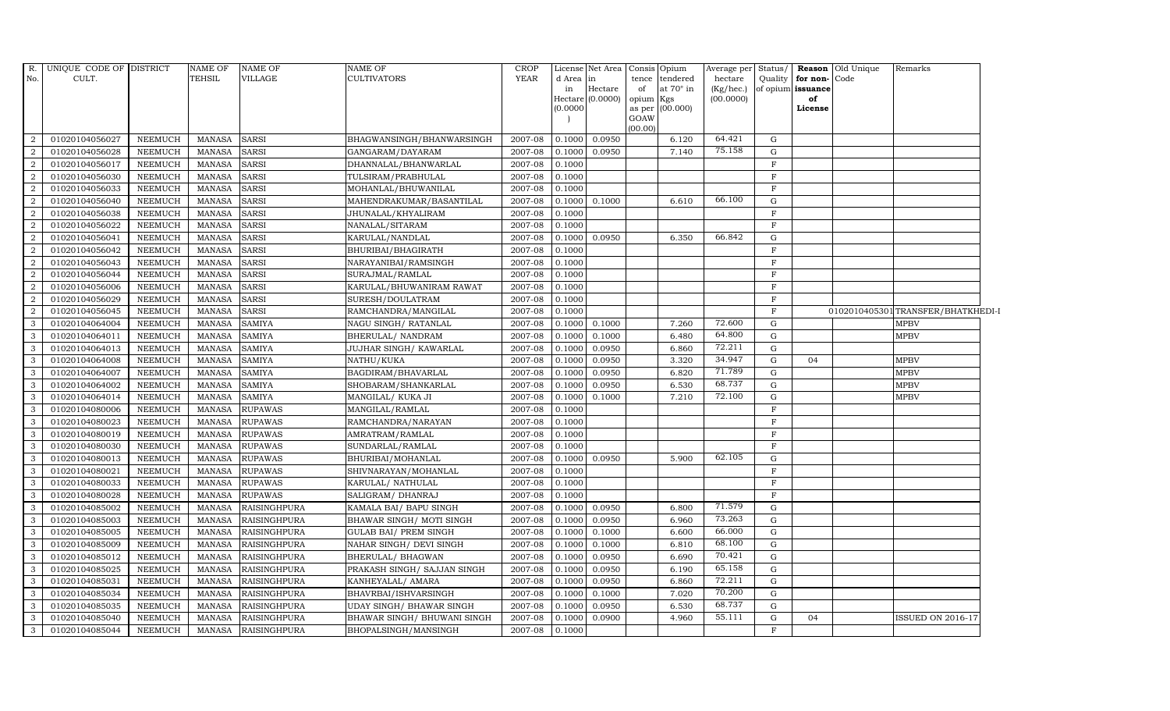| R.             | UNIQUE CODE OF DISTRICT          |                                  | <b>NAME OF</b>                 | <b>NAME OF</b>               | <b>NAME OF</b>                              | <b>CROP</b>        | License          | Net Area                    | Consis      | Opium                   | Average per Status/    |                   |                         | Reason Old Unique | Remarks                           |
|----------------|----------------------------------|----------------------------------|--------------------------------|------------------------------|---------------------------------------------|--------------------|------------------|-----------------------------|-------------|-------------------------|------------------------|-------------------|-------------------------|-------------------|-----------------------------------|
| No.            | CULT.                            |                                  | <b>TEHSIL</b>                  | VILLAGE                      | <b>CULTIVATORS</b>                          | <b>YEAR</b>        | d Area           | $\ln$                       | tence       | tendered                | hectare                |                   | Quality for non-Code    |                   |                                   |
|                |                                  |                                  |                                |                              |                                             |                    | in               | Hectare<br>Hectare (0.0000) | of<br>opium | at $70^\circ$ in<br>Kgs | (Kg/hec.)<br>(00.0000) |                   | of opium issuance<br>of |                   |                                   |
|                |                                  |                                  |                                |                              |                                             |                    | (0.0000)         |                             | as per      | (00.000)                |                        |                   | License                 |                   |                                   |
|                |                                  |                                  |                                |                              |                                             |                    |                  |                             | GOAW        |                         |                        |                   |                         |                   |                                   |
|                |                                  |                                  |                                |                              |                                             |                    |                  |                             | (00.00)     |                         |                        |                   |                         |                   |                                   |
| 2              | 01020104056027                   | <b>NEEMUCH</b>                   | <b>MANASA</b>                  | <b>SARSI</b>                 | BHAGWANSINGH/BHANWARSINGH                   | 2007-08            | 0.1000           | 0.0950                      |             | 6.120                   | 64.421                 | G                 |                         |                   |                                   |
| 2              | 01020104056028                   | <b>NEEMUCH</b>                   | <b>MANASA</b>                  | <b>SARSI</b>                 | GANGARAM/DAYARAM                            | 2007-08            | 0.1000           | 0.0950                      |             | 7.140                   | 75.158                 | G                 |                         |                   |                                   |
| 2              | 01020104056017                   | <b>NEEMUCH</b>                   | <b>MANASA</b>                  | <b>SARSI</b>                 | DHANNALAL/BHANWARLAL                        | 2007-08            | 0.1000           |                             |             |                         |                        | $\mathbf F$       |                         |                   |                                   |
| $\overline{2}$ | 01020104056030                   | NEEMUCH                          | <b>MANASA</b>                  | <b>SARSI</b>                 | TULSIRAM/PRABHULAL                          | 2007-08            | 0.1000           |                             |             |                         |                        | $\mathbf{F}$      |                         |                   |                                   |
| $\overline{2}$ | 01020104056033                   | <b>NEEMUCH</b>                   | <b>MANASA</b>                  | <b>SARSI</b>                 | MOHANLAL/BHUWANILAL                         | 2007-08            | 0.1000           |                             |             |                         | 66.100                 | $\mathbf F$       |                         |                   |                                   |
| $\overline{2}$ | 01020104056040                   | <b>NEEMUCH</b>                   | <b>MANASA</b>                  | <b>SARSI</b>                 | MAHENDRAKUMAR/BASANTILAL                    | 2007-08            | 0.1000           | 0.1000                      |             | 6.610                   |                        | G<br>F            |                         |                   |                                   |
| 2<br>2         | 01020104056038                   | <b>NEEMUCH</b>                   | <b>MANASA</b>                  | <b>SARSI</b>                 | JHUNALAL/KHYALIRAM                          | 2007-08            | 0.1000           |                             |             |                         |                        | $\mathbf{F}$      |                         |                   |                                   |
|                | 01020104056022                   | <b>NEEMUCH</b>                   | <b>MANASA</b>                  | <b>SARSI</b>                 | NANALAL/SITARAM                             | 2007-08            | 0.1000           |                             |             |                         | 66.842                 |                   |                         |                   |                                   |
| 2<br>2         | 01020104056041<br>01020104056042 | <b>NEEMUCH</b><br><b>NEEMUCH</b> | <b>MANASA</b><br><b>MANASA</b> | <b>SARSI</b>                 | KARULAL/NANDLAL<br>BHURIBAI/BHAGIRATH       | 2007-08<br>2007-08 | 0.1000<br>0.1000 | 0.0950                      |             | 6.350                   |                        | G<br>$\mathbf{F}$ |                         |                   |                                   |
| $\overline{2}$ |                                  | <b>NEEMUCH</b>                   | <b>MANASA</b>                  | <b>SARSI</b><br><b>SARSI</b> |                                             | 2007-08            | 0.1000           |                             |             |                         |                        | $\mathbf{F}$      |                         |                   |                                   |
| 2              | 01020104056043<br>01020104056044 | <b>NEEMUCH</b>                   | <b>MANASA</b>                  | <b>SARSI</b>                 | NARAYANIBAI/RAMSINGH                        | 2007-08            | 0.1000           |                             |             |                         |                        | $\mathbf{F}$      |                         |                   |                                   |
| 2              | 01020104056006                   | <b>NEEMUCH</b>                   | <b>MANASA</b>                  | <b>SARSI</b>                 | SURAJMAL/RAMLAL<br>KARULAL/BHUWANIRAM RAWAT | 2007-08            | 0.1000           |                             |             |                         |                        | F                 |                         |                   |                                   |
| 2              | 01020104056029                   | <b>NEEMUCH</b>                   | <b>MANASA</b>                  | <b>SARSI</b>                 | SURESH/DOULATRAM                            | 2007-08            | 0.1000           |                             |             |                         |                        | $\mathbf F$       |                         |                   |                                   |
| $\overline{2}$ | 01020104056045                   | <b>NEEMUCH</b>                   | <b>MANASA</b>                  | <b>SARSI</b>                 | RAMCHANDRA/MANGILAL                         | 2007-08            | 0.1000           |                             |             |                         |                        | $\mathbf{F}$      |                         |                   | 0102010405301TRANSFER/BHATKHEDI-I |
| 3              | 01020104064004                   | <b>NEEMUCH</b>                   | MANASA                         | <b>SAMIYA</b>                | NAGU SINGH / RATANLAL                       | 2007-08            | 0.1000           | 0.1000                      |             | 7.260                   | 72.600                 | G                 |                         |                   | <b>MPBV</b>                       |
| $\mathbf{3}$   | 01020104064011                   | <b>NEEMUCH</b>                   | <b>MANASA</b>                  | <b>SAMIYA</b>                | BHERULAL/ NANDRAM                           | 2007-08            | 0.1000           | 0.1000                      |             | 6.480                   | 64.800                 | G                 |                         |                   | <b>MPBV</b>                       |
| 3              | 01020104064013                   | <b>NEEMUCH</b>                   | <b>MANASA</b>                  | <b>SAMIYA</b>                | JUJHAR SINGH/KAWARLAL                       | 2007-08            | 0.1000           | 0.0950                      |             | 6.860                   | 72.211                 | G                 |                         |                   |                                   |
| 3              | 01020104064008                   | <b>NEEMUCH</b>                   | <b>MANASA</b>                  | <b>SAMIYA</b>                | NATHU/KUKA                                  | 2007-08            | 0.1000           | 0.0950                      |             | 3.320                   | 34.947                 | G                 | 04                      |                   | <b>MPBV</b>                       |
| $\overline{3}$ | 01020104064007                   | NEEMUCH                          | <b>MANASA</b>                  | <b>SAMIYA</b>                | BAGDIRAM/BHAVARLAL                          | 2007-08            | 0.1000           | 0.0950                      |             | 6.820                   | 71.789                 | G                 |                         |                   | <b>MPBV</b>                       |
| 3              | 01020104064002                   | <b>NEEMUCH</b>                   | <b>MANASA</b>                  | <b>SAMIYA</b>                | SHOBARAM/SHANKARLAL                         | 2007-08            | 0.1000           | 0.0950                      |             | 6.530                   | 68.737                 | G                 |                         |                   | <b>MPBV</b>                       |
| 3              | 01020104064014                   | <b>NEEMUCH</b>                   | <b>MANASA</b>                  | <b>SAMIYA</b>                | MANGILAL/ KUKA JI                           | 2007-08            | 0.1000           | 0.1000                      |             | 7.210                   | 72.100                 | G                 |                         |                   | <b>MPBV</b>                       |
| 3              | 01020104080006                   | <b>NEEMUCH</b>                   | <b>MANASA</b>                  | <b>RUPAWAS</b>               | MANGILAL/RAMLAL                             | 2007-08            | 0.1000           |                             |             |                         |                        | $\mathbf{F}$      |                         |                   |                                   |
| 3              | 01020104080023                   | <b>NEEMUCH</b>                   | <b>MANASA</b>                  | <b>RUPAWAS</b>               | RAMCHANDRA/NARAYAN                          | 2007-08            | 0.1000           |                             |             |                         |                        | $\mathbf{F}$      |                         |                   |                                   |
| $\mathbf{3}$   | 01020104080019                   | <b>NEEMUCH</b>                   | <b>MANASA</b>                  | <b>RUPAWAS</b>               | AMRATRAM/RAMLAL                             | 2007-08            | 0.1000           |                             |             |                         |                        | $\mathbf{F}$      |                         |                   |                                   |
| 3              | 01020104080030                   | <b>NEEMUCH</b>                   | <b>MANASA</b>                  | <b>RUPAWAS</b>               | SUNDARLAL/RAMLAL                            | 2007-08            | 0.1000           |                             |             |                         |                        | F                 |                         |                   |                                   |
| 3              | 01020104080013                   | <b>NEEMUCH</b>                   | <b>MANASA</b>                  | <b>RUPAWAS</b>               | BHURIBAI/MOHANLAL                           | 2007-08            | 0.1000           | 0.0950                      |             | 5.900                   | 62.105                 | G                 |                         |                   |                                   |
| $\mathbf{3}$   | 01020104080021                   | <b>NEEMUCH</b>                   | <b>MANASA</b>                  | <b>RUPAWAS</b>               | SHIVNARAYAN/MOHANLAL                        | 2007-08            | 0.1000           |                             |             |                         |                        | $\mathbf{F}$      |                         |                   |                                   |
| 3              | 01020104080033                   | <b>NEEMUCH</b>                   | <b>MANASA</b>                  | <b>RUPAWAS</b>               | KARULAL/ NATHULAL                           | 2007-08            | 0.1000           |                             |             |                         |                        | $\mathbf{F}$      |                         |                   |                                   |
| $\mathbf{3}$   | 01020104080028                   | <b>NEEMUCH</b>                   | <b>MANASA</b>                  | <b>RUPAWAS</b>               | SALIGRAM / DHANRAJ                          | 2007-08            | 0.1000           |                             |             |                         |                        | $\mathbf{F}$      |                         |                   |                                   |
| 3              | 01020104085002                   | <b>NEEMUCH</b>                   | <b>MANASA</b>                  | <b>RAISINGHPURA</b>          | KAMALA BAI/ BAPU SINGH                      | 2007-08            | 0.1000           | 0.0950                      |             | 6.800                   | 71.579                 | G                 |                         |                   |                                   |
| 3              | 01020104085003                   | <b>NEEMUCH</b>                   | <b>MANASA</b>                  | <b>RAISINGHPURA</b>          | BHAWAR SINGH / MOTI SINGH                   | 2007-08            | 0.1000           | 0.0950                      |             | 6.960                   | 73.263                 | G                 |                         |                   |                                   |
| $\mathbf{3}$   | 01020104085005                   | <b>NEEMUCH</b>                   | <b>MANASA</b>                  | <b>RAISINGHPURA</b>          | <b>GULAB BAI/ PREM SINGH</b>                | 2007-08            | 0.1000           | 0.1000                      |             | 6.600                   | 66.000                 | G                 |                         |                   |                                   |
| 3              | 01020104085009                   | <b>NEEMUCH</b>                   | <b>MANASA</b>                  | <b>RAISINGHPURA</b>          | NAHAR SINGH/ DEVI SINGH                     | 2007-08            | 0.1000           | 0.1000                      |             | 6.810                   | 68.100                 | G                 |                         |                   |                                   |
| $\mathbf{3}$   | 01020104085012                   | <b>NEEMUCH</b>                   | MANASA                         | <b>RAISINGHPURA</b>          | BHERULAL/ BHAGWAN                           | 2007-08            | 0.1000           | 0.0950                      |             | 6.690                   | 70.421                 | G                 |                         |                   |                                   |
| 3              | 01020104085025                   | <b>NEEMUCH</b>                   | <b>MANASA</b>                  | <b>RAISINGHPURA</b>          | PRAKASH SINGH/ SAJJAN SINGH                 | 2007-08            | 0.1000           | 0.0950                      |             | 6.190                   | 65.158                 | G                 |                         |                   |                                   |
| 3              | 01020104085031                   | <b>NEEMUCH</b>                   | <b>MANASA</b>                  | <b>RAISINGHPURA</b>          | KANHEYALAL/ AMARA                           | 2007-08            | 0.1000           | 0.0950                      |             | 6.860                   | 72.211                 | G                 |                         |                   |                                   |
| $\mathbf{3}$   | 01020104085034                   | <b>NEEMUCH</b>                   | <b>MANASA</b>                  | <b>RAISINGHPURA</b>          | BHAVRBAI/ISHVARSINGH                        | 2007-08            | 0.1000           | 0.1000                      |             | 7.020                   | 70.200                 | G                 |                         |                   |                                   |
| 3              | 01020104085035                   | <b>NEEMUCH</b>                   | MANASA                         | <b>RAISINGHPURA</b>          | UDAY SINGH / BHAWAR SINGH                   | 2007-08            | 0.1000           | 0.0950                      |             | 6.530                   | 68.737                 | G                 |                         |                   |                                   |
| $\mathbf{3}$   | 01020104085040                   | <b>NEEMUCH</b>                   | <b>MANASA</b>                  | RAISINGHPURA                 | BHAWAR SINGH / BHUWANI SINGH                | 2007-08            | 0.1000           | 0.0900                      |             | 4.960                   | 55.111                 | G                 | 04                      |                   | <b>ISSUED ON 2016-17</b>          |
| $\mathbf{3}$   | 01020104085044                   | <b>NEEMUCH</b>                   | MANASA                         | <b>RAISINGHPURA</b>          | BHOPALSINGH/MANSINGH                        | 2007-08            | 0.1000           |                             |             |                         |                        | $\mathbf{F}$      |                         |                   |                                   |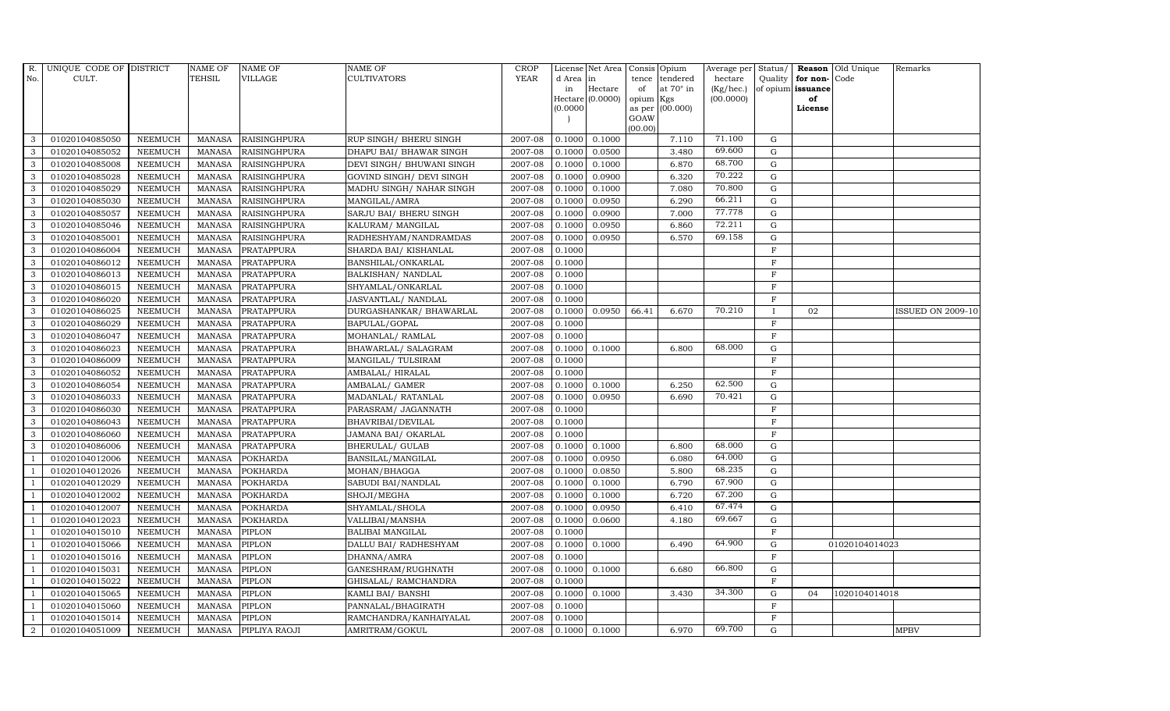|                | R. UNIQUE CODE OF DISTRICT |                | <b>NAME OF</b> | <b>NAME OF</b>       | <b>NAME OF</b>            | CROP        |           | License Net Area      |           | Consis Opium     | Average per | Status/        |                   | <b>Reason</b> Old Unique | Remarks                  |
|----------------|----------------------------|----------------|----------------|----------------------|---------------------------|-------------|-----------|-----------------------|-----------|------------------|-------------|----------------|-------------------|--------------------------|--------------------------|
| No.            | CULT.                      |                | <b>TEHSIL</b>  | VILLAGE              | <b>CULTIVATORS</b>        | <b>YEAR</b> | d Area in |                       | tence     | tendered         | hectare     | Quality        | for non-          | Code                     |                          |
|                |                            |                |                |                      |                           |             | in        | Hectare               | of        | at $70^\circ$ in | (Kg/hec.)   |                | of opium issuance |                          |                          |
|                |                            |                |                |                      |                           |             | (0.0000)  | Hectare (0.0000)      | opium Kgs | as per (00.000)  | (00.0000)   |                | of<br>License     |                          |                          |
|                |                            |                |                |                      |                           |             |           |                       | GOAW      |                  |             |                |                   |                          |                          |
|                |                            |                |                |                      |                           |             |           |                       | (00.00)   |                  |             |                |                   |                          |                          |
| 3              | 01020104085050             | <b>NEEMUCH</b> | <b>MANASA</b>  | <b>RAISINGHPURA</b>  | RUP SINGH/ BHERU SINGH    | 2007-08     | 0.1000    | 0.1000                |           | 7.110            | 71.100      | G              |                   |                          |                          |
| 3              | 01020104085052             | <b>NEEMUCH</b> | <b>MANASA</b>  | <b>RAISINGHPURA</b>  | DHAPU BAI / BHAWAR SINGH  | 2007-08     | 0.1000    | 0.0500                |           | 3.480            | 69.600      | ${\rm G}$      |                   |                          |                          |
| 3              | 01020104085008             | <b>NEEMUCH</b> | <b>MANASA</b>  | <b>RAISINGHPURA</b>  | DEVI SINGH/ BHUWANI SINGH | 2007-08     | 0.1000    | 0.1000                |           | 6.870            | 68.700      | G              |                   |                          |                          |
| 3              | 01020104085028             | <b>NEEMUCH</b> | <b>MANASA</b>  | <b>RAISINGHPURA</b>  | GOVIND SINGH/ DEVI SINGH  | 2007-08     | 0.1000    | 0.0900                |           | 6.320            | 70.222      | $\mathbf G$    |                   |                          |                          |
| 3              | 01020104085029             | <b>NEEMUCH</b> | <b>MANASA</b>  | <b>RAISINGHPURA</b>  | MADHU SINGH/ NAHAR SINGH  | 2007-08     | 0.1000    | 0.1000                |           | 7.080            | 70.800      | ${\rm G}$      |                   |                          |                          |
| 3              | 01020104085030             | <b>NEEMUCH</b> | <b>MANASA</b>  | RAISINGHPURA         | MANGILAL/AMRA             | 2007-08     | 0.1000    | 0.0950                |           | 6.290            | 66.211      | ${\rm G}$      |                   |                          |                          |
| 3              | 01020104085057             | <b>NEEMUCH</b> | <b>MANASA</b>  | RAISINGHPURA         | SARJU BAI/ BHERU SINGH    | 2007-08     | 0.1000    | 0.0900                |           | 7.000            | 77.778      | ${\rm G}$      |                   |                          |                          |
| 3              | 01020104085046             | <b>NEEMUCH</b> | <b>MANASA</b>  | <b>RAISINGHPURA</b>  | KALURAM / MANGILAL        | 2007-08     | 0.1000    | 0.0950                |           | 6.860            | 72.211      | G              |                   |                          |                          |
| 3              | 01020104085001             | <b>NEEMUCH</b> | <b>MANASA</b>  | RAISINGHPURA         | RADHESHYAM/NANDRAMDAS     | 2007-08     | 0.1000    | 0.0950                |           | 6.570            | 69.158      | $\mathbf G$    |                   |                          |                          |
| 3              | 01020104086004             | <b>NEEMUCH</b> | <b>MANASA</b>  | PRATAPPURA           | SHARDA BAI/ KISHANLAL     | 2007-08     | 0.1000    |                       |           |                  |             | $\mathbf F$    |                   |                          |                          |
| 3              | 01020104086012             | <b>NEEMUCH</b> | <b>MANASA</b>  | PRATAPPURA           | BANSHILAL/ONKARLAL        | 2007-08     | 0.1000    |                       |           |                  |             | $\mathbf F$    |                   |                          |                          |
| 3              | 01020104086013             | <b>NEEMUCH</b> | <b>MANASA</b>  | PRATAPPURA           | BALKISHAN/ NANDLAL        | 2007-08     | 0.1000    |                       |           |                  |             | $\mathbf F$    |                   |                          |                          |
| 3              | 01020104086015             | <b>NEEMUCH</b> | <b>MANASA</b>  | PRATAPPURA           | SHYAMLAL/ONKARLAL         | 2007-08     | 0.1000    |                       |           |                  |             | $\mathbf F$    |                   |                          |                          |
| 3              | 01020104086020             | <b>NEEMUCH</b> | <b>MANASA</b>  | <b>PRATAPPURA</b>    | JASVANTLAL/ NANDLAL       | 2007-08     | 0.1000    |                       |           |                  |             | $\overline{F}$ |                   |                          |                          |
| 3              | 01020104086025             | <b>NEEMUCH</b> | <b>MANASA</b>  | PRATAPPURA           | DURGASHANKAR/ BHAWARLAL   | 2007-08     | 0.1000    | 0.0950                | 66.41     | 6.670            | 70.210      |                | 02                |                          | <b>ISSUED ON 2009-10</b> |
| 3              | 01020104086029             | <b>NEEMUCH</b> | <b>MANASA</b>  | PRATAPPURA           | BAPULAL/GOPAL             | 2007-08     | 0.1000    |                       |           |                  |             | $\mathbf F$    |                   |                          |                          |
| 3              | 01020104086047             | <b>NEEMUCH</b> | <b>MANASA</b>  | PRATAPPURA           | MOHANLAL/ RAMLAL          | 2007-08     | 0.1000    |                       |           |                  |             | $\mathbf F$    |                   |                          |                          |
| 3              | 01020104086023             | <b>NEEMUCH</b> | <b>MANASA</b>  | PRATAPPURA           | BHAWARLAL/ SALAGRAM       | 2007-08     | 0.1000    | 0.1000                |           | 6.800            | 68.000      | G              |                   |                          |                          |
| 3              | 01020104086009             | <b>NEEMUCH</b> | <b>MANASA</b>  | <b>PRATAPPURA</b>    | MANGILAL/ TULSIRAM        | 2007-08     | 0.1000    |                       |           |                  |             | $\mathbf F$    |                   |                          |                          |
| $\mathcal{E}$  | 01020104086052             | <b>NEEMUCH</b> | <b>MANASA</b>  | PRATAPPURA           | AMBALAL/HIRALAL           | 2007-08     | 0.1000    |                       |           |                  |             | $\rm F$        |                   |                          |                          |
| 3              | 01020104086054             | <b>NEEMUCH</b> | <b>MANASA</b>  | PRATAPPURA           | AMBALAL/ GAMER            | 2007-08     | 0.1000    | 0.1000                |           | 6.250            | 62.500      | $\mathbf G$    |                   |                          |                          |
| 3              | 01020104086033             | <b>NEEMUCH</b> | <b>MANASA</b>  | PRATAPPURA           | MADANLAL/ RATANLAL        | 2007-08     | 0.1000    | 0.0950                |           | 6.690            | 70.421      | ${\rm G}$      |                   |                          |                          |
| 3              | 01020104086030             | <b>NEEMUCH</b> | <b>MANASA</b>  | PRATAPPURA           | PARASRAM/ JAGANNATH       | 2007-08     | 0.1000    |                       |           |                  |             | F              |                   |                          |                          |
| 3              | 01020104086043             | <b>NEEMUCH</b> | <b>MANASA</b>  | <b>PRATAPPURA</b>    | BHAVRIBAI/DEVILAL         | 2007-08     | 0.1000    |                       |           |                  |             | $\mathbf F$    |                   |                          |                          |
| 3              | 01020104086060             | <b>NEEMUCH</b> | <b>MANASA</b>  | PRATAPPURA           | JAMANA BAI/OKARLAL        | 2007-08     | 0.1000    |                       |           |                  |             | $\mathbf F$    |                   |                          |                          |
| 3              | 01020104086006             | <b>NEEMUCH</b> | <b>MANASA</b>  | PRATAPPURA           | BHERULAL/ GULAB           | 2007-08     | 0.1000    | 0.1000                |           | 6.800            | 68.000      | $\mathbf G$    |                   |                          |                          |
| -1             | 01020104012006             | <b>NEEMUCH</b> | <b>MANASA</b>  | <b>POKHARDA</b>      | BANSILAL/MANGILAL         | 2007-08     | 0.1000    | 0.0950                |           | 6.080            | 64.000      | $\mathbf G$    |                   |                          |                          |
| $\overline{1}$ | 01020104012026             | NEEMUCH        | <b>MANASA</b>  | <b>POKHARDA</b>      | MOHAN/BHAGGA              | 2007-08     | 0.1000    | 0.0850                |           | 5.800            | 68.235      | ${\rm G}$      |                   |                          |                          |
| - 1            | 01020104012029             | <b>NEEMUCH</b> | <b>MANASA</b>  | <b>POKHARDA</b>      | SABUDI BAI/NANDLAL        | 2007-08     | 0.1000    | 0.1000                |           | 6.790            | 67.900      | $\mathbf G$    |                   |                          |                          |
|                | 01020104012002             | <b>NEEMUCH</b> | <b>MANASA</b>  | <b>POKHARDA</b>      | SHOJI/MEGHA               | 2007-08     | 0.1000    | 0.1000                |           | 6.720            | 67.200      | $\mathbf G$    |                   |                          |                          |
|                | 01020104012007             | <b>NEEMUCH</b> | <b>MANASA</b>  | <b>POKHARDA</b>      | SHYAMLAL/SHOLA            | 2007-08     | 0.1000    | 0.0950                |           | 6.410            | 67.474      | G              |                   |                          |                          |
|                | 01020104012023             | <b>NEEMUCH</b> | <b>MANASA</b>  | <b>POKHARDA</b>      | VALLIBAI/MANSHA           | 2007-08     | 0.1000    | 0.0600                |           | 4.180            | 69.667      | ${\rm G}$      |                   |                          |                          |
| $\overline{1}$ | 01020104015010             | <b>NEEMUCH</b> | <b>MANASA</b>  | PIPLON               | <b>BALIBAI MANGILAL</b>   | 2007-08     | 0.1000    |                       |           |                  |             | $\mathbf F$    |                   |                          |                          |
| $\overline{1}$ | 01020104015066             | <b>NEEMUCH</b> | <b>MANASA</b>  | <b>PIPLON</b>        | DALLU BAI/ RADHESHYAM     | 2007-08     | 0.1000    | 0.1000                |           | 6.490            | 64.900      | $\mathbf G$    |                   | 01020104014023           |                          |
|                | 01020104015016             | <b>NEEMUCH</b> | <b>MANASA</b>  | PIPLON               | DHANNA/AMRA               | 2007-08     | 0.1000    |                       |           |                  |             | $\mathbf F$    |                   |                          |                          |
| $\overline{1}$ | 01020104015031             | <b>NEEMUCH</b> | <b>MANASA</b>  | PIPLON               | GANESHRAM/RUGHNATH        | 2007-08     | 0.1000    | 0.1000                |           | 6.680            | 66.800      | ${\rm G}$      |                   |                          |                          |
| -1             | 01020104015022             | <b>NEEMUCH</b> | <b>MANASA</b>  | PIPLON               | GHISALAL/ RAMCHANDRA      | 2007-08     | 0.1000    |                       |           |                  |             | $\mathbf F$    |                   |                          |                          |
| $\overline{1}$ | 01020104015065             | <b>NEEMUCH</b> | <b>MANASA</b>  | PIPLON               | KAMLI BAI/ BANSHI         | 2007-08     | 0.1000    | 0.1000                |           | 3.430            | 34.300      | $\mathbf G$    | 04                | 1020104014018            |                          |
| $\overline{1}$ | 01020104015060             | <b>NEEMUCH</b> | <b>MANASA</b>  | <b>PIPLON</b>        | PANNALAL/BHAGIRATH        | 2007-08     | 0.1000    |                       |           |                  |             | $\mathbf F$    |                   |                          |                          |
|                | 01020104015014             | <b>NEEMUCH</b> | <b>MANASA</b>  | <b>PIPLON</b>        | RAMCHANDRA/KANHAIYALAL    | 2007-08     | 0.1000    |                       |           |                  |             | $\mathbf F$    |                   |                          |                          |
| $\overline{2}$ | 01020104051009             | <b>NEEMUCH</b> |                | MANASA PIPLIYA RAOJI | AMRITRAM/GOKUL            | 2007-08     |           | $0.1000 \quad 0.1000$ |           | 6.970            | 69.700      | G              |                   |                          | <b>MPBV</b>              |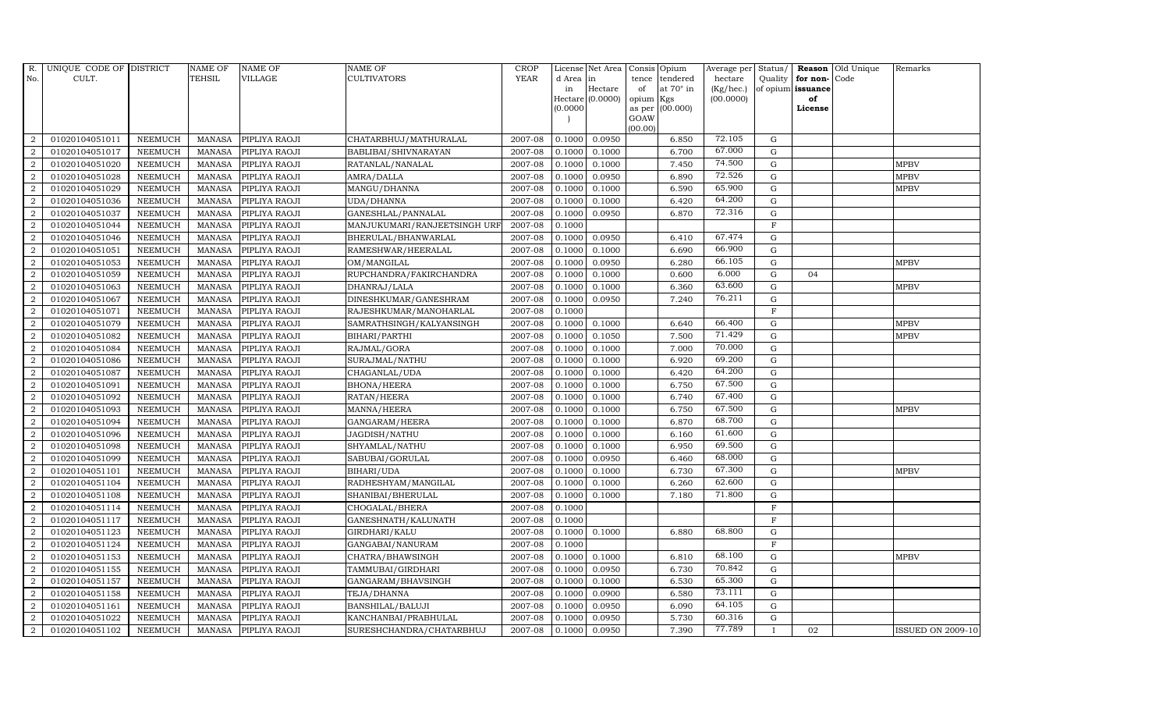| R.             | UNIQUE CODE OF DISTRICT |                | <b>NAME OF</b> | <b>NAME OF</b>       | <b>NAME OF</b>               | CROP        |           | License Net Area Consis Opium |           |                  | Average per | Status/     | Reason            | Old Unique | Remarks                  |
|----------------|-------------------------|----------------|----------------|----------------------|------------------------------|-------------|-----------|-------------------------------|-----------|------------------|-------------|-------------|-------------------|------------|--------------------------|
| No.            | CULT.                   |                | <b>TEHSIL</b>  | <b>VILLAGE</b>       | <b>CULTIVATORS</b>           | <b>YEAR</b> | d Area in |                               | tence     | tendered         | hectare     | Quality     | for non-          | Code       |                          |
|                |                         |                |                |                      |                              |             | in        | Hectare                       | of        | at $70^\circ$ in | (Kg/hec.)   |             | of opium issuance |            |                          |
|                |                         |                |                |                      |                              |             |           | Hectare (0.0000)              | opium Kgs |                  | (00.0000)   |             | of<br>License     |            |                          |
|                |                         |                |                |                      |                              |             | (0.0000)  |                               | GOAW      | as per (00.000)  |             |             |                   |            |                          |
|                |                         |                |                |                      |                              |             |           |                               | (00.00)   |                  |             |             |                   |            |                          |
| $\overline{2}$ | 01020104051011          | <b>NEEMUCH</b> | MANASA         | PIPLIYA RAOJI        | CHATARBHUJ/MATHURALAL        | 2007-08     | 0.1000    | 0.0950                        |           | 6.850            | 72.105      | G           |                   |            |                          |
| $\overline{2}$ | 01020104051017          | <b>NEEMUCH</b> | MANASA         | PIPLIYA RAOJI        | BABLIBAI/SHIVNARAYAN         | 2007-08     | 0.1000    | 0.1000                        |           | 6.700            | 67.000      | $\mathbf G$ |                   |            |                          |
| 2              | 01020104051020          | <b>NEEMUCH</b> | <b>MANASA</b>  | PIPLIYA RAOJI        | RATANLAL/NANALAL             | 2007-08     | 0.1000    | 0.1000                        |           | 7.450            | 74.500      | G           |                   |            | <b>MPBV</b>              |
| $\overline{2}$ | 01020104051028          | <b>NEEMUCH</b> | MANASA         | PIPLIYA RAOJI        | AMRA/DALLA                   | 2007-08     | 0.1000    | 0.0950                        |           | 6.890            | 72.526      | $\mathbf G$ |                   |            | <b>MPBV</b>              |
| $\overline{a}$ | 01020104051029          | <b>NEEMUCH</b> | <b>MANASA</b>  | PIPLIYA RAOJI        | MANGU/DHANNA                 | 2007-08     | 0.1000    | 0.1000                        |           | 6.590            | 65.900      | ${\rm G}$   |                   |            | <b>MPBV</b>              |
| $\overline{2}$ | 01020104051036          | <b>NEEMUCH</b> | <b>MANASA</b>  | PIPLIYA RAOJI        | UDA/DHANNA                   | $2007-08$   | 0.1000    | 0.1000                        |           | 6.420            | 64.200      | G           |                   |            |                          |
| $\overline{a}$ | 01020104051037          | <b>NEEMUCH</b> | <b>MANASA</b>  | PIPLIYA RAOJI        | GANESHLAL/PANNALAL           | 2007-08     | 0.1000    | 0.0950                        |           | 6.870            | 72.316      | $\mathbf G$ |                   |            |                          |
| $\overline{2}$ | 01020104051044          | <b>NEEMUCH</b> | <b>MANASA</b>  | PIPLIYA RAOJI        | MANJUKUMARI/RANJEETSINGH URF | 2007-08     | 0.1000    |                               |           |                  |             | $\mathbf F$ |                   |            |                          |
| $\overline{2}$ | 01020104051046          | <b>NEEMUCH</b> | <b>MANASA</b>  | PIPLIYA RAOJI        | BHERULAL/BHANWARLAL          | 2007-08     | 0.1000    | 0.0950                        |           | 6.410            | 67.474      | $\mathbf G$ |                   |            |                          |
| $\overline{2}$ | 01020104051051          | <b>NEEMUCH</b> | <b>MANASA</b>  | PIPLIYA RAOJI        | RAMESHWAR/HEERALAL           | 2007-08     | 0.1000    | 0.1000                        |           | 6.690            | 66.900      | ${\rm G}$   |                   |            |                          |
| $\overline{a}$ | 01020104051053          | <b>NEEMUCH</b> | <b>MANASA</b>  | PIPLIYA RAOJI        | OM/MANGILAL                  | 2007-08     | 0.1000    | 0.0950                        |           | 6.280            | 66.105      | ${\rm G}$   |                   |            | <b>MPBV</b>              |
| $\overline{2}$ | 01020104051059          | <b>NEEMUCH</b> | MANASA         | PIPLIYA RAOJI        | RUPCHANDRA/FAKIRCHANDRA      | 2007-08     | 0.1000    | 0.1000                        |           | 0.600            | 6.000       | G           | 04                |            |                          |
| 2              | 01020104051063          | <b>NEEMUCH</b> | <b>MANASA</b>  | PIPLIYA RAOJI        | DHANRAJ/LALA                 | 2007-08     | 0.1000    | 0.1000                        |           | 6.360            | 63.600      | $\mathbf G$ |                   |            | <b>MPBV</b>              |
| $\overline{2}$ | 01020104051067          | <b>NEEMUCH</b> | MANASA         | PIPLIYA RAOJI        | DINESHKUMAR/GANESHRAM        | 2007-08     | 0.1000    | 0.0950                        |           | 7.240            | 76.211      | G           |                   |            |                          |
| $\overline{2}$ | 01020104051071          | <b>NEEMUCH</b> | <b>MANASA</b>  | PIPLIYA RAOJI        | RAJESHKUMAR/MANOHARLAL       | 2007-08     | 0.1000    |                               |           |                  |             | $_{\rm F}$  |                   |            |                          |
| $\overline{2}$ | 01020104051079          | <b>NEEMUCH</b> | <b>MANASA</b>  | PIPLIYA RAOJI        | SAMRATHSINGH/KALYANSINGH     | 2007-08     | 0.1000    | 0.1000                        |           | 6.640            | 66.400      | ${\rm G}$   |                   |            | <b>MPBV</b>              |
| 2              | 01020104051082          | <b>NEEMUCH</b> | MANASA         | PIPLIYA RAOJI        | BIHARI/PARTHI                | 2007-08     | 0.1000    | 0.1050                        |           | 7.500            | 71.429      | ${\rm G}$   |                   |            | <b>MPBV</b>              |
| $\overline{2}$ | 01020104051084          | <b>NEEMUCH</b> | MANASA         | PIPLIYA RAOJI        | RAJMAL/GORA                  | 2007-08     | 0.1000    | 0.1000                        |           | 7.000            | 70.000      | $\mathbf G$ |                   |            |                          |
| $\overline{2}$ | 01020104051086          | <b>NEEMUCH</b> | MANASA         | PIPLIYA RAOJI        | SURAJMAL/NATHU               | 2007-08     | 0.1000    | 0.1000                        |           | 6.920            | 69.200      | $\mathbf G$ |                   |            |                          |
| $\overline{2}$ | 01020104051087          | <b>NEEMUCH</b> | <b>MANASA</b>  | PIPLIYA RAOJI        | CHAGANLAL/UDA                | 2007-08     | 0.1000    | 0.1000                        |           | 6.420            | 64.200      | $\mathbf G$ |                   |            |                          |
| $\overline{a}$ | 01020104051091          | <b>NEEMUCH</b> | <b>MANASA</b>  | PIPLIYA RAOJI        | <b>BHONA/HEERA</b>           | 2007-08     | 0.1000    | 0.1000                        |           | 6.750            | 67.500      | ${\rm G}$   |                   |            |                          |
| $\overline{a}$ | 01020104051092          | <b>NEEMUCH</b> | <b>MANASA</b>  | PIPLIYA RAOJI        | RATAN/HEERA                  | 2007-08     | 0.1000    | 0.1000                        |           | 6.740            | 67.400      | ${\rm G}$   |                   |            |                          |
| $\overline{a}$ | 01020104051093          | <b>NEEMUCH</b> | MANASA         | PIPLIYA RAOJI        | MANNA/HEERA                  | 2007-08     | 0.1000    | 0.1000                        |           | 6.750            | 67.500      | $\mathbf G$ |                   |            | <b>MPBV</b>              |
| $\overline{2}$ | 01020104051094          | <b>NEEMUCH</b> | <b>MANASA</b>  | PIPLIYA RAOJI        | GANGARAM/HEERA               | 2007-08     | 0.1000    | 0.1000                        |           | 6.870            | 68.700      | $\mathbf G$ |                   |            |                          |
| $\sqrt{2}$     | 01020104051096          | <b>NEEMUCH</b> | <b>MANASA</b>  | PIPLIYA RAOJI        | JAGDISH/NATHU                | 2007-08     | 0.1000    | 0.1000                        |           | 6.160            | 61.600      | $\mathbf G$ |                   |            |                          |
| $\overline{2}$ | 01020104051098          | <b>NEEMUCH</b> | <b>MANASA</b>  | PIPLIYA RAOJI        | SHYAMLAL/NATHU               | 2007-08     | 0.1000    | 0.1000                        |           | 6.950            | 69.500      | ${\rm G}$   |                   |            |                          |
| $\overline{a}$ | 01020104051099          | <b>NEEMUCH</b> | <b>MANASA</b>  | PIPLIYA RAOJI        | SABUBAI/GORULAL              | 2007-08     | 0.1000    | 0.0950                        |           | 6.460            | 68.000      | ${\rm G}$   |                   |            |                          |
| 2              | 01020104051101          | <b>NEEMUCH</b> | MANASA         | PIPLIYA RAOJI        | BIHARI/UDA                   | 2007-08     | 0.1000    | 0.1000                        |           | 6.730            | 67.300      | $\mathbf G$ |                   |            | <b>MPBV</b>              |
| 2              | 01020104051104          | <b>NEEMUCH</b> | <b>MANASA</b>  | PIPLIYA RAOJI        | RADHESHYAM/MANGILAL          | 2007-08     | 0.1000    | 0.1000                        |           | 6.260            | 62.600      | $\mathbf G$ |                   |            |                          |
| $\overline{2}$ | 01020104051108          | <b>NEEMUCH</b> | <b>MANASA</b>  | PIPLIYA RAOJI        | SHANIBAI/BHERULAL            | 2007-08     | 0.1000    | 0.1000                        |           | 7.180            | 71.800      | $\mathbf G$ |                   |            |                          |
| $\overline{2}$ | 01020104051114          | <b>NEEMUCH</b> | MANASA         | PIPLIYA RAOJI        | CHOGALAL/BHERA               | 2007-08     | 0.1000    |                               |           |                  |             | $\rm F$     |                   |            |                          |
| $\overline{a}$ | 01020104051117          | <b>NEEMUCH</b> | <b>MANASA</b>  | PIPLIYA RAOJI        | GANESHNATH/KALUNATH          | 2007-08     | 0.1000    |                               |           |                  |             | $\rm F$     |                   |            |                          |
| $\overline{a}$ | 01020104051123          | <b>NEEMUCH</b> | <b>MANASA</b>  | PIPLIYA RAOJI        | GIRDHARI/KALU                | 2007-08     | 0.1000    | 0.1000                        |           | 6.880            | 68.800      | $\mathbf G$ |                   |            |                          |
| 2              | 01020104051124          | <b>NEEMUCH</b> | <b>MANASA</b>  | PIPLIYA RAOJI        | GANGABAI/NANURAM             | 2007-08     | 0.1000    |                               |           |                  |             | $\mathbf F$ |                   |            |                          |
| $\overline{2}$ | 01020104051153          | <b>NEEMUCH</b> | <b>MANASA</b>  | PIPLIYA RAOJI        | CHATRA/BHAWSINGH             | 2007-08     | 0.1000    | 0.1000                        |           | 6.810            | 68.100      | $\mathbf G$ |                   |            | <b>MPBV</b>              |
| $\overline{a}$ | 01020104051155          | <b>NEEMUCH</b> | <b>MANASA</b>  | PIPLIYA RAOJI        | TAMMUBAI/GIRDHARI            | 2007-08     | 0.1000    | 0.0950                        |           | 6.730            | 70.842      | ${\rm G}$   |                   |            |                          |
| $\overline{2}$ | 01020104051157          | <b>NEEMUCH</b> | <b>MANASA</b>  | PIPLIYA RAOJI        | GANGARAM/BHAVSINGH           | 2007-08     | 0.1000    | 0.1000                        |           | 6.530            | 65.300      | ${\rm G}$   |                   |            |                          |
| $\overline{a}$ | 01020104051158          | <b>NEEMUCH</b> | <b>MANASA</b>  | PIPLIYA RAOJI        | TEJA/DHANNA                  | 2007-08     | 0.1000    | 0.0900                        |           | 6.580            | 73.111      | ${\rm G}$   |                   |            |                          |
| 2              | 01020104051161          | <b>NEEMUCH</b> | <b>MANASA</b>  | PIPLIYA RAOJI        | BANSHILAL/BALUJI             | 2007-08     | 0.1000    | 0.0950                        |           | 6.090            | 64.105      | $\mathbf G$ |                   |            |                          |
| 2              | 01020104051022          | <b>NEEMUCH</b> | <b>MANASA</b>  | PIPLIYA RAOJI        | KANCHANBAI/PRABHULAL         | 2007-08     | 0.1000    | 0.0950                        |           | 5.730            | 60.316      | G           |                   |            |                          |
| $\overline{a}$ | 01020104051102          | <b>NEEMUCH</b> |                | MANASA PIPLIYA RAOJI | SURESHCHANDRA/CHATARBHUJ     | 2007-08     | 0.1000    | 0.0950                        |           | 7.390            | 77.789      |             | 02                |            | <b>ISSUED ON 2009-10</b> |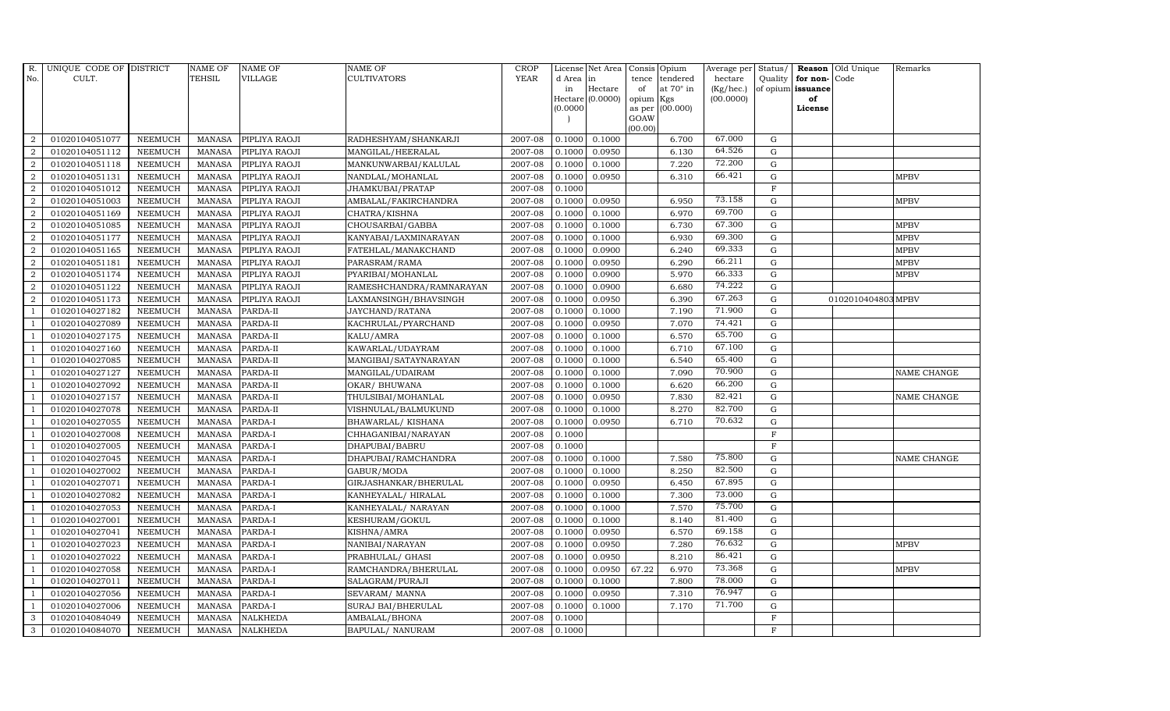| R.               | UNIQUE CODE OF DISTRICT |                | <b>NAME OF</b> | <b>NAME OF</b>  | <b>NAME OF</b>           | CROP        |           | License Net Area              |             | Consis Opium            | Average per                  | Status/      |                         | <b>Reason</b> Old Unique | Remarks     |
|------------------|-------------------------|----------------|----------------|-----------------|--------------------------|-------------|-----------|-------------------------------|-------------|-------------------------|------------------------------|--------------|-------------------------|--------------------------|-------------|
| No.              | CULT.                   |                | <b>TEHSIL</b>  | <b>VILLAGE</b>  | CULTIVATORS              | <b>YEAR</b> | d Area in |                               | tence       | tendered                | hectare                      | Quality      | for non-                | Code                     |             |
|                  |                         |                |                |                 |                          |             | in        | Hectare<br>$Hectare (0.0000)$ | of<br>opium | at $70^\circ$ in<br>Kgs | $(Kg/$ hec. $)$<br>(00.0000) |              | of opium issuance<br>of |                          |             |
|                  |                         |                |                |                 |                          |             | (0.0000)  |                               | as per      | (00.000)                |                              |              | License                 |                          |             |
|                  |                         |                |                |                 |                          |             |           |                               | GOAW        |                         |                              |              |                         |                          |             |
|                  |                         |                |                |                 |                          |             |           |                               | (00.00)     |                         |                              |              |                         |                          |             |
| 2                | 01020104051077          | <b>NEEMUCH</b> | <b>MANASA</b>  | PIPLIYA RAOJI   | RADHESHYAM/SHANKARJI     | 2007-08     | 0.1000    | 0.1000                        |             | 6.700                   | 67.000                       | G            |                         |                          |             |
| $\overline{2}$   | 01020104051112          | <b>NEEMUCH</b> | <b>MANASA</b>  | PIPLIYA RAOJI   | MANGILAL/HEERALAL        | 2007-08     | 0.1000    | 0.0950                        |             | 6.130                   | 64.526                       | $\mathbf G$  |                         |                          |             |
| 2                | 01020104051118          | <b>NEEMUCH</b> | <b>MANASA</b>  | PIPLIYA RAOJI   | MANKUNWARBAI/KALULAL     | 2007-08     | 0.1000    | 0.1000                        |             | 7.220                   | 72.200                       | $\mathbf G$  |                         |                          |             |
| $\overline{2}$   | 01020104051131          | <b>NEEMUCH</b> | <b>MANASA</b>  | PIPLIYA RAOJI   | NANDLAL/MOHANLAL         | 2007-08     | 0.1000    | 0.0950                        |             | 6.310                   | 66.421                       | $\mathbf G$  |                         |                          | <b>MPBV</b> |
| 2                | 01020104051012          | <b>NEEMUCH</b> | <b>MANASA</b>  | PIPLIYA RAOJI   | JHAMKUBAI/PRATAP         | 2007-08     | 0.1000    |                               |             |                         |                              | $\rm F$      |                         |                          |             |
| $\overline{2}$   | 01020104051003          | <b>NEEMUCH</b> | <b>MANASA</b>  | PIPLIYA RAOJI   | AMBALAL/FAKIRCHANDRA     | 2007-08     | 0.1000    | 0.0950                        |             | 6.950                   | 73.158                       | G            |                         |                          | <b>MPBV</b> |
| $\overline{2}$   | 01020104051169          | <b>NEEMUCH</b> | <b>MANASA</b>  | PIPLIYA RAOJI   | CHATRA/KISHNA            | 2007-08     | 0.1000    | 0.1000                        |             | 6.970                   | 69.700                       | G            |                         |                          |             |
| 2                | 01020104051085          | <b>NEEMUCH</b> | <b>MANASA</b>  | PIPLIYA RAOJI   | CHOUSARBAI/GABBA         | 2007-08     | 0.1000    | 0.1000                        |             | 6.730                   | 67.300                       | G            |                         |                          | <b>MPBV</b> |
| $\overline{2}$   | 01020104051177          | <b>NEEMUCH</b> | <b>MANASA</b>  | PIPLIYA RAOJI   | KANYABAI/LAXMINARAYAN    | 2007-08     | 0.1000    | 0.1000                        |             | 6.930                   | 69.300                       | $\mathbf G$  |                         |                          | <b>MPBV</b> |
| $\overline{2}$   | 01020104051165          | <b>NEEMUCH</b> | <b>MANASA</b>  | PIPLIYA RAOJI   | FATEHLAL/MANAKCHAND      | 2007-08     | 0.1000    | 0.0900                        |             | 6.240                   | 69.333                       | ${\rm G}$    |                         |                          | <b>MPBV</b> |
| 2                | 01020104051181          | <b>NEEMUCH</b> | <b>MANASA</b>  | PIPLIYA RAOJI   | PARASRAM/RAMA            | 2007-08     | 0.1000    | 0.0950                        |             | 6.290                   | 66.211                       | G            |                         |                          | <b>MPBV</b> |
| $\boldsymbol{2}$ | 01020104051174          | <b>NEEMUCH</b> | <b>MANASA</b>  | PIPLIYA RAOJI   | PYARIBAI/MOHANLAL        | 2007-08     | 0.1000    | 0.0900                        |             | 5.970                   | 66.333                       | G            |                         |                          | <b>MPBV</b> |
| 2                | 01020104051122          | <b>NEEMUCH</b> | <b>MANASA</b>  | PIPLIYA RAOJI   | RAMESHCHANDRA/RAMNARAYAN | 2007-08     | 0.1000    | 0.0900                        |             | 6.680                   | 74.222                       | G            |                         |                          |             |
| 2                | 01020104051173          | <b>NEEMUCH</b> | <b>MANASA</b>  | PIPLIYA RAOJI   | LAXMANSINGH/BHAVSINGH    | 2007-08     | 0.1000    | 0.0950                        |             | 6.390                   | 67.263                       | $\mathbf G$  |                         | 0102010404803 MPBV       |             |
|                  | 01020104027182          | <b>NEEMUCH</b> | <b>MANASA</b>  | PARDA-II        | JAYCHAND/RATANA          | 2007-08     | 0.1000    | 0.1000                        |             | 7.190                   | 71.900                       | $\mathbf G$  |                         |                          |             |
| $\overline{1}$   | 01020104027089          | <b>NEEMUCH</b> | <b>MANASA</b>  | PARDA-II        | KACHRULAL/PYARCHAND      | 2007-08     | 0.1000    | 0.0950                        |             | 7.070                   | 74.421                       | G            |                         |                          |             |
| -1               | 01020104027175          | <b>NEEMUCH</b> | <b>MANASA</b>  | PARDA-II        | KALU/AMRA                | 2007-08     | 0.1000    | 0.1000                        |             | 6.570                   | 65.700                       | G            |                         |                          |             |
| $\overline{1}$   | 01020104027160          | <b>NEEMUCH</b> | <b>MANASA</b>  | PARDA-II        | KAWARLAL/UDAYRAM         | 2007-08     | 0.1000    | 0.1000                        |             | 6.710                   | 67.100                       | G            |                         |                          |             |
| $\overline{1}$   | 01020104027085          | <b>NEEMUCH</b> | <b>MANASA</b>  | PARDA-II        | MANGIBAI/SATAYNARAYAN    | 2007-08     | 0.1000    | 0.1000                        |             | 6.540                   | 65.400                       | G            |                         |                          |             |
|                  | 01020104027127          | <b>NEEMUCH</b> | <b>MANASA</b>  | PARDA-II        | MANGILAL/UDAIRAM         | 2007-08     | 0.1000    | 0.1000                        |             | 7.090                   | 70.900                       | $\mathbf G$  |                         |                          | NAME CHANGE |
| $\overline{1}$   | 01020104027092          | <b>NEEMUCH</b> | <b>MANASA</b>  | PARDA-II        | OKAR/ BHUWANA            | 2007-08     | 0.1000    | 0.1000                        |             | 6.620                   | 66.200                       | G            |                         |                          |             |
|                  | 01020104027157          | <b>NEEMUCH</b> | <b>MANASA</b>  | PARDA-II        | THULSIBAI/MOHANLAL       | 2007-08     | 0.1000    | 0.0950                        |             | 7.830                   | 82.421                       | G            |                         |                          | NAME CHANGE |
| - 1              | 01020104027078          | <b>NEEMUCH</b> | <b>MANASA</b>  | PARDA-II        | VISHNULAL/BALMUKUND      | 2007-08     | 0.1000    | 0.1000                        |             | 8.270                   | 82.700                       | G            |                         |                          |             |
|                  | 01020104027055          | <b>NEEMUCH</b> | <b>MANASA</b>  | PARDA-I         | BHAWARLAL/KISHANA        | 2007-08     | 0.1000    | 0.0950                        |             | 6.710                   | 70.632                       | G            |                         |                          |             |
|                  | 01020104027008          | <b>NEEMUCH</b> | <b>MANASA</b>  | PARDA-I         | CHHAGANIBAI/NARAYAN      | 2007-08     | 0.1000    |                               |             |                         |                              | $\mathbf F$  |                         |                          |             |
| $\overline{1}$   | 01020104027005          | <b>NEEMUCH</b> | <b>MANASA</b>  | PARDA-I         | DHAPUBAI/BABRU           | 2007-08     | 0.1000    |                               |             |                         |                              | $\mathbf F$  |                         |                          |             |
| -1               | 01020104027045          | <b>NEEMUCH</b> | <b>MANASA</b>  | PARDA-I         | DHAPUBAI/RAMCHANDRA      | 2007-08     | 0.1000    | 0.1000                        |             | 7.580                   | 75.800                       | G            |                         |                          | NAME CHANGE |
| - 1              | 01020104027002          | <b>NEEMUCH</b> | <b>MANASA</b>  | PARDA-I         | GABUR/MODA               | 2007-08     | 0.1000    | 0.1000                        |             | 8.250                   | 82.500                       | G            |                         |                          |             |
|                  | 01020104027071          | <b>NEEMUCH</b> | <b>MANASA</b>  | PARDA-I         | GIRJASHANKAR/BHERULAL    | 2007-08     | 0.1000    | 0.0950                        |             | 6.450                   | 67.895                       | $\mathbf G$  |                         |                          |             |
|                  | 01020104027082          | <b>NEEMUCH</b> | <b>MANASA</b>  | PARDA-I         | KANHEYALAL/HIRALAL       | 2007-08     | 0.1000    | 0.1000                        |             | 7.300                   | 73.000                       | $\mathbf G$  |                         |                          |             |
|                  | 01020104027053          | <b>NEEMUCH</b> | <b>MANASA</b>  | PARDA-I         | KANHEYALAL/ NARAYAN      | 2007-08     | 0.1000    | 0.1000                        |             | 7.570                   | 75.700                       | G            |                         |                          |             |
|                  | 01020104027001          | <b>NEEMUCH</b> | <b>MANASA</b>  | PARDA-I         | KESHURAM/GOKUL           | 2007-08     | 0.1000    | 0.1000                        |             | 8.140                   | 81.400                       | G            |                         |                          |             |
| $\overline{1}$   | 01020104027041          | <b>NEEMUCH</b> | <b>MANASA</b>  | PARDA-I         | KISHNA/AMRA              | 2007-08     | 0.1000    | 0.0950                        |             | 6.570                   | 69.158                       | G            |                         |                          |             |
| $\overline{1}$   | 01020104027023          | <b>NEEMUCH</b> | <b>MANASA</b>  | PARDA-I         | NANIBAI/NARAYAN          | 2007-08     | 0.1000    | 0.0950                        |             | 7.280                   | 76.632                       | $\mathbf G$  |                         |                          | <b>MPBV</b> |
|                  | 01020104027022          | <b>NEEMUCH</b> | <b>MANASA</b>  | PARDA-I         | PRABHULAL/ GHASI         | 2007-08     | 0.1000    | 0.0950                        |             | 8.210                   | 86.421                       | $\mathbf G$  |                         |                          |             |
| $\overline{1}$   | 01020104027058          | <b>NEEMUCH</b> | <b>MANASA</b>  | PARDA-I         | RAMCHANDRA/BHERULAL      | 2007-08     | 0.1000    | 0.0950                        | 67.22       | 6.970                   | 73.368                       | G            |                         |                          | <b>MPBV</b> |
| -1               | 01020104027011          | <b>NEEMUCH</b> | <b>MANASA</b>  | PARDA-I         | SALAGRAM/PURAJI          | 2007-08     | 0.1000    | 0.1000                        |             | 7.800                   | 78.000                       | G            |                         |                          |             |
| $\overline{1}$   | 01020104027056          | <b>NEEMUCH</b> | <b>MANASA</b>  | PARDA-I         | SEVARAM/ MANNA           | 2007-08     | 0.1000    | 0.0950                        |             | 7.310                   | 76.947                       | G            |                         |                          |             |
| $\overline{1}$   | 01020104027006          | <b>NEEMUCH</b> | <b>MANASA</b>  | PARDA-I         | SURAJ BAI/BHERULAL       | 2007-08     | 0.1000    | 0.1000                        |             | 7.170                   | 71.700                       | $\mathbf G$  |                         |                          |             |
| 3                | 01020104084049          | <b>NEEMUCH</b> | <b>MANASA</b>  | <b>NALKHEDA</b> | AMBALAL/BHONA            | 2007-08     | 0.1000    |                               |             |                         |                              | $\mathbf{F}$ |                         |                          |             |
| 3                | 01020104084070          | <b>NEEMUCH</b> | MANASA         | <b>NALKHEDA</b> | BAPULAL/ NANURAM         | 2007-08     | 0.1000    |                               |             |                         |                              | F            |                         |                          |             |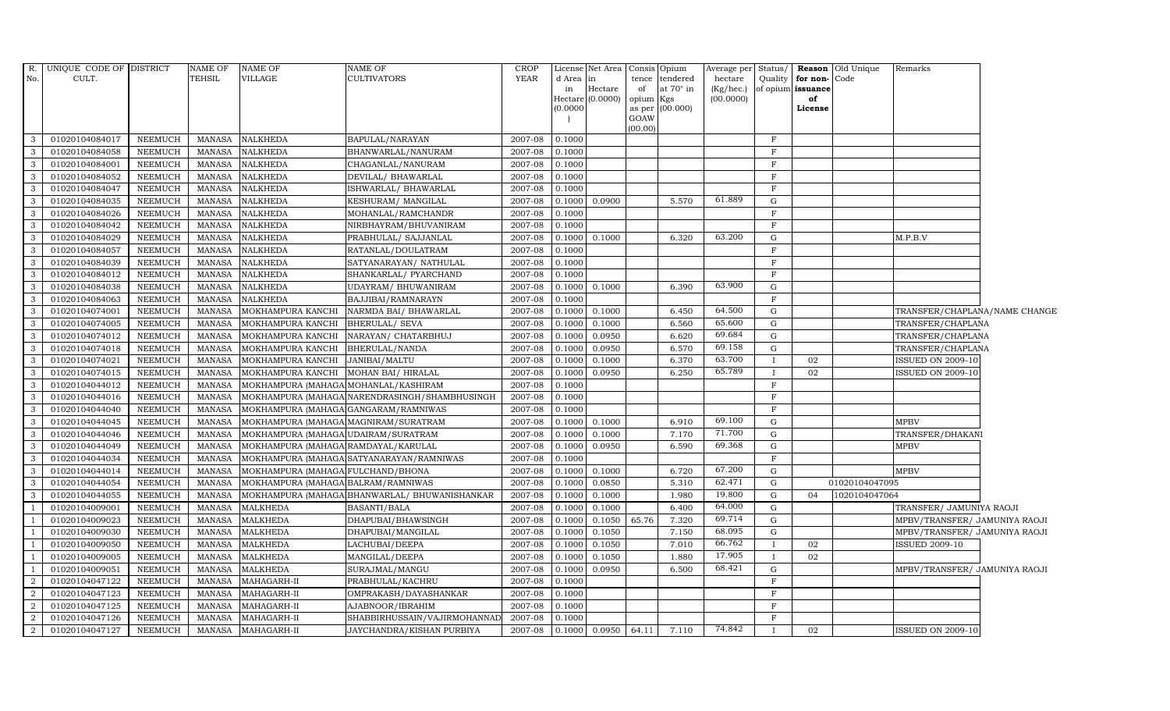| $R_{\cdot}$    | UNIQUE CODE OF DISTRICT |                | <b>NAME OF</b> | <b>NAME OF</b>                       | NAME OF                                       | CROP        |              | License Net Area   Consis   Opium |                 |                                    | Average per          | Status/      |                                   | Reason Old Unique | Remarks                       |  |
|----------------|-------------------------|----------------|----------------|--------------------------------------|-----------------------------------------------|-------------|--------------|-----------------------------------|-----------------|------------------------------------|----------------------|--------------|-----------------------------------|-------------------|-------------------------------|--|
| No.            | CULT.                   |                | TEHSIL         | <b>VILLAGE</b>                       | CULTIVATORS                                   | <b>YEAR</b> | d Area<br>in | in<br>Hectare                     | of              | tence tendered<br>at $70^\circ$ in | hectare<br>(Kg/hec.) | Quality      | for non-Code<br>of opium issuance |                   |                               |  |
|                |                         |                |                |                                      |                                               |             |              | Hectare (0.0000)                  | opium Kgs       |                                    | (00.0000)            |              | of                                |                   |                               |  |
|                |                         |                |                |                                      |                                               |             | (0.0000)     |                                   |                 | as per (00.000)                    |                      |              | License                           |                   |                               |  |
|                |                         |                |                |                                      |                                               |             |              |                                   | GOAW<br>(00.00) |                                    |                      |              |                                   |                   |                               |  |
| 3              | 01020104084017          | NEEMUCH        | MANASA         | <b>NALKHEDA</b>                      | BAPULAL/NARAYAN                               | 2007-08     | 0.1000       |                                   |                 |                                    |                      | F            |                                   |                   |                               |  |
| 3              | 01020104084058          | <b>NEEMUCH</b> | <b>MANASA</b>  | <b>NALKHEDA</b>                      | BHANWARLAL/NANURAM                            | 2007-08     | 0.1000       |                                   |                 |                                    |                      | $\mathbf F$  |                                   |                   |                               |  |
| 3              | 01020104084001          | <b>NEEMUCH</b> | <b>MANASA</b>  | <b>NALKHEDA</b>                      | CHAGANLAL/NANURAM                             | 2007-08     | 0.1000       |                                   |                 |                                    |                      | $_{\rm F}$   |                                   |                   |                               |  |
| 3              | 01020104084052          | <b>NEEMUCH</b> | <b>MANASA</b>  | <b>NALKHEDA</b>                      | DEVILAL/ BHAWARLAL                            | 2007-08     | 0.1000       |                                   |                 |                                    |                      | $\mathbf{F}$ |                                   |                   |                               |  |
| 3              | 01020104084047          | <b>NEEMUCH</b> | <b>MANASA</b>  | <b>NALKHEDA</b>                      | ISHWARLAL/BHAWARLAL                           | 2007-08     | 0.1000       |                                   |                 |                                    |                      | $\mathbf F$  |                                   |                   |                               |  |
| $\mathbf{3}$   | 01020104084035          | <b>NEEMUCH</b> | <b>MANASA</b>  | <b>NALKHEDA</b>                      | KESHURAM/MANGILAL                             | 2007-08     |              | 0.1000 0.0900                     |                 | 5.570                              | 61.889               | G            |                                   |                   |                               |  |
| 3              | 01020104084026          | <b>NEEMUCH</b> | <b>MANASA</b>  | <b>NALKHEDA</b>                      | MOHANLAL/RAMCHANDR                            | 2007-08     | 0.1000       |                                   |                 |                                    |                      | $\mathbf F$  |                                   |                   |                               |  |
| 3              | 01020104084042          | <b>NEEMUCH</b> | <b>MANASA</b>  | <b>NALKHEDA</b>                      | NIRBHAYRAM/BHUVANIRAM                         | 2007-08     | 0.1000       |                                   |                 |                                    |                      | $\rm F$      |                                   |                   |                               |  |
| 3              | 01020104084029          | <b>NEEMUCH</b> | <b>MANASA</b>  | <b>NALKHEDA</b>                      | PRABHULAL/ SAJJANLAL                          | 2007-08     |              | 0.1000 0.1000                     |                 | 6.320                              | 63.200               | G            |                                   |                   | M.P.B.V                       |  |
| 3              | 01020104084057          | <b>NEEMUCH</b> | <b>MANASA</b>  | <b>NALKHEDA</b>                      | RATANLAL/DOULATRAM                            | 2007-08     | 0.1000       |                                   |                 |                                    |                      | $\mathbf{F}$ |                                   |                   |                               |  |
| $\mathbf{3}$   | 01020104084039          | <b>NEEMUCH</b> | <b>MANASA</b>  | <b>NALKHEDA</b>                      | SATYANARAYAN/ NATHULAL                        | 2007-08     | 0.1000       |                                   |                 |                                    |                      | $_{\rm F}$   |                                   |                   |                               |  |
| 3              | 01020104084012          | <b>NEEMUCH</b> | <b>MANASA</b>  | <b>NALKHEDA</b>                      | SHANKARLAL/ PYARCHAND                         | 2007-08     | 0.1000       |                                   |                 |                                    |                      | F            |                                   |                   |                               |  |
| 3              | 01020104084038          | <b>NEEMUCH</b> | <b>MANASA</b>  | <b>NALKHEDA</b>                      | UDAYRAM/ BHUWANIRAM                           | 2007-08     |              | 0.1000 0.1000                     |                 | 6.390                              | 63.900               | G            |                                   |                   |                               |  |
| 3              | 01020104084063          | <b>NEEMUCH</b> | <b>MANASA</b>  | <b>NALKHEDA</b>                      | BAJJIBAI/RAMNARAYN                            | 2007-08     | 0.1000       |                                   |                 |                                    |                      | F            |                                   |                   |                               |  |
| $\mathbf{3}$   | 01020104074001          | <b>NEEMUCH</b> | <b>MANASA</b>  | MOKHAMPURA KANCHI                    | NARMDA BAI/ BHAWARLAL                         | 2007-08     | 0.1000       | 0.1000                            |                 | 6.450                              | 64.500               | ${\rm G}$    |                                   |                   | TRANSFER/CHAPLANA/NAME CHANGE |  |
| $\mathbf{3}$   | 01020104074005          | <b>NEEMUCH</b> | <b>MANASA</b>  | MOKHAMPURA KANCHI                    | <b>BHERULAL/ SEVA</b>                         | 2007-08     | 0.1000       | 0.1000                            |                 | 6.560                              | 65.600               | G            |                                   |                   | TRANSFER/CHAPLANA             |  |
| $\mathbf{3}$   | 01020104074012          | <b>NEEMUCH</b> | <b>MANASA</b>  | MOKHAMPURA KANCHI                    | NARAYAN / CHATARBHUJ                          | 2007-08     | 0.1000       | 0.0950                            |                 | 6.620                              | 69.684               | G            |                                   |                   | TRANSFER/CHAPLANA             |  |
| 3              | 01020104074018          | <b>NEEMUCH</b> | <b>MANASA</b>  | MOKHAMPURA KANCHI                    | BHERULAL/NANDA                                | 2007-08     | 0.1000       | 0.0950                            |                 | 6.570                              | 69.158               | G            |                                   |                   | TRANSFER/CHAPLANA             |  |
| 3              | 01020104074021          | <b>NEEMUCH</b> | <b>MANASA</b>  | MOKHAMPURA KANCHI                    | JANIBAI/MALTU                                 | 2007-08     | 0.1000       | 0.1000                            |                 | 6.370                              | 63.700               | $\mathbf{I}$ | 02                                |                   | ISSUED ON 2009-10             |  |
| 3              | 01020104074015          | <b>NEEMUCH</b> | <b>MANASA</b>  | MOKHAMPURA KANCHI                    | MOHAN BAI/ HIRALAL                            | 2007-08     | 0.1000       | 0.0950                            |                 | 6.250                              | 65.789               | $\mathbf{I}$ | 02                                |                   | <b>ISSUED ON 2009-10</b>      |  |
| $\mathbf{3}$   | 01020104044012          | <b>NEEMUCH</b> | <b>MANASA</b>  | MOKHAMPURA (MAHAGA MOHANLAL/KASHIRAM |                                               | 2007-08     | 0.1000       |                                   |                 |                                    |                      | $\mathbf F$  |                                   |                   |                               |  |
| $\mathbf{3}$   | 01020104044016          | <b>NEEMUCH</b> | <b>MANASA</b>  |                                      | MOKHAMPURA (MAHAGA NARENDRASINGH/SHAMBHUSINGH | 2007-08     | 0.1000       |                                   |                 |                                    |                      | F            |                                   |                   |                               |  |
| 3              | 01020104044040          | <b>NEEMUCH</b> | <b>MANASA</b>  | MOKHAMPURA (MAHAGA GANGARAM/RAMNIWAS |                                               | 2007-08     | 0.1000       |                                   |                 |                                    |                      | $_{\rm F}$   |                                   |                   |                               |  |
| 3              | 01020104044045          | <b>NEEMUCH</b> | <b>MANASA</b>  | MOKHAMPURA (MAHAGA MAGNIRAM/SURATRAM |                                               | 2007-08     |              | 0.1000 0.1000                     |                 | 6.910                              | 69.100               | G            |                                   |                   | <b>MPBV</b>                   |  |
| 3              | 01020104044046          | <b>NEEMUCH</b> | <b>MANASA</b>  | MOKHAMPURA (MAHAGA UDAIRAM/SURATRAM  |                                               | 2007-08     | 0.1000       | 0.1000                            |                 | 7.170                              | 71.700               | ${\rm G}$    |                                   |                   | TRANSFER/DHAKAN!              |  |
| $\mathbf{3}$   | 01020104044049          | <b>NEEMUCH</b> | <b>MANASA</b>  | MOKHAMPURA (MAHAGA RAMDAYAL/KARULAL  |                                               | 2007-08     | 0.1000       | 0.0950                            |                 | 6.590                              | 69.368               | G            |                                   |                   | <b>MPBV</b>                   |  |
| 3              | 01020104044034          | <b>NEEMUCH</b> | <b>MANASA</b>  |                                      | MOKHAMPURA (MAHAGA SATYANARAYAN/RAMNIWAS      | 2007-08     | 0.1000       |                                   |                 |                                    |                      | $\mathbf F$  |                                   |                   |                               |  |
| $\mathbf{3}$   | 01020104044014          | <b>NEEMUCH</b> | <b>MANASA</b>  | MOKHAMPURA (MAHAGA FULCHAND/BHONA    |                                               | 2007-08     | 0.1000       | 0.1000                            |                 | 6.720                              | 67.200               | G            |                                   |                   | <b>MPBV</b>                   |  |
| 3              | 01020104044054          | <b>NEEMUCH</b> | <b>MANASA</b>  | MOKHAMPURA (MAHAGA BALRAM/RAMNIWAS   |                                               | 2007-08     | 0.1000       | 0.0850                            |                 | 5.310                              | 62.471               | ${\rm G}$    |                                   | 01020104047095    |                               |  |
| 3              | 01020104044055          | <b>NEEMUCH</b> | <b>MANASA</b>  |                                      | MOKHAMPURA (MAHAGA BHANWARLAL/ BHUWANISHANKAR | 2007-08     | 0.1000       | 0.1000                            |                 | 1.980                              | 19.800               | ${\rm G}$    | 04                                | 1020104047064     |                               |  |
| $\overline{1}$ | 01020104009001          | <b>NEEMUCH</b> | <b>MANASA</b>  | <b>MALKHEDA</b>                      | BASANTI/BALA                                  | 2007-08     | 0.1000       | 0.1000                            |                 | 6.400                              | 64.000               | G            |                                   |                   | TRANSFER/ JAMUNIYA RAOJI      |  |
| $\overline{1}$ | 01020104009023          | <b>NEEMUCH</b> | <b>MANASA</b>  | <b>MALKHEDA</b>                      | DHAPUBAI/BHAWSINGH                            | 2007-08     | 0.1000       | 0.1050                            | 65.76           | 7.320                              | 69.714               | ${\rm G}$    |                                   |                   | MPBV/TRANSFER/ JAMUNIYA RAOJI |  |
| $\overline{1}$ | 01020104009030          | <b>NEEMUCH</b> | <b>MANASA</b>  | <b>MALKHEDA</b>                      | DHAPUBAI/MANGILAL                             | 2007-08     | 0.1000       | 0.1050                            |                 | 7.150                              | 68.095               | G            |                                   |                   | MPBV/TRANSFER/ JAMUNIYA RAOJI |  |
| $\overline{1}$ | 01020104009050          | <b>NEEMUCH</b> | <b>MANASA</b>  | <b>MALKHEDA</b>                      | LACHUBAI/DEEPA                                | 2007-08     | 0.1000       | 0.1050                            |                 | 7.010                              | 66.762               | $\mathbf{I}$ | 02                                |                   | <b>ISSUED 2009-10</b>         |  |
|                | 01020104009005          | <b>NEEMUCH</b> | <b>MANASA</b>  | <b>MALKHEDA</b>                      | MANGILAL/DEEPA                                | 2007-08     | 0.1000       | 0.1050                            |                 | 1.880                              | 17.905               | $\mathbf{I}$ | 02                                |                   |                               |  |
|                | 01020104009051          | <b>NEEMUCH</b> | <b>MANASA</b>  | <b>MALKHEDA</b>                      | SURAJMAL/MANGU                                | 2007-08     | 0.1000       | 0.0950                            |                 | 6.500                              | 68.421               | ${\rm G}$    |                                   |                   | MPBV/TRANSFER/ JAMUNIYA RAOJI |  |
| 2              | 01020104047122          | <b>NEEMUCH</b> | <b>MANASA</b>  | MAHAGARH-II                          | PRABHULAL/KACHRU                              | 2007-08     | 0.1000       |                                   |                 |                                    |                      | $_{\rm F}$   |                                   |                   |                               |  |
| 2              | 01020104047123          | <b>NEEMUCH</b> | <b>MANASA</b>  | MAHAGARH-II                          | OMPRAKASH/DAYASHANKAR                         | 2007-08     | 0.1000       |                                   |                 |                                    |                      | $\mathbf F$  |                                   |                   |                               |  |
| 2              | 01020104047125          | <b>NEEMUCH</b> | <b>MANASA</b>  | MAHAGARH-II                          | AJABNOOR/IBRAHIM                              | 2007-08     | 0.1000       |                                   |                 |                                    |                      | F            |                                   |                   |                               |  |
| $\overline{2}$ | 01020104047126          | <b>NEEMUCH</b> | <b>MANASA</b>  | MAHAGARH-II                          | SHABBIRHUSSAIN/VAJIRMOHANNAI                  | 2007-08     | 0.1000       |                                   |                 |                                    |                      | F            |                                   |                   |                               |  |
| $\overline{2}$ | 01020104047127          | <b>NEEMUCH</b> | MANASA         | MAHAGARH-II                          | JAYCHANDRA/KISHAN PURBIYA                     | 2007-08     |              | $0.1000$ 0.0950                   | 64.11           | 7.110                              | 74.842               |              | 02                                |                   | ISSUED ON 2009-10             |  |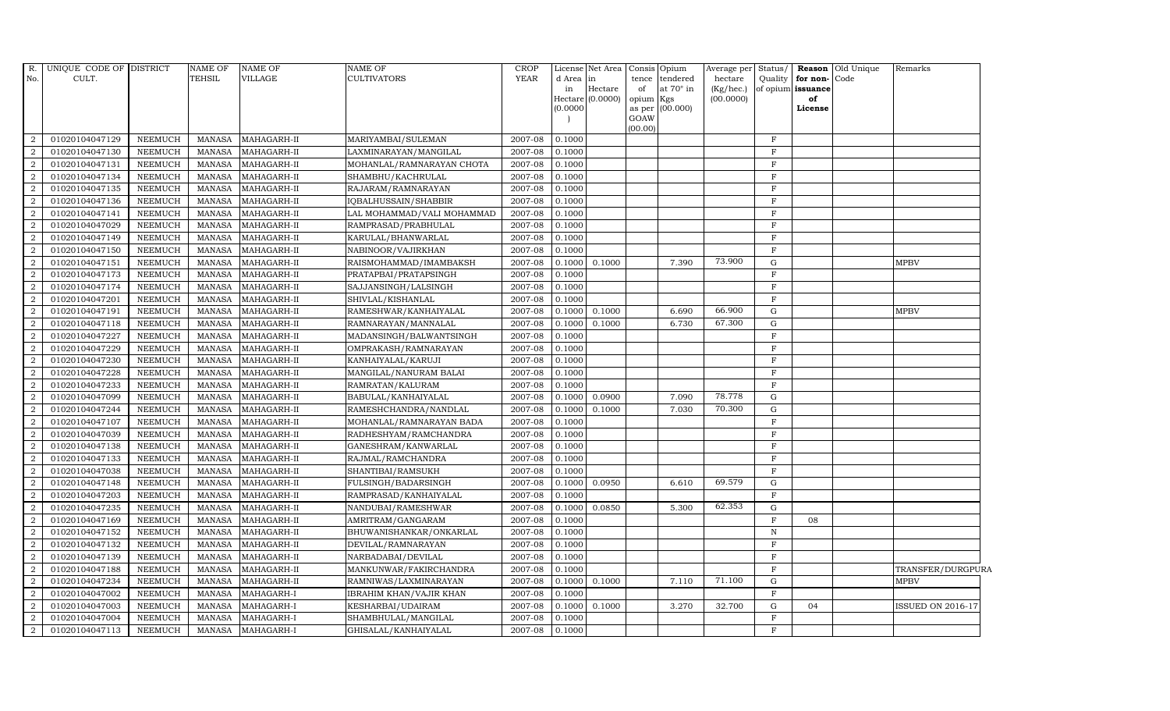| R.             | UNIQUE CODE OF DISTRICT |                | NAME OF       | <b>NAME OF</b> | <b>NAME OF</b>                 | <b>CROP</b> |           | License Net Area Consis Opium |           |                 | Average per Status/ |              |                   | <b>Reason</b> Old Unique | Remarks                  |
|----------------|-------------------------|----------------|---------------|----------------|--------------------------------|-------------|-----------|-------------------------------|-----------|-----------------|---------------------|--------------|-------------------|--------------------------|--------------------------|
| No.            | CULT.                   |                | <b>TEHSIL</b> | VILLAGE        | <b>CULTIVATORS</b>             | <b>YEAR</b> | d Area in |                               |           | tence tendered  | hectare             | Quality      | for non-Code      |                          |                          |
|                |                         |                |               |                |                                |             | in        | Hectare                       | of        | at 70° in       | (Kg/hec.)           |              | of opium issuance |                          |                          |
|                |                         |                |               |                |                                |             | (0.0000)  | Hectare (0.0000)              | opium Kgs | as per (00.000) | (00.0000)           |              | of<br>License     |                          |                          |
|                |                         |                |               |                |                                |             |           |                               | GOAW      |                 |                     |              |                   |                          |                          |
|                |                         |                |               |                |                                |             |           |                               | (00.00)   |                 |                     |              |                   |                          |                          |
| 2              | 01020104047129          | NEEMUCH        | MANASA        | MAHAGARH-II    | MARIYAMBAI/SULEMAN             | 2007-08     | 0.1000    |                               |           |                 |                     | $\mathbf{F}$ |                   |                          |                          |
| $\overline{2}$ | 01020104047130          | NEEMUCH        | <b>MANASA</b> | MAHAGARH-II    | LAXMINARAYAN/MANGILAL          | 2007-08     | 0.1000    |                               |           |                 |                     | $\mathbf{F}$ |                   |                          |                          |
| $\overline{2}$ | 01020104047131          | <b>NEEMUCH</b> | MANASA        | MAHAGARH-II    | MOHANLAL/RAMNARAYAN CHOTA      | 2007-08     | 0.1000    |                               |           |                 |                     | $\mathbf F$  |                   |                          |                          |
| $\overline{2}$ | 01020104047134          | <b>NEEMUCH</b> | <b>MANASA</b> | MAHAGARH-II    | SHAMBHU/KACHRULAL              | 2007-08     | 0.1000    |                               |           |                 |                     | $\mathbf F$  |                   |                          |                          |
| $\overline{2}$ | 01020104047135          | <b>NEEMUCH</b> | <b>MANASA</b> | MAHAGARH-II    | RAJARAM / RAMNARAYAN           | 2007-08     | 0.1000    |                               |           |                 |                     | $\mathbf F$  |                   |                          |                          |
| $\overline{2}$ | 01020104047136          | NEEMUCH        | <b>MANASA</b> | MAHAGARH-II    | IQBALHUSSAIN/SHABBIR           | 2007-08     | 0.1000    |                               |           |                 |                     | $\mathbf{F}$ |                   |                          |                          |
| 2              | 01020104047141          | <b>NEEMUCH</b> | <b>MANASA</b> | MAHAGARH-II    | LAL MOHAMMAD/VALI MOHAMMAD     | 2007-08     | 0.1000    |                               |           |                 |                     | F            |                   |                          |                          |
| $\overline{2}$ | 01020104047029          | <b>NEEMUCH</b> | <b>MANASA</b> | MAHAGARH-II    | RAMPRASAD/PRABHULAL            | 2007-08     | 0.1000    |                               |           |                 |                     | $\mathbf{F}$ |                   |                          |                          |
| $\overline{2}$ | 01020104047149          | <b>NEEMUCH</b> | <b>MANASA</b> | MAHAGARH-II    | KARULAL/BHANWARLAL             | 2007-08     | 0.1000    |                               |           |                 |                     | $\mathbf F$  |                   |                          |                          |
| $\overline{2}$ | 01020104047150          | <b>NEEMUCH</b> | <b>MANASA</b> | MAHAGARH-II    | NABINOOR/VAJIRKHAN             | 2007-08     | 0.1000    |                               |           |                 |                     | $\mathbf F$  |                   |                          |                          |
| $\overline{2}$ | 01020104047151          | <b>NEEMUCH</b> | <b>MANASA</b> | MAHAGARH-II    | RAISMOHAMMAD/IMAMBAKSH         | 2007-08     | 0.1000    | 0.1000                        |           | 7.390           | 73.900              | G            |                   |                          | <b>MPBV</b>              |
| $\overline{2}$ | 01020104047173          | <b>NEEMUCH</b> | <b>MANASA</b> | MAHAGARH-II    | PRATAPBAI/PRATAPSINGH          | 2007-08     | 0.1000    |                               |           |                 |                     | $\mathbf F$  |                   |                          |                          |
| 2              | 01020104047174          | <b>NEEMUCH</b> | <b>MANASA</b> | MAHAGARH-II    | SAJJANSINGH/LALSINGH           | 2007-08     | 0.1000    |                               |           |                 |                     | $\mathbf F$  |                   |                          |                          |
| $\overline{2}$ | 01020104047201          | <b>NEEMUCH</b> | <b>MANASA</b> | MAHAGARH-II    | SHIVLAL/KISHANLAL              | 2007-08     | 0.1000    |                               |           |                 |                     | $\mathbf F$  |                   |                          |                          |
| 2              | 01020104047191          | <b>NEEMUCH</b> | <b>MANASA</b> | MAHAGARH-II    | RAMESHWAR/KANHAIYALAL          | 2007-08     | 0.1000    | 0.1000                        |           | 6.690           | 66.900              | $\mathbf G$  |                   |                          | <b>MPBV</b>              |
| $\overline{2}$ | 01020104047118          | <b>NEEMUCH</b> | <b>MANASA</b> | MAHAGARH-II    | RAMNARAYAN/MANNALAL            | 2007-08     | 0.1000    | 0.1000                        |           | 6.730           | 67.300              | G            |                   |                          |                          |
| 2              | 01020104047227          | <b>NEEMUCH</b> | <b>MANASA</b> | MAHAGARH-II    | MADANSINGH/BALWANTSINGH        | 2007-08     | 0.1000    |                               |           |                 |                     | $\mathbf{F}$ |                   |                          |                          |
| $\overline{2}$ | 01020104047229          | <b>NEEMUCH</b> | <b>MANASA</b> | MAHAGARH-II    | OMPRAKASH/RAMNARAYAN           | 2007-08     | 0.1000    |                               |           |                 |                     | $\mathbf F$  |                   |                          |                          |
| $\overline{2}$ | 01020104047230          | <b>NEEMUCH</b> | <b>MANASA</b> | MAHAGARH-II    | KANHAIYALAL/KARUJI             | 2007-08     | 0.1000    |                               |           |                 |                     | $\mathbf F$  |                   |                          |                          |
| $\mathcal{D}$  | 01020104047228          | <b>NEEMUCH</b> | <b>MANASA</b> | MAHAGARH-II    | MANGILAL/NANURAM BALAI         | 2007-08     | 0.1000    |                               |           |                 |                     | $\mathbf{F}$ |                   |                          |                          |
| $\overline{2}$ | 01020104047233          | <b>NEEMUCH</b> | <b>MANASA</b> | MAHAGARH-II    | RAMRATAN/KALURAM               | 2007-08     | 0.1000    |                               |           |                 |                     | $\mathbf F$  |                   |                          |                          |
| $\overline{2}$ | 01020104047099          | <b>NEEMUCH</b> | <b>MANASA</b> | MAHAGARH-II    | BABULAL/KANHAIYALAL            | 2007-08     | 0.1000    | 0.0900                        |           | 7.090           | 78.778              | G            |                   |                          |                          |
| 2              | 01020104047244          | <b>NEEMUCH</b> | <b>MANASA</b> | MAHAGARH-II    | RAMESHCHANDRA/NANDLAL          | 2007-08     | 0.1000    | 0.1000                        |           | 7.030           | 70.300              | G            |                   |                          |                          |
| 2              | 01020104047107          | <b>NEEMUCH</b> | <b>MANASA</b> | MAHAGARH-II    | MOHANLAL/RAMNARAYAN BADA       | 2007-08     | 0.1000    |                               |           |                 |                     | $\mathbf F$  |                   |                          |                          |
| $\mathcal{D}$  | 01020104047039          | <b>NEEMUCH</b> | <b>MANASA</b> | MAHAGARH-II    | RADHESHYAM/RAMCHANDRA          | 2007-08     | 0.1000    |                               |           |                 |                     | $\mathbf{F}$ |                   |                          |                          |
| $\overline{2}$ | 01020104047138          | <b>NEEMUCH</b> | <b>MANASA</b> | MAHAGARH-II    | GANESHRAM/KANWARLAL            | 2007-08     | 0.1000    |                               |           |                 |                     | $\mathbf F$  |                   |                          |                          |
| $\overline{2}$ | 01020104047133          | <b>NEEMUCH</b> | <b>MANASA</b> | MAHAGARH-II    | RAJMAL/RAMCHANDRA              | 2007-08     | 0.1000    |                               |           |                 |                     | $\mathbf{F}$ |                   |                          |                          |
| 2              | 01020104047038          | <b>NEEMUCH</b> | <b>MANASA</b> | MAHAGARH-II    | SHANTIBAI/RAMSUKH              | 2007-08     | 0.1000    |                               |           |                 |                     | $\mathbf{F}$ |                   |                          |                          |
| 2              | 01020104047148          | <b>NEEMUCH</b> | <b>MANASA</b> | MAHAGARH-II    | FULSINGH/BADARSINGH            | 2007-08     | 0.1000    | 0.0950                        |           | 6.610           | 69.579              | ${\rm G}$    |                   |                          |                          |
| $\overline{2}$ | 01020104047203          | <b>NEEMUCH</b> | <b>MANASA</b> | MAHAGARH-II    | RAMPRASAD/KANHAIYALAL          | 2007-08     | 0.1000    |                               |           |                 |                     | $\mathbf F$  |                   |                          |                          |
| $\overline{2}$ | 01020104047235          | <b>NEEMUCH</b> | <b>MANASA</b> | MAHAGARH-II    | NANDUBAI/RAMESHWAR             | 2007-08     | 0.1000    | 0.0850                        |           | 5.300           | 62.353              | G            |                   |                          |                          |
| $\overline{2}$ | 01020104047169          | <b>NEEMUCH</b> | <b>MANASA</b> | MAHAGARH-II    | AMRITRAM/GANGARAM              | 2007-08     | 0.1000    |                               |           |                 |                     | $\mathbf F$  | 08                |                          |                          |
| 2              | 01020104047152          | <b>NEEMUCH</b> | <b>MANASA</b> | MAHAGARH-II    | BHUWANISHANKAR/ONKARLAL        | 2007-08     | 0.1000    |                               |           |                 |                     | $\mathbf N$  |                   |                          |                          |
| 2              | 01020104047132          | <b>NEEMUCH</b> | <b>MANASA</b> | MAHAGARH-II    | DEVILAL/RAMNARAYAN             | 2007-08     | 0.1000    |                               |           |                 |                     | $\mathbf F$  |                   |                          |                          |
| 2              | 01020104047139          | <b>NEEMUCH</b> | <b>MANASA</b> | MAHAGARH-II    | NARBADABAI/DEVILAL             | 2007-08     | 0.1000    |                               |           |                 |                     | $\mathbf F$  |                   |                          |                          |
| 2              | 01020104047188          | <b>NEEMUCH</b> | <b>MANASA</b> | MAHAGARH-II    | MANKUNWAR/FAKIRCHANDRA         | 2007-08     | 0.1000    |                               |           |                 |                     | F            |                   |                          | TRANSFER/DURGPURA        |
| $\overline{2}$ | 01020104047234          | <b>NEEMUCH</b> | <b>MANASA</b> | MAHAGARH-II    | RAMNIWAS/LAXMINARAYAN          | 2007-08     | 0.1000    | 0.1000                        |           | 7.110           | 71.100              | G            |                   |                          | <b>MPBV</b>              |
| $\overline{a}$ | 01020104047002          | <b>NEEMUCH</b> | <b>MANASA</b> | MAHAGARH-I     | <b>IBRAHIM KHAN/VAJIR KHAN</b> | 2007-08     | 0.1000    |                               |           |                 |                     | $\mathbf F$  |                   |                          |                          |
| $\overline{2}$ | 01020104047003          | <b>NEEMUCH</b> | <b>MANASA</b> | MAHAGARH-I     | KESHARBAI/UDAIRAM              | 2007-08     | 0.1000    | 0.1000                        |           | 3.270           | 32.700              | ${\rm G}$    | 04                |                          | <b>ISSUED ON 2016-17</b> |
| 2              | 01020104047004          | <b>NEEMUCH</b> | <b>MANASA</b> | MAHAGARH-I     | SHAMBHULAL/MANGILAL            | 2007-08     | 0.1000    |                               |           |                 |                     | $\mathbf F$  |                   |                          |                          |
| $\overline{2}$ | 01020104047113          | <b>NEEMUCH</b> | <b>MANASA</b> | MAHAGARH-I     | GHISALAL/KANHAIYALAL           | 2007-08     | 0.1000    |                               |           |                 |                     | $\mathbf F$  |                   |                          |                          |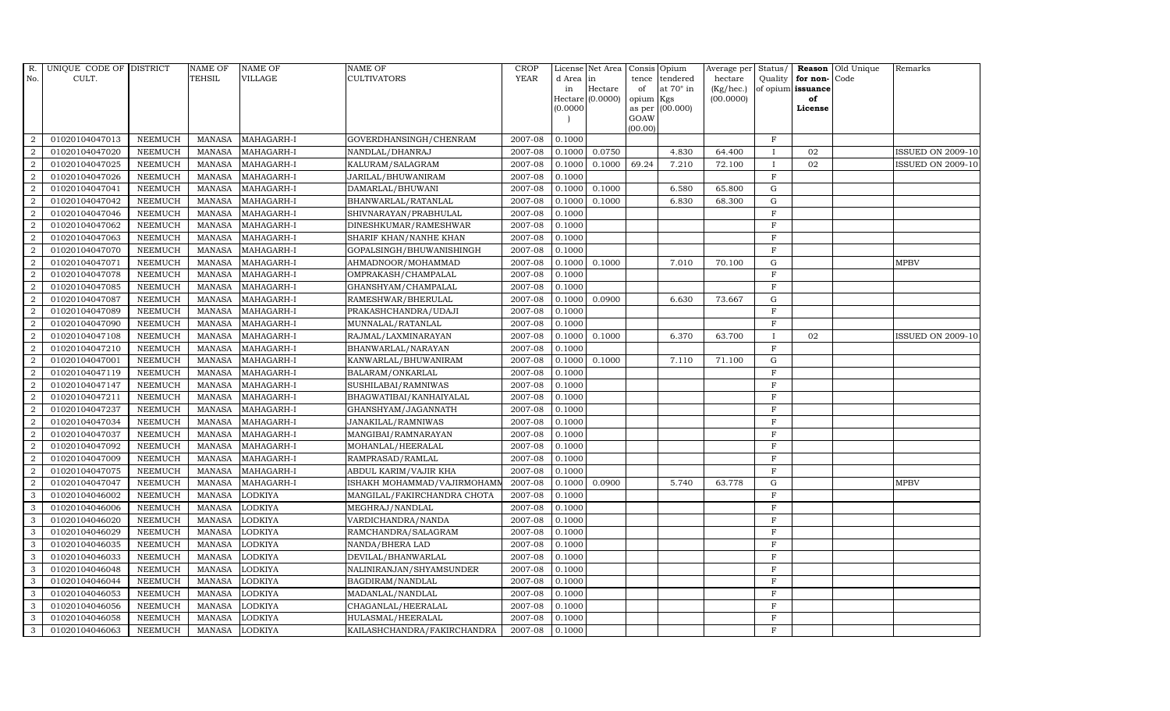| R.               | UNIQUE CODE OF DISTRICT |                | <b>NAME OF</b> | <b>NAME OF</b> | <b>NAME OF</b>              | CROP                |           | License Net Area Consis Opium |           |                  | Average per | Status/      | Reason            | Old Unique | Remarks                  |
|------------------|-------------------------|----------------|----------------|----------------|-----------------------------|---------------------|-----------|-------------------------------|-----------|------------------|-------------|--------------|-------------------|------------|--------------------------|
| No.              | CULT.                   |                | <b>TEHSIL</b>  | <b>VILLAGE</b> | <b>CULTIVATORS</b>          | <b>YEAR</b>         | d Area in |                               |           | tence tendered   | hectare     | Quality      | for non-          | Code       |                          |
|                  |                         |                |                |                |                             |                     | in        | Hectare                       | of        | at $70^\circ$ in | (Kg/hec.)   |              | of opium issuance |            |                          |
|                  |                         |                |                |                |                             |                     |           | Hectare (0.0000)              | opium Kgs |                  | (00.0000)   |              | of                |            |                          |
|                  |                         |                |                |                |                             |                     | (0.0000)  |                               | GOAW      | as per (00.000)  |             |              | License           |            |                          |
|                  |                         |                |                |                |                             |                     |           |                               | (00.00)   |                  |             |              |                   |            |                          |
| $\overline{2}$   | 01020104047013          | <b>NEEMUCH</b> | MANASA         | MAHAGARH-I     | GOVERDHANSINGH/CHENRAM      | 2007-08             | 0.1000    |                               |           |                  |             | $\mathbf F$  |                   |            |                          |
| $\overline{2}$   | 01020104047020          | <b>NEEMUCH</b> | MANASA         | MAHAGARH-I     | NANDLAL/DHANRAJ             | 2007-08             | 0.1000    | 0.0750                        |           | 4.830            | 64.400      | $\mathbf{I}$ | 02                |            | <b>ISSUED ON 2009-10</b> |
| 2                | 01020104047025          | <b>NEEMUCH</b> | <b>MANASA</b>  | MAHAGARH-I     | KALURAM/SALAGRAM            | 2007-08             | 0.1000    | 0.1000                        | 69.24     | 7.210            | 72.100      | $\mathbf{I}$ | 02                |            | <b>ISSUED ON 2009-10</b> |
| $\overline{2}$   | 01020104047026          | <b>NEEMUCH</b> | <b>MANASA</b>  | MAHAGARH-I     | JARILAL/BHUWANIRAM          | 2007-08             | 0.1000    |                               |           |                  |             | $\mathbf F$  |                   |            |                          |
| $\overline{a}$   | 01020104047041          | <b>NEEMUCH</b> | <b>MANASA</b>  | MAHAGARH-I     | DAMARLAL/BHUWANI            | 2007-08             | 0.1000    | 0.1000                        |           | 6.580            | 65.800      | ${\rm G}$    |                   |            |                          |
| $\overline{2}$   | 01020104047042          | <b>NEEMUCH</b> | <b>MANASA</b>  | MAHAGARH-I     | BHANWARLAL/RATANLAL         | 2007-08             | 0.1000    | 0.1000                        |           | 6.830            | 68.300      | $\mathbf G$  |                   |            |                          |
| $\overline{2}$   | 01020104047046          | <b>NEEMUCH</b> | <b>MANASA</b>  | MAHAGARH-I     | SHIVNARAYAN/PRABHULAL       | 2007-08             | 0.1000    |                               |           |                  |             | $\mathbf F$  |                   |            |                          |
| $\overline{2}$   | 01020104047062          | <b>NEEMUCH</b> | <b>MANASA</b>  | MAHAGARH-I     | DINESHKUMAR/RAMESHWAR       | 2007-08             | 0.1000    |                               |           |                  |             | $\mathbf F$  |                   |            |                          |
| $\overline{2}$   | 01020104047063          | <b>NEEMUCH</b> | <b>MANASA</b>  | MAHAGARH-I     | SHARIF KHAN/NANHE KHAN      | 2007-08             | 0.1000    |                               |           |                  |             | $\mathbf F$  |                   |            |                          |
| $\overline{2}$   | 01020104047070          | <b>NEEMUCH</b> | <b>MANASA</b>  | MAHAGARH-I     | GOPALSINGH/BHUWANISHINGH    | 2007-08             | 0.1000    |                               |           |                  |             | $\mathbf F$  |                   |            |                          |
| $\overline{a}$   | 01020104047071          | <b>NEEMUCH</b> | <b>MANASA</b>  | MAHAGARH-I     | AHMADNOOR/MOHAMMAD          | 2007-08             |           | $0.1000 \quad 0.1000$         |           | 7.010            | 70.100      | ${\rm G}$    |                   |            | <b>MPBV</b>              |
| $\overline{2}$   | 01020104047078          | <b>NEEMUCH</b> | <b>MANASA</b>  | MAHAGARH-I     | OMPRAKASH/CHAMPALAL         | 2007-08             | 0.1000    |                               |           |                  |             | $\rm F$      |                   |            |                          |
| 2                | 01020104047085          | <b>NEEMUCH</b> | <b>MANASA</b>  | MAHAGARH-I     | GHANSHYAM/CHAMPALAL         | 2007-08             | 0.1000    |                               |           |                  |             | $\rm F$      |                   |            |                          |
| $\overline{2}$   | 01020104047087          | <b>NEEMUCH</b> | <b>MANASA</b>  | MAHAGARH-I     | RAMESHWAR/BHERULAL          | 2007-08             | 0.1000    | 0.0900                        |           | 6.630            | 73.667      | G            |                   |            |                          |
| $\overline{2}$   | 01020104047089          | <b>NEEMUCH</b> | <b>MANASA</b>  | MAHAGARH-I     | PRAKASHCHANDRA/UDAJI        | 2007-08             | 0.1000    |                               |           |                  |             | $_{\rm F}$   |                   |            |                          |
| $\overline{a}$   | 01020104047090          | <b>NEEMUCH</b> | <b>MANASA</b>  | MAHAGARH-I     | MUNNALAL/RATANLAL           | 2007-08             | 0.1000    |                               |           |                  |             | $\rm F$      |                   |            |                          |
| 2                | 01020104047108          | <b>NEEMUCH</b> | <b>MANASA</b>  | MAHAGARH-I     | RAJMAL/LAXMINARAYAN         | 2007-08             | 0.1000    | 0.1000                        |           | 6.370            | 63.700      | $\mathbf{I}$ | 02                |            | <b>ISSUED ON 2009-10</b> |
| 2                | 01020104047210          | <b>NEEMUCH</b> | MANASA         | MAHAGARH-I     | BHANWARLAL/NARAYAN          | 2007-08             | 0.1000    |                               |           |                  |             | $\mathbf F$  |                   |            |                          |
| $\overline{2}$   | 01020104047001          | <b>NEEMUCH</b> | <b>MANASA</b>  | MAHAGARH-I     | KANWARLAL/BHUWANIRAM        | 2007-08             | 0.1000    | 0.1000                        |           | 7.110            | 71.100      | $\mathbf G$  |                   |            |                          |
| $\overline{2}$   | 01020104047119          | <b>NEEMUCH</b> | <b>MANASA</b>  | MAHAGARH-I     | BALARAM/ONKARLAL            | 2007-08             | 0.1000    |                               |           |                  |             | $\mathbf F$  |                   |            |                          |
| $\overline{2}$   | 01020104047147          | <b>NEEMUCH</b> | <b>MANASA</b>  | MAHAGARH-I     | SUSHILABAI/RAMNIWAS         | 2007-08             | 0.1000    |                               |           |                  |             | $\mathbf F$  |                   |            |                          |
| $\overline{a}$   | 01020104047211          | <b>NEEMUCH</b> | <b>MANASA</b>  | MAHAGARH-I     | BHAGWATIBAI/KANHAIYALAL     | 2007-08             | 0.1000    |                               |           |                  |             | $\mathbf F$  |                   |            |                          |
| $\overline{2}$   | 01020104047237          | <b>NEEMUCH</b> | MANASA         | MAHAGARH-I     | GHANSHYAM/JAGANNATH         | 2007-08             | 0.1000    |                               |           |                  |             | $_{\rm F}$   |                   |            |                          |
| $\overline{2}$   | 01020104047034          | <b>NEEMUCH</b> | <b>MANASA</b>  | MAHAGARH-I     | JANAKILAL/RAMNIWAS          | 2007-08             | 0.1000    |                               |           |                  |             | $\mathbf F$  |                   |            |                          |
| $\boldsymbol{2}$ | 01020104047037          | NEEMUCH        | <b>MANASA</b>  | MAHAGARH-I     | MANGIBAI/RAMNARAYAN         | 2007-08             | 0.1000    |                               |           |                  |             | $\mathbf F$  |                   |            |                          |
| $\overline{2}$   | 01020104047092          | <b>NEEMUCH</b> | <b>MANASA</b>  | MAHAGARH-I     | MOHANLAL/HEERALAL           | 2007-08             | 0.1000    |                               |           |                  |             | $_{\rm F}$   |                   |            |                          |
| $\overline{a}$   | 01020104047009          | <b>NEEMUCH</b> | <b>MANASA</b>  | MAHAGARH-I     | RAMPRASAD/RAMLAL            | $\frac{1}{2007-08}$ | 0.1000    |                               |           |                  |             | $\mathbf F$  |                   |            |                          |
| 2                | 01020104047075          | <b>NEEMUCH</b> | <b>MANASA</b>  | MAHAGARH-I     | ABDUL KARIM/VAJIR KHA       | 2007-08             | 0.1000    |                               |           |                  |             | $\mathbf F$  |                   |            |                          |
| 2                | 01020104047047          | <b>NEEMUCH</b> | <b>MANASA</b>  | MAHAGARH-I     | ISHAKH MOHAMMAD/VAJIRMOHAMI | 2007-08             | 0.1000    | 0.0900                        |           | 5.740            | 63.778      | $\mathbf G$  |                   |            | <b>MPBV</b>              |
| 3                | 01020104046002          | <b>NEEMUCH</b> | <b>MANASA</b>  | <b>LODKIYA</b> | MANGILAL/FAKIRCHANDRA CHOTA | 2007-08             | 0.1000    |                               |           |                  |             | $\mathbf F$  |                   |            |                          |
| 3                | 01020104046006          | <b>NEEMUCH</b> | <b>MANASA</b>  | <b>LODKIYA</b> | MEGHRAJ/NANDLAL             | 2007-08             | 0.1000    |                               |           |                  |             | $\rm F$      |                   |            |                          |
| 3                | 01020104046020          | <b>NEEMUCH</b> | <b>MANASA</b>  | <b>LODKIYA</b> | VARDICHANDRA/NANDA          | 2007-08             | 0.1000    |                               |           |                  |             | $\rm F$      |                   |            |                          |
| 3                | 01020104046029          | <b>NEEMUCH</b> | MANASA         | <b>LODKIYA</b> | RAMCHANDRA/SALAGRAM         | 2007-08             | 0.1000    |                               |           |                  |             | F            |                   |            |                          |
| 3                | 01020104046035          | <b>NEEMUCH</b> | <b>MANASA</b>  | <b>LODKIYA</b> | NANDA/BHERA LAD             | 2007-08             | 0.1000    |                               |           |                  |             | $\mathbf F$  |                   |            |                          |
| 3                | 01020104046033          | <b>NEEMUCH</b> | <b>MANASA</b>  | <b>LODKIYA</b> | DEVILAL/BHANWARLAL          | 2007-08             | 0.1000    |                               |           |                  |             | $\mathbf F$  |                   |            |                          |
| 3                | 01020104046048          | <b>NEEMUCH</b> | <b>MANASA</b>  | <b>LODKIYA</b> | NALINIRANJAN/SHYAMSUNDER    | 2007-08             | 0.1000    |                               |           |                  |             | $\mathbf F$  |                   |            |                          |
| 3                | 01020104046044          | <b>NEEMUCH</b> | <b>MANASA</b>  | <b>LODKIYA</b> | BAGDIRAM/NANDLAL            | 2007-08             | 0.1000    |                               |           |                  |             | $\mathbf F$  |                   |            |                          |
| 3                | 01020104046053          | <b>NEEMUCH</b> | <b>MANASA</b>  | <b>LODKIYA</b> | MADANLAL/NANDLAL            | 2007-08             | 0.1000    |                               |           |                  |             | $\mathbf F$  |                   |            |                          |
| 3                | 01020104046056          | <b>NEEMUCH</b> | <b>MANASA</b>  | <b>LODKIYA</b> | CHAGANLAL/HEERALAL          | 2007-08             | 0.1000    |                               |           |                  |             | $\mathbf F$  |                   |            |                          |
| 3                | 01020104046058          | <b>NEEMUCH</b> | <b>MANASA</b>  | <b>LODKIYA</b> | HULASMAL/HEERALAL           | 2007-08             | 0.1000    |                               |           |                  |             | $\mathbf F$  |                   |            |                          |
| 3                | 01020104046063          | <b>NEEMUCH</b> |                | MANASA LODKIYA | KAILASHCHANDRA/FAKIRCHANDRA | 2007-08             | 0.1000    |                               |           |                  |             | F            |                   |            |                          |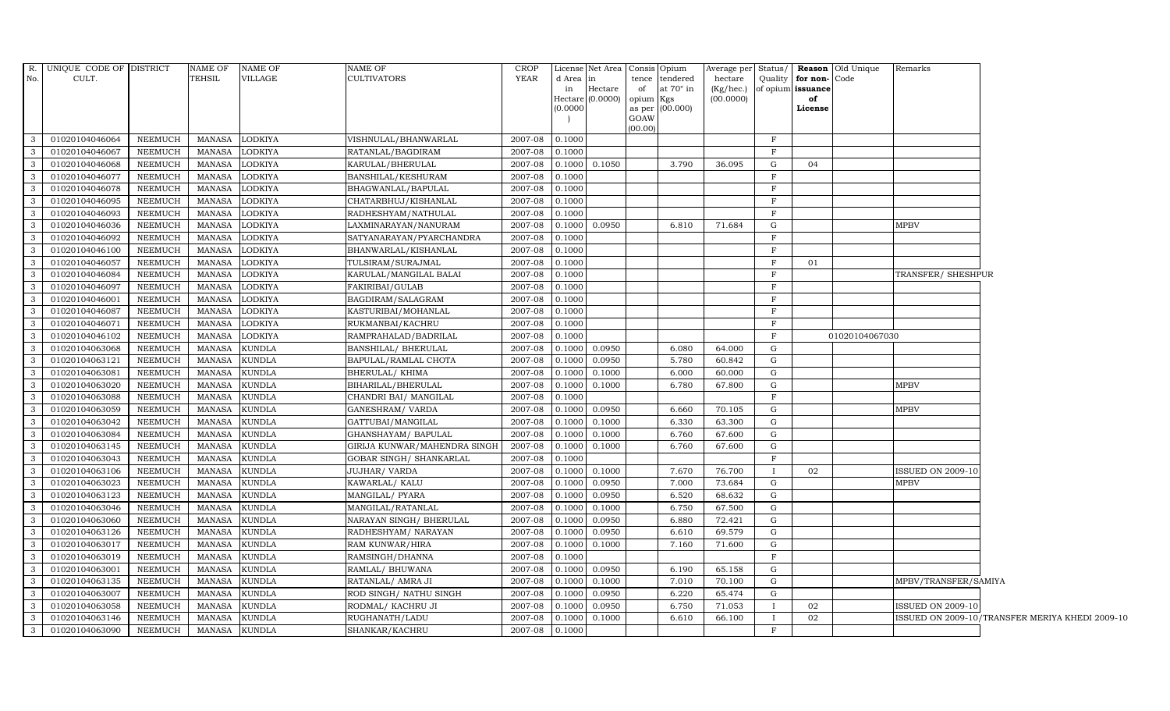| No.          | R. UNIQUE CODE OF DISTRICT<br>CULT. |                | NAME OF<br>TEHSIL | NAME OF<br>VILLAGE | <b>NAME OF</b><br><b>CULTIVATORS</b> | <b>CROP</b><br>YEAR | d Area<br>in | in<br>Hectare | License Net Area Consis Opium<br>tendered<br>tence<br>at $70^\circ$ in<br>of<br>Hectare $(0.0000)$ opium Kgs | hectare<br>$(Kg/$ hec. $)$<br>(00.0000) |              | Quality for non-Code<br>of opium issuance<br>of | Average per Status/ <b>Reason</b> Old Unique | Remarks                  |                                                 |
|--------------|-------------------------------------|----------------|-------------------|--------------------|--------------------------------------|---------------------|--------------|---------------|--------------------------------------------------------------------------------------------------------------|-----------------------------------------|--------------|-------------------------------------------------|----------------------------------------------|--------------------------|-------------------------------------------------|
|              |                                     |                |                   |                    |                                      |                     | (0.0000)     |               | as per (00.000)<br>GOAW<br>(00.00)                                                                           |                                         |              | License                                         |                                              |                          |                                                 |
| $\mathbf{3}$ | 01020104046064                      | <b>NEEMUCH</b> | MANASA            | <b>LODKIYA</b>     | VISHNULAL/BHANWARLAL                 | 2007-08             | 0.1000       |               |                                                                                                              |                                         | $_{\rm F}$   |                                                 |                                              |                          |                                                 |
| -3           | 01020104046067                      | <b>NEEMUCH</b> | <b>MANASA</b>     | <b>LODKIYA</b>     | RATANLAL/BAGDIRAM                    | 2007-08             | 0.1000       |               |                                                                                                              |                                         | F            |                                                 |                                              |                          |                                                 |
| $\mathbf{3}$ | 01020104046068                      | <b>NEEMUCH</b> | <b>MANASA</b>     | <b>LODKIYA</b>     | KARULAL/BHERULAL                     | 2007-08             | 0.1000       | 0.1050        | 3.790                                                                                                        | 36.095                                  | G            | 04                                              |                                              |                          |                                                 |
| 3            | 01020104046077                      | <b>NEEMUCH</b> | MANASA            | <b>LODKIYA</b>     | <b>BANSHILAL/KESHURAM</b>            | 2007-08             | 0.1000       |               |                                                                                                              |                                         | $\mathbf{F}$ |                                                 |                                              |                          |                                                 |
| $\mathbf{3}$ | 01020104046078                      | <b>NEEMUCH</b> | <b>MANASA</b>     | <b>LODKIYA</b>     | BHAGWANLAL/BAPULAL                   | 2007-08             | 0.1000       |               |                                                                                                              |                                         | $\mathbf{F}$ |                                                 |                                              |                          |                                                 |
| $\mathbf{3}$ | 01020104046095                      | <b>NEEMUCH</b> | MANASA            | <b>LODKIYA</b>     | CHATARBHUJ/KISHANLAL                 | 2007-08             | 0.1000       |               |                                                                                                              |                                         | $\mathbf{F}$ |                                                 |                                              |                          |                                                 |
| $\mathbf{3}$ | 01020104046093                      | <b>NEEMUCH</b> | <b>MANASA</b>     | <b>LODKIYA</b>     | RADHESHYAM/NATHULAL                  | 2007-08             | 0.1000       |               |                                                                                                              |                                         | F            |                                                 |                                              |                          |                                                 |
| 3            | 01020104046036                      | <b>NEEMUCH</b> | <b>MANASA</b>     | <b>LODKIYA</b>     | LAXMINARAYAN/NANURAM                 | 2007-08             | 0.1000       | 0.0950        | 6.810                                                                                                        | 71.684                                  | G            |                                                 |                                              | <b>MPBV</b>              |                                                 |
| 3            | 01020104046092                      | <b>NEEMUCH</b> | <b>MANASA</b>     | <b>LODKIYA</b>     | SATYANARAYAN/PYARCHANDRA             | 2007-08             | 0.1000       |               |                                                                                                              |                                         | $\mathbf F$  |                                                 |                                              |                          |                                                 |
| $\mathbf{3}$ | 01020104046100                      | <b>NEEMUCH</b> | <b>MANASA</b>     | <b>LODKIYA</b>     | BHANWARLAL/KISHANLAL                 | 2007-08             | 0.1000       |               |                                                                                                              |                                         | $_{\rm F}$   |                                                 |                                              |                          |                                                 |
| 3            | 01020104046057                      | NEEMUCH        | MANASA            | <b>LODKIYA</b>     | TULSIRAM/SURAJMAL                    | 2007-08             | 0.1000       |               |                                                                                                              |                                         | F            | 01                                              |                                              |                          |                                                 |
| 3            | 01020104046084                      | <b>NEEMUCH</b> | MANASA            | <b>LODKIYA</b>     | KARULAL/MANGILAL BALAI               | 2007-08             | 0.1000       |               |                                                                                                              |                                         | F            |                                                 |                                              | TRANSFER/ SHESHPUR       |                                                 |
| 3            | 01020104046097                      | <b>NEEMUCH</b> | <b>MANASA</b>     | <b>LODKIYA</b>     | <b>FAKIRIBAI/GULAB</b>               | 2007-08             | 0.1000       |               |                                                                                                              |                                         | $\mathbf{F}$ |                                                 |                                              |                          |                                                 |
| $\mathbf{3}$ | 01020104046001                      | <b>NEEMUCH</b> | <b>MANASA</b>     | <b>LODKIYA</b>     | BAGDIRAM/SALAGRAM                    | 2007-08             | 0.1000       |               |                                                                                                              |                                         | F            |                                                 |                                              |                          |                                                 |
| 3            | 01020104046087                      | <b>NEEMUCH</b> | <b>MANASA</b>     | <b>LODKIYA</b>     | KASTURIBAI/MOHANLAL                  | 2007-08             | 0.1000       |               |                                                                                                              |                                         | $\mathbf{F}$ |                                                 |                                              |                          |                                                 |
| $\mathbf{3}$ | 01020104046071                      | <b>NEEMUCH</b> | <b>MANASA</b>     | <b>LODKIYA</b>     | RUKMANBAI/KACHRU                     | 2007-08             | 0.1000       |               |                                                                                                              |                                         | $\mathbf{F}$ |                                                 |                                              |                          |                                                 |
| $\mathbf{3}$ | 01020104046102                      | <b>NEEMUCH</b> | <b>MANASA</b>     | LODKIYA            | RAMPRAHALAD/BADRILAL                 | 2007-08             | 0.1000       |               |                                                                                                              |                                         | $\mathbf{F}$ |                                                 | 01020104067030                               |                          |                                                 |
| $\mathbf{3}$ | 01020104063068                      | <b>NEEMUCH</b> | <b>MANASA</b>     | <b>KUNDLA</b>      | <b>BANSHILAL/ BHERULAL</b>           | 2007-08             | 0.1000       | 0.0950        | 6.080                                                                                                        | 64.000                                  | G            |                                                 |                                              |                          |                                                 |
| 3            | 01020104063121                      | <b>NEEMUCH</b> | <b>MANASA</b>     | <b>KUNDLA</b>      | BAPULAL/RAMLAL CHOTA                 | 2007-08             | 0.1000       | 0.0950        | 5.780                                                                                                        | 60.842                                  | G            |                                                 |                                              |                          |                                                 |
| $\mathbf{3}$ | 01020104063081                      | <b>NEEMUCH</b> | MANASA            | <b>KUNDLA</b>      | <b>BHERULAL/ KHIMA</b>               | 2007-08             | 0.1000       | 0.1000        | 6.000                                                                                                        | 60.000                                  | G            |                                                 |                                              |                          |                                                 |
| $\mathbf{3}$ | 01020104063020                      | <b>NEEMUCH</b> | <b>MANASA</b>     | <b>KUNDLA</b>      | BIHARILAL/BHERULAL                   | 2007-08             | 0.1000       | 0.1000        | 6.780                                                                                                        | 67.800                                  | G            |                                                 |                                              | <b>MPBV</b>              |                                                 |
| $\mathbf{3}$ | 01020104063088                      | <b>NEEMUCH</b> | <b>MANASA</b>     | <b>KUNDLA</b>      | CHANDRI BAI / MANGILAL               | 2007-08             | 0.1000       |               |                                                                                                              |                                         | F            |                                                 |                                              |                          |                                                 |
| 3            | 01020104063059                      | <b>NEEMUCH</b> | <b>MANASA</b>     | <b>KUNDLA</b>      | GANESHRAM/ VARDA                     | 2007-08             | 0.1000       | 0.0950        | 6.660                                                                                                        | 70.105                                  | G            |                                                 |                                              | <b>MPBV</b>              |                                                 |
| 3            | 01020104063042                      | <b>NEEMUCH</b> | <b>MANASA</b>     | <b>KUNDLA</b>      | GATTUBAI/MANGILAL                    | 2007-08             | 0.1000       | 0.1000        | 6.330                                                                                                        | 63.300                                  | G            |                                                 |                                              |                          |                                                 |
| 3            | 01020104063084                      | <b>NEEMUCH</b> | <b>MANASA</b>     | <b>KUNDLA</b>      | GHANSHAYAM / BAPULAL                 | 2007-08             | 0.1000       | 0.1000        | 6.760                                                                                                        | 67.600                                  | G            |                                                 |                                              |                          |                                                 |
| 3            | 01020104063145                      | <b>NEEMUCH</b> | <b>MANASA</b>     | <b>KUNDLA</b>      | GIRIJA KUNWAR/MAHENDRA SINGH         | 2007-08             | 0.1000       | 0.1000        | 6.760                                                                                                        | 67.600                                  | G            |                                                 |                                              |                          |                                                 |
| 3            | 01020104063043                      | <b>NEEMUCH</b> | <b>MANASA</b>     | <b>KUNDLA</b>      | GOBAR SINGH / SHANKARLAL             | $2007 - 08$         | 0.1000       |               |                                                                                                              |                                         | $\mathbf{F}$ |                                                 |                                              |                          |                                                 |
| $\mathbf{3}$ | 01020104063106                      | <b>NEEMUCH</b> | <b>MANASA</b>     | <b>KUNDLA</b>      | <b>JUJHAR/ VARDA</b>                 | 2007-08             | 0.1000       | 0.1000        | 7.670                                                                                                        | 76.700                                  |              | 02                                              |                                              | <b>ISSUED ON 2009-10</b> |                                                 |
| $\mathbf{3}$ | 01020104063023                      | <b>NEEMUCH</b> | <b>MANASA</b>     | <b>KUNDLA</b>      | KAWARLAL/KALU                        | 2007-08             | 0.1000       | 0.0950        | 7.000                                                                                                        | 73.684                                  | G            |                                                 |                                              | <b>MPBV</b>              |                                                 |
| -3           | 01020104063123                      | <b>NEEMUCH</b> | <b>MANASA</b>     | <b>KUNDLA</b>      | MANGILAL/ PYARA                      | 2007-08             | 0.1000       | 0.0950        | 6.520                                                                                                        | 68.632                                  | G            |                                                 |                                              |                          |                                                 |
| $\mathbf{3}$ | 01020104063046                      | <b>NEEMUCH</b> | <b>MANASA</b>     | <b>KUNDLA</b>      | MANGILAL/RATANLAL                    | 2007-08             | 0.1000       | 0.1000        | 6.750                                                                                                        | 67.500                                  | G            |                                                 |                                              |                          |                                                 |
| 3            | 01020104063060                      | <b>NEEMUCH</b> | <b>MANASA</b>     | <b>KUNDLA</b>      | NARAYAN SINGH/ BHERULAL              | 2007-08             | 0.1000       | 0.0950        | 6.880                                                                                                        | 72.421                                  | G            |                                                 |                                              |                          |                                                 |
| $\mathbf{3}$ | 01020104063126                      | <b>NEEMUCH</b> | <b>MANASA</b>     | <b>KUNDLA</b>      | RADHESHYAM/ NARAYAN                  | 2007-08             | 0.1000       | 0.0950        | 6.610                                                                                                        | 69.579                                  | G            |                                                 |                                              |                          |                                                 |
| 3            | 01020104063017                      | <b>NEEMUCH</b> | <b>MANASA</b>     | <b>KUNDLA</b>      | RAM KUNWAR/HIRA                      | 2007-08             | 0.1000       | 0.1000        | 7.160                                                                                                        | 71.600                                  | G            |                                                 |                                              |                          |                                                 |
| $\mathbf{3}$ | 01020104063019                      | <b>NEEMUCH</b> | <b>MANASA</b>     | <b>KUNDLA</b>      | RAMSINGH/DHANNA                      | 2007-08             | 0.1000       |               |                                                                                                              |                                         | $\mathbf F$  |                                                 |                                              |                          |                                                 |
| $\mathbf{3}$ | 01020104063001                      | <b>NEEMUCH</b> | <b>MANASA</b>     | <b>KUNDLA</b>      | RAMLAL/ BHUWANA                      | 2007-08             | 0.1000       | 0.0950        | 6.190                                                                                                        | 65.158                                  | G            |                                                 |                                              |                          |                                                 |
| $\mathbf{3}$ | 01020104063135                      | <b>NEEMUCH</b> | <b>MANASA</b>     | <b>KUNDLA</b>      | RATANLAL/ AMRA JI                    | 2007-08             | 0.1000       | 0.1000        | 7.010                                                                                                        | 70.100                                  | G            |                                                 |                                              | MPBV/TRANSFER/SAMIYA     |                                                 |
| 3            | 01020104063007                      | <b>NEEMUCH</b> | <b>MANASA</b>     | <b>KUNDLA</b>      | ROD SINGH/ NATHU SINGH               | 2007-08             | 0.1000       | 0.0950        | 6.220                                                                                                        | 65.474                                  | G            |                                                 |                                              |                          |                                                 |
| $\mathbf{3}$ | 01020104063058                      | <b>NEEMUCH</b> | <b>MANASA</b>     | <b>KUNDLA</b>      | RODMAL/ KACHRU JI                    | 2007-08             | 0.1000       | 0.0950        | 6.750                                                                                                        | 71.053                                  |              | 02                                              |                                              | <b>ISSUED ON 2009-10</b> |                                                 |
| $\mathbf{3}$ | 01020104063146                      | <b>NEEMUCH</b> | <b>MANASA</b>     | <b>KUNDLA</b>      | RUGHANATH/LADU                       | 2007-08             | 0.1000       | 0.1000        | 6.610                                                                                                        | 66.100                                  |              | 02                                              |                                              |                          | ISSUED ON 2009-10/TRANSFER MERIYA KHEDI 2009-10 |
| 3            | 01020104063090                      | <b>NEEMUCH</b> | MANASA            | <b>KUNDLA</b>      | SHANKAR/KACHRU                       | 2007-08             | 0.1000       |               |                                                                                                              |                                         | $\mathbf{F}$ |                                                 |                                              |                          |                                                 |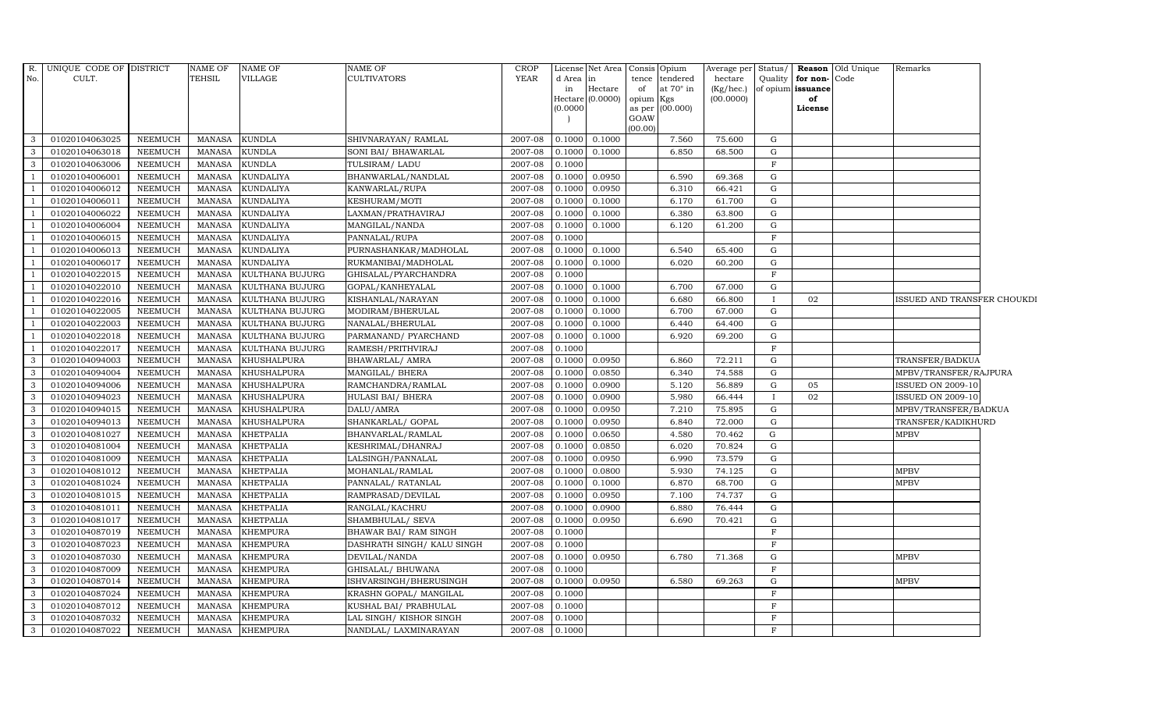| No.            | R. UNIQUE CODE OF DISTRICT<br>CULT. |                | NAME OF<br>TEHSIL | <b>NAME OF</b><br>VILLAGE | <b>NAME OF</b><br><b>CULTIVATORS</b> | <b>CROP</b><br><b>YEAR</b> | d Area in | License Net Area |                 | Consis Opium<br>tence tendered | Average per Status/<br>hectare | Quality      | for non-Code      | <b>Reason</b> Old Unique | Remarks                     |  |
|----------------|-------------------------------------|----------------|-------------------|---------------------------|--------------------------------------|----------------------------|-----------|------------------|-----------------|--------------------------------|--------------------------------|--------------|-------------------|--------------------------|-----------------------------|--|
|                |                                     |                |                   |                           |                                      |                            | in        | Hectare          | of              | at $70^\circ$ in               | (Kg/hec.)                      |              | of opium issuance |                          |                             |  |
|                |                                     |                |                   |                           |                                      |                            |           | Hectare (0.0000) | opium Kgs       |                                | (00.0000)                      |              | of                |                          |                             |  |
|                |                                     |                |                   |                           |                                      |                            | (0.0000)  |                  |                 | as per $(00.000)$              |                                |              | License           |                          |                             |  |
|                |                                     |                |                   |                           |                                      |                            |           |                  | GOAW<br>(00.00) |                                |                                |              |                   |                          |                             |  |
| 3              | 01020104063025                      | NEEMUCH        | MANASA            | <b>KUNDLA</b>             | SHIVNARAYAN / RAMLAL                 | 2007-08                    | 0.1000    | 0.1000           |                 | 7.560                          | 75.600                         | G            |                   |                          |                             |  |
| -3             | 01020104063018                      | NEEMUCH        | <b>MANASA</b>     | <b>KUNDLA</b>             | SONI BAI/ BHAWARLAL                  | 2007-08                    | 0.1000    | 0.1000           |                 | 6.850                          | 68.500                         | G            |                   |                          |                             |  |
| $\mathbf{3}$   | 01020104063006                      | NEEMUCH        | <b>MANASA</b>     | <b>KUNDLA</b>             | TULSIRAM/ LADU                       | 2007-08                    | 0.1000    |                  |                 |                                |                                | $\mathbf{F}$ |                   |                          |                             |  |
|                | 01020104006001                      | NEEMUCH        | <b>MANASA</b>     | <b>KUNDALIYA</b>          | BHANWARLAL/NANDLAL                   | 2007-08                    | 0.1000    | 0.0950           |                 | 6.590                          | 69.368                         | G            |                   |                          |                             |  |
| $\overline{1}$ | 01020104006012                      | <b>NEEMUCH</b> | <b>MANASA</b>     | <b>KUNDALIYA</b>          | KANWARLAL/RUPA                       | 2007-08                    | 0.1000    | 0.0950           |                 | 6.310                          | 66.421                         | G            |                   |                          |                             |  |
| <sup>1</sup>   | 01020104006011                      | <b>NEEMUCH</b> | <b>MANASA</b>     | KUNDALIYA                 | KESHURAM/MOTI                        | 2007-08                    | 0.1000    | 0.1000           |                 | 6.170                          | 61.700                         | G            |                   |                          |                             |  |
| -1             | 01020104006022                      | NEEMUCH        | <b>MANASA</b>     | <b>KUNDALIYA</b>          | LAXMAN/PRATHAVIRAJ                   | 2007-08                    | 0.1000    | 0.1000           |                 | 6.380                          | 63.800                         | G            |                   |                          |                             |  |
| $\overline{1}$ | 01020104006004                      | NEEMUCH        | <b>MANASA</b>     | <b>KUNDALIYA</b>          | MANGILAL/NANDA                       | 2007-08                    | 0.1000    | 0.1000           |                 | 6.120                          | 61.200                         | G            |                   |                          |                             |  |
| $\overline{1}$ | 01020104006015                      | <b>NEEMUCH</b> | <b>MANASA</b>     | <b>KUNDALIYA</b>          | PANNALAL/RUPA                        | 2007-08                    | 0.1000    |                  |                 |                                |                                | $\mathbf{F}$ |                   |                          |                             |  |
|                | 01020104006013                      | <b>NEEMUCH</b> | <b>MANASA</b>     | KUNDALIYA                 | PURNASHANKAR/MADHOLAL                | 2007-08                    | 0.1000    | 0.1000           |                 | 6.540                          | 65.400                         | $\mathbf G$  |                   |                          |                             |  |
| <sup>1</sup>   | 01020104006017                      | NEEMUCH        | <b>MANASA</b>     | <b>KUNDALIYA</b>          | RUKMANIBAI/MADHOLAL                  | 2007-08                    | 0.1000    | 0.1000           |                 | 6.020                          | 60.200                         | G            |                   |                          |                             |  |
| $\overline{1}$ | 01020104022015                      | <b>NEEMUCH</b> | <b>MANASA</b>     | KULTHANA BUJURG           | GHISALAL/PYARCHANDRA                 | 2007-08                    | 0.1000    |                  |                 |                                |                                | F            |                   |                          |                             |  |
| $\overline{1}$ | 01020104022010                      | NEEMUCH        | <b>MANASA</b>     | KULTHANA BUJURG           | GOPAL/KANHEYALAL                     | 2007-08                    | 0.1000    | 0.1000           |                 | 6.700                          | 67.000                         | G            |                   |                          |                             |  |
| $\overline{1}$ | 01020104022016                      | NEEMUCH        | <b>MANASA</b>     | KULTHANA BUJURG           | KISHANLAL/NARAYAN                    | 2007-08                    | 0.1000    | 0.1000           |                 | 6.680                          | 66.800                         | $\mathbf{I}$ | 02                |                          | ISSUED AND TRANSFER CHOUKDI |  |
|                | 01020104022005                      | <b>NEEMUCH</b> | <b>MANASA</b>     | KULTHANA BUJURG           | MODIRAM/BHERULAL                     | 2007-08                    | 0.1000    | 0.1000           |                 | 6.700                          | 67.000                         | G            |                   |                          |                             |  |
| $\overline{1}$ | 01020104022003                      | <b>NEEMUCH</b> | <b>MANASA</b>     | KULTHANA BUJURG           | NANALAL/BHERULAL                     | 2007-08                    | 0.1000    | 0.1000           |                 | 6.440                          | 64.400                         | G            |                   |                          |                             |  |
| $\overline{1}$ | 01020104022018                      | NEEMUCH        | <b>MANASA</b>     | KULTHANA BUJURG           | PARMANAND/ PYARCHAND                 | 2007-08                    | 0.1000    | 0.1000           |                 | 6.920                          | 69.200                         | G            |                   |                          |                             |  |
| $\overline{1}$ | 01020104022017                      | NEEMUCH        | MANASA            | KULTHANA BUJURG           | RAMESH/PRITHVIRAJ                    | 2007-08                    | 0.1000    |                  |                 |                                |                                | F            |                   |                          |                             |  |
| $\mathbf{3}$   | 01020104094003                      | <b>NEEMUCH</b> | <b>MANASA</b>     | KHUSHALPURA               | <b>BHAWARLAL/ AMRA</b>               | 2007-08                    | 0.1000    | 0.0950           |                 | 6.860                          | 72.211                         | $\mathbf G$  |                   |                          | TRANSFER/BADKUA             |  |
| 3              | 01020104094004                      | <b>NEEMUCH</b> | <b>MANASA</b>     | KHUSHALPURA               | MANGILAL/ BHERA                      | 2007-08                    | 0.1000    | 0.0850           |                 | 6.340                          | 74.588                         | G            |                   |                          | MPBV/TRANSFER/RAJPURA       |  |
| 3              | 01020104094006                      | NEEMUCH        | <b>MANASA</b>     | KHUSHALPURA               | RAMCHANDRA/RAMLAL                    | 2007-08                    | 0.1000    | 0.0900           |                 | 5.120                          | 56.889                         | G            | 05                |                          | ISSUED ON 2009-10           |  |
| 3              | 01020104094023                      | <b>NEEMUCH</b> | <b>MANASA</b>     | <b>KHUSHALPURA</b>        | HULASI BAI/ BHERA                    | 2007-08                    | 0.1000    | 0.0900           |                 | 5.980                          | 66.444                         | $\mathbf{I}$ | 02                |                          | <b>ISSUED ON 2009-10</b>    |  |
| $\mathbf{3}$   | 01020104094015                      | <b>NEEMUCH</b> | <b>MANASA</b>     | KHUSHALPURA               | DALU/AMRA                            | 2007-08                    | 0.1000    | 0.0950           |                 | 7.210                          | 75.895                         | G            |                   |                          | MPBV/TRANSFER/BADKUA        |  |
| 3              | 01020104094013                      | NEEMUCH        | <b>MANASA</b>     | KHUSHALPURA               | SHANKARLAL/ GOPAL                    | 2007-08                    | 0.1000    | 0.0950           |                 | 6.840                          | 72.000                         | G            |                   |                          | TRANSFER/KADIKHURD          |  |
| $\mathbf{3}$   | 01020104081027                      | NEEMUCH        | <b>MANASA</b>     | <b>KHETPALIA</b>          | BHANVARLAL/RAMLAL                    | 2007-08                    | 0.1000    | 0.0650           |                 | 4.580                          | 70.462                         | G            |                   |                          | <b>MPBV</b>                 |  |
| 3              | 01020104081004                      | <b>NEEMUCH</b> | <b>MANASA</b>     | <b>KHETPALIA</b>          | KESHRIMAL/DHANRAJ                    | 2007-08                    | 0.1000    | 0.0850           |                 | 6.020                          | 70.824                         | G            |                   |                          |                             |  |
| 3              | 01020104081009                      | <b>NEEMUCH</b> | <b>MANASA</b>     | <b>KHETPALIA</b>          | LALSINGH/PANNALAL                    | 2007-08                    | 0.1000    | 0.0950           |                 | 6.990                          | 73.579                         | G            |                   |                          |                             |  |
| 3              | 01020104081012                      | <b>NEEMUCH</b> | <b>MANASA</b>     | <b>KHETPALIA</b>          | MOHANLAL/RAMLAL                      | 2007-08                    | 0.1000    | 0.0800           |                 | 5.930                          | 74.125                         | G            |                   |                          | <b>MPBV</b>                 |  |
| $\mathbf{3}$   | 01020104081024                      | <b>NEEMUCH</b> | <b>MANASA</b>     | <b>KHETPALIA</b>          | PANNALAL/ RATANLAL                   | 2007-08                    | 0.1000    | 0.1000           |                 | 6.870                          | 68.700                         | G            |                   |                          | <b>MPBV</b>                 |  |
| $\overline{3}$ | 01020104081015                      | NEEMUCH        | <b>MANASA</b>     | <b>KHETPALIA</b>          | RAMPRASAD/DEVILAL                    | 2007-08                    | 0.1000    | 0.0950           |                 | 7.100                          | 74.737                         | G            |                   |                          |                             |  |
| -3             | 01020104081011                      | <b>NEEMUCH</b> | <b>MANASA</b>     | <b>KHETPALIA</b>          | RANGLAL/KACHRU                       | 2007-08                    | 0.1000    | 0.0900           |                 | 6.880                          | 76.444                         | G            |                   |                          |                             |  |
| 3              | 01020104081017                      | <b>NEEMUCH</b> | <b>MANASA</b>     | <b>KHETPALIA</b>          | SHAMBHULAL/ SEVA                     | 2007-08                    | 0.1000    | 0.0950           |                 | 6.690                          | 70.421                         | G            |                   |                          |                             |  |
| $\mathbf{3}$   | 01020104087019                      | <b>NEEMUCH</b> | <b>MANASA</b>     | <b>KHEMPURA</b>           | BHAWAR BAI/ RAM SINGH                | 2007-08                    | 0.1000    |                  |                 |                                |                                | $\mathbf{F}$ |                   |                          |                             |  |
| $\mathbf{3}$   | 01020104087023                      | <b>NEEMUCH</b> | <b>MANASA</b>     | <b>KHEMPURA</b>           | DASHRATH SINGH/ KALU SINGH           | 2007-08                    | 0.1000    |                  |                 |                                |                                | F            |                   |                          |                             |  |
| $\overline{3}$ | 01020104087030                      | NEEMUCH        | MANASA            | <b>KHEMPURA</b>           | DEVILAL/NANDA                        | 2007-08                    | 0.1000    | 0.0950           |                 | 6.780                          | 71.368                         | G            |                   |                          | <b>MPBV</b>                 |  |
| 3              | 01020104087009                      | <b>NEEMUCH</b> | <b>MANASA</b>     | <b>KHEMPURA</b>           | GHISALAL/ BHUWANA                    | 2007-08                    | 0.1000    |                  |                 |                                |                                | $\mathbf{F}$ |                   |                          |                             |  |
| 3              | 01020104087014                      | <b>NEEMUCH</b> | <b>MANASA</b>     | KHEMPURA                  | ISHVARSINGH/BHERUSINGH               | 2007-08                    | 0.1000    | 0.0950           |                 | 6.580                          | 69.263                         | G            |                   |                          | <b>MPBV</b>                 |  |
| 3              | 01020104087024                      | NEEMUCH        | <b>MANASA</b>     | <b>KHEMPURA</b>           | KRASHN GOPAL/ MANGILAL               | 2007-08                    | 0.1000    |                  |                 |                                |                                | $\mathbf{F}$ |                   |                          |                             |  |
| $\mathbf{3}$   | 01020104087012                      | <b>NEEMUCH</b> | <b>MANASA</b>     | <b>KHEMPURA</b>           | KUSHAL BAI/ PRABHULAL                | 2007-08                    | 0.1000    |                  |                 |                                |                                | $\mathbf{F}$ |                   |                          |                             |  |
| $\mathbf{3}$   | 01020104087032                      | NEEMUCH        | <b>MANASA</b>     | <b>KHEMPURA</b>           | LAL SINGH/ KISHOR SINGH              | 2007-08                    | 0.1000    |                  |                 |                                |                                | $\mathbf F$  |                   |                          |                             |  |
| $\mathbf{3}$   | 01020104087022                      | NEEMUCH        | MANASA            | <b>KHEMPURA</b>           | NANDLAL/ LAXMINARAYAN                | 2007-08                    | 0.1000    |                  |                 |                                |                                | $\mathbf{F}$ |                   |                          |                             |  |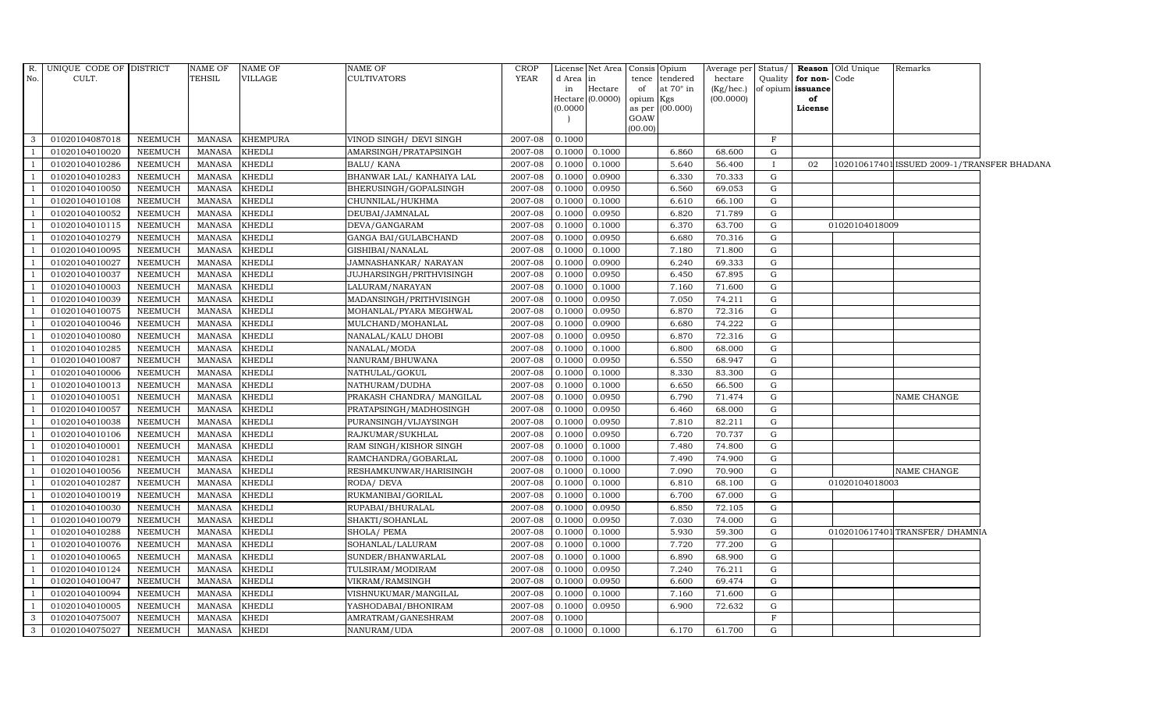| No.                     | R. UNIQUE CODE OF DISTRICT<br>CULT. |                | <b>NAME OF</b><br><b>TEHSIL</b> | <b>NAME OF</b><br>VILLAGE | <b>NAME OF</b><br><b>CULTIVATORS</b> | <b>CROP</b><br><b>YEAR</b> | d Area in<br>in | License Net Area Consis<br>Hectare<br>Hectare (0.0000) | tence<br>of<br>opium Kgs | Opium<br>tendered<br>at $70^\circ$ in | hectare<br>(Kg/hec.)<br>(00.0000) |              | Quality for non-Code<br>of opium issuance<br>of | Average per Status/ <b>Reason</b> Old Unique | Remarks                                     |  |
|-------------------------|-------------------------------------|----------------|---------------------------------|---------------------------|--------------------------------------|----------------------------|-----------------|--------------------------------------------------------|--------------------------|---------------------------------------|-----------------------------------|--------------|-------------------------------------------------|----------------------------------------------|---------------------------------------------|--|
|                         |                                     |                |                                 |                           |                                      |                            | 0.0000          |                                                        | GOAW<br>(00.00)          | as per (00.000)                       |                                   |              | License                                         |                                              |                                             |  |
| $\overline{\mathbf{3}}$ | 01020104087018                      | NEEMUCH        | <b>MANASA</b>                   | <b>KHEMPURA</b>           | VINOD SINGH/ DEVI SINGH              | 2007-08                    | 0.1000          |                                                        |                          |                                       |                                   | $\mathbf{F}$ |                                                 |                                              |                                             |  |
| $\overline{1}$          | 01020104010020                      | <b>NEEMUCH</b> | <b>MANASA</b>                   | <b>KHEDLI</b>             | AMARSINGH/PRATAPSINGH                | 2007-08                    | 0.1000          | 0.1000                                                 |                          | 6.860                                 | 68.600                            | G            |                                                 |                                              |                                             |  |
|                         | 01020104010286                      | <b>NEEMUCH</b> | <b>MANASA</b>                   | <b>KHEDLI</b>             | <b>BALU/ KANA</b>                    | 2007-08                    | 0.1000          | 0.1000                                                 |                          | 5.640                                 | 56.400                            | $\mathbf{I}$ | 02                                              |                                              | 102010617401 ISSUED 2009-1/TRANSFER BHADANA |  |
|                         | 01020104010283                      | <b>NEEMUCH</b> | <b>MANASA</b>                   | <b>KHEDLI</b>             | BHANWAR LAL/ KANHAIYA LAL            | 2007-08                    | 0.1000          | 0.0900                                                 |                          | 6.330                                 | 70.333                            | ${\rm G}$    |                                                 |                                              |                                             |  |
| $\overline{1}$          | 01020104010050                      | <b>NEEMUCH</b> | <b>MANASA</b>                   | <b>KHEDLI</b>             | BHERUSINGH/GOPALSINGH                | 2007-08                    | 0.1000          | 0.0950                                                 |                          | 6.560                                 | 69.053                            | ${\rm G}$    |                                                 |                                              |                                             |  |
| $\overline{1}$          | 01020104010108                      | <b>NEEMUCH</b> | <b>MANASA</b>                   | <b>KHEDLI</b>             | CHUNNILAL/HUKHMA                     | 2007-08                    | 0.1000          | 0.1000                                                 |                          | 6.610                                 | 66.100                            | G            |                                                 |                                              |                                             |  |
|                         | 01020104010052                      | <b>NEEMUCH</b> | <b>MANASA</b>                   | <b>KHEDLI</b>             | DEUBAI/JAMNALAL                      | 2007-08                    | 0.1000          | 0.0950                                                 |                          | 6.820                                 | 71.789                            | ${\rm G}$    |                                                 |                                              |                                             |  |
|                         | 01020104010115                      | <b>NEEMUCH</b> | <b>MANASA</b>                   | <b>KHEDLI</b>             | DEVA/GANGARAM                        | 2007-08                    | 0.1000          | 0.1000                                                 |                          | 6.370                                 | 63.700                            | G            |                                                 | 01020104018009                               |                                             |  |
|                         | 01020104010279                      | <b>NEEMUCH</b> | MANASA                          | <b>KHEDLI</b>             | GANGA BAI/GULABCHAND                 | 2007-08                    | 0.1000          | 0.0950                                                 |                          | 6.680                                 | 70.316                            | G            |                                                 |                                              |                                             |  |
| $\overline{1}$          | 01020104010095                      | <b>NEEMUCH</b> | <b>MANASA</b>                   | <b>KHEDLI</b>             | GISHIBAI/NANALAL                     | 2007-08                    | 0.1000          | 0.1000                                                 |                          | 7.180                                 | 71.800                            | ${\rm G}$    |                                                 |                                              |                                             |  |
| $\overline{1}$          | 01020104010027                      | <b>NEEMUCH</b> | <b>MANASA</b>                   | <b>KHEDLI</b>             | JAMNASHANKAR/NARAYAN                 | 2007-08                    | 0.1000          | 0.0900                                                 |                          | 6.240                                 | 69.333                            | G            |                                                 |                                              |                                             |  |
| $\overline{1}$          | 01020104010037                      | <b>NEEMUCH</b> | <b>MANASA</b>                   | <b>KHEDLI</b>             | JUJHARSINGH/PRITHVISINGH             | 2007-08                    | 0.1000          | 0.0950                                                 |                          | 6.450                                 | 67.895                            | $\mathbf G$  |                                                 |                                              |                                             |  |
| $\overline{1}$          | 01020104010003                      | <b>NEEMUCH</b> | <b>MANASA</b>                   | <b>KHEDLI</b>             | LALURAM/NARAYAN                      | 2007-08                    | 0.1000          | 0.1000                                                 |                          | 7.160                                 | 71.600                            | G            |                                                 |                                              |                                             |  |
|                         | 01020104010039                      | <b>NEEMUCH</b> | <b>MANASA</b>                   | <b>KHEDLI</b>             | MADANSINGH/PRITHVISINGH              | 2007-08                    | 0.1000          | 0.0950                                                 |                          | 7.050                                 | 74.211                            | G            |                                                 |                                              |                                             |  |
| $\overline{1}$          | 01020104010075                      | <b>NEEMUCH</b> | <b>MANASA</b>                   | <b>KHEDLI</b>             | MOHANLAL/PYARA MEGHWAL               | 2007-08                    | 0.1000          | 0.0950                                                 |                          | 6.870                                 | 72.316                            | ${\rm G}$    |                                                 |                                              |                                             |  |
| $\overline{1}$          | 01020104010046                      | <b>NEEMUCH</b> | <b>MANASA</b>                   | <b>KHEDLI</b>             | MULCHAND/MOHANLAL                    | 2007-08                    | 0.1000          | 0.0900                                                 |                          | 6.680                                 | 74.222                            | G            |                                                 |                                              |                                             |  |
| $\overline{1}$          | 01020104010080                      | <b>NEEMUCH</b> | <b>MANASA</b>                   | <b>KHEDLI</b>             | NANALAL/KALU DHOBI                   | 2007-08                    | 0.1000          | 0.0950                                                 |                          | 6.870                                 | 72.316                            | $\mathbf G$  |                                                 |                                              |                                             |  |
| $\overline{1}$          | 01020104010285                      | <b>NEEMUCH</b> | <b>MANASA</b>                   | <b>KHEDLI</b>             | NANALAL/MODA                         | 2007-08                    | 0.1000          | 0.1000                                                 |                          | 6.800                                 | 68.000                            | $\mathbf G$  |                                                 |                                              |                                             |  |
|                         | 01020104010087                      | <b>NEEMUCH</b> | <b>MANASA</b>                   | <b>KHEDLI</b>             | NANURAM/BHUWANA                      | 2007-08                    | 0.1000          | 0.0950                                                 |                          | 6.550                                 | 68.947                            | G            |                                                 |                                              |                                             |  |
|                         | 01020104010006                      | <b>NEEMUCH</b> | <b>MANASA</b>                   | <b>KHEDLI</b>             | NATHULAL/GOKUL                       | 2007-08                    | 0.1000          | 0.1000                                                 |                          | 8.330                                 | 83.300                            | $\mathbf G$  |                                                 |                                              |                                             |  |
| $\overline{1}$          | 01020104010013                      | <b>NEEMUCH</b> | <b>MANASA</b>                   | <b>KHEDLI</b>             | NATHURAM/DUDHA                       | 2007-08                    | 0.1000          | 0.1000                                                 |                          | 6.650                                 | 66.500                            | G            |                                                 |                                              |                                             |  |
|                         | 01020104010051                      | <b>NEEMUCH</b> | <b>MANASA</b>                   | <b>KHEDLI</b>             | PRAKASH CHANDRA/ MANGILAL            | 2007-08                    | 0.1000          | 0.0950                                                 |                          | 6.790                                 | 71.474                            | G            |                                                 |                                              | NAME CHANGE                                 |  |
| $\overline{1}$          | 01020104010057                      | <b>NEEMUCH</b> | <b>MANASA</b>                   | <b>KHEDLI</b>             | PRATAPSINGH/MADHOSINGH               | 2007-08                    | 0.1000          | 0.0950                                                 |                          | 6.460                                 | 68.000                            | G            |                                                 |                                              |                                             |  |
|                         | 01020104010038                      | <b>NEEMUCH</b> | <b>MANASA</b>                   | <b>KHEDLI</b>             | PURANSINGH/VIJAYSINGH                | 2007-08                    | 0.1000          | 0.0950                                                 |                          | 7.810                                 | 82.211                            | G            |                                                 |                                              |                                             |  |
|                         | 01020104010106                      | <b>NEEMUCH</b> | <b>MANASA</b>                   | <b>KHEDLI</b>             | RAJKUMAR/SUKHLAL                     | 2007-08                    | 0.1000          | 0.0950                                                 |                          | 6.720                                 | 70.737                            | ${\rm G}$    |                                                 |                                              |                                             |  |
| $\overline{1}$          | 01020104010001                      | <b>NEEMUCH</b> | <b>MANASA</b>                   | <b>KHEDLI</b>             | RAM SINGH/KISHOR SINGH               | 2007-08                    | 0.1000          | 0.1000                                                 |                          | 7.480                                 | 74.800                            | G            |                                                 |                                              |                                             |  |
| - 1                     | 01020104010281                      | <b>NEEMUCH</b> | <b>MANASA</b>                   | <b>KHEDLI</b>             | RAMCHANDRA/GOBARLAL                  | 2007-08                    | 0.1000          | 0.1000                                                 |                          | 7.490                                 | 74.900                            | G            |                                                 |                                              |                                             |  |
| $\overline{1}$          | 01020104010056                      | <b>NEEMUCH</b> | <b>MANASA</b>                   | <b>KHEDLI</b>             | RESHAMKUNWAR/HARISINGH               | 2007-08                    | 0.1000          | 0.1000                                                 |                          | 7.090                                 | 70.900                            | G            |                                                 |                                              | NAME CHANGE                                 |  |
|                         | 01020104010287                      | <b>NEEMUCH</b> | <b>MANASA</b>                   | <b>KHEDLI</b>             | RODA/ DEVA                           | 2007-08                    | 0.1000          | 0.1000                                                 |                          | 6.810                                 | 68.100                            | ${\rm G}$    |                                                 | 01020104018003                               |                                             |  |
|                         | 01020104010019                      | <b>NEEMUCH</b> | <b>MANASA</b>                   | <b>KHEDLI</b>             | RUKMANIBAI/GORILAL                   | 2007-08                    | 0.1000          | 0.1000                                                 |                          | 6.700                                 | 67.000                            | ${\rm G}$    |                                                 |                                              |                                             |  |
| - 1                     | 01020104010030                      | <b>NEEMUCH</b> | <b>MANASA</b>                   | <b>KHEDLI</b>             | RUPABAI/BHURALAL                     | 2007-08                    | 0.1000          | 0.0950                                                 |                          | 6.850                                 | 72.105                            | G            |                                                 |                                              |                                             |  |
| - 1                     | 01020104010079                      | <b>NEEMUCH</b> | <b>MANASA</b>                   | <b>KHEDLI</b>             | SHAKTI/SOHANLAL                      | 2007-08                    | 0.1000          | 0.0950                                                 |                          | 7.030                                 | 74.000                            | ${\rm G}$    |                                                 |                                              |                                             |  |
| $\overline{1}$          | 01020104010288                      | <b>NEEMUCH</b> | <b>MANASA</b>                   | <b>KHEDLI</b>             | SHOLA/ PEMA                          | $2007 - 08$                | 0.1000          | 0.1000                                                 |                          | 5.930                                 | 59.300                            | ${\rm G}$    |                                                 |                                              | 0102010617401 TRANSFER/ DHAMNIA             |  |
| $\overline{1}$          | 01020104010076                      | <b>NEEMUCH</b> | <b>MANASA</b>                   | <b>KHEDLI</b>             | SOHANLAL/LALURAM                     | 2007-08                    | 0.1000          | 0.1000                                                 |                          | 7.720                                 | 77.200                            | $\mathbf G$  |                                                 |                                              |                                             |  |
|                         | 01020104010065                      | <b>NEEMUCH</b> | <b>MANASA</b>                   | <b>KHEDLI</b>             | SUNDER/BHANWARLAL                    | 2007-08                    | 0.1000          | 0.1000                                                 |                          | 6.890                                 | 68.900                            | G            |                                                 |                                              |                                             |  |
| $\mathbf{1}$            | 01020104010124                      | <b>NEEMUCH</b> | <b>MANASA</b>                   | <b>KHEDLI</b>             | TULSIRAM/MODIRAM                     | 2007-08                    | 0.1000          | 0.0950                                                 |                          | 7.240                                 | 76.211                            | G            |                                                 |                                              |                                             |  |
| $\overline{1}$          | 01020104010047                      | <b>NEEMUCH</b> | <b>MANASA</b>                   | <b>KHEDLI</b>             | VIKRAM/RAMSINGH                      | 2007-08                    | 0.1000          | 0.0950                                                 |                          | 6.600                                 | 69.474                            | G            |                                                 |                                              |                                             |  |
| $\overline{1}$          | 01020104010094                      | <b>NEEMUCH</b> | <b>MANASA</b>                   | <b>KHEDLI</b>             | VISHNUKUMAR/MANGILAL                 | 2007-08                    | 0.1000          | 0.1000                                                 |                          | 7.160                                 | 71.600                            | G            |                                                 |                                              |                                             |  |
| $\overline{1}$          | 01020104010005                      | NEEMUCH        | <b>MANASA</b>                   | <b>KHEDLI</b>             | YASHODABAI/BHONIRAM                  | 2007-08                    | 0.1000          | 0.0950                                                 |                          | 6.900                                 | 72.632                            | $\mathbf G$  |                                                 |                                              |                                             |  |
| $\mathbf{3}$            | 01020104075007                      | <b>NEEMUCH</b> | <b>MANASA</b>                   | <b>KHEDI</b>              | AMRATRAM/GANESHRAM                   | 2007-08                    | 0.1000          |                                                        |                          |                                       |                                   | F            |                                                 |                                              |                                             |  |
| $\mathbf{3}$            | 01020104075027                      | NEEMUCH        | <b>MANASA</b>                   | <b>KHEDI</b>              | NANURAM/UDA                          | 2007-08                    | 0.1000          | 0.1000                                                 |                          | 6.170                                 | 61.700                            | $\mathbf G$  |                                                 |                                              |                                             |  |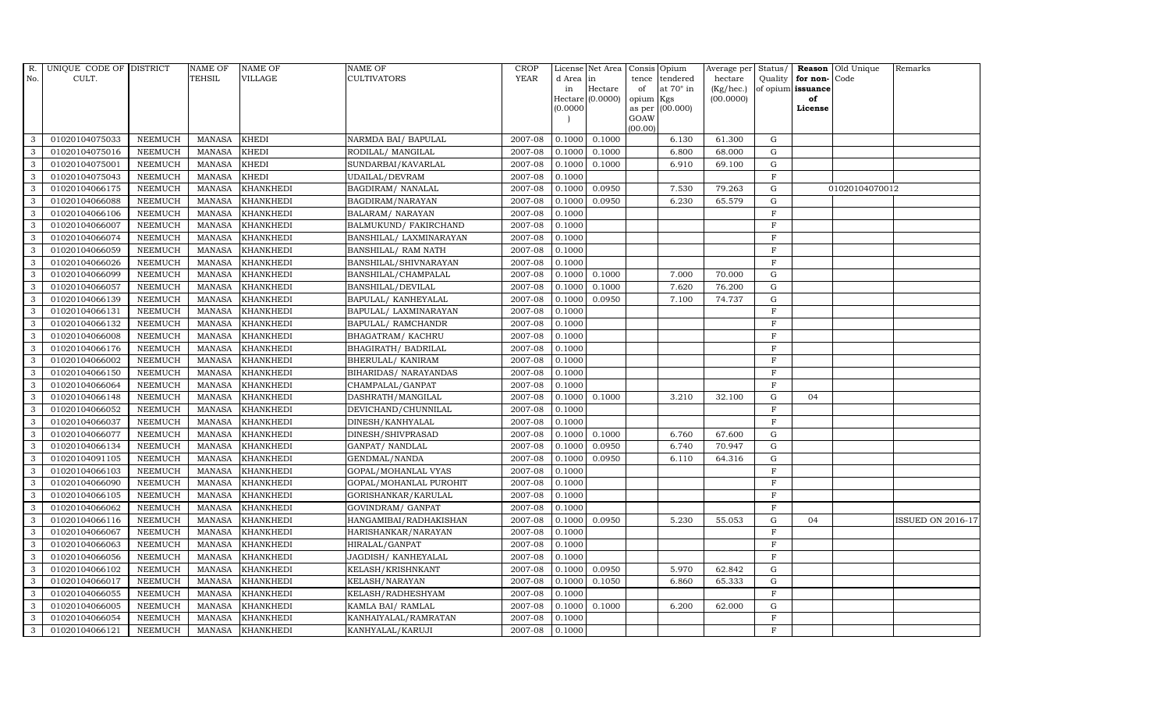| $R_{\cdot}$  | UNIQUE CODE OF DISTRICT |                | <b>NAME OF</b> | <b>NAME OF</b>   | <b>NAME OF</b>          | <b>CROP</b> |           | License Net Area Consis Opium |           |                  | Average per Status/ |                |                   | <b>Reason</b> Old Unique | Remarks                  |
|--------------|-------------------------|----------------|----------------|------------------|-------------------------|-------------|-----------|-------------------------------|-----------|------------------|---------------------|----------------|-------------------|--------------------------|--------------------------|
| No.          | CULT.                   |                | <b>TEHSIL</b>  | <b>VILLAGE</b>   | <b>CULTIVATORS</b>      | <b>YEAR</b> | d Area in |                               |           | tence tendered   | hectare             | Quality        | for non-          | Code                     |                          |
|              |                         |                |                |                  |                         |             | in        | Hectare                       | of        | at $70^\circ$ in | (Kg/hec.)           |                | of opium issuance |                          |                          |
|              |                         |                |                |                  |                         |             | (0.0000)  | Hectare $(0.0000)$            | opium Kgs | as per (00.000)  | (00.0000)           |                | of<br>License     |                          |                          |
|              |                         |                |                |                  |                         |             |           |                               | GOAW      |                  |                     |                |                   |                          |                          |
|              |                         |                |                |                  |                         |             |           |                               | (00.00)   |                  |                     |                |                   |                          |                          |
| 3            | 01020104075033          | <b>NEEMUCH</b> | MANASA         | <b>KHEDI</b>     | NARMDA BAI/ BAPULAL     | 2007-08     |           | $0.1000$ 0.1000               |           | 6.130            | 61.300              | G              |                   |                          |                          |
| 3            | 01020104075016          | <b>NEEMUCH</b> | <b>MANASA</b>  | <b>KHEDI</b>     | RODILAL/ MANGILAL       | 2007-08     | 0.1000    | 0.1000                        |           | 6.800            | 68.000              | ${\rm G}$      |                   |                          |                          |
| 3            | 01020104075001          | <b>NEEMUCH</b> | <b>MANASA</b>  | <b>KHEDI</b>     | SUNDARBAI/KAVARLAL      | 2007-08     | 0.1000    | 0.1000                        |           | 6.910            | 69.100              | G              |                   |                          |                          |
| 3            | 01020104075043          | <b>NEEMUCH</b> | <b>MANASA</b>  | <b>KHEDI</b>     | UDAILAL/DEVRAM          | 2007-08     | 0.1000    |                               |           |                  |                     | $\mathbf F$    |                   |                          |                          |
| 3            | 01020104066175          | <b>NEEMUCH</b> | <b>MANASA</b>  | <b>KHANKHEDI</b> | BAGDIRAM/ NANALAL       | 2007-08     | 0.1000    | 0.0950                        |           | 7.530            | 79.263              | ${\rm G}$      |                   | 01020104070012           |                          |
| $\mathbf{3}$ | 01020104066088          | <b>NEEMUCH</b> | <b>MANASA</b>  | <b>KHANKHEDI</b> | BAGDIRAM/NARAYAN        | 2007-08     | 0.1000    | 0.0950                        |           | 6.230            | 65.579              | G              |                   |                          |                          |
| 3            | 01020104066106          | <b>NEEMUCH</b> | <b>MANASA</b>  | <b>KHANKHEDI</b> | <b>BALARAM/ NARAYAN</b> | 2007-08     | 0.1000    |                               |           |                  |                     | $\rm F$        |                   |                          |                          |
| 3            | 01020104066007          | <b>NEEMUCH</b> | <b>MANASA</b>  | <b>KHANKHEDI</b> | BALMUKUND/ FAKIRCHAND   | 2007-08     | 0.1000    |                               |           |                  |                     | $\mathbf F$    |                   |                          |                          |
| 3            | 01020104066074          | <b>NEEMUCH</b> | <b>MANASA</b>  | <b>KHANKHEDI</b> | BANSHILAL/ LAXMINARAYAN | 2007-08     | 0.1000    |                               |           |                  |                     | F              |                   |                          |                          |
| 3            | 01020104066059          | <b>NEEMUCH</b> | <b>MANASA</b>  | <b>KHANKHEDI</b> | BANSHILAL/ RAM NATH     | 2007-08     | 0.1000    |                               |           |                  |                     | $\rm F$        |                   |                          |                          |
| 3            | 01020104066026          | <b>NEEMUCH</b> | <b>MANASA</b>  | <b>KHANKHEDI</b> | BANSHILAL/SHIVNARAYAN   | 2007-08     | 0.1000    |                               |           |                  |                     | $\rm F$        |                   |                          |                          |
| 3            | 01020104066099          | <b>NEEMUCH</b> | MANASA         | <b>KHANKHEDI</b> | BANSHILAL/CHAMPALAL     | 2007-08     | 0.1000    | 0.1000                        |           | 7.000            | 70.000              | ${\rm G}$      |                   |                          |                          |
| 3            | 01020104066057          | <b>NEEMUCH</b> | MANASA         | <b>KHANKHEDI</b> | BANSHILAL/DEVILAL       | 2007-08     | 0.1000    | 0.1000                        |           | 7.620            | 76.200              | G              |                   |                          |                          |
| 3            | 01020104066139          | <b>NEEMUCH</b> | <b>MANASA</b>  | <b>KHANKHEDI</b> | BAPULAL/ KANHEYALAL     | 2007-08     | 0.1000    | 0.0950                        |           | 7.100            | 74.737              | $\mathbf G$    |                   |                          |                          |
| 3            | 01020104066131          | <b>NEEMUCH</b> | MANASA         | <b>KHANKHEDI</b> | BAPULAL/ LAXMINARAYAN   | 2007-08     | 0.1000    |                               |           |                  |                     | $\mathbf F$    |                   |                          |                          |
| 3            | 01020104066132          | <b>NEEMUCH</b> | <b>MANASA</b>  | <b>KHANKHEDI</b> | BAPULAL/ RAMCHANDR      | 2007-08     | 0.1000    |                               |           |                  |                     | $\mathbf F$    |                   |                          |                          |
| 3            | 01020104066008          | <b>NEEMUCH</b> | <b>MANASA</b>  | <b>KHANKHEDI</b> | BHAGATRAM/KACHRU        | 2007-08     | 0.1000    |                               |           |                  |                     | $\mathbf F$    |                   |                          |                          |
| $\mathbf{3}$ | 01020104066176          | <b>NEEMUCH</b> | <b>MANASA</b>  | <b>KHANKHEDI</b> | BHAGIRATH / BADRILAL    | 2007-08     | 0.1000    |                               |           |                  |                     | $\mathbf F$    |                   |                          |                          |
| 3            | 01020104066002          | <b>NEEMUCH</b> | <b>MANASA</b>  | <b>KHANKHEDI</b> | BHERULAL/ KANIRAM       | 2007-08     | 0.1000    |                               |           |                  |                     | $\mathbf F$    |                   |                          |                          |
| 3            | 01020104066150          | NEEMUCH        | <b>MANASA</b>  | <b>KHANKHEDI</b> | BIHARIDAS/ NARAYANDAS   | 2007-08     | 0.1000    |                               |           |                  |                     | $\rm F$        |                   |                          |                          |
| 3            | 01020104066064          | <b>NEEMUCH</b> | <b>MANASA</b>  | <b>KHANKHEDI</b> | CHAMPALAL/GANPAT        | 2007-08     | 0.1000    |                               |           |                  |                     | $\mathbf F$    |                   |                          |                          |
| 3            | 01020104066148          | <b>NEEMUCH</b> | <b>MANASA</b>  | <b>KHANKHEDI</b> | DASHRATH/MANGILAL       | 2007-08     | 0.1000    | 0.1000                        |           | 3.210            | 32.100              | $\mathbf G$    | 04                |                          |                          |
| 3            | 01020104066052          | <b>NEEMUCH</b> | MANASA         | <b>KHANKHEDI</b> | DEVICHAND/CHUNNILAL     | 2007-08     | 0.1000    |                               |           |                  |                     | $\mathbf F$    |                   |                          |                          |
| 3            | 01020104066037          | <b>NEEMUCH</b> | <b>MANASA</b>  | <b>KHANKHEDI</b> | DINESH/KANHYALAL        | 2007-08     | 0.1000    |                               |           |                  |                     | $\mathbf F$    |                   |                          |                          |
| 3            | 01020104066077          | <b>NEEMUCH</b> | <b>MANASA</b>  | <b>KHANKHEDI</b> | DINESH/SHIVPRASAD       | 2007-08     | 0.1000    | 0.1000                        |           | 6.760            | 67.600              | $\mathbf G$    |                   |                          |                          |
| 3            | 01020104066134          | <b>NEEMUCH</b> | MANASA         | <b>KHANKHEDI</b> | GANPAT/ NANDLAL         | 2007-08     | 0.1000    | 0.0950                        |           | 6.740            | 70.947              | ${\rm G}$      |                   |                          |                          |
| 3            | 01020104091105          | <b>NEEMUCH</b> | <b>MANASA</b>  | <b>KHANKHEDI</b> | GENDMAL/NANDA           | 2007-08     | 0.1000    | 0.0950                        |           | 6.110            | 64.316              | $\mathbf G$    |                   |                          |                          |
| $\mathbf{3}$ | 01020104066103          | <b>NEEMUCH</b> | <b>MANASA</b>  | <b>KHANKHEDI</b> | GOPAL/MOHANLAL VYAS     | 2007-08     | 0.1000    |                               |           |                  |                     | $\mathbf F$    |                   |                          |                          |
| 3            | 01020104066090          | <b>NEEMUCH</b> | <b>MANASA</b>  | <b>KHANKHEDI</b> | GOPAL/MOHANLAL PUROHIT  | 2007-08     | 0.1000    |                               |           |                  |                     | $\mathbf F$    |                   |                          |                          |
| 3            | 01020104066105          | NEEMUCH        | <b>MANASA</b>  | <b>KHANKHEDI</b> | GORISHANKAR/KARULAL     | 2007-08     | 0.1000    |                               |           |                  |                     | F              |                   |                          |                          |
| 3            | 01020104066062          | <b>NEEMUCH</b> | <b>MANASA</b>  | <b>KHANKHEDI</b> | GOVINDRAM/ GANPAT       | 2007-08     | 0.1000    |                               |           |                  |                     | $\overline{F}$ |                   |                          |                          |
| 3            | 01020104066116          | <b>NEEMUCH</b> | <b>MANASA</b>  | <b>KHANKHEDI</b> | HANGAMIBAI/RADHAKISHAN  | 2007-08     | 0.1000    | 0.0950                        |           | 5.230            | 55.053              | ${\rm G}$      | 04                |                          | <b>ISSUED ON 2016-17</b> |
| 3            | 01020104066067          | <b>NEEMUCH</b> | <b>MANASA</b>  | <b>KHANKHEDI</b> | HARISHANKAR/NARAYAN     | 2007-08     | 0.1000    |                               |           |                  |                     | F              |                   |                          |                          |
| 3            | 01020104066063          | <b>NEEMUCH</b> | MANASA         | <b>KHANKHEDI</b> | HIRALAL/GANPAT          | 2007-08     | 0.1000    |                               |           |                  |                     | $\mathbf F$    |                   |                          |                          |
| 3            | 01020104066056          | <b>NEEMUCH</b> | <b>MANASA</b>  | <b>KHANKHEDI</b> | JAGDISH/KANHEYALAL      | 2007-08     | 0.1000    |                               |           |                  |                     | $\rm F$        |                   |                          |                          |
| 3            | 01020104066102          | <b>NEEMUCH</b> | <b>MANASA</b>  | <b>KHANKHEDI</b> | KELASH/KRISHNKANT       | 2007-08     | 0.1000    | 0.0950                        |           | 5.970            | 62.842              | G              |                   |                          |                          |
| 3            | 01020104066017          | <b>NEEMUCH</b> | <b>MANASA</b>  | <b>KHANKHEDI</b> | KELASH/NARAYAN          | 2007-08     | 0.1000    | 0.1050                        |           | 6.860            | 65.333              | G              |                   |                          |                          |
| $\mathbf{3}$ | 01020104066055          | <b>NEEMUCH</b> | <b>MANASA</b>  | <b>KHANKHEDI</b> | KELASH/RADHESHYAM       | 2007-08     | 0.1000    |                               |           |                  |                     | $\mathbf F$    |                   |                          |                          |
| 3            | 01020104066005          | <b>NEEMUCH</b> | MANASA         | <b>KHANKHEDI</b> | KAMLA BAI/ RAMLAL       | 2007-08     | 0.1000    | 0.1000                        |           | 6.200            | 62.000              | $\mathbf G$    |                   |                          |                          |
| 3            | 01020104066054          | <b>NEEMUCH</b> | <b>MANASA</b>  | <b>KHANKHEDI</b> | KANHAIYALAL/RAMRATAN    | 2007-08     | 0.1000    |                               |           |                  |                     | $\overline{F}$ |                   |                          |                          |
| 3            | 01020104066121          | <b>NEEMUCH</b> |                | MANASA KHANKHEDI | KANHYALAL/KARUJI        | 2007-08     | 0.1000    |                               |           |                  |                     | F              |                   |                          |                          |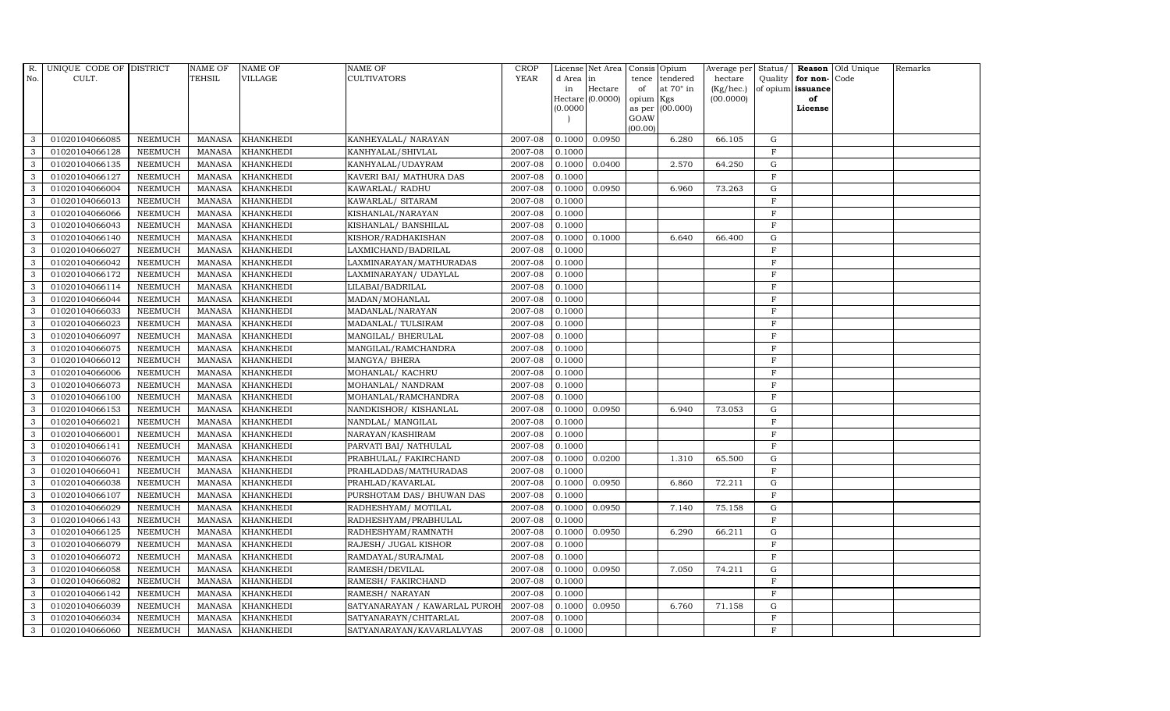| R.           | UNIQUE CODE OF DISTRICT |                | <b>NAME OF</b> | <b>NAME OF</b>   | NAME OF                       | <b>CROP</b> |           | License Net Area | Consis          | Opium            | Average per  | Status/      |                   | Reason Old Unique | Remarks |
|--------------|-------------------------|----------------|----------------|------------------|-------------------------------|-------------|-----------|------------------|-----------------|------------------|--------------|--------------|-------------------|-------------------|---------|
| No.          | CULT.                   |                | TEHSIL         | VILLAGE          | <b>CULTIVATORS</b>            | <b>YEAR</b> | d Area in |                  | tence           | tendered         | hectare      | Quality      | for non-Code      |                   |         |
|              |                         |                |                |                  |                               |             | in        | Hectare          | of              | at $70^\circ$ in | $(Kg/$ hec.) |              | of opium issuance |                   |         |
|              |                         |                |                |                  |                               |             | (0.0000)  | Hectare (0.0000) | opium<br>as per | Kgs<br>(00.000)  | (00.0000)    |              | of<br>License     |                   |         |
|              |                         |                |                |                  |                               |             |           |                  | GOAW            |                  |              |              |                   |                   |         |
|              |                         |                |                |                  |                               |             |           |                  | (00.00)         |                  |              |              |                   |                   |         |
| 3            | 01020104066085          | <b>NEEMUCH</b> | <b>MANASA</b>  | <b>KHANKHEDI</b> | KANHEYALAL/ NARAYAN           | 2007-08     | 0.1000    | 0.0950           |                 | 6.280            | 66.105       | G            |                   |                   |         |
| 3            | 01020104066128          | <b>NEEMUCH</b> | <b>MANASA</b>  | <b>KHANKHEDI</b> | KANHYALAL/SHIVLAL             | 2007-08     | 0.1000    |                  |                 |                  |              | F            |                   |                   |         |
| 3            | 01020104066135          | <b>NEEMUCH</b> | <b>MANASA</b>  | <b>KHANKHEDI</b> | KANHYALAL/UDAYRAM             | 2007-08     | 0.1000    | 0.0400           |                 | 2.570            | 64.250       | G            |                   |                   |         |
| 3            | 01020104066127          | <b>NEEMUCH</b> | <b>MANASA</b>  | <b>KHANKHEDI</b> | KAVERI BAI/ MATHURA DAS       | 2007-08     | 0.1000    |                  |                 |                  |              | $\mathbf F$  |                   |                   |         |
| 3            | 01020104066004          | <b>NEEMUCH</b> | MANASA         | <b>KHANKHEDI</b> | KAWARLAL/RADHU                | 2007-08     | 0.1000    | 0.0950           |                 | 6.960            | 73.263       | G            |                   |                   |         |
| $\mathbf{3}$ | 01020104066013          | <b>NEEMUCH</b> | <b>MANASA</b>  | <b>KHANKHEDI</b> | KAWARLAL/ SITARAM             | 2007-08     | 0.1000    |                  |                 |                  |              | $\mathbf F$  |                   |                   |         |
| 3            | 01020104066066          | <b>NEEMUCH</b> | <b>MANASA</b>  | KHANKHEDI        | KISHANLAL/NARAYAN             | 2007-08     | 0.1000    |                  |                 |                  |              | $\mathbf{F}$ |                   |                   |         |
| 3            | 01020104066043          | <b>NEEMUCH</b> | <b>MANASA</b>  | <b>KHANKHEDI</b> | KISHANLAL/ BANSHILAL          | 2007-08     | 0.1000    |                  |                 |                  |              | F            |                   |                   |         |
| 3            | 01020104066140          | <b>NEEMUCH</b> | <b>MANASA</b>  | <b>KHANKHEDI</b> | KISHOR/RADHAKISHAN            | 2007-08     | 0.1000    | 0.1000           |                 | 6.640            | 66.400       | $\mathbf G$  |                   |                   |         |
| 3            | 01020104066027          | <b>NEEMUCH</b> | <b>MANASA</b>  | KHANKHEDI        | LAXMICHAND/BADRILAL           | 2007-08     | 0.1000    |                  |                 |                  |              | $\mathbf F$  |                   |                   |         |
| 3            | 01020104066042          | <b>NEEMUCH</b> | <b>MANASA</b>  | <b>KHANKHEDI</b> | LAXMINARAYAN/MATHURADAS       | 2007-08     | 0.1000    |                  |                 |                  |              | $\mathbf{F}$ |                   |                   |         |
| 3            | 01020104066172          | <b>NEEMUCH</b> | <b>MANASA</b>  | <b>KHANKHEDI</b> | LAXMINARAYAN/UDAYLAL          | 2007-08     | 0.1000    |                  |                 |                  |              | $\mathbf F$  |                   |                   |         |
| 3            | 01020104066114          | <b>NEEMUCH</b> | <b>MANASA</b>  | <b>KHANKHEDI</b> | LILABAI/BADRILAL              | 2007-08     | 0.1000    |                  |                 |                  |              | F            |                   |                   |         |
| 3            | 01020104066044          | <b>NEEMUCH</b> | <b>MANASA</b>  | <b>KHANKHEDI</b> | MADAN/MOHANLAL                | 2007-08     | 0.1000    |                  |                 |                  |              | $\mathbf{F}$ |                   |                   |         |
| 3            | 01020104066033          | <b>NEEMUCH</b> | <b>MANASA</b>  | KHANKHEDI        | MADANLAL/NARAYAN              | 2007-08     | 0.1000    |                  |                 |                  |              | F            |                   |                   |         |
| 3            | 01020104066023          | <b>NEEMUCH</b> | <b>MANASA</b>  | <b>KHANKHEDI</b> | MADANLAL/ TULSIRAM            | 2007-08     | 0.1000    |                  |                 |                  |              | $\mathbf F$  |                   |                   |         |
| 3            | 01020104066097          | <b>NEEMUCH</b> | <b>MANASA</b>  | <b>KHANKHEDI</b> | MANGILAL/ BHERULAL            | 2007-08     | 0.1000    |                  |                 |                  |              | $\mathbf{F}$ |                   |                   |         |
| $\mathbf{3}$ | 01020104066075          | <b>NEEMUCH</b> | <b>MANASA</b>  | <b>KHANKHEDI</b> | MANGILAL/RAMCHANDRA           | 2007-08     | 0.1000    |                  |                 |                  |              | F            |                   |                   |         |
| 3            | 01020104066012          | <b>NEEMUCH</b> | <b>MANASA</b>  | <b>KHANKHEDI</b> | MANGYA/ BHERA                 | 2007-08     | 0.1000    |                  |                 |                  |              | $\mathbf F$  |                   |                   |         |
| 3            | 01020104066006          | <b>NEEMUCH</b> | <b>MANASA</b>  | <b>KHANKHEDI</b> | MOHANLAL/ KACHRU              | 2007-08     | 0.1000    |                  |                 |                  |              | $\mathbf F$  |                   |                   |         |
| $\mathbf{3}$ | 01020104066073          | NEEMUCH        | <b>MANASA</b>  | <b>KHANKHEDI</b> | MOHANLAL/ NANDRAM             | 2007-08     | 0.1000    |                  |                 |                  |              | $\mathbf F$  |                   |                   |         |
| 3            | 01020104066100          | <b>NEEMUCH</b> | <b>MANASA</b>  | <b>KHANKHEDI</b> | MOHANLAL/RAMCHANDRA           | 2007-08     | 0.1000    |                  |                 |                  |              | $\mathbf{F}$ |                   |                   |         |
| $\mathbf{3}$ | 01020104066153          | <b>NEEMUCH</b> | <b>MANASA</b>  | <b>KHANKHEDI</b> | NANDKISHOR/KISHANLAL          | 2007-08     | 0.1000    | 0.0950           |                 | 6.940            | 73.053       | ${\rm G}$    |                   |                   |         |
| 3            | 01020104066021          | <b>NEEMUCH</b> | <b>MANASA</b>  | <b>KHANKHEDI</b> | NANDLAL/ MANGILAL             | 2007-08     | 0.1000    |                  |                 |                  |              | $\mathbf{F}$ |                   |                   |         |
| 3            | 01020104066001          | <b>NEEMUCH</b> | <b>MANASA</b>  | <b>KHANKHEDI</b> | NARAYAN/KASHIRAM              | 2007-08     | 0.1000    |                  |                 |                  |              | $\mathbf F$  |                   |                   |         |
| 3            | 01020104066141          | <b>NEEMUCH</b> | <b>MANASA</b>  | <b>KHANKHEDI</b> | PARVATI BAI/ NATHULAL         | 2007-08     | 0.1000    |                  |                 |                  |              | $\mathbf F$  |                   |                   |         |
| $\mathbf{3}$ | 01020104066076          | <b>NEEMUCH</b> | <b>MANASA</b>  | <b>KHANKHEDI</b> | PRABHULAL/ FAKIRCHAND         | 2007-08     | 0.1000    | 0.0200           |                 | 1.310            | 65.500       | ${\rm G}$    |                   |                   |         |
| $\mathbf{3}$ | 01020104066041          | <b>NEEMUCH</b> | <b>MANASA</b>  | <b>KHANKHEDI</b> | PRAHLADDAS/MATHURADAS         | 2007-08     | 0.1000    |                  |                 |                  |              | F            |                   |                   |         |
| 3            | 01020104066038          | <b>NEEMUCH</b> | <b>MANASA</b>  | <b>KHANKHEDI</b> | PRAHLAD/KAVARLAL              | 2007-08     | 0.1000    | 0.0950           |                 | 6.860            | 72.211       | $\mathbf G$  |                   |                   |         |
| 3            | 01020104066107          | <b>NEEMUCH</b> | <b>MANASA</b>  | <b>KHANKHEDI</b> | PURSHOTAM DAS/ BHUWAN DAS     | 2007-08     | 0.1000    |                  |                 |                  |              | $\mathbf{F}$ |                   |                   |         |
| 3            | 01020104066029          | <b>NEEMUCH</b> | <b>MANASA</b>  | <b>KHANKHEDI</b> | RADHESHYAM/ MOTILAL           | 2007-08     | 0.1000    | 0.0950           |                 | 7.140            | 75.158       | G            |                   |                   |         |
| $\mathbf{3}$ | 01020104066143          | <b>NEEMUCH</b> | <b>MANASA</b>  | <b>KHANKHEDI</b> | RADHESHYAM/PRABHULAL          | 2007-08     | 0.1000    |                  |                 |                  |              | $\mathbf F$  |                   |                   |         |
| $\mathbf{3}$ | 01020104066125          | <b>NEEMUCH</b> | <b>MANASA</b>  | <b>KHANKHEDI</b> | RADHESHYAM/RAMNATH            | 2007-08     | 0.1000    | 0.0950           |                 | 6.290            | 66.211       | G            |                   |                   |         |
| 3            | 01020104066079          | <b>NEEMUCH</b> | <b>MANASA</b>  | <b>KHANKHEDI</b> | RAJESH/ JUGAL KISHOR          | 2007-08     | 0.1000    |                  |                 |                  |              | F            |                   |                   |         |
| 3            | 01020104066072          | <b>NEEMUCH</b> | <b>MANASA</b>  | <b>KHANKHEDI</b> | RAMDAYAL/SURAJMAL             | 2007-08     | 0.1000    |                  |                 |                  |              | $\mathbf{F}$ |                   |                   |         |
| 3            | 01020104066058          | <b>NEEMUCH</b> | <b>MANASA</b>  | <b>KHANKHEDI</b> | RAMESH/DEVILAL                | 2007-08     | 0.1000    | 0.0950           |                 | 7.050            | 74.211       | G            |                   |                   |         |
| 3            | 01020104066082          | <b>NEEMUCH</b> | <b>MANASA</b>  | <b>KHANKHEDI</b> | RAMESH/ FAKIRCHAND            | 2007-08     | 0.1000    |                  |                 |                  |              | $\mathbf{F}$ |                   |                   |         |
| 3            | 01020104066142          | <b>NEEMUCH</b> | <b>MANASA</b>  | <b>KHANKHEDI</b> | RAMESH/ NARAYAN               | 2007-08     | 0.1000    |                  |                 |                  |              | $\mathbf F$  |                   |                   |         |
| 3            | 01020104066039          | <b>NEEMUCH</b> | <b>MANASA</b>  | <b>KHANKHEDI</b> | SATYANARAYAN / KAWARLAL PUROH | 2007-08     | 0.1000    | 0.0950           |                 | 6.760            | 71.158       | $\mathbf G$  |                   |                   |         |
| 3            | 01020104066034          | <b>NEEMUCH</b> | <b>MANASA</b>  | <b>KHANKHEDI</b> | SATYANARAYN/CHITARLAL         | 2007-08     | 0.1000    |                  |                 |                  |              | $\mathbf{F}$ |                   |                   |         |
| 3            | 01020104066060          | <b>NEEMUCH</b> | MANASA         | <b>KHANKHEDI</b> | SATYANARAYAN/KAVARLALVYAS     | 2007-08     | 0.1000    |                  |                 |                  |              | F            |                   |                   |         |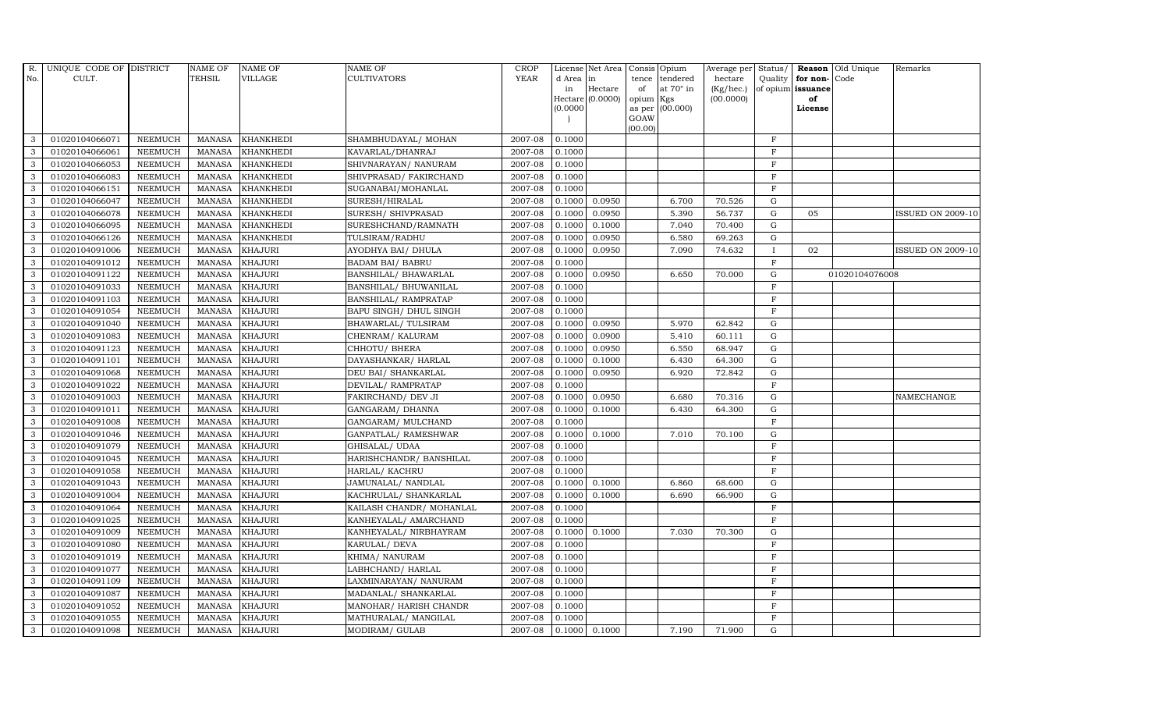| R.           | UNIQUE CODE OF DISTRICT |                | <b>NAME OF</b> | <b>NAME OF</b>   | <b>NAME OF</b>           | <b>CROP</b> |           | License Net Area | Consis  | Opium                  | Average per  | Status/      |                   | <b>Reason</b> Old Unique | Remarks                  |
|--------------|-------------------------|----------------|----------------|------------------|--------------------------|-------------|-----------|------------------|---------|------------------------|--------------|--------------|-------------------|--------------------------|--------------------------|
| No.          | CULT.                   |                | <b>TEHSIL</b>  | VILLAGE          | CULTIVATORS              | <b>YEAR</b> | d Area in |                  | tence   | tendered               | hectare      | Quality      | for non-Code      |                          |                          |
|              |                         |                |                |                  |                          |             | in        | Hectare          | of      | at $70^\circ$ in       | $(Kg/$ hec.) |              | of opium issuance |                          |                          |
|              |                         |                |                |                  |                          |             | (0.0000)  | Hectare (0.0000) | opium   | Kgs<br>as per (00.000) | (00.0000)    |              | of<br>License     |                          |                          |
|              |                         |                |                |                  |                          |             |           |                  | GOAW    |                        |              |              |                   |                          |                          |
|              |                         |                |                |                  |                          |             |           |                  | (00.00) |                        |              |              |                   |                          |                          |
| 3            | 01020104066071          | <b>NEEMUCH</b> | <b>MANASA</b>  | <b>KHANKHEDI</b> | SHAMBHUDAYAL/ MOHAN      | 2007-08     | 0.1000    |                  |         |                        |              | $\mathbf F$  |                   |                          |                          |
| 3            | 01020104066061          | <b>NEEMUCH</b> | <b>MANASA</b>  | KHANKHEDI        | KAVARLAL/DHANRAJ         | 2007-08     | 0.1000    |                  |         |                        |              | F            |                   |                          |                          |
| 3            | 01020104066053          | <b>NEEMUCH</b> | <b>MANASA</b>  | <b>KHANKHEDI</b> | SHIVNARAYAN / NANURAM    | 2007-08     | 0.1000    |                  |         |                        |              | $\mathbf F$  |                   |                          |                          |
| 3            | 01020104066083          | <b>NEEMUCH</b> | <b>MANASA</b>  | <b>KHANKHEDI</b> | SHIVPRASAD/ FAKIRCHAND   | 2007-08     | 0.1000    |                  |         |                        |              | $\mathbf F$  |                   |                          |                          |
| 3            | 01020104066151          | <b>NEEMUCH</b> | <b>MANASA</b>  | <b>KHANKHEDI</b> | SUGANABAI/MOHANLAL       | 2007-08     | 0.1000    |                  |         |                        |              | $\mathbf F$  |                   |                          |                          |
| $\mathbf{3}$ | 01020104066047          | <b>NEEMUCH</b> | <b>MANASA</b>  | <b>KHANKHEDI</b> | SURESH/HIRALAL           | 2007-08     | 0.1000    | 0.0950           |         | 6.700                  | 70.526       | G            |                   |                          |                          |
| 3            | 01020104066078          | NEEMUCH        | <b>MANASA</b>  | KHANKHEDI        | SURESH/ SHIVPRASAD       | 2007-08     | 0.1000    | 0.0950           |         | 5.390                  | 56.737       | ${\rm G}$    | 05                |                          | <b>ISSUED ON 2009-10</b> |
| 3            | 01020104066095          | <b>NEEMUCH</b> | <b>MANASA</b>  | <b>KHANKHEDI</b> | SURESHCHAND/RAMNATH      | 2007-08     | 0.1000    | 0.1000           |         | 7.040                  | 70.400       | G            |                   |                          |                          |
| 3            | 01020104066126          | <b>NEEMUCH</b> | <b>MANASA</b>  | <b>KHANKHEDI</b> | TULSIRAM/RADHU           | 2007-08     | 0.1000    | 0.0950           |         | 6.580                  | 69.263       | $\mathbf G$  |                   |                          |                          |
| 3            | 01020104091006          | <b>NEEMUCH</b> | MANASA         | <b>KHAJURI</b>   | AYODHYA BAI/ DHULA       | 2007-08     | 0.1000    | 0.0950           |         | 7.090                  | 74.632       | $\mathbf{I}$ | 02                |                          | <b>ISSUED ON 2009-10</b> |
| 3            | 01020104091012          | <b>NEEMUCH</b> | <b>MANASA</b>  | <b>KHAJURI</b>   | <b>BADAM BAI/ BABRU</b>  | 2007-08     | 0.1000    |                  |         |                        |              | $\mathbf{F}$ |                   |                          |                          |
| 3            | 01020104091122          | <b>NEEMUCH</b> | <b>MANASA</b>  | <b>KHAJURI</b>   | BANSHILAL/ BHAWARLAL     | 2007-08     | 0.1000    | 0.0950           |         | 6.650                  | 70.000       | G            |                   | 01020104076008           |                          |
| 3            | 01020104091033          | <b>NEEMUCH</b> | <b>MANASA</b>  | <b>KHAJURI</b>   | BANSHILAL/ BHUWANILAL    | 2007-08     | 0.1000    |                  |         |                        |              | F            |                   |                          |                          |
| 3            | 01020104091103          | <b>NEEMUCH</b> | <b>MANASA</b>  | <b>KHAJURI</b>   | BANSHILAL/ RAMPRATAP     | 2007-08     | 0.1000    |                  |         |                        |              | $\mathbf{F}$ |                   |                          |                          |
| 3            | 01020104091054          | <b>NEEMUCH</b> | <b>MANASA</b>  | <b>KHAJURI</b>   | BAPU SINGH/ DHUL SINGH   | 2007-08     | 0.1000    |                  |         |                        |              | F            |                   |                          |                          |
| 3            | 01020104091040          | <b>NEEMUCH</b> | <b>MANASA</b>  | <b>KHAJURI</b>   | BHAWARLAL/ TULSIRAM      | 2007-08     | 0.1000    | 0.0950           |         | 5.970                  | 62.842       | G            |                   |                          |                          |
| 3            | 01020104091083          | <b>NEEMUCH</b> | <b>MANASA</b>  | <b>KHAJURI</b>   | CHENRAM/KALURAM          | 2007-08     | 0.1000    | 0.0900           |         | 5.410                  | 60.111       | G            |                   |                          |                          |
| $\mathbf{3}$ | 01020104091123          | <b>NEEMUCH</b> | <b>MANASA</b>  | <b>KHAJURI</b>   | CHHOTU/ BHERA            | 2007-08     | 0.1000    | 0.0950           |         | 6.550                  | 68.947       | G            |                   |                          |                          |
| 3            | 01020104091101          | <b>NEEMUCH</b> | <b>MANASA</b>  | <b>KHAJURI</b>   | DAYASHANKAR / HARLAL     | 2007-08     | 0.1000    | 0.1000           |         | 6.430                  | 64.300       | $\mathbf G$  |                   |                          |                          |
| 3            | 01020104091068          | <b>NEEMUCH</b> | <b>MANASA</b>  | <b>KHAJURI</b>   | DEU BAI/ SHANKARLAL      | 2007-08     | 0.1000    | 0.0950           |         | 6.920                  | 72.842       | $\mathbf G$  |                   |                          |                          |
| $\mathbf{3}$ | 01020104091022          | <b>NEEMUCH</b> | <b>MANASA</b>  | <b>KHAJURI</b>   | DEVILAL/RAMPRATAP        | 2007-08     | 0.1000    |                  |         |                        |              | $\mathbf F$  |                   |                          |                          |
| 3            | 01020104091003          | <b>NEEMUCH</b> | <b>MANASA</b>  | <b>KHAJURI</b>   | FAKIRCHAND/ DEV JI       | 2007-08     | 0.1000    | 0.0950           |         | 6.680                  | 70.316       | G            |                   |                          | <b>NAMECHANGE</b>        |
| 3            | 01020104091011          | NEEMUCH        | <b>MANASA</b>  | <b>KHAJURI</b>   | GANGARAM/ DHANNA         | 2007-08     | 0.1000    | 0.1000           |         | 6.430                  | 64.300       | $\mathbf G$  |                   |                          |                          |
| 3            | 01020104091008          | <b>NEEMUCH</b> | <b>MANASA</b>  | <b>KHAJURI</b>   | GANGARAM / MULCHAND      | 2007-08     | 0.1000    |                  |         |                        |              | $\mathbf{F}$ |                   |                          |                          |
| 3            | 01020104091046          | <b>NEEMUCH</b> | <b>MANASA</b>  | <b>KHAJURI</b>   | GANPATLAL/ RAMESHWAR     | 2007-08     | 0.1000    | 0.1000           |         | 7.010                  | 70.100       | $\mathbf G$  |                   |                          |                          |
| 3            | 01020104091079          | <b>NEEMUCH</b> | <b>MANASA</b>  | KHAJURI          | GHISALAL/UDAA            | 2007-08     | 0.1000    |                  |         |                        |              | $\mathbf F$  |                   |                          |                          |
| 3            | 01020104091045          | <b>NEEMUCH</b> | <b>MANASA</b>  | <b>KHAJURI</b>   | HARISHCHANDR/ BANSHILAL  | 2007-08     | 0.1000    |                  |         |                        |              | $\mathbf F$  |                   |                          |                          |
| 3            | 01020104091058          | NEEMUCH        | <b>MANASA</b>  | <b>KHAJURI</b>   | HARLAL/ KACHRU           | 2007-08     | 0.1000    |                  |         |                        |              | F            |                   |                          |                          |
| 3            | 01020104091043          | <b>NEEMUCH</b> | <b>MANASA</b>  | <b>KHAJURI</b>   | JAMUNALAL/ NANDLAL       | 2007-08     | 0.1000    | 0.1000           |         | 6.860                  | 68.600       | $\mathbf G$  |                   |                          |                          |
| 3            | 01020104091004          | <b>NEEMUCH</b> | <b>MANASA</b>  | <b>KHAJURI</b>   | KACHRULAL/ SHANKARLAL    | 2007-08     | 0.1000    | 0.1000           |         | 6.690                  | 66.900       | $\mathbf G$  |                   |                          |                          |
| 3            | 01020104091064          | <b>NEEMUCH</b> | <b>MANASA</b>  | KHAJURI          | KAILASH CHANDR/ MOHANLAL | 2007-08     | 0.1000    |                  |         |                        |              | $\mathbf F$  |                   |                          |                          |
| 3            | 01020104091025          | <b>NEEMUCH</b> | <b>MANASA</b>  | <b>KHAJURI</b>   | KANHEYALAL/ AMARCHAND    | 2007-08     | 0.1000    |                  |         |                        |              | $\mathbf F$  |                   |                          |                          |
| 3            | 01020104091009          | NEEMUCH        | <b>MANASA</b>  | <b>KHAJURI</b>   | KANHEYALAL/ NIRBHAYRAM   | 2007-08     | 0.1000    | 0.1000           |         | 7.030                  | 70.300       | G            |                   |                          |                          |
| 3            | 01020104091080          | <b>NEEMUCH</b> | <b>MANASA</b>  | <b>KHAJURI</b>   | KARULAL/ DEVA            | 2007-08     | 0.1000    |                  |         |                        |              | F            |                   |                          |                          |
| 3            | 01020104091019          | <b>NEEMUCH</b> | <b>MANASA</b>  | <b>KHAJURI</b>   | KHIMA/NANURAM            | 2007-08     | 0.1000    |                  |         |                        |              | $\mathbf{F}$ |                   |                          |                          |
| 3            | 01020104091077          | <b>NEEMUCH</b> | <b>MANASA</b>  | <b>KHAJURI</b>   | LABHCHAND/HARLAL         | 2007-08     | 0.1000    |                  |         |                        |              | $\mathbf{F}$ |                   |                          |                          |
| 3            | 01020104091109          | <b>NEEMUCH</b> | <b>MANASA</b>  | <b>KHAJURI</b>   | LAXMINARAYAN / NANURAM   | 2007-08     | 0.1000    |                  |         |                        |              | $\mathbf F$  |                   |                          |                          |
| 3            | 01020104091087          | <b>NEEMUCH</b> | <b>MANASA</b>  | <b>KHAJURI</b>   | MADANLAL/ SHANKARLAL     | 2007-08     | 0.1000    |                  |         |                        |              | $\mathbf{F}$ |                   |                          |                          |
| 3            | 01020104091052          | <b>NEEMUCH</b> | <b>MANASA</b>  | <b>KHAJURI</b>   | MANOHAR/ HARISH CHANDR   | 2007-08     | 0.1000    |                  |         |                        |              | F            |                   |                          |                          |
| 3            | 01020104091055          | <b>NEEMUCH</b> | <b>MANASA</b>  | <b>KHAJURI</b>   | MATHURALAL/ MANGILAL     | 2007-08     | 0.1000    |                  |         |                        |              | $\mathbf F$  |                   |                          |                          |
| 3            | 01020104091098          | <b>NEEMUCH</b> |                | MANASA KHAJURI   | MODIRAM/ GULAB           | 2007-08     | 0.1000    | 0.1000           |         | 7.190                  | 71.900       | G            |                   |                          |                          |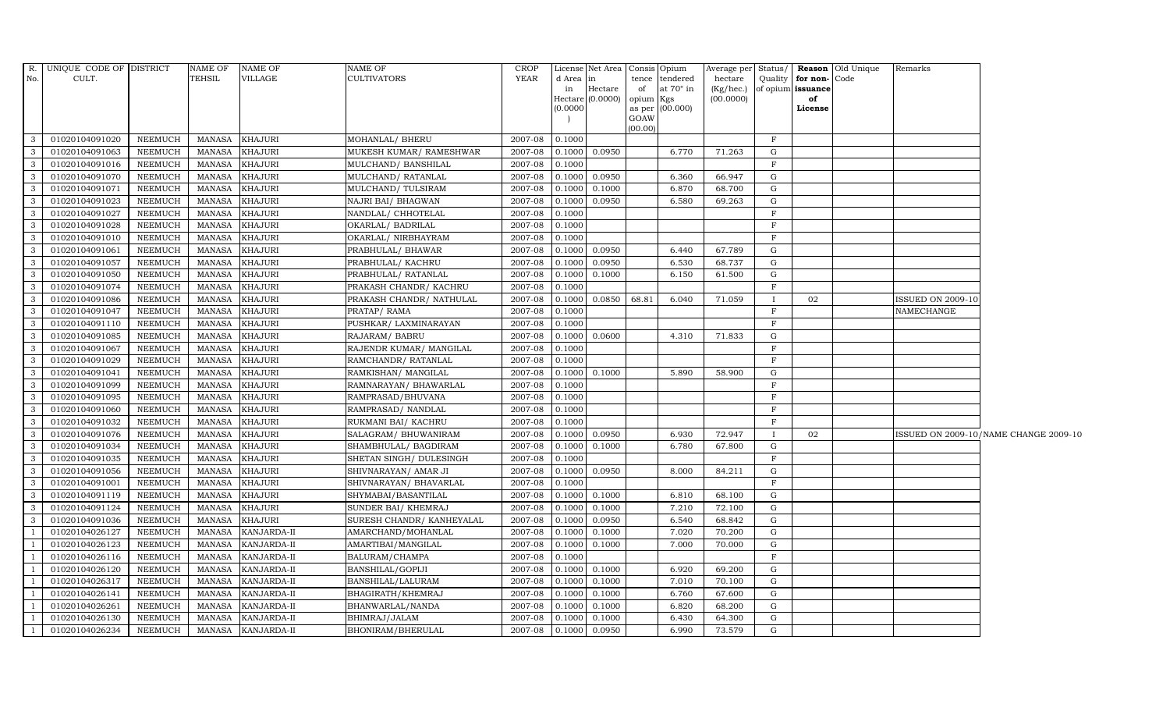|                | R. UNIQUE CODE OF DISTRICT |                | NAME OF       | NAME OF            | NAME OF                    | CROP        |           | License Net Area Consis Opium |           |                   | Average per Status/ |              |                   | <b>Reason</b> Old Unique | Remarks                  |                                       |
|----------------|----------------------------|----------------|---------------|--------------------|----------------------------|-------------|-----------|-------------------------------|-----------|-------------------|---------------------|--------------|-------------------|--------------------------|--------------------------|---------------------------------------|
| No.            | CULT.                      |                | TEHSIL        | VILLAGE            | <b>CULTIVATORS</b>         | YEAR        | d Area in |                               |           | tence tendered    | hectare             |              | Quality for non-  | Code                     |                          |                                       |
|                |                            |                |               |                    |                            |             | in        | Hectare                       | of        | at $70^\circ$ in  | (Kg/hec.)           |              | of opium issuance |                          |                          |                                       |
|                |                            |                |               |                    |                            |             | (0.0000)  | Hectare (0.0000)              | opium Kgs | as per $(00.000)$ | (00.0000)           |              | of<br>License     |                          |                          |                                       |
|                |                            |                |               |                    |                            |             |           |                               | GOAW      |                   |                     |              |                   |                          |                          |                                       |
|                |                            |                |               |                    |                            |             |           |                               | (00.00)   |                   |                     |              |                   |                          |                          |                                       |
| $\mathbf{3}$   | 01020104091020             | <b>NEEMUCH</b> | MANASA        | <b>KHAJURI</b>     | MOHANLAL/ BHERU            | 2007-08     | 0.1000    |                               |           |                   |                     | $\mathbf{F}$ |                   |                          |                          |                                       |
| 3              | 01020104091063             | <b>NEEMUCH</b> | <b>MANASA</b> | <b>KHAJURI</b>     | MUKESH KUMAR/ RAMESHWAR    | 2007-08     |           | $0.1000$ 0.0950               |           | 6.770             | 71.263              | G            |                   |                          |                          |                                       |
| 3              | 01020104091016             | <b>NEEMUCH</b> | MANASA        | KHAJURI            | MULCHAND/ BANSHILAL        | 2007-08     | 0.1000    |                               |           |                   |                     | $_{\rm F}$   |                   |                          |                          |                                       |
| $\mathbf{3}$   | 01020104091070             | NEEMUCH        | MANASA        | <b>KHAJURI</b>     | MULCHAND/RATANLAL          | 2007-08     |           | $0.1000$ 0.0950               |           | 6.360             | 66.947              | G            |                   |                          |                          |                                       |
| $\mathbf{3}$   | 01020104091071             | <b>NEEMUCH</b> | <b>MANASA</b> | <b>KHAJURI</b>     | MULCHAND/ TULSIRAM         | 2007-08     |           | $0.1000$ 0.1000               |           | 6.870             | 68.700              | G            |                   |                          |                          |                                       |
| $\mathbf{3}$   | 01020104091023             | <b>NEEMUCH</b> | <b>MANASA</b> | <b>KHAJURI</b>     | NAJRI BAI/ BHAGWAN         | 2007-08     |           | 0.1000 0.0950                 |           | 6.580             | 69.263              | G            |                   |                          |                          |                                       |
| 3              | 01020104091027             | <b>NEEMUCH</b> | <b>MANASA</b> | <b>KHAJURI</b>     | NANDLAL/ CHHOTELAL         | 2007-08     | 0.1000    |                               |           |                   |                     | $_{\rm F}$   |                   |                          |                          |                                       |
| $\mathbf{3}$   | 01020104091028             | <b>NEEMUCH</b> | MANASA        | <b>KHAJURI</b>     | OKARLAL/ BADRILAL          | 2007-08     | 0.1000    |                               |           |                   |                     | $\mathbf F$  |                   |                          |                          |                                       |
| 3              | 01020104091010             | <b>NEEMUCH</b> | <b>MANASA</b> | KHAJURI            | OKARLAL/ NIRBHAYRAM        | 2007-08     | 0.1000    |                               |           |                   |                     | $\mathbf{F}$ |                   |                          |                          |                                       |
| 3              | 01020104091061             | <b>NEEMUCH</b> | <b>MANASA</b> | <b>KHAJURI</b>     | PRABHULAL/ BHAWAR          | 2007-08     |           | 0.1000 0.0950                 |           | 6.440             | 67.789              | G            |                   |                          |                          |                                       |
| 3              | 01020104091057             | <b>NEEMUCH</b> | MANASA        | <b>KHAJURI</b>     | PRABHULAL/ KACHRU          | 2007-08     |           | 0.1000 0.0950                 |           | 6.530             | 68.737              | G            |                   |                          |                          |                                       |
| $\mathbf{3}$   | 01020104091050             | <b>NEEMUCH</b> | MANASA        | <b>KHAJURI</b>     | PRABHULAL/ RATANLAL        | 2007-08     | 0.1000    | 0.1000                        |           | 6.150             | 61.500              | G            |                   |                          |                          |                                       |
| $\mathbf{3}$   | 01020104091074             | <b>NEEMUCH</b> | <b>MANASA</b> | <b>KHAJURI</b>     | PRAKASH CHANDR/ KACHRU     | 2007-08     | 0.1000    |                               |           |                   |                     | $\mathbf{F}$ |                   |                          |                          |                                       |
| 3              | 01020104091086             | <b>NEEMUCH</b> | <b>MANASA</b> | KHAJURI            | PRAKASH CHANDR/ NATHULAL   | 2007-08     |           | 0.1000 0.0850                 | 68.81     | 6.040             | 71.059              |              | 02                |                          | <b>ISSUED ON 2009-10</b> |                                       |
| 3              | 01020104091047             | <b>NEEMUCH</b> | <b>MANASA</b> | <b>KHAJURI</b>     | PRATAP/RAMA                | 2007-08     | 0.1000    |                               |           |                   |                     | $_{\rm F}$   |                   |                          | NAMECHANGE               |                                       |
| $\mathbf{3}$   | 01020104091110             | <b>NEEMUCH</b> | <b>MANASA</b> | <b>KHAJURI</b>     | PUSHKAR/ LAXMINARAYAN      | 2007-08     | 0.1000    |                               |           |                   |                     | $\mathbf{F}$ |                   |                          |                          |                                       |
| $\mathbf{3}$   | 01020104091085             | <b>NEEMUCH</b> | <b>MANASA</b> | <b>KHAJURI</b>     | RAJARAM/ BABRU             | 2007-08     |           | 0.1000 0.0600                 |           | 4.310             | 71.833              | G            |                   |                          |                          |                                       |
| $\mathbf{3}$   | 01020104091067             | <b>NEEMUCH</b> | MANASA        | <b>KHAJURI</b>     | RAJENDR KUMAR/ MANGILAL    | 2007-08     | 0.1000    |                               |           |                   |                     | F            |                   |                          |                          |                                       |
| 3              | 01020104091029             | <b>NEEMUCH</b> | <b>MANASA</b> | <b>KHAJURI</b>     | RAMCHANDR/ RATANLAL        | 2007-08     | 0.1000    |                               |           |                   |                     | $\mathbf{F}$ |                   |                          |                          |                                       |
| 3              | 01020104091041             | <b>NEEMUCH</b> | <b>MANASA</b> | KHAJURI            | RAMKISHAN/ MANGILAL        | 2007-08     |           | $0.1000$ 0.1000               |           | 5.890             | 58.900              | G            |                   |                          |                          |                                       |
| 3              | 01020104091099             | <b>NEEMUCH</b> | <b>MANASA</b> | <b>KHAJURI</b>     | RAMNARAYAN/ BHAWARLAL      | 2007-08     | 0.1000    |                               |           |                   |                     | $\mathbf F$  |                   |                          |                          |                                       |
| $\mathbf{3}$   | 01020104091095             | <b>NEEMUCH</b> | <b>MANASA</b> | <b>KHAJURI</b>     | RAMPRASAD/BHUVANA          | 2007-08     | 0.1000    |                               |           |                   |                     | $\mathbf{F}$ |                   |                          |                          |                                       |
| $\mathbf{3}$   | 01020104091060             | <b>NEEMUCH</b> | MANASA        | <b>KHAJURI</b>     | RAMPRASAD/ NANDLAL         | 2007-08     | 0.1000    |                               |           |                   |                     | $\mathbf{F}$ |                   |                          |                          |                                       |
| 3              | 01020104091032             | <b>NEEMUCH</b> | <b>MANASA</b> | <b>KHAJURI</b>     | RUKMANI BAI/ KACHRU        | 2007-08     | 0.1000    |                               |           |                   |                     | $\mathbf{F}$ |                   |                          |                          |                                       |
| $\mathbf{3}$   | 01020104091076             | <b>NEEMUCH</b> | MANASA        | KHAJURI            | SALAGRAM/ BHUWANIRAM       | 2007-08     | 0.1000    | 0.0950                        |           | 6.930             | 72.947              | $\mathbf{I}$ | 02                |                          |                          | ISSUED ON 2009-10/NAME CHANGE 2009-10 |
| $\mathbf{3}$   | 01020104091034             | <b>NEEMUCH</b> | <b>MANASA</b> | <b>KHAJURI</b>     | SHAMBHULAL/ BAGDIRAM       | 2007-08     |           | 0.1000 0.1000                 |           | 6.780             | 67.800              | G            |                   |                          |                          |                                       |
| $\mathbf{3}$   | 01020104091035             | NEEMUCH        | <b>MANASA</b> | <b>KHAJURI</b>     | SHETAN SINGH / DULESINGH   | 2007-08     | 0.1000    |                               |           |                   |                     | $\mathbf F$  |                   |                          |                          |                                       |
| $\mathbf{3}$   | 01020104091056             | <b>NEEMUCH</b> | MANASA        | <b>KHAJURI</b>     | SHIVNARAYAN / AMAR JI      | 2007-08     |           | 0.1000 0.0950                 |           | 8.000             | 84.211              | G            |                   |                          |                          |                                       |
| $\mathbf{3}$   | 01020104091001             | <b>NEEMUCH</b> | MANASA        | <b>KHAJURI</b>     | SHIVNARAYAN / BHAVARLAL    | 2007-08     | 0.1000    |                               |           |                   |                     | F            |                   |                          |                          |                                       |
| $\mathbf{3}$   | 01020104091119             | <b>NEEMUCH</b> | MANASA        | <b>KHAJURI</b>     | SHYMABAI/BASANTILAL        | 2007-08     |           | 0.1000 0.1000                 |           | 6.810             | 68.100              | G            |                   |                          |                          |                                       |
| 3              | 01020104091124             | <b>NEEMUCH</b> | <b>MANASA</b> | <b>KHAJURI</b>     | SUNDER BAI/ KHEMRAJ        | 2007-08     | 0.1000    | 0.1000                        |           | 7.210             | 72.100              | G            |                   |                          |                          |                                       |
| 3              | 01020104091036             | <b>NEEMUCH</b> | MANASA        | <b>KHAJURI</b>     | SURESH CHANDR / KANHEYALAL | 2007-08     | 0.1000    | 0.0950                        |           | 6.540             | 68.842              | G            |                   |                          |                          |                                       |
| -1             | 01020104026127             | <b>NEEMUCH</b> | MANASA        | KANJARDA-II        | AMARCHAND/MOHANLAL         | 2007-08     |           | $0.1000$ 0.1000               |           | 7.020             | 70.200              | G            |                   |                          |                          |                                       |
| $\overline{1}$ | 01020104026123             | <b>NEEMUCH</b> | <b>MANASA</b> | KANJARDA-II        | AMARTIBAI/MANGILAL         | 2007-08     | 0.1000    | 0.1000                        |           | 7.000             | 70.000              | G            |                   |                          |                          |                                       |
| <sup>1</sup>   | 01020104026116             | <b>NEEMUCH</b> | MANASA        | KANJARDA-II        | BALURAM/CHAMPA             | 2007-08     | 0.1000    |                               |           |                   |                     | $\mathbf{F}$ |                   |                          |                          |                                       |
|                | 01020104026120             | <b>NEEMUCH</b> | MANASA        | KANJARDA-II        | BANSHILAL/GOPIJI           | 2007-08     |           | $0.1000$ $0.1000$             |           | 6.920             | 69.200              | G            |                   |                          |                          |                                       |
|                | 01020104026317             | <b>NEEMUCH</b> | MANASA        | KANJARDA-II        | BANSHILAL/LALURAM          | 2007-08     | 0.1000    | 0.1000                        |           | 7.010             | 70.100              | G            |                   |                          |                          |                                       |
| -1             | 01020104026141             | <b>NEEMUCH</b> | <b>MANASA</b> | KANJARDA-II        | BHAGIRATH/KHEMRAJ          | 2007-08     |           | $0.1000$ $0.1000$             |           | 6.760             | 67.600              | G            |                   |                          |                          |                                       |
| $\overline{1}$ | 01020104026261             | <b>NEEMUCH</b> | <b>MANASA</b> | KANJARDA-II        | BHANWARLAL/NANDA           | 2007-08     |           | $0.1000$ 0.1000               |           | 6.820             | 68.200              | G            |                   |                          |                          |                                       |
| $\overline{1}$ | 01020104026130             | <b>NEEMUCH</b> | <b>MANASA</b> | KANJARDA-II        | BHIMRAJ/JALAM              | 2007-08     | 0.1000    | 0.1000                        |           | 6.430             | 64.300              | G            |                   |                          |                          |                                       |
| <sup>1</sup>   | 01020104026234             | NEEMUCH        |               | MANASA KANJARDA-II | BHONIRAM/BHERULAL          | $2007 - 08$ |           | $0.1000$ 0.0950               |           | 6.990             | 73.579              | $\mathbf G$  |                   |                          |                          |                                       |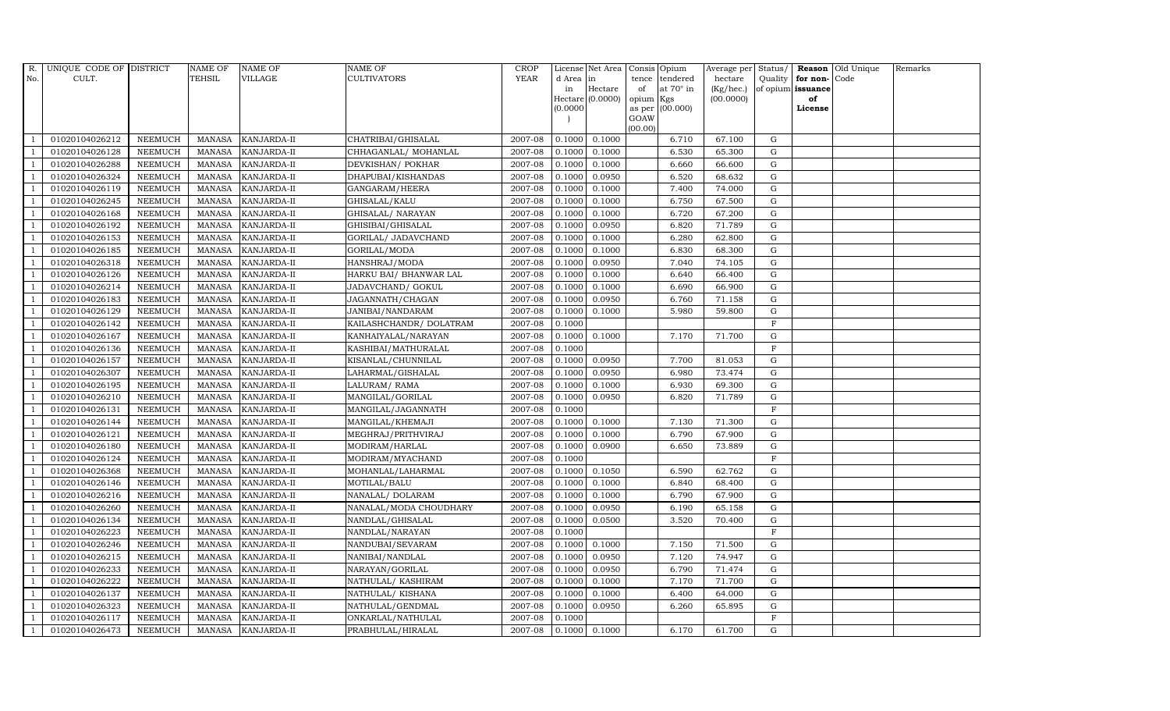| $R_{\cdot}$    | UNIQUE CODE OF DISTRICT |                | <b>NAME OF</b> | <b>NAME OF</b>     | <b>NAME OF</b>          | <b>CROP</b> |           | License Net Area   | Consis Opium |                  | Average per | Status/      |                   | Reason Old Unique | Remarks |
|----------------|-------------------------|----------------|----------------|--------------------|-------------------------|-------------|-----------|--------------------|--------------|------------------|-------------|--------------|-------------------|-------------------|---------|
| No.            | CULT.                   |                | <b>TEHSIL</b>  | VILLAGE            | <b>CULTIVATORS</b>      | <b>YEAR</b> | d Area in |                    | tence        | tendered         | hectare     | Quality      | for non-Code      |                   |         |
|                |                         |                |                |                    |                         |             | in        | Hectare            | of           | at $70^\circ$ in | (Kg/hec.)   |              | of opium issuance |                   |         |
|                |                         |                |                |                    |                         |             |           | Hectare $(0.0000)$ | opium Kgs    |                  | (00.0000)   |              | of                |                   |         |
|                |                         |                |                |                    |                         |             | (0.0000)  |                    | GOAW         | as per (00.000)  |             |              | License           |                   |         |
|                |                         |                |                |                    |                         |             |           |                    | (00.00)      |                  |             |              |                   |                   |         |
|                | 01020104026212          | <b>NEEMUCH</b> | MANASA         | <b>KANJARDA-II</b> | CHATRIBAI/GHISALAL      | 2007-08     | 0.1000    | 0.1000             |              | 6.710            | 67.100      | G            |                   |                   |         |
| -1             | 01020104026128          | <b>NEEMUCH</b> | MANASA         | KANJARDA-II        | CHHAGANLAL/ MOHANLAL    | 2007-08     | 0.1000    | 0.1000             |              | 6.530            | 65.300      | $\mathbf G$  |                   |                   |         |
|                | 01020104026288          | NEEMUCH        | <b>MANASA</b>  | KANJARDA-II        | DEVKISHAN/ POKHAR       | 2007-08     | 0.1000    | 0.1000             |              | 6.660            | 66.600      | G            |                   |                   |         |
|                | 01020104026324          | <b>NEEMUCH</b> | MANASA         | KANJARDA-II        | DHAPUBAI/KISHANDAS      | 2007-08     | 0.1000    | 0.0950             |              | 6.520            | 68.632      | ${\rm G}$    |                   |                   |         |
| $\overline{1}$ | 01020104026119          | <b>NEEMUCH</b> | <b>MANASA</b>  | KANJARDA-II        | GANGARAM/HEERA          | 2007-08     | 0.1000    | 0.1000             |              | 7.400            | 74.000      | ${\rm G}$    |                   |                   |         |
| $\overline{1}$ | 01020104026245          | NEEMUCH        | <b>MANASA</b>  | KANJARDA-II        | GHISALAL/KALU           | 2007-08     | 0.1000    | 0.1000             |              | 6.750            | 67.500      | G            |                   |                   |         |
| $\overline{1}$ | 01020104026168          | <b>NEEMUCH</b> | MANASA         | <b>KANJARDA-II</b> | GHISALAL/ NARAYAN       | 2007-08     | 0.1000    | 0.1000             |              | 6.720            | 67.200      | $\mathbf G$  |                   |                   |         |
| $\overline{1}$ | 01020104026192          | <b>NEEMUCH</b> | <b>MANASA</b>  | KANJARDA-II        | GHISIBAI/GHISALAL       | 2007-08     | 0.1000    | 0.0950             |              | 6.820            | 71.789      | $\mathbf G$  |                   |                   |         |
|                | 01020104026153          | <b>NEEMUCH</b> | <b>MANASA</b>  | KANJARDA-II        | GORILAL/ JADAVCHAND     | 2007-08     | 0.1000    | 0.1000             |              | 6.280            | 62.800      | G            |                   |                   |         |
| $\overline{1}$ | 01020104026185          | <b>NEEMUCH</b> | <b>MANASA</b>  | KANJARDA-II        | GORILAL/MODA            | 2007-08     | 0.1000    | 0.1000             |              | 6.830            | 68.300      | G            |                   |                   |         |
| -1             | 01020104026318          | <b>NEEMUCH</b> | <b>MANASA</b>  | KANJARDA-II        | HANSHRAJ/MODA           | 2007-08     | 0.1000    | 0.0950             |              | 7.040            | 74.105      | ${\rm G}$    |                   |                   |         |
| $\overline{1}$ | 01020104026126          | <b>NEEMUCH</b> | <b>MANASA</b>  | KANJARDA-II        | HARKU BAI/ BHANWAR LAL  | 2007-08     | 0.1000    | 0.1000             |              | 6.640            | 66.400      | $\mathbf G$  |                   |                   |         |
| $\overline{1}$ | 01020104026214          | <b>NEEMUCH</b> | <b>MANASA</b>  | KANJARDA-II        | JADAVCHAND/ GOKUL       | 2007-08     | 0.1000    | 0.1000             |              | 6.690            | 66.900      | $\mathbf G$  |                   |                   |         |
|                | 01020104026183          | <b>NEEMUCH</b> | <b>MANASA</b>  | KANJARDA-II        | JAGANNATH/CHAGAN        | 2007-08     | 0.1000    | 0.0950             |              | 6.760            | 71.158      | G            |                   |                   |         |
|                | 01020104026129          | <b>NEEMUCH</b> | <b>MANASA</b>  | KANJARDA-II        | JANIBAI/NANDARAM        | 2007-08     | 0.1000    | 0.1000             |              | 5.980            | 59.800      | G            |                   |                   |         |
| $\overline{1}$ | 01020104026142          | <b>NEEMUCH</b> | <b>MANASA</b>  | KANJARDA-II        | KAILASHCHANDR/ DOLATRAM | 2007-08     | 0.1000    |                    |              |                  |             | $\mathbf F$  |                   |                   |         |
| $\overline{1}$ | 01020104026167          | <b>NEEMUCH</b> | <b>MANASA</b>  | KANJARDA-II        | KANHAIYALAL/NARAYAN     | 2007-08     | 0.1000    | 0.1000             |              | 7.170            | 71.700      | G            |                   |                   |         |
| $\overline{1}$ | 01020104026136          | <b>NEEMUCH</b> | <b>MANASA</b>  | KANJARDA-II        | KASHIBAI/MATHURALAL     | 2007-08     | 0.1000    |                    |              |                  |             | $\mathbf F$  |                   |                   |         |
|                | 01020104026157          | <b>NEEMUCH</b> | <b>MANASA</b>  | KANJARDA-II        | KISANLAL/CHUNNILAL      | 2007-08     | 0.1000    | 0.0950             |              | 7.700            | 81.053      | $\mathbf G$  |                   |                   |         |
|                | 01020104026307          | <b>NEEMUCH</b> | <b>MANASA</b>  | KANJARDA-II        | LAHARMAL/GISHALAL       | 2007-08     | 0.1000    | 0.0950             |              | 6.980            | 73.474      | $\mathbf G$  |                   |                   |         |
| $\overline{1}$ | 01020104026195          | <b>NEEMUCH</b> | <b>MANASA</b>  | KANJARDA-II        | LALURAM/RAMA            | 2007-08     | 0.1000    | 0.1000             |              | 6.930            | 69.300      | G            |                   |                   |         |
| $\overline{1}$ | 01020104026210          | <b>NEEMUCH</b> | <b>MANASA</b>  | KANJARDA-II        | MANGILAL/GORILAL        | 2007-08     | 0.1000    | 0.0950             |              | 6.820            | 71.789      | ${\rm G}$    |                   |                   |         |
| $\overline{1}$ | 01020104026131          | <b>NEEMUCH</b> | MANASA         | KANJARDA-II        | MANGILAL/JAGANNATH      | 2007-08     | 0.1000    |                    |              |                  |             | $\mathbf F$  |                   |                   |         |
|                | 01020104026144          | <b>NEEMUCH</b> | <b>MANASA</b>  | KANJARDA-II        | MANGILAL/KHEMAJI        | 2007-08     | 0.1000    | 0.1000             |              | 7.130            | 71.300      | $\mathbf G$  |                   |                   |         |
|                | 01020104026121          | <b>NEEMUCH</b> | <b>MANASA</b>  | KANJARDA-II        | MEGHRAJ/PRITHVIRAJ      | 2007-08     | 0.1000    | 0.1000             |              | 6.790            | 67.900      | G            |                   |                   |         |
| $\overline{1}$ | 01020104026180          | <b>NEEMUCH</b> | <b>MANASA</b>  | KANJARDA-II        | MODIRAM/HARLAL          | 2007-08     | 0.1000    | 0.0900             |              | 6.650            | 73.889      | G            |                   |                   |         |
|                | 01020104026124          | <b>NEEMUCH</b> | <b>MANASA</b>  | KANJARDA-II        | MODIRAM/MYACHAND        | 2007-08     | 0.1000    |                    |              |                  |             | $\mathbf F$  |                   |                   |         |
| $\overline{1}$ | 01020104026368          | <b>NEEMUCH</b> | <b>MANASA</b>  | KANJARDA-II        | MOHANLAL/LAHARMAL       | 2007-08     | 0.1000    | 0.1050             |              | 6.590            | 62.762      | G            |                   |                   |         |
| $\overline{1}$ | 01020104026146          | <b>NEEMUCH</b> | <b>MANASA</b>  | KANJARDA-II        | MOTILAL/BALU            | 2007-08     | 0.1000    | 0.1000             |              | 6.840            | 68.400      | $\mathbf G$  |                   |                   |         |
|                | 01020104026216          | <b>NEEMUCH</b> | <b>MANASA</b>  | KANJARDA-II        | NANALAL/DOLARAM         | 2007-08     | 0.1000    | 0.1000             |              | 6.790            | 67.900      | $\mathbf G$  |                   |                   |         |
| $\overline{1}$ | 01020104026260          | <b>NEEMUCH</b> | <b>MANASA</b>  | KANJARDA-II        | NANALAL/MODA CHOUDHARY  | 2007-08     | 0.1000    | 0.0950             |              | 6.190            | 65.158      | G            |                   |                   |         |
|                | 01020104026134          | <b>NEEMUCH</b> | <b>MANASA</b>  | KANJARDA-II        | NANDLAL/GHISALAL        | 2007-08     | 0.1000    | 0.0500             |              | 3.520            | 70.400      | ${\rm G}$    |                   |                   |         |
| $\overline{1}$ | 01020104026223          | NEEMUCH        | <b>MANASA</b>  | KANJARDA-II        | NANDLAL/NARAYAN         | 2007-08     | 0.1000    |                    |              |                  |             | F            |                   |                   |         |
| $\overline{1}$ | 01020104026246          | <b>NEEMUCH</b> | <b>MANASA</b>  | KANJARDA-II        | NANDUBAI/SEVARAM        | 2007-08     | 0.1000    | 0.1000             |              | 7.150            | 71.500      | $\mathbf G$  |                   |                   |         |
|                | 01020104026215          | <b>NEEMUCH</b> | <b>MANASA</b>  | KANJARDA-II        | NANIBAI/NANDLAL         | 2007-08     | 0.1000    | 0.0950             |              | 7.120            | 74.947      | $\mathbf G$  |                   |                   |         |
| $\overline{1}$ | 01020104026233          | <b>NEEMUCH</b> | <b>MANASA</b>  | KANJARDA-II        | NARAYAN/GORILAL         | 2007-08     | 0.1000    | 0.0950             |              | 6.790            | 71.474      | ${\rm G}$    |                   |                   |         |
| $\overline{1}$ | 01020104026222          | <b>NEEMUCH</b> | <b>MANASA</b>  | KANJARDA-II        | NATHULAL/ KASHIRAM      | 2007-08     | 0.1000    | 0.1000             |              | 7.170            | 71.700      | ${\rm G}$    |                   |                   |         |
| $\mathbf{1}$   | 01020104026137          | <b>NEEMUCH</b> | <b>MANASA</b>  | KANJARDA-II        | NATHULAL/KISHANA        | 2007-08     | 0.1000    | 0.1000             |              | 6.400            | 64.000      | ${\rm G}$    |                   |                   |         |
| $\overline{1}$ | 01020104026323          | <b>NEEMUCH</b> | <b>MANASA</b>  | KANJARDA-II        | NATHULAL/GENDMAL        | 2007-08     | 0.1000    | 0.0950             |              | 6.260            | 65.895      | $\mathbf G$  |                   |                   |         |
|                | 01020104026117          | <b>NEEMUCH</b> | <b>MANASA</b>  | KANJARDA-II        | ONKARLAL/NATHULAL       | 2007-08     | 0.1000    |                    |              |                  |             | $\mathbf{F}$ |                   |                   |         |
| $\mathbf{1}$   | 01020104026473          | <b>NEEMUCH</b> |                | MANASA KANJARDA-II | PRABHULAL/HIRALAL       | 2007-08     | 0.1000    | 0.1000             |              | 6.170            | 61.700      | G            |                   |                   |         |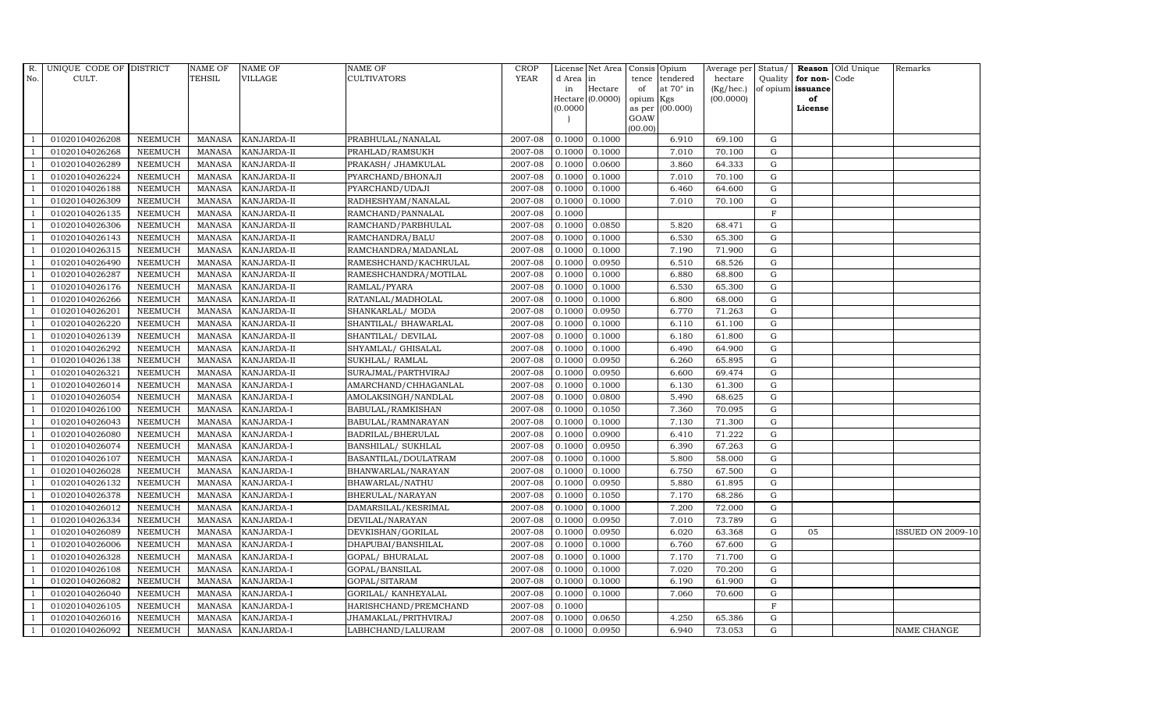| R.             | UNIQUE CODE OF DISTRICT |                | <b>NAME OF</b> | <b>NAME OF</b>     | <b>NAME OF</b>        | CROP        |           | License Net Area |         | Consis Opium           | Average per | Status/      |                   | Reason Old Unique | Remarks                  |
|----------------|-------------------------|----------------|----------------|--------------------|-----------------------|-------------|-----------|------------------|---------|------------------------|-------------|--------------|-------------------|-------------------|--------------------------|
| No.            | CULT.                   |                | TEHSIL         | VILLAGE            | <b>CULTIVATORS</b>    | <b>YEAR</b> | d Area in |                  | tence   | tendered               | hectare     | Quality      | for non-          | Code              |                          |
|                |                         |                |                |                    |                       |             | in        | Hectare          | of      | at $70^\circ$ in       | (Kg/hec.)   |              | of opium issuance |                   |                          |
|                |                         |                |                |                    |                       |             | (0.0000)  | Hectare (0.0000) | opium   | Kgs<br>as per (00.000) | (00.0000)   |              | of<br>License     |                   |                          |
|                |                         |                |                |                    |                       |             |           |                  | GOAW    |                        |             |              |                   |                   |                          |
|                |                         |                |                |                    |                       |             |           |                  | (00.00) |                        |             |              |                   |                   |                          |
|                | 01020104026208          | <b>NEEMUCH</b> | <b>MANASA</b>  | <b>KANJARDA-II</b> | PRABHULAL/NANALAL     | 2007-08     | 0.1000    | 0.1000           |         | 6.910                  | 69.100      | G            |                   |                   |                          |
|                | 01020104026268          | <b>NEEMUCH</b> | MANASA         | <b>KANJARDA-II</b> | PRAHLAD/RAMSUKH       | 2007-08     | 0.1000    | 0.1000           |         | 7.010                  | 70.100      | G            |                   |                   |                          |
| $\overline{1}$ | 01020104026289          | <b>NEEMUCH</b> | <b>MANASA</b>  | KANJARDA-II        | PRAKASH / JHAMKULAL   | 2007-08     | 0.1000    | 0.0600           |         | 3.860                  | 64.333      | G            |                   |                   |                          |
|                | 01020104026224          | <b>NEEMUCH</b> | MANASA         | KANJARDA-II        | PYARCHAND/BHONAJI     | 2007-08     | 0.1000    | 0.1000           |         | 7.010                  | 70.100      | $\mathbf G$  |                   |                   |                          |
| $\overline{1}$ | 01020104026188          | <b>NEEMUCH</b> | MANASA         | KANJARDA-II        | PYARCHAND/UDAJI       | 2007-08     | 0.1000    | 0.1000           |         | 6.460                  | 64.600      | G            |                   |                   |                          |
| $\overline{1}$ | 01020104026309          | <b>NEEMUCH</b> | <b>MANASA</b>  | KANJARDA-II        | RADHESHYAM/NANALAL    | 2007-08     | 0.1000    | 0.1000           |         | 7.010                  | 70.100      | G            |                   |                   |                          |
| $\overline{1}$ | 01020104026135          | <b>NEEMUCH</b> | MANASA         | KANJARDA-II        | RAMCHAND/PANNALAL     | 2007-08     | 0.1000    |                  |         |                        |             | $\mathbf F$  |                   |                   |                          |
| $\overline{1}$ | 01020104026306          | <b>NEEMUCH</b> | MANASA         | <b>KANJARDA-II</b> | RAMCHAND/PARBHULAL    | 2007-08     | 0.1000    | 0.0850           |         | 5.820                  | 68.471      | G            |                   |                   |                          |
|                | 01020104026143          | <b>NEEMUCH</b> | <b>MANASA</b>  | KANJARDA-II        | RAMCHANDRA/BALU       | 2007-08     | 0.1000    | 0.1000           |         | 6.530                  | 65.300      | $\mathbf G$  |                   |                   |                          |
|                | 01020104026315          | NEEMUCH        | MANASA         | KANJARDA-II        | RAMCHANDRA/MADANLAL   | 2007-08     | 0.1000    | 0.1000           |         | 7.190                  | 71.900      | G            |                   |                   |                          |
| -1             | 01020104026490          | <b>NEEMUCH</b> | <b>MANASA</b>  | KANJARDA-II        | RAMESHCHAND/KACHRULAL | 2007-08     | 0.1000    | 0.0950           |         | 6.510                  | 68.526      | G            |                   |                   |                          |
| $\overline{1}$ | 01020104026287          | NEEMUCH        | MANASA         | KANJARDA-II        | RAMESHCHANDRA/MOTILAL | 2007-08     | 0.1000    | 0.1000           |         | 6.880                  | 68.800      | G            |                   |                   |                          |
| $\overline{1}$ | 01020104026176          | <b>NEEMUCH</b> | MANASA         | <b>KANJARDA-II</b> | RAMLAL/PYARA          | 2007-08     | 0.1000    | 0.1000           |         | 6.530                  | 65.300      | G            |                   |                   |                          |
|                | 01020104026266          | <b>NEEMUCH</b> | <b>MANASA</b>  | KANJARDA-II        | RATANLAL/MADHOLAL     | 2007-08     | 0.1000    | 0.1000           |         | 6.800                  | 68.000      | $\mathbf G$  |                   |                   |                          |
|                | 01020104026201          | NEEMUCH        | <b>MANASA</b>  | KANJARDA-II        | SHANKARLAL/ MODA      | 2007-08     | 0.1000    | 0.0950           |         | 6.770                  | 71.263      | ${\rm G}$    |                   |                   |                          |
| $\overline{1}$ | 01020104026220          | <b>NEEMUCH</b> | <b>MANASA</b>  | KANJARDA-II        | SHANTILAL/ BHAWARLAL  | 2007-08     | 0.1000    | 0.1000           |         | 6.110                  | 61.100      | G            |                   |                   |                          |
| -1             | 01020104026139          | <b>NEEMUCH</b> | MANASA         | KANJARDA-II        | SHANTILAL/ DEVILAL    | 2007-08     | 0.1000    | 0.1000           |         | 6.180                  | 61.800      | G            |                   |                   |                          |
| $\overline{1}$ | 01020104026292          | <b>NEEMUCH</b> | MANASA         | KANJARDA-II        | SHYAMLAL/ GHISALAL    | 2007-08     | 0.1000    | 0.1000           |         | 6.490                  | 64.900      | G            |                   |                   |                          |
|                | 01020104026138          | <b>NEEMUCH</b> | <b>MANASA</b>  | KANJARDA-II        | SUKHLAL/ RAMLAL       | 2007-08     | 0.1000    | 0.0950           |         | 6.260                  | 65.895      | G            |                   |                   |                          |
|                | 01020104026321          | NEEMUCH        | <b>MANASA</b>  | KANJARDA-II        | SURAJMAL/PARTHVIRAJ   | 2007-08     | 0.1000    | 0.0950           |         | 6.600                  | 69.474      | ${\rm G}$    |                   |                   |                          |
| $\overline{1}$ | 01020104026014          | <b>NEEMUCH</b> | MANASA         | KANJARDA-I         | AMARCHAND/CHHAGANLAL  | 2007-08     | 0.1000    | 0.1000           |         | 6.130                  | 61.300      | G            |                   |                   |                          |
|                | 01020104026054          | <b>NEEMUCH</b> | <b>MANASA</b>  | KANJARDA-I         | AMOLAKSINGH/NANDLAL   | 2007-08     | 0.1000    | 0.0800           |         | 5.490                  | 68.625      | G            |                   |                   |                          |
| $\overline{1}$ | 01020104026100          | <b>NEEMUCH</b> | MANASA         | KANJARDA-I         | BABULAL/RAMKISHAN     | 2007-08     | 0.1000    | 0.1050           |         | 7.360                  | 70.095      | G            |                   |                   |                          |
|                | 01020104026043          | <b>NEEMUCH</b> | <b>MANASA</b>  | <b>KANJARDA-I</b>  | BABULAL/RAMNARAYAN    | 2007-08     | 0.1000    | 0.1000           |         | 7.130                  | 71.300      | G            |                   |                   |                          |
|                | 01020104026080          | NEEMUCH        | <b>MANASA</b>  | KANJARDA-I         | BADRILAL/BHERULAL     | 2007-08     | 0.1000    | 0.0900           |         | 6.410                  | 71.222      | G            |                   |                   |                          |
| $\overline{1}$ | 01020104026074          | <b>NEEMUCH</b> | <b>MANASA</b>  | KANJARDA-I         | BANSHILAL/ SUKHLAL    | 2007-08     | 0.1000    | 0.0950           |         | 6.390                  | 67.263      | G            |                   |                   |                          |
| -1             | 01020104026107          | <b>NEEMUCH</b> | <b>MANASA</b>  | KANJARDA-I         | BASANTILAL/DOULATRAM  | 2007-08     | 0.1000    | 0.1000           |         | 5.800                  | 58.000      | G            |                   |                   |                          |
| $\overline{1}$ | 01020104026028          | <b>NEEMUCH</b> | MANASA         | KANJARDA-I         | BHANWARLAL/NARAYAN    | 2007-08     | 0.1000    | 0.1000           |         | 6.750                  | 67.500      | G            |                   |                   |                          |
|                | 01020104026132          | <b>NEEMUCH</b> | <b>MANASA</b>  | KANJARDA-I         | BHAWARLAL/NATHU       | 2007-08     | 0.1000    | 0.0950           |         | 5.880                  | 61.895      | $\mathbf G$  |                   |                   |                          |
|                | 01020104026378          | <b>NEEMUCH</b> | <b>MANASA</b>  | KANJARDA-I         | BHERULAL/NARAYAN      | 2007-08     | 0.1000    | 0.1050           |         | 7.170                  | 68.286      | G            |                   |                   |                          |
|                | 01020104026012          | <b>NEEMUCH</b> | MANASA         | KANJARDA-I         | DAMARSILAL/KESRIMAL   | 2007-08     | 0.1000    | 0.1000           |         | 7.200                  | 72.000      | G            |                   |                   |                          |
|                | 01020104026334          | <b>NEEMUCH</b> | <b>MANASA</b>  | KANJARDA-I         | DEVILAL/NARAYAN       | 2007-08     | 0.1000    | 0.0950           |         | 7.010                  | 73.789      | G            |                   |                   |                          |
| $\overline{1}$ | 01020104026089          | <b>NEEMUCH</b> | MANASA         | KANJARDA-I         | DEVKISHAN/GORILAL     | 2007-08     | 0.1000    | 0.0950           |         | 6.020                  | 63.368      | G            | 05                |                   | <b>ISSUED ON 2009-10</b> |
| $\overline{1}$ | 01020104026006          | <b>NEEMUCH</b> | <b>MANASA</b>  | KANJARDA-I         | DHAPUBAI/BANSHILAL    | 2007-08     | 0.1000    | 0.1000           |         | 6.760                  | 67.600      | G            |                   |                   |                          |
|                | 01020104026328          | <b>NEEMUCH</b> | <b>MANASA</b>  | KANJARDA-I         | GOPAL/ BHURALAL       | 2007-08     | 0.1000    | 0.1000           |         | 7.170                  | 71.700      | $\mathbf G$  |                   |                   |                          |
| $\overline{1}$ | 01020104026108          | <b>NEEMUCH</b> | <b>MANASA</b>  | KANJARDA-I         | GOPAL/BANSILAL        | 2007-08     | 0.1000    | 0.1000           |         | 7.020                  | 70.200      | G            |                   |                   |                          |
|                | 01020104026082          | <b>NEEMUCH</b> | <b>MANASA</b>  | KANJARDA-I         | GOPAL/SITARAM         | 2007-08     | 0.1000    | 0.1000           |         | 6.190                  | 61.900      | G            |                   |                   |                          |
| $\overline{1}$ | 01020104026040          | NEEMUCH        | <b>MANASA</b>  | KANJARDA-I         | GORILAL/ KANHEYALAL   | 2007-08     | 0.1000    | 0.1000           |         | 7.060                  | 70.600      | G            |                   |                   |                          |
| $\overline{1}$ | 01020104026105          | <b>NEEMUCH</b> | <b>MANASA</b>  | KANJARDA-I         | HARISHCHAND/PREMCHAND | 2007-08     | 0.1000    |                  |         |                        |             | $\mathbf{F}$ |                   |                   |                          |
|                | 01020104026016          | <b>NEEMUCH</b> | <b>MANASA</b>  | KANJARDA-I         | JHAMAKLAL/PRITHVIRAJ  | 2007-08     | 0.1000    | 0.0650           |         | 4.250                  | 65.386      | $\mathbf G$  |                   |                   |                          |
| $\overline{1}$ | 01020104026092          | <b>NEEMUCH</b> |                | MANASA KANJARDA-I  | LABHCHAND/LALURAM     | 2007-08     | 0.1000    | 0.0950           |         | 6.940                  | 73.053      | G            |                   |                   | NAME CHANGE              |
|                |                         |                |                |                    |                       |             |           |                  |         |                        |             |              |                   |                   |                          |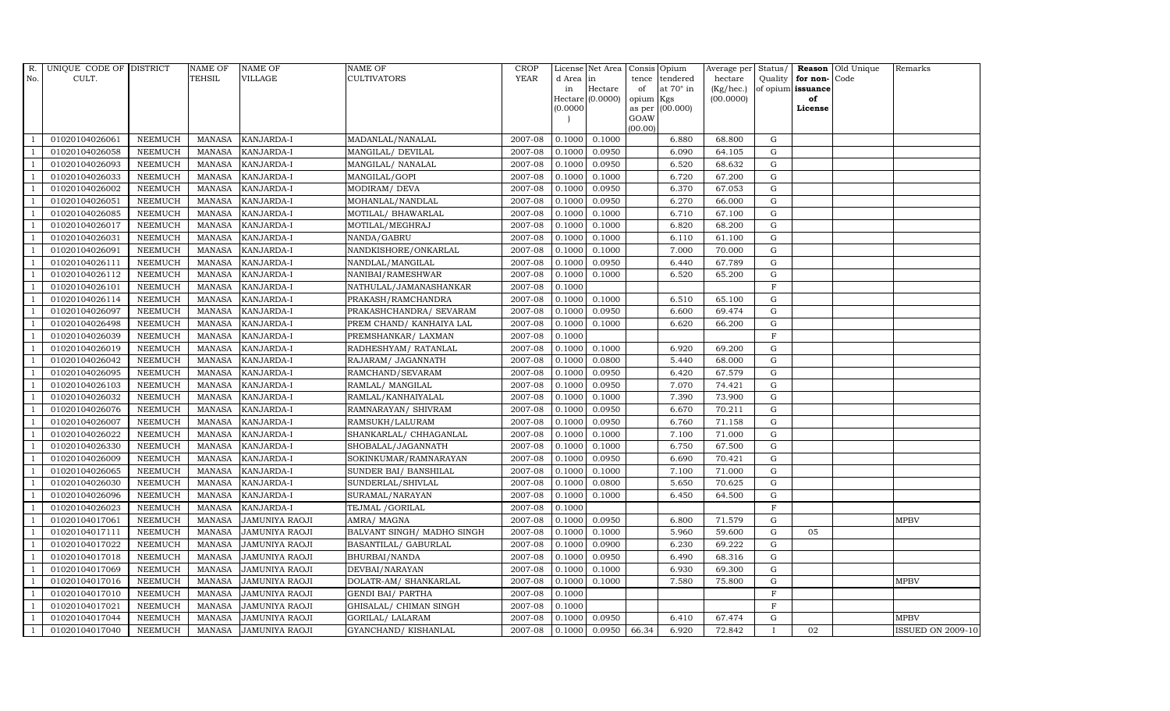| $R_{\cdot}$    | UNIQUE CODE OF DISTRICT |                | NAME OF         | <b>NAME OF</b>        | <b>NAME OF</b>             | CROP        |           | License Net Area Consis Opium |           |                  | Average per Status/ |              |                   | <b>Reason</b> Old Unique | Remarks                  |
|----------------|-------------------------|----------------|-----------------|-----------------------|----------------------------|-------------|-----------|-------------------------------|-----------|------------------|---------------------|--------------|-------------------|--------------------------|--------------------------|
| No.            | CULT.                   |                | <b>TEHSIL</b>   | <b>VILLAGE</b>        | <b>CULTIVATORS</b>         | <b>YEAR</b> | d Area in |                               |           | tence tendered   | hectare             | Quality      | for non-          | Code                     |                          |
|                |                         |                |                 |                       |                            |             | in        | Hectare                       | of        | at $70^\circ$ in | (Kg/hec.)           |              | of opium issuance |                          |                          |
|                |                         |                |                 |                       |                            |             | (0.0000)  | Hectare [0.0000]              | opium Kgs | as per (00.000)  | (00.0000)           |              | of<br>License     |                          |                          |
|                |                         |                |                 |                       |                            |             |           |                               | GOAW      |                  |                     |              |                   |                          |                          |
|                |                         |                |                 |                       |                            |             |           |                               | (00.00)   |                  |                     |              |                   |                          |                          |
|                | 01020104026061          | <b>NEEMUCH</b> | MANASA          | <b>KANJARDA-I</b>     | MADANLAL/NANALAL           | 2007-08     |           | $0.1000 \quad 0.1000$         |           | 6.880            | 68.800              | G            |                   |                          |                          |
| $\overline{1}$ | 01020104026058          | <b>NEEMUCH</b> | MANASA          | <b>KANJARDA-I</b>     | MANGILAL/ DEVILAL          | 2007-08     | 0.1000    | 0.0950                        |           | 6.090            | 64.105              | G            |                   |                          |                          |
|                | 01020104026093          | <b>NEEMUCH</b> | <b>MANASA</b>   | KANJARDA-I            | MANGILAL/ NANALAL          | 2007-08     | 0.1000    | 0.0950                        |           | 6.520            | 68.632              | G            |                   |                          |                          |
|                | 01020104026033          | <b>NEEMUCH</b> | MANASA          | KANJARDA-I            | MANGILAL/GOPI              | 2007-08     | 0.1000    | 0.1000                        |           | 6.720            | 67.200              | $\mathbf G$  |                   |                          |                          |
| $\overline{1}$ | 01020104026002          | <b>NEEMUCH</b> | <b>MANASA</b>   | KANJARDA-I            | MODIRAM/ DEVA              | 2007-08     | 0.1000    | 0.0950                        |           | 6.370            | 67.053              | ${\rm G}$    |                   |                          |                          |
| $\overline{1}$ | 01020104026051          | <b>NEEMUCH</b> | <b>MANASA</b>   | KANJARDA-I            | MOHANLAL/NANDLAL           | 2007-08     | 0.1000    | 0.0950                        |           | 6.270            | 66.000              | ${\rm G}$    |                   |                          |                          |
| $\overline{1}$ | 01020104026085          | <b>NEEMUCH</b> | <b>MANASA</b>   | KANJARDA-I            | MOTILAL/ BHAWARLAL         | 2007-08     | 0.1000    | 0.1000                        |           | 6.710            | 67.100              | $\mathbf G$  |                   |                          |                          |
| $\overline{1}$ | 01020104026017          | <b>NEEMUCH</b> | <b>MANASA</b>   | KANJARDA-I            | MOTILAL/MEGHRAJ            | 2007-08     | 0.1000    | 0.1000                        |           | 6.820            | 68.200              | $\mathbf G$  |                   |                          |                          |
|                | 01020104026031          | <b>NEEMUCH</b> | <b>MANASA</b>   | KANJARDA-I            | NANDA/GABRU                | 2007-08     | 0.1000    | 0.1000                        |           | 6.110            | 61.100              | G            |                   |                          |                          |
|                | 01020104026091          | <b>NEEMUCH</b> | <b>MANASA</b>   | KANJARDA-I            | NANDKISHORE/ONKARLAL       | 2007-08     | 0.1000    | 0.1000                        |           | 7.000            | 70.000              | $\mathbf G$  |                   |                          |                          |
| $\overline{1}$ | 01020104026111          | <b>NEEMUCH</b> | <b>MANASA</b>   | KANJARDA-I            | NANDLAL/MANGILAL           | 2007-08     | 0.1000    | 0.0950                        |           | 6.440            | 67.789              | ${\rm G}$    |                   |                          |                          |
| $\overline{1}$ | 01020104026112          | <b>NEEMUCH</b> | MANASA          | KANJARDA-I            | NANIBAI/RAMESHWAR          | 2007-08     | 0.1000    | 0.1000                        |           | 6.520            | 65.200              | ${\rm G}$    |                   |                          |                          |
| $\overline{1}$ | 01020104026101          | <b>NEEMUCH</b> | MANASA          | <b>KANJARDA-I</b>     | NATHULAL/JAMANASHANKAR     | 2007-08     | 0.1000    |                               |           |                  |                     | $_{\rm F}$   |                   |                          |                          |
|                | 01020104026114          | <b>NEEMUCH</b> | <b>MANASA</b>   | <b>KANJARDA-I</b>     | PRAKASH/RAMCHANDRA         | 2007-08     | 0.1000    | 0.1000                        |           | 6.510            | 65.100              | $\mathbf G$  |                   |                          |                          |
|                | 01020104026097          | NEEMUCH        | $\mbox{MANASA}$ | KANJARDA-I            | PRAKASHCHANDRA/ SEVARAM    | 2007-08     | 0.1000    | 0.0950                        |           | 6.600            | 69.474              | ${\rm G}$    |                   |                          |                          |
| -1             | 01020104026498          | <b>NEEMUCH</b> | <b>MANASA</b>   | KANJARDA-I            | PREM CHAND/ KANHAIYA LAL   | 2007-08     | 0.1000    | 0.1000                        |           | 6.620            | 66.200              | ${\rm G}$    |                   |                          |                          |
| $\overline{1}$ | 01020104026039          | <b>NEEMUCH</b> | <b>MANASA</b>   | KANJARDA-I            | PREMSHANKAR/ LAXMAN        | 2007-08     | 0.1000    |                               |           |                  |                     | $\mathbf F$  |                   |                          |                          |
| $\overline{1}$ | 01020104026019          | <b>NEEMUCH</b> | MANASA          | KANJARDA-I            | RADHESHYAM/ RATANLAL       | 2007-08     | 0.1000    | 0.1000                        |           | 6.920            | 69.200              | G            |                   |                          |                          |
|                | 01020104026042          | <b>NEEMUCH</b> | <b>MANASA</b>   | <b>KANJARDA-I</b>     | RAJARAM / JAGANNATH        | 2007-08     | 0.1000    | 0.0800                        |           | 5.440            | 68.000              | $\mathbf G$  |                   |                          |                          |
|                | 01020104026095          | NEEMUCH        | <b>MANASA</b>   | KANJARDA-I            | RAMCHAND/SEVARAM           | 2007-08     | 0.1000    | 0.0950                        |           | 6.420            | 67.579              | $\mathbf G$  |                   |                          |                          |
| $\overline{1}$ | 01020104026103          | <b>NEEMUCH</b> | <b>MANASA</b>   | KANJARDA-I            | RAMLAL/ MANGILAL           | 2007-08     | 0.1000    | 0.0950                        |           | 7.070            | 74.421              | $\mathbf G$  |                   |                          |                          |
| -1             | 01020104026032          | <b>NEEMUCH</b> | <b>MANASA</b>   | <b>KANJARDA-I</b>     | RAMLAL/KANHAIYALAL         | 2007-08     | 0.1000    | 0.1000                        |           | 7.390            | 73.900              | $\mathbf G$  |                   |                          |                          |
| $\overline{1}$ | 01020104026076          | <b>NEEMUCH</b> | MANASA          | KANJARDA-I            | RAMNARAYAN/ SHIVRAM        | 2007-08     | 0.1000    | 0.0950                        |           | 6.670            | 70.211              | ${\rm G}$    |                   |                          |                          |
|                | 01020104026007          | <b>NEEMUCH</b> | <b>MANASA</b>   | KANJARDA-I            | RAMSUKH/LALURAM            | 2007-08     | 0.1000    | 0.0950                        |           | 6.760            | 71.158              | $\mathbf G$  |                   |                          |                          |
|                | 01020104026022          | <b>NEEMUCH</b> | <b>MANASA</b>   | <b>KANJARDA-I</b>     | SHANKARLAL/ CHHAGANLAL     | 2007-08     | 0.1000    | 0.1000                        |           | 7.100            | 71.000              | $\mathbf G$  |                   |                          |                          |
| $\overline{1}$ | 01020104026330          | <b>NEEMUCH</b> | MANASA          | KANJARDA-I            | SHOBALAL/JAGANNATH         | 2007-08     | 0.1000    | 0.1000                        |           | 6.750            | 67.500              | ${\rm G}$    |                   |                          |                          |
|                | 01020104026009          | <b>NEEMUCH</b> | <b>MANASA</b>   | KANJARDA-I            | SOKINKUMAR/RAMNARAYAN      | 2007-08     | 0.1000    | 0.0950                        |           | 6.690            | 70.421              | $\mathbf G$  |                   |                          |                          |
|                | 01020104026065          | <b>NEEMUCH</b> | MANASA          | KANJARDA-I            | SUNDER BAI/ BANSHILAL      | 2007-08     | 0.1000    | 0.1000                        |           | 7.100            | 71.000              | ${\bf G}$    |                   |                          |                          |
| $\overline{1}$ | 01020104026030          | <b>NEEMUCH</b> | MANASA          | <b>KANJARDA-I</b>     | SUNDERLAL/SHIVLAL          | 2007-08     | 0.1000    | 0.0800                        |           | 5.650            | 70.625              | $\mathbf G$  |                   |                          |                          |
|                | 01020104026096          | <b>NEEMUCH</b> | <b>MANASA</b>   | KANJARDA-I            | SURAMAL/NARAYAN            | 2007-08     | 0.1000    | 0.1000                        |           | 6.450            | 64.500              | $\mathbf G$  |                   |                          |                          |
|                | 01020104026023          | <b>NEEMUCH</b> | <b>MANASA</b>   | <b>KANJARDA-I</b>     | TEJMAL /GORILAL            | 2007-08     | 0.1000    |                               |           |                  |                     | $\mathbf F$  |                   |                          |                          |
| $\overline{1}$ | 01020104017061          | <b>NEEMUCH</b> | <b>MANASA</b>   | JAMUNIYA RAOJI        | AMRA/ MAGNA                | 2007-08     | 0.1000    | 0.0950                        |           | 6.800            | 71.579              | $\mathbf G$  |                   |                          | <b>MPBV</b>              |
|                | 01020104017111          | <b>NEEMUCH</b> | <b>MANASA</b>   | <b>JAMUNIYA RAOJI</b> | BALVANT SINGH/ MADHO SINGH | 2007-08     | 0.1000    | 0.1000                        |           | 5.960            | 59.600              | $\mathbf G$  | 05                |                          |                          |
| $\overline{1}$ | 01020104017022          | <b>NEEMUCH</b> | MANASA          | <b>JAMUNIYA RAOJI</b> | BASANTILAL/ GABURLAL       | 2007-08     | 0.1000    | 0.0900                        |           | 6.230            | 69.222              | $\mathbf G$  |                   |                          |                          |
|                | 01020104017018          | <b>NEEMUCH</b> | <b>MANASA</b>   | <b>JAMUNIYA RAOJI</b> | BHURBAI/NANDA              | 2007-08     | 0.1000    | 0.0950                        |           | 6.490            | 68.316              | $\mathbf G$  |                   |                          |                          |
|                | 01020104017069          | <b>NEEMUCH</b> | <b>MANASA</b>   | JAMUNIYA RAOJI        | DEVBAI/NARAYAN             | 2007-08     | 0.1000    | 0.1000                        |           | 6.930            | 69.300              | G            |                   |                          |                          |
| $\overline{1}$ | 01020104017016          | <b>NEEMUCH</b> | <b>MANASA</b>   | JAMUNIYA RAOJI        | DOLATR-AM/ SHANKARLAL      | 2007-08     | 0.1000    | 0.1000                        |           | 7.580            | 75.800              | ${\rm G}$    |                   |                          | <b>MPBV</b>              |
| $\overline{1}$ | 01020104017010          | <b>NEEMUCH</b> | <b>MANASA</b>   | JAMUNIYA RAOJI        | <b>GENDI BAI/ PARTHA</b>   | 2007-08     | 0.1000    |                               |           |                  |                     | $\mathbf{F}$ |                   |                          |                          |
| $\overline{1}$ | 01020104017021          | <b>NEEMUCH</b> | MANASA          | <b>JAMUNIYA RAOJI</b> | GHISALAL/ CHIMAN SINGH     | 2007-08     | 0.1000    |                               |           |                  |                     | $\mathbf F$  |                   |                          |                          |
| $\overline{1}$ | 01020104017044          | <b>NEEMUCH</b> | <b>MANASA</b>   | <b>JAMUNIYA RAOJI</b> | GORILAL/ LALARAM           | 2007-08     | 0.1000    | 0.0950                        |           | 6.410            | 67.474              | $\mathbf G$  |                   |                          | <b>MPBV</b>              |
| $\mathbf{1}$   | 01020104017040          | <b>NEEMUCH</b> |                 | MANASA JAMUNIYA RAOJI | GYANCHAND / KISHANLAL      | 2007-08     | 0.1000    | 0.0950                        | 66.34     | 6.920            | 72.842              |              | 02                |                          | <b>ISSUED ON 2009-10</b> |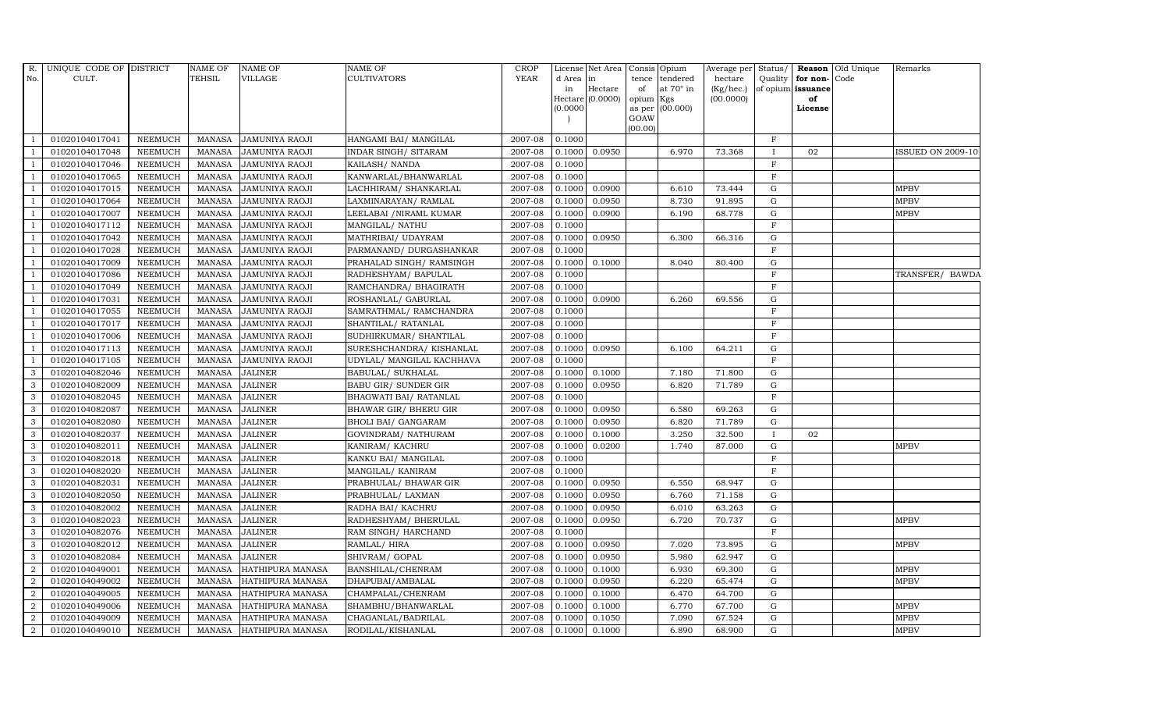| R.             | UNIQUE CODE OF DISTRICT |                | <b>NAME OF</b> | <b>NAME OF</b>          | <b>NAME OF</b>             | <b>CROP</b> |           | License Net Area Consis Opium |           |                  | Average per | Status/      |                   | <b>Reason</b> Old Unique | Remarks                  |
|----------------|-------------------------|----------------|----------------|-------------------------|----------------------------|-------------|-----------|-------------------------------|-----------|------------------|-------------|--------------|-------------------|--------------------------|--------------------------|
| No.            | CULT.                   |                | <b>TEHSIL</b>  | <b>VILLAGE</b>          | <b>CULTIVATORS</b>         | <b>YEAR</b> | d Area in |                               |           | tence tendered   | hectare     | Quality      | for non-          | Code                     |                          |
|                |                         |                |                |                         |                            |             | in        | Hectare                       | of        | at $70^\circ$ in | (Kg/hec.)   |              | of opium issuance |                          |                          |
|                |                         |                |                |                         |                            |             |           | Hectare $(0.0000)$            | opium Kgs |                  | (00.0000)   |              | of<br>License     |                          |                          |
|                |                         |                |                |                         |                            |             | (0.0000)  |                               | GOAW      | as per (00.000)  |             |              |                   |                          |                          |
|                |                         |                |                |                         |                            |             |           |                               | (00.00)   |                  |             |              |                   |                          |                          |
|                | 01020104017041          | <b>NEEMUCH</b> | MANASA         | <b>JAMUNIYA RAOJI</b>   | HANGAMI BAI/ MANGILAL      | 2007-08     | 0.1000    |                               |           |                  |             | $\mathbf F$  |                   |                          |                          |
| -1             | 01020104017048          | <b>NEEMUCH</b> | MANASA         | <b>JAMUNIYA RAOJI</b>   | INDAR SINGH / SITARAM      | 2007-08     | 0.1000    | 0.0950                        |           | 6.970            | 73.368      | $\mathbf{I}$ | 02                |                          | <b>ISSUED ON 2009-10</b> |
|                | 01020104017046          | <b>NEEMUCH</b> | <b>MANASA</b>  | JAMUNIYA RAOJI          | KAILASH / NANDA            | 2007-08     | 0.1000    |                               |           |                  |             | $_{\rm F}$   |                   |                          |                          |
|                | 01020104017065          | <b>NEEMUCH</b> | <b>MANASA</b>  | <b>JAMUNIYA RAOJI</b>   | KANWARLAL/BHANWARLAL       | 2007-08     | 0.1000    |                               |           |                  |             | $\mathbf F$  |                   |                          |                          |
| $\overline{1}$ | 01020104017015          | <b>NEEMUCH</b> | <b>MANASA</b>  | JAMUNIYA RAOJI          | LACHHIRAM / SHANKARLAL     | 2007-08     | 0.1000    | 0.0900                        |           | 6.610            | 73.444      | ${\rm G}$    |                   |                          | <b>MPBV</b>              |
| $\overline{1}$ | 01020104017064          | <b>NEEMUCH</b> | <b>MANASA</b>  | JAMUNIYA RAOJI          | LAXMINARAYAN / RAMLAL      | 2007-08     | 0.1000    | 0.0950                        |           | 8.730            | 91.895      | G            |                   |                          | <b>MPBV</b>              |
| $\overline{1}$ | 01020104017007          | <b>NEEMUCH</b> | <b>MANASA</b>  | <b>JAMUNIYA RAOJI</b>   | LEELABAI / NIRAML KUMAR    | 2007-08     | 0.1000    | 0.0900                        |           | 6.190            | 68.778      | ${\bf G}$    |                   |                          | <b>MPBV</b>              |
| $\overline{1}$ | 01020104017112          | <b>NEEMUCH</b> | <b>MANASA</b>  | <b>JAMUNIYA RAOJI</b>   | MANGILAL/ NATHU            | 2007-08     | 0.1000    |                               |           |                  |             | $\mathbf F$  |                   |                          |                          |
|                | 01020104017042          | <b>NEEMUCH</b> | <b>MANASA</b>  | JAMUNIYA RAOJI          | MATHRIBAI/ UDAYRAM         | 2007-08     | 0.1000    | 0.0950                        |           | 6.300            | 66.316      | $\mathbf G$  |                   |                          |                          |
|                | 01020104017028          | <b>NEEMUCH</b> | <b>MANASA</b>  | JAMUNIYA RAOJI          | PARMANAND/ DURGASHANKAR    | 2007-08     | 0.1000    |                               |           |                  |             | $\mathbf F$  |                   |                          |                          |
| $\overline{1}$ | 01020104017009          | <b>NEEMUCH</b> | <b>MANASA</b>  | JAMUNIYA RAOJI          | PRAHALAD SINGH/ RAMSINGH   | 2007-08     |           | $0.1000 \quad 0.1000$         |           | 8.040            | 80.400      | ${\rm G}$    |                   |                          |                          |
| $\overline{1}$ | 01020104017086          | <b>NEEMUCH</b> | <b>MANASA</b>  | <b>JAMUNIYA RAOJI</b>   | RADHESHYAM / BAPULAL       | 2007-08     | 0.1000    |                               |           |                  |             | $\rm F$      |                   |                          | TRANSFER/ BAWDA          |
| $\overline{1}$ | 01020104017049          | <b>NEEMUCH</b> | <b>MANASA</b>  | <b>JAMUNIYA RAOJI</b>   | RAMCHANDRA/ BHAGIRATH      | 2007-08     | 0.1000    |                               |           |                  |             | $\rm F$      |                   |                          |                          |
|                | 01020104017031          | <b>NEEMUCH</b> | <b>MANASA</b>  | <b>JAMUNIYA RAOJI</b>   | ROSHANLAL/ GABURLAL        | 2007-08     | 0.1000    | 0.0900                        |           | 6.260            | 69.556      | G            |                   |                          |                          |
| $\overline{1}$ | 01020104017055          | <b>NEEMUCH</b> | <b>MANASA</b>  | JAMUNIYA RAOJI          | SAMRATHMAL/ RAMCHANDRA     | 2007-08     | 0.1000    |                               |           |                  |             | $\mathbf F$  |                   |                          |                          |
| $\overline{1}$ | 01020104017017          | <b>NEEMUCH</b> | <b>MANASA</b>  | <b>JAMUNIYA RAOJI</b>   | SHANTILAL/ RATANLAL        | 2007-08     | 0.1000    |                               |           |                  |             | $\rm F$      |                   |                          |                          |
|                | 01020104017006          | <b>NEEMUCH</b> | <b>MANASA</b>  | <b>JAMUNIYA RAOJI</b>   | SUDHIRKUMAR/ SHANTILAL     | 2007-08     | 0.1000    |                               |           |                  |             | $\mathbf F$  |                   |                          |                          |
| $\overline{1}$ | 01020104017113          | <b>NEEMUCH</b> | MANASA         | <b>JAMUNIYA RAOJI</b>   | SURESHCHANDRA/ KISHANLAL   | 2007-08     | 0.1000    | 0.0950                        |           | 6.100            | 64.211      | $\mathbf G$  |                   |                          |                          |
|                | 01020104017105          | <b>NEEMUCH</b> | <b>MANASA</b>  | <b>JAMUNIYA RAOJI</b>   | UDYLAL/ MANGILAL KACHHAVA  | 2007-08     | 0.1000    |                               |           |                  |             | F            |                   |                          |                          |
| 3              | 01020104082046          | <b>NEEMUCH</b> | <b>MANASA</b>  | <b>JALINER</b>          | BABULAL/ SUKHALAL          | 2007-08     | 0.1000    | 0.1000                        |           | 7.180            | 71.800      | $\mathbf G$  |                   |                          |                          |
| $\mathbf{3}$   | 01020104082009          | <b>NEEMUCH</b> | <b>MANASA</b>  | <b>JALINER</b>          | BABU GIR/ SUNDER GIR       | 2007-08     | 0.1000    | 0.0950                        |           | 6.820            | 71.789      | ${\rm G}$    |                   |                          |                          |
| 3              | 01020104082045          | <b>NEEMUCH</b> | <b>MANASA</b>  | <b>JALINER</b>          | BHAGWATI BAI/ RATANLAL     | 2007-08     | 0.1000    |                               |           |                  |             | $\mathbf F$  |                   |                          |                          |
| $\mathbf{3}$   | 01020104082087          | <b>NEEMUCH</b> | <b>MANASA</b>  | <b>JALINER</b>          | BHAWAR GIR/ BHERU GIR      | 2007-08     | 0.1000    | 0.0950                        |           | 6.580            | 69.263      | G            |                   |                          |                          |
| 3              | 01020104082080          | <b>NEEMUCH</b> | <b>MANASA</b>  | <b>JALINER</b>          | <b>BHOLI BAI/ GANGARAM</b> | 2007-08     | 0.1000    | 0.0950                        |           | 6.820            | 71.789      | $\mathbf G$  |                   |                          |                          |
| 3              | 01020104082037          | <b>NEEMUCH</b> | <b>MANASA</b>  | <b>JALINER</b>          | GOVINDRAM / NATHURAM       | 2007-08     | 0.1000    | 0.1000                        |           | 3.250            | 32.500      |              | 02                |                          |                          |
| 3              | 01020104082011          | <b>NEEMUCH</b> | <b>MANASA</b>  | <b>JALINER</b>          | KANIRAM/KACHRU             | 2007-08     | 0.1000    | 0.0200                        |           | 1.740            | 87.000      | G            |                   |                          | <b>MPBV</b>              |
| 3              | 01020104082018          | <b>NEEMUCH</b> | <b>MANASA</b>  | <b>JALINER</b>          | KANKU BAI/ MANGILAL        | 2007-08     | 0.1000    |                               |           |                  |             | $\rm F$      |                   |                          |                          |
| 3              | 01020104082020          | <b>NEEMUCH</b> | <b>MANASA</b>  | <b>JALINER</b>          | MANGILAL/ KANIRAM          | 2007-08     | 0.1000    |                               |           |                  |             | $\mathbf F$  |                   |                          |                          |
| 3              | 01020104082031          | <b>NEEMUCH</b> | <b>MANASA</b>  | <b>JALINER</b>          | PRABHULAL/ BHAWAR GIR      | 2007-08     | 0.1000    | 0.0950                        |           | 6.550            | 68.947      | $\mathbf G$  |                   |                          |                          |
| 3              | 01020104082050          | <b>NEEMUCH</b> | <b>MANASA</b>  | <b>JALINER</b>          | PRABHULAL/ LAXMAN          | 2007-08     | 0.1000    | 0.0950                        |           | 6.760            | 71.158      | $\mathbf G$  |                   |                          |                          |
| 3              | 01020104082002          | <b>NEEMUCH</b> | <b>MANASA</b>  | <b>JALINER</b>          | RADHA BAI/ KACHRU          | 2007-08     | 0.1000    | 0.0950                        |           | 6.010            | 63.263      | G            |                   |                          |                          |
| $\mathbf{3}$   | 01020104082023          | <b>NEEMUCH</b> | <b>MANASA</b>  | <b>JALINER</b>          | RADHESHYAM / BHERULAL      | 2007-08     | 0.1000    | 0.0950                        |           | 6.720            | 70.737      | ${\rm G}$    |                   |                          | <b>MPBV</b>              |
| 3              | 01020104082076          | <b>NEEMUCH</b> | MANASA         | JALINER                 | RAM SINGH/ HARCHAND        | 2007-08     | 0.1000    |                               |           |                  |             | $\mathbf{F}$ |                   |                          |                          |
| 3              | 01020104082012          | <b>NEEMUCH</b> | <b>MANASA</b>  | <b>JALINER</b>          | RAMLAL/HIRA                | 2007-08     | 0.1000    | 0.0950                        |           | 7.020            | 73.895      | $\mathbf G$  |                   |                          | <b>MPBV</b>              |
| 3              | 01020104082084          | <b>NEEMUCH</b> | <b>MANASA</b>  | <b>JALINER</b>          | SHIVRAM/ GOPAL             | 2007-08     | 0.1000    | 0.0950                        |           | 5.980            | 62.947      | $\mathbf G$  |                   |                          |                          |
| $\overline{a}$ | 01020104049001          | <b>NEEMUCH</b> | <b>MANASA</b>  | HATHIPURA MANASA        | BANSHILAL/CHENRAM          | 2007-08     | 0.1000    | 0.1000                        |           | 6.930            | 69.300      | ${\rm G}$    |                   |                          | <b>MPBV</b>              |
| $\overline{2}$ | 01020104049002          | <b>NEEMUCH</b> | <b>MANASA</b>  | HATHIPURA MANASA        | DHAPUBAI/AMBALAL           | 2007-08     | 0.1000    | 0.0950                        |           | 6.220            | 65.474      | ${\rm G}$    |                   |                          | <b>MPBV</b>              |
| $\overline{a}$ | 01020104049005          | <b>NEEMUCH</b> | <b>MANASA</b>  | HATHIPURA MANASA        | CHAMPALAL/CHENRAM          | 2007-08     | 0.1000    | 0.1000                        |           | 6.470            | 64.700      | $\mathbf G$  |                   |                          |                          |
| 2              | 01020104049006          | <b>NEEMUCH</b> | <b>MANASA</b>  | HATHIPURA MANASA        | SHAMBHU/BHANWARLAL         | 2007-08     | 0.1000    | 0.1000                        |           | 6.770            | 67.700      | ${\rm G}$    |                   |                          | <b>MPBV</b>              |
| 2              | 01020104049009          | <b>NEEMUCH</b> | <b>MANASA</b>  | HATHIPURA MANASA        | CHAGANLAL/BADRILAL         | 2007-08     | 0.1000    | 0.1050                        |           | 7.090            | 67.524      | $\mathbf G$  |                   |                          | <b>MPBV</b>              |
| $\overline{a}$ | 01020104049010          | <b>NEEMUCH</b> |                | MANASA HATHIPURA MANASA | RODILAL/KISHANLAL          | 2007-08     | 0.1000    | 0.1000                        |           | 6.890            | 68.900      | $\mathbf G$  |                   |                          | <b>MPBV</b>              |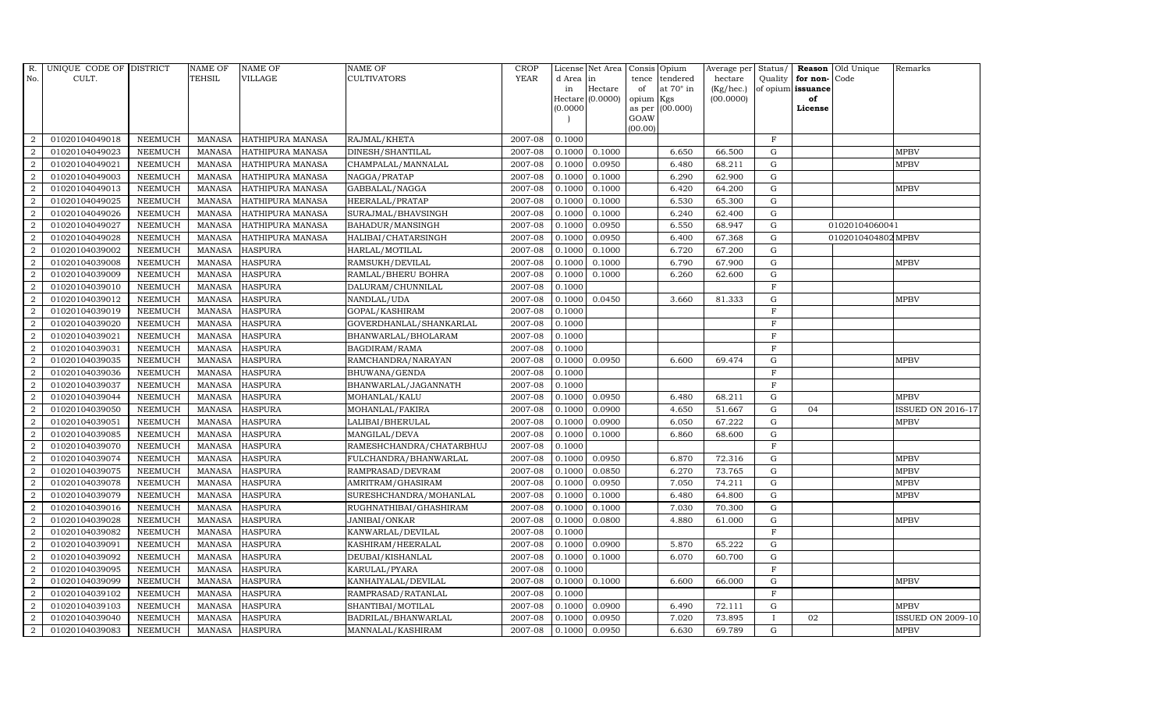| R.             | UNIQUE CODE OF DISTRICT |                | <b>NAME OF</b> | <b>NAME OF</b>          | <b>NAME OF</b>           | CROP        |           | License Net Area   |                     | Consis Opium     | Average per     | Status/      | Reason            | Old Unique         | Remarks                  |
|----------------|-------------------------|----------------|----------------|-------------------------|--------------------------|-------------|-----------|--------------------|---------------------|------------------|-----------------|--------------|-------------------|--------------------|--------------------------|
| No.            | CULT.                   |                | <b>TEHSIL</b>  | VILLAGE                 | <b>CULTIVATORS</b>       | <b>YEAR</b> | d Area in |                    | tence               | tendered         | hectare         | Quality      | for non-          | Code               |                          |
|                |                         |                |                |                         |                          |             | in        | Hectare            | of                  | at $70^\circ$ in | $(Kg/$ hec. $)$ |              | of opium issuance |                    |                          |
|                |                         |                |                |                         |                          |             | (0.0000)  | Hectare $(0.0000)$ | opium Kgs<br>as per | (00.000)         | (00.0000)       |              | of<br>License     |                    |                          |
|                |                         |                |                |                         |                          |             |           |                    | GOAW                |                  |                 |              |                   |                    |                          |
|                |                         |                |                |                         |                          |             |           |                    | (00.00)             |                  |                 |              |                   |                    |                          |
| 2              | 01020104049018          | <b>NEEMUCH</b> | <b>MANASA</b>  | <b>HATHIPURA MANASA</b> | RAJMAL/KHETA             | 2007-08     | 0.1000    |                    |                     |                  |                 | $\mathbf{F}$ |                   |                    |                          |
| $\overline{2}$ | 01020104049023          | <b>NEEMUCH</b> | <b>MANASA</b>  | HATHIPURA MANASA        | DINESH/SHANTILAL         | 2007-08     | 0.1000    | 0.1000             |                     | 6.650            | 66.500          | ${\rm G}$    |                   |                    | <b>MPBV</b>              |
| $\overline{2}$ | 01020104049021          | <b>NEEMUCH</b> | <b>MANASA</b>  | HATHIPURA MANASA        | CHAMPALAL/MANNALAL       | 2007-08     | 0.1000    | 0.0950             |                     | 6.480            | 68.211          | $\mathbf G$  |                   |                    | <b>MPBV</b>              |
| $\overline{2}$ | 01020104049003          | <b>NEEMUCH</b> | <b>MANASA</b>  | HATHIPURA MANASA        | NAGGA/PRATAP             | 2007-08     | 0.1000    | 0.1000             |                     | 6.290            | 62.900          | $\mathbf G$  |                   |                    |                          |
| $\overline{2}$ | 01020104049013          | <b>NEEMUCH</b> | <b>MANASA</b>  | HATHIPURA MANASA        | GABBALAL/NAGGA           | 2007-08     | 0.1000    | 0.1000             |                     | 6.420            | 64.200          | ${\rm G}$    |                   |                    | <b>MPBV</b>              |
| $\overline{2}$ | 01020104049025          | <b>NEEMUCH</b> | <b>MANASA</b>  | HATHIPURA MANASA        | HEERALAL/PRATAP          | 2007-08     | 0.1000    | 0.1000             |                     | 6.530            | 65.300          | G            |                   |                    |                          |
| $\overline{a}$ | 01020104049026          | <b>NEEMUCH</b> | <b>MANASA</b>  | HATHIPURA MANASA        | SURAJMAL/BHAVSINGH       | 2007-08     | 0.1000    | 0.1000             |                     | 6.240            | 62.400          | ${\bf G}$    |                   |                    |                          |
| 2              | 01020104049027          | <b>NEEMUCH</b> | <b>MANASA</b>  | HATHIPURA MANASA        | BAHADUR/MANSINGH         | 2007-08     | 0.1000    | 0.0950             |                     | 6.550            | 68.947          | G            |                   | 01020104060041     |                          |
| 2              | 01020104049028          | <b>NEEMUCH</b> | <b>MANASA</b>  | HATHIPURA MANASA        | HALIBAI/CHATARSINGH      | 2007-08     | 0.1000    | 0.0950             |                     | 6.400            | 67.368          | $\mathbf G$  |                   | 0102010404802 MPBV |                          |
| $\overline{2}$ | 01020104039002          | <b>NEEMUCH</b> | <b>MANASA</b>  | <b>HASPURA</b>          | HARLAL/MOTILAL           | 2007-08     | 0.1000    | 0.1000             |                     | 6.720            | 67.200          | $\mathbf G$  |                   |                    |                          |
| $\overline{2}$ | 01020104039008          | <b>NEEMUCH</b> | <b>MANASA</b>  | <b>HASPURA</b>          | RAMSUKH/DEVILAL          | 2007-08     | 0.1000    | 0.1000             |                     | 6.790            | 67.900          | G            |                   |                    | <b>MPBV</b>              |
| $\overline{2}$ | 01020104039009          | <b>NEEMUCH</b> | <b>MANASA</b>  | <b>HASPURA</b>          | RAMLAL/BHERU BOHRA       | 2007-08     | 0.1000    | 0.1000             |                     | 6.260            | 62.600          | ${\rm G}$    |                   |                    |                          |
| $\overline{2}$ | 01020104039010          | <b>NEEMUCH</b> | <b>MANASA</b>  | <b>HASPURA</b>          | DALURAM/CHUNNILAL        | 2007-08     | 0.1000    |                    |                     |                  |                 | $\mathbf F$  |                   |                    |                          |
| 2              | 01020104039012          | <b>NEEMUCH</b> | <b>MANASA</b>  | <b>HASPURA</b>          | NANDLAL/UDA              | 2007-08     | 0.1000    | 0.0450             |                     | 3.660            | 81.333          | $\mathbf G$  |                   |                    | <b>MPBV</b>              |
| $\overline{2}$ | 01020104039019          | <b>NEEMUCH</b> | <b>MANASA</b>  | <b>HASPURA</b>          | GOPAL/KASHIRAM           | 2007-08     | 0.1000    |                    |                     |                  |                 | $\mathbf F$  |                   |                    |                          |
| $\overline{2}$ | 01020104039020          | <b>NEEMUCH</b> | <b>MANASA</b>  | <b>HASPURA</b>          | GOVERDHANLAL/SHANKARLAL  | 2007-08     | 0.1000    |                    |                     |                  |                 | $\mathbf F$  |                   |                    |                          |
| $\overline{2}$ | 01020104039021          | <b>NEEMUCH</b> | <b>MANASA</b>  | <b>HASPURA</b>          | BHANWARLAL/BHOLARAM      | 2007-08     | 0.1000    |                    |                     |                  |                 | $\mathbf F$  |                   |                    |                          |
| $\overline{2}$ | 01020104039031          | <b>NEEMUCH</b> | <b>MANASA</b>  | <b>HASPURA</b>          | BAGDIRAM/RAMA            | 2007-08     | 0.1000    |                    |                     |                  |                 | $\rm F$      |                   |                    |                          |
| 2              | 01020104039035          | <b>NEEMUCH</b> | <b>MANASA</b>  | <b>HASPURA</b>          | RAMCHANDRA/NARAYAN       | 2007-08     | 0.1000    | 0.0950             |                     | 6.600            | 69.474          | $\mathbf G$  |                   |                    | <b>MPBV</b>              |
| $\overline{2}$ | 01020104039036          | <b>NEEMUCH</b> | <b>MANASA</b>  | <b>HASPURA</b>          | BHUWANA/GENDA            | 2007-08     | 0.1000    |                    |                     |                  |                 | $\mathbf F$  |                   |                    |                          |
| $\overline{2}$ | 01020104039037          | <b>NEEMUCH</b> | <b>MANASA</b>  | <b>HASPURA</b>          | BHANWARLAL/JAGANNATH     | 2007-08     | 0.1000    |                    |                     |                  |                 | $\mathbf F$  |                   |                    |                          |
| 2              | 01020104039044          | <b>NEEMUCH</b> | <b>MANASA</b>  | <b>HASPURA</b>          | MOHANLAL/KALU            | 2007-08     | 0.1000    | 0.0950             |                     | 6.480            | 68.211          | $\mathbf G$  |                   |                    | <b>MPBV</b>              |
| $\overline{2}$ | 01020104039050          | <b>NEEMUCH</b> | <b>MANASA</b>  | <b>HASPURA</b>          | MOHANLAL/FAKIRA          | 2007-08     | 0.1000    | 0.0900             |                     | 4.650            | 51.667          | $\mathbf G$  | 04                |                    | <b>ISSUED ON 2016-17</b> |
| $\overline{2}$ | 01020104039051          | <b>NEEMUCH</b> | <b>MANASA</b>  | <b>HASPURA</b>          | LALIBAI/BHERULAL         | 2007-08     | 0.1000    | 0.0900             |                     | 6.050            | 67.222          | ${\bf G}$    |                   |                    | <b>MPBV</b>              |
| $\overline{2}$ | 01020104039085          | <b>NEEMUCH</b> | <b>MANASA</b>  | <b>HASPURA</b>          | MANGILAL/DEVA            | 2007-08     | 0.1000    | 0.1000             |                     | 6.860            | 68.600          | $\mathbf G$  |                   |                    |                          |
| $\overline{2}$ | 01020104039070          | <b>NEEMUCH</b> | <b>MANASA</b>  | <b>HASPURA</b>          | RAMESHCHANDRA/CHATARBHUJ | 2007-08     | 0.1000    |                    |                     |                  |                 | $\mathbf F$  |                   |                    |                          |
| $\overline{2}$ | 01020104039074          | <b>NEEMUCH</b> | <b>MANASA</b>  | <b>HASPURA</b>          | FULCHANDRA/BHANWARLAL    | 2007-08     | 0.1000    | 0.0950             |                     | 6.870            | 72.316          | ${\rm G}$    |                   |                    | <b>MPBV</b>              |
| $\overline{2}$ | 01020104039075          | <b>NEEMUCH</b> | <b>MANASA</b>  | <b>HASPURA</b>          | RAMPRASAD/DEVRAM         | 2007-08     | 0.1000    | 0.0850             |                     | 6.270            | 73.765          | $\mathbf G$  |                   |                    | <b>MPBV</b>              |
| $\overline{2}$ | 01020104039078          | <b>NEEMUCH</b> | <b>MANASA</b>  | <b>HASPURA</b>          | AMRITRAM/GHASIRAM        | 2007-08     | 0.1000    | 0.0950             |                     | 7.050            | 74.211          | ${\rm G}$    |                   |                    | <b>MPBV</b>              |
| $\overline{2}$ | 01020104039079          | <b>NEEMUCH</b> | <b>MANASA</b>  | <b>HASPURA</b>          | SURESHCHANDRA/MOHANLAL   | 2007-08     | 0.1000    | 0.1000             |                     | 6.480            | 64.800          | $\mathbf G$  |                   |                    | <b>MPBV</b>              |
| $\overline{2}$ | 01020104039016          | <b>NEEMUCH</b> | <b>MANASA</b>  | <b>HASPURA</b>          | RUGHNATHIBAI/GHASHIRAM   | 2007-08     | 0.1000    | 0.1000             |                     | 7.030            | 70.300          | G            |                   |                    |                          |
| $\overline{2}$ | 01020104039028          | <b>NEEMUCH</b> | <b>MANASA</b>  | <b>HASPURA</b>          | JANIBAI/ONKAR            | 2007-08     | 0.1000    | 0.0800             |                     | 4.880            | 61.000          | ${\rm G}$    |                   |                    | <b>MPBV</b>              |
| $\overline{2}$ | 01020104039082          | <b>NEEMUCH</b> | <b>MANASA</b>  | <b>HASPURA</b>          | KANWARLAL/DEVILAL        | 2007-08     | 0.1000    |                    |                     |                  |                 | F            |                   |                    |                          |
| $\overline{2}$ | 01020104039091          | <b>NEEMUCH</b> | <b>MANASA</b>  | <b>HASPURA</b>          | KASHIRAM/HEERALAL        | 2007-08     | 0.1000    | 0.0900             |                     | 5.870            | 65.222          | ${\rm G}$    |                   |                    |                          |
| 2              | 01020104039092          | <b>NEEMUCH</b> | <b>MANASA</b>  | <b>HASPURA</b>          | DEUBAI/KISHANLAL         | 2007-08     | 0.1000    | 0.1000             |                     | 6.070            | 60.700          | $\mathbf G$  |                   |                    |                          |
| $\overline{2}$ | 01020104039095          | <b>NEEMUCH</b> | <b>MANASA</b>  | <b>HASPURA</b>          | KARULAL/PYARA            | 2007-08     | 0.1000    |                    |                     |                  |                 | $\mathbf F$  |                   |                    |                          |
| $\overline{a}$ | 01020104039099          | <b>NEEMUCH</b> | <b>MANASA</b>  | <b>HASPURA</b>          | KANHAIYALAL/DEVILAL      | 2007-08     | 0.1000    | 0.1000             |                     | 6.600            | 66.000          | ${\bf G}$    |                   |                    | <b>MPBV</b>              |
| $\overline{2}$ | 01020104039102          | <b>NEEMUCH</b> | <b>MANASA</b>  | <b>HASPURA</b>          | RAMPRASAD/RATANLAL       | 2007-08     | 0.1000    |                    |                     |                  |                 | $\rm F$      |                   |                    |                          |
| 2              | 01020104039103          | <b>NEEMUCH</b> | <b>MANASA</b>  | <b>HASPURA</b>          | SHANTIBAI/MOTILAL        | 2007-08     | 0.1000    | 0.0900             |                     | 6.490            | 72.111          | $\mathbf G$  |                   |                    | <b>MPBV</b>              |
| $\overline{2}$ | 01020104039040          | <b>NEEMUCH</b> | <b>MANASA</b>  | <b>HASPURA</b>          | BADRILAL/BHANWARLAL      | 2007-08     | 0.1000    | 0.0950             |                     | 7.020            | 73.895          | $\mathbf I$  | 02                |                    | <b>ISSUED ON 2009-10</b> |
| $\overline{a}$ | 01020104039083          | <b>NEEMUCH</b> |                | MANASA HASPURA          | MANNALAL/KASHIRAM        | 2007-08     | 0.1000    | 0.0950             |                     | 6.630            | 69.789          | G            |                   |                    | <b>MPBV</b>              |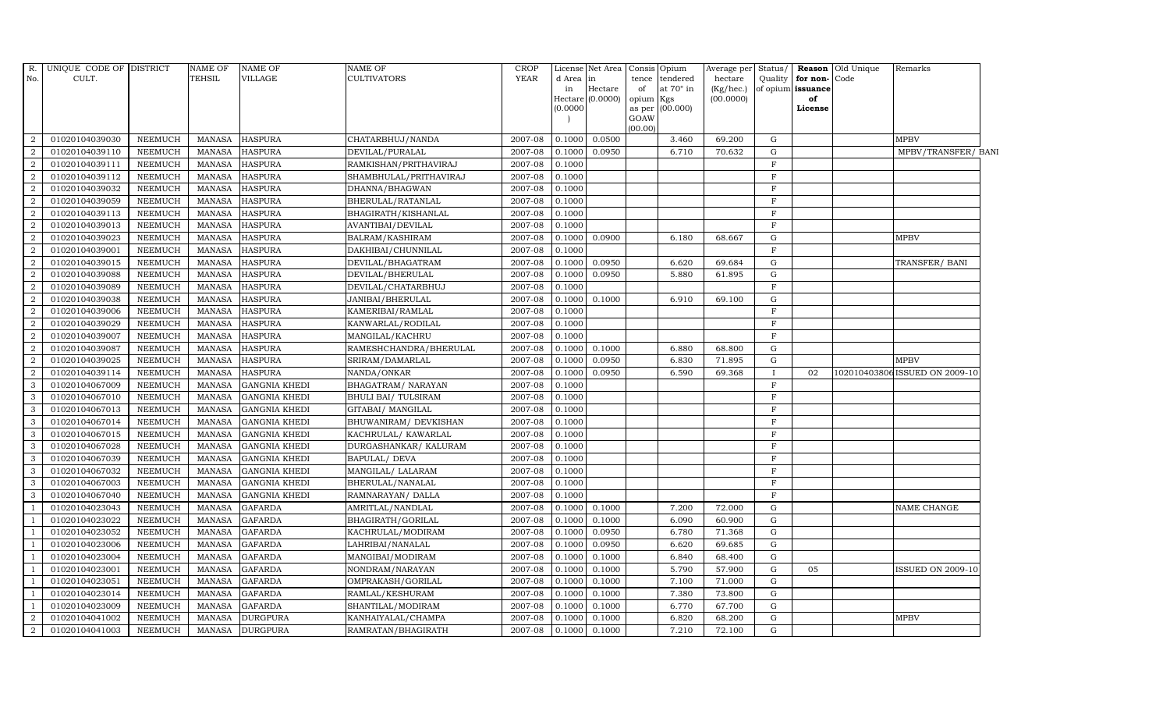| R.             | UNIQUE CODE OF DISTRICT |                | NAME OF       | <b>NAME OF</b>       | NAME OF                | <b>CROP</b> |           | License Net Area   |           | Consis Opium    |           |              |                   | Average per Status/ Reason Old Unique | Remarks                       |
|----------------|-------------------------|----------------|---------------|----------------------|------------------------|-------------|-----------|--------------------|-----------|-----------------|-----------|--------------|-------------------|---------------------------------------|-------------------------------|
| No.            | CULT.                   |                | <b>TEHSIL</b> | VILLAGE              | <b>CULTIVATORS</b>     | <b>YEAR</b> | d Area in |                    | tence     | tendered        | hectare   | Quality      | for non-          | Code                                  |                               |
|                |                         |                |               |                      |                        |             | in        | Hectare            | of        | at 70° in       | (Kg/hec.) |              | of opium issuance |                                       |                               |
|                |                         |                |               |                      |                        |             | (0.0000)  | Hectare $(0.0000)$ | opium Kgs | as per (00.000) | (00.0000) |              | of<br>License     |                                       |                               |
|                |                         |                |               |                      |                        |             |           |                    | GOAW      |                 |           |              |                   |                                       |                               |
|                |                         |                |               |                      |                        |             |           |                    | (00.00)   |                 |           |              |                   |                                       |                               |
| 2              | 01020104039030          | <b>NEEMUCH</b> | <b>MANASA</b> | <b>HASPURA</b>       | CHATARBHUJ/NANDA       | 2007-08     | 0.1000    | 0.0500             |           | 3.460           | 69.200    | G            |                   |                                       | <b>MPBV</b>                   |
| 2              | 01020104039110          | <b>NEEMUCH</b> | <b>MANASA</b> | <b>HASPURA</b>       | DEVILAL/PURALAL        | 2007-08     | 0.1000    | 0.0950             |           | 6.710           | 70.632    | G            |                   |                                       | MPBV/TRANSFER/ BANI           |
| $\overline{2}$ | 01020104039111          | <b>NEEMUCH</b> | <b>MANASA</b> | <b>HASPURA</b>       | RAMKISHAN/PRITHAVIRAJ  | 2007-08     | 0.1000    |                    |           |                 |           | $\mathbf{F}$ |                   |                                       |                               |
| $\overline{2}$ | 01020104039112          | <b>NEEMUCH</b> | <b>MANASA</b> | <b>HASPURA</b>       | SHAMBHULAL/PRITHAVIRAJ | 2007-08     | 0.1000    |                    |           |                 |           | $\mathbf{F}$ |                   |                                       |                               |
| 2              | 01020104039032          | <b>NEEMUCH</b> | <b>MANASA</b> | <b>HASPURA</b>       | DHANNA/BHAGWAN         | 2007-08     | 0.1000    |                    |           |                 |           | $\mathbf{F}$ |                   |                                       |                               |
| 2              | 01020104039059          | <b>NEEMUCH</b> | <b>MANASA</b> | <b>HASPURA</b>       | BHERULAL/RATANLAL      | 2007-08     | 0.1000    |                    |           |                 |           | $\mathbf{F}$ |                   |                                       |                               |
| $\overline{2}$ | 01020104039113          | <b>NEEMUCH</b> | <b>MANASA</b> | <b>HASPURA</b>       | BHAGIRATH/KISHANLAL    | 2007-08     | 0.1000    |                    |           |                 |           | $\mathbf{F}$ |                   |                                       |                               |
| $\overline{2}$ | 01020104039013          | <b>NEEMUCH</b> | <b>MANASA</b> | <b>HASPURA</b>       | AVANTIBAI/DEVILAL      | 2007-08     | 0.1000    |                    |           |                 |           | $\mathbf{F}$ |                   |                                       |                               |
| $\overline{2}$ | 01020104039023          | <b>NEEMUCH</b> | <b>MANASA</b> | <b>HASPURA</b>       | BALRAM/KASHIRAM        | 2007-08     | 0.1000    | 0.0900             |           | 6.180           | 68.667    | $\mathbf G$  |                   |                                       | <b>MPBV</b>                   |
| $\overline{2}$ | 01020104039001          | <b>NEEMUCH</b> | <b>MANASA</b> | <b>HASPURA</b>       | DAKHIBAI/CHUNNILAL     | 2007-08     | 0.1000    |                    |           |                 |           | $\mathbf{F}$ |                   |                                       |                               |
| $\overline{2}$ | 01020104039015          | <b>NEEMUCH</b> | <b>MANASA</b> | <b>HASPURA</b>       | DEVILAL/BHAGATRAM      | 2007-08     | 0.1000    | 0.0950             |           | 6.620           | 69.684    | G            |                   |                                       | TRANSFER/ BANI                |
| $\overline{2}$ | 01020104039088          | <b>NEEMUCH</b> | <b>MANASA</b> | <b>HASPURA</b>       | DEVILAL/BHERULAL       | 2007-08     | 0.1000    | 0.0950             |           | 5.880           | 61.895    | ${\rm G}$    |                   |                                       |                               |
| $\overline{2}$ | 01020104039089          | <b>NEEMUCH</b> | <b>MANASA</b> | <b>HASPURA</b>       | DEVILAL/CHATARBHUJ     | 2007-08     | 0.1000    |                    |           |                 |           | $\mathbf{F}$ |                   |                                       |                               |
| $\overline{2}$ | 01020104039038          | <b>NEEMUCH</b> | <b>MANASA</b> | <b>HASPURA</b>       | JANIBAI/BHERULAL       | 2007-08     | 0.1000    | 0.1000             |           | 6.910           | 69.100    | G            |                   |                                       |                               |
| $\overline{2}$ | 01020104039006          | <b>NEEMUCH</b> | <b>MANASA</b> | <b>HASPURA</b>       | KAMERIBAI/RAMLAL       | 2007-08     | 0.1000    |                    |           |                 |           | $\mathbf{F}$ |                   |                                       |                               |
| $\overline{2}$ | 01020104039029          | <b>NEEMUCH</b> | <b>MANASA</b> | <b>HASPURA</b>       | KANWARLAL/RODILAL      | 2007-08     | 0.1000    |                    |           |                 |           | $\mathbf{F}$ |                   |                                       |                               |
| 2              | 01020104039007          | <b>NEEMUCH</b> | <b>MANASA</b> | <b>HASPURA</b>       | MANGILAL/KACHRU        | 2007-08     | 0.1000    |                    |           |                 |           | $\mathbf F$  |                   |                                       |                               |
| $\overline{2}$ | 01020104039087          | <b>NEEMUCH</b> | <b>MANASA</b> | <b>HASPURA</b>       | RAMESHCHANDRA/BHERULAL | 2007-08     | 0.1000    | 0.1000             |           | 6.880           | 68.800    | G            |                   |                                       |                               |
| $\overline{2}$ | 01020104039025          | <b>NEEMUCH</b> | <b>MANASA</b> | <b>HASPURA</b>       | SRIRAM/DAMARLAL        | 2007-08     | 0.1000    | 0.0950             |           | 6.830           | 71.895    | G            |                   |                                       | <b>MPBV</b>                   |
| $\overline{2}$ | 01020104039114          | <b>NEEMUCH</b> | <b>MANASA</b> | <b>HASPURA</b>       | NANDA/ONKAR            | 2007-08     | 0.1000    | 0.0950             |           | 6.590           | 69.368    |              | 02                |                                       | 102010403806ISSUED ON 2009-10 |
| 3              | 01020104067009          | <b>NEEMUCH</b> | <b>MANASA</b> | <b>GANGNIA KHEDI</b> | BHAGATRAM/ NARAYAN     | 2007-08     | 0.1000    |                    |           |                 |           | $\mathbf{F}$ |                   |                                       |                               |
| 3              | 01020104067010          | <b>NEEMUCH</b> | <b>MANASA</b> | <b>GANGNIA KHEDI</b> | BHULI BAI/ TULSIRAM    | 2007-08     | 0.1000    |                    |           |                 |           | $\mathbf{F}$ |                   |                                       |                               |
| 3              | 01020104067013          | <b>NEEMUCH</b> | <b>MANASA</b> | <b>GANGNIA KHEDI</b> | GITABAI/ MANGILAL      | 2007-08     | 0.1000    |                    |           |                 |           | $\mathbf{F}$ |                   |                                       |                               |
| 3              | 01020104067014          | <b>NEEMUCH</b> | <b>MANASA</b> | <b>GANGNIA KHEDI</b> | BHUWANIRAM / DEVKISHAN | 2007-08     | 0.1000    |                    |           |                 |           | $\mathbf{F}$ |                   |                                       |                               |
| 3              | 01020104067015          | <b>NEEMUCH</b> | <b>MANASA</b> | <b>GANGNIA KHEDI</b> | KACHRULAL/ KAWARLAL    | 2007-08     | 0.1000    |                    |           |                 |           | $\mathbf{F}$ |                   |                                       |                               |
| 3              | 01020104067028          | <b>NEEMUCH</b> | <b>MANASA</b> | <b>GANGNIA KHEDI</b> | DURGASHANKAR/ KALURAM  | 2007-08     | 0.1000    |                    |           |                 |           | $\mathbf{F}$ |                   |                                       |                               |
| 3              | 01020104067039          | <b>NEEMUCH</b> | <b>MANASA</b> | <b>GANGNIA KHEDI</b> | <b>BAPULAL/ DEVA</b>   | 2007-08     | 0.1000    |                    |           |                 |           | $\mathbf F$  |                   |                                       |                               |
| $\mathbf{3}$   | 01020104067032          | <b>NEEMUCH</b> | <b>MANASA</b> | <b>GANGNIA KHEDI</b> | MANGILAL/ LALARAM      | 2007-08     | 0.1000    |                    |           |                 |           | $\mathbf{F}$ |                   |                                       |                               |
| 3              | 01020104067003          | <b>NEEMUCH</b> | <b>MANASA</b> | <b>GANGNIA KHEDI</b> | BHERULAL/NANALAL       | 2007-08     | 0.1000    |                    |           |                 |           | $\mathbf{F}$ |                   |                                       |                               |
| 3              | 01020104067040          | <b>NEEMUCH</b> | <b>MANASA</b> | <b>GANGNIA KHEDI</b> | RAMNARAYAN/ DALLA      | 2007-08     | 0.1000    |                    |           |                 |           | $\mathbf{F}$ |                   |                                       |                               |
|                | 01020104023043          | <b>NEEMUCH</b> | <b>MANASA</b> | <b>GAFARDA</b>       | AMRITLAL/NANDLAL       | 2007-08     | 0.1000    | 0.1000             |           | 7.200           | 72.000    | G            |                   |                                       | NAME CHANGE                   |
|                | 01020104023022          | <b>NEEMUCH</b> | <b>MANASA</b> | <b>GAFARDA</b>       | BHAGIRATH/GORILAL      | 2007-08     | 0.1000    | 0.1000             |           | 6.090           | 60.900    | ${\rm G}$    |                   |                                       |                               |
|                | 01020104023052          | <b>NEEMUCH</b> | <b>MANASA</b> | <b>GAFARDA</b>       | KACHRULAL/MODIRAM      | 2007-08     | 0.1000    | 0.0950             |           | 6.780           | 71.368    | $\mathbf G$  |                   |                                       |                               |
|                | 01020104023006          | <b>NEEMUCH</b> | <b>MANASA</b> | <b>GAFARDA</b>       | LAHRIBAI/NANALAL       | 2007-08     | 0.1000    | 0.0950             |           | 6.620           | 69.685    | $\mathbf G$  |                   |                                       |                               |
|                | 01020104023004          | <b>NEEMUCH</b> | <b>MANASA</b> | <b>GAFARDA</b>       | MANGIBAI/MODIRAM       | 2007-08     | 0.1000    | 0.1000             |           | 6.840           | 68.400    | $\mathbf G$  |                   |                                       |                               |
|                | 01020104023001          | <b>NEEMUCH</b> | <b>MANASA</b> | <b>GAFARDA</b>       | NONDRAM/NARAYAN        | 2007-08     | 0.1000    | 0.1000             |           | 5.790           | 57.900    | ${\rm G}$    | 05                |                                       | <b>ISSUED ON 2009-10</b>      |
|                | 01020104023051          | <b>NEEMUCH</b> | MANASA        | <b>GAFARDA</b>       | OMPRAKASH/GORILAL      | 2007-08     | 0.1000    | 0.1000             |           | 7.100           | 71.000    | G            |                   |                                       |                               |
|                | 01020104023014          | <b>NEEMUCH</b> | <b>MANASA</b> | <b>GAFARDA</b>       | RAMLAL/KESHURAM        | 2007-08     | 0.1000    | 0.1000             |           | 7.380           | 73.800    | $\mathbf G$  |                   |                                       |                               |
|                | 01020104023009          | <b>NEEMUCH</b> | <b>MANASA</b> | <b>GAFARDA</b>       | SHANTILAL/MODIRAM      | 2007-08     | 0.1000    | 0.1000             |           | 6.770           | 67.700    | $\mathbf G$  |                   |                                       |                               |
| $\overline{2}$ | 01020104041002          | <b>NEEMUCH</b> | <b>MANASA</b> | <b>DURGPURA</b>      | KANHAIYALAL/CHAMPA     | 2007-08     | 0.1000    | 0.1000             |           | 6.820           | 68.200    | G            |                   |                                       | <b>MPBV</b>                   |
| $\overline{2}$ | 01020104041003          | <b>NEEMUCH</b> | MANASA        | <b>DURGPURA</b>      | RAMRATAN/BHAGIRATH     | 2007-08     | 0.1000    | 0.1000             |           | 7.210           | 72.100    | G            |                   |                                       |                               |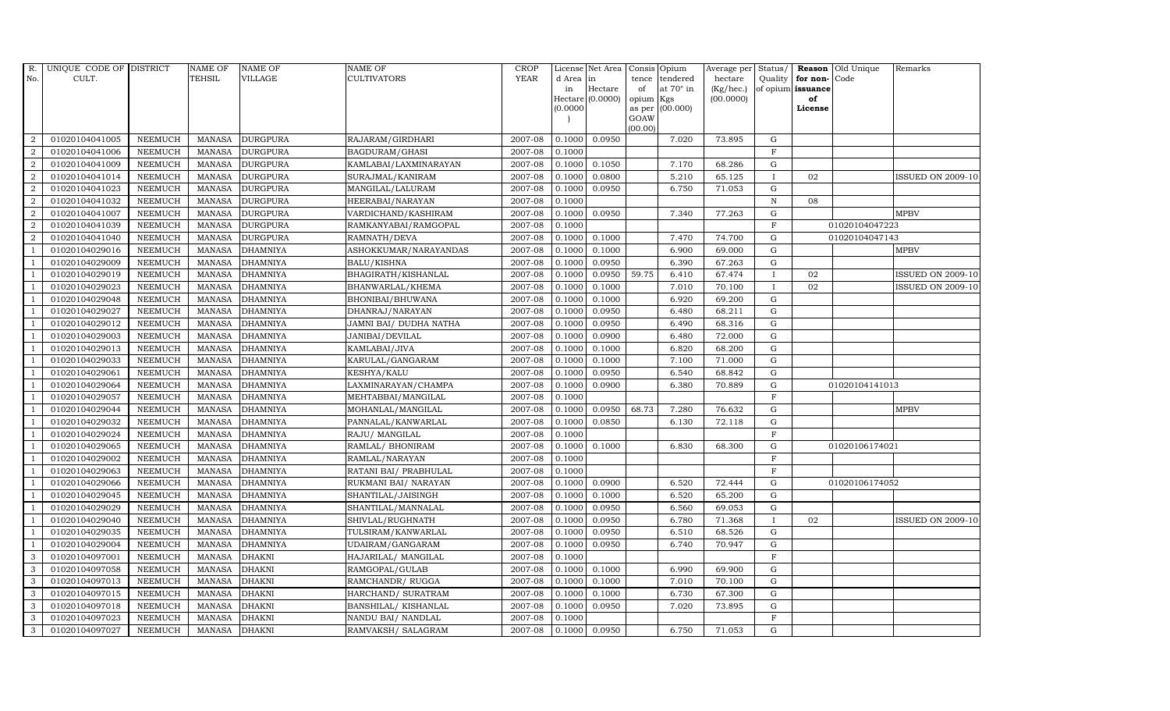| <b>YEAR</b><br>No.<br>CULT.<br>TEHSIL<br><b>VILLAGE</b><br><b>CULTIVATORS</b>                                               | d Area lin |                  | tence               | tendered  | hectare   |              |                   |                |                          |
|-----------------------------------------------------------------------------------------------------------------------------|------------|------------------|---------------------|-----------|-----------|--------------|-------------------|----------------|--------------------------|
|                                                                                                                             |            |                  |                     |           |           | Quality      | for non-          | Code           |                          |
|                                                                                                                             | in         | Hectare          | of                  | at 70° in | (Kg/hec.) |              | of opium issuance |                |                          |
|                                                                                                                             | (0.0000)   | Hectare (0.0000) | opium Kgs<br>as per | (00.000)  | (00.0000) |              | of<br>License     |                |                          |
|                                                                                                                             |            |                  | GOAW                |           |           |              |                   |                |                          |
|                                                                                                                             |            |                  | (00.00)             |           |           |              |                   |                |                          |
| 01020104041005<br><b>DURGPURA</b><br>2007-08<br>$\overline{2}$<br><b>NEEMUCH</b><br><b>MANASA</b><br>RAJARAM/GIRDHARI       | 0.1000     | 0.0950           |                     | 7.020     | 73.895    | G            |                   |                |                          |
| 2007-08<br>01020104041006<br><b>NEEMUCH</b><br><b>MANASA</b><br><b>DURGPURA</b><br>$\overline{2}$<br>BAGDURAM/GHASI         | 0.1000     |                  |                     |           |           | $\mathbf{F}$ |                   |                |                          |
| $\overline{2}$<br>2007-08<br>01020104041009<br><b>NEEMUCH</b><br><b>MANASA</b><br><b>DURGPURA</b><br>KAMLABAI/LAXMINARAYAN  | 0.1000     | 0.1050           |                     | 7.170     | 68.286    | G            |                   |                |                          |
| $\overline{2}$<br>01020104041014<br><b>NEEMUCH</b><br><b>MANASA</b><br><b>DURGPURA</b><br>SURAJMAL/KANIRAM<br>2007-08       | 0.1000     | 0.0800           |                     | 5.210     | 65.125    | $\mathbf{I}$ | 02                |                | <b>ISSUED ON 2009-10</b> |
| $\overline{2}$<br>$\mbox{MANASA}$<br>2007-08<br>01020104041023<br><b>NEEMUCH</b><br><b>DURGPURA</b><br>MANGILAL/LALURAM     | 0.1000     | 0.0950           |                     | 6.750     | 71.053    | $\mathbf G$  |                   |                |                          |
| $\overline{2}$<br>2007-08<br>01020104041032<br><b>NEEMUCH</b><br><b>MANASA</b><br><b>DURGPURA</b><br>HEERABAI/NARAYAN       | 0.1000     |                  |                     |           |           | $\, {\bf N}$ | 08                |                |                          |
| 2007-08<br>$\overline{a}$<br>01020104041007<br><b>NEEMUCH</b><br><b>MANASA</b><br><b>DURGPURA</b><br>VARDICHAND/KASHIRAM    | 0.1000     | 0.0950           |                     | 7.340     | 77.263    | $\mathbf G$  |                   |                | <b>MPBV</b>              |
| 2007-08<br>$\overline{2}$<br>01020104041039<br><b>NEEMUCH</b><br><b>MANASA</b><br><b>DURGPURA</b><br>RAMKANYABAI/RAMGOPAL   | 0.1000     |                  |                     |           |           | $_{\rm F}$   |                   | 01020104047223 |                          |
| <b>DURGPURA</b><br>2007-08<br>$\overline{2}$<br>01020104041040<br><b>NEEMUCH</b><br><b>MANASA</b><br>RAMNATH/DEVA           | 0.1000     | 0.1000           |                     | 7.470     | 74.700    | $\mathbf G$  |                   | 01020104047143 |                          |
| 01020104029016<br><b>NEEMUCH</b><br><b>MANASA</b><br><b>DHAMNIYA</b><br>2007-08<br>ASHOKKUMAR/NARAYANDAS                    | 0.1000     | 0.1000           |                     | 6.900     | 69.000    | $\mathbf G$  |                   |                | <b>MPBV</b>              |
| <b>MANASA</b><br>2007-08<br>01020104029009<br><b>NEEMUCH</b><br><b>DHAMNIYA</b><br>BALU/KISHNA<br>-1                        | 0.1000     | 0.0950           |                     | 6.390     | 67.263    | ${\rm G}$    |                   |                |                          |
| 2007-08<br>01020104029019<br><b>NEEMUCH</b><br><b>MANASA</b><br><b>DHAMNIYA</b><br>BHAGIRATH/KISHANLAL<br>$\overline{1}$    | 0.1000     | 0.0950           | 59.75               | 6.410     | 67.474    |              | 02                |                | <b>ISSUED ON 2009-10</b> |
| 2007-08<br>01020104029023<br><b>NEEMUCH</b><br><b>MANASA</b><br><b>DHAMNIYA</b><br>BHANWARLAL/KHEMA<br>$\overline{1}$       | 0.1000     | 0.1000           |                     | 7.010     | 70.100    | $\mathbf{I}$ | 02                |                | <b>ISSUED ON 2009-10</b> |
| 01020104029048<br><b>DHAMNIYA</b><br>2007-08<br><b>NEEMUCH</b><br><b>MANASA</b><br>BHONIBAI/BHUWANA                         | 0.1000     | 0.1000           |                     | 6.920     | 69.200    | $\mathbf G$  |                   |                |                          |
| 01020104029027<br><b>NEEMUCH</b><br><b>MANASA</b><br><b>DHAMNIYA</b><br>2007-08<br>DHANRAJ/NARAYAN                          | 0.1000     | 0.0950           |                     | 6.480     | 68.211    | $\mathbf G$  |                   |                |                          |
| 01020104029012<br><b>NEEMUCH</b><br><b>MANASA</b><br><b>DHAMNIYA</b><br>JAMNI BAI/ DUDHA NATHA<br>2007-08<br>$\overline{1}$ | 0.1000     | 0.0950           |                     | 6.490     | 68.316    | $\mathbf G$  |                   |                |                          |
| 2007-08<br>01020104029003<br><b>NEEMUCH</b><br><b>MANASA</b><br><b>DHAMNIYA</b><br>JANIBAI/DEVILAL<br>-1                    | 0.1000     | 0.0900           |                     | 6.480     | 72.000    | ${\rm G}$    |                   |                |                          |
| 2007-08<br>01020104029013<br><b>NEEMUCH</b><br>MANASA<br><b>DHAMNIYA</b><br>KAMLABAI/JIVA<br>$\overline{1}$                 | 0.1000     | 0.1000           |                     | 6.820     | 68.200    | $\mathbf G$  |                   |                |                          |
| 01020104029033<br><b>NEEMUCH</b><br><b>MANASA</b><br><b>DHAMNIYA</b><br>KARULAL/GANGARAM<br>2007-08                         | 0.1000     | 0.1000           |                     | 7.100     | 71.000    | $\mathbf G$  |                   |                |                          |
| 01020104029061<br><b>NEEMUCH</b><br><b>MANASA</b><br><b>DHAMNIYA</b><br>KESHYA/KALU<br>2007-08                              | 0.1000     | 0.0950           |                     | 6.540     | 68.842    | $\mathbf G$  |                   |                |                          |
| <b>MANASA</b><br>01020104029064<br><b>NEEMUCH</b><br><b>DHAMNIYA</b><br>LAXMINARAYAN/CHAMPA<br>2007-08<br>$\overline{1}$    | 0.1000     | 0.0900           |                     | 6.380     | 70.889    | ${\rm G}$    |                   | 01020104141013 |                          |
| 2007-08<br>01020104029057<br><b>NEEMUCH</b><br><b>MANASA</b><br><b>DHAMNIYA</b><br>MEHTABBAI/MANGILAL                       | 0.1000     |                  |                     |           |           | $\rm F$      |                   |                |                          |
| 01020104029044<br><b>NEEMUCH</b><br>2007-08<br>MANASA<br><b>DHAMNIYA</b><br>MOHANLAL/MANGILAL                               | 0.1000     | 0.0950           | 68.73               | 7.280     | 76.632    | $\mathbf G$  |                   |                | <b>MPBV</b>              |
| 01020104029032<br><b>MANASA</b><br><b>DHAMNIYA</b><br>2007-08<br><b>NEEMUCH</b><br>PANNALAL/KANWARLAL                       | 0.1000     | 0.0850           |                     | 6.130     | 72.118    | $\mathbf G$  |                   |                |                          |
| 01020104029024<br><b>NEEMUCH</b><br><b>MANASA</b><br><b>DHAMNIYA</b><br>2007-08<br>RAJU/ MANGILAL                           | 0.1000     |                  |                     |           |           | $\mathbf F$  |                   |                |                          |
| 2007-08<br>01020104029065<br><b>NEEMUCH</b><br><b>MANASA</b><br><b>DHAMNIYA</b><br>RAMLAL/ BHONIRAM<br>$\overline{1}$       | 0.1000     | 0.1000           |                     | 6.830     | 68.300    | $\mathbf G$  |                   | 01020106174021 |                          |
| 2007-08<br>01020104029002<br><b>NEEMUCH</b><br><b>MANASA</b><br><b>DHAMNIYA</b><br>RAMLAL/NARAYAN<br>-1                     | 0.1000     |                  |                     |           |           | $\mathbf F$  |                   |                |                          |
| 01020104029063<br><b>NEEMUCH</b><br><b>MANASA</b><br>2007-08<br><b>DHAMNIYA</b><br>RATANI BAI/ PRABHULAL<br>$\overline{1}$  | 0.1000     |                  |                     |           |           | $\mathbf F$  |                   |                |                          |
| <b>DHAMNIYA</b><br>2007-08<br>01020104029066<br><b>NEEMUCH</b><br><b>MANASA</b><br>RUKMANI BAI/ NARAYAN                     | 0.1000     | 0.0900           |                     | 6.520     | 72.444    | $\mathbf G$  |                   | 01020106174052 |                          |
| 2007-08<br>01020104029045<br><b>NEEMUCH</b><br><b>MANASA</b><br><b>DHAMNIYA</b><br>SHANTILAL/JAISINGH                       | 0.1000     | 0.1000           |                     | 6.520     | 65.200    | $\mathbf G$  |                   |                |                          |
| MANASA<br>2007-08<br>01020104029029<br><b>NEEMUCH</b><br><b>DHAMNIYA</b><br>SHANTILAL/MANNALAL                              | 0.1000     | 0.0950           |                     | 6.560     | 69.053    | ${\rm G}$    |                   |                |                          |
| 01020104029040<br><b>NEEMUCH</b><br><b>MANASA</b><br><b>DHAMNIYA</b><br>2007-08<br>SHIVLAL/RUGHNATH                         | 0.1000     | 0.0950           |                     | 6.780     | 71.368    | $\mathbf{I}$ | 02                |                | <b>ISSUED ON 2009-10</b> |
| 2007-08<br>01020104029035<br><b>NEEMUCH</b><br><b>MANASA</b><br><b>DHAMNIYA</b><br>TULSIRAM/KANWARLAL<br>$\overline{1}$     | 0.1000     | 0.0950           |                     | 6.510     | 68.526    | ${\bf G}$    |                   |                |                          |
| 01020104029004<br><b>MANASA</b><br><b>DHAMNIYA</b><br>2007-08<br><b>NEEMUCH</b><br>UDAIRAM/GANGARAM<br>$\overline{1}$       | 0.1000     | 0.0950           |                     | 6.740     | 70.947    | $\mathbf G$  |                   |                |                          |
| 3<br>01020104097001<br><b>NEEMUCH</b><br><b>MANASA</b><br><b>DHAKNI</b><br>HAJARILAL/ MANGILAL<br>2007-08                   | 0.1000     |                  |                     |           |           | $\mathbf F$  |                   |                |                          |
| 3<br>01020104097058<br><b>NEEMUCH</b><br><b>MANASA</b><br><b>DHAKNI</b><br>RAMGOPAL/GULAB<br>2007-08                        | 0.1000     | 0.1000           |                     | 6.990     | 69.900    | $\mathbf G$  |                   |                |                          |
| 01020104097013<br><b>MANASA</b><br><b>DHAKNI</b><br>2007-08<br>3<br><b>NEEMUCH</b><br>RAMCHANDR/ RUGGA                      | 0.1000     | 0.1000           |                     | 7.010     | 70.100    | ${\rm G}$    |                   |                |                          |
| 2007-08<br>3<br>01020104097015<br><b>NEEMUCH</b><br><b>MANASA</b><br><b>DHAKNI</b><br>HARCHAND/ SURATRAM                    | 0.1000     | 0.1000           |                     | 6.730     | 67.300    | $\mathbf G$  |                   |                |                          |
| <b>MANASA</b><br><b>DHAKNI</b><br>2007-08<br>3<br>01020104097018<br><b>NEEMUCH</b><br>BANSHILAL/ KISHANLAL                  | 0.1000     | 0.0950           |                     | 7.020     | 73.895    | $\mathbf G$  |                   |                |                          |
| 3<br>01020104097023<br><b>NEEMUCH</b><br><b>MANASA</b><br><b>DHAKNI</b><br>NANDU BAI/ NANDLAL<br>2007-08                    | 0.1000     |                  |                     |           |           | $\mathbf F$  |                   |                |                          |
| 3<br>01020104097027<br><b>NEEMUCH</b><br>MANASA DHAKNI<br>RAMVAKSH/ SALAGRAM<br>2007-08                                     | 0.1000     | 0.0950           |                     | 6.750     | 71.053    | G            |                   |                |                          |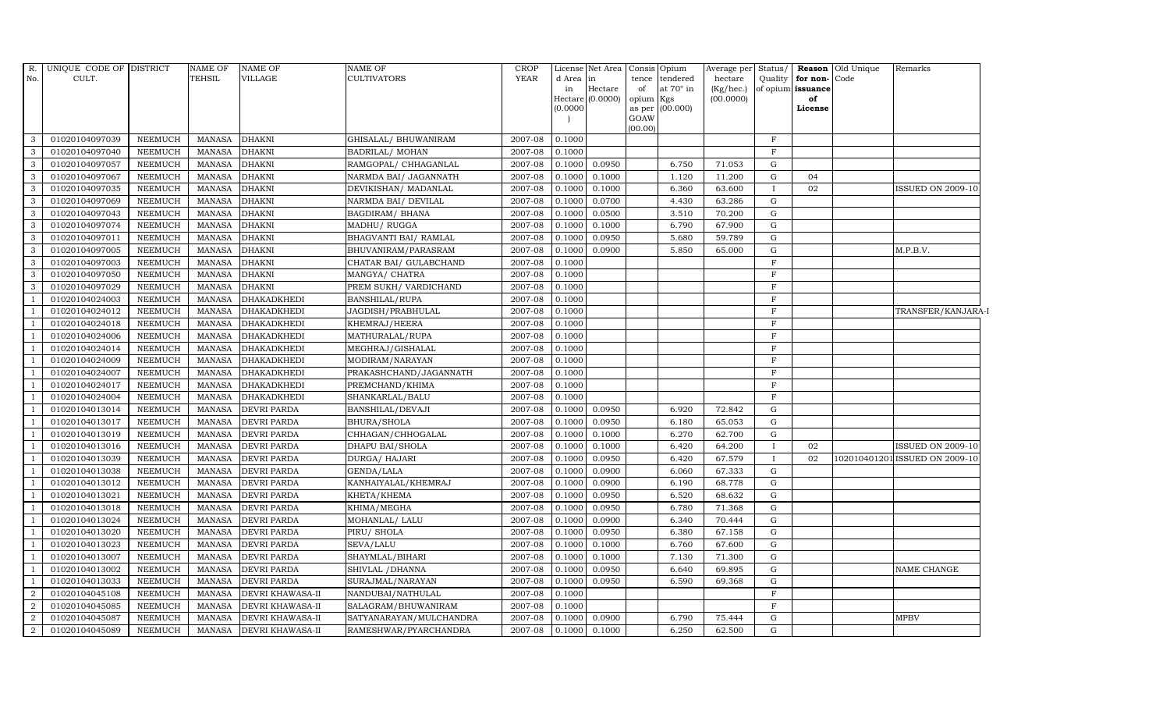| $R$ .<br>No.   | UNIQUE CODE OF DISTRICT<br>CULT. |                                  | NAME OF<br><b>TEHSIL</b>       | <b>NAME OF</b><br>VILLAGE                          | NAME OF<br><b>CULTIVATORS</b>                  | <b>CROP</b><br><b>YEAR</b> | d Area<br>in<br>(0.0000) | License Net Area Consis Opium<br>lin<br>Hectare<br>Hectare (0.0000) | tence<br>of<br>opium Kgs<br>GOAW | tendered<br>at $70^\circ$ in<br>as per (00.000) | Average per Status/<br>hectare<br>(Kg/hec.)<br>(00.0000) |                            | Quality for non-Code<br>of opium issuance<br>of<br>License | <b>Reason</b> Old Unique | Remarks                        |
|----------------|----------------------------------|----------------------------------|--------------------------------|----------------------------------------------------|------------------------------------------------|----------------------------|--------------------------|---------------------------------------------------------------------|----------------------------------|-------------------------------------------------|----------------------------------------------------------|----------------------------|------------------------------------------------------------|--------------------------|--------------------------------|
|                |                                  |                                  |                                |                                                    |                                                |                            |                          |                                                                     | (00.00)                          |                                                 |                                                          | $\mathbf{F}$               |                                                            |                          |                                |
| 3<br>3         | 01020104097039<br>01020104097040 | <b>NEEMUCH</b><br><b>NEEMUCH</b> | MANASA                         | <b>DHAKNI</b><br><b>DHAKNI</b>                     | GHISALAL/ BHUWANIRAM                           | 2007-08<br>2007-08         | 0.1000<br>0.1000         |                                                                     |                                  |                                                 |                                                          | $\mathbf F$                |                                                            |                          |                                |
| 3              | 01020104097057                   |                                  | <b>MANASA</b><br><b>MANASA</b> | <b>DHAKNI</b>                                      | BADRILAL/ MOHAN<br>RAMGOPAL/ CHHAGANLAL        | 2007-08                    | 0.1000                   | 0.0950                                                              |                                  | 6.750                                           | 71.053                                                   | G                          |                                                            |                          |                                |
| 3              | 01020104097067                   | NEEMUCH<br><b>NEEMUCH</b>        | <b>MANASA</b>                  | <b>DHAKNI</b>                                      | NARMDA BAI/ JAGANNATH                          | 2007-08                    | 0.1000                   | 0.1000                                                              |                                  | 1.120                                           | 11.200                                                   | G                          | 04                                                         |                          |                                |
| 3              | 01020104097035                   | <b>NEEMUCH</b>                   | <b>MANASA</b>                  | <b>DHAKNI</b>                                      | DEVIKISHAN / MADANLAL                          | 2007-08                    | 0.1000                   | 0.1000                                                              |                                  | 6.360                                           | 63.600                                                   | $\mathbf I$                | 02                                                         |                          | <b>ISSUED ON 2009-10</b>       |
| 3              | 01020104097069                   | NEEMUCH                          | <b>MANASA</b>                  | <b>DHAKNI</b>                                      | NARMDA BAI/ DEVILAL                            | 2007-08                    | 0.1000                   | 0.0700                                                              |                                  | 4.430                                           | 63.286                                                   | G                          |                                                            |                          |                                |
| 3              | 01020104097043                   | <b>NEEMUCH</b>                   | <b>MANASA</b>                  | <b>DHAKNI</b>                                      | BAGDIRAM/ BHANA                                | 2007-08                    | 0.1000                   | 0.0500                                                              |                                  | 3.510                                           | 70.200                                                   | G                          |                                                            |                          |                                |
| 3              | 01020104097074                   | <b>NEEMUCH</b>                   | <b>MANASA</b>                  | <b>DHAKNI</b>                                      | MADHU/RUGGA                                    | 2007-08                    | 0.1000                   | 0.1000                                                              |                                  | 6.790                                           | 67.900                                                   | G                          |                                                            |                          |                                |
| 3              | 01020104097011                   | <b>NEEMUCH</b>                   | <b>MANASA</b>                  | <b>DHAKNI</b>                                      | BHAGVANTI BAI/ RAMLAL                          | 2007-08                    | 0.1000                   | 0.0950                                                              |                                  | 5.680                                           | 59.789                                                   | G                          |                                                            |                          |                                |
| 3              | 01020104097005                   | <b>NEEMUCH</b>                   | <b>MANASA</b>                  | <b>DHAKNI</b>                                      | BHUVANIRAM/PARASRAM                            | 2007-08                    | 0.1000                   | 0.0900                                                              |                                  | 5.850                                           | 65.000                                                   | ${\rm G}$                  |                                                            |                          | M.P.B.V.                       |
| 3              | 01020104097003                   | NEEMUCH                          | <b>MANASA</b>                  | <b>DHAKNI</b>                                      | CHATAR BAI/ GULABCHAND                         | 2007-08                    | 0.1000                   |                                                                     |                                  |                                                 |                                                          | $\mathbf F$                |                                                            |                          |                                |
| 3              | 01020104097050                   | <b>NEEMUCH</b>                   | <b>MANASA</b>                  | <b>DHAKNI</b>                                      | MANGYA/ CHATRA                                 | 2007-08                    | 0.1000                   |                                                                     |                                  |                                                 |                                                          | $\rm F$                    |                                                            |                          |                                |
| 3              | 01020104097029                   | <b>NEEMUCH</b>                   | <b>MANASA</b>                  | <b>DHAKNI</b>                                      | PREM SUKH/ VARDICHAND                          | 2007-08                    | 0.1000                   |                                                                     |                                  |                                                 |                                                          | $\mathbf F$                |                                                            |                          |                                |
|                | 01020104024003                   | <b>NEEMUCH</b>                   | <b>MANASA</b>                  | <b>DHAKADKHEDI</b>                                 | BANSHILAL/RUPA                                 | 2007-08                    | 0.1000                   |                                                                     |                                  |                                                 |                                                          | $\mathbf{F}$               |                                                            |                          |                                |
|                | 01020104024012                   | <b>NEEMUCH</b>                   | <b>MANASA</b>                  | <b>DHAKADKHEDI</b>                                 | JAGDISH/PRABHULAL                              | 2007-08                    | 0.1000                   |                                                                     |                                  |                                                 |                                                          | $\mathbf F$                |                                                            |                          | TRANSFER/KANJARA-I             |
|                | 01020104024018                   | NEEMUCH                          | <b>MANASA</b>                  | <b>DHAKADKHEDI</b>                                 | KHEMRAJ/HEERA                                  | 2007-08                    | 0.1000                   |                                                                     |                                  |                                                 |                                                          | $\mathbf F$                |                                                            |                          |                                |
|                | 01020104024006                   | <b>NEEMUCH</b>                   | <b>MANASA</b>                  | <b>DHAKADKHEDI</b>                                 | MATHURALAL/RUPA                                | 2007-08                    | 0.1000                   |                                                                     |                                  |                                                 |                                                          | $\mathbf{F}$               |                                                            |                          |                                |
| $\overline{1}$ | 01020104024014                   | <b>NEEMUCH</b>                   | <b>MANASA</b>                  | <b>DHAKADKHEDI</b>                                 | MEGHRAJ/GISHALAL                               | 2007-08                    | 0.1000                   |                                                                     |                                  |                                                 |                                                          | $\mathbf F$                |                                                            |                          |                                |
|                | 01020104024009                   | <b>NEEMUCH</b>                   | <b>MANASA</b>                  | <b>DHAKADKHEDI</b>                                 | MODIRAM/NARAYAN                                | 2007-08                    | 0.1000                   |                                                                     |                                  |                                                 |                                                          | $\mathbf{F}$               |                                                            |                          |                                |
|                | 01020104024007                   | <b>NEEMUCH</b>                   | <b>MANASA</b>                  | <b>DHAKADKHEDI</b>                                 | PRAKASHCHAND/JAGANNATH                         | 2007-08                    | 0.1000                   |                                                                     |                                  |                                                 |                                                          | $\mathbf F$                |                                                            |                          |                                |
|                | 01020104024017                   | <b>NEEMUCH</b>                   | <b>MANASA</b>                  | <b>DHAKADKHEDI</b>                                 | PREMCHAND/KHIMA                                | 2007-08                    | 0.1000                   |                                                                     |                                  |                                                 |                                                          | $\mathbf F$                |                                                            |                          |                                |
|                | 01020104024004                   | <b>NEEMUCH</b>                   | <b>MANASA</b>                  | <b>DHAKADKHEDI</b>                                 | SHANKARLAL/BALU                                | 2007-08                    | 0.1000                   |                                                                     |                                  |                                                 |                                                          | F                          |                                                            |                          |                                |
| $\overline{1}$ | 01020104013014                   | <b>NEEMUCH</b>                   | <b>MANASA</b>                  | <b>DEVRI PARDA</b>                                 | BANSHILAL/DEVAJI                               | 2007-08                    | 0.1000                   | 0.0950                                                              |                                  | 6.920                                           | 72.842                                                   | G                          |                                                            |                          |                                |
|                | 01020104013017                   | <b>NEEMUCH</b>                   | <b>MANASA</b>                  | <b>DEVRI PARDA</b>                                 | <b>BHURA/SHOLA</b>                             | 2007-08                    | 0.1000                   | 0.0950                                                              |                                  | 6.180                                           | 65.053                                                   | G                          |                                                            |                          |                                |
|                | 01020104013019                   | <b>NEEMUCH</b>                   | <b>MANASA</b>                  | <b>DEVRI PARDA</b>                                 | CHHAGAN/CHHOGALAL                              | 2007-08                    | 0.1000                   | 0.1000                                                              |                                  | 6.270                                           | 62.700                                                   | G                          |                                                            |                          |                                |
|                | 01020104013016                   | <b>NEEMUCH</b>                   | <b>MANASA</b>                  | DEVRI PARDA                                        | DHAPU BAI/SHOLA                                | 2007-08                    | 0.1000                   | 0.1000                                                              |                                  | 6.420                                           | 64.200                                                   | $\mathbf{I}$               | 02                                                         |                          | <b>ISSUED ON 2009-10</b>       |
|                | 01020104013039                   | <b>NEEMUCH</b>                   | <b>MANASA</b>                  | <b>DEVRI PARDA</b>                                 | DURGA/ HAJARI                                  | 2007-08                    | 0.1000                   | 0.0950                                                              |                                  | 6.420                                           | 67.579                                                   | $\bf{I}$                   | 02                                                         |                          | 102010401201 ISSUED ON 2009-10 |
| $\mathbf{1}$   | 01020104013038                   | <b>NEEMUCH</b>                   | <b>MANASA</b>                  | <b>DEVRI PARDA</b>                                 | <b>GENDA/LALA</b>                              | 2007-08                    | 0.1000                   | 0.0900                                                              |                                  | 6.060                                           | 67.333                                                   | G                          |                                                            |                          |                                |
|                | 01020104013012                   | <b>NEEMUCH</b>                   | <b>MANASA</b>                  | <b>DEVRI PARDA</b>                                 | KANHAIYALAL/KHEMRAJ                            | 2007-08                    | 0.1000                   | 0.0900                                                              |                                  | 6.190                                           | 68.778                                                   | G                          |                                                            |                          |                                |
|                | 01020104013021                   | <b>NEEMUCH</b>                   | <b>MANASA</b>                  | DEVRI PARDA                                        | KHETA/KHEMA                                    | 2007-08                    | 0.1000                   | 0.0950                                                              |                                  | 6.520                                           | 68.632                                                   | G                          |                                                            |                          |                                |
|                | 01020104013018                   | <b>NEEMUCH</b>                   | <b>MANASA</b>                  | <b>DEVRI PARDA</b>                                 | KHIMA/MEGHA                                    | 2007-08                    | 0.1000                   | 0.0950                                                              |                                  | 6.780                                           | 71.368                                                   | G                          |                                                            |                          |                                |
|                | 01020104013024                   | <b>NEEMUCH</b>                   | <b>MANASA</b>                  | <b>DEVRI PARDA</b>                                 | MOHANLAL/ LALU                                 | 2007-08                    | 0.1000                   | 0.0900                                                              |                                  | 6.340                                           | 70.444                                                   | G                          |                                                            |                          |                                |
|                | 01020104013020                   | <b>NEEMUCH</b>                   | <b>MANASA</b>                  | <b>DEVRI PARDA</b>                                 | PIRU/ SHOLA                                    | 2007-08                    | 0.1000                   | 0.0950                                                              |                                  | 6.380                                           | 67.158                                                   | G                          |                                                            |                          |                                |
|                | 01020104013023                   | <b>NEEMUCH</b>                   | <b>MANASA</b>                  | <b>DEVRI PARDA</b>                                 | SEVA/LALU                                      | 2007-08                    | 0.1000                   | 0.1000                                                              |                                  | 6.760                                           | 67.600                                                   | ${\rm G}$                  |                                                            |                          |                                |
|                | 01020104013007                   | <b>NEEMUCH</b>                   | <b>MANASA</b>                  | <b>DEVRI PARDA</b>                                 | SHAYMLAL/BIHARI                                | 2007-08                    | 0.1000                   | 0.1000                                                              |                                  | 7.130                                           | 71.300                                                   | G                          |                                                            |                          |                                |
|                | 01020104013002                   | NEEMUCH                          | <b>MANASA</b>                  | <b>DEVRI PARDA</b>                                 | SHIVLAL / DHANNA                               | 2007-08                    | 0.1000                   | 0.0950                                                              |                                  | 6.640                                           | 69.895                                                   | ${\rm G}$                  |                                                            |                          | NAME CHANGE                    |
|                | 01020104013033                   | <b>NEEMUCH</b>                   | <b>MANASA</b>                  | <b>DEVRI PARDA</b>                                 | SURAJMAL/NARAYAN                               | 2007-08                    | 0.1000                   | 0.0950                                                              |                                  | 6.590                                           | 69.368                                                   | ${\rm G}$                  |                                                            |                          |                                |
| $\overline{2}$ | 01020104045108                   | <b>NEEMUCH</b>                   | <b>MANASA</b>                  | <b>DEVRI KHAWASA-II</b>                            | NANDUBAI/NATHULAL                              | 2007-08                    | 0.1000                   |                                                                     |                                  |                                                 |                                                          | $\mathbf F$<br>$\mathbf F$ |                                                            |                          |                                |
| 2<br>2         | 01020104045085<br>01020104045087 | <b>NEEMUCH</b><br><b>NEEMUCH</b> | <b>MANASA</b><br><b>MANASA</b> | <b>DEVRI KHAWASA-II</b><br><b>DEVRI KHAWASA-II</b> | SALAGRAM/BHUWANIRAM<br>SATYANARAYAN/MULCHANDRA | 2007-08<br>2007-08         | 0.1000<br>0.1000         | 0.0900                                                              |                                  | 6.790                                           | 75.444                                                   | G                          |                                                            |                          | <b>MPBV</b>                    |
| $\overline{a}$ | 01020104045089                   | NEEMUCH                          | MANASA                         |                                                    |                                                | 2007-08                    | 0.1000                   | 0.1000                                                              |                                  | 6.250                                           | 62.500                                                   | G                          |                                                            |                          |                                |
|                |                                  |                                  |                                | DEVRI KHAWASA-II                                   | RAMESHWAR/PYARCHANDRA                          |                            |                          |                                                                     |                                  |                                                 |                                                          |                            |                                                            |                          |                                |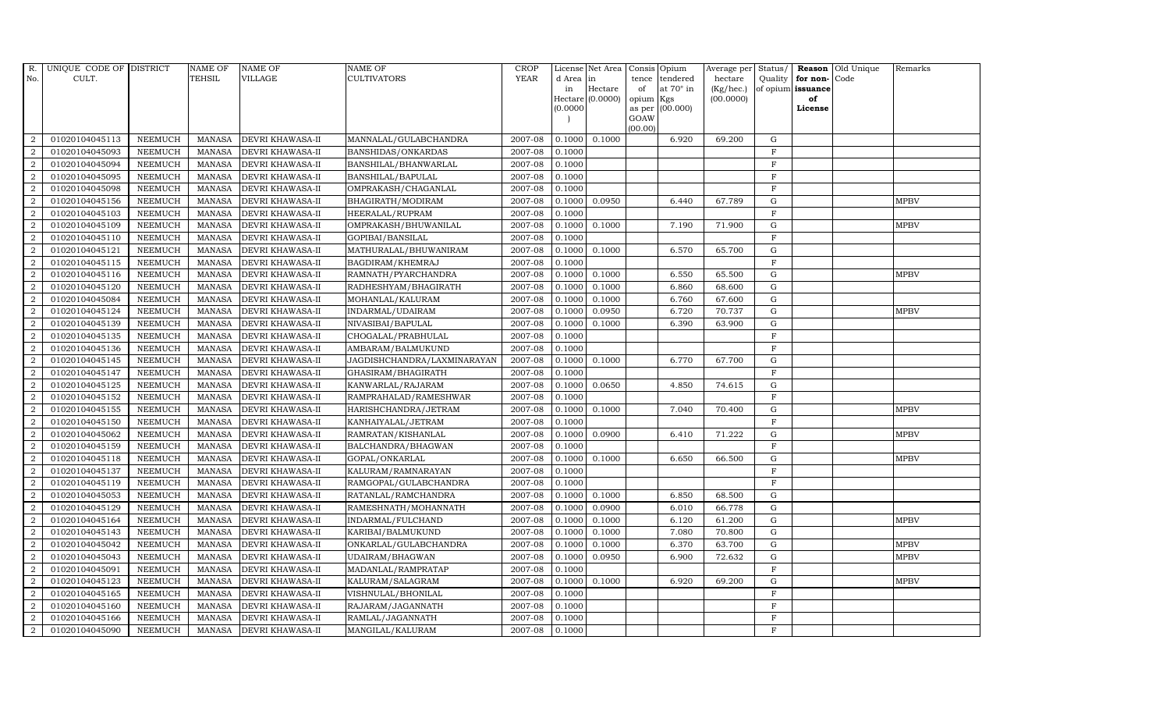| R.             | UNIQUE CODE OF DISTRICT |                | <b>NAME OF</b> | <b>NAME OF</b>          | <b>NAME OF</b>              | <b>CROP</b> |           | License Net Area | Consis    | Opium            | Average per  | Status/      |                   | Reason Old Unique | Remarks     |
|----------------|-------------------------|----------------|----------------|-------------------------|-----------------------------|-------------|-----------|------------------|-----------|------------------|--------------|--------------|-------------------|-------------------|-------------|
| No.            | CULT.                   |                | TEHSIL         | <b>VILLAGE</b>          | <b>CULTIVATORS</b>          | <b>YEAR</b> | d Area in |                  | tence     | tendered         | hectare      | Quality      | for non-Code      |                   |             |
|                |                         |                |                |                         |                             |             | in        | Hectare          | of        | at $70^\circ$ in | $(Kg/$ hec.) |              | of opium issuance |                   |             |
|                |                         |                |                |                         |                             |             | (0.0000)  | Hectare (0.0000) | opium Kgs | as per (00.000)  | (00.0000)    |              | of<br>License     |                   |             |
|                |                         |                |                |                         |                             |             |           |                  | GOAW      |                  |              |              |                   |                   |             |
|                |                         |                |                |                         |                             |             |           |                  | (00.00)   |                  |              |              |                   |                   |             |
| $\overline{2}$ | 01020104045113          | <b>NEEMUCH</b> | <b>MANASA</b>  | DEVRI KHAWASA-II        | MANNALAL/GULABCHANDRA       | 2007-08     | 0.1000    | 0.1000           |           | 6.920            | 69.200       | G            |                   |                   |             |
| 2              | 01020104045093          | <b>NEEMUCH</b> | <b>MANASA</b>  | DEVRI KHAWASA-II        | BANSHIDAS/ONKARDAS          | 2007-08     | 0.1000    |                  |           |                  |              | F            |                   |                   |             |
| 2              | 01020104045094          | <b>NEEMUCH</b> | <b>MANASA</b>  | DEVRI KHAWASA-II        | BANSHILAL/BHANWARLAL        | 2007-08     | 0.1000    |                  |           |                  |              | $\mathbf F$  |                   |                   |             |
| $\overline{2}$ | 01020104045095          | <b>NEEMUCH</b> | <b>MANASA</b>  | DEVRI KHAWASA-II        | BANSHILAL/BAPULAL           | 2007-08     | 0.1000    |                  |           |                  |              | $\mathbf F$  |                   |                   |             |
| $\overline{2}$ | 01020104045098          | <b>NEEMUCH</b> | <b>MANASA</b>  | DEVRI KHAWASA-II        | OMPRAKASH/CHAGANLAL         | 2007-08     | 0.1000    |                  |           |                  |              | $\mathbf F$  |                   |                   |             |
| $\overline{2}$ | 01020104045156          | <b>NEEMUCH</b> | <b>MANASA</b>  | DEVRI KHAWASA-II        | BHAGIRATH/MODIRAM           | 2007-08     | 0.1000    | 0.0950           |           | 6.440            | 67.789       | G            |                   |                   | <b>MPBV</b> |
| $\overline{2}$ | 01020104045103          | <b>NEEMUCH</b> | <b>MANASA</b>  | DEVRI KHAWASA-II        | HEERALAL/RUPRAM             | 2007-08     | 0.1000    |                  |           |                  |              | $\mathbf F$  |                   |                   |             |
| $\overline{2}$ | 01020104045109          | <b>NEEMUCH</b> | <b>MANASA</b>  | DEVRI KHAWASA-II        | OMPRAKASH/BHUWANILAL        | 2007-08     | 0.1000    | 0.1000           |           | 7.190            | 71.900       | G            |                   |                   | <b>MPBV</b> |
| $\overline{2}$ | 01020104045110          | <b>NEEMUCH</b> | <b>MANASA</b>  | DEVRI KHAWASA-II        | GOPIBAI/BANSILAL            | 2007-08     | 0.1000    |                  |           |                  |              | $\mathbf F$  |                   |                   |             |
| 2              | 01020104045121          | NEEMUCH        | <b>MANASA</b>  | DEVRI KHAWASA-II        | MATHURALAL/BHUWANIRAM       | 2007-08     | 0.1000    | 0.1000           |           | 6.570            | 65.700       | G            |                   |                   |             |
| $\overline{2}$ | 01020104045115          | <b>NEEMUCH</b> | <b>MANASA</b>  | DEVRI KHAWASA-II        | BAGDIRAM/KHEMRAJ            | 2007-08     | 0.1000    |                  |           |                  |              | $\mathbf F$  |                   |                   |             |
| $\overline{2}$ | 01020104045116          | <b>NEEMUCH</b> | <b>MANASA</b>  | DEVRI KHAWASA-II        | RAMNATH/PYARCHANDRA         | 2007-08     | 0.1000    | 0.1000           |           | 6.550            | 65.500       | G            |                   |                   | <b>MPBV</b> |
| 2              | 01020104045120          | <b>NEEMUCH</b> | <b>MANASA</b>  | DEVRI KHAWASA-II        | RADHESHYAM/BHAGIRATH        | 2007-08     | 0.1000    | 0.1000           |           | 6.860            | 68.600       | G            |                   |                   |             |
| $\overline{2}$ | 01020104045084          | <b>NEEMUCH</b> | <b>MANASA</b>  | DEVRI KHAWASA-II        | MOHANLAL/KALURAM            | 2007-08     | 0.1000    | 0.1000           |           | 6.760            | 67.600       | G            |                   |                   |             |
| $\overline{2}$ | 01020104045124          | <b>NEEMUCH</b> | <b>MANASA</b>  | DEVRI KHAWASA-II        | INDARMAL/UDAIRAM            | 2007-08     | 0.1000    | 0.0950           |           | 6.720            | 70.737       | G            |                   |                   | <b>MPBV</b> |
| $\overline{2}$ | 01020104045139          | <b>NEEMUCH</b> | <b>MANASA</b>  | DEVRI KHAWASA-II        | NIVASIBAI/BAPULAL           | 2007-08     | 0.1000    | 0.1000           |           | 6.390            | 63.900       | G            |                   |                   |             |
| $\overline{2}$ | 01020104045135          | <b>NEEMUCH</b> | <b>MANASA</b>  | DEVRI KHAWASA-II        | CHOGALAL/PRABHULAL          | 2007-08     | 0.1000    |                  |           |                  |              | $\mathbf{F}$ |                   |                   |             |
| 2              | 01020104045136          | <b>NEEMUCH</b> | <b>MANASA</b>  | DEVRI KHAWASA-II        | AMBARAM/BALMUKUND           | 2007-08     | 0.1000    |                  |           |                  |              | F            |                   |                   |             |
| $\overline{2}$ | 01020104045145          | <b>NEEMUCH</b> | <b>MANASA</b>  | DEVRI KHAWASA-II        | JAGDISHCHANDRA/LAXMINARAYAN | 2007-08     | 0.1000    | 0.1000           |           | 6.770            | 67.700       | $\mathbf G$  |                   |                   |             |
| $\overline{2}$ | 01020104045147          | <b>NEEMUCH</b> | <b>MANASA</b>  | DEVRI KHAWASA-II        | GHASIRAM/BHAGIRATH          | 2007-08     | 0.1000    |                  |           |                  |              | $\mathbf F$  |                   |                   |             |
| $\overline{2}$ | 01020104045125          | <b>NEEMUCH</b> | <b>MANASA</b>  | DEVRI KHAWASA-II        | KANWARLAL/RAJARAM           | 2007-08     | 0.1000    | 0.0650           |           | 4.850            | 74.615       | G            |                   |                   |             |
| $\overline{2}$ | 01020104045152          | <b>NEEMUCH</b> | <b>MANASA</b>  | DEVRI KHAWASA-II        | RAMPRAHALAD/RAMESHWAR       | 2007-08     | 0.1000    |                  |           |                  |              | $\mathbf{F}$ |                   |                   |             |
| $\overline{2}$ | 01020104045155          | <b>NEEMUCH</b> | <b>MANASA</b>  | DEVRI KHAWASA-II        | HARISHCHANDRA/JETRAM        | 2007-08     | 0.1000    | 0.1000           |           | 7.040            | 70.400       | G            |                   |                   | <b>MPBV</b> |
| $\overline{2}$ | 01020104045150          | <b>NEEMUCH</b> | <b>MANASA</b>  | DEVRI KHAWASA-II        | KANHAIYALAL/JETRAM          | 2007-08     | 0.1000    |                  |           |                  |              | F            |                   |                   |             |
| $\overline{2}$ | 01020104045062          | <b>NEEMUCH</b> | <b>MANASA</b>  | DEVRI KHAWASA-II        | RAMRATAN/KISHANLAL          | 2007-08     | 0.1000    | 0.0900           |           | 6.410            | 71.222       | G            |                   |                   | <b>MPBV</b> |
| $\overline{2}$ | 01020104045159          | <b>NEEMUCH</b> | <b>MANASA</b>  | DEVRI KHAWASA-II        | BALCHANDRA/BHAGWAN          | 2007-08     | 0.1000    |                  |           |                  |              | $\mathbf F$  |                   |                   |             |
| $\overline{2}$ | 01020104045118          | <b>NEEMUCH</b> | <b>MANASA</b>  | DEVRI KHAWASA-II        | GOPAL/ONKARLAL              | 2007-08     | 0.1000    | 0.1000           |           | 6.650            | 66.500       | G            |                   |                   | <b>MPBV</b> |
| $\overline{2}$ | 01020104045137          | <b>NEEMUCH</b> | <b>MANASA</b>  | DEVRI KHAWASA-II        | KALURAM/RAMNARAYAN          | 2007-08     | 0.1000    |                  |           |                  |              | F            |                   |                   |             |
| $\overline{2}$ | 01020104045119          | <b>NEEMUCH</b> | <b>MANASA</b>  | DEVRI KHAWASA-II        | RAMGOPAL/GULABCHANDRA       | 2007-08     | 0.1000    |                  |           |                  |              | $\mathbf{F}$ |                   |                   |             |
| $\overline{2}$ | 01020104045053          | <b>NEEMUCH</b> | <b>MANASA</b>  | DEVRI KHAWASA-II        | RATANLAL/RAMCHANDRA         | 2007-08     | 0.1000    | 0.1000           |           | 6.850            | 68.500       | G            |                   |                   |             |
| $\overline{2}$ | 01020104045129          | <b>NEEMUCH</b> | <b>MANASA</b>  | DEVRI KHAWASA-II        | RAMESHNATH/MOHANNATH        | 2007-08     | 0.1000    | 0.0900           |           | 6.010            | 66.778       | G            |                   |                   |             |
| $\overline{2}$ | 01020104045164          | <b>NEEMUCH</b> | <b>MANASA</b>  | DEVRI KHAWASA-II        | INDARMAL/FULCHAND           | 2007-08     | 0.1000    | 0.1000           |           | 6.120            | 61.200       | G            |                   |                   | <b>MPBV</b> |
| $\overline{2}$ | 01020104045143          | <b>NEEMUCH</b> | <b>MANASA</b>  | DEVRI KHAWASA-II        | KARIBAI/BALMUKUND           | 2007-08     | 0.1000    | 0.1000           |           | 7.080            | 70.800       | G            |                   |                   |             |
| 2              | 01020104045042          | <b>NEEMUCH</b> | <b>MANASA</b>  | <b>DEVRI KHAWASA-II</b> | ONKARLAL/GULABCHANDRA       | 2007-08     | 0.1000    | 0.1000           |           | 6.370            | 63.700       | G            |                   |                   | <b>MPBV</b> |
| $\overline{2}$ | 01020104045043          | <b>NEEMUCH</b> | <b>MANASA</b>  | DEVRI KHAWASA-II        | UDAIRAM/BHAGWAN             | 2007-08     | 0.1000    | 0.0950           |           | 6.900            | 72.632       | G            |                   |                   | <b>MPBV</b> |
| $\overline{2}$ | 01020104045091          | <b>NEEMUCH</b> | <b>MANASA</b>  | DEVRI KHAWASA-II        | MADANLAL/RAMPRATAP          | 2007-08     | 0.1000    |                  |           |                  |              | $\mathbf{F}$ |                   |                   |             |
| $\overline{2}$ | 01020104045123          | <b>NEEMUCH</b> | <b>MANASA</b>  | DEVRI KHAWASA-II        | KALURAM/SALAGRAM            | 2007-08     | 0.1000    | 0.1000           |           | 6.920            | 69.200       | G            |                   |                   | <b>MPBV</b> |
| $\overline{2}$ | 01020104045165          | <b>NEEMUCH</b> | <b>MANASA</b>  | DEVRI KHAWASA-II        | VISHNULAL/BHONILAL          | 2007-08     | 0.1000    |                  |           |                  |              | $\mathbf F$  |                   |                   |             |
| $\overline{2}$ | 01020104045160          | <b>NEEMUCH</b> | <b>MANASA</b>  | <b>DEVRI KHAWASA-II</b> | RAJARAM/JAGANNATH           | 2007-08     | 0.1000    |                  |           |                  |              | $\mathbf{F}$ |                   |                   |             |
| $\overline{2}$ | 01020104045166          | <b>NEEMUCH</b> | <b>MANASA</b>  | DEVRI KHAWASA-II        | RAMLAL/JAGANNATH            | 2007-08     | 0.1000    |                  |           |                  |              | $\mathbf{F}$ |                   |                   |             |
| $\overline{2}$ | 01020104045090          | <b>NEEMUCH</b> | MANASA         | DEVRI KHAWASA-II        | MANGILAL/KALURAM            | 2007-08     | 0.1000    |                  |           |                  |              | F            |                   |                   |             |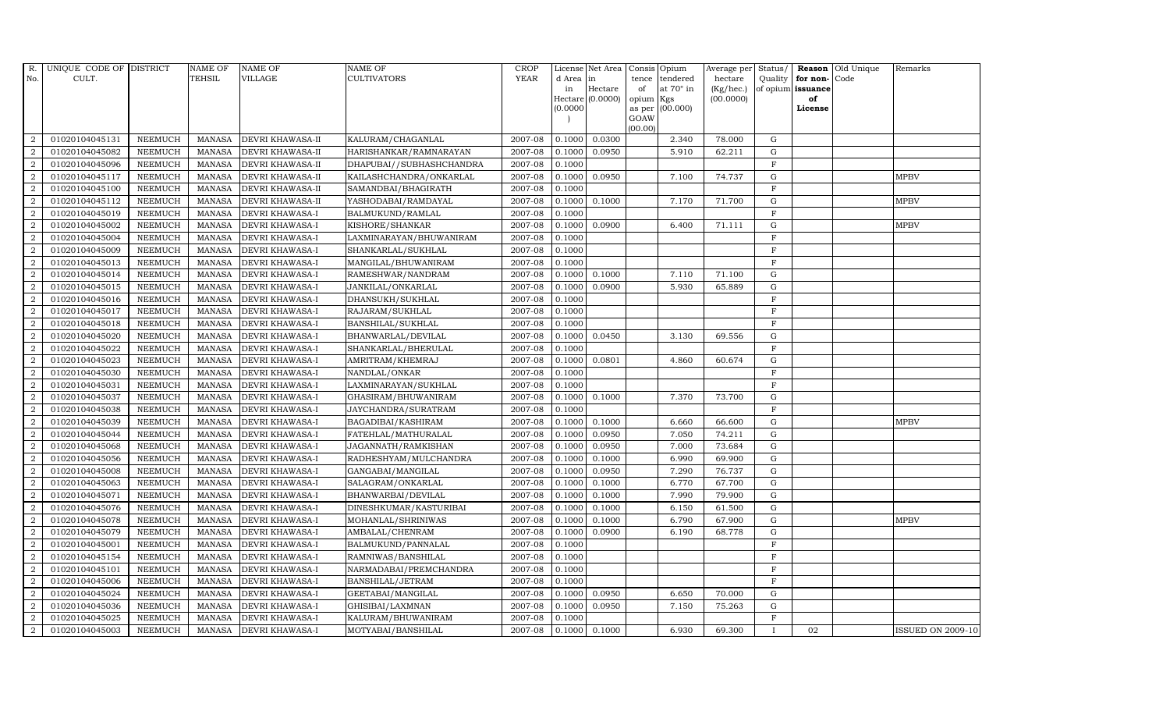| R.             | UNIQUE CODE OF DISTRICT |                | NAME OF         | <b>NAME OF</b>          | <b>NAME OF</b>              | CROP        |           | License Net Area Consis Opium |                     |                  | Average per     | Status/     | Reason            | Old Unique | Remarks                  |
|----------------|-------------------------|----------------|-----------------|-------------------------|-----------------------------|-------------|-----------|-------------------------------|---------------------|------------------|-----------------|-------------|-------------------|------------|--------------------------|
| No.            | CULT.                   |                | TEHSIL          | <b>VILLAGE</b>          | <b>CULTIVATORS</b>          | <b>YEAR</b> | d Area in |                               | tence               | tendered         | hectare         | Quality     | for non-          | Code       |                          |
|                |                         |                |                 |                         |                             |             | in        | Hectare                       | of                  | at $70^\circ$ in | $(Kg/$ hec. $)$ |             | of opium issuance |            |                          |
|                |                         |                |                 |                         |                             |             | (0.0000)  | Hectare (0.0000)              | opium Kgs<br>as per | (00.000)         | (00.0000)       |             | of<br>License     |            |                          |
|                |                         |                |                 |                         |                             |             |           |                               | GOAW                |                  |                 |             |                   |            |                          |
|                |                         |                |                 |                         |                             |             |           |                               | (00.00)             |                  |                 |             |                   |            |                          |
| $\overline{2}$ | 01020104045131          | <b>NEEMUCH</b> | MANASA          | <b>DEVRI KHAWASA-II</b> | KALURAM/CHAGANLAL           | 2007-08     | 0.1000    | 0.0300                        |                     | 2.340            | 78.000          | G           |                   |            |                          |
| $\overline{2}$ | 01020104045082          | <b>NEEMUCH</b> | MANASA          | <b>DEVRI KHAWASA-II</b> | HARISHANKAR/RAMNARAYAN      | 2007-08     | 0.1000    | 0.0950                        |                     | 5.910            | 62.211          | ${\rm G}$   |                   |            |                          |
| 2              | 01020104045096          | <b>NEEMUCH</b> | <b>MANASA</b>   | <b>DEVRI KHAWASA-II</b> | DHAPUBAI / / SUBHASHCHANDRA | 2007-08     | 0.1000    |                               |                     |                  |                 | $\mathbf F$ |                   |            |                          |
| $\overline{2}$ | 01020104045117          | <b>NEEMUCH</b> | <b>MANASA</b>   | <b>DEVRI KHAWASA-II</b> | KAILASHCHANDRA/ONKARLAL     | 2007-08     | 0.1000    | 0.0950                        |                     | 7.100            | 74.737          | $\mathbf G$ |                   |            | <b>MPBV</b>              |
| 2              | 01020104045100          | <b>NEEMUCH</b> | <b>MANASA</b>   | <b>DEVRI KHAWASA-II</b> | SAMANDBAI/BHAGIRATH         | 2007-08     | 0.1000    |                               |                     |                  |                 | $\mathbf F$ |                   |            |                          |
| $\overline{2}$ | 01020104045112          | <b>NEEMUCH</b> | <b>MANASA</b>   | <b>DEVRI KHAWASA-II</b> | YASHODABAI/RAMDAYAL         | 2007-08     | 0.1000    | 0.1000                        |                     | 7.170            | 71.700          | $\mathbf G$ |                   |            | <b>MPBV</b>              |
| $\overline{a}$ | 01020104045019          | <b>NEEMUCH</b> | MANASA          | <b>DEVRI KHAWASA-I</b>  | BALMUKUND/RAMLAL            | 2007-08     | 0.1000    |                               |                     |                  |                 | $\mathbf F$ |                   |            |                          |
| 2              | 01020104045002          | <b>NEEMUCH</b> | <b>MANASA</b>   | <b>DEVRI KHAWASA-I</b>  | KISHORE/SHANKAR             | 2007-08     | 0.1000    | 0.0900                        |                     | 6.400            | 71.111          | G           |                   |            | <b>MPBV</b>              |
| 2              | 01020104045004          | <b>NEEMUCH</b> | <b>MANASA</b>   | <b>DEVRI KHAWASA-I</b>  | LAXMINARAYAN/BHUWANIRAM     | 2007-08     | 0.1000    |                               |                     |                  |                 | $\mathbf F$ |                   |            |                          |
| $\overline{2}$ | 01020104045009          | <b>NEEMUCH</b> | $\mbox{MANASA}$ | DEVRI KHAWASA-I         | SHANKARLAL/SUKHLAL          | 2007-08     | 0.1000    |                               |                     |                  |                 | $\mathbf F$ |                   |            |                          |
| 2              | 01020104045013          | <b>NEEMUCH</b> | <b>MANASA</b>   | <b>DEVRI KHAWASA-I</b>  | MANGILAL/BHUWANIRAM         | 2007-08     | 0.1000    |                               |                     |                  |                 | $\mathbf F$ |                   |            |                          |
| $\overline{a}$ | 01020104045014          | <b>NEEMUCH</b> | <b>MANASA</b>   | <b>DEVRI KHAWASA-I</b>  | RAMESHWAR/NANDRAM           | 2007-08     | 0.1000    | 0.1000                        |                     | 7.110            | 71.100          | $\mathbf G$ |                   |            |                          |
| $\overline{2}$ | 01020104045015          | <b>NEEMUCH</b> | MANASA          | <b>DEVRI KHAWASA-I</b>  | JANKILAL/ONKARLAL           | 2007-08     | 0.1000    | 0.0900                        |                     | 5.930            | 65.889          | G           |                   |            |                          |
| $\overline{2}$ | 01020104045016          | <b>NEEMUCH</b> | <b>MANASA</b>   | <b>DEVRI KHAWASA-I</b>  | DHANSUKH/SUKHLAL            | 2007-08     | 0.1000    |                               |                     |                  |                 | $\mathbf F$ |                   |            |                          |
| $\overline{a}$ | 01020104045017          | <b>NEEMUCH</b> | <b>MANASA</b>   | <b>DEVRI KHAWASA-I</b>  | RAJARAM/SUKHLAL             | 2007-08     | 0.1000    |                               |                     |                  |                 | $\mathbf F$ |                   |            |                          |
| $\overline{a}$ | 01020104045018          | <b>NEEMUCH</b> | <b>MANASA</b>   | <b>DEVRI KHAWASA-I</b>  | BANSHILAL/SUKHLAL           | 2007-08     | 0.1000    |                               |                     |                  |                 | $\mathbf F$ |                   |            |                          |
| $\overline{a}$ | 01020104045020          | <b>NEEMUCH</b> | <b>MANASA</b>   | <b>DEVRI KHAWASA-I</b>  | BHANWARLAL/DEVILAL          | 2007-08     | 0.1000    | 0.0450                        |                     | 3.130            | 69.556          | $\mathbf G$ |                   |            |                          |
| $\overline{2}$ | 01020104045022          | <b>NEEMUCH</b> | MANASA          | <b>DEVRI KHAWASA-I</b>  | SHANKARLAL/BHERULAL         | 2007-08     | 0.1000    |                               |                     |                  |                 | $\mathbf F$ |                   |            |                          |
| $\overline{2}$ | 01020104045023          | <b>NEEMUCH</b> | <b>MANASA</b>   | <b>DEVRI KHAWASA-I</b>  | AMRITRAM/KHEMRAJ            | 2007-08     | 0.1000    | 0.0801                        |                     | 4.860            | 60.674          | $\mathbf G$ |                   |            |                          |
| $\overline{2}$ | 01020104045030          | <b>NEEMUCH</b> | <b>MANASA</b>   | <b>DEVRI KHAWASA-I</b>  | NANDLAL/ONKAR               | 2007-08     | 0.1000    |                               |                     |                  |                 | $\mathbf F$ |                   |            |                          |
| 2              | 01020104045031          | <b>NEEMUCH</b> | <b>MANASA</b>   | DEVRI KHAWASA-I         | LAXMINARAYAN/SUKHLAL        | 2007-08     | 0.1000    |                               |                     |                  |                 | $\rm F$     |                   |            |                          |
| $\overline{2}$ | 01020104045037          | <b>NEEMUCH</b> | <b>MANASA</b>   | <b>DEVRI KHAWASA-I</b>  | GHASIRAM/BHUWANIRAM         | 2007-08     | 0.1000    | 0.1000                        |                     | 7.370            | 73.700          | ${\rm G}$   |                   |            |                          |
| $\overline{a}$ | 01020104045038          | <b>NEEMUCH</b> | MANASA          | DEVRI KHAWASA-I         | JAYCHANDRA/SURATRAM         | 2007-08     | 0.1000    |                               |                     |                  |                 | F           |                   |            |                          |
| 2              | 01020104045039          | <b>NEEMUCH</b> | <b>MANASA</b>   | <b>DEVRI KHAWASA-I</b>  | BAGADIBAI/KASHIRAM          | 2007-08     | 0.1000    | 0.1000                        |                     | 6.660            | 66.600          | $\mathbf G$ |                   |            | <b>MPBV</b>              |
| $\overline{2}$ | 01020104045044          | <b>NEEMUCH</b> | <b>MANASA</b>   | <b>DEVRI KHAWASA-I</b>  | FATEHLAL/MATHURALAL         | 2007-08     | 0.1000    | 0.0950                        |                     | 7.050            | 74.211          | $\mathbf G$ |                   |            |                          |
| 2              | 01020104045068          | <b>NEEMUCH</b> | <b>MANASA</b>   | DEVRI KHAWASA-I         | JAGANNATH/RAMKISHAN         | 2007-08     | 0.1000    | 0.0950                        |                     | 7.000            | 73.684          | $\mathbf G$ |                   |            |                          |
| 2              | 01020104045056          | <b>NEEMUCH</b> | <b>MANASA</b>   | <b>DEVRI KHAWASA-I</b>  | RADHESHYAM/MULCHANDRA       | 2007-08     | 0.1000    | 0.1000                        |                     | 6.990            | 69.900          | ${\rm G}$   |                   |            |                          |
| $\overline{a}$ | 01020104045008          | <b>NEEMUCH</b> | <b>MANASA</b>   | <b>DEVRI KHAWASA-I</b>  | GANGABAI/MANGILAL           | 2007-08     | 0.1000    | 0.0950                        |                     | 7.290            | 76.737          | $\mathbf G$ |                   |            |                          |
| $\overline{2}$ | 01020104045063          | <b>NEEMUCH</b> | <b>MANASA</b>   | <b>DEVRI KHAWASA-I</b>  | SALAGRAM/ONKARLAL           | 2007-08     | 0.1000    | 0.1000                        |                     | 6.770            | 67.700          | $\mathbf G$ |                   |            |                          |
| $\overline{2}$ | 01020104045071          | <b>NEEMUCH</b> | <b>MANASA</b>   | <b>DEVRI KHAWASA-I</b>  | BHANWARBAI/DEVILAL          | 2007-08     | 0.1000    | 0.1000                        |                     | 7.990            | 79.900          | $\mathbf G$ |                   |            |                          |
| $\overline{2}$ | 01020104045076          | <b>NEEMUCH</b> | <b>MANASA</b>   | <b>DEVRI KHAWASA-I</b>  | DINESHKUMAR/KASTURIBAI      | 2007-08     | 0.1000    | 0.1000                        |                     | 6.150            | 61.500          | ${\rm G}$   |                   |            |                          |
| $\overline{2}$ | 01020104045078          | <b>NEEMUCH</b> | <b>MANASA</b>   | <b>DEVRI KHAWASA-I</b>  | MOHANLAL/SHRINIWAS          | 2007-08     | 0.1000    | 0.1000                        |                     | 6.790            | 67.900          | ${\rm G}$   |                   |            | <b>MPBV</b>              |
| $\overline{a}$ | 01020104045079          | <b>NEEMUCH</b> | <b>MANASA</b>   | <b>DEVRI KHAWASA-I</b>  | AMBALAL/CHENRAM             | 2007-08     | 0.1000    | 0.0900                        |                     | 6.190            | 68.778          | ${\rm G}$   |                   |            |                          |
| $\overline{2}$ | 01020104045001          | <b>NEEMUCH</b> | <b>MANASA</b>   | <b>DEVRI KHAWASA-I</b>  | BALMUKUND/PANNALAL          | 2007-08     | 0.1000    |                               |                     |                  |                 | $\mathbf F$ |                   |            |                          |
| 2              | 01020104045154          | <b>NEEMUCH</b> | <b>MANASA</b>   | DEVRI KHAWASA-I         | RAMNIWAS/BANSHILAL          | 2007-08     | 0.1000    |                               |                     |                  |                 | $\mathbf F$ |                   |            |                          |
| $\overline{a}$ | 01020104045101          | <b>NEEMUCH</b> | <b>MANASA</b>   | <b>DEVRI KHAWASA-I</b>  | NARMADABAI/PREMCHANDRA      | 2007-08     | 0.1000    |                               |                     |                  |                 | $\mathbf F$ |                   |            |                          |
| 2              | 01020104045006          | <b>NEEMUCH</b> | <b>MANASA</b>   | <b>DEVRI KHAWASA-I</b>  | BANSHILAL/JETRAM            | 2007-08     | 0.1000    |                               |                     |                  |                 | $\mathbf F$ |                   |            |                          |
| $\overline{a}$ | 01020104045024          | <b>NEEMUCH</b> | <b>MANASA</b>   | <b>DEVRI KHAWASA-I</b>  | GEETABAI/MANGILAL           | 2007-08     | 0.1000    | 0.0950                        |                     | 6.650            | 70.000          | $\mathbf G$ |                   |            |                          |
| $\overline{2}$ | 01020104045036          | <b>NEEMUCH</b> | <b>MANASA</b>   | <b>DEVRI KHAWASA-I</b>  | GHISIBAI/LAXMNAN            | 2007-08     | 0.1000    | 0.0950                        |                     | 7.150            | 75.263          | $\mathbf G$ |                   |            |                          |
| 2              | 01020104045025          | <b>NEEMUCH</b> | <b>MANASA</b>   | <b>DEVRI KHAWASA-I</b>  | KALURAM/BHUWANIRAM          | 2007-08     | 0.1000    |                               |                     |                  |                 | $\mathbf F$ |                   |            |                          |
| $\overline{a}$ | 01020104045003          | <b>NEEMUCH</b> |                 | MANASA DEVRI KHAWASA-I  | MOTYABAI/BANSHILAL          | 2007-08     | 0.1000    | 0.1000                        |                     | 6.930            | 69.300          |             | 02                |            | <b>ISSUED ON 2009-10</b> |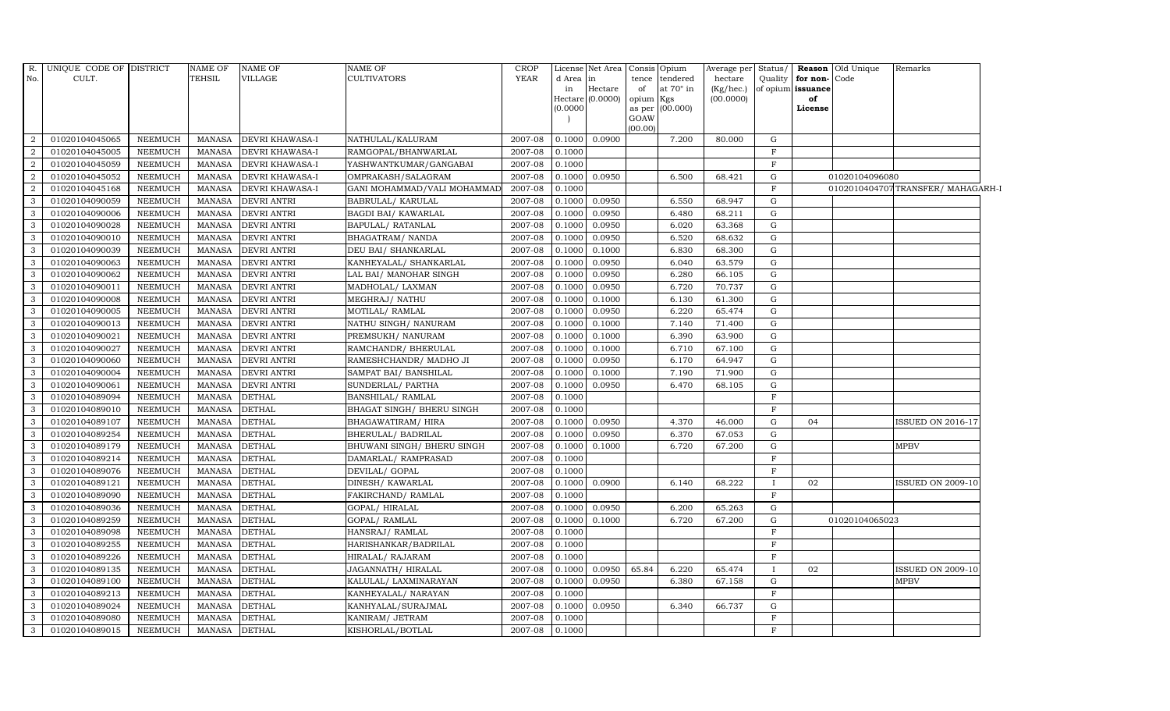| No.            |                |                |               |                        |                             | CROP        |           | License Net Area            | Consis          | Opium     | Average per               |              |                         | Status/ Reason Old Unique | Remarks                          |
|----------------|----------------|----------------|---------------|------------------------|-----------------------------|-------------|-----------|-----------------------------|-----------------|-----------|---------------------------|--------------|-------------------------|---------------------------|----------------------------------|
|                | CULT.          |                | <b>TEHSIL</b> | VILLAGE                | <b>CULTIVATORS</b>          | <b>YEAR</b> | d Area in |                             | tence           | tendered  | hectare                   |              | Quality   for non- Code |                           |                                  |
|                |                |                |               |                        |                             |             | in        | Hectare<br>Hectare (0.0000) | of<br>opium Kgs | at 70° in | $(Kg/$ hec.)<br>(00.0000) |              | of opium issuance<br>of |                           |                                  |
|                |                |                |               |                        |                             |             | (0.0000)  |                             | as per          | (00.000)  |                           |              | License                 |                           |                                  |
|                |                |                |               |                        |                             |             |           |                             | GOAW            |           |                           |              |                         |                           |                                  |
|                |                |                |               |                        |                             |             |           |                             | (00.00)         |           |                           |              |                         |                           |                                  |
| 2              | 01020104045065 | <b>NEEMUCH</b> | MANASA        | <b>DEVRI KHAWASA-I</b> | NATHULAL/KALURAM            | 2007-08     | 0.1000    | 0.0900                      |                 | 7.200     | 80.000                    | G            |                         |                           |                                  |
| 2              | 01020104045005 | <b>NEEMUCH</b> | MANASA        | <b>DEVRI KHAWASA-I</b> | RAMGOPAL/BHANWARLAL         | 2007-08     | 0.1000    |                             |                 |           |                           | F            |                         |                           |                                  |
| $\overline{2}$ | 01020104045059 | <b>NEEMUCH</b> | <b>MANASA</b> | <b>DEVRI KHAWASA-I</b> | YASHWANTKUMAR/GANGABAI      | 2007-08     | 0.1000    |                             |                 |           |                           | $_{\rm F}$   |                         |                           |                                  |
| $\overline{2}$ | 01020104045052 | <b>NEEMUCH</b> | <b>MANASA</b> | <b>DEVRI KHAWASA-I</b> | OMPRAKASH/SALAGRAM          | 2007-08     | 0.1000    | 0.0950                      |                 | 6.500     | 68.421                    | $\mathbf G$  |                         | 01020104096080            |                                  |
| $\overline{2}$ | 01020104045168 | <b>NEEMUCH</b> | <b>MANASA</b> | DEVRI KHAWASA-I        | GANI MOHAMMAD/VALI MOHAMMAD | 2007-08     | 0.1000    |                             |                 |           |                           | $\mathbf{F}$ |                         |                           | 0102010404707TRANSFER/MAHAGARH-I |
| 3              | 01020104090059 | <b>NEEMUCH</b> | <b>MANASA</b> | <b>DEVRI ANTRI</b>     | BABRULAL/ KARULAL           | 2007-08     | 0.1000    | 0.0950                      |                 | 6.550     | 68.947                    | G            |                         |                           |                                  |
| 3              | 01020104090006 | <b>NEEMUCH</b> | <b>MANASA</b> | <b>DEVRI ANTRI</b>     | <b>BAGDI BAI/ KAWARLAL</b>  | 2007-08     | 0.1000    | 0.0950                      |                 | 6.480     | 68.211                    | G            |                         |                           |                                  |
| 3              | 01020104090028 | <b>NEEMUCH</b> | <b>MANASA</b> | <b>DEVRI ANTRI</b>     | BAPULAL/ RATANLAL           | 2007-08     | 0.1000    | 0.0950                      |                 | 6.020     | 63.368                    | G            |                         |                           |                                  |
| 3              | 01020104090010 | <b>NEEMUCH</b> | <b>MANASA</b> | <b>DEVRI ANTRI</b>     | BHAGATRAM/ NANDA            | 2007-08     | 0.1000    | 0.0950                      |                 | 6.520     | 68.632                    | G            |                         |                           |                                  |
| 3              | 01020104090039 | NEEMUCH        | <b>MANASA</b> | <b>DEVRI ANTRI</b>     | DEU BAI/ SHANKARLAL         | 2007-08     | 0.1000    | 0.1000                      |                 | 6.830     | 68.300                    | G            |                         |                           |                                  |
| 3              | 01020104090063 | <b>NEEMUCH</b> | <b>MANASA</b> | <b>DEVRI ANTRI</b>     | KANHEYALAL/ SHANKARLAL      | 2007-08     | 0.1000    | 0.0950                      |                 | 6.040     | 63.579                    | G            |                         |                           |                                  |
| 3              | 01020104090062 | <b>NEEMUCH</b> | <b>MANASA</b> | <b>DEVRI ANTRI</b>     | LAL BAI/ MANOHAR SINGH      | 2007-08     | 0.1000    | 0.0950                      |                 | 6.280     | 66.105                    | G            |                         |                           |                                  |
| 3              | 01020104090011 | <b>NEEMUCH</b> | MANASA        | <b>DEVRI ANTRI</b>     | MADHOLAL/ LAXMAN            | 2007-08     | 0.1000    | 0.0950                      |                 | 6.720     | 70.737                    | G            |                         |                           |                                  |
| 3              | 01020104090008 | <b>NEEMUCH</b> | <b>MANASA</b> | <b>DEVRI ANTRI</b>     | MEGHRAJ / NATHU             | 2007-08     | 0.1000    | 0.1000                      |                 | 6.130     | 61.300                    | G            |                         |                           |                                  |
| 3              | 01020104090005 | NEEMUCH        | <b>MANASA</b> | <b>DEVRI ANTRI</b>     | MOTILAL/ RAMLAL             | 2007-08     | 0.1000    | 0.0950                      |                 | 6.220     | 65.474                    | $\mathbf G$  |                         |                           |                                  |
| 3              | 01020104090013 | <b>NEEMUCH</b> | MANASA        | <b>DEVRI ANTRI</b>     | NATHU SINGH/ NANURAM        | 2007-08     | 0.1000    | 0.1000                      |                 | 7.140     | 71.400                    | G            |                         |                           |                                  |
| 3              | 01020104090021 | <b>NEEMUCH</b> | <b>MANASA</b> | <b>DEVRI ANTRI</b>     | PREMSUKH/ NANURAM           | 2007-08     | 0.1000    | 0.1000                      |                 | 6.390     | 63.900                    | G            |                         |                           |                                  |
| 3              | 01020104090027 | <b>NEEMUCH</b> | MANASA        | <b>DEVRI ANTRI</b>     | RAMCHANDR/ BHERULAL         | 2007-08     | 0.1000    | 0.1000                      |                 | 6.710     | 67.100                    | G            |                         |                           |                                  |
| 3              | 01020104090060 | <b>NEEMUCH</b> | <b>MANASA</b> | <b>DEVRI ANTRI</b>     | RAMESHCHANDR/ MADHO JI      | 2007-08     | 0.1000    | 0.0950                      |                 | 6.170     | 64.947                    | G            |                         |                           |                                  |
| $\mathcal{A}$  | 01020104090004 | <b>NEEMUCH</b> | <b>MANASA</b> | <b>DEVRI ANTRI</b>     | SAMPAT BAI/ BANSHILAL       | 2007-08     | 0.1000    | 0.1000                      |                 | 7.190     | 71.900                    | $\mathbf G$  |                         |                           |                                  |
| 3              | 01020104090061 | <b>NEEMUCH</b> | <b>MANASA</b> | <b>DEVRI ANTRI</b>     | SUNDERLAL/ PARTHA           | 2007-08     | 0.1000    | 0.0950                      |                 | 6.470     | 68.105                    | G            |                         |                           |                                  |
| 3              | 01020104089094 | <b>NEEMUCH</b> | <b>MANASA</b> | <b>DETHAL</b>          | BANSHILAL/RAMLAL            | 2007-08     | 0.1000    |                             |                 |           |                           | $\mathbf{F}$ |                         |                           |                                  |
| 3              | 01020104089010 | <b>NEEMUCH</b> | MANASA        | <b>DETHAL</b>          | BHAGAT SINGH/ BHERU SINGH   | 2007-08     | 0.1000    |                             |                 |           |                           | F            |                         |                           |                                  |
| 3              | 01020104089107 | <b>NEEMUCH</b> | <b>MANASA</b> | <b>DETHAL</b>          | BHAGAWATIRAM/HIRA           | 2007-08     | 0.1000    | 0.0950                      |                 | 4.370     | 46.000                    | G            | 04                      |                           | <b>ISSUED ON 2016-17</b>         |
| 3              | 01020104089254 | <b>NEEMUCH</b> | <b>MANASA</b> | <b>DETHAL</b>          | BHERULAL/ BADRILAL          | 2007-08     | 0.1000    | 0.0950                      |                 | 6.370     | 67.053                    | G            |                         |                           |                                  |
| 3              | 01020104089179 | <b>NEEMUCH</b> | <b>MANASA</b> | <b>DETHAL</b>          | BHUWANI SINGH/ BHERU SINGH  | 2007-08     | 0.1000    | 0.1000                      |                 | 6.720     | 67.200                    | G            |                         |                           | <b>MPBV</b>                      |
| 3              | 01020104089214 | <b>NEEMUCH</b> | <b>MANASA</b> | <b>DETHAL</b>          | DAMARLAL/ RAMPRASAD         | 2007-08     | 0.1000    |                             |                 |           |                           | $\mathbf F$  |                         |                           |                                  |
| 3              | 01020104089076 | <b>NEEMUCH</b> | <b>MANASA</b> | <b>DETHAL</b>          | DEVILAL/ GOPAL              | 2007-08     | 0.1000    |                             |                 |           |                           | F            |                         |                           |                                  |
| 3              | 01020104089121 | <b>NEEMUCH</b> | <b>MANASA</b> | <b>DETHAL</b>          | DINESH/ KAWARLAL            | 2007-08     | 0.1000    | 0.0900                      |                 | 6.140     | 68.222                    | $\mathbf{I}$ | 02                      |                           | <b>ISSUED ON 2009-10</b>         |
| 3              | 01020104089090 | <b>NEEMUCH</b> | <b>MANASA</b> | <b>DETHAL</b>          | FAKIRCHAND/RAMLAL           | 2007-08     | 0.1000    |                             |                 |           |                           | $\mathbf F$  |                         |                           |                                  |
| 3              | 01020104089036 | <b>NEEMUCH</b> | <b>MANASA</b> | <b>DETHAL</b>          | GOPAL/HIRALAL               | 2007-08     | 0.1000    | 0.0950                      |                 | 6.200     | 65.263                    | G            |                         |                           |                                  |
| 3              | 01020104089259 | <b>NEEMUCH</b> | <b>MANASA</b> | <b>DETHAL</b>          | GOPAL/RAMLAL                | 2007-08     | 0.1000    | 0.1000                      |                 | 6.720     | 67.200                    | G            |                         | 01020104065023            |                                  |
| 3              | 01020104089098 | <b>NEEMUCH</b> | <b>MANASA</b> | <b>DETHAL</b>          | HANSRAJ/ RAMLAL             | 2007-08     | 0.1000    |                             |                 |           |                           | $\mathbf{F}$ |                         |                           |                                  |
| 3              | 01020104089255 | <b>NEEMUCH</b> | <b>MANASA</b> | <b>DETHAL</b>          | HARISHANKAR/BADRILAL        | 2007-08     | 0.1000    |                             |                 |           |                           | $\mathbf F$  |                         |                           |                                  |
| 3              | 01020104089226 | <b>NEEMUCH</b> | <b>MANASA</b> | <b>DETHAL</b>          | HIRALAL/ RAJARAM            | 2007-08     | 0.1000    |                             |                 |           |                           | $\mathbf F$  |                         |                           |                                  |
| 3              | 01020104089135 | <b>NEEMUCH</b> | <b>MANASA</b> | <b>DETHAL</b>          | JAGANNATH/HIRALAL           | 2007-08     | 0.1000    | 0.0950                      | 65.84           | 6.220     | 65.474                    | $\mathbf{I}$ | 02                      |                           | ISSUED ON 2009-10                |
| 3              | 01020104089100 | <b>NEEMUCH</b> | <b>MANASA</b> | <b>DETHAL</b>          | KALULAL/ LAXMINARAYAN       | 2007-08     | 0.1000    | 0.0950                      |                 | 6.380     | 67.158                    | G            |                         |                           | <b>MPBV</b>                      |
| 3              | 01020104089213 | <b>NEEMUCH</b> | <b>MANASA</b> | <b>DETHAL</b>          | KANHEYALAL/ NARAYAN         | 2007-08     | 0.1000    |                             |                 |           |                           | F            |                         |                           |                                  |
| 3              | 01020104089024 | <b>NEEMUCH</b> | <b>MANASA</b> | <b>DETHAL</b>          | KANHYALAL/SURAJMAL          | 2007-08     | 0.1000    | 0.0950                      |                 | 6.340     | 66.737                    | G            |                         |                           |                                  |
| 3              | 01020104089080 | <b>NEEMUCH</b> | <b>MANASA</b> | <b>DETHAL</b>          | KANIRAM/ JETRAM             | 2007-08     | 0.1000    |                             |                 |           |                           | $\mathbf F$  |                         |                           |                                  |
| 3              | 01020104089015 | NEEMUCH        | MANASA        | <b>DETHAL</b>          | KISHORLAL/BOTLAL            | 2007-08     | 0.1000    |                             |                 |           |                           | F            |                         |                           |                                  |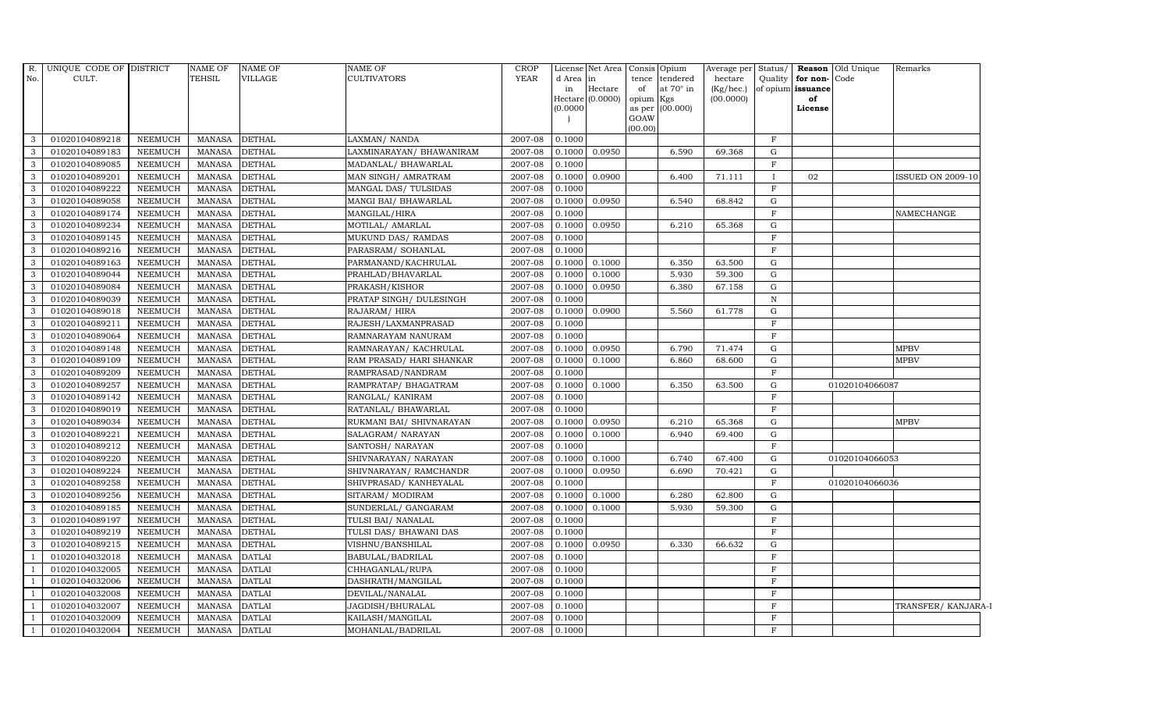| $R$ .        | UNIQUE CODE OF DISTRICT |                | <b>NAME OF</b> | <b>NAME OF</b> | <b>NAME OF</b>           | <b>CROP</b> |           | License Net Area Consis Opium |                 |                  | Average per Status/    |              |                         | Reason Old Unique | Remarks             |
|--------------|-------------------------|----------------|----------------|----------------|--------------------------|-------------|-----------|-------------------------------|-----------------|------------------|------------------------|--------------|-------------------------|-------------------|---------------------|
| No.          | CULT.                   |                | <b>TEHSIL</b>  | VILLAGE        | <b>CULTIVATORS</b>       | <b>YEAR</b> | d Area in |                               |                 | tence tendered   | hectare                | Quality      | for non-Code            |                   |                     |
|              |                         |                |                |                |                          |             | in        | Hectare<br>Hectare (0.0000)   | of<br>opium Kgs | at $70^\circ$ in | (Kg/hec.)<br>(00.0000) |              | of opium issuance<br>of |                   |                     |
|              |                         |                |                |                |                          |             | (0.0000)  |                               | as per (00.000) |                  |                        |              | License                 |                   |                     |
|              |                         |                |                |                |                          |             |           |                               | GOAW            |                  |                        |              |                         |                   |                     |
|              |                         |                |                |                |                          |             |           |                               | (00.00)         |                  |                        |              |                         |                   |                     |
| 3            | 01020104089218          | <b>NEEMUCH</b> | <b>MANASA</b>  | <b>DETHAL</b>  | LAXMAN/ NANDA            | 2007-08     | 0.1000    |                               |                 |                  |                        | $\mathbf{F}$ |                         |                   |                     |
| 3            | 01020104089183          | NEEMUCH        | <b>MANASA</b>  | <b>DETHAL</b>  | LAXMINARAYAN/ BHAWANIRAM | 2007-08     | 0.1000    | 0.0950                        |                 | 6.590            | 69.368                 | ${\rm G}$    |                         |                   |                     |
| 3            | 01020104089085          | <b>NEEMUCH</b> | <b>MANASA</b>  | <b>DETHAL</b>  | MADANLAL/BHAWARLAL       | 2007-08     | 0.1000    |                               |                 |                  |                        | $\mathbf F$  |                         |                   |                     |
| 3            | 01020104089201          | <b>NEEMUCH</b> | <b>MANASA</b>  | <b>DETHAL</b>  | MAN SINGH/ AMRATRAM      | 2007-08     | 0.1000    | 0.0900                        |                 | 6.400            | 71.111                 | $\bf{I}$     | 02                      |                   | ISSUED ON 2009-10   |
| 3            | 01020104089222          | <b>NEEMUCH</b> | <b>MANASA</b>  | <b>DETHAL</b>  | MANGAL DAS/ TULSIDAS     | 2007-08     | 0.1000    |                               |                 |                  |                        | $\mathbf F$  |                         |                   |                     |
| $\mathbf{3}$ | 01020104089058          | <b>NEEMUCH</b> | <b>MANASA</b>  | <b>DETHAL</b>  | MANGI BAI/ BHAWARLAL     | 2007-08     | 0.1000    | 0.0950                        |                 | 6.540            | 68.842                 | G            |                         |                   |                     |
| 3            | 01020104089174          | <b>NEEMUCH</b> | <b>MANASA</b>  | <b>DETHAL</b>  | MANGILAL/HIRA            | 2007-08     | 0.1000    |                               |                 |                  |                        | $\mathbf F$  |                         |                   | NAMECHANGE          |
| 3            | 01020104089234          | <b>NEEMUCH</b> | <b>MANASA</b>  | <b>DETHAL</b>  | MOTILAL/ AMARLAL         | 2007-08     | 0.1000    | 0.0950                        |                 | 6.210            | 65.368                 | G            |                         |                   |                     |
| 3            | 01020104089145          | <b>NEEMUCH</b> | <b>MANASA</b>  | <b>DETHAL</b>  | MUKUND DAS/ RAMDAS       | 2007-08     | 0.1000    |                               |                 |                  |                        | $\mathbf F$  |                         |                   |                     |
| 3            | 01020104089216          | <b>NEEMUCH</b> | <b>MANASA</b>  | <b>DETHAL</b>  | PARASRAM/ SOHANLAL       | 2007-08     | 0.1000    |                               |                 |                  |                        | $\mathbf F$  |                         |                   |                     |
| 3            | 01020104089163          | <b>NEEMUCH</b> | <b>MANASA</b>  | <b>DETHAL</b>  | PARMANAND/KACHRULAL      | 2007-08     | 0.1000    | 0.1000                        |                 | 6.350            | 63.500                 | G            |                         |                   |                     |
| 3            | 01020104089044          | <b>NEEMUCH</b> | <b>MANASA</b>  | <b>DETHAL</b>  | PRAHLAD/BHAVARLAL        | 2007-08     | 0.1000    | 0.1000                        |                 | 5.930            | 59.300                 | $\mathbf G$  |                         |                   |                     |
| 3            | 01020104089084          | <b>NEEMUCH</b> | <b>MANASA</b>  | <b>DETHAL</b>  | PRAKASH/KISHOR           | 2007-08     | 0.1000    | 0.0950                        |                 | 6.380            | 67.158                 | G            |                         |                   |                     |
| 3            | 01020104089039          | <b>NEEMUCH</b> | <b>MANASA</b>  | <b>DETHAL</b>  | PRATAP SINGH/ DULESINGH  | 2007-08     | 0.1000    |                               |                 |                  |                        | $\, {\bf N}$ |                         |                   |                     |
| 3            | 01020104089018          | <b>NEEMUCH</b> | <b>MANASA</b>  | <b>DETHAL</b>  | RAJARAM/HIRA             | 2007-08     | 0.1000    | 0.0900                        |                 | 5.560            | 61.778                 | G            |                         |                   |                     |
| 3            | 01020104089211          | <b>NEEMUCH</b> | <b>MANASA</b>  | <b>DETHAL</b>  | RAJESH/LAXMANPRASAD      | 2007-08     | 0.1000    |                               |                 |                  |                        | $\mathbf F$  |                         |                   |                     |
| 3            | 01020104089064          | <b>NEEMUCH</b> | <b>MANASA</b>  | <b>DETHAL</b>  | RAMNARAYAM NANURAM       | 2007-08     | 0.1000    |                               |                 |                  |                        | $\mathbf F$  |                         |                   |                     |
| 3            | 01020104089148          | <b>NEEMUCH</b> | <b>MANASA</b>  | <b>DETHAL</b>  | RAMNARAYAN/KACHRULAL     | 2007-08     | 0.1000    | 0.0950                        |                 | 6.790            | 71.474                 | G            |                         |                   | <b>MPBV</b>         |
| 3            | 01020104089109          | <b>NEEMUCH</b> | <b>MANASA</b>  | <b>DETHAL</b>  | RAM PRASAD/ HARI SHANKAR | 2007-08     | 0.1000    | 0.1000                        |                 | 6.860            | 68.600                 | ${\rm G}$    |                         |                   | <b>MPBV</b>         |
| 3            | 01020104089209          | <b>NEEMUCH</b> | <b>MANASA</b>  | <b>DETHAL</b>  | RAMPRASAD/NANDRAM        | 2007-08     | 0.1000    |                               |                 |                  |                        | $\mathbf F$  |                         |                   |                     |
| 3            | 01020104089257          | <b>NEEMUCH</b> | <b>MANASA</b>  | <b>DETHAL</b>  | RAMPRATAP/ BHAGATRAM     | 2007-08     | 0.1000    | 0.1000                        |                 | 6.350            | 63.500                 | G            |                         | 01020104066087    |                     |
| 3            | 01020104089142          | <b>NEEMUCH</b> | <b>MANASA</b>  | <b>DETHAL</b>  | RANGLAL/ KANIRAM         | 2007-08     | 0.1000    |                               |                 |                  |                        | $\mathbf{F}$ |                         |                   |                     |
| 3            | 01020104089019          | <b>NEEMUCH</b> | <b>MANASA</b>  | <b>DETHAL</b>  | RATANLAL/ BHAWARLAL      | 2007-08     | 0.1000    |                               |                 |                  |                        | $\mathbf F$  |                         |                   |                     |
| 3            | 01020104089034          | <b>NEEMUCH</b> | <b>MANASA</b>  | <b>DETHAL</b>  | RUKMANI BAI/ SHIVNARAYAN | 2007-08     | 0.1000    | 0.0950                        |                 | 6.210            | 65.368                 | ${\rm G}$    |                         |                   | <b>MPBV</b>         |
| 3            | 01020104089221          | <b>NEEMUCH</b> | <b>MANASA</b>  | <b>DETHAL</b>  | SALAGRAM/ NARAYAN        | 2007-08     | 0.1000    | 0.1000                        |                 | 6.940            | 69.400                 | G            |                         |                   |                     |
| 3            | 01020104089212          | <b>NEEMUCH</b> | <b>MANASA</b>  | <b>DETHAL</b>  | SANTOSH/NARAYAN          | 2007-08     | 0.1000    |                               |                 |                  |                        | $\mathbf F$  |                         |                   |                     |
| 3            | 01020104089220          | <b>NEEMUCH</b> | <b>MANASA</b>  | <b>DETHAL</b>  | SHIVNARAYAN / NARAYAN    | 2007-08     | 0.1000    | 0.1000                        |                 | 6.740            | 67.400                 | G            |                         | 01020104066053    |                     |
| 3            | 01020104089224          | <b>NEEMUCH</b> | <b>MANASA</b>  | <b>DETHAL</b>  | SHIVNARAYAN / RAMCHANDR  | 2007-08     | 0.1000    | 0.0950                        |                 | 6.690            | 70.421                 | G            |                         |                   |                     |
| 3            | 01020104089258          | <b>NEEMUCH</b> | <b>MANASA</b>  | <b>DETHAL</b>  | SHIVPRASAD/ KANHEYALAL   | 2007-08     | 0.1000    |                               |                 |                  |                        | $\mathbf F$  |                         | 01020104066036    |                     |
| 3            | 01020104089256          | <b>NEEMUCH</b> | <b>MANASA</b>  | <b>DETHAL</b>  | SITARAM/ MODIRAM         | 2007-08     | 0.1000    | 0.1000                        |                 | 6.280            | 62.800                 | G            |                         |                   |                     |
| 3            | 01020104089185          | <b>NEEMUCH</b> | <b>MANASA</b>  | <b>DETHAL</b>  | SUNDERLAL/ GANGARAM      | 2007-08     | 0.1000    | 0.1000                        |                 | 5.930            | 59.300                 | G            |                         |                   |                     |
| 3            | 01020104089197          | <b>NEEMUCH</b> | <b>MANASA</b>  | <b>DETHAL</b>  | TULSI BAI/ NANALAL       | 2007-08     | 0.1000    |                               |                 |                  |                        | $\mathbf F$  |                         |                   |                     |
| 3            | 01020104089219          | <b>NEEMUCH</b> | <b>MANASA</b>  | <b>DETHAL</b>  | TULSI DAS/ BHAWANI DAS   | 2007-08     | 0.1000    |                               |                 |                  |                        | $\mathbf{F}$ |                         |                   |                     |
| 3            | 01020104089215          | <b>NEEMUCH</b> | <b>MANASA</b>  | <b>DETHAL</b>  | VISHNU/BANSHILAL         | 2007-08     | 0.1000    | 0.0950                        |                 | 6.330            | 66.632                 | ${\rm G}$    |                         |                   |                     |
|              | 01020104032018          | <b>NEEMUCH</b> | <b>MANASA</b>  | <b>DATLAI</b>  | BABULAL/BADRILAL         | 2007-08     | 0.1000    |                               |                 |                  |                        | $\mathbf F$  |                         |                   |                     |
|              | 01020104032005          | <b>NEEMUCH</b> | <b>MANASA</b>  | <b>DATLAI</b>  | CHHAGANLAL/RUPA          | 2007-08     | 0.1000    |                               |                 |                  |                        | F            |                         |                   |                     |
|              | 01020104032006          | <b>NEEMUCH</b> | <b>MANASA</b>  | <b>DATLAI</b>  | DASHRATH/MANGILAL        | 2007-08     | 0.1000    |                               |                 |                  |                        | $\mathbf F$  |                         |                   |                     |
|              | 01020104032008          | <b>NEEMUCH</b> | <b>MANASA</b>  | <b>DATLAI</b>  | DEVILAL/NANALAL          | 2007-08     | 0.1000    |                               |                 |                  |                        | $\mathbf F$  |                         |                   |                     |
|              | 01020104032007          | <b>NEEMUCH</b> | <b>MANASA</b>  | <b>DATLAI</b>  | JAGDISH/BHURALAL         | 2007-08     | 0.1000    |                               |                 |                  |                        | $\mathbf{F}$ |                         |                   | TRANSFER/ KANJARA-I |
|              | 01020104032009          | <b>NEEMUCH</b> | <b>MANASA</b>  | <b>DATLAI</b>  | KAILASH/MANGILAL         | 2007-08     | 0.1000    |                               |                 |                  |                        | $\mathbf F$  |                         |                   |                     |
|              | 01020104032004          | <b>NEEMUCH</b> | MANASA         | <b>DATLAI</b>  | MOHANLAL/BADRILAL        | 2007-08     | 0.1000    |                               |                 |                  |                        | $\mathbf F$  |                         |                   |                     |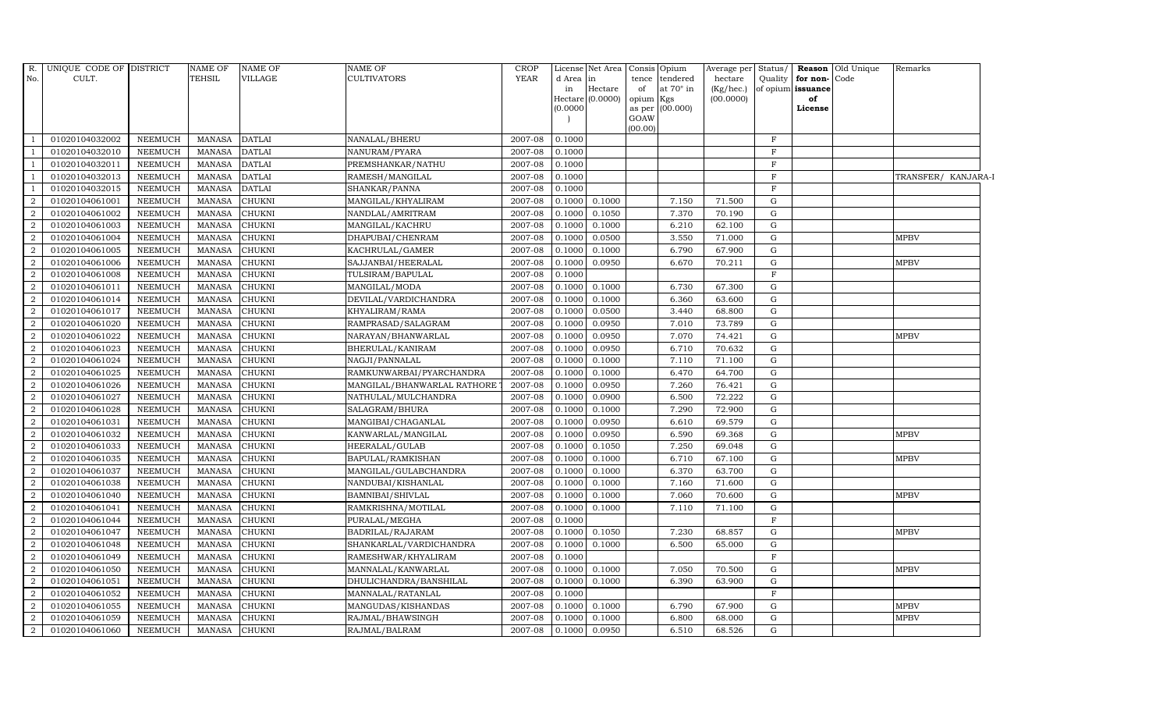| R.             | UNIQUE CODE OF DISTRICT |                | <b>NAME OF</b> | NAME OF       | NAME OF                     | CROP        |           | License Net Area   | Consis Opium |                  | Average per     | Status/      | Reason            | Old Unique | Remarks             |  |
|----------------|-------------------------|----------------|----------------|---------------|-----------------------------|-------------|-----------|--------------------|--------------|------------------|-----------------|--------------|-------------------|------------|---------------------|--|
| No.            | CULT.                   |                | <b>TEHSIL</b>  | VILLAGE       | CULTIVATORS                 | <b>YEAR</b> | d Area in |                    | tence        | tendered         | hectare         | Quality      | for non-          | Code       |                     |  |
|                |                         |                |                |               |                             |             | in        | Hectare            | of           | at $70^\circ$ in | $(Kg/$ hec. $)$ |              | of opium issuance |            |                     |  |
|                |                         |                |                |               |                             |             | (0.0000)  | Hectare $(0.0000)$ | opium Kgs    | as per (00.000)  | (00.0000)       |              | of<br>License     |            |                     |  |
|                |                         |                |                |               |                             |             |           |                    | GOAW         |                  |                 |              |                   |            |                     |  |
|                |                         |                |                |               |                             |             |           |                    | (00.00)      |                  |                 |              |                   |            |                     |  |
|                | 01020104032002          | NEEMUCH        | <b>MANASA</b>  | <b>DATLAI</b> | NANALAL/BHERU               | 2007-08     | 0.1000    |                    |              |                  |                 | F            |                   |            |                     |  |
|                | 01020104032010          | NEEMUCH        | <b>MANASA</b>  | <b>DATLAI</b> | NANURAM/PYARA               | 2007-08     | 0.1000    |                    |              |                  |                 | F            |                   |            |                     |  |
|                | 01020104032011          | NEEMUCH        | <b>MANASA</b>  | <b>DATLAI</b> | PREMSHANKAR/NATHU           | 2007-08     | 0.1000    |                    |              |                  |                 | $\mathbf{F}$ |                   |            |                     |  |
|                | 01020104032013          | <b>NEEMUCH</b> | <b>MANASA</b>  | <b>DATLAI</b> | RAMESH/MANGILAL             | 2007-08     | 0.1000    |                    |              |                  |                 | $\mathbf{F}$ |                   |            | TRANSFER/ KANJARA-I |  |
|                | 01020104032015          | <b>NEEMUCH</b> | <b>MANASA</b>  | <b>DATLAI</b> | SHANKAR/PANNA               | 2007-08     | 0.1000    |                    |              |                  |                 | $\mathbf{F}$ |                   |            |                     |  |
| 2              | 01020104061001          | <b>NEEMUCH</b> | <b>MANASA</b>  | CHUKNI        | MANGILAL/KHYALIRAM          | 2007-08     | 0.1000    | 0.1000             |              | 7.150            | 71.500          | G            |                   |            |                     |  |
| 2              | 01020104061002          | <b>NEEMUCH</b> | <b>MANASA</b>  | CHUKNI        | NANDLAL/AMRITRAM            | 2007-08     | 0.1000    | 0.1050             |              | 7.370            | 70.190          | G            |                   |            |                     |  |
| <sup>2</sup>   | 01020104061003          | NEEMUCH        | <b>MANASA</b>  | <b>CHUKNI</b> | MANGILAL/KACHRU             | 2007-08     | 0.1000    | 0.1000             |              | 6.210            | 62.100          | G            |                   |            |                     |  |
| $\overline{2}$ | 01020104061004          | <b>NEEMUCH</b> | <b>MANASA</b>  | CHUKNI        | DHAPUBAI/CHENRAM            | 2007-08     | 0.1000    | 0.0500             |              | 3.550            | 71.000          | G            |                   |            | <b>MPBV</b>         |  |
| $\overline{2}$ | 01020104061005          | NEEMUCH        | <b>MANASA</b>  | CHUKNI        | KACHRULAL/GAMER             | 2007-08     | 0.1000    | 0.1000             |              | 6.790            | 67.900          | G            |                   |            |                     |  |
| 2              | 01020104061006          | <b>NEEMUCH</b> | <b>MANASA</b>  | CHUKNI        | SAJJANBAI/HEERALAL          | 2007-08     | 0.1000    | 0.0950             |              | 6.670            | 70.211          | G            |                   |            | <b>MPBV</b>         |  |
| 2              | 01020104061008          | <b>NEEMUCH</b> | <b>MANASA</b>  | CHUKNI        | TULSIRAM/BAPULAL            | 2007-08     | 0.1000    |                    |              |                  |                 | F            |                   |            |                     |  |
| 2              | 01020104061011          | NEEMUCH        | <b>MANASA</b>  | <b>CHUKNI</b> | MANGILAL/MODA               | 2007-08     | 0.1000    | 0.1000             |              | 6.730            | 67.300          | G            |                   |            |                     |  |
| $\overline{2}$ | 01020104061014          | <b>NEEMUCH</b> | <b>MANASA</b>  | CHUKNI        | DEVILAL/VARDICHANDRA        | 2007-08     | 0.1000    | 0.1000             |              | 6.360            | 63.600          | G            |                   |            |                     |  |
| $\overline{2}$ | 01020104061017          | NEEMUCH        | <b>MANASA</b>  | CHUKNI        | KHYALIRAM/RAMA              | 2007-08     | 0.1000    | 0.0500             |              | 3.440            | 68.800          | G            |                   |            |                     |  |
| 2              | 01020104061020          | NEEMUCH        | <b>MANASA</b>  | CHUKNI        | RAMPRASAD/SALAGRAM          | 2007-08     | 0.1000    | 0.0950             |              | 7.010            | 73.789          | G            |                   |            |                     |  |
| 2              | 01020104061022          | <b>NEEMUCH</b> | <b>MANASA</b>  | <b>CHUKNI</b> | NARAYAN/BHANWARLAL          | 2007-08     | 0.1000    | 0.0950             |              | 7.070            | 74.421          | G            |                   |            | <b>MPBV</b>         |  |
| 2              | 01020104061023          | NEEMUCH        | <b>MANASA</b>  | CHUKNI        | BHERULAL/KANIRAM            | 2007-08     | 0.1000    | 0.0950             |              | 6.710            | 70.632          | G            |                   |            |                     |  |
| $\overline{2}$ | 01020104061024          | <b>NEEMUCH</b> | <b>MANASA</b>  | CHUKNI        | NAGJI/PANNALAL              | 2007-08     | 0.1000    | 0.1000             |              | 7.110            | 71.100          | G            |                   |            |                     |  |
| $\overline{2}$ | 01020104061025          | NEEMUCH        | <b>MANASA</b>  | CHUKNI        | RAMKUNWARBAI/PYARCHANDRA    | 2007-08     | 0.1000    | 0.1000             |              | 6.470            | 64.700          | G            |                   |            |                     |  |
| 2              | 01020104061026          | NEEMUCH        | <b>MANASA</b>  | CHUKNI        | MANGILAL/BHANWARLAL RATHORE | 2007-08     | 0.1000    | 0.0950             |              | 7.260            | 76.421          | G            |                   |            |                     |  |
| 2              | 01020104061027          | <b>NEEMUCH</b> | <b>MANASA</b>  | CHUKNI        | NATHULAL/MULCHANDRA         | 2007-08     | 0.1000    | 0.0900             |              | 6.500            | 72.222          | G            |                   |            |                     |  |
| $\overline{a}$ | 01020104061028          | NEEMUCH        | <b>MANASA</b>  | CHUKNI        | SALAGRAM/BHURA              | 2007-08     | 0.1000    | 0.1000             |              | 7.290            | 72.900          | G            |                   |            |                     |  |
| 2              | 01020104061031          | <b>NEEMUCH</b> | <b>MANASA</b>  | <b>CHUKNI</b> | MANGIBAI/CHAGANLAL          | 2007-08     | 0.1000    | 0.0950             |              | 6.610            | 69.579          | G            |                   |            |                     |  |
| $\overline{2}$ | 01020104061032          | NEEMUCH        | <b>MANASA</b>  | CHUKNI        | KANWARLAL/MANGILAL          | 2007-08     | 0.1000    | 0.0950             |              | 6.590            | 69.368          | G            |                   |            | <b>MPBV</b>         |  |
| 2              | 01020104061033          | NEEMUCH        | MANASA         | CHUKNI        | HEERALAL/GULAB              | 2007-08     | 0.1000    | 0.1050             |              | 7.250            | 69.048          | G            |                   |            |                     |  |
| 2              | 01020104061035          | <b>NEEMUCH</b> | <b>MANASA</b>  | CHUKNI        | BAPULAL/RAMKISHAN           | 2007-08     | 0.1000    | 0.1000             |              | 6.710            | 67.100          | G            |                   |            | <b>MPBV</b>         |  |
| 2              | 01020104061037          | <b>NEEMUCH</b> | <b>MANASA</b>  | CHUKNI        | MANGILAL/GULABCHANDRA       | 2007-08     | 0.1000    | 0.1000             |              | 6.370            | 63.700          | G            |                   |            |                     |  |
| 2              | 01020104061038          | NEEMUCH        | <b>MANASA</b>  | <b>CHUKNI</b> | NANDUBAI/KISHANLAL          | 2007-08     | 0.1000    | 0.1000             |              | 7.160            | 71.600          | G            |                   |            |                     |  |
| $\overline{2}$ | 01020104061040          | <b>NEEMUCH</b> | <b>MANASA</b>  | CHUKNI        | BAMNIBAI/SHIVLAL            | 2007-08     | 0.1000    | 0.1000             |              | 7.060            | 70.600          | G            |                   |            | <b>MPBV</b>         |  |
| $\overline{a}$ | 01020104061041          | NEEMUCH        | <b>MANASA</b>  | CHUKNI        | RAMKRISHNA/MOTILAL          | 2007-08     | 0.1000    | 0.1000             |              | 7.110            | 71.100          | G            |                   |            |                     |  |
| 2              | 01020104061044          | <b>NEEMUCH</b> | <b>MANASA</b>  | <b>CHUKNI</b> | PURALAL/MEGHA               | 2007-08     | 0.1000    |                    |              |                  |                 | F            |                   |            |                     |  |
| $\overline{2}$ | 01020104061047          | <b>NEEMUCH</b> | <b>MANASA</b>  | CHUKNI        | BADRILAL/RAJARAM            | 2007-08     | 0.1000    | 0.1050             |              | 7.230            | 68.857          | G            |                   |            | <b>MPBV</b>         |  |
| 2              | 01020104061048          | NEEMUCH        | <b>MANASA</b>  | <b>CHUKNI</b> | SHANKARLAL/VARDICHANDRA     | 2007-08     | 0.1000    | 0.1000             |              | 6.500            | 65.000          | G            |                   |            |                     |  |
| $\overline{2}$ | 01020104061049          | NEEMUCH        | <b>MANASA</b>  | <b>CHUKNI</b> | RAMESHWAR/KHYALIRAM         | 2007-08     | 0.1000    |                    |              |                  |                 | $\rm F$      |                   |            |                     |  |
| $\overline{2}$ | 01020104061050          | NEEMUCH        | <b>MANASA</b>  | CHUKNI        | MANNALAL/KANWARLAL          | 2007-08     | 0.1000    | 0.1000             |              | 7.050            | 70.500          | G            |                   |            | MPBV                |  |
| 2              | 01020104061051          | NEEMUCH        | <b>MANASA</b>  | <b>CHUKNI</b> | DHULICHANDRA/BANSHILAL      | 2007-08     | 0.1000    | 0.1000             |              | 6.390            | 63.900          | G            |                   |            |                     |  |
| 2              | 01020104061052          | NEEMUCH        | <b>MANASA</b>  | CHUKNI        | MANNALAL/RATANLAL           | 2007-08     | 0.1000    |                    |              |                  |                 | F            |                   |            |                     |  |
| 2              | 01020104061055          | <b>NEEMUCH</b> | <b>MANASA</b>  | CHUKNI        | MANGUDAS/KISHANDAS          | 2007-08     | 0.1000    | 0.1000             |              | 6.790            | 67.900          | G            |                   |            | <b>MPBV</b>         |  |
| 2              | 01020104061059          | <b>NEEMUCH</b> | <b>MANASA</b>  | <b>CHUKNI</b> | RAJMAL/BHAWSINGH            | 2007-08     | 0.1000    | 0.1000             |              | 6.800            | 68.000          | G            |                   |            | <b>MPBV</b>         |  |
| $\overline{a}$ | 01020104061060          | NEEMUCH        | <b>MANASA</b>  | <b>CHUKNI</b> | RAJMAL/BALRAM               | 2007-08     | 0.1000    | 0.0950             |              | 6.510            | 68.526          | G            |                   |            |                     |  |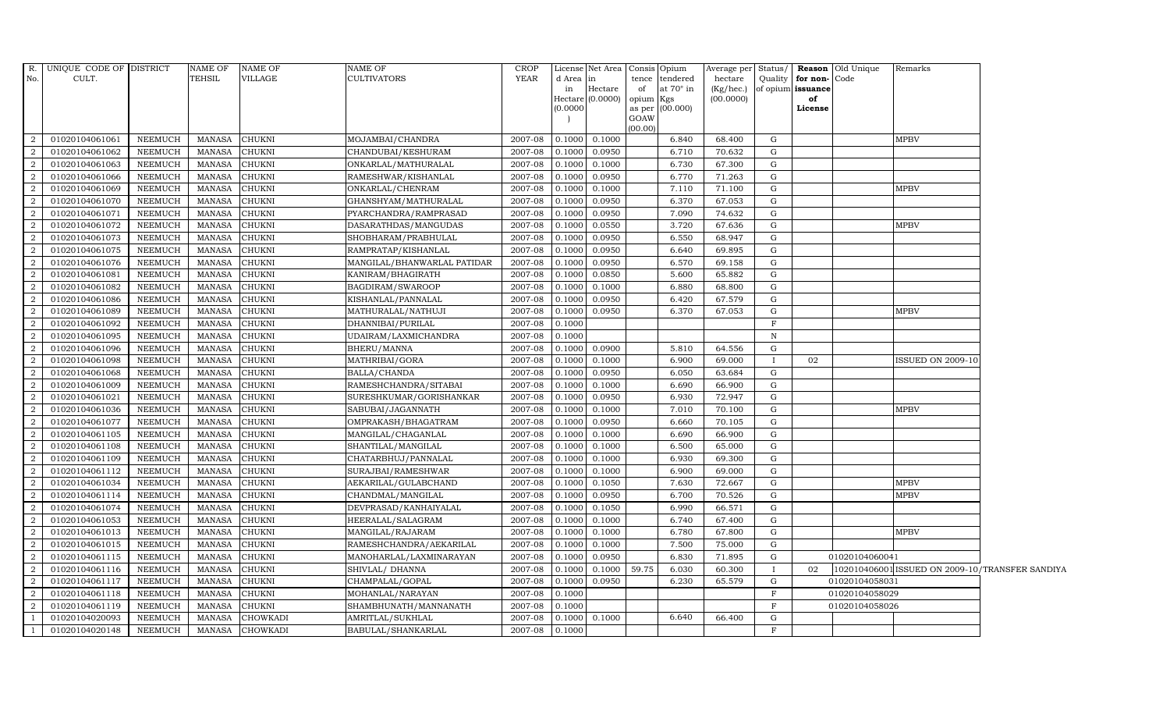| No.            | R. UNIQUE CODE OF DISTRICT<br>CULT. |                | NAME OF<br><b>TEHSIL</b> | <b>NAME OF</b><br>VILLAGE | NAME OF<br>CULTIVATORS      | <b>CROP</b><br>YEAR | License<br>d Area<br>in<br>Hectare | Net Area<br>in<br>Hectare<br>(0.0000) | Consis Opium<br>tence<br>tendered<br>of<br>at $70^\circ$ in<br>opium<br>Kgs | Average per<br>hectare<br>(Kg/hec.)<br>(00.0000) | Status/<br>Quality | for non-Code<br>of opium issuance<br>of | Reason Old Unique<br>Remarks                    |  |
|----------------|-------------------------------------|----------------|--------------------------|---------------------------|-----------------------------|---------------------|------------------------------------|---------------------------------------|-----------------------------------------------------------------------------|--------------------------------------------------|--------------------|-----------------------------------------|-------------------------------------------------|--|
|                |                                     |                |                          |                           |                             |                     | (0.0000)                           |                                       | (00.000)<br>as per<br>GOAW<br>(00.00)                                       |                                                  |                    | License                                 |                                                 |  |
| 2              | 01020104061061                      | NEEMUCH        | MANASA                   | <b>CHUKNI</b>             | MOJAMBAI/CHANDRA            | 2007-08             | 0.1000                             | 0.1000                                | 6.840                                                                       | 68.400                                           | G                  |                                         | <b>MPBV</b>                                     |  |
| 2              | 01020104061062                      | <b>NEEMUCH</b> | MANASA                   | <b>CHUKNI</b>             | CHANDUBAI/KESHURAM          | 2007-08             | 0.1000                             | 0.0950                                | 6.710                                                                       | 70.632                                           | G                  |                                         |                                                 |  |
| 2              | 01020104061063                      | NEEMUCH        | <b>MANASA</b>            | <b>CHUKNI</b>             | ONKARLAL/MATHURALAL         | 2007-08             | 0.1000                             | 0.1000                                | 6.730                                                                       | 67.300                                           | G                  |                                         |                                                 |  |
| $\overline{2}$ | 01020104061066                      | <b>NEEMUCH</b> | <b>MANASA</b>            | <b>CHUKNI</b>             | RAMESHWAR/KISHANLAL         | 2007-08             | 0.1000                             | 0.0950                                | 6.770                                                                       | 71.263                                           | $\mathbf G$        |                                         |                                                 |  |
| $\overline{2}$ | 01020104061069                      | <b>NEEMUCH</b> | <b>MANASA</b>            | <b>CHUKNI</b>             | ONKARLAL/CHENRAM            | 2007-08             | 0.1000                             | 0.1000                                | 7.110                                                                       | 71.100                                           | $\mathbf G$        |                                         | MPBV                                            |  |
| 2              | 01020104061070                      | NEEMUCH        | MANASA                   | <b>CHUKNI</b>             | GHANSHYAM/MATHURALAL        | 2007-08             | 0.1000                             | 0.0950                                | 6.370                                                                       | 67.053                                           | G                  |                                         |                                                 |  |
| 2              | 01020104061071                      | <b>NEEMUCH</b> | MANASA                   | <b>CHUKNI</b>             | PYARCHANDRA/RAMPRASAD       | 2007-08             | 0.1000                             | 0.0950                                | 7.090                                                                       | 74.632                                           | G                  |                                         |                                                 |  |
| 2              | 01020104061072                      | <b>NEEMUCH</b> | <b>MANASA</b>            | <b>CHUKNI</b>             | DASARATHDAS/MANGUDAS        | 2007-08             | 0.1000                             | 0.0550                                | 3.720                                                                       | 67.636                                           | $\mathbf G$        |                                         | <b>MPBV</b>                                     |  |
| $\overline{2}$ | 01020104061073                      | NEEMUCH        | MANASA                   | <b>CHUKNI</b>             | SHOBHARAM/PRABHULAL         | 2007-08             | 0.1000                             | 0.0950                                | 6.550                                                                       | 68.947                                           | G                  |                                         |                                                 |  |
| 2              | 01020104061075                      | <b>NEEMUCH</b> | <b>MANASA</b>            | <b>CHUKNI</b>             | RAMPRATAP/KISHANLAL         | 2007-08             | 0.1000                             | 0.0950                                | 6.640                                                                       | 69.895                                           | G                  |                                         |                                                 |  |
| 2              | 01020104061076                      | NEEMUCH        | <b>MANASA</b>            | <b>CHUKNI</b>             | MANGILAL/BHANWARLAL PATIDAR | 2007-08             | 0.1000                             | 0.0950                                | 6.570                                                                       | 69.158                                           | G                  |                                         |                                                 |  |
| $\overline{a}$ | 01020104061081                      | <b>NEEMUCH</b> | MANASA                   | <b>CHUKNI</b>             | KANIRAM/BHAGIRATH           | 2007-08             | 0.1000                             | 0.0850                                | 5.600                                                                       | 65.882                                           | G                  |                                         |                                                 |  |
| 2              | 01020104061082                      | <b>NEEMUCH</b> | MANASA                   | <b>CHUKNI</b>             | BAGDIRAM/SWAROOP            | 2007-08             | 0.1000                             | 0.1000                                | 6.880                                                                       | 68.800                                           | G                  |                                         |                                                 |  |
| $\overline{2}$ | 01020104061086                      | <b>NEEMUCH</b> | <b>MANASA</b>            | <b>CHUKNI</b>             | KISHANLAL/PANNALAL          | 2007-08             | 0.1000                             | 0.0950                                | 6.420                                                                       | 67.579                                           | $\mathbf G$        |                                         |                                                 |  |
| $\overline{2}$ | 01020104061089                      | <b>NEEMUCH</b> | <b>MANASA</b>            | <b>CHUKNI</b>             | MATHURALAL/NATHUJI          | 2007-08             | 0.1000                             | 0.0950                                | 6.370                                                                       | 67.053                                           | G                  |                                         | MPBV                                            |  |
| 2              | 01020104061092                      | <b>NEEMUCH</b> | <b>MANASA</b>            | <b>CHUKNI</b>             | DHANNIBAI/PURILAL           | 2007-08             | 0.1000                             |                                       |                                                                             |                                                  | $\mathbf F$        |                                         |                                                 |  |
| 2              | 01020104061095                      | <b>NEEMUCH</b> | <b>MANASA</b>            | <b>CHUKNI</b>             | UDAIRAM/LAXMICHANDRA        | 2007-08             | 0.1000                             |                                       |                                                                             |                                                  | $\, {\rm N}$       |                                         |                                                 |  |
| 2              | 01020104061096                      | <b>NEEMUCH</b> | MANASA                   | <b>CHUKNI</b>             | BHERU/MANNA                 | 2007-08             | 0.1000                             | 0.0900                                | 5.810                                                                       | 64.556                                           | G                  |                                         |                                                 |  |
| 2              | 01020104061098                      | <b>NEEMUCH</b> | MANASA                   | <b>CHUKNI</b>             | MATHRIBAI/GORA              | 2007-08             | 0.1000                             | 0.1000                                | 6.900                                                                       | 69.000                                           | $\mathbf{I}$       | 02                                      | <b>ISSUED ON 2009-10</b>                        |  |
| $\overline{2}$ | 01020104061068                      | NEEMUCH        | <b>MANASA</b>            | <b>CHUKNI</b>             | BALLA/CHANDA                | 2007-08             | 0.1000                             | 0.0950                                | 6.050                                                                       | 63.684                                           | $\mathbf G$        |                                         |                                                 |  |
| 2              | 01020104061009                      | <b>NEEMUCH</b> | <b>MANASA</b>            | <b>CHUKNI</b>             | RAMESHCHANDRA/SITABAI       | 2007-08             | 0.1000                             | 0.1000                                | 6.690                                                                       | 66.900                                           | G                  |                                         |                                                 |  |
| 2              | 01020104061021                      | NEEMUCH        | <b>MANASA</b>            | <b>CHUKNI</b>             | SURESHKUMAR/GORISHANKAR     | 2007-08             | 0.1000                             | 0.0950                                | 6.930                                                                       | 72.947                                           | G                  |                                         |                                                 |  |
| $\overline{2}$ | 01020104061036                      | NEEMUCH        | MANASA                   | <b>CHUKNI</b>             | SABUBAI/JAGANNATH           | 2007-08             | 0.1000                             | 0.1000                                | 7.010                                                                       | 70.100                                           | G                  |                                         | <b>MPBV</b>                                     |  |
| 2              | 01020104061077                      | <b>NEEMUCH</b> | <b>MANASA</b>            | <b>CHUKNI</b>             | OMPRAKASH/BHAGATRAM         | 2007-08             | 0.1000                             | 0.0950                                | 6.660                                                                       | 70.105                                           | $\mathbf G$        |                                         |                                                 |  |
| $\overline{2}$ | 01020104061105                      | <b>NEEMUCH</b> | <b>MANASA</b>            | <b>CHUKNI</b>             | MANGILAL/CHAGANLAL          | 2007-08             | 0.1000                             | 0.1000                                | 6.690                                                                       | 66.900                                           | G                  |                                         |                                                 |  |
| 2              | 01020104061108                      | <b>NEEMUCH</b> | <b>MANASA</b>            | <b>CHUKNI</b>             | SHANTILAL/MANGILAL          | 2007-08             | 0.1000                             | 0.1000                                | 6.500                                                                       | 65.000                                           | ${\rm G}$          |                                         |                                                 |  |
| 2              | 01020104061109                      | <b>NEEMUCH</b> | <b>MANASA</b>            | <b>CHUKNI</b>             | CHATARBHUJ/PANNALAL         | 2007-08             | 0.1000                             | 0.1000                                | 6.930                                                                       | 69.300                                           | G                  |                                         |                                                 |  |
| $\overline{2}$ | 01020104061112                      | <b>NEEMUCH</b> | <b>MANASA</b>            | <b>CHUKNI</b>             | SURAJBAI/RAMESHWAR          | 2007-08             | 0.1000                             | 0.1000                                | 6.900                                                                       | 69.000                                           | G                  |                                         |                                                 |  |
| 2              | 01020104061034                      | <b>NEEMUCH</b> | <b>MANASA</b>            | <b>CHUKNI</b>             | AEKARILAL/GULABCHAND        | 2007-08             | 0.1000                             | 0.1050                                | 7.630                                                                       | 72.667                                           | ${\rm G}$          |                                         | <b>MPBV</b>                                     |  |
| 2              | 01020104061114                      | <b>NEEMUCH</b> | <b>MANASA</b>            | <b>CHUKNI</b>             | CHANDMAL/MANGILAL           | 2007-08             | 0.1000                             | 0.0950                                | 6.700                                                                       | 70.526                                           | G                  |                                         | <b>MPBV</b>                                     |  |
| $\overline{2}$ | 01020104061074                      | <b>NEEMUCH</b> | <b>MANASA</b>            | <b>CHUKNI</b>             | DEVPRASAD/KANHAIYALAL       | 2007-08             | 0.1000                             | 0.1050                                | 6.990                                                                       | 66.571                                           | $\mathbf G$        |                                         |                                                 |  |
| $\overline{a}$ | 01020104061053                      | NEEMUCH        | <b>MANASA</b>            | <b>CHUKNI</b>             | HEERALAL/SALAGRAM           | 2007-08             | 0.1000                             | 0.1000                                | 6.740                                                                       | 67.400                                           | $\mathbf G$        |                                         |                                                 |  |
| 2              | 01020104061013                      | <b>NEEMUCH</b> | <b>MANASA</b>            | <b>CHUKNI</b>             | MANGILAL/RAJARAM            | 2007-08             | 0.1000                             | 0.1000                                | 6.780                                                                       | 67.800                                           | G                  |                                         | <b>MPBV</b>                                     |  |
| 2              | 01020104061015                      | <b>NEEMUCH</b> | <b>MANASA</b>            | <b>CHUKNI</b>             | RAMESHCHANDRA/AEKARILAL     | 2007-08             | 0.1000                             | 0.1000                                | 7.500                                                                       | 75.000                                           | $\mathbf G$        |                                         |                                                 |  |
| 2              | 01020104061115                      | NEEMUCH        | <b>MANASA</b>            | <b>CHUKNI</b>             | MANOHARLAL/LAXMINARAYAN     | 2007-08             | 0.1000                             | 0.0950                                | 6.830                                                                       | 71.895                                           | G                  |                                         | 01020104060041                                  |  |
| $\overline{a}$ | 01020104061116                      | <b>NEEMUCH</b> | <b>MANASA</b>            | <b>CHUKNI</b>             | SHIVLAL/ DHANNA             | 2007-08             | 0.1000                             | 0.1000                                | 59.75<br>6.030                                                              | 60.300                                           |                    | 02                                      | 102010406001 ISSUED ON 2009-10/TRANSFER SANDIYA |  |
| 2              | 01020104061117                      | NEEMUCH        | <b>MANASA</b>            | <b>CHUKNI</b>             | CHAMPALAL/GOPAL             | 2007-08             | 0.1000                             | 0.0950                                | 6.230                                                                       | 65.579                                           | G                  |                                         | 01020104058031                                  |  |
| $\overline{2}$ | 01020104061118                      | <b>NEEMUCH</b> | MANASA                   | <b>CHUKNI</b>             | MOHANLAL/NARAYAN            | 2007-08             | 0.1000                             |                                       |                                                                             |                                                  | F                  |                                         | 01020104058029                                  |  |
| 2              | 01020104061119                      | <b>NEEMUCH</b> | MANASA                   | <b>CHUKNI</b>             | SHAMBHUNATH/MANNANATH       | 2007-08             | 0.1000                             |                                       |                                                                             |                                                  | F                  |                                         | 01020104058026                                  |  |
| $\overline{1}$ | 01020104020093                      | <b>NEEMUCH</b> | <b>MANASA</b>            | <b>CHOWKADI</b>           | AMRITLAL/SUKHLAL            | 2007-08             | 0.1000                             | 0.1000                                | 6.640                                                                       | 66.400                                           | $\mathbf G$        |                                         |                                                 |  |
| $\mathbf{1}$   | 01020104020148                      | NEEMUCH        | MANASA                   | <b>CHOWKADI</b>           | BABULAL/SHANKARLAL          | 2007-08             | 0.1000                             |                                       |                                                                             |                                                  | F                  |                                         |                                                 |  |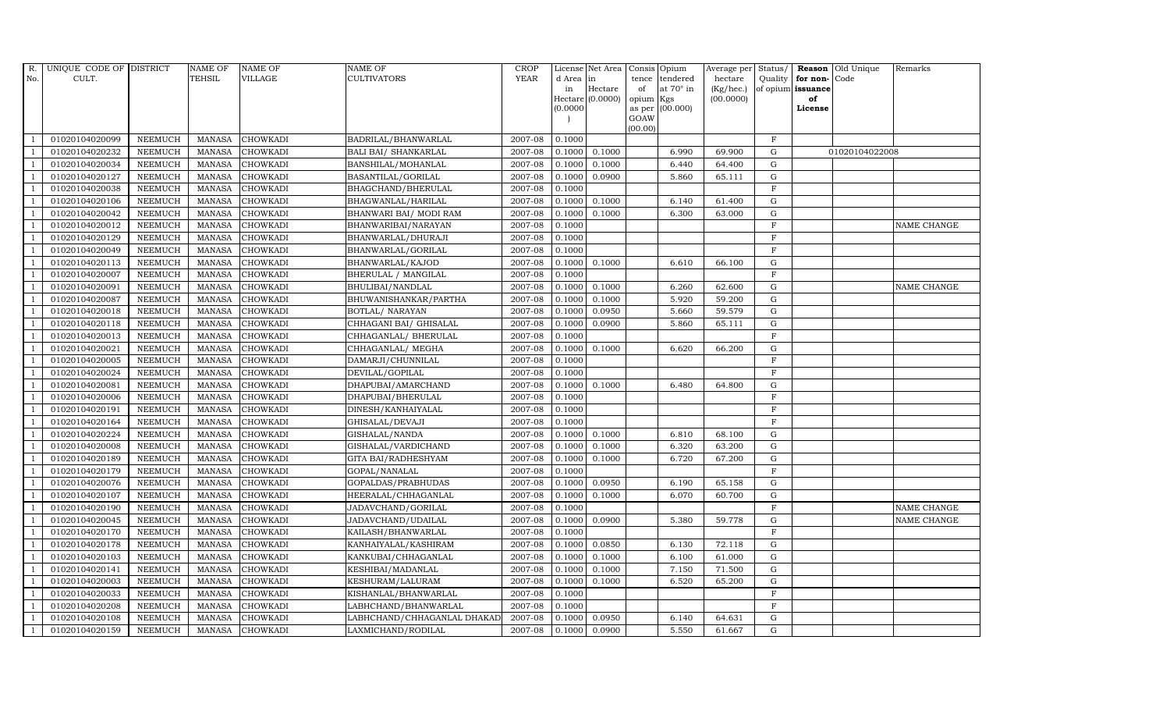| R.             | UNIQUE CODE OF DISTRICT |                | <b>NAME OF</b> | <b>NAME OF</b>  | <b>NAME OF</b>              | <b>CROP</b> |           | License Net Area   |           | Consis Opium     | Average per | Status/      |                      | Reason Old Unique | Remarks     |
|----------------|-------------------------|----------------|----------------|-----------------|-----------------------------|-------------|-----------|--------------------|-----------|------------------|-------------|--------------|----------------------|-------------------|-------------|
| No.            | CULT.                   |                | <b>TEHSIL</b>  | VILLAGE         | <b>CULTIVATORS</b>          | <b>YEAR</b> | d Area in |                    | tence     | tendered         | hectare     |              | Quality $ $ for non- | Code              |             |
|                |                         |                |                |                 |                             |             | in        | Hectare            | of        | at $70^\circ$ in | (Kg/hec.)   |              | of opium issuance    |                   |             |
|                |                         |                |                |                 |                             |             | (0.0000)  | Hectare $(0.0000)$ | opium Kgs | as per (00.000)  | (00.0000)   |              | of<br>License        |                   |             |
|                |                         |                |                |                 |                             |             |           |                    | GOAW      |                  |             |              |                      |                   |             |
|                |                         |                |                |                 |                             |             |           |                    | (00.00)   |                  |             |              |                      |                   |             |
|                | 01020104020099          | <b>NEEMUCH</b> | MANASA         | <b>CHOWKADI</b> | BADRILAL/BHANWARLAL         | 2007-08     | 0.1000    |                    |           |                  |             | $\mathbf F$  |                      |                   |             |
| -1             | 01020104020232          | <b>NEEMUCH</b> | MANASA         | <b>CHOWKADI</b> | <b>BALI BAI/ SHANKARLAL</b> | 2007-08     | 0.1000    | 0.1000             |           | 6.990            | 69.900      | $\mathbf G$  |                      | 01020104022008    |             |
|                | 01020104020034          | <b>NEEMUCH</b> | <b>MANASA</b>  | <b>CHOWKADI</b> | BANSHILAL/MOHANLAL          | 2007-08     | 0.1000    | 0.1000             |           | 6.440            | 64.400      | G            |                      |                   |             |
|                | 01020104020127          | <b>NEEMUCH</b> | <b>MANASA</b>  | <b>CHOWKADI</b> | BASANTILAL/GORILAL          | 2007-08     | 0.1000    | 0.0900             |           | 5.860            | 65.111      | G            |                      |                   |             |
| $\overline{1}$ | 01020104020038          | <b>NEEMUCH</b> | <b>MANASA</b>  | <b>CHOWKADI</b> | BHAGCHAND/BHERULAL          | 2007-08     | 0.1000    |                    |           |                  |             | $\mathbf F$  |                      |                   |             |
| $\overline{1}$ | 01020104020106          | <b>NEEMUCH</b> | <b>MANASA</b>  | <b>CHOWKADI</b> | BHAGWANLAL/HARILAL          | $2007-08$   | 0.1000    | 0.1000             |           | 6.140            | 61.400      | G            |                      |                   |             |
| $\overline{1}$ | 01020104020042          | <b>NEEMUCH</b> | <b>MANASA</b>  | <b>CHOWKADI</b> | BHANWARI BAI/ MODI RAM      | 2007-08     | 0.1000    | 0.1000             |           | 6.300            | 63.000      | ${\rm G}$    |                      |                   |             |
| $\overline{1}$ | 01020104020012          | <b>NEEMUCH</b> | <b>MANASA</b>  | <b>CHOWKADI</b> | BHANWARIBAI/NARAYAN         | 2007-08     | 0.1000    |                    |           |                  |             | $\mathbf{F}$ |                      |                   | NAME CHANGE |
|                | 01020104020129          | <b>NEEMUCH</b> | <b>MANASA</b>  | <b>CHOWKADI</b> | BHANWARLAL/DHURAJI          | 2007-08     | 0.1000    |                    |           |                  |             | $\mathbf{F}$ |                      |                   |             |
|                | 01020104020049          | <b>NEEMUCH</b> | <b>MANASA</b>  | CHOWKADI        | BHANWARLAL/GORILAL          | 2007-08     | 0.1000    |                    |           |                  |             | $\mathbf F$  |                      |                   |             |
| $\overline{1}$ | 01020104020113          | <b>NEEMUCH</b> | <b>MANASA</b>  | <b>CHOWKADI</b> | BHANWARLAL/KAJOD            | 2007-08     | 0.1000    | 0.1000             |           | 6.610            | 66.100      | G            |                      |                   |             |
| $\overline{1}$ | 01020104020007          | <b>NEEMUCH</b> | <b>MANASA</b>  | <b>CHOWKADI</b> | BHERULAL / MANGILAL         | 2007-08     | 0.1000    |                    |           |                  |             | $\mathbf F$  |                      |                   |             |
| $\overline{1}$ | 01020104020091          | <b>NEEMUCH</b> | <b>MANASA</b>  | <b>CHOWKADI</b> | BHULIBAI/NANDLAL            | 2007-08     | 0.1000    | 0.1000             |           | 6.260            | 62.600      | $\mathbf G$  |                      |                   | NAME CHANGE |
|                | 01020104020087          | <b>NEEMUCH</b> | <b>MANASA</b>  | <b>CHOWKADI</b> | BHUWANISHANKAR/PARTHA       | 2007-08     | 0.1000    | 0.1000             |           | 5.920            | 59.200      | G            |                      |                   |             |
| $\overline{1}$ | 01020104020018          | <b>NEEMUCH</b> | <b>MANASA</b>  | <b>CHOWKADI</b> | BOTLAL/ NARAYAN             | 2007-08     | 0.1000    | 0.0950             |           | 5.660            | 59.579      | G            |                      |                   |             |
| $\overline{1}$ | 01020104020118          | <b>NEEMUCH</b> | <b>MANASA</b>  | <b>CHOWKADI</b> | CHHAGANI BAI/ GHISALAL      | 2007-08     | 0.1000    | 0.0900             |           | 5.860            | 65.111      | G            |                      |                   |             |
|                | 01020104020013          | <b>NEEMUCH</b> | <b>MANASA</b>  | <b>CHOWKADI</b> | CHHAGANLAL/ BHERULAL        | 2007-08     | 0.1000    |                    |           |                  |             | $\mathbf F$  |                      |                   |             |
| $\overline{1}$ | 01020104020021          | <b>NEEMUCH</b> | <b>MANASA</b>  | <b>CHOWKADI</b> | CHHAGANLAL/ MEGHA           | 2007-08     | 0.1000    | 0.1000             |           | 6.620            | 66.200      | G            |                      |                   |             |
|                | 01020104020005          | <b>NEEMUCH</b> | <b>MANASA</b>  | <b>CHOWKADI</b> | DAMARJI/CHUNNILAL           | 2007-08     | 0.1000    |                    |           |                  |             | $\mathbf{F}$ |                      |                   |             |
|                | 01020104020024          | <b>NEEMUCH</b> | <b>MANASA</b>  | <b>CHOWKADI</b> | DEVILAL/GOPILAL             | 2007-08     | 0.1000    |                    |           |                  |             | $\mathbf{F}$ |                      |                   |             |
| -1             | 01020104020081          | <b>NEEMUCH</b> | <b>MANASA</b>  | <b>CHOWKADI</b> | DHAPUBAI/AMARCHAND          | 2007-08     | 0.1000    | 0.1000             |           | 6.480            | 64.800      | G            |                      |                   |             |
|                | 01020104020006          | <b>NEEMUCH</b> | <b>MANASA</b>  | <b>CHOWKADI</b> | DHAPUBAI/BHERULAL           | 2007-08     | 0.1000    |                    |           |                  |             | F            |                      |                   |             |
| $\overline{1}$ | 01020104020191          | <b>NEEMUCH</b> | <b>MANASA</b>  | <b>CHOWKADI</b> | DINESH/KANHAIYALAL          | 2007-08     | 0.1000    |                    |           |                  |             | $\mathbf F$  |                      |                   |             |
|                | 01020104020164          | <b>NEEMUCH</b> | <b>MANASA</b>  | <b>CHOWKADI</b> | GHISALAL/DEVAJI             | 2007-08     | 0.1000    |                    |           |                  |             | $\mathbf F$  |                      |                   |             |
|                | 01020104020224          | <b>NEEMUCH</b> | <b>MANASA</b>  | <b>CHOWKADI</b> | GISHALAL/NANDA              | 2007-08     | 0.1000    | 0.1000             |           | 6.810            | 68.100      | G            |                      |                   |             |
| -1             | 01020104020008          | <b>NEEMUCH</b> | <b>MANASA</b>  | <b>CHOWKADI</b> | GISHALAL/VARDICHAND         | 2007-08     | 0.1000    | 0.1000             |           | 6.320            | 63.200      | G            |                      |                   |             |
| $\overline{1}$ | 01020104020189          | <b>NEEMUCH</b> | <b>MANASA</b>  | <b>CHOWKADI</b> | GITA BAI/RADHESHYAM         | 2007-08     | 0.1000    | 0.1000             |           | 6.720            | 67.200      | G            |                      |                   |             |
| $\overline{1}$ | 01020104020179          | <b>NEEMUCH</b> | <b>MANASA</b>  | <b>CHOWKADI</b> | GOPAL/NANALAL               | 2007-08     | 0.1000    |                    |           |                  |             | $\mathbf F$  |                      |                   |             |
| $\mathbf{1}$   | 01020104020076          | <b>NEEMUCH</b> | <b>MANASA</b>  | <b>CHOWKADI</b> | GOPALDAS/PRABHUDAS          | 2007-08     | 0.1000    | 0.0950             |           | 6.190            | 65.158      | $\mathbf G$  |                      |                   |             |
|                | 01020104020107          | <b>NEEMUCH</b> | <b>MANASA</b>  | CHOWKADI        | HEERALAL/CHHAGANLAL         | 2007-08     | 0.1000    | 0.1000             |           | 6.070            | 60.700      | G            |                      |                   |             |
| $\overline{1}$ | 01020104020190          | <b>NEEMUCH</b> | <b>MANASA</b>  | <b>CHOWKADI</b> | JADAVCHAND/GORILAL          | 2007-08     | 0.1000    |                    |           |                  |             | $\rm F$      |                      |                   | NAME CHANGE |
|                | 01020104020045          | <b>NEEMUCH</b> | <b>MANASA</b>  | <b>CHOWKADI</b> | JADAVCHAND/UDAILAL          | 2007-08     | 0.1000    | 0.0900             |           | 5.380            | 59.778      | G            |                      |                   | NAME CHANGE |
| $\overline{1}$ | 01020104020170          | <b>NEEMUCH</b> | <b>MANASA</b>  | CHOWKADI        | KAILASH/BHANWARLAL          | 2007-08     | 0.1000    |                    |           |                  |             | F            |                      |                   |             |
| $\overline{1}$ | 01020104020178          | <b>NEEMUCH</b> | <b>MANASA</b>  | <b>CHOWKADI</b> | KANHAIYALAL/KASHIRAM        | 2007-08     | 0.1000    | 0.0850             |           | 6.130            | 72.118      | $\mathbf G$  |                      |                   |             |
|                | 01020104020103          | <b>NEEMUCH</b> | <b>MANASA</b>  | CHOWKADI        | KANKUBAI/CHHAGANLAL         | 2007-08     | 0.1000    | 0.1000             |           | 6.100            | 61.000      | $\mathbf G$  |                      |                   |             |
| $\overline{1}$ | 01020104020141          | <b>NEEMUCH</b> | <b>MANASA</b>  | <b>CHOWKADI</b> | KESHIBAI/MADANLAL           | 2007-08     | 0.1000    | 0.1000             |           | 7.150            | 71.500      | G            |                      |                   |             |
|                | 01020104020003          | <b>NEEMUCH</b> | MANASA         | <b>CHOWKADI</b> | KESHURAM/LALURAM            | 2007-08     | 0.1000    | 0.1000             |           | 6.520            | 65.200      | ${\rm G}$    |                      |                   |             |
| $\overline{1}$ | 01020104020033          | <b>NEEMUCH</b> | <b>MANASA</b>  | CHOWKADI        | KISHANLAL/BHANWARLAL        | 2007-08     | 0.1000    |                    |           |                  |             | $\mathbf F$  |                      |                   |             |
| $\overline{1}$ | 01020104020208          | <b>NEEMUCH</b> | <b>MANASA</b>  | <b>CHOWKADI</b> | LABHCHAND/BHANWARLAL        | 2007-08     | 0.1000    |                    |           |                  |             | $\mathbf{F}$ |                      |                   |             |
|                | 01020104020108          | <b>NEEMUCH</b> | <b>MANASA</b>  | <b>CHOWKADI</b> | LABHCHAND/CHHAGANLAL DHAKAD | 2007-08     | 0.1000    | 0.0950             |           | 6.140            | 64.631      | $\mathbf G$  |                      |                   |             |
| $\overline{1}$ | 01020104020159          | <b>NEEMUCH</b> |                | MANASA CHOWKADI | LAXMICHAND/RODILAL          | 2007-08     | 0.1000    | 0.0900             |           | 5.550            | 61.667      | G            |                      |                   |             |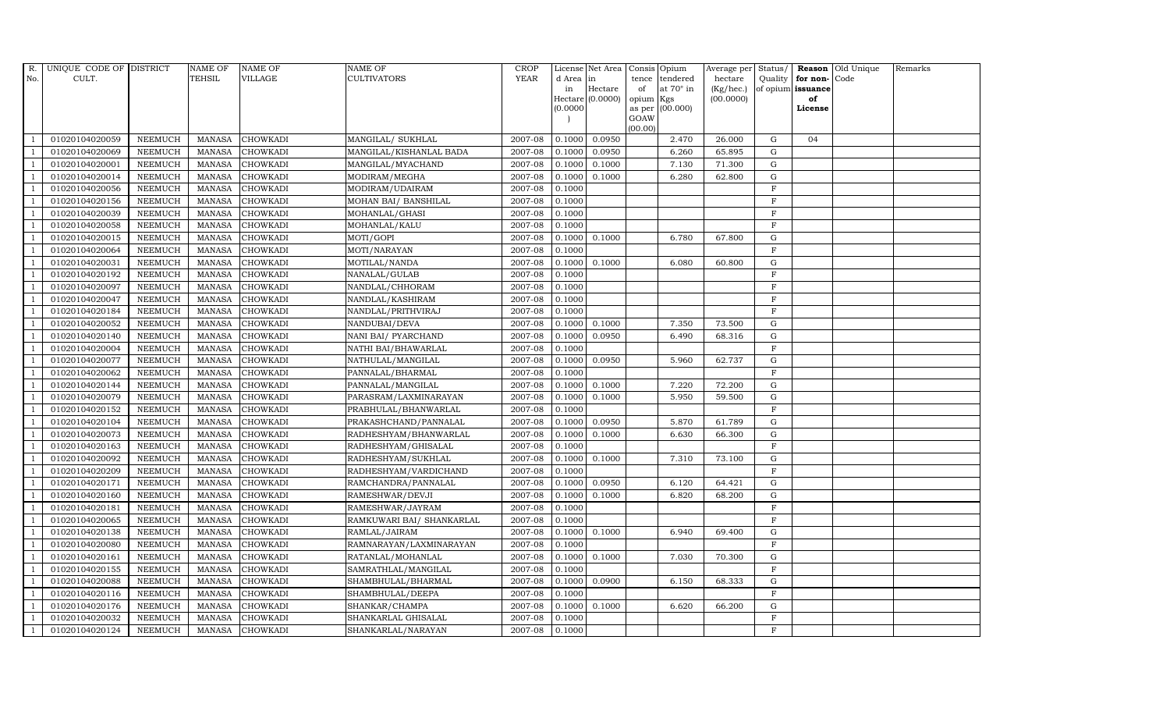| R.             | UNIQUE CODE OF DISTRICT |                | <b>NAME OF</b> | NAME OF         | <b>NAME OF</b>            | CROP        |           | License Net Area   |         | Consis Opium           | Average per     | Status/      |                   | <b>Reason</b> Old Unique | Remarks |
|----------------|-------------------------|----------------|----------------|-----------------|---------------------------|-------------|-----------|--------------------|---------|------------------------|-----------------|--------------|-------------------|--------------------------|---------|
| No.            | CULT.                   |                | <b>TEHSIL</b>  | <b>VILLAGE</b>  | <b>CULTIVATORS</b>        | <b>YEAR</b> | d Area in |                    | tence   | tendered               | hectare         | Quality      | for non-          | Code                     |         |
|                |                         |                |                |                 |                           |             | in        | Hectare            | of      | at $70^\circ$ in       | $(Kg/$ hec. $)$ |              | of opium issuance |                          |         |
|                |                         |                |                |                 |                           |             | (0.0000)  | Hectare $(0.0000)$ | opium   | Kgs<br>as per (00.000) | (00.0000)       |              | of<br>License     |                          |         |
|                |                         |                |                |                 |                           |             |           |                    | GOAW    |                        |                 |              |                   |                          |         |
|                |                         |                |                |                 |                           |             |           |                    | (00.00) |                        |                 |              |                   |                          |         |
|                | 01020104020059          | <b>NEEMUCH</b> | <b>MANASA</b>  | <b>CHOWKADI</b> | MANGILAL/ SUKHLAL         | 2007-08     | 0.1000    | 0.0950             |         | 2.470                  | 26.000          | G            | 04                |                          |         |
|                | 01020104020069          | <b>NEEMUCH</b> | MANASA         | <b>CHOWKADI</b> | MANGILAL/KISHANLAL BADA   | 2007-08     | 0.1000    | 0.0950             |         | 6.260                  | 65.895          | G            |                   |                          |         |
|                | 01020104020001          | <b>NEEMUCH</b> | <b>MANASA</b>  | <b>CHOWKADI</b> | MANGILAL/MYACHAND         | 2007-08     | 0.1000    | 0.1000             |         | 7.130                  | 71.300          | $\mathbf G$  |                   |                          |         |
|                | 01020104020014          | <b>NEEMUCH</b> | <b>MANASA</b>  | <b>CHOWKADI</b> | MODIRAM/MEGHA             | 2007-08     | 0.1000    | 0.1000             |         | 6.280                  | 62.800          | G            |                   |                          |         |
|                | 01020104020056          | <b>NEEMUCH</b> | <b>MANASA</b>  | <b>CHOWKADI</b> | MODIRAM/UDAIRAM           | 2007-08     | 0.1000    |                    |         |                        |                 | $\rm F$      |                   |                          |         |
| $\overline{1}$ | 01020104020156          | <b>NEEMUCH</b> | <b>MANASA</b>  | <b>CHOWKADI</b> | MOHAN BAI/ BANSHILAL      | 2007-08     | 0.1000    |                    |         |                        |                 | $\mathbf F$  |                   |                          |         |
| $\overline{1}$ | 01020104020039          | <b>NEEMUCH</b> | MANASA         | <b>CHOWKADI</b> | MOHANLAL/GHASI            | 2007-08     | 0.1000    |                    |         |                        |                 | $\mathbf F$  |                   |                          |         |
| $\overline{1}$ | 01020104020058          | <b>NEEMUCH</b> | <b>MANASA</b>  | <b>CHOWKADI</b> | MOHANLAL/KALU             | 2007-08     | 0.1000    |                    |         |                        |                 | $\mathbf F$  |                   |                          |         |
|                | 01020104020015          | <b>NEEMUCH</b> | <b>MANASA</b>  | <b>CHOWKADI</b> | MOTI/GOPI                 | 2007-08     | 0.1000    | 0.1000             |         | 6.780                  | 67.800          | $\mathbf G$  |                   |                          |         |
|                | 01020104020064          | <b>NEEMUCH</b> | MANASA         | <b>CHOWKADI</b> | MOTI/NARAYAN              | 2007-08     | 0.1000    |                    |         |                        |                 | $\mathbf{F}$ |                   |                          |         |
| -1             | 01020104020031          | <b>NEEMUCH</b> | <b>MANASA</b>  | <b>CHOWKADI</b> | MOTILAL/NANDA             | 2007-08     | 0.1000    | 0.1000             |         | 6.080                  | 60.800          | G            |                   |                          |         |
|                | 01020104020192          | <b>NEEMUCH</b> | <b>MANASA</b>  | <b>CHOWKADI</b> | NANALAL/GULAB             | 2007-08     | 0.1000    |                    |         |                        |                 | $\mathbf F$  |                   |                          |         |
| $\overline{1}$ | 01020104020097          | <b>NEEMUCH</b> | MANASA         | <b>CHOWKADI</b> | NANDLAL/CHHORAM           | 2007-08     | 0.1000    |                    |         |                        |                 | $\mathbf{F}$ |                   |                          |         |
|                | 01020104020047          | <b>NEEMUCH</b> | <b>MANASA</b>  | <b>CHOWKADI</b> | NANDLAL/KASHIRAM          | 2007-08     | 0.1000    |                    |         |                        |                 | $\mathbf F$  |                   |                          |         |
|                | 01020104020184          | <b>NEEMUCH</b> | <b>MANASA</b>  | <b>CHOWKADI</b> | NANDLAL/PRITHVIRAJ        | 2007-08     | 0.1000    |                    |         |                        |                 | $\rm F$      |                   |                          |         |
|                | 01020104020052          | <b>NEEMUCH</b> | <b>MANASA</b>  | <b>CHOWKADI</b> | NANDUBAI/DEVA             | 2007-08     | 0.1000    | 0.1000             |         | 7.350                  | 73.500          | G            |                   |                          |         |
|                | 01020104020140          | <b>NEEMUCH</b> | <b>MANASA</b>  | <b>CHOWKADI</b> | NANI BAI/ PYARCHAND       | 2007-08     | 0.1000    | 0.0950             |         | 6.490                  | 68.316          | G            |                   |                          |         |
| $\overline{1}$ | 01020104020004          | <b>NEEMUCH</b> | <b>MANASA</b>  | <b>CHOWKADI</b> | NATHI BAI/BHAWARLAL       | 2007-08     | 0.1000    |                    |         |                        |                 | F            |                   |                          |         |
|                | 01020104020077          | <b>NEEMUCH</b> | <b>MANASA</b>  | <b>CHOWKADI</b> | NATHULAL/MANGILAL         | 2007-08     | 0.1000    | 0.0950             |         | 5.960                  | 62.737          | $\mathbf G$  |                   |                          |         |
|                | 01020104020062          | <b>NEEMUCH</b> | <b>MANASA</b>  | <b>CHOWKADI</b> | PANNALAL/BHARMAL          | 2007-08     | 0.1000    |                    |         |                        |                 | $\mathbf F$  |                   |                          |         |
| $\overline{1}$ | 01020104020144          | <b>NEEMUCH</b> | <b>MANASA</b>  | <b>CHOWKADI</b> | PANNALAL/MANGILAL         | 2007-08     | 0.1000    | 0.1000             |         | 7.220                  | 72.200          | G            |                   |                          |         |
|                | 01020104020079          | <b>NEEMUCH</b> | <b>MANASA</b>  | <b>CHOWKADI</b> | PARASRAM/LAXMINARAYAN     | 2007-08     | 0.1000    | 0.1000             |         | 5.950                  | 59.500          | G            |                   |                          |         |
|                | 01020104020152          | <b>NEEMUCH</b> | <b>MANASA</b>  | <b>CHOWKADI</b> | PRABHULAL/BHANWARLAL      | 2007-08     | 0.1000    |                    |         |                        |                 | F            |                   |                          |         |
|                | 01020104020104          | <b>NEEMUCH</b> | <b>MANASA</b>  | <b>CHOWKADI</b> | PRAKASHCHAND/PANNALAL     | 2007-08     | 0.1000    | 0.0950             |         | 5.870                  | 61.789          | G            |                   |                          |         |
|                | 01020104020073          | <b>NEEMUCH</b> | <b>MANASA</b>  | <b>CHOWKADI</b> | RADHESHYAM/BHANWARLAL     | 2007-08     | 0.1000    | 0.1000             |         | 6.630                  | 66.300          | G            |                   |                          |         |
| $\overline{1}$ | 01020104020163          | <b>NEEMUCH</b> | <b>MANASA</b>  | <b>CHOWKADI</b> | RADHESHYAM/GHISALAL       | 2007-08     | 0.1000    |                    |         |                        |                 | $\mathbf F$  |                   |                          |         |
| -1             | 01020104020092          | <b>NEEMUCH</b> | <b>MANASA</b>  | <b>CHOWKADI</b> | RADHESHYAM/SUKHLAL        | 2007-08     | 0.1000    | 0.1000             |         | 7.310                  | 73.100          | G            |                   |                          |         |
| $\overline{1}$ | 01020104020209          | <b>NEEMUCH</b> | <b>MANASA</b>  | CHOWKADI        | RADHESHYAM/VARDICHAND     | 2007-08     | 0.1000    |                    |         |                        |                 | F            |                   |                          |         |
|                | 01020104020171          | <b>NEEMUCH</b> | <b>MANASA</b>  | <b>CHOWKADI</b> | RAMCHANDRA/PANNALAL       | 2007-08     | 0.1000    | 0.0950             |         | 6.120                  | 64.421          | $\mathbf G$  |                   |                          |         |
|                | 01020104020160          | <b>NEEMUCH</b> | <b>MANASA</b>  | <b>CHOWKADI</b> | RAMESHWAR/DEVJI           | 2007-08     | 0.1000    | 0.1000             |         | 6.820                  | 68.200          | G            |                   |                          |         |
|                | 01020104020181          | <b>NEEMUCH</b> | <b>MANASA</b>  | <b>CHOWKADI</b> | RAMESHWAR/JAYRAM          | 2007-08     | 0.1000    |                    |         |                        |                 | $\mathbf{F}$ |                   |                          |         |
|                | 01020104020065          | <b>NEEMUCH</b> | <b>MANASA</b>  | <b>CHOWKADI</b> | RAMKUWARI BAI/ SHANKARLAL | 2007-08     | 0.1000    |                    |         |                        |                 | $\mathbf F$  |                   |                          |         |
| $\overline{1}$ | 01020104020138          | <b>NEEMUCH</b> | <b>MANASA</b>  | <b>CHOWKADI</b> | RAMLAL/JAIRAM             | 2007-08     | 0.1000    | 0.1000             |         | 6.940                  | 69.400          | G            |                   |                          |         |
| $\overline{1}$ | 01020104020080          | <b>NEEMUCH</b> | <b>MANASA</b>  | <b>CHOWKADI</b> | RAMNARAYAN/LAXMINARAYAN   | 2007-08     | 0.1000    |                    |         |                        |                 | $\mathbf{F}$ |                   |                          |         |
|                | 01020104020161          | <b>NEEMUCH</b> | <b>MANASA</b>  | CHOWKADI        | RATANLAL/MOHANLAL         | 2007-08     | 0.1000    | 0.1000             |         | 7.030                  | 70.300          | $\mathbf G$  |                   |                          |         |
| $\overline{1}$ | 01020104020155          | <b>NEEMUCH</b> | <b>MANASA</b>  | <b>CHOWKADI</b> | SAMRATHLAL/MANGILAL       | 2007-08     | 0.1000    |                    |         |                        |                 | $\mathbf F$  |                   |                          |         |
|                | 01020104020088          | <b>NEEMUCH</b> | <b>MANASA</b>  | <b>CHOWKADI</b> | SHAMBHULAL/BHARMAL        | 2007-08     | 0.1000    | 0.0900             |         | 6.150                  | 68.333          | G            |                   |                          |         |
| $\overline{1}$ | 01020104020116          | <b>NEEMUCH</b> | <b>MANASA</b>  | CHOWKADI        | SHAMBHULAL/DEEPA          | 2007-08     | 0.1000    |                    |         |                        |                 | $\mathbf F$  |                   |                          |         |
| $\overline{1}$ | 01020104020176          | <b>NEEMUCH</b> | <b>MANASA</b>  | <b>CHOWKADI</b> | SHANKAR/CHAMPA            | 2007-08     | 0.1000    | 0.1000             |         | 6.620                  | 66.200          | G            |                   |                          |         |
|                | 01020104020032          | <b>NEEMUCH</b> | <b>MANASA</b>  | <b>CHOWKADI</b> | SHANKARLAL GHISALAL       | 2007-08     | 0.1000    |                    |         |                        |                 | $\mathbf{F}$ |                   |                          |         |
| $\overline{1}$ | 01020104020124          | <b>NEEMUCH</b> |                | MANASA CHOWKADI | SHANKARLAL/NARAYAN        | 2007-08     | 0.1000    |                    |         |                        |                 | F            |                   |                          |         |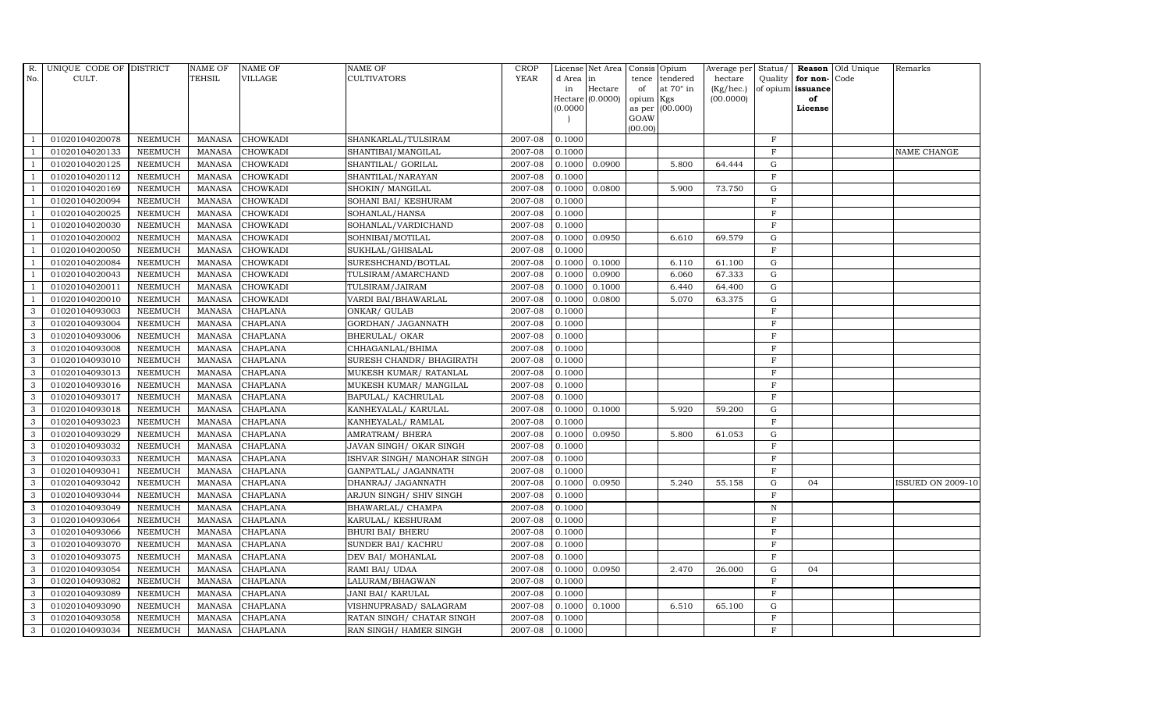| $R$ .<br>No. | UNIQUE CODE OF DISTRICT<br>CULT. |                | <b>NAME OF</b><br>TEHSIL | <b>NAME OF</b><br><b>VILLAGE</b> | <b>NAME OF</b><br>CULTIVATORS | <b>CROP</b><br><b>YEAR</b> | d Area in | License Net Area Consis Opium |           | tence tendered   | Average per Status/<br>hectare | Quality      | for non-          | Reason Old Unique<br>Code | Remarks                  |
|--------------|----------------------------------|----------------|--------------------------|----------------------------------|-------------------------------|----------------------------|-----------|-------------------------------|-----------|------------------|--------------------------------|--------------|-------------------|---------------------------|--------------------------|
|              |                                  |                |                          |                                  |                               |                            | in        | Hectare                       | of        | at $70^\circ$ in | (Kg/hec.)                      |              | of opium issuance |                           |                          |
|              |                                  |                |                          |                                  |                               |                            |           | Hectare (0.0000)              | opium Kgs |                  | (00.0000)                      |              | of                |                           |                          |
|              |                                  |                |                          |                                  |                               |                            | (0.0000)  |                               | GOAW      | as per (00.000)  |                                |              | License           |                           |                          |
|              |                                  |                |                          |                                  |                               |                            |           |                               | (00.00)   |                  |                                |              |                   |                           |                          |
|              | 01020104020078                   | <b>NEEMUCH</b> | MANASA                   | <b>CHOWKADI</b>                  | SHANKARLAL/TULSIRAM           | 2007-08                    | 0.1000    |                               |           |                  |                                | $\mathbf F$  |                   |                           |                          |
|              | 01020104020133                   | <b>NEEMUCH</b> | <b>MANASA</b>            | <b>CHOWKADI</b>                  | SHANTIBAI/MANGILAL            | 2007-08                    | 0.1000    |                               |           |                  |                                | $\mathbf F$  |                   |                           | NAME CHANGE              |
|              | 01020104020125                   | <b>NEEMUCH</b> | <b>MANASA</b>            | <b>CHOWKADI</b>                  | SHANTILAL/ GORILAL            | 2007-08                    | 0.1000    | 0.0900                        |           | 5.800            | 64.444                         | G            |                   |                           |                          |
|              | 01020104020112                   | <b>NEEMUCH</b> | <b>MANASA</b>            | <b>CHOWKADI</b>                  | SHANTILAL/NARAYAN             | 2007-08                    | 0.1000    |                               |           |                  |                                | F            |                   |                           |                          |
|              | 01020104020169                   | NEEMUCH        | <b>MANASA</b>            | CHOWKADI                         | SHOKIN/ MANGILAL              | 2007-08                    | 0.1000    | 0.0800                        |           | 5.900            | 73.750                         | ${\rm G}$    |                   |                           |                          |
|              | 01020104020094                   | <b>NEEMUCH</b> | <b>MANASA</b>            | CHOWKADI                         | SOHANI BAI/ KESHURAM          | 2007-08                    | 0.1000    |                               |           |                  |                                | $\mathbf F$  |                   |                           |                          |
|              | 01020104020025                   | <b>NEEMUCH</b> | <b>MANASA</b>            | <b>CHOWKADI</b>                  | SOHANLAL/HANSA                | 2007-08                    | 0.1000    |                               |           |                  |                                | $\mathbf F$  |                   |                           |                          |
|              | 01020104020030                   | <b>NEEMUCH</b> | <b>MANASA</b>            | <b>CHOWKADI</b>                  | SOHANLAL/VARDICHAND           | 2007-08                    | 0.1000    |                               |           |                  |                                | $\mathbf F$  |                   |                           |                          |
|              | 01020104020002                   | <b>NEEMUCH</b> | <b>MANASA</b>            | <b>CHOWKADI</b>                  | SOHNIBAI/MOTILAL              | 2007-08                    | 0.1000    | 0.0950                        |           | 6.610            | 69.579                         | G            |                   |                           |                          |
|              | 01020104020050                   | <b>NEEMUCH</b> | <b>MANASA</b>            | <b>CHOWKADI</b>                  | SUKHLAL/GHISALAL              | 2007-08                    | 0.1000    |                               |           |                  |                                | $\rm F$      |                   |                           |                          |
|              | 01020104020084                   | <b>NEEMUCH</b> | <b>MANASA</b>            | CHOWKADI                         | SURESHCHAND/BOTLAL            | 2007-08                    | 0.1000    | 0.1000                        |           | 6.110            | 61.100                         | ${\rm G}$    |                   |                           |                          |
|              | 01020104020043                   | <b>NEEMUCH</b> | <b>MANASA</b>            | <b>CHOWKADI</b>                  | TULSIRAM/AMARCHAND            | 2007-08                    | 0.1000    | 0.0900                        |           | 6.060            | 67.333                         | ${\rm G}$    |                   |                           |                          |
|              | 01020104020011                   | <b>NEEMUCH</b> | <b>MANASA</b>            | <b>CHOWKADI</b>                  | TULSIRAM/JAIRAM               | 2007-08                    | 0.1000    | 0.1000                        |           | 6.440            | 64.400                         | G            |                   |                           |                          |
|              | 01020104020010                   | <b>NEEMUCH</b> | <b>MANASA</b>            | <b>CHOWKADI</b>                  | VARDI BAI/BHAWARLAL           | 2007-08                    | 0.1000    | 0.0800                        |           | 5.070            | 63.375                         | $\mathbf G$  |                   |                           |                          |
| 3            | 01020104093003                   | NEEMUCH        | <b>MANASA</b>            | CHAPLANA                         | ONKAR/ GULAB                  | 2007-08                    | 0.1000    |                               |           |                  |                                | $\mathbf F$  |                   |                           |                          |
| 3            | 01020104093004                   | <b>NEEMUCH</b> | <b>MANASA</b>            | CHAPLANA                         | GORDHAN/ JAGANNATH            | 2007-08                    | 0.1000    |                               |           |                  |                                | $\mathbf F$  |                   |                           |                          |
| 3            | 01020104093006                   | <b>NEEMUCH</b> | <b>MANASA</b>            | <b>CHAPLANA</b>                  | <b>BHERULAL/ OKAR</b>         | 2007-08                    | 0.1000    |                               |           |                  |                                | $\mathbf F$  |                   |                           |                          |
| 3            | 01020104093008                   | NEEMUCH        | <b>MANASA</b>            | CHAPLANA                         | CHHAGANLAL/BHIMA              | 2007-08                    | 0.1000    |                               |           |                  |                                | $\mathbf{F}$ |                   |                           |                          |
| 3            | 01020104093010                   | <b>NEEMUCH</b> | <b>MANASA</b>            | CHAPLANA                         | SURESH CHANDR / BHAGIRATH     | 2007-08                    | 0.1000    |                               |           |                  |                                | $\mathbf F$  |                   |                           |                          |
| 3            | 01020104093013                   | <b>NEEMUCH</b> | <b>MANASA</b>            | <b>CHAPLANA</b>                  | MUKESH KUMAR/ RATANLAL        | 2007-08                    | 0.1000    |                               |           |                  |                                | $\mathbf F$  |                   |                           |                          |
| 3            | 01020104093016                   | NEEMUCH        | <b>MANASA</b>            | <b>CHAPLANA</b>                  | MUKESH KUMAR/ MANGILAL        | 2007-08                    | 0.1000    |                               |           |                  |                                | $\rm F$      |                   |                           |                          |
| 3            | 01020104093017                   | <b>NEEMUCH</b> | <b>MANASA</b>            | <b>CHAPLANA</b>                  | BAPULAL/ KACHRULAL            | 2007-08                    | 0.1000    |                               |           |                  |                                | $\rm F$      |                   |                           |                          |
| 3            | 01020104093018                   | <b>NEEMUCH</b> | <b>MANASA</b>            | <b>CHAPLANA</b>                  | KANHEYALAL/ KARULAL           | 2007-08                    | 0.1000    | 0.1000                        |           | 5.920            | 59.200                         | $\mathbf G$  |                   |                           |                          |
| 3            | 01020104093023                   | <b>NEEMUCH</b> | <b>MANASA</b>            | <b>CHAPLANA</b>                  | KANHEYALAL/ RAMLAL            | 2007-08                    | 0.1000    |                               |           |                  |                                | $\mathbf F$  |                   |                           |                          |
| 3            | 01020104093029                   | <b>NEEMUCH</b> | <b>MANASA</b>            | CHAPLANA                         | AMRATRAM / BHERA              | 2007-08                    | 0.1000    | 0.0950                        |           | 5.800            | 61.053                         | $\mathbf G$  |                   |                           |                          |
| 3            | 01020104093032                   | <b>NEEMUCH</b> | <b>MANASA</b>            | CHAPLANA                         | JAVAN SINGH/ OKAR SINGH       | 2007-08                    | 0.1000    |                               |           |                  |                                | $\mathbf F$  |                   |                           |                          |
| 3            | 01020104093033                   | <b>NEEMUCH</b> | <b>MANASA</b>            | <b>CHAPLANA</b>                  | ISHVAR SINGH/ MANOHAR SINGH   | 2007-08                    | 0.1000    |                               |           |                  |                                | $\mathbf F$  |                   |                           |                          |
| 3            | 01020104093041                   | <b>NEEMUCH</b> | <b>MANASA</b>            | <b>CHAPLANA</b>                  | GANPATLAL/ JAGANNATH          | 2007-08                    | 0.1000    |                               |           |                  |                                | $\mathbf F$  |                   |                           |                          |
| 3            | 01020104093042                   | <b>NEEMUCH</b> | <b>MANASA</b>            | <b>CHAPLANA</b>                  | DHANRAJ / JAGANNATH           | 2007-08                    | 0.1000    | 0.0950                        |           | 5.240            | 55.158                         | $\mathbf G$  | 04                |                           | <b>ISSUED ON 2009-10</b> |
| 3            | 01020104093044                   | NEEMUCH        | <b>MANASA</b>            | CHAPLANA                         | ARJUN SINGH/ SHIV SINGH       | 2007-08                    | 0.1000    |                               |           |                  |                                | $\mathbf F$  |                   |                           |                          |
| 3            | 01020104093049                   | <b>NEEMUCH</b> | <b>MANASA</b>            | CHAPLANA                         | BHAWARLAL/ CHAMPA             | 2007-08                    | 0.1000    |                               |           |                  |                                | $\, {\rm N}$ |                   |                           |                          |
| 3            | 01020104093064                   | <b>NEEMUCH</b> | <b>MANASA</b>            | <b>CHAPLANA</b>                  | KARULAL/KESHURAM              | 2007-08                    | 0.1000    |                               |           |                  |                                | $\mathbf F$  |                   |                           |                          |
| 3            | 01020104093066                   | <b>NEEMUCH</b> | <b>MANASA</b>            | CHAPLANA                         | <b>BHURI BAI/ BHERU</b>       | 2007-08                    | 0.1000    |                               |           |                  |                                | $\mathbf F$  |                   |                           |                          |
| 3            | 01020104093070                   | <b>NEEMUCH</b> | <b>MANASA</b>            | <b>CHAPLANA</b>                  | SUNDER BAI/ KACHRU            | 2007-08                    | 0.1000    |                               |           |                  |                                | $\mathbf F$  |                   |                           |                          |
| 3            | 01020104093075                   | NEEMUCH        | <b>MANASA</b>            | <b>CHAPLANA</b>                  | DEV BAI/ MOHANLAL             | 2007-08                    | 0.1000    |                               |           |                  |                                | $\rm F$      |                   |                           |                          |
| 3            | 01020104093054                   | <b>NEEMUCH</b> | <b>MANASA</b>            | <b>CHAPLANA</b>                  | RAMI BAI/ UDAA                | 2007-08                    | 0.1000    | 0.0950                        |           | 2.470            | 26.000                         | G            | 04                |                           |                          |
| 3            | 01020104093082                   | <b>NEEMUCH</b> | <b>MANASA</b>            | <b>CHAPLANA</b>                  | LALURAM/BHAGWAN               | 2007-08                    | 0.1000    |                               |           |                  |                                | $\mathbf F$  |                   |                           |                          |
| 3            | 01020104093089                   | <b>NEEMUCH</b> | <b>MANASA</b>            | CHAPLANA                         | JANI BAI/KARULAL              | 2007-08                    | 0.1000    |                               |           |                  |                                | $\rm F$      |                   |                           |                          |
| 3            | 01020104093090                   | <b>NEEMUCH</b> | <b>MANASA</b>            | <b>CHAPLANA</b>                  | VISHNUPRASAD/ SALAGRAM        | 2007-08                    | 0.1000    | 0.1000                        |           | 6.510            | 65.100                         | $\mathbf G$  |                   |                           |                          |
| 3            | 01020104093058                   | <b>NEEMUCH</b> | <b>MANASA</b>            | <b>CHAPLANA</b>                  | RATAN SINGH/ CHATAR SINGH     | 2007-08                    | 0.1000    |                               |           |                  |                                | $\mathbf{F}$ |                   |                           |                          |
| 3            | 01020104093034                   | <b>NEEMUCH</b> | MANASA                   | <b>CHAPLANA</b>                  | RAN SINGH/ HAMER SINGH        | 2007-08                    | 0.1000    |                               |           |                  |                                | F            |                   |                           |                          |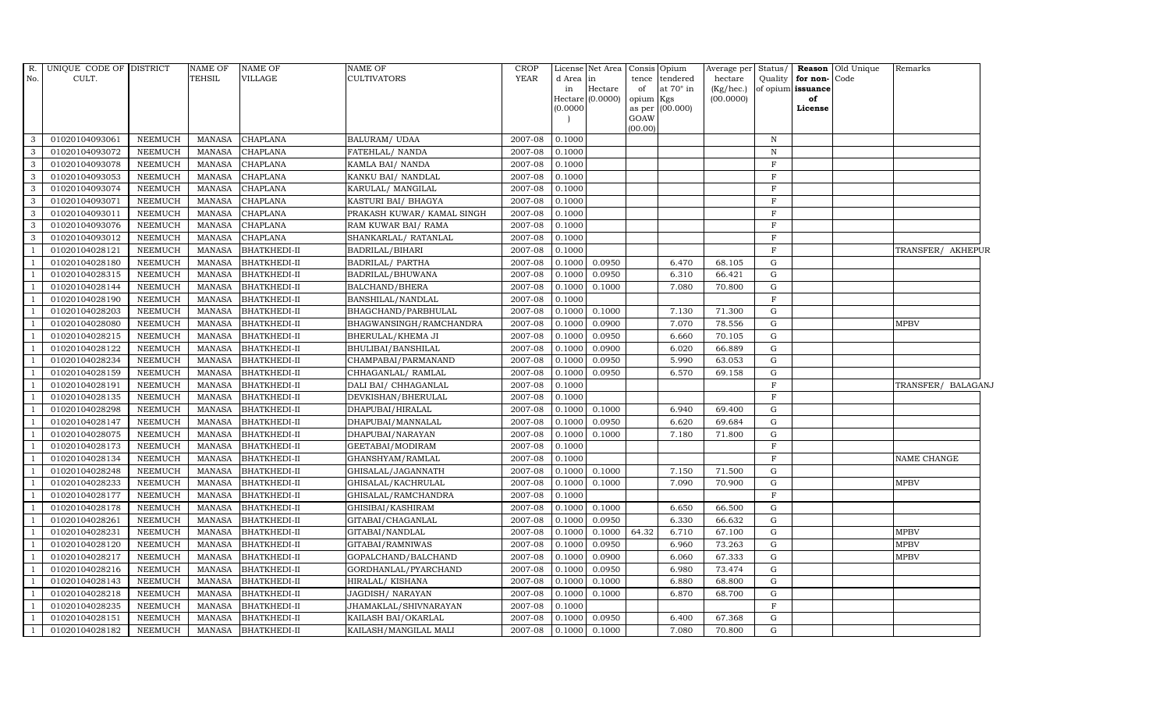|                          | R. UNIQUE CODE OF DISTRICT       |                           | <b>NAME OF</b>                 | <b>NAME OF</b>                             | NAME OF                                 | <b>CROP</b>        |                  | License Net Area |                 | Consis Opium                       | Average per Status/       |              |                                           | Reason Old Unique | Remarks                    |
|--------------------------|----------------------------------|---------------------------|--------------------------------|--------------------------------------------|-----------------------------------------|--------------------|------------------|------------------|-----------------|------------------------------------|---------------------------|--------------|-------------------------------------------|-------------------|----------------------------|
| No.                      | CULT.                            |                           | TEHSIL                         | <b>VILLAGE</b>                             | <b>CULTIVATORS</b>                      | <b>YEAR</b>        | d Area in<br>in  | Hectare          |                 | tence tendered<br>at $70^\circ$ in | $h$ ectare                |              | Quality for non-Code<br>of opium issuance |                   |                            |
|                          |                                  |                           |                                |                                            |                                         |                    |                  | Hectare (0.0000) | of<br>opium Kgs |                                    | $(Kg/$ hec.)<br>(00.0000) |              | of                                        |                   |                            |
|                          |                                  |                           |                                |                                            |                                         |                    | (0.0000)         |                  |                 | as per (00.000)                    |                           |              | License                                   |                   |                            |
|                          |                                  |                           |                                |                                            |                                         |                    |                  |                  | GOAW            |                                    |                           |              |                                           |                   |                            |
| $\mathbf{3}$             | 01020104093061                   | NEEMUCH                   | MANASA                         | <b>CHAPLANA</b>                            | <b>BALURAM/ UDAA</b>                    | 2007-08            | 0.1000           |                  | (00.00)         |                                    |                           | $\mathbb N$  |                                           |                   |                            |
| 3                        | 01020104093072                   | <b>NEEMUCH</b>            | <b>MANASA</b>                  | <b>CHAPLANA</b>                            | FATEHLAL/ NANDA                         | 2007-08            | 0.1000           |                  |                 |                                    |                           | N            |                                           |                   |                            |
| $\mathbf{3}$             | 01020104093078                   | <b>NEEMUCH</b>            | <b>MANASA</b>                  | CHAPLANA                                   | KAMLA BAI/ NANDA                        | $2007 - 08$        | 0.1000           |                  |                 |                                    |                           | $\mathbf F$  |                                           |                   |                            |
| 3                        | 01020104093053                   | <b>NEEMUCH</b>            | <b>MANASA</b>                  | <b>CHAPLANA</b>                            | KANKU BAI/ NANDLAL                      | 2007-08            | 0.1000           |                  |                 |                                    |                           | $\mathbf{F}$ |                                           |                   |                            |
| 3                        | 01020104093074                   | <b>NEEMUCH</b>            | <b>MANASA</b>                  | <b>CHAPLANA</b>                            | KARULAL/ MANGILAL                       | 2007-08            | 0.1000           |                  |                 |                                    |                           | $\mathbf{F}$ |                                           |                   |                            |
| $\mathbf{3}$             | 01020104093071                   | <b>NEEMUCH</b>            | <b>MANASA</b>                  | CHAPLANA                                   | KASTURI BAI/ BHAGYA                     | 2007-08            | 0.1000           |                  |                 |                                    |                           | $\mathbf F$  |                                           |                   |                            |
| $\mathbf{3}$             | 01020104093011                   | <b>NEEMUCH</b>            | <b>MANASA</b>                  | <b>CHAPLANA</b>                            | PRAKASH KUWAR/ KAMAL SINGH              | 2007-08            | 0.1000           |                  |                 |                                    |                           | $\mathbf F$  |                                           |                   |                            |
| $\mathbf{3}$             | 01020104093076                   | <b>NEEMUCH</b>            | MANASA                         | <b>CHAPLANA</b>                            | RAM KUWAR BAI/ RAMA                     | 2007-08            | 0.1000           |                  |                 |                                    |                           | $\mathbf{F}$ |                                           |                   |                            |
| 3                        | 01020104093012                   | <b>NEEMUCH</b>            | <b>MANASA</b>                  | <b>CHAPLANA</b>                            | SHANKARLAL/ RATANLAL                    | 2007-08            | 0.1000           |                  |                 |                                    |                           | F            |                                           |                   |                            |
|                          | 01020104028121                   | NEEMUCH                   | <b>MANASA</b>                  | <b>BHATKHEDI-II</b>                        | BADRILAL/BIHARI                         | 2007-08            | 0.1000           |                  |                 |                                    |                           | $\mathbf{F}$ |                                           |                   | TRANSFER/ AKHEPUR          |
| $\overline{1}$           | 01020104028180                   | <b>NEEMUCH</b>            | <b>MANASA</b>                  | <b>BHATKHEDI-II</b>                        | BADRILAL/ PARTHA                        | 2007-08            | 0.1000           | 0.0950           |                 | 6.470                              | 68.105                    | G            |                                           |                   |                            |
| $\overline{1}$           | 01020104028315                   | <b>NEEMUCH</b>            | <b>MANASA</b>                  | <b>BHATKHEDI-II</b>                        | BADRILAL/BHUWANA                        | 2007-08            | 0.1000           | 0.0950           |                 | 6.310                              | 66.421                    | G            |                                           |                   |                            |
| $\overline{1}$           | 01020104028144                   | NEEMUCH                   | MANASA                         | <b>BHATKHEDI-II</b>                        | BALCHAND/BHERA                          | 2007-08            | 0.1000           | 0.1000           |                 | 7.080                              | 70.800                    | G            |                                           |                   |                            |
|                          | 01020104028190                   | <b>NEEMUCH</b>            | <b>MANASA</b>                  | <b>BHATKHEDI-II</b>                        | BANSHILAL/NANDLAL                       | 2007-08            | 0.1000           |                  |                 |                                    |                           | $\mathbf F$  |                                           |                   |                            |
|                          | 01020104028203                   | <b>NEEMUCH</b>            | <b>MANASA</b>                  | <b>BHATKHEDI-II</b>                        | BHAGCHAND/PARBHULAL                     | 2007-08            | 0.1000           | 0.1000           |                 | 7.130                              | 71.300                    | G            |                                           |                   |                            |
| $\overline{1}$           | 01020104028080                   | NEEMUCH                   | <b>MANASA</b>                  | <b>BHATKHEDI-II</b>                        | BHAGWANSINGH/RAMCHANDRA                 | 2007-08            | 0.1000           | 0.0900           |                 | 7.070                              | 78.556                    | G            |                                           |                   | <b>MPBV</b>                |
| $\overline{1}$           | 01020104028215                   | NEEMUCH                   | <b>MANASA</b>                  | <b>BHATKHEDI-II</b>                        | BHERULAL/KHEMA JI                       | 2007-08            | 0.1000           | 0.0950           |                 | 6.660                              | 70.105                    | G            |                                           |                   |                            |
| $\overline{1}$           | 01020104028122                   | NEEMUCH                   | <b>MANASA</b>                  | <b>BHATKHEDI-II</b>                        | BHULIBAI/BANSHILAL                      | 2007-08            | 0.1000           | 0.0900           |                 | 6.020                              | 66.889                    | G            |                                           |                   |                            |
| $\overline{\phantom{0}}$ | 01020104028234                   | <b>NEEMUCH</b>            | <b>MANASA</b>                  | <b>BHATKHEDI-II</b>                        | CHAMPABAI/PARMANAND                     | 2007-08            | 0.1000           | 0.0950           |                 | 5.990                              | 63.053                    | G            |                                           |                   |                            |
|                          | 01020104028159                   | <b>NEEMUCH</b>            | <b>MANASA</b>                  | <b>BHATKHEDI-II</b>                        | CHHAGANLAL/ RAMLAL                      | 2007-08            | 0.1000           | 0.0950           |                 | 6.570                              | 69.158                    | G            |                                           |                   |                            |
| $\overline{1}$           | 01020104028191                   | NEEMUCH                   | <b>MANASA</b>                  | <b>BHATKHEDI-II</b>                        | DALI BAI/ CHHAGANLAL                    | 2007-08            | 0.1000           |                  |                 |                                    |                           | $\mathbf F$  |                                           |                   | TRANSFER/ BALAGANJ         |
| $\overline{1}$           | 01020104028135                   | <b>NEEMUCH</b>            | <b>MANASA</b>                  | <b>BHATKHEDI-II</b>                        | DEVKISHAN/BHERULAL                      | 2007-08            | 0.1000           |                  |                 |                                    |                           | $\mathbf F$  |                                           |                   |                            |
| $\overline{1}$           | 01020104028298                   | NEEMUCH                   | <b>MANASA</b>                  | <b>BHATKHEDI-II</b>                        | DHAPUBAI/HIRALAL                        | 2007-08            | 0.1000           | 0.1000           |                 | 6.940                              | 69.400                    | G            |                                           |                   |                            |
| $\overline{\phantom{0}}$ | 01020104028147                   | NEEMUCH                   | <b>MANASA</b>                  | <b>BHATKHEDI-II</b>                        | DHAPUBAI/MANNALAL                       | 2007-08            | 0.1000           | 0.0950           |                 | 6.620                              | 69.684                    | G            |                                           |                   |                            |
|                          | 01020104028075                   | <b>NEEMUCH</b>            | <b>MANASA</b>                  | <b>BHATKHEDI-II</b>                        | DHAPUBAI/NARAYAN                        | 2007-08            | 0.1000           | 0.1000           |                 | 7.180                              | 71.800                    | G            |                                           |                   |                            |
| $\overline{1}$           | 01020104028173                   | <b>NEEMUCH</b>            | <b>MANASA</b>                  | <b>BHATKHEDI-II</b>                        | GEETABAI/MODIRAM                        | 2007-08            | 0.1000           |                  |                 |                                    |                           | $\mathbf F$  |                                           |                   |                            |
| $\overline{1}$           | 01020104028134                   | NEEMUCH                   | <b>MANASA</b>                  | <b>BHATKHEDI-II</b>                        | GHANSHYAM/RAMLAL                        | 2007-08            | 0.1000           |                  |                 |                                    |                           | $\mathbf F$  |                                           |                   | NAME CHANGE                |
| $\overline{1}$           | 01020104028248                   | NEEMUCH                   | <b>MANASA</b>                  | <b>BHATKHEDI-II</b>                        | GHISALAL/JAGANNATH                      | 2007-08            | 0.1000           | 0.1000           |                 | 7.150                              | 71.500                    | G            |                                           |                   |                            |
| $\overline{\phantom{0}}$ | 01020104028233                   | NEEMUCH                   | <b>MANASA</b>                  | <b>BHATKHEDI-II</b>                        | GHISALAL/KACHRULAL                      | 2007-08            | 0.1000           | 0.1000           |                 | 7.090                              | 70.900                    | ${\rm G}$    |                                           |                   | <b>MPBV</b>                |
|                          | 01020104028177                   | <b>NEEMUCH</b>            | <b>MANASA</b>                  | <b>BHATKHEDI-II</b>                        | GHISALAL/RAMCHANDRA                     | 2007-08            | 0.1000           |                  |                 |                                    |                           | $\mathbf F$  |                                           |                   |                            |
| $\overline{1}$           | 01020104028178                   | NEEMUCH                   | <b>MANASA</b>                  | <b>BHATKHEDI-II</b>                        | GHISIBAI/KASHIRAM                       | 2007-08            | 0.1000           | 0.1000           |                 | 6.650                              | 66.500                    | G            |                                           |                   |                            |
| $\overline{1}$           | 01020104028261                   | <b>NEEMUCH</b>            | <b>MANASA</b>                  | <b>BHATKHEDI-II</b>                        | GITABAI/CHAGANLAL                       | 2007-08            | 0.1000           | 0.0950           |                 | 6.330                              | 66.632                    | G            |                                           |                   |                            |
| $\overline{1}$           | 01020104028231                   | ${\tt NEEMUCH}$           | <b>MANASA</b>                  | <b>BHATKHEDI-II</b>                        | GITABAI/NANDLAL                         | 2007-08            | 0.1000           | 0.1000           | 64.32           | 6.710                              | 67.100                    | G<br>G       |                                           |                   | <b>MPBV</b><br><b>MPBV</b> |
| $\overline{1}$           | 01020104028120<br>01020104028217 | <b>NEEMUCH</b><br>NEEMUCH | <b>MANASA</b><br><b>MANASA</b> | <b>BHATKHEDI-II</b><br><b>BHATKHEDI-II</b> | GITABAI/RAMNIWAS<br>GOPALCHAND/BALCHAND | 2007-08<br>2007-08 | 0.1000<br>0.1000 | 0.0950<br>0.0900 |                 | 6.960<br>6.060                     | 73.263<br>67.333          | G            |                                           |                   | <b>MPBV</b>                |
| $\overline{1}$           |                                  | <b>NEEMUCH</b>            | <b>MANASA</b>                  |                                            |                                         | 2007-08            | 0.1000           | 0.0950           |                 | 6.980                              | 73.474                    | G            |                                           |                   |                            |
| $\overline{1}$           | 01020104028216<br>01020104028143 | NEEMUCH                   | <b>MANASA</b>                  | <b>BHATKHEDI-II</b><br><b>BHATKHEDI-II</b> | GORDHANLAL/PYARCHAND<br>HIRALAL/KISHANA | 2007-08            | 0.1000           | 0.1000           |                 | 6.880                              | 68.800                    | G            |                                           |                   |                            |
| $\overline{1}$           | 01020104028218                   | NEEMUCH                   | <b>MANASA</b>                  | <b>BHATKHEDI-II</b>                        | JAGDISH/ NARAYAN                        | 2007-08            | 0.1000           | 0.1000           |                 | 6.870                              | 68.700                    | G            |                                           |                   |                            |
| $\overline{1}$           | 01020104028235                   | <b>NEEMUCH</b>            | <b>MANASA</b>                  | <b>BHATKHEDI-II</b>                        | JHAMAKLAL/SHIVNARAYAN                   | 2007-08            | 0.1000           |                  |                 |                                    |                           | $\mathbf F$  |                                           |                   |                            |
|                          | 01020104028151                   | <b>NEEMUCH</b>            | <b>MANASA</b>                  | <b>BHATKHEDI-II</b>                        | KAILASH BAI/OKARLAL                     | 2007-08            | 0.1000           | 0.0950           |                 | 6.400                              | 67.368                    | G            |                                           |                   |                            |
| $\mathbf{1}$             | 01020104028182                   | <b>NEEMUCH</b>            |                                | MANASA BHATKHEDI-II                        | KAILASH/MANGILAL MALI                   | 2007-08            | 0.1000           | 0.1000           |                 | 7.080                              | 70.800                    | G            |                                           |                   |                            |
|                          |                                  |                           |                                |                                            |                                         |                    |                  |                  |                 |                                    |                           |              |                                           |                   |                            |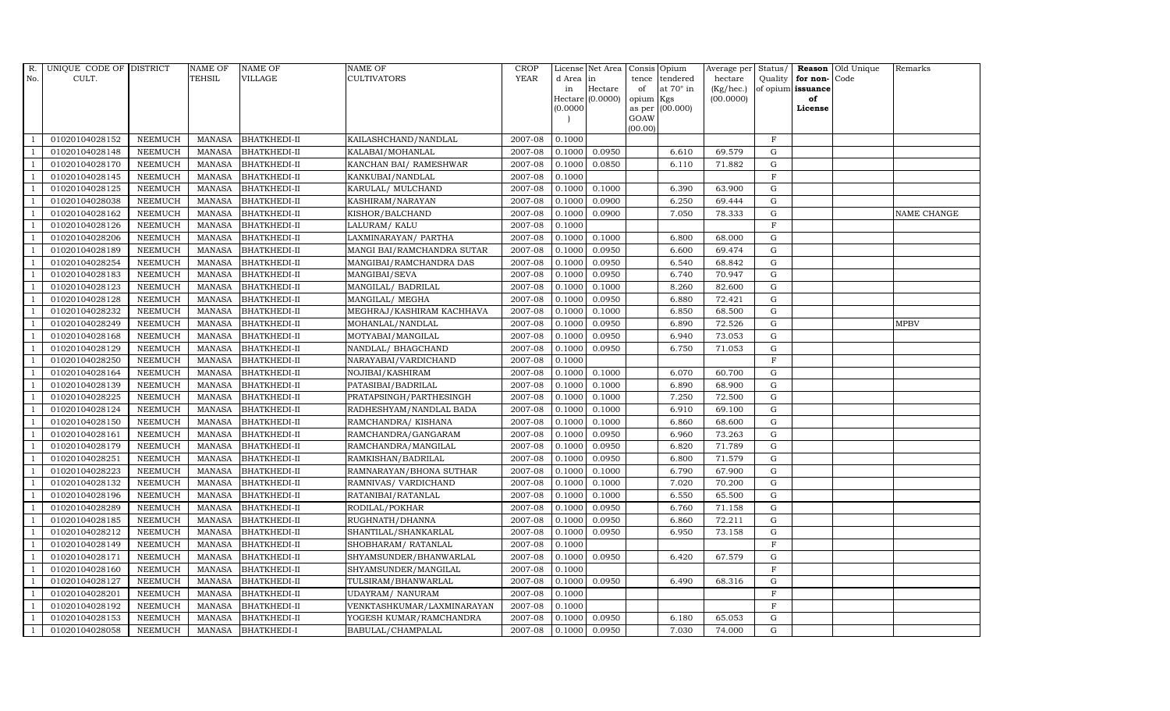| R.             | UNIQUE CODE OF DISTRICT |                | <b>NAME OF</b> | <b>NAME OF</b>      | <b>NAME OF</b>             | <b>CROP</b> |           | License Net Area | Consis  | Opium                  | Average per | Status/      |                   | <b>Reason</b> Old Unique | Remarks            |
|----------------|-------------------------|----------------|----------------|---------------------|----------------------------|-------------|-----------|------------------|---------|------------------------|-------------|--------------|-------------------|--------------------------|--------------------|
| No.            | CULT.                   |                | TEHSIL         | VILLAGE             | <b>CULTIVATORS</b>         | <b>YEAR</b> | d Area in |                  | tence   | tendered               | hectare     | Quality      | for non-Code      |                          |                    |
|                |                         |                |                |                     |                            |             | in        | Hectare          | of      | at $70^\circ$ in       | (Kg/hec.)   |              | of opium issuance |                          |                    |
|                |                         |                |                |                     |                            |             | (0.0000)  | Hectare (0.0000) | opium   | Kgs<br>as per (00.000) | (00.0000)   |              | of<br>License     |                          |                    |
|                |                         |                |                |                     |                            |             |           |                  | GOAW    |                        |             |              |                   |                          |                    |
|                |                         |                |                |                     |                            |             |           |                  | (00.00) |                        |             |              |                   |                          |                    |
|                | 01020104028152          | <b>NEEMUCH</b> | <b>MANASA</b>  | <b>BHATKHEDI-II</b> | KAILASHCHAND/NANDLAL       | 2007-08     | 0.1000    |                  |         |                        |             | $\mathbf F$  |                   |                          |                    |
|                | 01020104028148          | <b>NEEMUCH</b> | <b>MANASA</b>  | <b>BHATKHEDI-II</b> | KALABAI/MOHANLAL           | 2007-08     | 0.1000    | 0.0950           |         | 6.610                  | 69.579      | G            |                   |                          |                    |
| $\overline{1}$ | 01020104028170          | <b>NEEMUCH</b> | <b>MANASA</b>  | <b>BHATKHEDI-II</b> | KANCHAN BAI/ RAMESHWAR     | 2007-08     | 0.1000    | 0.0850           |         | 6.110                  | 71.882      | $\mathbf G$  |                   |                          |                    |
|                | 01020104028145          | <b>NEEMUCH</b> | <b>MANASA</b>  | <b>BHATKHEDI-II</b> | KANKUBAI/NANDLAL           | 2007-08     | 0.1000    |                  |         |                        |             | $\mathbf{F}$ |                   |                          |                    |
|                | 01020104028125          | <b>NEEMUCH</b> | <b>MANASA</b>  | BHATKHEDI-II        | KARULAL/ MULCHAND          | 2007-08     | 0.1000    | 0.1000           |         | 6.390                  | 63.900      | $\mathbf G$  |                   |                          |                    |
| $\overline{1}$ | 01020104028038          | <b>NEEMUCH</b> | <b>MANASA</b>  | <b>BHATKHEDI-II</b> | KASHIRAM/NARAYAN           | 2007-08     | 0.1000    | 0.0900           |         | 6.250                  | 69.444      | G            |                   |                          |                    |
| $\overline{1}$ | 01020104028162          | <b>NEEMUCH</b> | <b>MANASA</b>  | <b>BHATKHEDI-II</b> | KISHOR/BALCHAND            | 2007-08     | 0.1000    | 0.0900           |         | 7.050                  | 78.333      | ${\rm G}$    |                   |                          | <b>NAME CHANGE</b> |
| $\overline{1}$ | 01020104028126          | <b>NEEMUCH</b> | <b>MANASA</b>  | <b>BHATKHEDI-II</b> | LALURAM/ KALU              | 2007-08     | 0.1000    |                  |         |                        |             | F            |                   |                          |                    |
|                | 01020104028206          | <b>NEEMUCH</b> | <b>MANASA</b>  | <b>BHATKHEDI-II</b> | LAXMINARAYAN / PARTHA      | 2007-08     | 0.1000    | 0.1000           |         | 6.800                  | 68.000      | G            |                   |                          |                    |
|                | 01020104028189          | <b>NEEMUCH</b> | <b>MANASA</b>  | BHATKHEDI-II        | MANGI BAI/RAMCHANDRA SUTAR | 2007-08     | 0.1000    | 0.0950           |         | 6.600                  | 69.474      | $\mathbf G$  |                   |                          |                    |
| $\overline{1}$ | 01020104028254          | <b>NEEMUCH</b> | <b>MANASA</b>  | <b>BHATKHEDI-II</b> | MANGIBAI/RAMCHANDRA DAS    | 2007-08     | 0.1000    | 0.0950           |         | 6.540                  | 68.842      | G            |                   |                          |                    |
| $\overline{1}$ | 01020104028183          | <b>NEEMUCH</b> | <b>MANASA</b>  | <b>BHATKHEDI-II</b> | MANGIBAI/SEVA              | 2007-08     | 0.1000    | 0.0950           |         | 6.740                  | 70.947      | ${\rm G}$    |                   |                          |                    |
| $\overline{1}$ | 01020104028123          | <b>NEEMUCH</b> | <b>MANASA</b>  | <b>BHATKHEDI-II</b> | MANGILAL/ BADRILAL         | 2007-08     | 0.1000    | 0.1000           |         | 8.260                  | 82.600      | $\mathbf G$  |                   |                          |                    |
|                | 01020104028128          | <b>NEEMUCH</b> | <b>MANASA</b>  | <b>BHATKHEDI-II</b> | MANGILAL/ MEGHA            | 2007-08     | 0.1000    | 0.0950           |         | 6.880                  | 72.421      | G            |                   |                          |                    |
|                | 01020104028232          | <b>NEEMUCH</b> | <b>MANASA</b>  | BHATKHEDI-II        | MEGHRAJ/KASHIRAM KACHHAVA  | 2007-08     | 0.1000    | 0.1000           |         | 6.850                  | 68.500      | $\mathbf G$  |                   |                          |                    |
| $\overline{1}$ | 01020104028249          | <b>NEEMUCH</b> | <b>MANASA</b>  | <b>BHATKHEDI-II</b> | MOHANLAL/NANDLAL           | 2007-08     | 0.1000    | 0.0950           |         | 6.890                  | 72.526      | ${\rm G}$    |                   |                          | <b>MPBV</b>        |
|                | 01020104028168          | <b>NEEMUCH</b> | <b>MANASA</b>  | <b>BHATKHEDI-II</b> | MOTYABAI/MANGILAL          | 2007-08     | 0.1000    | 0.0950           |         | 6.940                  | 73.053      | G            |                   |                          |                    |
| $\overline{1}$ | 01020104028129          | <b>NEEMUCH</b> | <b>MANASA</b>  | <b>BHATKHEDI-II</b> | NANDLAL/ BHAGCHAND         | 2007-08     | 0.1000    | 0.0950           |         | 6.750                  | 71.053      | $\mathbf G$  |                   |                          |                    |
|                | 01020104028250          | <b>NEEMUCH</b> | <b>MANASA</b>  | <b>BHATKHEDI-II</b> | NARAYABAI/VARDICHAND       | 2007-08     | 0.1000    |                  |         |                        |             | F            |                   |                          |                    |
|                | 01020104028164          | <b>NEEMUCH</b> | <b>MANASA</b>  | <b>BHATKHEDI-II</b> | NOJIBAI/KASHIRAM           | 2007-08     | 0.1000    | 0.1000           |         | 6.070                  | 60.700      | G            |                   |                          |                    |
| -1             | 01020104028139          | <b>NEEMUCH</b> | <b>MANASA</b>  | <b>BHATKHEDI-II</b> | PATASIBAI/BADRILAL         | 2007-08     | 0.1000    | 0.1000           |         | 6.890                  | 68.900      | ${\rm G}$    |                   |                          |                    |
| $\overline{1}$ | 01020104028225          | <b>NEEMUCH</b> | <b>MANASA</b>  | <b>BHATKHEDI-II</b> | PRATAPSINGH/PARTHESINGH    | 2007-08     | 0.1000    | 0.1000           |         | 7.250                  | 72.500      | G            |                   |                          |                    |
|                | 01020104028124          | <b>NEEMUCH</b> | MANASA         | <b>BHATKHEDI-II</b> | RADHESHYAM/NANDLAL BADA    | 2007-08     | 0.1000    | 0.1000           |         | 6.910                  | 69.100      | G            |                   |                          |                    |
| $\overline{1}$ | 01020104028150          | <b>NEEMUCH</b> | MANASA         | <b>BHATKHEDI-II</b> | RAMCHANDRA/ KISHANA        | 2007-08     | 0.1000    | 0.1000           |         | 6.860                  | 68.600      | G            |                   |                          |                    |
|                | 01020104028161          | <b>NEEMUCH</b> | <b>MANASA</b>  | <b>BHATKHEDI-II</b> | RAMCHANDRA/GANGARAM        | 2007-08     | 0.1000    | 0.0950           |         | 6.960                  | 73.263      | $\mathbf G$  |                   |                          |                    |
| $\overline{1}$ | 01020104028179          | <b>NEEMUCH</b> | <b>MANASA</b>  | <b>BHATKHEDI-II</b> | RAMCHANDRA/MANGILAL        | 2007-08     | 0.1000    | 0.0950           |         | 6.820                  | 71.789      | ${\rm G}$    |                   |                          |                    |
| $\overline{1}$ | 01020104028251          | <b>NEEMUCH</b> | <b>MANASA</b>  | <b>BHATKHEDI-II</b> | RAMKISHAN/BADRILAL         | 2007-08     | 0.1000    | 0.0950           |         | 6.800                  | 71.579      | ${\rm G}$    |                   |                          |                    |
| $\overline{1}$ | 01020104028223          | <b>NEEMUCH</b> | <b>MANASA</b>  | BHATKHEDI-II        | RAMNARAYAN/BHONA SUTHAR    | 2007-08     | 0.1000    | 0.1000           |         | 6.790                  | 67.900      | G            |                   |                          |                    |
| $\overline{1}$ | 01020104028132          | <b>NEEMUCH</b> | <b>MANASA</b>  | <b>BHATKHEDI-II</b> | RAMNIVAS/ VARDICHAND       | 2007-08     | 0.1000    | 0.1000           |         | 7.020                  | 70.200      | $\mathbf G$  |                   |                          |                    |
|                | 01020104028196          | <b>NEEMUCH</b> | <b>MANASA</b>  | <b>BHATKHEDI-II</b> | RATANIBAI/RATANLAL         | 2007-08     | 0.1000    | 0.1000           |         | 6.550                  | 65.500      | $\mathbf G$  |                   |                          |                    |
|                | 01020104028289          | <b>NEEMUCH</b> | <b>MANASA</b>  | <b>BHATKHEDI-II</b> | RODILAL/POKHAR             | 2007-08     | 0.1000    | 0.0950           |         | 6.760                  | 71.158      | G            |                   |                          |                    |
| $\overline{1}$ | 01020104028185          | <b>NEEMUCH</b> | <b>MANASA</b>  | <b>BHATKHEDI-II</b> | RUGHNATH/DHANNA            | 2007-08     | 0.1000    | 0.0950           |         | 6.860                  | 72.211      | G            |                   |                          |                    |
| $\overline{1}$ | 01020104028212          | <b>NEEMUCH</b> | <b>MANASA</b>  | BHATKHEDI-II        | SHANTILAL/SHANKARLAL       | 2007-08     | 0.1000    | 0.0950           |         | 6.950                  | 73.158      | G            |                   |                          |                    |
| $\overline{1}$ | 01020104028149          | <b>NEEMUCH</b> | <b>MANASA</b>  | <b>BHATKHEDI-II</b> | SHOBHARAM / RATANLAL       | 2007-08     | 0.1000    |                  |         |                        |             | $\mathbf F$  |                   |                          |                    |
| $\overline{1}$ | 01020104028171          | <b>NEEMUCH</b> | <b>MANASA</b>  | <b>BHATKHEDI-II</b> | SHYAMSUNDER/BHANWARLAL     | 2007-08     | 0.1000    | 0.0950           |         | 6.420                  | 67.579      | $\mathbf G$  |                   |                          |                    |
|                | 01020104028160          | <b>NEEMUCH</b> | <b>MANASA</b>  | <b>BHATKHEDI-II</b> | SHYAMSUNDER/MANGILAL       | 2007-08     | 0.1000    |                  |         |                        |             | F            |                   |                          |                    |
| $\overline{1}$ | 01020104028127          | <b>NEEMUCH</b> | <b>MANASA</b>  | <b>BHATKHEDI-II</b> | TULSIRAM/BHANWARLAL        | 2007-08     | 0.1000    | 0.0950           |         | 6.490                  | 68.316      | G            |                   |                          |                    |
| $\mathbf{1}$   | 01020104028201          | <b>NEEMUCH</b> | <b>MANASA</b>  | BHATKHEDI-II        | UDAYRAM/ NANURAM           | 2007-08     | 0.1000    |                  |         |                        |             | $\mathbf F$  |                   |                          |                    |
| $\overline{1}$ | 01020104028192          | <b>NEEMUCH</b> | MANASA         | <b>BHATKHEDI-II</b> | VENKTASHKUMAR/LAXMINARAYAN | 2007-08     | 0.1000    |                  |         |                        |             | F            |                   |                          |                    |
| $\overline{1}$ | 01020104028153          | <b>NEEMUCH</b> | <b>MANASA</b>  | <b>BHATKHEDI-II</b> | YOGESH KUMAR/RAMCHANDRA    | 2007-08     | 0.1000    | 0.0950           |         | 6.180                  | 65.053      | $\mathbf G$  |                   |                          |                    |
| $\mathbf{1}$   | 01020104028058          | <b>NEEMUCH</b> |                | MANASA BHATKHEDI-I  | BABULAL/CHAMPALAL          | 2007-08     | 0.1000    | 0.0950           |         | 7.030                  | 74.000      | G            |                   |                          |                    |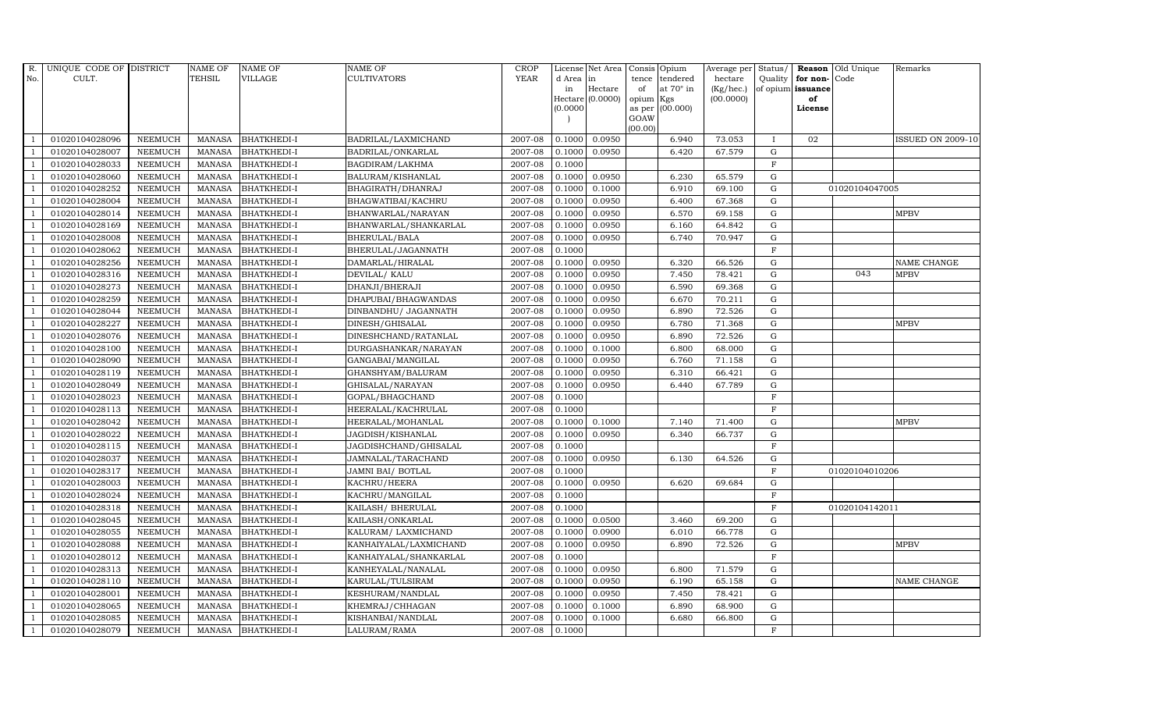| R.             | UNIQUE CODE OF DISTRICT |                | <b>NAME OF</b> | <b>NAME OF</b>     | <b>NAME OF</b>         | CROP        |           | License Net Area            | Consis Opium |                  | Average per Status/          |              |                         | <b>Reason</b> Old Unique | Remarks                  |
|----------------|-------------------------|----------------|----------------|--------------------|------------------------|-------------|-----------|-----------------------------|--------------|------------------|------------------------------|--------------|-------------------------|--------------------------|--------------------------|
| No.            | CULT.                   |                | TEHSIL         | <b>VILLAGE</b>     | <b>CULTIVATORS</b>     | <b>YEAR</b> | d Area in |                             |              | tence tendered   | hectare                      | Quality      | for non-Code            |                          |                          |
|                |                         |                |                |                    |                        |             | in        | Hectare<br>Hectare (0.0000) | of           | at $70^\circ$ in | $(Kg/$ hec. $)$<br>(00.0000) |              | of opium issuance<br>of |                          |                          |
|                |                         |                |                |                    |                        |             | 0.0000    |                             | opium Kgs    | as per (00.000)  |                              |              | License                 |                          |                          |
|                |                         |                |                |                    |                        |             |           |                             | GOAW         |                  |                              |              |                         |                          |                          |
|                |                         |                |                |                    |                        |             |           |                             | (00.00)      |                  |                              |              |                         |                          |                          |
|                | 01020104028096          | <b>NEEMUCH</b> | <b>MANASA</b>  | <b>BHATKHEDI-I</b> | BADRILAL/LAXMICHAND    | 2007-08     | 0.1000    | 0.0950                      |              | 6.940            | 73.053                       | $\mathbf{I}$ | 02                      |                          | <b>ISSUED ON 2009-10</b> |
|                | 01020104028007          | <b>NEEMUCH</b> | <b>MANASA</b>  | <b>BHATKHEDI-I</b> | BADRILAL/ONKARLAL      | 2007-08     | 0.1000    | 0.0950                      |              | 6.420            | 67.579                       | ${\rm G}$    |                         |                          |                          |
| $\overline{1}$ | 01020104028033          | <b>NEEMUCH</b> | <b>MANASA</b>  | <b>BHATKHEDI-I</b> | BAGDIRAM/LAKHMA        | 2007-08     | 0.1000    |                             |              |                  |                              | $\mathbf{F}$ |                         |                          |                          |
|                | 01020104028060          | <b>NEEMUCH</b> | <b>MANASA</b>  | <b>BHATKHEDI-I</b> | BALURAM/KISHANLAL      | 2007-08     | 0.1000    | 0.0950                      |              | 6.230            | 65.579                       | $\mathbf G$  |                         |                          |                          |
|                | 01020104028252          | <b>NEEMUCH</b> | <b>MANASA</b>  | <b>BHATKHEDI-I</b> | BHAGIRATH/DHANRAJ      | 2007-08     | 0.1000    | 0.1000                      |              | 6.910            | 69.100                       | $\mathbf G$  |                         | 01020104047005           |                          |
| $\overline{1}$ | 01020104028004          | <b>NEEMUCH</b> | <b>MANASA</b>  | <b>BHATKHEDI-I</b> | BHAGWATIBAI/KACHRU     | 2007-08     | 0.1000    | 0.0950                      |              | 6.400            | 67.368                       | G            |                         |                          |                          |
| $\overline{1}$ | 01020104028014          | <b>NEEMUCH</b> | <b>MANASA</b>  | <b>BHATKHEDI-I</b> | BHANWARLAL/NARAYAN     | 2007-08     | 0.1000    | 0.0950                      |              | 6.570            | 69.158                       | ${\bf G}$    |                         |                          | <b>MPBV</b>              |
| $\overline{1}$ | 01020104028169          | <b>NEEMUCH</b> | <b>MANASA</b>  | <b>BHATKHEDI-I</b> | BHANWARLAL/SHANKARLAL  | 2007-08     | 0.1000    | 0.0950                      |              | 6.160            | 64.842                       | G            |                         |                          |                          |
|                | 01020104028008          | <b>NEEMUCH</b> | <b>MANASA</b>  | <b>BHATKHEDI-I</b> | BHERULAL/BALA          | 2007-08     | 0.1000    | 0.0950                      |              | 6.740            | 70.947                       | $\mathbf G$  |                         |                          |                          |
|                | 01020104028062          | NEEMUCH        | <b>MANASA</b>  | <b>BHATKHEDI-I</b> | BHERULAL/JAGANNATH     | 2007-08     | 0.1000    |                             |              |                  |                              | $\mathbf{F}$ |                         |                          |                          |
| -1             | 01020104028256          | <b>NEEMUCH</b> | <b>MANASA</b>  | <b>BHATKHEDI-I</b> | DAMARLAL/HIRALAL       | 2007-08     | 0.1000    | 0.0950                      |              | 6.320            | 66.526                       | G            |                         |                          | <b>NAME CHANGE</b>       |
|                | 01020104028316          | <b>NEEMUCH</b> | <b>MANASA</b>  | <b>BHATKHEDI-I</b> | DEVILAL/ KALU          | 2007-08     | 0.1000    | 0.0950                      |              | 7.450            | 78.421                       | ${\rm G}$    |                         | 043                      | <b>MPBV</b>              |
| $\overline{1}$ | 01020104028273          | <b>NEEMUCH</b> | <b>MANASA</b>  | <b>BHATKHEDI-I</b> | DHANJI/BHERAJI         | 2007-08     | 0.1000    | 0.0950                      |              | 6.590            | 69.368                       | $\mathbf G$  |                         |                          |                          |
|                | 01020104028259          | <b>NEEMUCH</b> | <b>MANASA</b>  | <b>BHATKHEDI-I</b> | DHAPUBAI/BHAGWANDAS    | 2007-08     | 0.1000    | 0.0950                      |              | 6.670            | 70.211                       | $\mathbf G$  |                         |                          |                          |
|                | 01020104028044          | NEEMUCH        | <b>MANASA</b>  | <b>BHATKHEDI-I</b> | DINBANDHU/ JAGANNATH   | 2007-08     | 0.1000    | 0.0950                      |              | 6.890            | 72.526                       | ${\rm G}$    |                         |                          |                          |
| $\overline{1}$ | 01020104028227          | <b>NEEMUCH</b> | <b>MANASA</b>  | <b>BHATKHEDI-I</b> | DINESH/GHISALAL        | 2007-08     | 0.1000    | 0.0950                      |              | 6.780            | 71.368                       | $\mathbf G$  |                         |                          | <b>MPBV</b>              |
| -1             | 01020104028076          | <b>NEEMUCH</b> | <b>MANASA</b>  | <b>BHATKHEDI-I</b> | DINESHCHAND/RATANLAL   | 2007-08     | 0.1000    | 0.0950                      |              | 6.890            | 72.526                       | ${\rm G}$    |                         |                          |                          |
| $\overline{1}$ | 01020104028100          | <b>NEEMUCH</b> | MANASA         | <b>BHATKHEDI-I</b> | DURGASHANKAR/NARAYAN   | 2007-08     | 0.1000    | 0.1000                      |              | 6.800            | 68.000                       | G            |                         |                          |                          |
|                | 01020104028090          | <b>NEEMUCH</b> | <b>MANASA</b>  | <b>BHATKHEDI-I</b> | GANGABAI/MANGILAL      | 2007-08     | 0.1000    | 0.0950                      |              | 6.760            | 71.158                       | $\mathbf G$  |                         |                          |                          |
|                | 01020104028119          | NEEMUCH        | <b>MANASA</b>  | <b>BHATKHEDI-I</b> | GHANSHYAM/BALURAM      | 2007-08     | 0.1000    | 0.0950                      |              | 6.310            | 66.421                       | ${\bf G}$    |                         |                          |                          |
| $\overline{1}$ | 01020104028049          | <b>NEEMUCH</b> | <b>MANASA</b>  | <b>BHATKHEDI-I</b> | GHISALAL/NARAYAN       | 2007-08     | 0.1000    | 0.0950                      |              | 6.440            | 67.789                       | $\mathbf G$  |                         |                          |                          |
|                | 01020104028023          | <b>NEEMUCH</b> | <b>MANASA</b>  | <b>BHATKHEDI-I</b> | GOPAL/BHAGCHAND        | 2007-08     | 0.1000    |                             |              |                  |                              | $\mathbf F$  |                         |                          |                          |
| $\overline{1}$ | 01020104028113          | <b>NEEMUCH</b> | MANASA         | <b>BHATKHEDI-I</b> | HEERALAL/KACHRULAL     | 2007-08     | 0.1000    |                             |              |                  |                              | F            |                         |                          |                          |
|                | 01020104028042          | <b>NEEMUCH</b> | <b>MANASA</b>  | <b>BHATKHEDI-I</b> | HEERALAL/MOHANLAL      | 2007-08     | 0.1000    | 0.1000                      |              | 7.140            | 71.400                       | $\mathbf G$  |                         |                          | <b>MPBV</b>              |
|                | 01020104028022          | NEEMUCH        | <b>MANASA</b>  | <b>BHATKHEDI-I</b> | JAGDISH/KISHANLAL      | 2007-08     | 0.1000    | 0.0950                      |              | 6.340            | 66.737                       | $\mathbf G$  |                         |                          |                          |
| $\overline{1}$ | 01020104028115          | <b>NEEMUCH</b> | <b>MANASA</b>  | <b>BHATKHEDI-I</b> | JAGDISHCHAND/GHISALAL  | 2007-08     | 0.1000    |                             |              |                  |                              | $\mathbf F$  |                         |                          |                          |
| -1             | 01020104028037          | <b>NEEMUCH</b> | <b>MANASA</b>  | <b>BHATKHEDI-I</b> | JAMNALAL/TARACHAND     | 2007-08     | 0.1000    | 0.0950                      |              | 6.130            | 64.526                       | G            |                         |                          |                          |
| $\overline{1}$ | 01020104028317          | <b>NEEMUCH</b> | <b>MANASA</b>  | <b>BHATKHEDI-I</b> | JAMNI BAI/ BOTLAL      | 2007-08     | 0.1000    |                             |              |                  |                              | F            |                         | 01020104010206           |                          |
|                | 01020104028003          | <b>NEEMUCH</b> | <b>MANASA</b>  | <b>BHATKHEDI-I</b> | KACHRU/HEERA           | 2007-08     | 0.1000    | 0.0950                      |              | 6.620            | 69.684                       | $\mathbf G$  |                         |                          |                          |
|                | 01020104028024          | <b>NEEMUCH</b> | <b>MANASA</b>  | <b>BHATKHEDI-I</b> | KACHRU/MANGILAL        | 2007-08     | 0.1000    |                             |              |                  |                              | $\mathbf F$  |                         |                          |                          |
|                | 01020104028318          | <b>NEEMUCH</b> | MANASA         | <b>BHATKHEDI-I</b> | KAILASH/ BHERULAL      | 2007-08     | 0.1000    |                             |              |                  |                              | $\mathbf F$  |                         | 01020104142011           |                          |
|                | 01020104028045          | <b>NEEMUCH</b> | <b>MANASA</b>  | <b>BHATKHEDI-I</b> | KAILASH/ONKARLAL       | 2007-08     | 0.1000    | 0.0500                      |              | 3.460            | 69.200                       | $\mathbf G$  |                         |                          |                          |
| $\overline{1}$ | 01020104028055          | <b>NEEMUCH</b> | <b>MANASA</b>  | <b>BHATKHEDI-I</b> | KALURAM/ LAXMICHAND    | 2007-08     | 0.1000    | 0.0900                      |              | 6.010            | 66.778                       | ${\rm G}$    |                         |                          |                          |
| $\overline{1}$ | 01020104028088          | <b>NEEMUCH</b> | <b>MANASA</b>  | <b>BHATKHEDI-I</b> | KANHAIYALAL/LAXMICHAND | 2007-08     | 0.1000    | 0.0950                      |              | 6.890            | 72.526                       | $\mathbf G$  |                         |                          | <b>MPBV</b>              |
|                | 01020104028012          | <b>NEEMUCH</b> | <b>MANASA</b>  | <b>BHATKHEDI-I</b> | KANHAIYALAL/SHANKARLAL | 2007-08     | 0.1000    |                             |              |                  |                              | $\mathbf F$  |                         |                          |                          |
| $\overline{1}$ | 01020104028313          | <b>NEEMUCH</b> | <b>MANASA</b>  | <b>BHATKHEDI-I</b> | KANHEYALAL/NANALAL     | 2007-08     | 0.1000    | 0.0950                      |              | 6.800            | 71.579                       | ${\rm G}$    |                         |                          |                          |
| $\overline{1}$ | 01020104028110          | <b>NEEMUCH</b> | <b>MANASA</b>  | <b>BHATKHEDI-I</b> | KARULAL/TULSIRAM       | 2007-08     | 0.1000    | 0.0950                      |              | 6.190            | 65.158                       | ${\rm G}$    |                         |                          | <b>NAME CHANGE</b>       |
| $\overline{1}$ | 01020104028001          | <b>NEEMUCH</b> | <b>MANASA</b>  | <b>BHATKHEDI-I</b> | KESHURAM/NANDLAL       | 2007-08     | 0.1000    | 0.0950                      |              | 7.450            | 78.421                       | $\mathbf G$  |                         |                          |                          |
| $\overline{1}$ | 01020104028065          | <b>NEEMUCH</b> | <b>MANASA</b>  | <b>BHATKHEDI-I</b> | KHEMRAJ/CHHAGAN        | 2007-08     | 0.1000    | 0.1000                      |              | 6.890            | 68.900                       | $\mathbf G$  |                         |                          |                          |
|                | 01020104028085          | <b>NEEMUCH</b> | <b>MANASA</b>  | <b>BHATKHEDI-I</b> | KISHANBAI/NANDLAL      | 2007-08     | 0.1000    | 0.1000                      |              | 6.680            | 66.800                       | $\mathbf G$  |                         |                          |                          |
| $\overline{1}$ | 01020104028079          | <b>NEEMUCH</b> | MANASA         | <b>BHATKHEDI-I</b> | LALURAM/RAMA           | 2007-08     | 0.1000    |                             |              |                  |                              | F            |                         |                          |                          |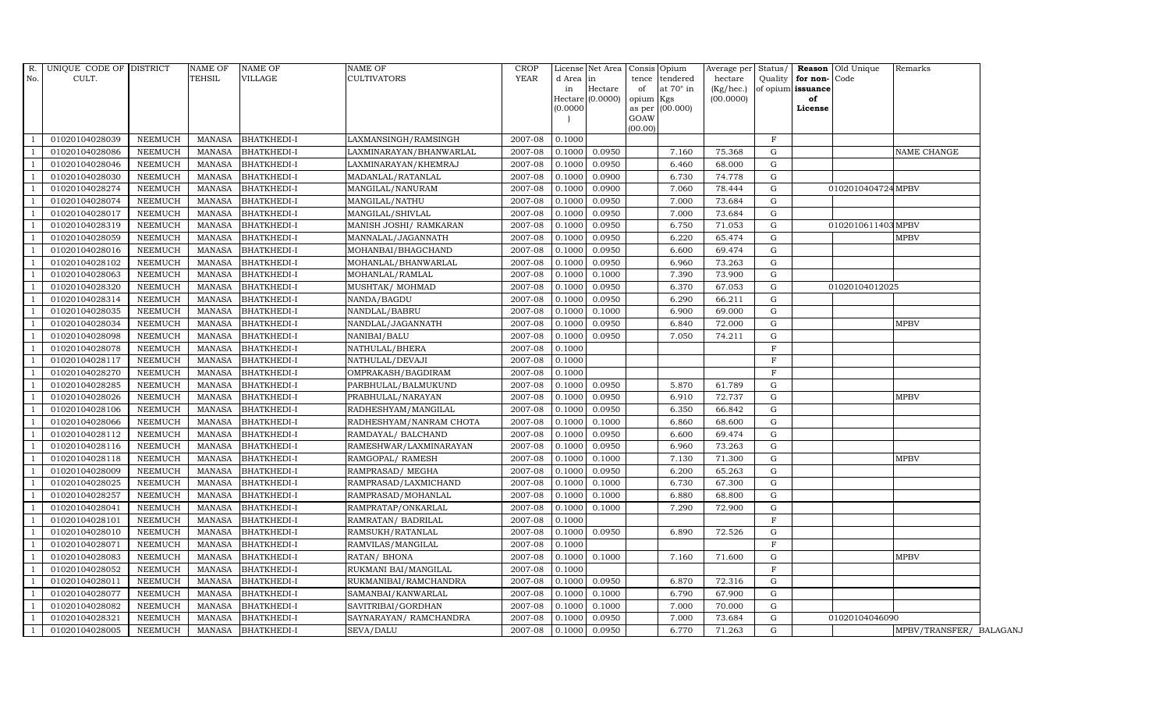|                | R. UNIQUE CODE OF DISTRICT |                | NAME OF       | <b>NAME OF</b>     | <b>NAME OF</b>          | <b>CROP</b> |           | License Net Area            |           | Consis Opium     | Average per Status/    |                   |              | <b>Reason</b> Old Unique | Remarks                 |
|----------------|----------------------------|----------------|---------------|--------------------|-------------------------|-------------|-----------|-----------------------------|-----------|------------------|------------------------|-------------------|--------------|--------------------------|-------------------------|
| No.            | CULT.                      |                | TEHSIL        | VILLAGE            | <b>CULTIVATORS</b>      | <b>YEAR</b> | d Area in |                             | tence     | tendered         | hectare                | Quality           | for non-Code |                          |                         |
|                |                            |                |               |                    |                         |             | in        | Hectare<br>Hectare (0.0000) | of        | at $70^\circ$ in | (Kg/hec.)<br>(00.0000) | of opium issuance | of           |                          |                         |
|                |                            |                |               |                    |                         |             | (0.0000)  |                             | opium Kgs | as per (00.000)  |                        |                   | License      |                          |                         |
|                |                            |                |               |                    |                         |             |           |                             | GOAW      |                  |                        |                   |              |                          |                         |
|                |                            |                |               |                    |                         |             |           |                             | (00.00)   |                  |                        |                   |              |                          |                         |
|                | 01020104028039             | NEEMUCH        | MANASA        | <b>BHATKHEDI-I</b> | LAXMANSINGH/RAMSINGH    | 2007-08     | 0.1000    |                             |           |                  |                        | F                 |              |                          |                         |
|                | 01020104028086             | <b>NEEMUCH</b> | MANASA        | <b>BHATKHEDI-I</b> | LAXMINARAYAN/BHANWARLAL | 2007-08     | 0.1000    | 0.0950                      |           | 7.160            | 75.368                 | G                 |              |                          | NAME CHANGE             |
|                | 01020104028046             | <b>NEEMUCH</b> | MANASA        | <b>BHATKHEDI-I</b> | LAXMINARAYAN/KHEMRAJ    | 2007-08     | 0.1000    | 0.0950                      |           | 6.460            | 68.000                 | G                 |              |                          |                         |
|                | 01020104028030             | NEEMUCH        | MANASA        | <b>BHATKHEDI-I</b> | MADANLAL/RATANLAL       | 2007-08     | 0.1000    | 0.0900                      |           | 6.730            | 74.778                 | G                 |              |                          |                         |
|                | 01020104028274             | <b>NEEMUCH</b> | <b>MANASA</b> | <b>BHATKHEDI-I</b> | MANGILAL/NANURAM        | 2007-08     | 0.1000    | 0.0900                      |           | 7.060            | 78.444                 | G                 |              | 0102010404724 MPBV       |                         |
|                | 01020104028074             | NEEMUCH        | MANASA        | <b>BHATKHEDI-I</b> | MANGILAL/NATHU          | 2007-08     | 0.1000    | 0.0950                      |           | 7.000            | 73.684                 | G                 |              |                          |                         |
|                | 01020104028017             | <b>NEEMUCH</b> | MANASA        | <b>BHATKHEDI-I</b> | MANGILAL/SHIVLAL        | 2007-08     | 0.1000    | 0.0950                      |           | 7.000            | 73.684                 | G                 |              |                          |                         |
|                | 01020104028319             | <b>NEEMUCH</b> | MANASA        | <b>BHATKHEDI-I</b> | MANISH JOSHI/ RAMKARAN  | 2007-08     | 0.1000    | 0.0950                      |           | 6.750            | 71.053                 | G                 |              | 0102010611403 MPBV       |                         |
|                | 01020104028059             | <b>NEEMUCH</b> | <b>MANASA</b> | <b>BHATKHEDI-I</b> | MANNALAL/JAGANNATH      | 2007-08     | 0.1000    | 0.0950                      |           | 6.220            | 65.474                 | G                 |              |                          | <b>MPBV</b>             |
|                | 01020104028016             | <b>NEEMUCH</b> | <b>MANASA</b> | <b>BHATKHEDI-I</b> | MOHANBAI/BHAGCHAND      | 2007-08     | 0.1000    | 0.0950                      |           | 6.600            | 69.474                 | G                 |              |                          |                         |
| -1             | 01020104028102             | <b>NEEMUCH</b> | <b>MANASA</b> | <b>BHATKHEDI-I</b> | MOHANLAL/BHANWARLAL     | 2007-08     | 0.1000    | 0.0950                      |           | 6.960            | 73.263                 | G                 |              |                          |                         |
|                | 01020104028063             | <b>NEEMUCH</b> | MANASA        | <b>BHATKHEDI-I</b> | MOHANLAL/RAMLAL         | 2007-08     | 0.1000    | 0.1000                      |           | 7.390            | 73.900                 | G                 |              |                          |                         |
|                | 01020104028320             | <b>NEEMUCH</b> | MANASA        | BHATKHEDI-I        | MUSHTAK/ MOHMAD         | 2007-08     | 0.1000    | 0.0950                      |           | 6.370            | 67.053                 | G                 |              | 01020104012025           |                         |
|                | 01020104028314             | <b>NEEMUCH</b> | MANASA        | <b>BHATKHEDI-I</b> | NANDA/BAGDU             | 2007-08     | 0.1000    | 0.0950                      |           | 6.290            | 66.211                 | G                 |              |                          |                         |
|                | 01020104028035             | NEEMUCH        | MANASA        | <b>BHATKHEDI-I</b> | NANDLAL/BABRU           | 2007-08     | 0.1000    | 0.1000                      |           | 6.900            | 69.000                 | G                 |              |                          |                         |
|                | 01020104028034             | <b>NEEMUCH</b> | MANASA        | <b>BHATKHEDI-I</b> | NANDLAL/JAGANNATH       | 2007-08     | 0.1000    | 0.0950                      |           | 6.840            | 72.000                 | G                 |              |                          | <b>MPBV</b>             |
|                | 01020104028098             | <b>NEEMUCH</b> | <b>MANASA</b> | <b>BHATKHEDI-I</b> | NANIBAI/BALU            | 2007-08     | 0.1000    | 0.0950                      |           | 7.050            | 74.211                 | G                 |              |                          |                         |
|                | 01020104028078             | NEEMUCH        | MANASA        | <b>BHATKHEDI-I</b> | NATHULAL/BHERA          | 2007-08     | 0.1000    |                             |           |                  |                        | $\mathbf{F}$      |              |                          |                         |
|                | 01020104028117             | <b>NEEMUCH</b> | MANASA        | <b>BHATKHEDI-I</b> | NATHULAL/DEVAJI         | 2007-08     | 0.1000    |                             |           |                  |                        | $\rm F$           |              |                          |                         |
|                | 01020104028270             | <b>NEEMUCH</b> | <b>MANASA</b> | <b>BHATKHEDI-I</b> | OMPRAKASH/BAGDIRAM      | 2007-08     | 0.1000    |                             |           |                  |                        | $\mathbf F$       |              |                          |                         |
|                | 01020104028285             | NEEMUCH        | MANASA        | BHATKHEDI-I        | PARBHULAL/BALMUKUND     | 2007-08     | 0.1000    | 0.0950                      |           | 5.870            | 61.789                 | G                 |              |                          |                         |
|                | 01020104028026             | <b>NEEMUCH</b> | <b>MANASA</b> | <b>BHATKHEDI-I</b> | PRABHULAL/NARAYAN       | 2007-08     | 0.1000    | 0.0950                      |           | 6.910            | 72.737                 | G                 |              |                          | <b>MPBV</b>             |
|                | 01020104028106             | <b>NEEMUCH</b> | <b>MANASA</b> | <b>BHATKHEDI-I</b> | RADHESHYAM/MANGILAL     | 2007-08     | 0.1000    | 0.0950                      |           | 6.350            | 66.842                 | G                 |              |                          |                         |
|                | 01020104028066             | NEEMUCH        | <b>MANASA</b> | <b>BHATKHEDI-I</b> | RADHESHYAM/NANRAM CHOTA | 2007-08     | 0.1000    | 0.1000                      |           | 6.860            | 68.600                 | G                 |              |                          |                         |
|                | 01020104028112             | <b>NEEMUCH</b> | <b>MANASA</b> | <b>BHATKHEDI-I</b> | RAMDAYAL/ BALCHAND      | 2007-08     | 0.1000    | 0.0950                      |           | 6.600            | 69.474                 | G                 |              |                          |                         |
|                | 01020104028116             | <b>NEEMUCH</b> | MANASA        | <b>BHATKHEDI-I</b> | RAMESHWAR/LAXMINARAYAN  | 2007-08     | 0.1000    | 0.0950                      |           | 6.960            | 73.263                 | G                 |              |                          |                         |
|                | 01020104028118             | <b>NEEMUCH</b> | <b>MANASA</b> | <b>BHATKHEDI-I</b> | RAMGOPAL/ RAMESH        | 2007-08     | 0.1000    | 0.1000                      |           | 7.130            | 71.300                 | G                 |              |                          | <b>MPBV</b>             |
|                | 01020104028009             | <b>NEEMUCH</b> | MANASA        | <b>BHATKHEDI-I</b> | RAMPRASAD/ MEGHA        | 2007-08     | 0.1000    | 0.0950                      |           | 6.200            | 65.263                 | G                 |              |                          |                         |
| $\overline{1}$ | 01020104028025             | <b>NEEMUCH</b> | MANASA        | <b>BHATKHEDI-I</b> | RAMPRASAD/LAXMICHAND    | 2007-08     | 0.1000    | 0.1000                      |           | 6.730            | 67.300                 | ${\rm G}$         |              |                          |                         |
|                | 01020104028257             | <b>NEEMUCH</b> | MANASA        | <b>BHATKHEDI-I</b> | RAMPRASAD/MOHANLAL      | 2007-08     | 0.1000    | 0.1000                      |           | 6.880            | 68.800                 | G                 |              |                          |                         |
|                | 01020104028041             | <b>NEEMUCH</b> | <b>MANASA</b> | <b>BHATKHEDI-I</b> | RAMPRATAP/ONKARLAL      | 2007-08     | 0.1000    | 0.1000                      |           | 7.290            | 72.900                 | G                 |              |                          |                         |
|                | 01020104028101             | <b>NEEMUCH</b> | <b>MANASA</b> | <b>BHATKHEDI-I</b> | RAMRATAN/ BADRILAL      | 2007-08     | 0.1000    |                             |           |                  |                        | $\mathbf F$       |              |                          |                         |
|                | 01020104028010             | <b>NEEMUCH</b> | <b>MANASA</b> | <b>BHATKHEDI-I</b> | RAMSUKH/RATANLAL        | 2007-08     | 0.1000    | 0.0950                      |           | 6.890            | 72.526                 | G                 |              |                          |                         |
|                | 01020104028071             | <b>NEEMUCH</b> | <b>MANASA</b> | <b>BHATKHEDI-I</b> | RAMVILAS/MANGILAL       | 2007-08     | 0.1000    |                             |           |                  |                        | $\mathbf F$       |              |                          |                         |
|                | 01020104028083             | <b>NEEMUCH</b> | <b>MANASA</b> | <b>BHATKHEDI-I</b> | RATAN/ BHONA            | 2007-08     | 0.1000    | 0.1000                      |           | 7.160            | 71.600                 | ${\rm G}$         |              |                          | <b>MPBV</b>             |
|                | 01020104028052             | <b>NEEMUCH</b> | MANASA        | <b>BHATKHEDI-I</b> | RUKMANI BAI/MANGILAL    | 2007-08     | 0.1000    |                             |           |                  |                        | F                 |              |                          |                         |
|                | 01020104028011             | <b>NEEMUCH</b> | <b>MANASA</b> | <b>BHATKHEDI-I</b> | RUKMANIBAI/RAMCHANDRA   | 2007-08     | 0.1000    | 0.0950                      |           | 6.870            | 72.316                 | G                 |              |                          |                         |
|                | 01020104028077             | <b>NEEMUCH</b> | MANASA        | <b>BHATKHEDI-I</b> | SAMANBAI/KANWARLAL      | 2007-08     | 0.1000    | 0.1000                      |           | 6.790            | 67.900                 | G                 |              |                          |                         |
| $\overline{1}$ | 01020104028082             | <b>NEEMUCH</b> | <b>MANASA</b> | <b>BHATKHEDI-I</b> | SAVITRIBAI/GORDHAN      | 2007-08     | 0.1000    | 0.1000                      |           | 7.000            | 70.000                 | G                 |              |                          |                         |
|                | 01020104028321             | <b>NEEMUCH</b> | <b>MANASA</b> | <b>BHATKHEDI-I</b> | SAYNARAYAN / RAMCHANDRA | 2007-08     | 0.1000    | 0.0950                      |           | 7.000            | 73.684                 | G                 |              | 01020104046090           |                         |
|                | 01020104028005             | <b>NEEMUCH</b> | MANASA        | <b>BHATKHEDI-I</b> | SEVA/DALU               | 2007-08     | 0.1000    | 0.0950                      |           | 6.770            | 71.263                 | $\mathbf G$       |              |                          | MPBV/TRANSFER/ BALAGANJ |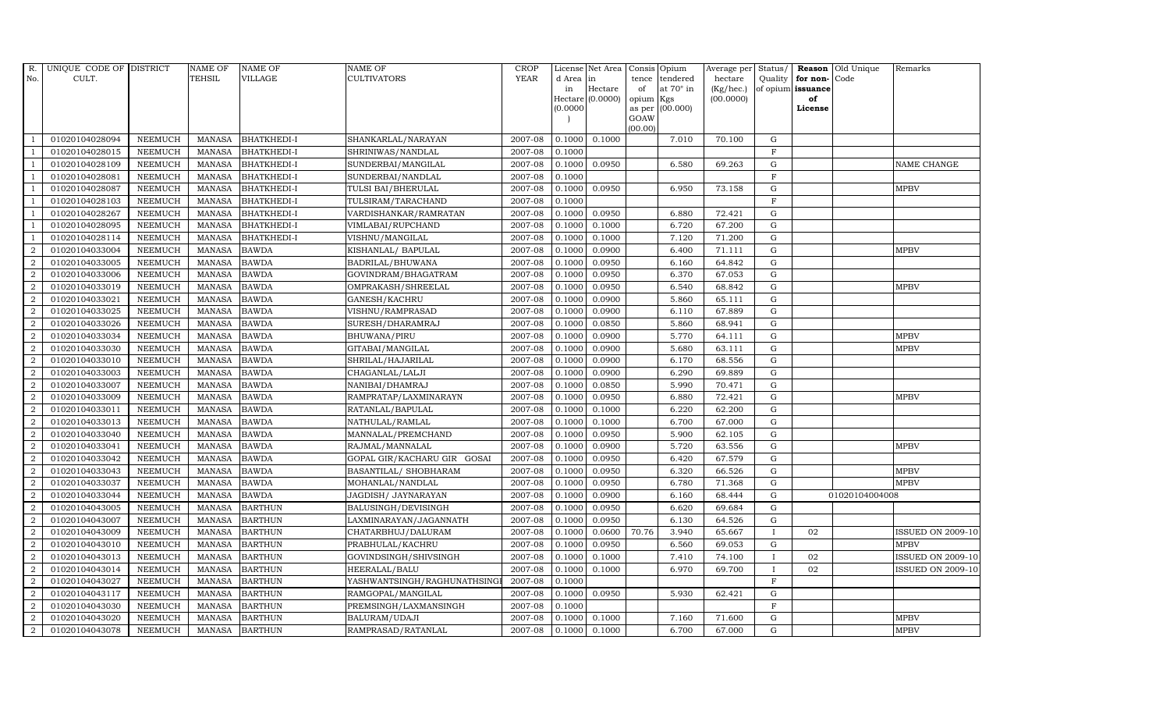| R.               | UNIQUE CODE OF DISTRICT |                | <b>NAME OF</b> | <b>NAME OF</b>     | <b>NAME OF</b>              | CROP        |          | License Net Area   Consis   Opium |           |                  | Average per | Status/      | Reason            | Old Unique     | Remarks                  |
|------------------|-------------------------|----------------|----------------|--------------------|-----------------------------|-------------|----------|-----------------------------------|-----------|------------------|-------------|--------------|-------------------|----------------|--------------------------|
| No.              | CULT.                   |                | <b>TEHSIL</b>  | <b>VILLAGE</b>     | <b>CULTIVATORS</b>          | <b>YEAR</b> | d Area   | in                                | tence     | tendered         | hectare     | Quality      | for non-          | Code           |                          |
|                  |                         |                |                |                    |                             |             | in       | Hectare                           | of        | at $70^\circ$ in | (Kg/hec.)   |              | of opium issuance |                |                          |
|                  |                         |                |                |                    |                             |             |          | Hectare (0.0000)                  | opium Kgs |                  | (00.0000)   |              | of                |                |                          |
|                  |                         |                |                |                    |                             |             | (0.0000) |                                   | GOAW      | as per (00.000)  |             |              | License           |                |                          |
|                  |                         |                |                |                    |                             |             |          |                                   | (00.00)   |                  |             |              |                   |                |                          |
|                  | 01020104028094          | <b>NEEMUCH</b> | MANASA         | <b>BHATKHEDI-I</b> | SHANKARLAL/NARAYAN          | 2007-08     | 0.1000   | 0.1000                            |           | 7.010            | 70.100      | $\mathbf G$  |                   |                |                          |
| -1               | 01020104028015          | <b>NEEMUCH</b> | MANASA         | <b>BHATKHEDI-I</b> | SHRINIWAS/NANDLAL           | 2007-08     | 0.1000   |                                   |           |                  |             | $\mathbf F$  |                   |                |                          |
|                  | 01020104028109          | <b>NEEMUCH</b> | <b>MANASA</b>  | <b>BHATKHEDI-I</b> | SUNDERBAI/MANGILAL          | 2007-08     | 0.1000   | 0.0950                            |           | 6.580            | 69.263      | G            |                   |                | NAME CHANGE              |
|                  | 01020104028081          | <b>NEEMUCH</b> | <b>MANASA</b>  | <b>BHATKHEDI-I</b> | SUNDERBAI/NANDLAL           | 2007-08     | 0.1000   |                                   |           |                  |             | $\mathbf{F}$ |                   |                |                          |
| $\overline{1}$   | 01020104028087          | <b>NEEMUCH</b> | <b>MANASA</b>  | <b>BHATKHEDI-I</b> | TULSI BAI/BHERULAL          | 2007-08     | 0.1000   | 0.0950                            |           | 6.950            | 73.158      | ${\rm G}$    |                   |                | <b>MPBV</b>              |
| $\overline{1}$   | 01020104028103          | <b>NEEMUCH</b> | <b>MANASA</b>  | <b>BHATKHEDI-I</b> | TULSIRAM/TARACHAND          | $2007-08$   | 0.1000   |                                   |           |                  |             | F            |                   |                |                          |
| $\overline{1}$   | 01020104028267          | <b>NEEMUCH</b> | <b>MANASA</b>  | <b>BHATKHEDI-I</b> | VARDISHANKAR/RAMRATAN       | 2007-08     | 0.1000   | 0.0950                            |           | 6.880            | 72.421      | $\mathbf G$  |                   |                |                          |
| $\overline{1}$   | 01020104028095          | <b>NEEMUCH</b> | <b>MANASA</b>  | <b>BHATKHEDI-I</b> | VIMLABAI/RUPCHAND           | 2007-08     | 0.1000   | 0.1000                            |           | 6.720            | 67.200      | $\mathbf G$  |                   |                |                          |
|                  | 01020104028114          | <b>NEEMUCH</b> | <b>MANASA</b>  | <b>BHATKHEDI-I</b> | VISHNU/MANGILAL             | 2007-08     | 0.1000   | 0.1000                            |           | 7.120            | 71.200      | $\mathbf G$  |                   |                |                          |
| $\overline{2}$   | 01020104033004          | <b>NEEMUCH</b> | <b>MANASA</b>  | <b>BAWDA</b>       | KISHANLAL/ BAPULAL          | 2007-08     | 0.1000   | 0.0900                            |           | 6.400            | 71.111      | $\mathbf G$  |                   |                | <b>MPBV</b>              |
| $\overline{a}$   | 01020104033005          | <b>NEEMUCH</b> | <b>MANASA</b>  | <b>BAWDA</b>       | BADRILAL/BHUWANA            | 2007-08     | 0.1000   | 0.0950                            |           | 6.160            | 64.842      | ${\rm G}$    |                   |                |                          |
| $\overline{2}$   | 01020104033006          | <b>NEEMUCH</b> | <b>MANASA</b>  | <b>BAWDA</b>       | GOVINDRAM/BHAGATRAM         | 2007-08     | 0.1000   | 0.0950                            |           | 6.370            | 67.053      | $\mathbf G$  |                   |                |                          |
| 2                | 01020104033019          | <b>NEEMUCH</b> | <b>MANASA</b>  | <b>BAWDA</b>       | OMPRAKASH/SHREELAL          | 2007-08     | 0.1000   | 0.0950                            |           | 6.540            | 68.842      | $\mathbf G$  |                   |                | <b>MPBV</b>              |
| $\overline{2}$   | 01020104033021          | <b>NEEMUCH</b> | <b>MANASA</b>  | <b>BAWDA</b>       | GANESH/KACHRU               | 2007-08     | 0.1000   | 0.0900                            |           | 5.860            | 65.111      | G            |                   |                |                          |
| $\overline{2}$   | 01020104033025          | <b>NEEMUCH</b> | <b>MANASA</b>  | <b>BAWDA</b>       | VISHNU/RAMPRASAD            | 2007-08     | 0.1000   | 0.0900                            |           | 6.110            | 67.889      | ${\rm G}$    |                   |                |                          |
| $\overline{a}$   | 01020104033026          | <b>NEEMUCH</b> | <b>MANASA</b>  | <b>BAWDA</b>       | SURESH/DHARAMRAJ            | 2007-08     | 0.1000   | 0.0850                            |           | 5.860            | 68.941      | ${\rm G}$    |                   |                |                          |
| 2                | 01020104033034          | <b>NEEMUCH</b> | <b>MANASA</b>  | <b>BAWDA</b>       | BHUWANA/PIRU                | 2007-08     | 0.1000   | 0.0900                            |           | 5.770            | 64.111      | $\mathbf G$  |                   |                | <b>MPBV</b>              |
| 2                | 01020104033030          | <b>NEEMUCH</b> | <b>MANASA</b>  | <b>BAWDA</b>       | GITABAI/MANGILAL            | 2007-08     | 0.1000   | 0.0900                            |           | 5.680            | 63.111      | $\mathbf G$  |                   |                | <b>MPBV</b>              |
| $\overline{2}$   | 01020104033010          | <b>NEEMUCH</b> | <b>MANASA</b>  | <b>BAWDA</b>       | SHRILAL/HAJARILAL           | 2007-08     | 0.1000   | 0.0900                            |           | 6.170            | 68.556      | $\mathbf G$  |                   |                |                          |
| $\overline{2}$   | 01020104033003          | <b>NEEMUCH</b> | <b>MANASA</b>  | <b>BAWDA</b>       | CHAGANLAL/LALJI             | 2007-08     | 0.1000   | 0.0900                            |           | 6.290            | 69.889      | $\mathbf G$  |                   |                |                          |
| $\overline{a}$   | 01020104033007          | <b>NEEMUCH</b> | <b>MANASA</b>  | <b>BAWDA</b>       | NANIBAI/DHAMRAJ             | 2007-08     | 0.1000   | 0.0850                            |           | 5.990            | 70.471      | ${\rm G}$    |                   |                |                          |
| $\overline{a}$   | 01020104033009          | <b>NEEMUCH</b> | <b>MANASA</b>  | <b>BAWDA</b>       | RAMPRATAP/LAXMINARAYN       | 2007-08     | 0.1000   | 0.0950                            |           | 6.880            | 72.421      | ${\rm G}$    |                   |                | <b>MPBV</b>              |
| $\overline{a}$   | 01020104033011          | <b>NEEMUCH</b> | <b>MANASA</b>  | <b>BAWDA</b>       | RATANLAL/BAPULAL            | 2007-08     | 0.1000   | 0.1000                            |           | 6.220            | 62.200      | $\mathbf G$  |                   |                |                          |
| $\overline{2}$   | 01020104033013          | <b>NEEMUCH</b> | <b>MANASA</b>  | <b>BAWDA</b>       | NATHULAL/RAMLAL             | 2007-08     | 0.1000   | 0.1000                            |           | 6.700            | 67.000      | $\mathbf G$  |                   |                |                          |
| $\boldsymbol{2}$ | 01020104033040          | <b>NEEMUCH</b> | <b>MANASA</b>  | <b>BAWDA</b>       | MANNALAL/PREMCHAND          | 2007-08     | 0.1000   | 0.0950                            |           | 5.900            | 62.105      | $\mathbf G$  |                   |                |                          |
| $\overline{2}$   | 01020104033041          | <b>NEEMUCH</b> | <b>MANASA</b>  | <b>BAWDA</b>       | RAJMAL/MANNALAL             | 2007-08     | 0.1000   | 0.0900                            |           | 5.720            | 63.556      | ${\rm G}$    |                   |                | <b>MPBV</b>              |
| $\overline{a}$   | 01020104033042          | <b>NEEMUCH</b> | <b>MANASA</b>  | <b>BAWDA</b>       | GOPAL GIR/KACHARU GIR GOSAI | 2007-08     | 0.1000   | 0.0950                            |           | 6.420            | 67.579      | ${\rm G}$    |                   |                |                          |
| 2                | 01020104033043          | <b>NEEMUCH</b> | <b>MANASA</b>  | <b>BAWDA</b>       | BASANTILAL/ SHOBHARAM       | 2007-08     | 0.1000   | 0.0950                            |           | 6.320            | 66.526      | $\mathbf G$  |                   |                | <b>MPBV</b>              |
| 2                | 01020104033037          | <b>NEEMUCH</b> | <b>MANASA</b>  | <b>BAWDA</b>       | MOHANLAL/NANDLAL            | 2007-08     | 0.1000   | 0.0950                            |           | 6.780            | 71.368      | $\mathbf G$  |                   |                | <b>MPBV</b>              |
| $\overline{2}$   | 01020104033044          | <b>NEEMUCH</b> | <b>MANASA</b>  | <b>BAWDA</b>       | JAGDISH / JAYNARAYAN        | 2007-08     | 0.1000   | 0.0900                            |           | 6.160            | 68.444      | $\mathbf G$  |                   | 01020104004008 |                          |
| $\overline{2}$   | 01020104043005          | <b>NEEMUCH</b> | <b>MANASA</b>  | <b>BARTHUN</b>     | BALUSINGH/DEVISINGH         | 2007-08     | 0.1000   | 0.0950                            |           | 6.620            | 69.684      | G            |                   |                |                          |
| $\overline{a}$   | 01020104043007          | <b>NEEMUCH</b> | <b>MANASA</b>  | <b>BARTHUN</b>     | LAXMINARAYAN/JAGANNATH      | 2007-08     | 0.1000   | 0.0950                            |           | 6.130            | 64.526      | ${\rm G}$    |                   |                |                          |
| $\overline{a}$   | 01020104043009          | <b>NEEMUCH</b> | MANASA         | <b>BARTHUN</b>     | CHATARBHUJ/DALURAM          | 2007-08     | 0.1000   | 0.0600                            | 70.76     | 3.940            | 65.667      | $\mathbf{I}$ | 02                |                | <b>ISSUED ON 2009-10</b> |
| 2                | 01020104043010          | <b>NEEMUCH</b> | <b>MANASA</b>  | <b>BARTHUN</b>     | PRABHULAL/KACHRU            | 2007-08     | 0.1000   | 0.0950                            |           | 6.560            | 69.053      | $\mathbf G$  |                   |                | <b>MPBV</b>              |
| $\overline{2}$   | 01020104043013          | <b>NEEMUCH</b> | <b>MANASA</b>  | <b>BARTHUN</b>     | GOVINDSINGH/SHIVSINGH       | 2007-08     | 0.1000   | 0.1000                            |           | 7.410            | 74.100      | $\mathbf{I}$ | 02                |                | <b>ISSUED ON 2009-10</b> |
| $\overline{a}$   | 01020104043014          | <b>NEEMUCH</b> | <b>MANASA</b>  | <b>BARTHUN</b>     | HEERALAL/BALU               | 2007-08     | 0.1000   | 0.1000                            |           | 6.970            | 69.700      | $\mathbf I$  | 02                |                | <b>ISSUED ON 2009-10</b> |
| $\overline{2}$   | 01020104043027          | <b>NEEMUCH</b> | <b>MANASA</b>  | <b>BARTHUN</b>     | YASHWANTSINGH/RAGHUNATHSING | 2007-08     | 0.1000   |                                   |           |                  |             | $\mathbf F$  |                   |                |                          |
| $\overline{a}$   | 01020104043117          | <b>NEEMUCH</b> | <b>MANASA</b>  | <b>BARTHUN</b>     | RAMGOPAL/MANGILAL           | 2007-08     | 0.1000   | 0.0950                            |           | 5.930            | 62.421      | $\mathbf G$  |                   |                |                          |
| $\overline{2}$   | 01020104043030          | <b>NEEMUCH</b> | <b>MANASA</b>  | <b>BARTHUN</b>     | PREMSINGH/LAXMANSINGH       | 2007-08     | 0.1000   |                                   |           |                  |             | $\mathbf F$  |                   |                |                          |
| 2                | 01020104043020          | <b>NEEMUCH</b> | <b>MANASA</b>  | <b>BARTHUN</b>     | BALURAM/UDAJI               | 2007-08     | 0.1000   | 0.1000                            |           | 7.160            | 71.600      | $\mathbf G$  |                   |                | <b>MPBV</b>              |
| $\overline{a}$   | 01020104043078          | <b>NEEMUCH</b> |                | MANASA BARTHUN     | RAMPRASAD/RATANLAL          | 2007-08     | 0.1000   | 0.1000                            |           | 6.700            | 67.000      | G            |                   |                | <b>MPBV</b>              |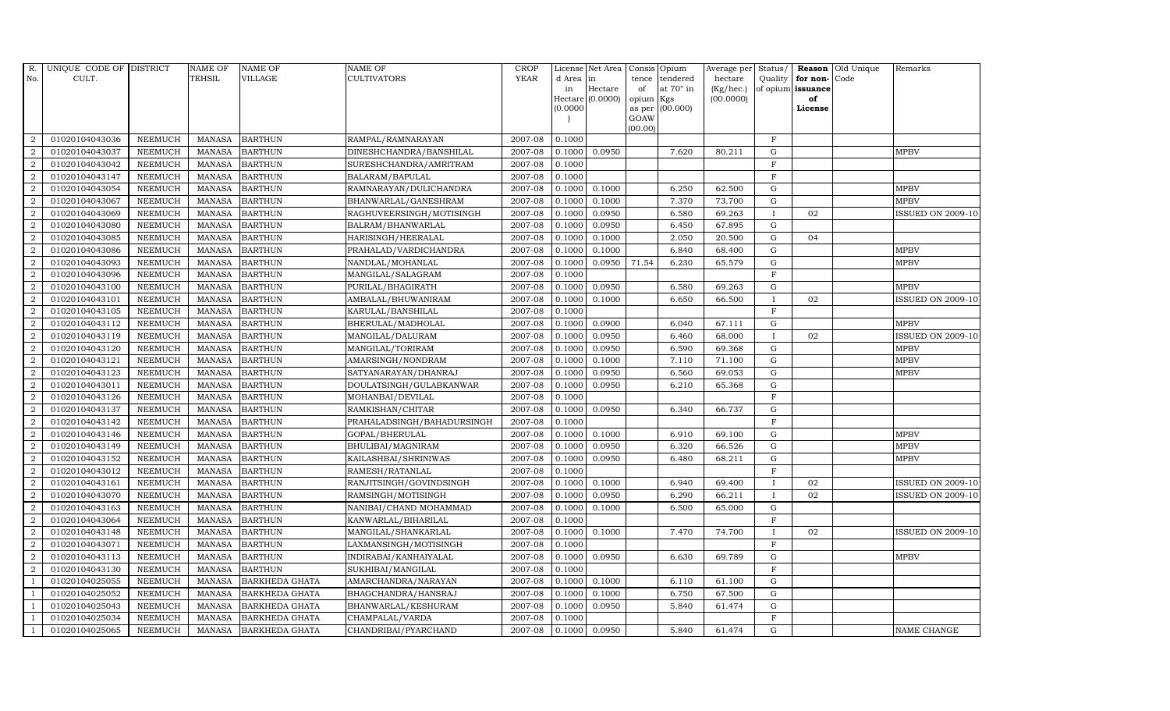| R.               | UNIQUE CODE OF DISTRICT |                | NAME OF       | <b>NAME OF</b>        | <b>NAME OF</b>             | <b>CROP</b> |          | License Net Area   |         | Consis Opium    | Average per | Status/      |                   | Reason Old Unique | Remarks                  |
|------------------|-------------------------|----------------|---------------|-----------------------|----------------------------|-------------|----------|--------------------|---------|-----------------|-------------|--------------|-------------------|-------------------|--------------------------|
| No.              | CULT.                   |                | <b>TEHSIL</b> | VILLAGE               | <b>CULTIVATORS</b>         | <b>YEAR</b> | d Area   | in                 | tence   | tendered        | hectare     | Quality      | for non-          | Code              |                          |
|                  |                         |                |               |                       |                            |             | in       | Hectare            | of      | at 70° in       | (Kg/hec.)   |              | of opium issuance |                   |                          |
|                  |                         |                |               |                       |                            |             |          | $Hectare (0.0000)$ | opium   | Kgs             | (00.0000)   |              | of                |                   |                          |
|                  |                         |                |               |                       |                            |             | (0.0000) |                    | GOAW    | as per (00.000) |             |              | License           |                   |                          |
|                  |                         |                |               |                       |                            |             |          |                    | (00.00) |                 |             |              |                   |                   |                          |
| $\overline{2}$   | 01020104043036          | <b>NEEMUCH</b> |               | MANASA BARTHUN        | RAMPAL/RAMNARAYAN          | 2007-08     | 0.1000   |                    |         |                 |             | $\mathbf F$  |                   |                   |                          |
| $\overline{2}$   | 01020104043037          | <b>NEEMUCH</b> | MANASA        | <b>BARTHUN</b>        | DINESHCHANDRA/BANSHILAL    | 2007-08     | 0.1000   | 0.0950             |         | 7.620           | 80.211      | $\mathbf G$  |                   |                   | <b>MPBV</b>              |
| $\overline{2}$   | 01020104043042          | <b>NEEMUCH</b> | <b>MANASA</b> | <b>BARTHUN</b>        | SURESHCHANDRA/AMRITRAM     | 2007-08     | 0.1000   |                    |         |                 |             | $\rm F$      |                   |                   |                          |
| $\overline{2}$   | 01020104043147          | <b>NEEMUCH</b> | MANASA        | <b>BARTHUN</b>        | BALARAM/BAPULAL            | 2007-08     | 0.1000   |                    |         |                 |             | $\mathbf{F}$ |                   |                   |                          |
| $\overline{2}$   | 01020104043054          | <b>NEEMUCH</b> | <b>MANASA</b> | <b>BARTHUN</b>        | RAMNARAYAN/DULICHANDRA     | 2007-08     | 0.1000   | 0.1000             |         | 6.250           | 62.500      | G            |                   |                   | <b>MPBV</b>              |
| $\overline{a}$   | 01020104043067          | <b>NEEMUCH</b> | <b>MANASA</b> | <b>BARTHUN</b>        | BHANWARLAL/GANESHRAM       | 2007-08     | 0.1000   | 0.1000             |         | 7.370           | 73.700      | G            |                   |                   | <b>MPBV</b>              |
| $\overline{2}$   | 01020104043069          | <b>NEEMUCH</b> | <b>MANASA</b> | <b>BARTHUN</b>        | RAGHUVEERSINGH/MOTISINGH   | 2007-08     | 0.1000   | 0.0950             |         | 6.580           | 69.263      | $\mathbf{I}$ | 02                |                   | <b>ISSUED ON 2009-10</b> |
| 2                | 01020104043080          | <b>NEEMUCH</b> | <b>MANASA</b> | <b>BARTHUN</b>        | BALRAM/BHANWARLAL          | 2007-08     | 0.1000   | 0.0950             |         | 6.450           | 67.895      | G            |                   |                   |                          |
| $\overline{2}$   | 01020104043085          | <b>NEEMUCH</b> | <b>MANASA</b> | <b>BARTHUN</b>        | HARISINGH/HEERALAL         | 2007-08     | 0.1000   | 0.1000             |         | 2.050           | 20.500      | G            | 04                |                   |                          |
| 2                | 01020104043086          | <b>NEEMUCH</b> | <b>MANASA</b> | <b>BARTHUN</b>        | PRAHALAD/VARDICHANDRA      | 2007-08     | 0.1000   | 0.1000             |         | 6.840           | 68.400      | G            |                   |                   | <b>MPBV</b>              |
| $\overline{a}$   | 01020104043093          | <b>NEEMUCH</b> | <b>MANASA</b> | <b>BARTHUN</b>        | NANDLAL/MOHANLAL           | 2007-08     | 0.1000   | 0.0950             | 71.54   | 6.230           | 65.579      | G            |                   |                   | <b>MPBV</b>              |
| $\overline{a}$   | 01020104043096          | <b>NEEMUCH</b> | MANASA        | <b>BARTHUN</b>        | MANGILAL/SALAGRAM          | 2007-08     | 0.1000   |                    |         |                 |             | $\mathbf{F}$ |                   |                   |                          |
| $\overline{2}$   | 01020104043100          | <b>NEEMUCH</b> | MANASA        | <b>BARTHUN</b>        | PURILAL/BHAGIRATH          | 2007-08     | 0.1000   | 0.0950             |         | 6.580           | 69.263      | G            |                   |                   | <b>MPBV</b>              |
| $\overline{2}$   | 01020104043101          | <b>NEEMUCH</b> | <b>MANASA</b> | <b>BARTHUN</b>        | AMBALAL/BHUWANIRAM         | 2007-08     | 0.1000   | 0.1000             |         | 6.650           | 66.500      |              | 02                |                   | <b>ISSUED ON 2009-10</b> |
| $\boldsymbol{2}$ | 01020104043105          | <b>NEEMUCH</b> | MANASA        | <b>BARTHUN</b>        | KARULAL/BANSHILAL          | 2007-08     | 0.1000   |                    |         |                 |             | $\mathbf{F}$ |                   |                   |                          |
| 2                | 01020104043112          | <b>NEEMUCH</b> | <b>MANASA</b> | <b>BARTHUN</b>        | BHERULAL/MADHOLAL          | 2007-08     | 0.1000   | 0.0900             |         | 6.040           | 67.111      | G            |                   |                   | <b>MPBV</b>              |
| 2                | 01020104043119          | <b>NEEMUCH</b> | <b>MANASA</b> | <b>BARTHUN</b>        | MANGILAL/DALURAM           | 2007-08     | 0.1000   | 0.0950             |         | 6.460           | 68.000      | $\mathbf{I}$ | 02                |                   | <b>ISSUED ON 2009-10</b> |
| $\overline{a}$   | 01020104043120          | <b>NEEMUCH</b> | MANASA        | <b>BARTHUN</b>        | MANGILAL/TORIRAM           | 2007-08     | 0.1000   | 0.0950             |         | 6.590           | 69.368      | G            |                   |                   | <b>MPBV</b>              |
| $\overline{2}$   | 01020104043121          | <b>NEEMUCH</b> | <b>MANASA</b> | <b>BARTHUN</b>        | AMARSINGH/NONDRAM          | 2007-08     | 0.1000   | 0.1000             |         | 7.110           | 71.100      | $\mathbf G$  |                   |                   | <b>MPBV</b>              |
| $\overline{2}$   | 01020104043123          | NEEMUCH        | <b>MANASA</b> | <b>BARTHUN</b>        | SATYANARAYAN/DHANRAJ       | 2007-08     | 0.1000   | 0.0950             |         | 6.560           | 69.053      | ${\rm G}$    |                   |                   | <b>MPBV</b>              |
| 2                | 01020104043011          | <b>NEEMUCH</b> | <b>MANASA</b> | <b>BARTHUN</b>        | DOULATSINGH/GULABKANWAR    | 2007-08     | 0.1000   | 0.0950             |         | 6.210           | 65.368      | G            |                   |                   |                          |
| 2                | 01020104043126          | <b>NEEMUCH</b> | <b>MANASA</b> | <b>BARTHUN</b>        | MOHANBAI/DEVILAL           | 2007-08     | 0.1000   |                    |         |                 |             | $\mathbf F$  |                   |                   |                          |
| $\overline{a}$   | 01020104043137          | <b>NEEMUCH</b> | MANASA        | <b>BARTHUN</b>        | RAMKISHAN/CHITAR           | 2007-08     | 0.1000   | 0.0950             |         | 6.340           | 66.737      | G            |                   |                   |                          |
| 2                | 01020104043142          | <b>NEEMUCH</b> | <b>MANASA</b> | <b>BARTHUN</b>        | PRAHALADSINGH/BAHADURSINGH | 2007-08     | 0.1000   |                    |         |                 |             | $\mathbf F$  |                   |                   |                          |
| $\overline{2}$   | 01020104043146          | <b>NEEMUCH</b> | <b>MANASA</b> | <b>BARTHUN</b>        | GOPAL/BHERULAL             | 2007-08     | 0.1000   | 0.1000             |         | 6.910           | 69.100      | $\mathbf G$  |                   |                   | <b>MPBV</b>              |
| $\overline{a}$   | 01020104043149          | <b>NEEMUCH</b> | MANASA        | <b>BARTHUN</b>        | BHULIBAI/MAGNIRAM          | 2007-08     | 0.1000   | 0.0950             |         | 6.320           | 66.526      | G            |                   |                   | <b>MPBV</b>              |
| 2                | 01020104043152          | <b>NEEMUCH</b> | <b>MANASA</b> | <b>BARTHUN</b>        | KAILASHBAI/SHRINIWAS       | 2007-08     | 0.1000   | 0.0950             |         | 6.480           | 68.211      | G            |                   |                   | <b>MPBV</b>              |
| $\overline{a}$   | 01020104043012          | <b>NEEMUCH</b> | <b>MANASA</b> | <b>BARTHUN</b>        | RAMESH/RATANLAL            | 2007-08     | 0.1000   |                    |         |                 |             | $\mathbf F$  |                   |                   |                          |
| $\overline{2}$   | 01020104043161          | <b>NEEMUCH</b> | <b>MANASA</b> | <b>BARTHUN</b>        | RANJITSINGH/GOVINDSINGH    | 2007-08     | 0.1000   | 0.1000             |         | 6.940           | 69.400      | $\mathbf{I}$ | 02                |                   | <b>ISSUED ON 2009-10</b> |
| 2                | 01020104043070          | <b>NEEMUCH</b> | <b>MANASA</b> | <b>BARTHUN</b>        | RAMSINGH/MOTISINGH         | 2007-08     | 0.1000   | 0.0950             |         | 6.290           | 66.211      |              | 02                |                   | <b>ISSUED ON 2009-10</b> |
| $\overline{2}$   | 01020104043163          | <b>NEEMUCH</b> | <b>MANASA</b> | <b>BARTHUN</b>        | NANIBAI/CHAND MOHAMMAD     | 2007-08     | 0.1000   | 0.1000             |         | 6.500           | 65.000      | G            |                   |                   |                          |
| 2                | 01020104043064          | <b>NEEMUCH</b> | <b>MANASA</b> | <b>BARTHUN</b>        | KANWARLAL/BIHARILAL        | 2007-08     | 0.1000   |                    |         |                 |             | $\mathbf F$  |                   |                   |                          |
| 2                | 01020104043148          | <b>NEEMUCH</b> | <b>MANASA</b> | <b>BARTHUN</b>        | MANGILAL/SHANKARLAL        | 2007-08     | 0.1000   | 0.1000             |         | 7.470           | 74.700      | $\mathbf{I}$ | 02                |                   | <b>ISSUED ON 2009-10</b> |
| 2                | 01020104043071          | <b>NEEMUCH</b> | MANASA        | <b>BARTHUN</b>        | LAXMANSINGH/MOTISINGH      | 2007-08     | 0.1000   |                    |         |                 |             | $\mathbf F$  |                   |                   |                          |
| $\overline{2}$   | 01020104043113          | <b>NEEMUCH</b> | <b>MANASA</b> | <b>BARTHUN</b>        | INDIRABAI/KANHAIYALAL      | 2007-08     | 0.1000   | 0.0950             |         | 6.630           | 69.789      | $\mathbf G$  |                   |                   | <b>MPBV</b>              |
| $\overline{2}$   | 01020104043130          | <b>NEEMUCH</b> | <b>MANASA</b> | <b>BARTHUN</b>        | SUKHIBAI/MANGILAL          | 2007-08     | 0.1000   |                    |         |                 |             | $\mathbf{F}$ |                   |                   |                          |
| $\overline{1}$   | 01020104025055          | <b>NEEMUCH</b> | <b>MANASA</b> | <b>BARKHEDA GHATA</b> | AMARCHANDRA/NARAYAN        | 2007-08     | 0.1000   | 0.1000             |         | 6.110           | 61.100      | G            |                   |                   |                          |
| $\overline{1}$   | 01020104025052          | <b>NEEMUCH</b> | <b>MANASA</b> | <b>BARKHEDA GHATA</b> | BHAGCHANDRA/HANSRAJ        | 2007-08     | 0.1000   | 0.1000             |         | 6.750           | 67.500      | G            |                   |                   |                          |
| $\overline{1}$   | 01020104025043          | <b>NEEMUCH</b> | MANASA        | <b>BARKHEDA GHATA</b> | BHANWARLAL/KESHURAM        | 2007-08     | 0.1000   | 0.0950             |         | 5.840           | 61.474      | ${\rm G}$    |                   |                   |                          |
| $\overline{1}$   | 01020104025034          | <b>NEEMUCH</b> | <b>MANASA</b> | <b>BARKHEDA GHATA</b> | CHAMPALAL/VARDA            | 2007-08     | 0.1000   |                    |         |                 |             | $\mathbf{F}$ |                   |                   |                          |
| $\mathbf{1}$     | 01020104025065          | <b>NEEMUCH</b> | MANASA        | <b>BARKHEDA GHATA</b> | CHANDRIBAI/PYARCHAND       | 2007-08     | 0.1000   | 0.0950             |         | 5.840           | 61.474      | G            |                   |                   | NAME CHANGE              |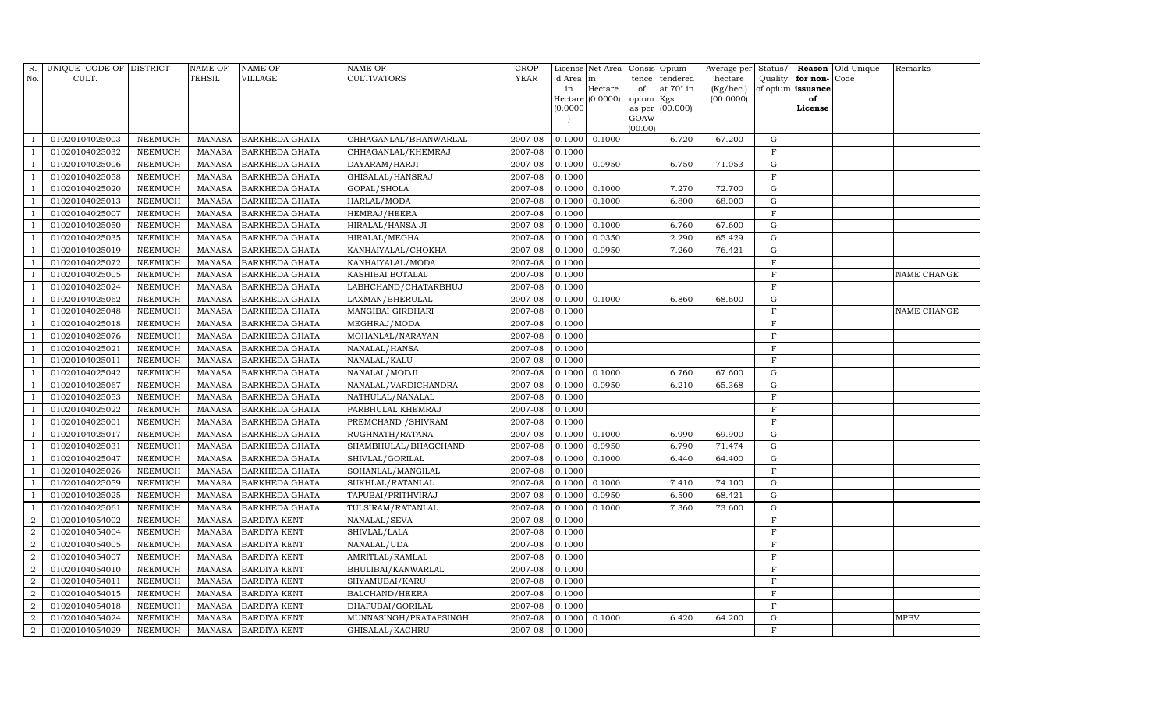| R.             | UNIQUE CODE OF DISTRICT |                | <b>NAME OF</b> | <b>NAME OF</b>        | NAME OF                | <b>CROP</b> |           | License Net Area   |           | Consis Opium     | Average per Status/ |              |                   | Reason Old Unique | Remarks     |
|----------------|-------------------------|----------------|----------------|-----------------------|------------------------|-------------|-----------|--------------------|-----------|------------------|---------------------|--------------|-------------------|-------------------|-------------|
| No.            | CULT.                   |                | <b>TEHSIL</b>  | VILLAGE               | CULTIVATORS            | <b>YEAR</b> | d Area in |                    | tence     | tendered         | hectare             |              | Quality for non-  | Code              |             |
|                |                         |                |                |                       |                        |             | in        | Hectare            | of        | at $70^\circ$ in | (Kg/hec.)           |              | of opium issuance |                   |             |
|                |                         |                |                |                       |                        |             | (0.0000)  | Hectare $(0.0000)$ | opium Kgs | as per (00.000)  | (00.0000)           |              | of<br>License     |                   |             |
|                |                         |                |                |                       |                        |             |           |                    | GOAW      |                  |                     |              |                   |                   |             |
|                |                         |                |                |                       |                        |             |           |                    | (00.00)   |                  |                     |              |                   |                   |             |
|                | 01020104025003          | <b>NEEMUCH</b> | <b>MANASA</b>  | <b>BARKHEDA GHATA</b> | CHHAGANLAL/BHANWARLAL  | 2007-08     | 0.1000    | 0.1000             |           | 6.720            | 67.200              | G            |                   |                   |             |
| -1             | 01020104025032          | <b>NEEMUCH</b> | <b>MANASA</b>  | <b>BARKHEDA GHATA</b> | CHHAGANLAL/KHEMRAJ     | 2007-08     | 0.1000    |                    |           |                  |                     | $\mathbf{F}$ |                   |                   |             |
|                | 01020104025006          | <b>NEEMUCH</b> | <b>MANASA</b>  | <b>BARKHEDA GHATA</b> | DAYARAM/HARJI          | 2007-08     | 0.1000    | 0.0950             |           | 6.750            | 71.053              | G            |                   |                   |             |
|                | 01020104025058          | <b>NEEMUCH</b> | <b>MANASA</b>  | <b>BARKHEDA GHATA</b> | GHISALAL/HANSRAJ       | 2007-08     | 0.1000    |                    |           |                  |                     | $\mathbf{F}$ |                   |                   |             |
|                | 01020104025020          | <b>NEEMUCH</b> | <b>MANASA</b>  | <b>BARKHEDA GHATA</b> | GOPAL/SHOLA            | 2007-08     | 0.1000    | 0.1000             |           | 7.270            | 72.700              | G            |                   |                   |             |
| $\overline{1}$ | 01020104025013          | <b>NEEMUCH</b> | <b>MANASA</b>  | <b>BARKHEDA GHATA</b> | HARLAL/MODA            | 2007-08     | 0.1000    | 0.1000             |           | 6.800            | 68.000              | G            |                   |                   |             |
| - 1            | 01020104025007          | <b>NEEMUCH</b> | <b>MANASA</b>  | BARKHEDA GHATA        | HEMRAJ/HEERA           | 2007-08     | 0.1000    |                    |           |                  |                     | $\rm F$      |                   |                   |             |
| $\overline{1}$ | 01020104025050          | <b>NEEMUCH</b> | <b>MANASA</b>  | <b>BARKHEDA GHATA</b> | HIRALAL/HANSA JI       | 2007-08     | 0.1000    | 0.1000             |           | 6.760            | 67.600              | $\mathbf G$  |                   |                   |             |
|                | 01020104025035          | <b>NEEMUCH</b> | <b>MANASA</b>  | <b>BARKHEDA GHATA</b> | HIRALAL/MEGHA          | 2007-08     | 0.1000    | 0.0350             |           | 2.290            | 65.429              | G            |                   |                   |             |
|                | 01020104025019          | <b>NEEMUCH</b> | <b>MANASA</b>  | <b>BARKHEDA GHATA</b> | KANHAIYALAL/CHOKHA     | 2007-08     | 0.1000    | 0.0950             |           | 7.260            | 76.421              | G            |                   |                   |             |
|                | 01020104025072          | <b>NEEMUCH</b> | <b>MANASA</b>  | BARKHEDA GHATA        | KANHAIYALAL/MODA       | 2007-08     | 0.1000    |                    |           |                  |                     | $\mathbf F$  |                   |                   |             |
| - 1            | 01020104025005          | <b>NEEMUCH</b> | <b>MANASA</b>  | <b>BARKHEDA GHATA</b> | KASHIBAI BOTALAL       | 2007-08     | 0.1000    |                    |           |                  |                     | F            |                   |                   | NAME CHANGE |
| $\overline{1}$ | 01020104025024          | <b>NEEMUCH</b> | <b>MANASA</b>  | <b>BARKHEDA GHATA</b> | LABHCHAND/CHATARBHUJ   | 2007-08     | 0.1000    |                    |           |                  |                     | F            |                   |                   |             |
|                | 01020104025062          | <b>NEEMUCH</b> | <b>MANASA</b>  | <b>BARKHEDA GHATA</b> | LAXMAN/BHERULAL        | 2007-08     | 0.1000    | 0.1000             |           | 6.860            | 68.600              | $\mathbf G$  |                   |                   |             |
|                | 01020104025048          | <b>NEEMUCH</b> | <b>MANASA</b>  | BARKHEDA GHATA        | MANGIBAI GIRDHARI      | 2007-08     | 0.1000    |                    |           |                  |                     | $\mathbf{F}$ |                   |                   | NAME CHANGE |
| -1             | 01020104025018          | <b>NEEMUCH</b> | <b>MANASA</b>  | <b>BARKHEDA GHATA</b> | MEGHRAJ/MODA           | 2007-08     | 0.1000    |                    |           |                  |                     | $\mathbf F$  |                   |                   |             |
|                | 01020104025076          | <b>NEEMUCH</b> | <b>MANASA</b>  | <b>BARKHEDA GHATA</b> | MOHANLAL/NARAYAN       | 2007-08     | 0.1000    |                    |           |                  |                     | $\mathbf F$  |                   |                   |             |
| $\overline{1}$ | 01020104025021          | <b>NEEMUCH</b> | <b>MANASA</b>  | BARKHEDA GHATA        | NANALAL/HANSA          | 2007-08     | 0.1000    |                    |           |                  |                     | $\mathbf{F}$ |                   |                   |             |
|                | 01020104025011          | <b>NEEMUCH</b> | <b>MANASA</b>  | <b>BARKHEDA GHATA</b> | NANALAL/KALU           | 2007-08     | 0.1000    |                    |           |                  |                     | $\mathbf F$  |                   |                   |             |
|                | 01020104025042          | <b>NEEMUCH</b> | <b>MANASA</b>  | <b>BARKHEDA GHATA</b> | NANALAL/MODJI          | 2007-08     | 0.1000    | 0.1000             |           | 6.760            | 67.600              | $\mathbf G$  |                   |                   |             |
| $\overline{1}$ | 01020104025067          | <b>NEEMUCH</b> | <b>MANASA</b>  | <b>BARKHEDA GHATA</b> | NANALAL/VARDICHANDRA   | 2007-08     | 0.1000    | 0.0950             |           | 6.210            | 65.368              | G            |                   |                   |             |
| -1             | 01020104025053          | <b>NEEMUCH</b> | <b>MANASA</b>  | <b>BARKHEDA GHATA</b> | NATHULAL/NANALAL       | 2007-08     | 0.1000    |                    |           |                  |                     | $\mathbf F$  |                   |                   |             |
| $\mathbf{1}$   | 01020104025022          | <b>NEEMUCH</b> | <b>MANASA</b>  | BARKHEDA GHATA        | PARBHULAL KHEMRAJ      | 2007-08     | 0.1000    |                    |           |                  |                     | $\mathbf{F}$ |                   |                   |             |
| $\overline{1}$ | 01020104025001          | <b>NEEMUCH</b> | <b>MANASA</b>  | <b>BARKHEDA GHATA</b> | PREMCHAND / SHIVRAM    | 2007-08     | 0.1000    |                    |           |                  |                     | $\mathbf{F}$ |                   |                   |             |
|                | 01020104025017          | <b>NEEMUCH</b> | <b>MANASA</b>  | <b>BARKHEDA GHATA</b> | RUGHNATH/RATANA        | 2007-08     | 0.1000    | 0.1000             |           | 6.990            | 69.900              | $\mathbf G$  |                   |                   |             |
| $\overline{1}$ | 01020104025031          | <b>NEEMUCH</b> | <b>MANASA</b>  | <b>BARKHEDA GHATA</b> | SHAMBHULAL/BHAGCHAND   | 2007-08     | 0.1000    | 0.0950             |           | 6.790            | 71.474              | G            |                   |                   |             |
|                | 01020104025047          | <b>NEEMUCH</b> | <b>MANASA</b>  | <b>BARKHEDA GHATA</b> | SHIVLAL/GORILAL        | 2007-08     | 0.1000    | 0.1000             |           | 6.440            | 64.400              | G            |                   |                   |             |
| $\overline{1}$ | 01020104025026          | <b>NEEMUCH</b> | <b>MANASA</b>  | BARKHEDA GHATA        | SOHANLAL/MANGILAL      | 2007-08     | 0.1000    |                    |           |                  |                     | $\mathbf F$  |                   |                   |             |
| $\overline{1}$ | 01020104025059          | <b>NEEMUCH</b> | <b>MANASA</b>  | <b>BARKHEDA GHATA</b> | SUKHLAL/RATANLAL       | 2007-08     | 0.1000    | 0.1000             |           | 7.410            | 74.100              | G            |                   |                   |             |
|                | 01020104025025          | <b>NEEMUCH</b> | <b>MANASA</b>  | <b>BARKHEDA GHATA</b> | TAPUBAI/PRITHVIRAJ     | 2007-08     | 0.1000    | 0.0950             |           | 6.500            | 68.421              | G            |                   |                   |             |
|                | 01020104025061          | <b>NEEMUCH</b> | <b>MANASA</b>  | <b>BARKHEDA GHATA</b> | TULSIRAM/RATANLAL      | 2007-08     | 0.1000    | 0.1000             |           | 7.360            | 73.600              | G            |                   |                   |             |
| $\overline{2}$ | 01020104054002          | <b>NEEMUCH</b> | <b>MANASA</b>  | <b>BARDIYA KENT</b>   | NANALAL/SEVA           | 2007-08     | 0.1000    |                    |           |                  |                     | $\mathbf F$  |                   |                   |             |
| $\overline{2}$ | 01020104054004          | <b>NEEMUCH</b> | <b>MANASA</b>  | <b>BARDIYA KENT</b>   | SHIVLAL/LALA           | 2007-08     | 0.1000    |                    |           |                  |                     | $\mathbf F$  |                   |                   |             |
| $\overline{2}$ | 01020104054005          | <b>NEEMUCH</b> | <b>MANASA</b>  | <b>BARDIYA KENT</b>   | NANALAL/UDA            | 2007-08     | 0.1000    |                    |           |                  |                     | $\mathbf F$  |                   |                   |             |
| $\overline{2}$ | 01020104054007          | <b>NEEMUCH</b> | <b>MANASA</b>  | <b>BARDIYA KENT</b>   | AMRITLAL/RAMLAL        | 2007-08     | 0.1000    |                    |           |                  |                     | $\rm F$      |                   |                   |             |
| $\overline{2}$ | 01020104054010          | <b>NEEMUCH</b> | <b>MANASA</b>  | <b>BARDIYA KENT</b>   | BHULIBAI/KANWARLAL     | 2007-08     | 0.1000    |                    |           |                  |                     | $\mathbf{F}$ |                   |                   |             |
| $\overline{2}$ | 01020104054011          | <b>NEEMUCH</b> | <b>MANASA</b>  | <b>BARDIYA KENT</b>   | SHYAMUBAI/KARU         | 2007-08     | 0.1000    |                    |           |                  |                     | $\mathbf{F}$ |                   |                   |             |
| $\overline{2}$ | 01020104054015          | <b>NEEMUCH</b> | <b>MANASA</b>  | <b>BARDIYA KENT</b>   | BALCHAND/HEERA         | 2007-08     | 0.1000    |                    |           |                  |                     | F            |                   |                   |             |
| 2              | 01020104054018          | <b>NEEMUCH</b> | <b>MANASA</b>  | <b>BARDIYA KENT</b>   | DHAPUBAI/GORILAL       | 2007-08     | 0.1000    |                    |           |                  |                     | $\mathbf F$  |                   |                   |             |
| $\overline{2}$ | 01020104054024          | <b>NEEMUCH</b> | <b>MANASA</b>  | <b>BARDIYA KENT</b>   | MUNNASINGH/PRATAPSINGH | 2007-08     | 0.1000    | 0.1000             |           | 6.420            | 64.200              | $\mathbf G$  |                   |                   | <b>MPBV</b> |
| $\overline{a}$ | 01020104054029          | <b>NEEMUCH</b> | MANASA         | <b>BARDIYA KENT</b>   | GHISALAL/KACHRU        | 2007-08     | 0.1000    |                    |           |                  |                     | F            |                   |                   |             |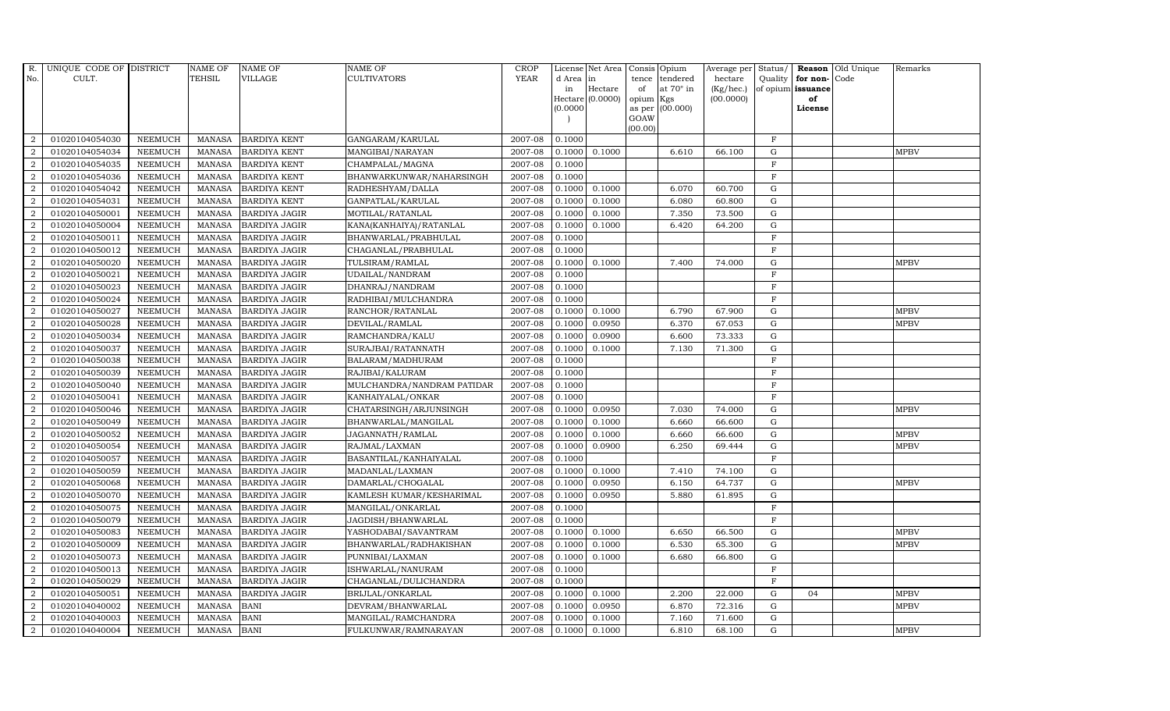| R.             | UNIQUE CODE OF DISTRICT |                | <b>NAME OF</b> | <b>NAME OF</b>       | <b>NAME OF</b>             | <b>CROP</b> |           | License Net Area |                 | Consis Opium     | Average per | Status/      |                   | Reason Old Unique | Remarks     |
|----------------|-------------------------|----------------|----------------|----------------------|----------------------------|-------------|-----------|------------------|-----------------|------------------|-------------|--------------|-------------------|-------------------|-------------|
| No.            | CULT.                   |                | TEHSIL         | VILLAGE              | CULTIVATORS                | <b>YEAR</b> | d Area in |                  | tence           | tendered         | hectare     | Quality      | for non-Code      |                   |             |
|                |                         |                |                |                      |                            |             | in        | Hectare          | of              | at $70^\circ$ in | (Kg/hec.)   |              | of opium issuance |                   |             |
|                |                         |                |                |                      |                            |             | (0.0000)  | Hectare (0.0000) | opium<br>as per | Kgs<br>(00.000)  | (00.0000)   |              | of<br>License     |                   |             |
|                |                         |                |                |                      |                            |             |           |                  | GOAW            |                  |             |              |                   |                   |             |
|                |                         |                |                |                      |                            |             |           |                  | (00.00)         |                  |             |              |                   |                   |             |
| $\overline{2}$ | 01020104054030          | <b>NEEMUCH</b> | MANASA         | <b>BARDIYA KENT</b>  | GANGARAM/KARULAL           | 2007-08     | 0.1000    |                  |                 |                  |             | $\mathbf{F}$ |                   |                   |             |
| $\overline{2}$ | 01020104054034          | <b>NEEMUCH</b> | <b>MANASA</b>  | <b>BARDIYA KENT</b>  | MANGIBAI/NARAYAN           | 2007-08     | 0.1000    | 0.1000           |                 | 6.610            | 66.100      | $\mathbf G$  |                   |                   | <b>MPBV</b> |
| 2              | 01020104054035          | <b>NEEMUCH</b> | <b>MANASA</b>  | <b>BARDIYA KENT</b>  | CHAMPALAL/MAGNA            | 2007-08     | 0.1000    |                  |                 |                  |             | F            |                   |                   |             |
| $\overline{2}$ | 01020104054036          | <b>NEEMUCH</b> | <b>MANASA</b>  | <b>BARDIYA KENT</b>  | BHANWARKUNWAR/NAHARSINGH   | 2007-08     | 0.1000    |                  |                 |                  |             | $\mathbf{F}$ |                   |                   |             |
| $\overline{a}$ | 01020104054042          | <b>NEEMUCH</b> | <b>MANASA</b>  | <b>BARDIYA KENT</b>  | RADHESHYAM/DALLA           | 2007-08     | 0.1000    | 0.1000           |                 | 6.070            | 60.700      | ${\rm G}$    |                   |                   |             |
| 2              | 01020104054031          | NEEMUCH        | <b>MANASA</b>  | <b>BARDIYA KENT</b>  | GANPATLAL/KARULAL          | 2007-08     | 0.1000    | 0.1000           |                 | 6.080            | 60.800      | G            |                   |                   |             |
| $\overline{2}$ | 01020104050001          | <b>NEEMUCH</b> | <b>MANASA</b>  | <b>BARDIYA JAGIR</b> | MOTILAL/RATANLAL           | 2007-08     | 0.1000    | 0.1000           |                 | 7.350            | 73.500      | $\mathbf G$  |                   |                   |             |
| 2              | 01020104050004          | <b>NEEMUCH</b> | <b>MANASA</b>  | <b>BARDIYA JAGIR</b> | KANA(KANHAIYA) / RATANLAL  | 2007-08     | 0.1000    | 0.1000           |                 | 6.420            | 64.200      | $\mathbf G$  |                   |                   |             |
| $\overline{2}$ | 01020104050011          | <b>NEEMUCH</b> | <b>MANASA</b>  | <b>BARDIYA JAGIR</b> | BHANWARLAL/PRABHULAL       | 2007-08     | 0.1000    |                  |                 |                  |             | F            |                   |                   |             |
| $\overline{a}$ | 01020104050012          | <b>NEEMUCH</b> | <b>MANASA</b>  | <b>BARDIYA JAGIR</b> | CHAGANLAL/PRABHULAL        | 2007-08     | 0.1000    |                  |                 |                  |             | $\mathbf F$  |                   |                   |             |
| $\overline{2}$ | 01020104050020          | <b>NEEMUCH</b> | <b>MANASA</b>  | <b>BARDIYA JAGIR</b> | TULSIRAM/RAMLAL            | 2007-08     | 0.1000    | 0.1000           |                 | 7.400            | 74.000      | ${\rm G}$    |                   |                   | <b>MPBV</b> |
| 2              | 01020104050021          | <b>NEEMUCH</b> | <b>MANASA</b>  | <b>BARDIYA JAGIR</b> | UDAILAL/NANDRAM            | 2007-08     | 0.1000    |                  |                 |                  |             | F            |                   |                   |             |
| $\overline{2}$ | 01020104050023          | <b>NEEMUCH</b> | <b>MANASA</b>  | <b>BARDIYA JAGIR</b> | DHANRAJ/NANDRAM            | 2007-08     | 0.1000    |                  |                 |                  |             | $\mathbf F$  |                   |                   |             |
| 2              | 01020104050024          | <b>NEEMUCH</b> | <b>MANASA</b>  | <b>BARDIYA JAGIR</b> | RADHIBAI/MULCHANDRA        | 2007-08     | 0.1000    |                  |                 |                  |             | F            |                   |                   |             |
| $\overline{2}$ | 01020104050027          | <b>NEEMUCH</b> | <b>MANASA</b>  | <b>BARDIYA JAGIR</b> | RANCHOR/RATANLAL           | 2007-08     | 0.1000    | 0.1000           |                 | 6.790            | 67.900      | ${\rm G}$    |                   |                   | <b>MPBV</b> |
| $\overline{a}$ | 01020104050028          | <b>NEEMUCH</b> | <b>MANASA</b>  | <b>BARDIYA JAGIR</b> | DEVILAL/RAMLAL             | 2007-08     | 0.1000    | 0.0950           |                 | 6.370            | 67.053      | ${\rm G}$    |                   |                   | <b>MPBV</b> |
| 2              | 01020104050034          | <b>NEEMUCH</b> | <b>MANASA</b>  | <b>BARDIYA JAGIR</b> | RAMCHANDRA/KALU            | 2007-08     | 0.1000    | 0.0900           |                 | 6.600            | 73.333      | G            |                   |                   |             |
| $\overline{2}$ | 01020104050037          | <b>NEEMUCH</b> | <b>MANASA</b>  | <b>BARDIYA JAGIR</b> | SURAJBAI/RATANNATH         | 2007-08     | 0.1000    | 0.1000           |                 | 7.130            | 71.300      | $\mathbf G$  |                   |                   |             |
| $\overline{a}$ | 01020104050038          | <b>NEEMUCH</b> | <b>MANASA</b>  | <b>BARDIYA JAGIR</b> | BALARAM/MADHURAM           | 2007-08     | 0.1000    |                  |                 |                  |             | $\mathbf{F}$ |                   |                   |             |
| $\overline{2}$ | 01020104050039          | <b>NEEMUCH</b> | <b>MANASA</b>  | <b>BARDIYA JAGIR</b> | RAJIBAI/KALURAM            | 2007-08     | 0.1000    |                  |                 |                  |             | $\mathbf F$  |                   |                   |             |
| $\overline{a}$ | 01020104050040          | <b>NEEMUCH</b> | <b>MANASA</b>  | <b>BARDIYA JAGIR</b> | MULCHANDRA/NANDRAM PATIDAR | 2007-08     | 0.1000    |                  |                 |                  |             | $\mathbf F$  |                   |                   |             |
| $\overline{a}$ | 01020104050041          | <b>NEEMUCH</b> | <b>MANASA</b>  | <b>BARDIYA JAGIR</b> | KANHAIYALAL/ONKAR          | 2007-08     | 0.1000    |                  |                 |                  |             | F            |                   |                   |             |
| $\overline{2}$ | 01020104050046          | <b>NEEMUCH</b> | <b>MANASA</b>  | <b>BARDIYA JAGIR</b> | CHATARSINGH/ARJUNSINGH     | 2007-08     | 0.1000    | 0.0950           |                 | 7.030            | 74.000      | G            |                   |                   | <b>MPBV</b> |
| $\overline{2}$ | 01020104050049          | <b>NEEMUCH</b> | <b>MANASA</b>  | <b>BARDIYA JAGIR</b> | BHANWARLAL/MANGILAL        | 2007-08     | 0.1000    | 0.1000           |                 | 6.660            | 66.600      | $\mathbf G$  |                   |                   |             |
| $\overline{2}$ | 01020104050052          | <b>NEEMUCH</b> | <b>MANASA</b>  | <b>BARDIYA JAGIR</b> | JAGANNATH/RAMLAL           | 2007-08     | 0.1000    | 0.1000           |                 | 6.660            | 66.600      | G            |                   |                   | <b>MPBV</b> |
| $\overline{2}$ | 01020104050054          | <b>NEEMUCH</b> | <b>MANASA</b>  | <b>BARDIYA JAGIR</b> | RAJMAL/LAXMAN              | 2007-08     | 0.1000    | 0.0900           |                 | 6.250            | 69.444      | G            |                   |                   | <b>MPBV</b> |
| $\overline{a}$ | 01020104050057          | <b>NEEMUCH</b> | <b>MANASA</b>  | <b>BARDIYA JAGIR</b> | BASANTILAL/KANHAIYALAL     | 2007-08     | 0.1000    |                  |                 |                  |             | $\mathbf F$  |                   |                   |             |
| 2              | 01020104050059          | <b>NEEMUCH</b> | <b>MANASA</b>  | <b>BARDIYA JAGIR</b> | MADANLAL/LAXMAN            | 2007-08     | 0.1000    | 0.1000           |                 | 7.410            | 74.100      | $\mathbf G$  |                   |                   |             |
| 2              | 01020104050068          | <b>NEEMUCH</b> | <b>MANASA</b>  | <b>BARDIYA JAGIR</b> | DAMARLAL/CHOGALAL          | 2007-08     | 0.1000    | 0.0950           |                 | 6.150            | 64.737      | $\mathbf G$  |                   |                   | <b>MPBV</b> |
| $\overline{2}$ | 01020104050070          | <b>NEEMUCH</b> | <b>MANASA</b>  | <b>BARDIYA JAGIR</b> | KAMLESH KUMAR/KESHARIMAL   | 2007-08     | 0.1000    | 0.0950           |                 | 5.880            | 61.895      | $\mathbf G$  |                   |                   |             |
| 2              | 01020104050075          | <b>NEEMUCH</b> | <b>MANASA</b>  | <b>BARDIYA JAGIR</b> | MANGILAL/ONKARLAL          | 2007-08     | 0.1000    |                  |                 |                  |             | $\mathbf F$  |                   |                   |             |
| $\overline{a}$ | 01020104050079          | <b>NEEMUCH</b> | <b>MANASA</b>  | <b>BARDIYA JAGIR</b> | JAGDISH/BHANWARLAL         | 2007-08     | 0.1000    |                  |                 |                  |             | $\mathbf F$  |                   |                   |             |
| $\overline{a}$ | 01020104050083          | <b>NEEMUCH</b> | <b>MANASA</b>  | <b>BARDIYA JAGIR</b> | YASHODABAI/SAVANTRAM       | 2007-08     | 0.1000    | 0.1000           |                 | 6.650            | 66.500      | $\mathbf G$  |                   |                   | <b>MPBV</b> |
| 2              | 01020104050009          | <b>NEEMUCH</b> | <b>MANASA</b>  | <b>BARDIYA JAGIR</b> | BHANWARLAL/RADHAKISHAN     | 2007-08     | 0.1000    | 0.1000           |                 | 6.530            | 65.300      | $\mathbf G$  |                   |                   | <b>MPBV</b> |
| $\overline{2}$ | 01020104050073          | <b>NEEMUCH</b> | <b>MANASA</b>  | <b>BARDIYA JAGIR</b> | PUNNIBAI/LAXMAN            | 2007-08     | 0.1000    | 0.1000           |                 | 6.680            | 66.800      | $\mathbf G$  |                   |                   |             |
| $\overline{a}$ | 01020104050013          | <b>NEEMUCH</b> | <b>MANASA</b>  | <b>BARDIYA JAGIR</b> | ISHWARLAL/NANURAM          | 2007-08     | 0.1000    |                  |                 |                  |             | $\mathbf F$  |                   |                   |             |
| $\overline{2}$ | 01020104050029          | <b>NEEMUCH</b> | <b>MANASA</b>  | <b>BARDIYA JAGIR</b> | CHAGANLAL/DULICHANDRA      | 2007-08     | 0.1000    |                  |                 |                  |             | $\mathbf F$  |                   |                   |             |
| $\overline{a}$ | 01020104050051          | <b>NEEMUCH</b> | <b>MANASA</b>  | <b>BARDIYA JAGIR</b> | BRIJLAL/ONKARLAL           | 2007-08     | 0.1000    | 0.1000           |                 | 2.200            | 22.000      | ${\rm G}$    | 04                |                   | <b>MPBV</b> |
| 2              | 01020104040002          | <b>NEEMUCH</b> | <b>MANASA</b>  | <b>BANI</b>          | DEVRAM/BHANWARLAL          | 2007-08     | 0.1000    | 0.0950           |                 | 6.870            | 72.316      | $\mathbf G$  |                   |                   | <b>MPBV</b> |
| 2              | 01020104040003          | <b>NEEMUCH</b> | <b>MANASA</b>  | <b>BANI</b>          | MANGILAL/RAMCHANDRA        | 2007-08     | 0.1000    | 0.1000           |                 | 7.160            | 71.600      | $\mathbf G$  |                   |                   |             |
| $\overline{a}$ | 01020104040004          | <b>NEEMUCH</b> | MANASA         | <b>BANI</b>          | FULKUNWAR/RAMNARAYAN       | 2007-08     | 0.1000    | 0.1000           |                 | 6.810            | 68.100      | G            |                   |                   | <b>MPBV</b> |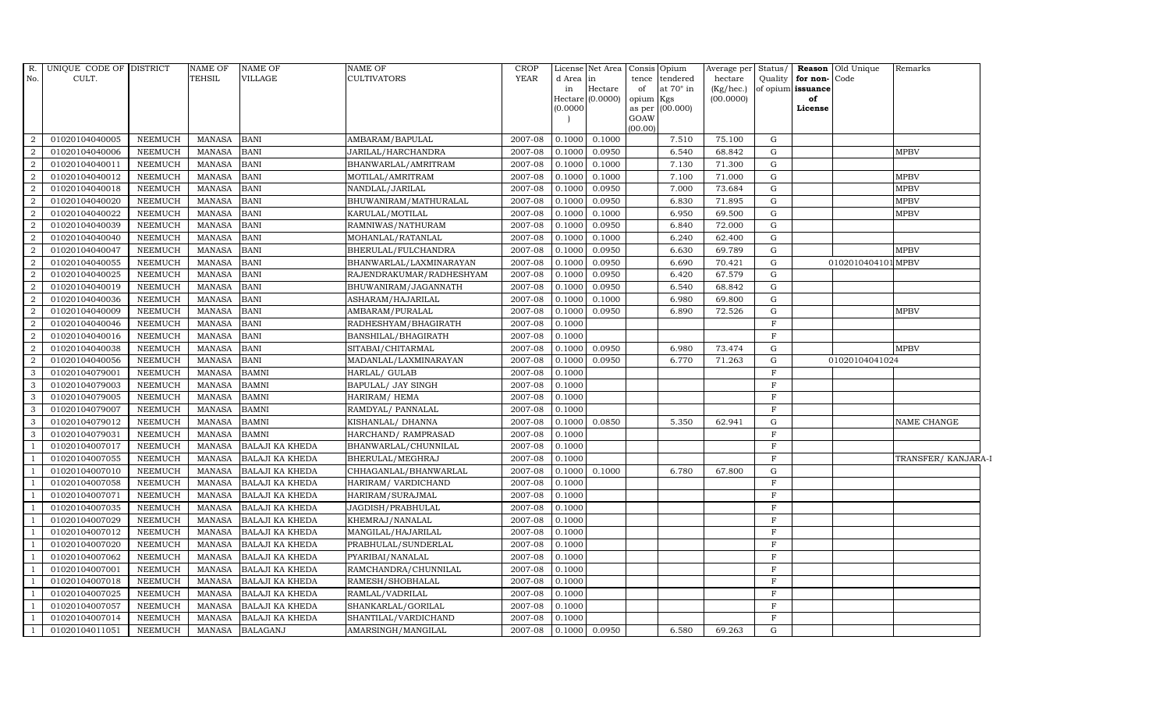| R.<br>No.           | UNIQUE CODE OF DISTRICT<br>CULT. |                | <b>NAME OF</b><br><b>TEHSIL</b> | <b>NAME OF</b><br>VILLAGE | <b>NAME OF</b><br><b>CULTIVATORS</b> | <b>CROP</b><br><b>YEAR</b> | d Area in<br>in<br>(0.0000) | Hectare<br>Hectare (0.0000) | License Net Area Consis Opium<br>tence tendered<br>at $70^\circ$ in<br>of<br>opium Kgs<br>as per (00.000)<br>GOAW | Average per Status/<br>hectare<br>(Kg/hec.)<br>(00.0000) | Quality                     | for non-Code<br>of opium issuance<br>of<br>License | <b>Reason</b> Old Unique | Remarks             |
|---------------------|----------------------------------|----------------|---------------------------------|---------------------------|--------------------------------------|----------------------------|-----------------------------|-----------------------------|-------------------------------------------------------------------------------------------------------------------|----------------------------------------------------------|-----------------------------|----------------------------------------------------|--------------------------|---------------------|
| 2                   | 01020104040005                   | NEEMUCH        | <b>MANASA</b>                   | <b>BANI</b>               | AMBARAM/BAPULAL                      | 2007-08                    | 0.1000                      | 0.1000                      | (00.00)<br>7.510                                                                                                  | 75.100                                                   | G                           |                                                    |                          |                     |
| $\overline{2}$      | 01020104040006                   | <b>NEEMUCH</b> | <b>MANASA</b>                   | <b>BANI</b>               | JARILAL/HARCHANDRA                   | 2007-08                    | 0.1000                      | 0.0950                      | 6.540                                                                                                             | 68.842                                                   | ${\rm G}$                   |                                                    |                          | <b>MPBV</b>         |
| $\overline{2}$      | 01020104040011                   | <b>NEEMUCH</b> | <b>MANASA</b>                   | <b>BANI</b>               | BHANWARLAL/AMRITRAM                  | 2007-08                    | 0.1000                      | 0.1000                      | 7.130                                                                                                             | 71.300                                                   | ${\rm G}$                   |                                                    |                          |                     |
| $\overline{2}$      | 01020104040012                   | <b>NEEMUCH</b> | <b>MANASA</b>                   | <b>BANI</b>               | MOTILAL/AMRITRAM                     | 2007-08                    | 0.1000                      | 0.1000                      | 7.100                                                                                                             | 71.000                                                   | G                           |                                                    |                          | <b>MPBV</b>         |
| $\overline{2}$      | 01020104040018                   | <b>NEEMUCH</b> | <b>MANASA</b>                   | <b>BANI</b>               | NANDLAL/JARILAL                      | 2007-08                    | 0.1000                      | 0.0950                      | 7.000                                                                                                             | 73.684                                                   | G                           |                                                    |                          | <b>MPBV</b>         |
| $\overline{a}$      | 01020104040020                   | <b>NEEMUCH</b> | <b>MANASA</b>                   | <b>BANI</b>               | BHUWANIRAM/MATHURALAL                | 2007-08                    | 0.1000                      | 0.0950                      | 6.830                                                                                                             | 71.895                                                   | ${\rm G}$                   |                                                    |                          | <b>MPBV</b>         |
| $\overline{2}$      | 01020104040022                   | NEEMUCH        | <b>MANASA</b>                   | <b>BANI</b>               | KARULAL/MOTILAL                      | 2007-08                    | 0.1000                      | 0.1000                      | 6.950                                                                                                             | 69.500                                                   | ${\rm G}$                   |                                                    |                          | <b>MPBV</b>         |
| $\overline{2}$      | 01020104040039                   | <b>NEEMUCH</b> | <b>MANASA</b>                   | <b>BANI</b>               | RAMNIWAS/NATHURAM                    | 2007-08                    | 0.1000                      | 0.0950                      | 6.840                                                                                                             | 72.000                                                   | G                           |                                                    |                          |                     |
| $\overline{2}$      | 01020104040040                   | <b>NEEMUCH</b> | <b>MANASA</b>                   | <b>BANI</b>               | MOHANLAL/RATANLAL                    | 2007-08                    | 0.1000                      | 0.1000                      | 6.240                                                                                                             | 62.400                                                   | ${\rm G}$                   |                                                    |                          |                     |
| $\overline{2}$      | 01020104040047                   | <b>NEEMUCH</b> | <b>MANASA</b>                   | <b>BANI</b>               | BHERULAL/FULCHANDRA                  | 2007-08                    | 0.1000                      | 0.0950                      | 6.630                                                                                                             | 69.789                                                   | G                           |                                                    |                          | MPBV                |
| $\overline{a}$      | 01020104040055                   | <b>NEEMUCH</b> | <b>MANASA</b>                   | <b>BANI</b>               | BHANWARLAL/LAXMINARAYAN              | 2007-08                    | 0.1000                      | 0.0950                      | 6.690                                                                                                             | 70.421                                                   | G                           |                                                    | 0102010404101 MPBV       |                     |
| $\overline{2}$      | 01020104040025                   | <b>NEEMUCH</b> | <b>MANASA</b>                   | <b>BANI</b>               | RAJENDRAKUMAR/RADHESHYAM             | 2007-08                    | 0.1000                      | 0.0950                      | 6.420                                                                                                             | 67.579                                                   | G                           |                                                    |                          |                     |
| $\overline{2}$      | 01020104040019                   | <b>NEEMUCH</b> | <b>MANASA</b>                   | <b>BANI</b>               | BHUWANIRAM/JAGANNATH                 | 2007-08                    | 0.1000                      | 0.0950                      | 6.540                                                                                                             | 68.842                                                   | G                           |                                                    |                          |                     |
| $\overline{2}$      | 01020104040036                   | <b>NEEMUCH</b> | <b>MANASA</b>                   | <b>BANI</b>               | ASHARAM/HAJARILAL                    | 2007-08                    | 0.1000                      | 0.1000                      | 6.980                                                                                                             | 69.800                                                   | G                           |                                                    |                          |                     |
| $\boldsymbol{2}$    | 01020104040009                   | <b>NEEMUCH</b> | <b>MANASA</b>                   | <b>BANI</b>               | AMBARAM/PURALAL                      | 2007-08                    | 0.1000                      | 0.0950                      | 6.890                                                                                                             | 72.526                                                   | G                           |                                                    |                          | <b>MPBV</b>         |
| $\overline{2}$      | 01020104040046                   | <b>NEEMUCH</b> | <b>MANASA</b>                   | <b>BANI</b>               | RADHESHYAM/BHAGIRATH                 | 2007-08                    | 0.1000                      |                             |                                                                                                                   |                                                          | $\mathbf F$                 |                                                    |                          |                     |
| 2                   | 01020104040016                   | <b>NEEMUCH</b> | <b>MANASA</b>                   | <b>BANI</b>               | BANSHILAL/BHAGIRATH                  | 2007-08                    | 0.1000                      |                             |                                                                                                                   |                                                          | $\mathbf{F}$                |                                                    |                          |                     |
| $\overline{a}$      | 01020104040038                   | <b>NEEMUCH</b> | <b>MANASA</b>                   | <b>BANI</b>               | SITABAI/CHITARMAL                    | 2007-08                    | 0.1000                      | 0.0950                      | 6.980                                                                                                             | 73.474                                                   | G                           |                                                    |                          | <b>MPBV</b>         |
| $\overline{2}$      | 01020104040056                   | <b>NEEMUCH</b> | <b>MANASA</b>                   | <b>BANI</b>               | MADANLAL/LAXMINARAYAN                | 2007-08                    | 0.1000                      | 0.0950                      | 6.770                                                                                                             | 71.263                                                   | ${\rm G}$                   |                                                    | 01020104041024           |                     |
| 3                   | 01020104079001                   | <b>NEEMUCH</b> | <b>MANASA</b>                   | <b>BAMNI</b>              | HARLAL/ GULAB                        | 2007-08                    | 0.1000                      |                             |                                                                                                                   |                                                          | $\mathbf F$                 |                                                    |                          |                     |
| $\mathbf{3}$        | 01020104079003                   | <b>NEEMUCH</b> | <b>MANASA</b>                   | <b>BAMNI</b>              | BAPULAL/ JAY SINGH                   | 2007-08                    | 0.1000                      |                             |                                                                                                                   |                                                          | $\mathbf F$                 |                                                    |                          |                     |
| 3                   | 01020104079005                   | <b>NEEMUCH</b> | <b>MANASA</b>                   | <b>BAMNI</b>              | HARIRAM/ HEMA                        | 2007-08                    | 0.1000                      |                             |                                                                                                                   |                                                          | $\mathbf F$                 |                                                    |                          |                     |
| 3                   | 01020104079007                   | <b>NEEMUCH</b> | <b>MANASA</b>                   | <b>BAMNI</b>              | RAMDYAL/ PANNALAL                    | 2007-08                    | 0.1000                      |                             |                                                                                                                   |                                                          | $\mathbf F$                 |                                                    |                          |                     |
| 3                   | 01020104079012                   | <b>NEEMUCH</b> | <b>MANASA</b>                   | <b>BAMNI</b>              | KISHANLAL/ DHANNA                    | 2007-08                    | 0.1000                      | 0.0850                      | 5.350                                                                                                             | 62.941                                                   | ${\rm G}$                   |                                                    |                          | NAME CHANGE         |
| 3                   | 01020104079031                   | <b>NEEMUCH</b> | <b>MANASA</b>                   | <b>BAMNI</b>              | HARCHAND/ RAMPRASAD                  | 2007-08                    | 0.1000                      |                             |                                                                                                                   |                                                          | $\mathbf F$                 |                                                    |                          |                     |
| $\mathbf{1}$        | 01020104007017                   | <b>NEEMUCH</b> | <b>MANASA</b>                   | <b>BALAJI KA KHEDA</b>    | BHANWARLAL/CHUNNILAL                 | 2007-08                    | 0.1000                      |                             |                                                                                                                   |                                                          | $\mathbf{F}$                |                                                    |                          |                     |
| $\overline{1}$      | 01020104007055                   | <b>NEEMUCH</b> | <b>MANASA</b>                   | <b>BALAJI KA KHEDA</b>    | BHERULAL/MEGHRAJ                     | 2007-08                    | 0.1000                      |                             |                                                                                                                   |                                                          | $\mathbf F$                 |                                                    |                          | TRANSFER/ KANJARA-I |
| $\overline{1}$      | 01020104007010                   | <b>NEEMUCH</b> | <b>MANASA</b>                   | <b>BALAJI KA KHEDA</b>    | CHHAGANLAL/BHANWARLAL                | 2007-08                    | 0.1000                      | 0.1000                      | 6.780                                                                                                             | 67.800                                                   | G                           |                                                    |                          |                     |
| - 1                 | 01020104007058                   | <b>NEEMUCH</b> | <b>MANASA</b>                   | <b>BALAJI KA KHEDA</b>    | HARIRAM/ VARDICHAND                  | 2007-08                    | 0.1000                      |                             |                                                                                                                   |                                                          | $\mathbf F$                 |                                                    |                          |                     |
| $\overline{1}$      | 01020104007071                   | <b>NEEMUCH</b> | <b>MANASA</b>                   | <b>BALAJI KA KHEDA</b>    | HARIRAM/SURAJMAL                     | 2007-08                    | 0.1000                      |                             |                                                                                                                   |                                                          | $\mathbf F$                 |                                                    |                          |                     |
|                     | 01020104007035                   | <b>NEEMUCH</b> | <b>MANASA</b>                   | <b>BALAJI KA KHEDA</b>    | JAGDISH/PRABHULAL                    | 2007-08                    | 0.1000                      |                             |                                                                                                                   |                                                          | $\mathbf F$                 |                                                    |                          |                     |
| $\overline{1}$      | 01020104007029                   | <b>NEEMUCH</b> | <b>MANASA</b>                   | <b>BALAJI KA KHEDA</b>    | KHEMRAJ/NANALAL                      | 2007-08                    | 0.1000                      |                             |                                                                                                                   |                                                          | $\mathbf F$                 |                                                    |                          |                     |
| -1                  | 01020104007012                   | <b>NEEMUCH</b> | <b>MANASA</b>                   | <b>BALAJI KA KHEDA</b>    | MANGILAL/HAJARILAL                   | 2007-08                    | 0.1000                      |                             |                                                                                                                   |                                                          | $\mathbf F$                 |                                                    |                          |                     |
| $\overline{1}$      | 01020104007020                   | <b>NEEMUCH</b> | <b>MANASA</b>                   | <b>BALAJI KA KHEDA</b>    | PRABHULAL/SUNDERLAL                  | 2007-08                    | 0.1000                      |                             |                                                                                                                   |                                                          | $\mathbf F$                 |                                                    |                          |                     |
| $\overline{1}$      | 01020104007062                   | <b>NEEMUCH</b> | <b>MANASA</b>                   | <b>BALAJI KA KHEDA</b>    | PYARIBAI/NANALAL                     | 2007-08                    | 0.1000                      |                             |                                                                                                                   |                                                          | $\mathbf F$                 |                                                    |                          |                     |
|                     | 01020104007001                   | <b>NEEMUCH</b> | <b>MANASA</b>                   | <b>BALAJI KA KHEDA</b>    | RAMCHANDRA/CHUNNILAL                 | 2007-08                    | 0.1000                      |                             |                                                                                                                   |                                                          | $\mathbf F$                 |                                                    |                          |                     |
|                     | 01020104007018                   | <b>NEEMUCH</b> | <b>MANASA</b>                   | <b>BALAJI KA KHEDA</b>    | RAMESH/SHOBHALAL                     | 2007-08                    | 0.1000                      |                             |                                                                                                                   |                                                          | $\mathbf F$                 |                                                    |                          |                     |
| <sup>1</sup>        | 01020104007025                   | <b>NEEMUCH</b> | <b>MANASA</b>                   | <b>BALAJI KA KHEDA</b>    | RAMLAL/VADRILAL                      | 2007-08<br>2007-08         | 0.1000                      |                             |                                                                                                                   |                                                          | $\mathbf{F}$<br>$\mathbf F$ |                                                    |                          |                     |
| $\overline{1}$      | 01020104007057                   | <b>NEEMUCH</b> | <b>MANASA</b>                   | <b>BALAJI KA KHEDA</b>    | SHANKARLAL/GORILAL                   |                            | 0.1000                      |                             |                                                                                                                   |                                                          |                             |                                                    |                          |                     |
| 1<br>$\overline{1}$ | 01020104007014                   | <b>NEEMUCH</b> | <b>MANASA</b>                   | <b>BALAJI KA KHEDA</b>    | SHANTILAL/VARDICHAND                 | 2007-08                    | 0.1000                      |                             |                                                                                                                   |                                                          | $\mathbf F$                 |                                                    |                          |                     |
|                     | 01020104011051                   | NEEMUCH        | <b>MANASA</b>                   | <b>BALAGANJ</b>           | AMARSINGH/MANGILAL                   | 2007-08                    | 0.1000                      | 0.0950                      | 6.580                                                                                                             | 69.263                                                   | G                           |                                                    |                          |                     |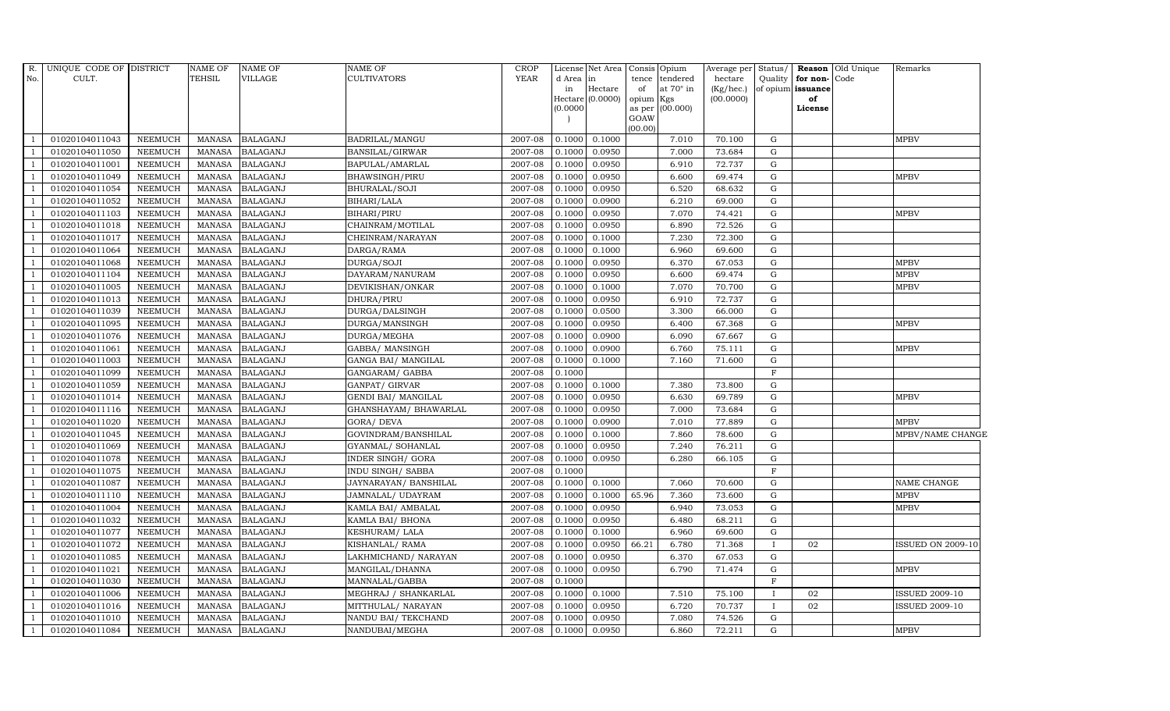| $R$ .          | UNIQUE CODE OF DISTRICT |                | <b>NAME OF</b> | <b>NAME OF</b>  | <b>NAME OF</b>           | <b>CROP</b> |           | License Net Area   Consis   Opium |                 |                  | Average per Status/ |              |                   | <b>Reason</b> Old Unique | Remarks                  |
|----------------|-------------------------|----------------|----------------|-----------------|--------------------------|-------------|-----------|-----------------------------------|-----------------|------------------|---------------------|--------------|-------------------|--------------------------|--------------------------|
| No.            | CULT.                   |                | <b>TEHSIL</b>  | <b>VILLAGE</b>  | <b>CULTIVATORS</b>       | <b>YEAR</b> | d Area in |                                   | tence           | tendered         | hectare             | Quality      | for non-Code      |                          |                          |
|                |                         |                |                |                 |                          |             | in        | $\rm{Hectare}$                    | of              | at $70^\circ$ in | (Kg/hec.)           |              | of opium issuance |                          |                          |
|                |                         |                |                |                 |                          |             | (0.0000)  | Hectare $(0.0000)$                | opium<br>as per | Kgs<br>(00.000)  | (00.0000)           |              | of<br>License     |                          |                          |
|                |                         |                |                |                 |                          |             |           |                                   | GOAW            |                  |                     |              |                   |                          |                          |
|                |                         |                |                |                 |                          |             |           |                                   | (00.00)         |                  |                     |              |                   |                          |                          |
|                | 01020104011043          | NEEMUCH        | MANASA         | <b>BALAGANJ</b> | BADRILAL/MANGU           | 2007-08     |           | $0.1000$ 0.1000                   |                 | 7.010            | 70.100              | G            |                   |                          | MPBV                     |
|                | 01020104011050          | NEEMUCH        | MANASA         | <b>BALAGANJ</b> | BANSILAL/GIRWAR          | 2007-08     | 0.1000    | 0.0950                            |                 | 7.000            | 73.684              | G            |                   |                          |                          |
|                | 01020104011001          | NEEMUCH        | <b>MANASA</b>  | <b>BALAGANJ</b> | BAPULAL/AMARLAL          | 2007-08     | 0.1000    | 0.0950                            |                 | 6.910            | 72.737              | G            |                   |                          |                          |
|                | 01020104011049          | <b>NEEMUCH</b> | <b>MANASA</b>  | <b>BALAGANJ</b> | BHAWSINGH/PIRU           | $2007 - 08$ | 0.1000    | 0.0950                            |                 | 6.600            | 69.474              | ${\rm G}$    |                   |                          | <b>MPBV</b>              |
|                | 01020104011054          | NEEMUCH        | <b>MANASA</b>  | <b>BALAGANJ</b> | BHURALAL/SOJI            | 2007-08     | 0.1000    | 0.0950                            |                 | 6.520            | 68.632              | ${\rm G}$    |                   |                          |                          |
|                | 01020104011052          | <b>NEEMUCH</b> | <b>MANASA</b>  | <b>BALAGANJ</b> | BIHARI/LALA              | 2007-08     | 0.1000    | 0.0900                            |                 | 6.210            | 69.000              | G            |                   |                          |                          |
|                | 01020104011103          | <b>NEEMUCH</b> | <b>MANASA</b>  | <b>BALAGANJ</b> | <b>BIHARI/PIRU</b>       | 2007-08     | 0.1000    | 0.0950                            |                 | 7.070            | 74.421              | G            |                   |                          | <b>MPBV</b>              |
|                | 01020104011018          | <b>NEEMUCH</b> | <b>MANASA</b>  | <b>BALAGANJ</b> | CHAINRAM/MOTILAL         | 2007-08     | 0.1000    | 0.0950                            |                 | 6.890            | 72.526              | G            |                   |                          |                          |
|                | 01020104011017          | <b>NEEMUCH</b> | <b>MANASA</b>  | <b>BALAGANJ</b> | CHEINRAM/NARAYAN         | 2007-08     | 0.1000    | 0.1000                            |                 | 7.230            | 72.300              | $\mathbf G$  |                   |                          |                          |
|                | 01020104011064          | NEEMUCH        | <b>MANASA</b>  | <b>BALAGANJ</b> | DARGA/RAMA               | 2007-08     | 0.1000    | 0.1000                            |                 | 6.960            | 69.600              | G            |                   |                          |                          |
| -1             | 01020104011068          | NEEMUCH        | <b>MANASA</b>  | <b>BALAGANJ</b> | DURGA/SOJI               | 2007-08     | 0.1000    | 0.0950                            |                 | 6.370            | 67.053              | G            |                   |                          | <b>MPBV</b>              |
|                | 01020104011104          | NEEMUCH        | <b>MANASA</b>  | <b>BALAGANJ</b> | DAYARAM/NANURAM          | 2007-08     | 0.1000    | 0.0950                            |                 | 6.600            | 69.474              | $\mathbf G$  |                   |                          | <b>MPBV</b>              |
|                | 01020104011005          | <b>NEEMUCH</b> | <b>MANASA</b>  | <b>BALAGANJ</b> | DEVIKISHAN/ONKAR         | 2007-08     | 0.1000    | 0.1000                            |                 | 7.070            | 70.700              | G            |                   |                          | <b>MPBV</b>              |
|                | 01020104011013          | <b>NEEMUCH</b> | <b>MANASA</b>  | <b>BALAGANJ</b> | DHURA/PIRU               | 2007-08     | 0.1000    | 0.0950                            |                 | 6.910            | 72.737              | G            |                   |                          |                          |
|                | 01020104011039          | NEEMUCH        | <b>MANASA</b>  | <b>BALAGANJ</b> | DURGA/DALSINGH           | 2007-08     | 0.1000    | 0.0500                            |                 | 3.300            | 66.000              | ${\rm G}$    |                   |                          |                          |
| $\overline{1}$ | 01020104011095          | NEEMUCH        | <b>MANASA</b>  | <b>BALAGANJ</b> | DURGA/MANSINGH           | 2007-08     | 0.1000    | 0.0950                            |                 | 6.400            | 67.368              | G            |                   |                          | <b>MPBV</b>              |
|                | 01020104011076          | <b>NEEMUCH</b> | <b>MANASA</b>  | <b>BALAGANJ</b> | DURGA/MEGHA              | 2007-08     | 0.1000    | 0.0900                            |                 | 6.090            | 67.667              | $\mathbf G$  |                   |                          |                          |
| $\overline{1}$ | 01020104011061          | <b>NEEMUCH</b> | <b>MANASA</b>  | <b>BALAGANJ</b> | GABBA/ MANSINGH          | 2007-08     | 0.1000    | 0.0900                            |                 | 6.760            | 75.111              | G            |                   |                          | <b>MPBV</b>              |
|                | 01020104011003          | <b>NEEMUCH</b> | <b>MANASA</b>  | <b>BALAGANJ</b> | GANGA BAI/ MANGILAL      | 2007-08     | 0.1000    | 0.1000                            |                 | 7.160            | 71.600              | $\mathbf G$  |                   |                          |                          |
|                | 01020104011099          | NEEMUCH        | <b>MANASA</b>  | <b>BALAGANJ</b> | GANGARAM/ GABBA          | 2007-08     | 0.1000    |                                   |                 |                  |                     | $\mathbf F$  |                   |                          |                          |
| -1             | 01020104011059          | NEEMUCH        | <b>MANASA</b>  | <b>BALAGANJ</b> | GANPAT/ GIRVAR           | 2007-08     | 0.1000    | 0.1000                            |                 | 7.380            | 73.800              | G            |                   |                          |                          |
|                | 01020104011014          | NEEMUCH        | <b>MANASA</b>  | <b>BALAGANJ</b> | GENDI BAI/ MANGILAL      | 2007-08     | 0.1000    | 0.0950                            |                 | 6.630            | 69.789              | ${\rm G}$    |                   |                          | <b>MPBV</b>              |
|                | 01020104011116          | <b>NEEMUCH</b> | MANASA         | <b>BALAGANJ</b> | GHANSHAYAM/ BHAWARLAL    | 2007-08     | 0.1000    | 0.0950                            |                 | 7.000            | 73.684              | G            |                   |                          |                          |
|                | 01020104011020          | <b>NEEMUCH</b> | <b>MANASA</b>  | <b>BALAGANJ</b> | GORA/ DEVA               | 2007-08     | 0.1000    | 0.0900                            |                 | 7.010            | 77.889              | $\mathbf G$  |                   |                          | <b>MPBV</b>              |
|                | 01020104011045          | NEEMUCH        | <b>MANASA</b>  | <b>BALAGANJ</b> | GOVINDRAM/BANSHILAL      | 2007-08     | 0.1000    | 0.1000                            |                 | 7.860            | 78.600              | ${\rm G}$    |                   |                          | MPBV/NAME CHANGE         |
|                | 01020104011069          | <b>NEEMUCH</b> | <b>MANASA</b>  | <b>BALAGANJ</b> | GYANMAL/ SOHANLAL        | 2007-08     | 0.1000    | 0.0950                            |                 | 7.240            | 76.211              | G            |                   |                          |                          |
|                | 01020104011078          | <b>NEEMUCH</b> | <b>MANASA</b>  | <b>BALAGANJ</b> | <b>INDER SINGH/ GORA</b> | 2007-08     | 0.1000    | 0.0950                            |                 | 6.280            | 66.105              | ${\rm G}$    |                   |                          |                          |
|                | 01020104011075          | <b>NEEMUCH</b> | MANASA         | <b>BALAGANJ</b> | INDU SINGH/ SABBA        | 2007-08     | 0.1000    |                                   |                 |                  |                     | $\mathbf{F}$ |                   |                          |                          |
|                | 01020104011087          | NEEMUCH        | <b>MANASA</b>  | <b>BALAGANJ</b> | JAYNARAYAN/ BANSHILAL    | 2007-08     | 0.1000    | 0.1000                            |                 | 7.060            | 70.600              | ${\rm G}$    |                   |                          | NAME CHANGE              |
|                | 01020104011110          | <b>NEEMUCH</b> | <b>MANASA</b>  | <b>BALAGANJ</b> | JAMNALAL/ UDAYRAM        | 2007-08     | 0.1000    | 0.1000                            | 65.96           | 7.360            | 73.600              | ${\rm G}$    |                   |                          | <b>MPBV</b>              |
|                | 01020104011004          | <b>NEEMUCH</b> | <b>MANASA</b>  | <b>BALAGANJ</b> | KAMLA BAI/ AMBALAL       | 2007-08     | 0.1000    | 0.0950                            |                 | 6.940            | 73.053              | G            |                   |                          | MPBV                     |
|                | 01020104011032          | <b>NEEMUCH</b> | <b>MANASA</b>  | <b>BALAGANJ</b> | KAMLA BAI/ BHONA         | 2007-08     | 0.1000    | 0.0950                            |                 | 6.480            | 68.211              | G            |                   |                          |                          |
|                | 01020104011077          | <b>NEEMUCH</b> | <b>MANASA</b>  | <b>BALAGANJ</b> | KESHURAM/LALA            | 2007-08     | 0.1000    | 0.1000                            |                 | 6.960            | 69.600              | ${\rm G}$    |                   |                          |                          |
|                | 01020104011072          | NEEMUCH        | <b>MANASA</b>  | <b>BALAGANJ</b> | KISHANLAL/RAMA           | 2007-08     | 0.1000    | 0.0950                            | 66.21           | 6.780            | 71.368              | $\mathbf{I}$ | 02                |                          | <b>ISSUED ON 2009-10</b> |
|                | 01020104011085          | NEEMUCH        | <b>MANASA</b>  | <b>BALAGANJ</b> | LAKHMICHAND / NARAYAN    | 2007-08     | 0.1000    | 0.0950                            |                 | 6.370            | 67.053              | $\mathbf G$  |                   |                          |                          |
|                | 01020104011021          | <b>NEEMUCH</b> | <b>MANASA</b>  | <b>BALAGANJ</b> | MANGILAL/DHANNA          | 2007-08     | 0.1000    | 0.0950                            |                 | 6.790            | 71.474              | G            |                   |                          | MPBV                     |
|                | 01020104011030          | <b>NEEMUCH</b> | <b>MANASA</b>  | <b>BALAGANJ</b> | MANNALAL/GABBA           | 2007-08     | 0.1000    |                                   |                 |                  |                     | $\mathbf F$  |                   |                          |                          |
|                | 01020104011006          | NEEMUCH        | <b>MANASA</b>  | <b>BALAGANJ</b> | MEGHRAJ / SHANKARLAL     | 2007-08     | 0.1000    | 0.1000                            |                 | 7.510            | 75.100              | $\mathbf{I}$ | 02                |                          | <b>ISSUED 2009-10</b>    |
|                | 01020104011016          | NEEMUCH        | <b>MANASA</b>  | <b>BALAGANJ</b> | MITTHULAL/ NARAYAN       | 2007-08     | 0.1000    | 0.0950                            |                 | 6.720            | 70.737              | $\mathbf{I}$ | 02                |                          | <b>ISSUED 2009-10</b>    |
|                | 01020104011010          | NEEMUCH        | <b>MANASA</b>  | <b>BALAGANJ</b> | NANDU BAI/ TEKCHAND      | 2007-08     | 0.1000    | 0.0950                            |                 | 7.080            | 74.526              | $\mathbf G$  |                   |                          |                          |
| $\mathbf{1}$   | 01020104011084          | NEEMUCH        | MANASA         | <b>BALAGANJ</b> | NANDUBAI/MEGHA           | 2007-08     | 0.1000    | 0.0950                            |                 | 6.860            | 72.211              | ${\rm G}$    |                   |                          | <b>MPBV</b>              |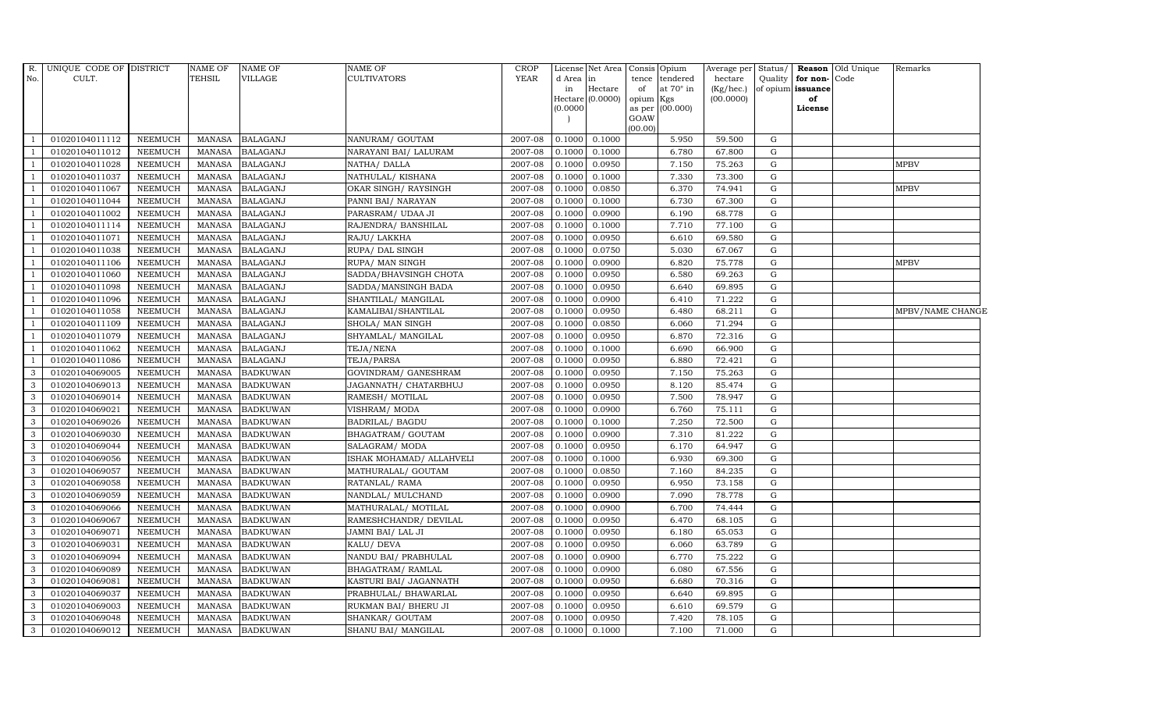| R.             | UNIQUE CODE OF DISTRICT |                | NAME OF       | NAME OF         | <b>NAME OF</b>            | <b>CROP</b> |           | License Net Area   Consis   Opium |                     |                  | Average per | Status/     |                   | <b>Reason</b> Old Unique | Remarks          |
|----------------|-------------------------|----------------|---------------|-----------------|---------------------------|-------------|-----------|-----------------------------------|---------------------|------------------|-------------|-------------|-------------------|--------------------------|------------------|
| No.            | CULT.                   |                | TEHSIL        | VILLAGE         | <b>CULTIVATORS</b>        | <b>YEAR</b> | d Area in |                                   | tence               | tendered         | hectare     | Quality     | for non-Code      |                          |                  |
|                |                         |                |               |                 |                           |             | in        | Hectare                           | of                  | at $70^\circ$ in | (Kg/hec.)   |             | of opium issuance |                          |                  |
|                |                         |                |               |                 |                           |             | (0.0000)  | Hectare (0.0000)                  | opium Kgs<br>as per | (00.000)         | (00.0000)   |             | of<br>License     |                          |                  |
|                |                         |                |               |                 |                           |             |           |                                   | GOAW                |                  |             |             |                   |                          |                  |
|                |                         |                |               |                 |                           |             |           |                                   | (00.00)             |                  |             |             |                   |                          |                  |
|                | 01020104011112          | <b>NEEMUCH</b> | <b>MANASA</b> | <b>BALAGANJ</b> | NANURAM/ GOUTAM           | 2007-08     | 0.1000    | 0.1000                            |                     | 5.950            | 59.500      | G           |                   |                          |                  |
|                | 01020104011012          | <b>NEEMUCH</b> | <b>MANASA</b> | <b>BALAGANJ</b> | NARAYANI BAI/ LALURAM     | 2007-08     | 0.1000    | 0.1000                            |                     | 6.780            | 67.800      | G           |                   |                          |                  |
| $\overline{1}$ | 01020104011028          | <b>NEEMUCH</b> | <b>MANASA</b> | <b>BALAGANJ</b> | NATHA/ DALLA              | 2007-08     | 0.1000    | 0.0950                            |                     | 7.150            | 75.263      | G           |                   |                          | <b>MPBV</b>      |
|                | 01020104011037          | <b>NEEMUCH</b> | <b>MANASA</b> | <b>BALAGANJ</b> | NATHULAL/ KISHANA         | 2007-08     | 0.1000    | 0.1000                            |                     | 7.330            | 73.300      | $\mathbf G$ |                   |                          |                  |
|                | 01020104011067          | <b>NEEMUCH</b> | <b>MANASA</b> | <b>BALAGANJ</b> | OKAR SINGH/ RAYSINGH      | 2007-08     | 0.1000    | 0.0850                            |                     | 6.370            | 74.941      | G           |                   |                          | <b>MPBV</b>      |
| $\overline{1}$ | 01020104011044          | <b>NEEMUCH</b> | <b>MANASA</b> | <b>BALAGANJ</b> | PANNI BAI/ NARAYAN        | 2007-08     | 0.1000    | 0.1000                            |                     | 6.730            | 67.300      | G           |                   |                          |                  |
|                | 01020104011002          | <b>NEEMUCH</b> | <b>MANASA</b> | <b>BALAGANJ</b> | PARASRAM/ UDAA JI         | 2007-08     | 0.1000    | 0.0900                            |                     | 6.190            | 68.778      | G           |                   |                          |                  |
| $\overline{1}$ | 01020104011114          | <b>NEEMUCH</b> | <b>MANASA</b> | <b>BALAGANJ</b> | RAJENDRA/ BANSHILAL       | 2007-08     | 0.1000    | 0.1000                            |                     | 7.710            | 77.100      | G           |                   |                          |                  |
|                | 01020104011071          | <b>NEEMUCH</b> | <b>MANASA</b> | <b>BALAGANJ</b> | RAJU/ LAKKHA              | 2007-08     | 0.1000    | 0.0950                            |                     | 6.610            | 69.580      | G           |                   |                          |                  |
|                | 01020104011038          | <b>NEEMUCH</b> | <b>MANASA</b> | <b>BALAGANJ</b> | RUPA/ DAL SINGH           | 2007-08     | 0.1000    | 0.0750                            |                     | 5.030            | 67.067      | G           |                   |                          |                  |
| $\overline{1}$ | 01020104011106          | <b>NEEMUCH</b> | <b>MANASA</b> | <b>BALAGANJ</b> | RUPA/ MAN SINGH           | 2007-08     | 0.1000    | 0.0900                            |                     | 6.820            | 75.778      | G           |                   |                          | <b>MPBV</b>      |
|                | 01020104011060          | <b>NEEMUCH</b> | <b>MANASA</b> | <b>BALAGANJ</b> | SADDA/BHAVSINGH CHOTA     | 2007-08     | 0.1000    | 0.0950                            |                     | 6.580            | 69.263      | ${\rm G}$   |                   |                          |                  |
|                | 01020104011098          | <b>NEEMUCH</b> | <b>MANASA</b> | <b>BALAGANJ</b> | SADDA/MANSINGH BADA       | 2007-08     | 0.1000    | 0.0950                            |                     | 6.640            | 69.895      | G           |                   |                          |                  |
|                | 01020104011096          | <b>NEEMUCH</b> | <b>MANASA</b> | <b>BALAGANJ</b> | SHANTILAL/ MANGILAL       | 2007-08     | 0.1000    | 0.0900                            |                     | 6.410            | 71.222      | $\mathbf G$ |                   |                          |                  |
|                | 01020104011058          | <b>NEEMUCH</b> | <b>MANASA</b> | <b>BALAGANJ</b> | KAMALIBAI/SHANTILAL       | 2007-08     | 0.1000    | 0.0950                            |                     | 6.480            | 68.211      | G           |                   |                          | MPBV/NAME CHANGE |
|                | 01020104011109          | <b>NEEMUCH</b> | <b>MANASA</b> | <b>BALAGANJ</b> | SHOLA/ MAN SINGH          | 2007-08     | 0.1000    | 0.0850                            |                     | 6.060            | 71.294      | G           |                   |                          |                  |
|                | 01020104011079          | <b>NEEMUCH</b> | <b>MANASA</b> | <b>BALAGANJ</b> | SHYAMLAL/ MANGILAL        | 2007-08     | 0.1000    | 0.0950                            |                     | 6.870            | 72.316      | G           |                   |                          |                  |
| $\overline{1}$ | 01020104011062          | NEEMUCH        | <b>MANASA</b> | <b>BALAGANJ</b> | TEJA/NENA                 | 2007-08     | 0.1000    | 0.1000                            |                     | 6.690            | 66.900      | G           |                   |                          |                  |
|                | 01020104011086          | <b>NEEMUCH</b> | <b>MANASA</b> | <b>BALAGANJ</b> | TEJA/PARSA                | 2007-08     | 0.1000    | 0.0950                            |                     | 6.880            | 72.421      | G           |                   |                          |                  |
| 3              | 01020104069005          | <b>NEEMUCH</b> | <b>MANASA</b> | <b>BADKUWAN</b> | GOVINDRAM / GANESHRAM     | 2007-08     | 0.1000    | 0.0950                            |                     | 7.150            | 75.263      | G           |                   |                          |                  |
| 3              | 01020104069013          | <b>NEEMUCH</b> | <b>MANASA</b> | <b>BADKUWAN</b> | JAGANNATH / CHATARBHUJ    | 2007-08     | 0.1000    | 0.0950                            |                     | 8.120            | 85.474      | G           |                   |                          |                  |
| 3              | 01020104069014          | <b>NEEMUCH</b> | <b>MANASA</b> | <b>BADKUWAN</b> | RAMESH/ MOTILAL           | 2007-08     | 0.1000    | 0.0950                            |                     | 7.500            | 78.947      | G           |                   |                          |                  |
| $\mathbf{3}$   | 01020104069021          | <b>NEEMUCH</b> | <b>MANASA</b> | <b>BADKUWAN</b> | VISHRAM/ MODA             | 2007-08     | 0.1000    | 0.0900                            |                     | 6.760            | 75.111      | G           |                   |                          |                  |
| 3              | 01020104069026          | <b>NEEMUCH</b> | <b>MANASA</b> | <b>BADKUWAN</b> | <b>BADRILAL/ BAGDU</b>    | 2007-08     | 0.1000    | 0.1000                            |                     | 7.250            | 72.500      | G           |                   |                          |                  |
| 3              | 01020104069030          | <b>NEEMUCH</b> | <b>MANASA</b> | <b>BADKUWAN</b> | BHAGATRAM/ GOUTAM         | 2007-08     | 0.1000    | 0.0900                            |                     | 7.310            | 81.222      | $\mathbf G$ |                   |                          |                  |
| 3              | 01020104069044          | <b>NEEMUCH</b> | <b>MANASA</b> | <b>BADKUWAN</b> | SALAGRAM/ MODA            | 2007-08     | 0.1000    | 0.0950                            |                     | 6.170            | 64.947      | G           |                   |                          |                  |
| 3              | 01020104069056          | <b>NEEMUCH</b> | <b>MANASA</b> | <b>BADKUWAN</b> | ISHAK MOHAMAD / ALLAHVELI | 2007-08     | 0.1000    | 0.1000                            |                     | 6.930            | 69.300      | G           |                   |                          |                  |
| $\mathbf{3}$   | 01020104069057          | <b>NEEMUCH</b> | <b>MANASA</b> | <b>BADKUWAN</b> | MATHURALAL/ GOUTAM        | 2007-08     | 0.1000    | 0.0850                            |                     | 7.160            | 84.235      | G           |                   |                          |                  |
| 3              | 01020104069058          | <b>NEEMUCH</b> | <b>MANASA</b> | <b>BADKUWAN</b> | RATANLAL/RAMA             | 2007-08     | 0.1000    | 0.0950                            |                     | 6.950            | 73.158      | G           |                   |                          |                  |
| 3              | 01020104069059          | <b>NEEMUCH</b> | <b>MANASA</b> | <b>BADKUWAN</b> | NANDLAL/ MULCHAND         | 2007-08     | 0.1000    | 0.0900                            |                     | 7.090            | 78.778      | $\mathbf G$ |                   |                          |                  |
| $\mathbf{3}$   | 01020104069066          | <b>NEEMUCH</b> | <b>MANASA</b> | <b>BADKUWAN</b> | MATHURALAL/ MOTILAL       | 2007-08     | 0.1000    | 0.0900                            |                     | 6.700            | 74.444      | G           |                   |                          |                  |
| 3              | 01020104069067          | <b>NEEMUCH</b> | <b>MANASA</b> | <b>BADKUWAN</b> | RAMESHCHANDR/ DEVILAL     | 2007-08     | 0.1000    | 0.0950                            |                     | 6.470            | 68.105      | G           |                   |                          |                  |
| 3              | 01020104069071          | <b>NEEMUCH</b> | <b>MANASA</b> | <b>BADKUWAN</b> | JAMNI BAI/ LAL JI         | 2007-08     | 0.1000    | 0.0950                            |                     | 6.180            | 65.053      | G           |                   |                          |                  |
| 3              | 01020104069031          | <b>NEEMUCH</b> | <b>MANASA</b> | <b>BADKUWAN</b> | KALU/ DEVA                | 2007-08     | 0.1000    | 0.0950                            |                     | 6.060            | 63.789      | G           |                   |                          |                  |
| 3              | 01020104069094          | <b>NEEMUCH</b> | <b>MANASA</b> | <b>BADKUWAN</b> | NANDU BAI / PRABHULAL     | 2007-08     | 0.1000    | 0.0900                            |                     | 6.770            | 75.222      | G           |                   |                          |                  |
| 3              | 01020104069089          | <b>NEEMUCH</b> | <b>MANASA</b> | <b>BADKUWAN</b> | BHAGATRAM/ RAMLAL         | 2007-08     | 0.1000    | 0.0900                            |                     | 6.080            | 67.556      | G           |                   |                          |                  |
| 3              | 01020104069081          | <b>NEEMUCH</b> | <b>MANASA</b> | <b>BADKUWAN</b> | KASTURI BAI/ JAGANNATH    | 2007-08     | 0.1000    | 0.0950                            |                     | 6.680            | 70.316      | G           |                   |                          |                  |
| $\mathbf{3}$   | 01020104069037          | <b>NEEMUCH</b> | <b>MANASA</b> | <b>BADKUWAN</b> | PRABHULAL/ BHAWARLAL      | 2007-08     | 0.1000    | 0.0950                            |                     | 6.640            | 69.895      | $\mathbf G$ |                   |                          |                  |
| 3              | 01020104069003          | <b>NEEMUCH</b> | <b>MANASA</b> | <b>BADKUWAN</b> | RUKMAN BAI/ BHERU JI      | 2007-08     | 0.1000    | 0.0950                            |                     | 6.610            | 69.579      | G           |                   |                          |                  |
| 3              | 01020104069048          | <b>NEEMUCH</b> | <b>MANASA</b> | <b>BADKUWAN</b> | SHANKAR/ GOUTAM           | 2007-08     | 0.1000    | 0.0950                            |                     | 7.420            | 78.105      | $\mathbf G$ |                   |                          |                  |
| 3              | 01020104069012          | <b>NEEMUCH</b> | MANASA        | <b>BADKUWAN</b> | SHANU BAI/ MANGILAL       | 2007-08     | 0.1000    | 0.1000                            |                     | 7.100            | 71.000      | $\mathbf G$ |                   |                          |                  |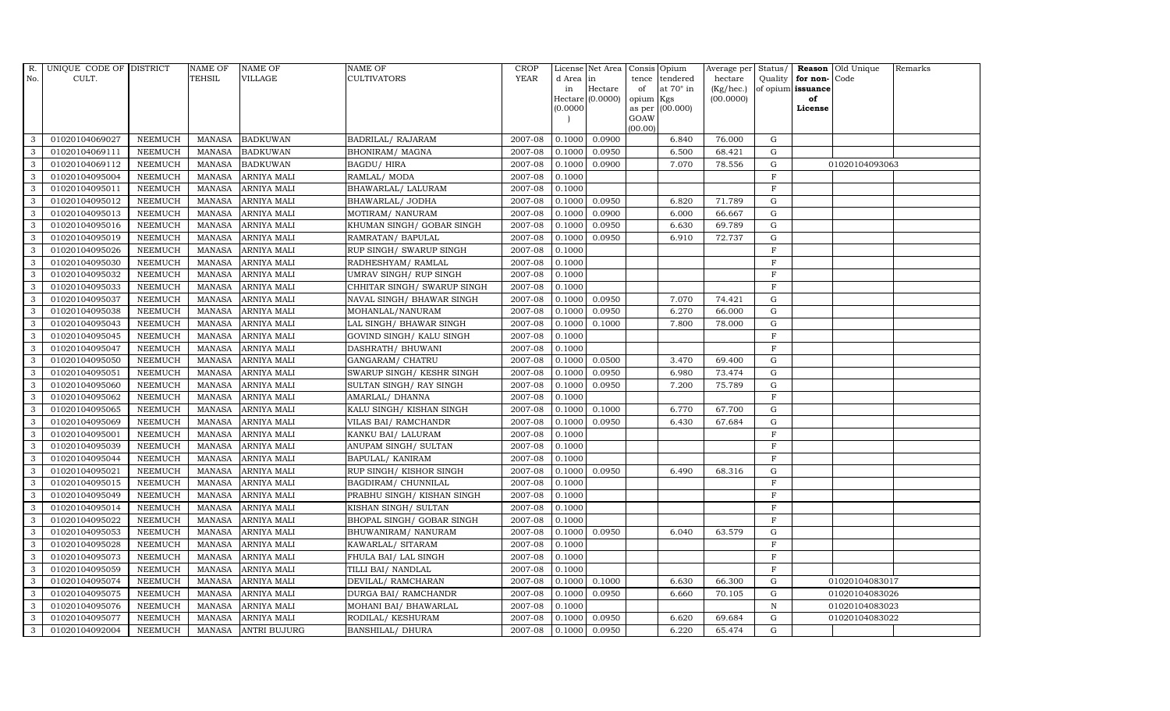| $R_{\cdot}$<br>UNIQUE CODE OF DISTRICT<br><b>NAME OF</b><br><b>NAME OF</b><br><b>NAME OF</b>    | <b>CROP</b>                            |                                | License Net Area   Consis   Opium |                  | Average per Status/ <b>Reason</b> Old Unique |                   |               |                | Remarks |
|-------------------------------------------------------------------------------------------------|----------------------------------------|--------------------------------|-----------------------------------|------------------|----------------------------------------------|-------------------|---------------|----------------|---------|
| <b>TEHSIL</b><br>CULT.<br><b>VILLAGE</b><br><b>CULTIVATORS</b><br>No.                           | <b>YEAR</b>                            | d Area in                      |                                   | tence tendered   | hectare                                      | Quality           | for non-      | Code           |         |
|                                                                                                 |                                        | in                             | Hectare<br>of                     | at $70^\circ$ in | (Kg/hec.)                                    | of opium issuance |               |                |         |
|                                                                                                 |                                        | Hectare $(0.0000)$<br>(0.0000) | opium Kgs                         | as per (00.000)  | (00.0000)                                    |                   | of<br>License |                |         |
|                                                                                                 |                                        |                                | GOAW                              |                  |                                              |                   |               |                |         |
|                                                                                                 |                                        |                                | (00.00)                           |                  |                                              |                   |               |                |         |
| 3<br>01020104069027<br>MANASA BADKUWAN<br><b>NEEMUCH</b>                                        | 2007-08<br>BADRILAL/RAJARAM            | 0.1000                         | 0.0900                            | 6.840            | 76.000                                       | G                 |               |                |         |
| 3<br>01020104069111<br><b>BADKUWAN</b><br><b>NEEMUCH</b><br>MANASA                              | 2007-08<br>BHONIRAM/ MAGNA             | 0.1000                         | 0.0950                            | 6.500            | 68.421                                       | G                 |               |                |         |
| 3<br><b>MANASA</b><br><b>BADKUWAN</b><br><b>BAGDU/ HIRA</b><br>01020104069112<br><b>NEEMUCH</b> | 2007-08                                | 0.1000                         | 0.0900                            | 7.070            | 78.556                                       | G                 |               | 01020104093063 |         |
| 3<br>01020104095004<br><b>NEEMUCH</b><br>MANASA<br><b>ARNIYA MALI</b><br>RAMLAL/ MODA           | 2007-08                                | 0.1000                         |                                   |                  |                                              | F                 |               |                |         |
| $\mathbf{3}$<br>01020104095011<br><b>MANASA</b><br><b>NEEMUCH</b><br><b>ARNIYA MALI</b>         | BHAWARLAL/ LALURAM<br>2007-08          | 0.1000                         |                                   |                  |                                              | $\rm F$           |               |                |         |
| $\mathbf{3}$<br>01020104095012<br><b>NEEMUCH</b><br><b>MANASA</b><br><b>ARNIYA MALI</b>         | 2007-08<br>BHAWARLAL/ JODHA            | 0.1000                         | 0.0950                            | 6.820            | 71.789                                       | ${\rm G}$         |               |                |         |
| 01020104095013<br>3<br><b>NEEMUCH</b><br><b>MANASA</b><br><b>ARNIYA MALI</b>                    | 2007-08<br>MOTIRAM/ NANURAM            | 0.1000                         | 0.0900                            | 6.000            | 66.667                                       | G                 |               |                |         |
| 3<br>01020104095016<br><b>NEEMUCH</b><br><b>MANASA</b><br><b>ARNIYA MALI</b>                    | KHUMAN SINGH/ GOBAR SINGH<br>2007-08   | 0.1000                         | 0.0950                            | 6.630            | 69.789                                       | $\mathbf G$       |               |                |         |
| 01020104095019<br><b>NEEMUCH</b><br><b>MANASA</b><br><b>ARNIYA MALI</b><br>3                    | RAMRATAN/ BAPULAL<br>2007-08           | 0.1000                         | 0.0950                            | 6.910            | 72.737                                       | G                 |               |                |         |
| 3<br>01020104095026<br><b>MANASA</b><br><b>NEEMUCH</b><br><b>ARNIYA MALI</b>                    | RUP SINGH/ SWARUP SINGH<br>2007-08     | 0.1000                         |                                   |                  |                                              | $_{\rm F}$        |               |                |         |
| 3<br><b>NEEMUCH</b><br><b>MANASA</b><br>01020104095030<br><b>ARNIYA MALI</b>                    | 2007-08<br>RADHESHYAM/RAMLAL           | 0.1000                         |                                   |                  |                                              | $\rm F$           |               |                |         |
| 01020104095032<br><b>NEEMUCH</b><br>MANASA<br><b>ARNIYA MALI</b><br>3                           | 2007-08<br>UMRAV SINGH/ RUP SINGH      | 0.1000                         |                                   |                  |                                              | F                 |               |                |         |
| 3<br>01020104095033<br><b>NEEMUCH</b><br><b>ARNIYA MALI</b><br>MANASA                           | CHHITAR SINGH/ SWARUP SINGH<br>2007-08 | 0.1000                         |                                   |                  |                                              | $\mathbf F$       |               |                |         |
| 3<br>01020104095037<br><b>NEEMUCH</b><br><b>MANASA</b><br><b>ARNIYA MALI</b>                    | NAVAL SINGH/ BHAWAR SINGH<br>2007-08   | 0.1000                         | 0.0950                            | 7.070            | 74.421                                       | $\mathbf G$       |               |                |         |
| 3<br>01020104095038<br><b>NEEMUCH</b><br>$\mbox{MANASA}$<br><b>ARNIYA MALI</b>                  | 2007-08<br>MOHANLAL/NANURAM            | 0.1000                         | 0.0950                            | 6.270            | 66.000                                       | ${\rm G}$         |               |                |         |
| 3<br>01020104095043<br><b>NEEMUCH</b><br><b>MANASA</b><br><b>ARNIYA MALI</b>                    | LAL SINGH/ BHAWAR SINGH<br>2007-08     | 0.1000                         | 0.1000                            | 7.800            | 78.000                                       | G                 |               |                |         |
| 3<br>01020104095045<br><b>NEEMUCH</b><br>MANASA<br><b>ARNIYA MALI</b>                           | 2007-08<br>GOVIND SINGH/ KALU SINGH    | 0.1000                         |                                   |                  |                                              | $\mathbf F$       |               |                |         |
| $\mathbf{3}$<br>01020104095047<br><b>NEEMUCH</b><br>MANASA<br><b>ARNIYA MALI</b>                | 2007-08<br>DASHRATH / BHUWANI          | 0.1000                         |                                   |                  |                                              | $_{\rm F}$        |               |                |         |
| 3<br>01020104095050<br><b>NEEMUCH</b><br><b>MANASA</b><br><b>ARNIYA MALI</b>                    | 2007-08<br>GANGARAM / CHATRU           | 0.1000                         | 0.0500                            | 3.470            | 69.400                                       | G                 |               |                |         |
| 3<br>01020104095051<br><b>NEEMUCH</b><br><b>MANASA</b><br><b>ARNIYA MALI</b>                    | SWARUP SINGH/KESHR SINGH<br>2007-08    | 0.1000                         | 0.0950                            | 6.980            | 73.474                                       | $\mathbf G$       |               |                |         |
| 3<br>01020104095060<br><b>NEEMUCH</b><br><b>MANASA</b><br><b>ARNIYA MALI</b>                    | 2007-08<br>SULTAN SINGH/ RAY SINGH     | 0.1000                         | 0.0950                            | 7.200            | 75.789                                       | $\mathbf G$       |               |                |         |
| 3<br>01020104095062<br><b>NEEMUCH</b><br><b>MANASA</b><br><b>ARNIYA MALI</b>                    | 2007-08<br>AMARLAL/ DHANNA             | 0.1000                         |                                   |                  |                                              | $\mathbf F$       |               |                |         |
| 3<br>01020104095065<br><b>NEEMUCH</b><br>MANASA<br><b>ARNIYA MALI</b>                           | 2007-08<br>KALU SINGH/KISHAN SINGH     | 0.1000                         | 0.1000                            | 6.770            | 67.700                                       | ${\rm G}$         |               |                |         |
| 3<br>01020104095069<br><b>NEEMUCH</b><br><b>MANASA</b><br><b>ARNIYA MALI</b>                    | VILAS BAI/ RAMCHANDR<br>2007-08        | 0.1000                         | 0.0950                            | 6.430            | 67.684                                       | $\mathbf G$       |               |                |         |
| 3<br>01020104095001<br><b>NEEMUCH</b><br><b>MANASA</b><br><b>ARNIYA MALI</b>                    | 2007-08<br>KANKU BAI/ LALURAM          | 0.1000                         |                                   |                  |                                              | $_{\rm F}$        |               |                |         |
| 3<br>01020104095039<br><b>NEEMUCH</b><br>MANASA<br><b>ARNIYA MALI</b>                           | 2007-08<br>ANUPAM SINGH/ SULTAN        | 0.1000                         |                                   |                  |                                              | $\rm F$           |               |                |         |
| 3<br>01020104095044<br><b>MANASA</b><br><b>ARNIYA MALI</b><br><b>NEEMUCH</b>                    | 2007-08<br><b>BAPULAL/ KANIRAM</b>     | 0.1000                         |                                   |                  |                                              | $\mathbf F$       |               |                |         |
| $\mathbf{3}$<br>01020104095021<br><b>NEEMUCH</b><br>MANASA<br><b>ARNIYA MALI</b>                | 2007-08<br>RUP SINGH/KISHOR SINGH      | 0.1000                         | 0.0950                            | 6.490            | 68.316                                       | $\mathbf G$       |               |                |         |
| 01020104095015<br>3<br><b>NEEMUCH</b><br>MANASA<br><b>ARNIYA MALI</b>                           | 2007-08<br>BAGDIRAM/ CHUNNILAL         | 0.1000                         |                                   |                  |                                              | $\mathbf F$       |               |                |         |
| 3<br>01020104095049<br><b>MANASA</b><br><b>NEEMUCH</b><br>ARNIYA MALI                           | PRABHU SINGH/KISHAN SINGH<br>2007-08   | 0.1000                         |                                   |                  |                                              | F                 |               |                |         |
| 3<br><b>NEEMUCH</b><br><b>MANASA</b><br>01020104095014<br><b>ARNIYA MALI</b>                    | 2007-08<br>KISHAN SINGH/ SULTAN        | 0.1000                         |                                   |                  |                                              | $\overline{F}$    |               |                |         |
| 3<br>01020104095022<br><b>MANASA</b><br><b>ARNIYA MALI</b><br><b>NEEMUCH</b>                    | 2007-08<br>BHOPAL SINGH/ GOBAR SINGH   | 0.1000                         |                                   |                  |                                              | $\rm F$           |               |                |         |
| 3<br>01020104095053<br><b>NEEMUCH</b><br>MANASA<br><b>ARNIYA MALI</b>                           | 2007-08<br>BHUWANIRAM/ NANURAM         | 0.1000                         | 0.0950                            | 6.040            | 63.579                                       | G                 |               |                |         |
| 3<br>01020104095028<br><b>NEEMUCH</b><br>MANASA<br><b>ARNIYA MALI</b>                           | 2007-08<br>KAWARLAL/ SITARAM           | 0.1000                         |                                   |                  |                                              | $\mathbf F$       |               |                |         |
| 3<br>01020104095073<br><b>NEEMUCH</b><br><b>MANASA</b><br><b>ARNIYA MALI</b>                    | 2007-08<br>FHULA BAI/ LAL SINGH        | 0.1000                         |                                   |                  |                                              | $_{\rm F}$        |               |                |         |
| 3<br>01020104095059<br><b>NEEMUCH</b><br><b>MANASA</b><br><b>ARNIYA MALI</b>                    | TILLI BAI/ NANDLAL<br>2007-08          | 0.1000                         |                                   |                  |                                              | $_{\rm F}$        |               |                |         |
| 3<br>01020104095074<br><b>NEEMUCH</b><br><b>MANASA</b><br>ARNIYA MALI                           | 2007-08<br>DEVILAL/ RAMCHARAN          | 0.1000                         | 0.1000                            | 6.630            | 66.300                                       | G                 |               | 01020104083017 |         |
| 3<br>01020104095075<br><b>NEEMUCH</b><br><b>MANASA</b><br>ARNIYA MALI                           | 2007-08<br>DURGA BAI/ RAMCHANDR        | 0.1000                         | 0.0950                            | 6.660            | 70.105                                       | ${\rm G}$         |               | 01020104083026 |         |
| 3<br>01020104095076<br><b>NEEMUCH</b><br>MANASA<br><b>ARNIYA MALI</b>                           | 2007-08<br>MOHANI BAI/ BHAWARLAL       | 0.1000                         |                                   |                  |                                              | $\mathbb N$       |               | 01020104083023 |         |
| 3<br>01020104095077<br><b>MANASA</b><br><b>NEEMUCH</b><br><b>ARNIYA MALI</b>                    | RODILAL/ KESHURAM<br>2007-08           | 0.1000                         | 0.0950                            | 6.620            | 69.684                                       | $\mathbf G$       |               | 01020104083022 |         |
| 3<br>01020104092004<br><b>NEEMUCH</b><br>MANASA ANTRI BUJURG                                    | <b>BANSHILAL/ DHURA</b><br>2007-08     | 0.1000                         | 0.0950                            | 6.220            | 65.474                                       | G                 |               |                |         |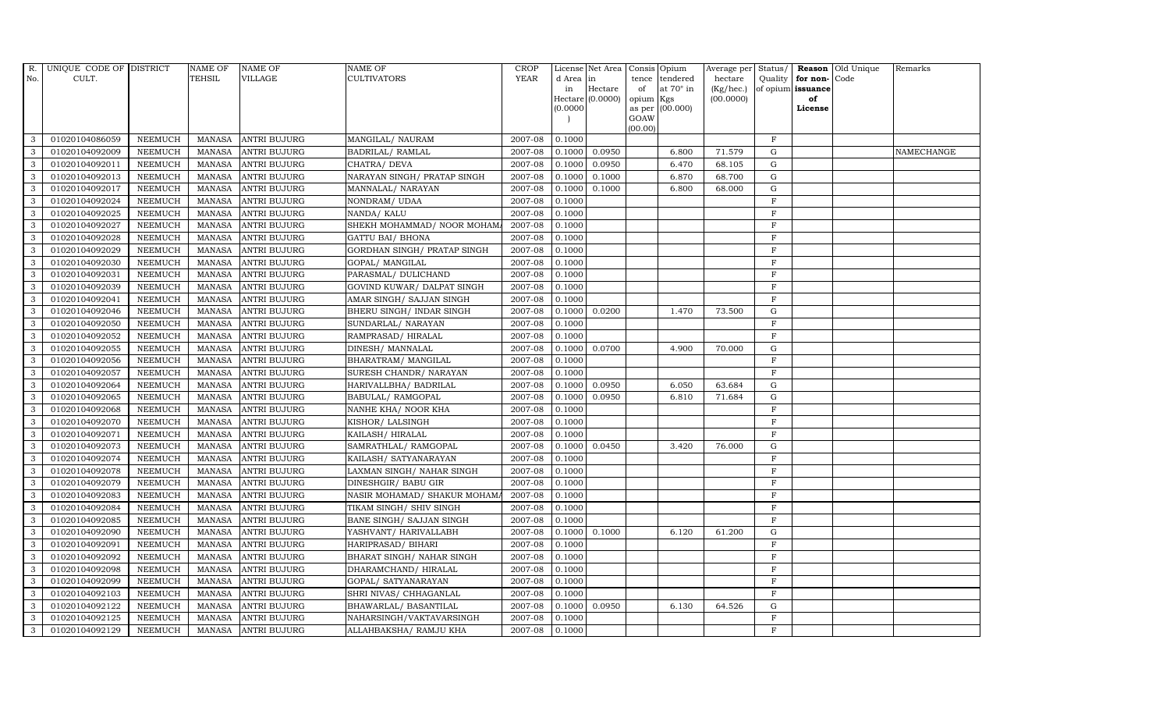| R.           | UNIQUE CODE OF DISTRICT |                | NAME OF       | <b>NAME OF</b>      | <b>NAME OF</b>              | CROP        |           | License Net Area   |           | Consis Opium     | Average per | Status/      |                   | <b>Reason</b> Old Unique | Remarks    |
|--------------|-------------------------|----------------|---------------|---------------------|-----------------------------|-------------|-----------|--------------------|-----------|------------------|-------------|--------------|-------------------|--------------------------|------------|
| No.          | CULT.                   |                | <b>TEHSIL</b> | <b>VILLAGE</b>      | <b>CULTIVATORS</b>          | <b>YEAR</b> | d Area in |                    |           | tence tendered   | hectare     | Quality      | for non-Code      |                          |            |
|              |                         |                |               |                     |                             |             | in        | Hectare            | of        | at $70^\circ$ in | (Kg/hec.)   |              | of opium issuance |                          |            |
|              |                         |                |               |                     |                             |             | (0.0000)  | Hectare $(0.0000)$ | opium Kgs | as per (00.000)  | (00.0000)   |              | of<br>License     |                          |            |
|              |                         |                |               |                     |                             |             |           |                    | GOAW      |                  |             |              |                   |                          |            |
|              |                         |                |               |                     |                             |             |           |                    | (00.00)   |                  |             |              |                   |                          |            |
| 3            | 01020104086059          | <b>NEEMUCH</b> |               | MANASA ANTRI BUJURG | MANGILAL/ NAURAM            | 2007-08     | 0.1000    |                    |           |                  |             | $\mathbf{F}$ |                   |                          |            |
| 3            | 01020104092009          | <b>NEEMUCH</b> |               | MANASA ANTRI BUJURG | BADRILAL/RAMLAL             | 2007-08     | 0.1000    | 0.0950             |           | 6.800            | 71.579      | G            |                   |                          | NAMECHANGE |
| 3            | 01020104092011          | <b>NEEMUCH</b> | MANASA        | <b>ANTRI BUJURG</b> | CHATRA/ DEVA                | 2007-08     | 0.1000    | 0.0950             |           | 6.470            | 68.105      | G            |                   |                          |            |
| 3            | 01020104092013          | <b>NEEMUCH</b> |               | MANASA ANTRI BUJURG | NARAYAN SINGH/ PRATAP SINGH | 2007-08     | 0.1000    | 0.1000             |           | 6.870            | 68.700      | G            |                   |                          |            |
| 3            | 01020104092017          | <b>NEEMUCH</b> | MANASA        | <b>ANTRI BUJURG</b> | MANNALAL/ NARAYAN           | 2007-08     | 0.1000    | 0.1000             |           | 6.800            | 68.000      | G            |                   |                          |            |
| 3            | 01020104092024          | <b>NEEMUCH</b> | MANASA        | <b>ANTRI BUJURG</b> | NONDRAM/ UDAA               | 2007-08     | 0.1000    |                    |           |                  |             | $\mathbf F$  |                   |                          |            |
| 3            | 01020104092025          | <b>NEEMUCH</b> |               | MANASA ANTRI BUJURG | NANDA/ KALU                 | 2007-08     | 0.1000    |                    |           |                  |             | $\mathbf F$  |                   |                          |            |
| 3            | 01020104092027          | <b>NEEMUCH</b> | MANASA        | <b>ANTRI BUJURG</b> | SHEKH MOHAMMAD/ NOOR MOHAM/ | 2007-08     | 0.1000    |                    |           |                  |             | $\mathbf{F}$ |                   |                          |            |
| 3            | 01020104092028          | <b>NEEMUCH</b> | MANASA        | <b>ANTRI BUJURG</b> | <b>GATTU BAI/ BHONA</b>     | 2007-08     | 0.1000    |                    |           |                  |             | $\mathbf{F}$ |                   |                          |            |
| 3            | 01020104092029          | <b>NEEMUCH</b> | MANASA        | <b>ANTRI BUJURG</b> | GORDHAN SINGH/ PRATAP SINGH | 2007-08     | 0.1000    |                    |           |                  |             | $\mathbf{F}$ |                   |                          |            |
| 3            | 01020104092030          | <b>NEEMUCH</b> |               | MANASA ANTRI BUJURG | GOPAL/ MANGILAL             | 2007-08     | 0.1000    |                    |           |                  |             | $\mathbf{F}$ |                   |                          |            |
| $\mathbf{3}$ | 01020104092031          | <b>NEEMUCH</b> |               | MANASA ANTRI BUJURG | PARASMAL/ DULICHAND         | 2007-08     | 0.1000    |                    |           |                  |             | $\mathbf{F}$ |                   |                          |            |
| $\mathbf{3}$ | 01020104092039          | <b>NEEMUCH</b> | MANASA        | <b>ANTRI BUJURG</b> | GOVIND KUWAR/ DALPAT SINGH  | 2007-08     | 0.1000    |                    |           |                  |             | $\mathbf{F}$ |                   |                          |            |
| 3            | 01020104092041          | <b>NEEMUCH</b> | MANASA        | <b>ANTRI BUJURG</b> | AMAR SINGH/ SAJJAN SINGH    | 2007-08     | 0.1000    |                    |           |                  |             | $\mathbf{F}$ |                   |                          |            |
| 3            | 01020104092046          | <b>NEEMUCH</b> | MANASA        | <b>ANTRI BUJURG</b> | BHERU SINGH / INDAR SINGH   | 2007-08     | 0.1000    | 0.0200             |           | 1.470            | 73.500      | $\mathbf G$  |                   |                          |            |
| $\mathbf{3}$ | 01020104092050          | <b>NEEMUCH</b> |               | MANASA ANTRI BUJURG | SUNDARLAL/ NARAYAN          | 2007-08     | 0.1000    |                    |           |                  |             | $\mathbf F$  |                   |                          |            |
| 3            | 01020104092052          | <b>NEEMUCH</b> | MANASA        | <b>ANTRI BUJURG</b> | RAMPRASAD/HIRALAL           | 2007-08     | 0.1000    |                    |           |                  |             | $\mathbf F$  |                   |                          |            |
| $\mathbf{3}$ | 01020104092055          | <b>NEEMUCH</b> | MANASA        | <b>ANTRI BUJURG</b> | DINESH/ MANNALAL            | 2007-08     | 0.1000    | 0.0700             |           | 4.900            | 70.000      | $\mathbf G$  |                   |                          |            |
| 3            | 01020104092056          | <b>NEEMUCH</b> | MANASA        | <b>ANTRI BUJURG</b> | BHARATRAM/ MANGILAL         | 2007-08     | 0.1000    |                    |           |                  |             | $\mathbf{F}$ |                   |                          |            |
| 3            | 01020104092057          | <b>NEEMUCH</b> | MANASA        | <b>ANTRI BUJURG</b> | SURESH CHANDR / NARAYAN     | 2007-08     | 0.1000    |                    |           |                  |             | $\mathbf{F}$ |                   |                          |            |
| 3            | 01020104092064          | <b>NEEMUCH</b> | MANASA        | <b>ANTRI BUJURG</b> | HARIVALLBHA/ BADRILAL       | 2007-08     | 0.1000    | 0.0950             |           | 6.050            | 63.684      | G            |                   |                          |            |
| 3            | 01020104092065          | <b>NEEMUCH</b> | MANASA        | <b>ANTRI BUJURG</b> | BABULAL/RAMGOPAL            | 2007-08     | 0.1000    | 0.0950             |           | 6.810            | 71.684      | G            |                   |                          |            |
| $\mathbf{3}$ | 01020104092068          | <b>NEEMUCH</b> |               | MANASA ANTRI BUJURG | NANHE KHA/ NOOR KHA         | $2007 - 08$ | 0.1000    |                    |           |                  |             | $\mathbf F$  |                   |                          |            |
| 3            | 01020104092070          | <b>NEEMUCH</b> | MANASA        | <b>ANTRI BUJURG</b> | KISHOR/ LALSINGH            | 2007-08     | 0.1000    |                    |           |                  |             | $\mathbf F$  |                   |                          |            |
| 3            | 01020104092071          | <b>NEEMUCH</b> | MANASA        | <b>ANTRI BUJURG</b> | KAILASH / HIRALAL           | 2007-08     | 0.1000    |                    |           |                  |             | $\mathbf{F}$ |                   |                          |            |
| 3            | 01020104092073          | <b>NEEMUCH</b> |               | MANASA ANTRI BUJURG | SAMRATHLAL/ RAMGOPAL        | 2007-08     | 0.1000    | 0.0450             |           | 3.420            | 76.000      | G            |                   |                          |            |
| 3            | 01020104092074          | <b>NEEMUCH</b> | MANASA        | <b>ANTRI BUJURG</b> | KAILASH / SATYANARAYAN      | 2007-08     | 0.1000    |                    |           |                  |             | $\mathbf F$  |                   |                          |            |
| 3            | 01020104092078          | <b>NEEMUCH</b> | MANASA        | <b>ANTRI BUJURG</b> | LAXMAN SINGH/ NAHAR SINGH   | 2007-08     | 0.1000    |                    |           |                  |             | F            |                   |                          |            |
| 3            | 01020104092079          | <b>NEEMUCH</b> |               | MANASA ANTRI BUJURG | DINESHGIR/ BABU GIR         | 2007-08     | 0.1000    |                    |           |                  |             | $\mathbf F$  |                   |                          |            |
| 3            | 01020104092083          | <b>NEEMUCH</b> | MANASA        | <b>ANTRI BUJURG</b> | NASIR MOHAMAD/ SHAKUR MOHAM | 2007-08     | 0.1000    |                    |           |                  |             | $\mathbf{F}$ |                   |                          |            |
| 3            | 01020104092084          | <b>NEEMUCH</b> | MANASA        | <b>ANTRI BUJURG</b> | TIKAM SINGH / SHIV SINGH    | 2007-08     | 0.1000    |                    |           |                  |             | $\mathbf{F}$ |                   |                          |            |
| $\mathbf{3}$ | 01020104092085          | <b>NEEMUCH</b> | <b>MANASA</b> | <b>ANTRI BUJURG</b> | BANE SINGH/ SAJJAN SINGH    | 2007-08     | 0.1000    |                    |           |                  |             | $\rm F$      |                   |                          |            |
| 3            | 01020104092090          | <b>NEEMUCH</b> | MANASA        | <b>ANTRI BUJURG</b> | YASHVANT/ HARIVALLABH       | 2007-08     | 0.1000    | 0.1000             |           | 6.120            | 61.200      | G            |                   |                          |            |
| $\mathbf{3}$ | 01020104092091          | <b>NEEMUCH</b> | MANASA        | <b>ANTRI BUJURG</b> | HARIPRASAD/ BIHARI          | 2007-08     | 0.1000    |                    |           |                  |             | $\mathbf F$  |                   |                          |            |
| $\mathbf{3}$ | 01020104092092          | <b>NEEMUCH</b> | <b>MANASA</b> | <b>ANTRI BUJURG</b> | BHARAT SINGH/ NAHAR SINGH   | 2007-08     | 0.1000    |                    |           |                  |             | $\rm F$      |                   |                          |            |
| 3            | 01020104092098          | <b>NEEMUCH</b> | MANASA        | <b>ANTRI BUJURG</b> | DHARAMCHAND/HIRALAL         | 2007-08     | 0.1000    |                    |           |                  |             | $\mathbf{F}$ |                   |                          |            |
| 3            | 01020104092099          | <b>NEEMUCH</b> | MANASA        | <b>ANTRI BUJURG</b> | GOPAL/ SATYANARAYAN         | 2007-08     | 0.1000    |                    |           |                  |             | $\rm F$      |                   |                          |            |
| $\mathbf{3}$ | 01020104092103          | <b>NEEMUCH</b> | MANASA        | <b>ANTRI BUJURG</b> | SHRI NIVAS/ CHHAGANLAL      | 2007-08     | 0.1000    |                    |           |                  |             | $\mathbf F$  |                   |                          |            |
| 3            | 01020104092122          | <b>NEEMUCH</b> | MANASA        | <b>ANTRI BUJURG</b> | BHAWARLAL/ BASANTILAL       | 2007-08     | 0.1000    | 0.0950             |           | 6.130            | 64.526      | G            |                   |                          |            |
| $\mathbf{3}$ | 01020104092125          | <b>NEEMUCH</b> | MANASA        | <b>ANTRI BUJURG</b> | NAHARSINGH/VAKTAVARSINGH    | 2007-08     | 0.1000    |                    |           |                  |             | $\mathbf{F}$ |                   |                          |            |
| 3            | 01020104092129          | <b>NEEMUCH</b> |               | MANASA ANTRI BUJURG | ALLAHBAKSHA/ RAMJU KHA      | 2007-08     | 0.1000    |                    |           |                  |             | $\mathbf{F}$ |                   |                          |            |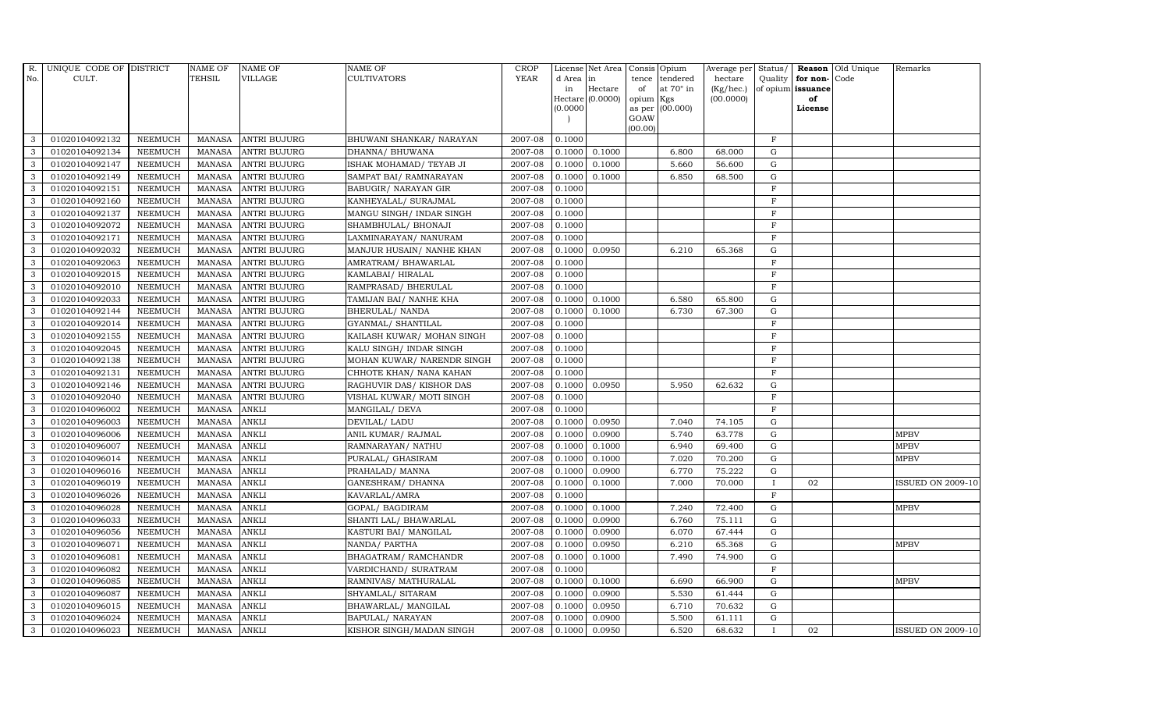| R.           | UNIQUE CODE OF DISTRICT |                | <b>NAME OF</b> | <b>NAME OF</b>      | <b>NAME OF</b>             | CROP        |           | License Net Area   |           | Consis Opium     | Average per        | Status/      |                   | <b>Reason</b> Old Unique | Remarks                  |
|--------------|-------------------------|----------------|----------------|---------------------|----------------------------|-------------|-----------|--------------------|-----------|------------------|--------------------|--------------|-------------------|--------------------------|--------------------------|
| No.          | CULT.                   |                | <b>TEHSIL</b>  | <b>VILLAGE</b>      | <b>CULTIVATORS</b>         | <b>YEAR</b> | d Area in |                    | tence     | tendered         | hectare            | Quality      | for non-          | Code                     |                          |
|              |                         |                |                |                     |                            |             | in        | Hectare            | of        | at $70^\circ$ in | $(Kg/ {\rm hec.})$ |              | of opium issuance |                          |                          |
|              |                         |                |                |                     |                            |             | (0.0000)  | Hectare $(0.0000)$ | opium Kgs | as per (00.000)  | (00.0000)          |              | of<br>License     |                          |                          |
|              |                         |                |                |                     |                            |             |           |                    | GOAW      |                  |                    |              |                   |                          |                          |
|              |                         |                |                |                     |                            |             |           |                    | (00.00)   |                  |                    |              |                   |                          |                          |
| 3            | 01020104092132          | <b>NEEMUCH</b> | MANASA         | <b>ANTRI BUJURG</b> | BHUWANI SHANKAR/ NARAYAN   | 2007-08     | 0.1000    |                    |           |                  |                    | $\mathbf{F}$ |                   |                          |                          |
| 3            | 01020104092134          | <b>NEEMUCH</b> | MANASA         | <b>ANTRI BUJURG</b> | DHANNA/ BHUWANA            | 2007-08     | 0.1000    | 0.1000             |           | 6.800            | 68.000             | G            |                   |                          |                          |
| 3            | 01020104092147          | <b>NEEMUCH</b> | MANASA         | <b>ANTRI BUJURG</b> | ISHAK MOHAMAD / TEYAB JI   | 2007-08     | 0.1000    | 0.1000             |           | 5.660            | 56.600             | G            |                   |                          |                          |
| 3            | 01020104092149          | <b>NEEMUCH</b> |                | MANASA ANTRI BUJURG | SAMPAT BAI/ RAMNARAYAN     | 2007-08     | 0.1000    | 0.1000             |           | 6.850            | 68.500             | $\mathbf G$  |                   |                          |                          |
| 3            | 01020104092151          | <b>NEEMUCH</b> | MANASA         | <b>ANTRI BUJURG</b> | BABUGIR/ NARAYAN GIR       | 2007-08     | 0.1000    |                    |           |                  |                    | $\rm F$      |                   |                          |                          |
| $\mathbf{3}$ | 01020104092160          | <b>NEEMUCH</b> | <b>MANASA</b>  | <b>ANTRI BUJURG</b> | KANHEYALAL/ SURAJMAL       | 2007-08     | 0.1000    |                    |           |                  |                    | $\mathbf F$  |                   |                          |                          |
| 3            | 01020104092137          | <b>NEEMUCH</b> |                | MANASA ANTRI BUJURG | MANGU SINGH/ INDAR SINGH   | 2007-08     | 0.1000    |                    |           |                  |                    | $\mathbf F$  |                   |                          |                          |
| 3            | 01020104092072          | <b>NEEMUCH</b> | MANASA         | <b>ANTRI BUJURG</b> | SHAMBHULAL/ BHONAJI        | 2007-08     | 0.1000    |                    |           |                  |                    | $\mathbf F$  |                   |                          |                          |
| 3            | 01020104092171          | <b>NEEMUCH</b> | MANASA         | <b>ANTRI BUJURG</b> | LAXMINARAYAN / NANURAM     | 2007-08     | 0.1000    |                    |           |                  |                    | $\mathbf{F}$ |                   |                          |                          |
| 3            | 01020104092032          | <b>NEEMUCH</b> | MANASA         | <b>ANTRI BUJURG</b> | MANJUR HUSAIN/ NANHE KHAN  | 2007-08     | 0.1000    | 0.0950             |           | 6.210            | 65.368             | G            |                   |                          |                          |
| 3            | 01020104092063          | <b>NEEMUCH</b> | MANASA         | <b>ANTRI BUJURG</b> | AMRATRAM / BHAWARLAL       | 2007-08     | 0.1000    |                    |           |                  |                    | $\mathbf F$  |                   |                          |                          |
| 3            | 01020104092015          | <b>NEEMUCH</b> | MANASA         | <b>ANTRI BUJURG</b> | KAMLABAI/ HIRALAL          | 2007-08     | 0.1000    |                    |           |                  |                    | $\mathbf F$  |                   |                          |                          |
| $\mathbf{3}$ | 01020104092010          | <b>NEEMUCH</b> | MANASA         | <b>ANTRI BUJURG</b> | RAMPRASAD/ BHERULAL        | 2007-08     | 0.1000    |                    |           |                  |                    | $\mathbf{F}$ |                   |                          |                          |
| 3            | 01020104092033          | <b>NEEMUCH</b> | MANASA         | <b>ANTRI BUJURG</b> | TAMIJAN BAI/ NANHE KHA     | 2007-08     | 0.1000    | 0.1000             |           | 6.580            | 65.800             | $\mathbf G$  |                   |                          |                          |
| 3            | 01020104092144          | <b>NEEMUCH</b> | MANASA         | <b>ANTRI BUJURG</b> | BHERULAL/ NANDA            | 2007-08     | 0.1000    | 0.1000             |           | 6.730            | 67.300             | ${\rm G}$    |                   |                          |                          |
| 3            | 01020104092014          | <b>NEEMUCH</b> | MANASA         | <b>ANTRI BUJURG</b> | GYANMAL/ SHANTILAL         | 2007-08     | 0.1000    |                    |           |                  |                    | $\mathbf{F}$ |                   |                          |                          |
| 3            | 01020104092155          | <b>NEEMUCH</b> | MANASA         | <b>ANTRI BUJURG</b> | KAILASH KUWAR/ MOHAN SINGH | 2007-08     | 0.1000    |                    |           |                  |                    | $\mathbf F$  |                   |                          |                          |
| 3            | 01020104092045          | <b>NEEMUCH</b> | MANASA         | <b>ANTRI BUJURG</b> | KALU SINGH/ INDAR SINGH    | 2007-08     | 0.1000    |                    |           |                  |                    | $\mathbf{F}$ |                   |                          |                          |
| 3            | 01020104092138          | <b>NEEMUCH</b> | MANASA         | <b>ANTRI BUJURG</b> | MOHAN KUWAR/ NARENDR SINGH | 2007-08     | 0.1000    |                    |           |                  |                    | $\mathbf F$  |                   |                          |                          |
| 3            | 01020104092131          | <b>NEEMUCH</b> | MANASA         | <b>ANTRI BUJURG</b> | CHHOTE KHAN/ NANA KAHAN    | 2007-08     | 0.1000    |                    |           |                  |                    | $\mathbf F$  |                   |                          |                          |
| 3            | 01020104092146          | <b>NEEMUCH</b> | MANASA         | <b>ANTRI BUJURG</b> | RAGHUVIR DAS/KISHOR DAS    | 2007-08     | 0.1000    | 0.0950             |           | 5.950            | 62.632             | G            |                   |                          |                          |
| 3            | 01020104092040          | <b>NEEMUCH</b> | <b>MANASA</b>  | <b>ANTRI BUJURG</b> | VISHAL KUWAR/ MOTI SINGH   | 2007-08     | 0.1000    |                    |           |                  |                    | $\mathbf F$  |                   |                          |                          |
| 3            | 01020104096002          | <b>NEEMUCH</b> | <b>MANASA</b>  | <b>ANKLI</b>        | MANGILAL/ DEVA             | 2007-08     | 0.1000    |                    |           |                  |                    | F            |                   |                          |                          |
| 3            | 01020104096003          | <b>NEEMUCH</b> | <b>MANASA</b>  | <b>ANKLI</b>        | DEVILAL/ LADU              | 2007-08     | 0.1000    | 0.0950             |           | 7.040            | 74.105             | G            |                   |                          |                          |
| 3            | 01020104096006          | <b>NEEMUCH</b> | <b>MANASA</b>  | <b>ANKLI</b>        | ANIL KUMAR/ RAJMAL         | 2007-08     | 0.1000    | 0.0900             |           | 5.740            | 63.778             | ${\rm G}$    |                   |                          | <b>MPBV</b>              |
| $\mathbf{3}$ | 01020104096007          | <b>NEEMUCH</b> | <b>MANASA</b>  | <b>ANKLI</b>        | RAMNARAYAN/ NATHU          | 2007-08     | 0.1000    | 0.1000             |           | 6.940            | 69.400             | G            |                   |                          | <b>MPBV</b>              |
| 3            | 01020104096014          | <b>NEEMUCH</b> | <b>MANASA</b>  | <b>ANKLI</b>        | PURALAL/ GHASIRAM          | 2007-08     | 0.1000    | 0.1000             |           | 7.020            | 70.200             | G            |                   |                          | <b>MPBV</b>              |
| 3            | 01020104096016          | <b>NEEMUCH</b> | MANASA         | <b>ANKLI</b>        | PRAHALAD/ MANNA            | 2007-08     | 0.1000    | 0.0900             |           | 6.770            | 75.222             | ${\rm G}$    |                   |                          |                          |
| 3            | 01020104096019          | <b>NEEMUCH</b> | <b>MANASA</b>  | <b>ANKLI</b>        | GANESHRAM / DHANNA         | 2007-08     | 0.1000    | 0.1000             |           | 7.000            | 70.000             | $\mathbf{I}$ | 02                |                          | <b>ISSUED ON 2009-10</b> |
| 3            | 01020104096026          | <b>NEEMUCH</b> | MANASA         | <b>ANKLI</b>        | KAVARLAL/AMRA              | 2007-08     | 0.1000    |                    |           |                  |                    | $\mathbf F$  |                   |                          |                          |
| 3            | 01020104096028          | <b>NEEMUCH</b> | MANASA         | <b>ANKLI</b>        | GOPAL/ BAGDIRAM            | 2007-08     | 0.1000    | 0.1000             |           | 7.240            | 72.400             | G            |                   |                          | <b>MPBV</b>              |
| $\mathbf{3}$ | 01020104096033          | <b>NEEMUCH</b> | <b>MANASA</b>  | <b>ANKLI</b>        | SHANTI LAL/ BHAWARLAL      | 2007-08     | 0.1000    | 0.0900             |           | 6.760            | 75.111             | G            |                   |                          |                          |
| $\mathbf{3}$ | 01020104096056          | <b>NEEMUCH</b> | <b>MANASA</b>  | <b>ANKLI</b>        | KASTURI BAI/ MANGILAL      | 2007-08     | 0.1000    | 0.0900             |           | 6.070            | 67.444             | G            |                   |                          |                          |
| 3            | 01020104096071          | <b>NEEMUCH</b> | <b>MANASA</b>  | <b>ANKLI</b>        | NANDA/ PARTHA              | 2007-08     | 0.1000    | 0.0950             |           | 6.210            | 65.368             | $\mathbf G$  |                   |                          | <b>MPBV</b>              |
| 3            | 01020104096081          | <b>NEEMUCH</b> | <b>MANASA</b>  | <b>ANKLI</b>        | BHAGATRAM/ RAMCHANDR       | 2007-08     | 0.1000    | 0.1000             |           | 7.490            | 74.900             | $\mathbf G$  |                   |                          |                          |
| 3            | 01020104096082          | <b>NEEMUCH</b> | <b>MANASA</b>  | <b>ANKLI</b>        | VARDICHAND/ SURATRAM       | 2007-08     | 0.1000    |                    |           |                  |                    | $\rm F$      |                   |                          |                          |
| $\mathbf{3}$ | 01020104096085          | <b>NEEMUCH</b> | <b>MANASA</b>  | <b>ANKLI</b>        | RAMNIVAS/ MATHURALAL       | 2007-08     | 0.1000    | 0.1000             |           | 6.690            | 66.900             | G            |                   |                          | <b>MPBV</b>              |
| 3            | 01020104096087          | <b>NEEMUCH</b> | <b>MANASA</b>  | <b>ANKLI</b>        | SHYAMLAL/ SITARAM          | 2007-08     | 0.1000    | 0.0900             |           | 5.530            | 61.444             | G            |                   |                          |                          |
| 3            | 01020104096015          | <b>NEEMUCH</b> | <b>MANASA</b>  | <b>ANKLI</b>        | BHAWARLAL/ MANGILAL        | 2007-08     | 0.1000    | 0.0950             |           | 6.710            | 70.632             | G            |                   |                          |                          |
| 3            | 01020104096024          | <b>NEEMUCH</b> | <b>MANASA</b>  | <b>ANKLI</b>        | BAPULAL/ NARAYAN           | 2007-08     | 0.1000    | 0.0900             |           | 5.500            | 61.111             | $\mathbf G$  |                   |                          |                          |
| 3            | 01020104096023          | <b>NEEMUCH</b> | MANASA ANKLI   |                     | KISHOR SINGH/MADAN SINGH   | 2007-08     | 0.1000    | 0.0950             |           | 6.520            | 68.632             | $\mathbf{I}$ | 02                |                          | <b>ISSUED ON 2009-10</b> |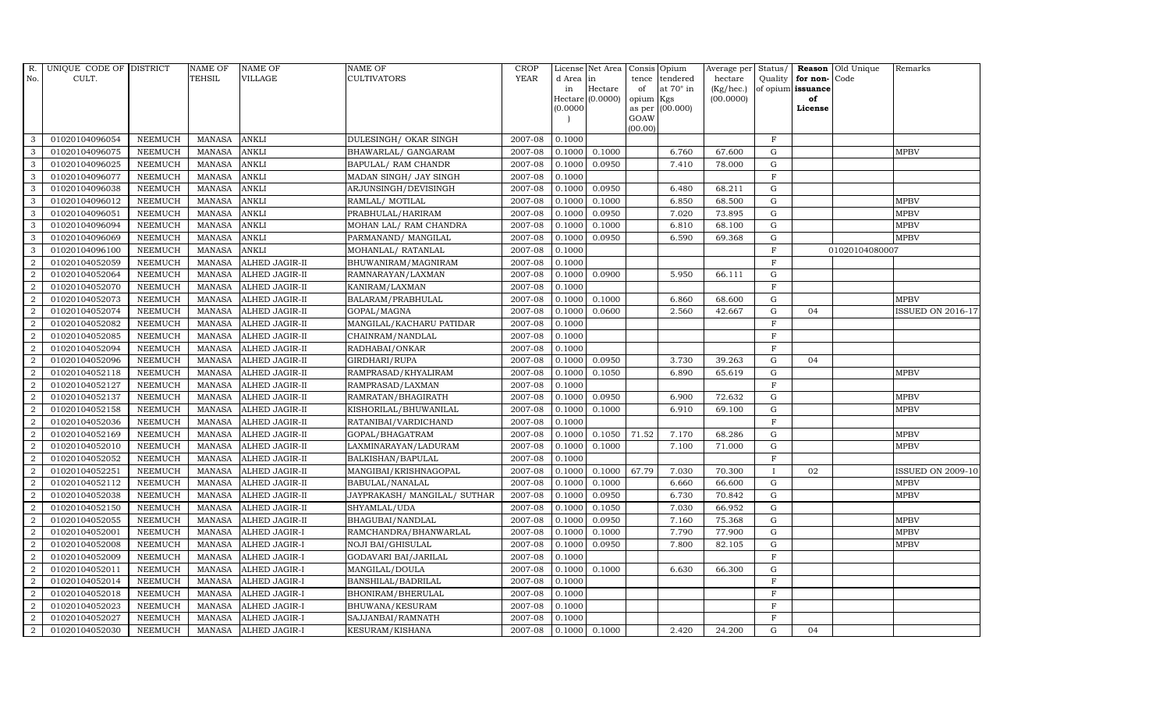| R.               | UNIQUE CODE OF DISTRICT |                | <b>NAME OF</b> | <b>NAME OF</b>        | <b>NAME OF</b>                 | CROP    |           | License Net Area   Consis   Opium |           |                  | Average per | Status/        | Reason            | Old Unique     | Remarks                  |
|------------------|-------------------------|----------------|----------------|-----------------------|--------------------------------|---------|-----------|-----------------------------------|-----------|------------------|-------------|----------------|-------------------|----------------|--------------------------|
| No.              | CULT.                   |                | <b>TEHSIL</b>  | <b>VILLAGE</b>        | <b>CULTIVATORS</b>             | YEAR    | d Area in |                                   |           | tence tendered   | hectare     | Quality        | for non-          | Code           |                          |
|                  |                         |                |                |                       |                                |         | in        | Hectare                           | of        | at $70^\circ$ in | (Kg/hec.)   |                | of opium issuance |                |                          |
|                  |                         |                |                |                       |                                |         |           | Hectare (0.0000)                  | opium Kgs |                  | (00.0000)   |                | of                |                |                          |
|                  |                         |                |                |                       |                                |         | (0.0000)  |                                   | GOAW      | as per (00.000)  |             |                | License           |                |                          |
|                  |                         |                |                |                       |                                |         |           |                                   | (00.00)   |                  |             |                |                   |                |                          |
| 3                | 01020104096054          | <b>NEEMUCH</b> | MANASA         | <b>ANKLI</b>          | DULESINGH/ OKAR SINGH          | 2007-08 | 0.1000    |                                   |           |                  |             | $\mathbf F$    |                   |                |                          |
| 3                | 01020104096075          | <b>NEEMUCH</b> | <b>MANASA</b>  | <b>ANKLI</b>          | BHAWARLAL/ GANGARAM            | 2007-08 | 0.1000    | 0.1000                            |           | 6.760            | 67.600      | $\mathbf G$    |                   |                | <b>MPBV</b>              |
| 3                | 01020104096025          | <b>NEEMUCH</b> | <b>MANASA</b>  | <b>ANKLI</b>          | BAPULAL/ RAM CHANDR            | 2007-08 | 0.1000    | 0.0950                            |           | 7.410            | 78.000      | G              |                   |                |                          |
| 3                | 01020104096077          | <b>NEEMUCH</b> | <b>MANASA</b>  | <b>ANKLI</b>          | MADAN SINGH/ JAY SINGH         | 2007-08 | 0.1000    |                                   |           |                  |             | $\overline{F}$ |                   |                |                          |
| 3                | 01020104096038          | <b>NEEMUCH</b> | <b>MANASA</b>  | <b>ANKLI</b>          | ARJUNSINGH/DEVISINGH           | 2007-08 | 0.1000    | 0.0950                            |           | 6.480            | 68.211      | ${\rm G}$      |                   |                |                          |
| $\mathbf{3}$     | 01020104096012          | <b>NEEMUCH</b> | MANASA         | <b>ANKLI</b>          | RAMLAL/ MOTILAL                | 2007-08 | 0.1000    | 0.1000                            |           | 6.850            | 68.500      | $\mathbf G$    |                   |                | <b>MPBV</b>              |
| 3                | 01020104096051          | <b>NEEMUCH</b> | <b>MANASA</b>  | <b>ANKLI</b>          | PRABHULAL/HARIRAM              | 2007-08 | 0.1000    | 0.0950                            |           | 7.020            | 73.895      | $\mathbf G$    |                   |                | <b>MPBV</b>              |
| 3                | 01020104096094          | <b>NEEMUCH</b> | <b>MANASA</b>  | <b>ANKLI</b>          | MOHAN LAL/ RAM CHANDRA         | 2007-08 | 0.1000    | 0.1000                            |           | 6.810            | 68.100      | $\mathbf G$    |                   |                | <b>MPBV</b>              |
| 3                | 01020104096069          | <b>NEEMUCH</b> | <b>MANASA</b>  | <b>ANKLI</b>          | PARMANAND/ MANGILAL            | 2007-08 | 0.1000    | 0.0950                            |           | 6.590            | 69.368      | $\mathbf G$    |                   |                | <b>MPBV</b>              |
| 3                | 01020104096100          | <b>NEEMUCH</b> | <b>MANASA</b>  | <b>ANKLI</b>          | MOHANLAL/ RATANLAL             | 2007-08 | 0.1000    |                                   |           |                  |             | $\mathbf F$    |                   | 01020104080007 |                          |
| $\overline{a}$   | 01020104052059          | <b>NEEMUCH</b> | <b>MANASA</b>  | ALHED JAGIR-II        | BHUWANIRAM/MAGNIRAM            | 2007-08 | 0.1000    |                                   |           |                  |             | $\mathbf F$    |                   |                |                          |
| $\overline{2}$   | 01020104052064          | <b>NEEMUCH</b> | <b>MANASA</b>  | ALHED JAGIR-II        | RAMNARAYAN/LAXMAN              | 2007-08 | 0.1000    | 0.0900                            |           | 5.950            | 66.111      | $\mathbf G$    |                   |                |                          |
| 2                | 01020104052070          | <b>NEEMUCH</b> | <b>MANASA</b>  | ALHED JAGIR-II        | KANIRAM/LAXMAN                 | 2007-08 | 0.1000    |                                   |           |                  |             | $\mathbf F$    |                   |                |                          |
| $\overline{2}$   | 01020104052073          | <b>NEEMUCH</b> | <b>MANASA</b>  | ALHED JAGIR-II        | BALARAM/PRABHULAL              | 2007-08 | 0.1000    | 0.1000                            |           | 6.860            | 68.600      | $\mathbf G$    |                   |                | <b>MPBV</b>              |
| $\overline{2}$   | 01020104052074          | <b>NEEMUCH</b> | <b>MANASA</b>  | ALHED JAGIR-II        | GOPAL/MAGNA                    | 2007-08 | 0.1000    | 0.0600                            |           | 2.560            | 42.667      | G              | 04                |                | <b>ISSUED ON 2016-17</b> |
| $\overline{2}$   | 01020104052082          | <b>NEEMUCH</b> | <b>MANASA</b>  | <b>ALHED JAGIR-II</b> | MANGILAL/KACHARU PATIDAR       | 2007-08 | 0.1000    |                                   |           |                  |             | $\rm F$        |                   |                |                          |
| 2                | 01020104052085          | <b>NEEMUCH</b> | <b>MANASA</b>  | ALHED JAGIR-II        | CHAINRAM/NANDLAL               | 2007-08 | 0.1000    |                                   |           |                  |             | $\mathbf F$    |                   |                |                          |
| 2                | 01020104052094          | <b>NEEMUCH</b> | MANASA         | <b>ALHED JAGIR-II</b> | RADHABAI/ONKAR                 | 2007-08 | 0.1000    |                                   |           |                  |             | $\mathbf F$    |                   |                |                          |
| $\overline{2}$   | 01020104052096          | <b>NEEMUCH</b> | <b>MANASA</b>  | <b>ALHED JAGIR-II</b> | GIRDHARI/RUPA                  | 2007-08 | 0.1000    | 0.0950                            |           | 3.730            | 39.263      | $\mathbf G$    | 04                |                |                          |
| $\overline{2}$   | 01020104052118          | <b>NEEMUCH</b> | <b>MANASA</b>  | ALHED JAGIR-II        | RAMPRASAD/KHYALIRAM            | 2007-08 | 0.1000    | 0.1050                            |           | 6.890            | 65.619      | $\mathbf G$    |                   |                | <b>MPBV</b>              |
| $\overline{2}$   | 01020104052127          | <b>NEEMUCH</b> | <b>MANASA</b>  | <b>ALHED JAGIR-II</b> | RAMPRASAD/LAXMAN               | 2007-08 | 0.1000    |                                   |           |                  |             | $\mathbf F$    |                   |                |                          |
| $\overline{a}$   | 01020104052137          | <b>NEEMUCH</b> | <b>MANASA</b>  | ALHED JAGIR-II        | RAMRATAN/BHAGIRATH             | 2007-08 | 0.1000    | 0.0950                            |           | 6.900            | 72.632      | $\mathbf G$    |                   |                | <b>MPBV</b>              |
| $\overline{a}$   | 01020104052158          | <b>NEEMUCH</b> | MANASA         | <b>ALHED JAGIR-II</b> | KISHORILAL/BHUWANILAL          | 2007-08 | 0.1000    | 0.1000                            |           | 6.910            | 69.100      | G              |                   |                | <b>MPBV</b>              |
| $\overline{2}$   | 01020104052036          | <b>NEEMUCH</b> | <b>MANASA</b>  | ALHED JAGIR-II        | RATANIBAI/VARDICHAND           | 2007-08 | 0.1000    |                                   |           |                  |             | $\mathbf F$    |                   |                |                          |
| $\boldsymbol{2}$ | 01020104052169          | <b>NEEMUCH</b> | <b>MANASA</b>  | ALHED JAGIR-II        | GOPAL/BHAGATRAM                | 2007-08 | 0.1000    | 0.1050                            | 71.52     | 7.170            | 68.286      | $\mathbf G$    |                   |                | <b>MPBV</b>              |
| $\overline{2}$   | 01020104052010          | <b>NEEMUCH</b> | <b>MANASA</b>  | ALHED JAGIR-II        | LAXMINARAYAN/LADURAM           | 2007-08 | 0.1000    | 0.1000                            |           | 7.100            | 71.000      | G              |                   |                | <b>MPBV</b>              |
| $\overline{a}$   | 01020104052052          | <b>NEEMUCH</b> | <b>MANASA</b>  | ALHED JAGIR-II        | BALKISHAN/BAPULAL              | 2007-08 | 0.1000    |                                   |           |                  |             | $\rm F$        |                   |                |                          |
| 2                | 01020104052251          | <b>NEEMUCH</b> | <b>MANASA</b>  | ALHED JAGIR-II        | MANGIBAI/KRISHNAGOPAL          | 2007-08 | 0.1000    | 0.1000                            | 67.79     | 7.030            | 70.300      | $\mathbf{I}$   | 02                |                | <b>ISSUED ON 2009-10</b> |
| 2                | 01020104052112          | <b>NEEMUCH</b> | <b>MANASA</b>  | <b>ALHED JAGIR-II</b> | BABULAL/NANALAL                | 2007-08 | 0.1000    | 0.1000                            |           | 6.660            | 66.600      | $\mathbf G$    |                   |                | <b>MPBV</b>              |
| $\overline{2}$   | 01020104052038          | <b>NEEMUCH</b> | <b>MANASA</b>  | ALHED JAGIR-II        | JAYPRAKASH / MANGILAL / SUTHAR | 2007-08 | 0.1000    | 0.0950                            |           | 6.730            | 70.842      | $\mathbf G$    |                   |                | <b>MPBV</b>              |
| $\overline{2}$   | 01020104052150          | <b>NEEMUCH</b> | <b>MANASA</b>  | <b>ALHED JAGIR-II</b> | SHYAMLAL/UDA                   | 2007-08 | 0.1000    | 0.1050                            |           | 7.030            | 66.952      | G              |                   |                |                          |
| $\overline{a}$   | 01020104052055          | <b>NEEMUCH</b> | <b>MANASA</b>  | ALHED JAGIR-II        | BHAGUBAI/NANDLAL               | 2007-08 | 0.1000    | 0.0950                            |           | 7.160            | 75.368      | ${\rm G}$      |                   |                | <b>MPBV</b>              |
| $\overline{2}$   | 01020104052001          | <b>NEEMUCH</b> | <b>MANASA</b>  | <b>ALHED JAGIR-I</b>  | RAMCHANDRA/BHANWARLAL          | 2007-08 | 0.1000    | 0.1000                            |           | 7.790            | 77.900      | $\mathbf G$    |                   |                | <b>MPBV</b>              |
| 2                | 01020104052008          | <b>NEEMUCH</b> | <b>MANASA</b>  | <b>ALHED JAGIR-I</b>  | <b>NOJI BAI/GHISULAL</b>       | 2007-08 | 0.1000    | 0.0950                            |           | 7.800            | 82.105      | $\mathbf G$    |                   |                | <b>MPBV</b>              |
| $\overline{2}$   | 01020104052009          | <b>NEEMUCH</b> | <b>MANASA</b>  | ALHED JAGIR-I         | <b>GODAVARI BAI/JARILAL</b>    | 2007-08 | 0.1000    |                                   |           |                  |             | $\mathbf F$    |                   |                |                          |
| $\overline{a}$   | 01020104052011          | <b>NEEMUCH</b> | <b>MANASA</b>  | ALHED JAGIR-I         | MANGILAL/DOULA                 | 2007-08 | 0.1000    | 0.1000                            |           | 6.630            | 66.300      | G              |                   |                |                          |
| $\overline{2}$   | 01020104052014          | <b>NEEMUCH</b> | <b>MANASA</b>  | ALHED JAGIR-I         | BANSHILAL/BADRILAL             | 2007-08 | 0.1000    |                                   |           |                  |             | $\mathbf F$    |                   |                |                          |
| $\overline{a}$   | 01020104052018          | <b>NEEMUCH</b> | <b>MANASA</b>  | ALHED JAGIR-I         | BHONIRAM/BHERULAL              | 2007-08 | 0.1000    |                                   |           |                  |             | $\mathbf F$    |                   |                |                          |
| $\overline{2}$   | 01020104052023          | <b>NEEMUCH</b> | <b>MANASA</b>  | ALHED JAGIR-I         | BHUWANA/KESURAM                | 2007-08 | 0.1000    |                                   |           |                  |             | $\mathbf F$    |                   |                |                          |
| 2                | 01020104052027          | <b>NEEMUCH</b> | <b>MANASA</b>  | ALHED JAGIR-I         | SAJJANBAI/RAMNATH              | 2007-08 | 0.1000    |                                   |           |                  |             | $\mathbf F$    |                   |                |                          |
| $\overline{a}$   | 01020104052030          | <b>NEEMUCH</b> | MANASA         | <b>ALHED JAGIR-I</b>  | KESURAM/KISHANA                | 2007-08 |           | $0.1000$ 0.1000                   |           | 2.420            | 24.200      | G              | 04                |                |                          |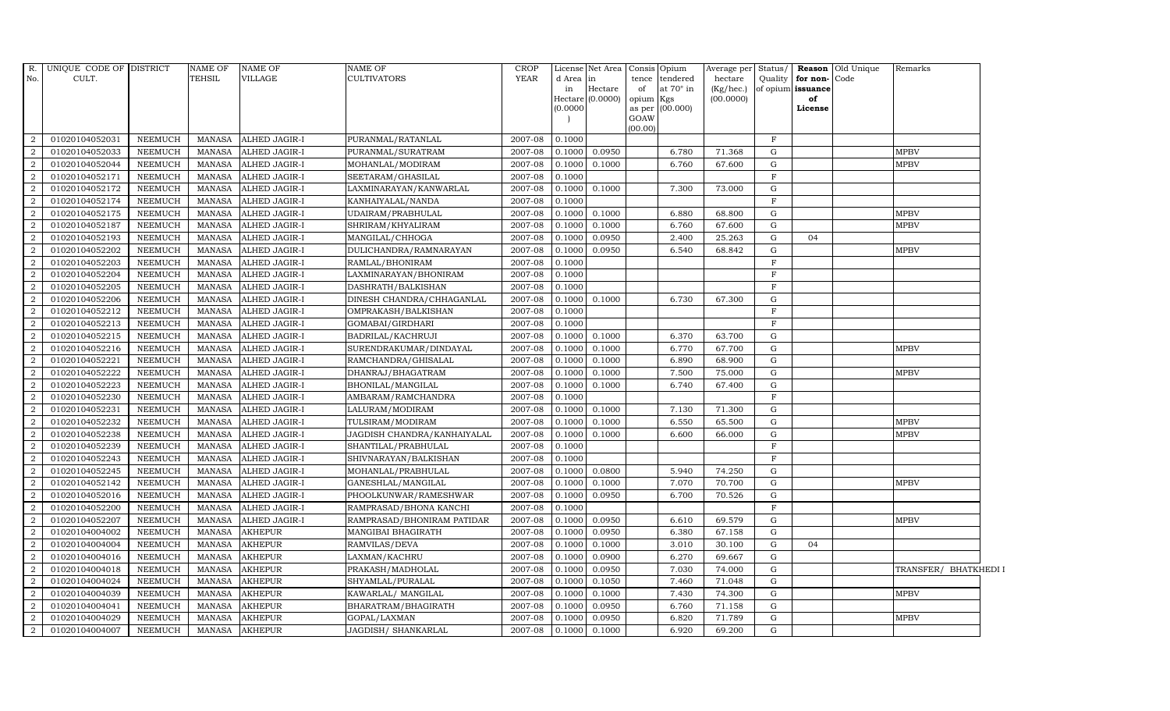| $R$ .<br>No.   | UNIQUE CODE OF DISTRICT<br>CULT. |                | <b>NAME OF</b><br><b>TEHSIL</b> | <b>NAME OF</b><br>VILLAGE | NAME OF<br>CULTIVATORS      | <b>CROP</b><br><b>YEAR</b> | d Area in<br>in<br>0.0000 | License Net Area Consis Opium<br>Hectare<br>Hectare (0.0000) | tence<br>of<br>opium Kgs<br>as per<br>GOAW<br>(00.00) | tendered<br>at $70^\circ$ in<br>(00.000) | Average per Status/<br>hectare<br>(Kg/hec.)<br>(00.0000) | Quality      | for non-Code<br>of opium issuance<br>of<br>License | Reason Old Unique | Remarks               |
|----------------|----------------------------------|----------------|---------------------------------|---------------------------|-----------------------------|----------------------------|---------------------------|--------------------------------------------------------------|-------------------------------------------------------|------------------------------------------|----------------------------------------------------------|--------------|----------------------------------------------------|-------------------|-----------------------|
| 2              | 01020104052031                   | <b>NEEMUCH</b> | MANASA                          | ALHED JAGIR-I             | PURANMAL/RATANLAL           | 2007-08                    | 0.1000                    |                                                              |                                                       |                                          |                                                          | F            |                                                    |                   |                       |
| $\overline{2}$ | 01020104052033                   | <b>NEEMUCH</b> | MANASA                          | ALHED JAGIR-I             | PURANMAL/SURATRAM           | 2007-08                    | 0.1000                    | 0.0950                                                       |                                                       | 6.780                                    | 71.368                                                   | G            |                                                    |                   | ${\tt MPBV}$          |
| $\mathcal{D}$  | 01020104052044                   | <b>NEEMUCH</b> | <b>MANASA</b>                   | ALHED JAGIR-I             | MOHANLAL/MODIRAM            | 2007-08                    | 0.1000                    | 0.1000                                                       |                                                       | 6.760                                    | 67.600                                                   | G            |                                                    |                   | <b>MPBV</b>           |
|                | 01020104052171                   | <b>NEEMUCH</b> | <b>MANASA</b>                   | ALHED JAGIR-I             | SEETARAM/GHASILAL           | 2007-08                    | 0.1000                    |                                                              |                                                       |                                          |                                                          | $\mathbf F$  |                                                    |                   |                       |
| $\overline{2}$ | 01020104052172                   | <b>NEEMUCH</b> | <b>MANASA</b>                   | ALHED JAGIR-I             | LAXMINARAYAN/KANWARLAL      | 2007-08                    | 0.1000                    | 0.1000                                                       |                                                       | 7.300                                    | 73.000                                                   | G            |                                                    |                   |                       |
| $\overline{2}$ | 01020104052174                   | NEEMUCH        | <b>MANASA</b>                   | ALHED JAGIR-I             | KANHAIYALAL/NANDA           | 2007-08                    | 0.1000                    |                                                              |                                                       |                                          |                                                          | F            |                                                    |                   |                       |
| $\overline{2}$ | 01020104052175                   | <b>NEEMUCH</b> | <b>MANASA</b>                   | ALHED JAGIR-I             | UDAIRAM/PRABHULAL           | 2007-08                    | 0.1000                    | 0.1000                                                       |                                                       | 6.880                                    | 68.800                                                   | G            |                                                    |                   | <b>MPBV</b>           |
| 2              | 01020104052187                   | <b>NEEMUCH</b> | <b>MANASA</b>                   | ALHED JAGIR-I             | SHRIRAM/KHYALIRAM           | 2007-08                    | 0.1000                    | 0.1000                                                       |                                                       | 6.760                                    | 67.600                                                   | G            |                                                    |                   | <b>MPBV</b>           |
|                | 01020104052193                   | <b>NEEMUCH</b> | <b>MANASA</b>                   | ALHED JAGIR-I             | MANGILAL/CHHOGA             | 2007-08                    | 0.1000                    | 0.0950                                                       |                                                       | 2.400                                    | 25.263                                                   | G            | 04                                                 |                   |                       |
| $\overline{2}$ | 01020104052202                   | <b>NEEMUCH</b> | <b>MANASA</b>                   | ALHED JAGIR-I             | DULICHANDRA/RAMNARAYAN      | 2007-08                    | 0.1000                    | 0.0950                                                       |                                                       | 6.540                                    | 68.842                                                   | G            |                                                    |                   | <b>MPBV</b>           |
| 2              | 01020104052203                   | NEEMUCH        | <b>MANASA</b>                   | ALHED JAGIR-I             | RAMLAL/BHONIRAM             | 2007-08                    | 0.1000                    |                                                              |                                                       |                                          |                                                          | $\mathbf{F}$ |                                                    |                   |                       |
| $\overline{2}$ | 01020104052204                   | <b>NEEMUCH</b> | <b>MANASA</b>                   | ALHED JAGIR-I             | LAXMINARAYAN/BHONIRAM       | 2007-08                    | 0.1000                    |                                                              |                                                       |                                          |                                                          | $\mathbf{F}$ |                                                    |                   |                       |
| 2              | 01020104052205                   | <b>NEEMUCH</b> | <b>MANASA</b>                   | ALHED JAGIR-I             | DASHRATH/BALKISHAN          | 2007-08                    | 0.1000                    |                                                              |                                                       |                                          |                                                          | $\mathbf{F}$ |                                                    |                   |                       |
| $\overline{2}$ | 01020104052206                   | <b>NEEMUCH</b> | <b>MANASA</b>                   | ALHED JAGIR-I             | DINESH CHANDRA/CHHAGANLAL   | 2007-08                    | 0.1000                    | 0.1000                                                       |                                                       | 6.730                                    | 67.300                                                   | G            |                                                    |                   |                       |
| $\overline{2}$ | 01020104052212                   | <b>NEEMUCH</b> | <b>MANASA</b>                   | ALHED JAGIR-I             | OMPRAKASH/BALKISHAN         | 2007-08                    | 0.1000                    |                                                              |                                                       |                                          |                                                          | $\mathbf F$  |                                                    |                   |                       |
| $\overline{2}$ | 01020104052213                   | <b>NEEMUCH</b> | <b>MANASA</b>                   | ALHED JAGIR-I             | GOMABAI/GIRDHARI            | 2007-08                    | 0.1000                    |                                                              |                                                       |                                          |                                                          | $\mathbf{F}$ |                                                    |                   |                       |
| 2              | 01020104052215                   | <b>NEEMUCH</b> | <b>MANASA</b>                   | ALHED JAGIR-I             | BADRILAL/KACHRUJI           | 2007-08                    | 0.1000                    | 0.1000                                                       |                                                       | 6.370                                    | 63.700                                                   | G            |                                                    |                   |                       |
| 2              | 01020104052216                   | <b>NEEMUCH</b> | MANASA                          | ALHED JAGIR-I             | SURENDRAKUMAR/DINDAYAL      | 2007-08                    | 0.1000                    | 0.1000                                                       |                                                       | 6.770                                    | 67.700                                                   | G            |                                                    |                   | <b>MPBV</b>           |
| $\mathcal{D}$  | 01020104052221                   | <b>NEEMUCH</b> | <b>MANASA</b>                   | ALHED JAGIR-I             | RAMCHANDRA/GHISALAL         | 2007-08                    | 0.1000                    | 0.1000                                                       |                                                       | 6.890                                    | 68.900                                                   | G            |                                                    |                   |                       |
| $\overline{2}$ | 01020104052222                   | <b>NEEMUCH</b> | <b>MANASA</b>                   | ALHED JAGIR-I             | DHANRAJ/BHAGATRAM           | 2007-08                    | 0.1000                    | 0.1000                                                       |                                                       | 7.500                                    | 75.000                                                   | G            |                                                    |                   | <b>MPBV</b>           |
| $\overline{2}$ | 01020104052223                   | <b>NEEMUCH</b> | <b>MANASA</b>                   | ALHED JAGIR-I             | BHONILAL/MANGILAL           | 2007-08                    | 0.1000                    | 0.1000                                                       |                                                       | 6.740                                    | 67.400                                                   | G            |                                                    |                   |                       |
| $\overline{2}$ | 01020104052230                   | <b>NEEMUCH</b> | <b>MANASA</b>                   | ALHED JAGIR-I             | AMBARAM/RAMCHANDRA          | 2007-08                    | 0.1000                    |                                                              |                                                       |                                          |                                                          | F            |                                                    |                   |                       |
| $\overline{2}$ | 01020104052231                   | <b>NEEMUCH</b> | MANASA                          | ALHED JAGIR-I             | LALURAM/MODIRAM             | 2007-08                    | 0.1000                    | 0.1000                                                       |                                                       | 7.130                                    | 71.300                                                   | G            |                                                    |                   |                       |
| $\overline{2}$ | 01020104052232                   | <b>NEEMUCH</b> | <b>MANASA</b>                   | ALHED JAGIR-I             | TULSIRAM/MODIRAM            | 2007-08                    | 0.1000                    | 0.1000                                                       |                                                       | 6.550                                    | 65.500                                                   | G            |                                                    |                   | <b>MPBV</b>           |
| $\overline{2}$ | 01020104052238                   | <b>NEEMUCH</b> | <b>MANASA</b>                   | ALHED JAGIR-I             | JAGDISH CHANDRA/KANHAIYALAL | 2007-08                    | 0.1000                    | 0.1000                                                       |                                                       | 6.600                                    | 66.000                                                   | G            |                                                    |                   | <b>MPBV</b>           |
| $\overline{2}$ | 01020104052239                   | <b>NEEMUCH</b> | <b>MANASA</b>                   | ALHED JAGIR-I             | SHANTILAL/PRABHULAL         | 2007-08                    | 0.1000                    |                                                              |                                                       |                                          |                                                          | $\mathbf F$  |                                                    |                   |                       |
| 2              | 01020104052243                   | <b>NEEMUCH</b> | <b>MANASA</b>                   | ALHED JAGIR-I             | SHIVNARAYAN/BALKISHAN       | 2007-08                    | 0.1000                    |                                                              |                                                       |                                          |                                                          | $\mathbf{F}$ |                                                    |                   |                       |
| 2              | 01020104052245                   | <b>NEEMUCH</b> | MANASA                          | ALHED JAGIR-I             | MOHANLAL/PRABHULAL          | 2007-08                    | 0.1000                    | 0.0800                                                       |                                                       | 5.940                                    | 74.250                                                   | G            |                                                    |                   |                       |
| 2              | 01020104052142                   | <b>NEEMUCH</b> | <b>MANASA</b>                   | ALHED JAGIR-I             | GANESHLAL/MANGILAL          | 2007-08                    | 0.1000                    | 0.1000                                                       |                                                       | 7.070                                    | 70.700                                                   | G            |                                                    |                   | <b>MPBV</b>           |
| $\overline{2}$ | 01020104052016                   | <b>NEEMUCH</b> | <b>MANASA</b>                   | ALHED JAGIR-I             | PHOOLKUNWAR/RAMESHWAR       | 2007-08                    | 0.1000                    | 0.0950                                                       |                                                       | 6.700                                    | 70.526                                                   | G            |                                                    |                   |                       |
| 2              | 01020104052200                   | <b>NEEMUCH</b> | <b>MANASA</b>                   | ALHED JAGIR-I             | RAMPRASAD/BHONA KANCHI      | 2007-08                    | 0.1000                    |                                                              |                                                       |                                          |                                                          | $\mathbf{F}$ |                                                    |                   |                       |
| 2              | 01020104052207                   | <b>NEEMUCH</b> | <b>MANASA</b>                   | ALHED JAGIR-I             | RAMPRASAD/BHONIRAM PATIDAR  | 2007-08                    | 0.1000                    | 0.0950                                                       |                                                       | 6.610                                    | 69.579                                                   | G            |                                                    |                   | <b>MPBV</b>           |
| 2              | 01020104004002                   | <b>NEEMUCH</b> | <b>MANASA</b>                   | <b>AKHEPUR</b>            | MANGIBAI BHAGIRATH          | 2007-08                    | 0.1000                    | 0.0950                                                       |                                                       | 6.380                                    | 67.158                                                   | G            |                                                    |                   |                       |
| 2              | 01020104004004                   | <b>NEEMUCH</b> | <b>MANASA</b>                   | <b>AKHEPUR</b>            | RAMVILAS/DEVA               | 2007-08                    | 0.1000                    | 0.1000                                                       |                                                       | 3.010                                    | 30.100                                                   | G            | 04                                                 |                   |                       |
|                | 01020104004016                   | <b>NEEMUCH</b> | <b>MANASA</b>                   | <b>AKHEPUR</b>            | LAXMAN/KACHRU               | 2007-08                    | 0.1000                    | 0.0900                                                       |                                                       | 6.270                                    | 69.667                                                   | G            |                                                    |                   |                       |
| 2              | 01020104004018                   | <b>NEEMUCH</b> | <b>MANASA</b>                   | AKHEPUR                   | PRAKASH/MADHOLAL            | 2007-08                    | 0.1000                    | 0.0950                                                       |                                                       | 7.030                                    | 74.000                                                   | G            |                                                    |                   | TRANSFER/ BHATKHEDI I |
| $\overline{2}$ | 01020104004024                   | <b>NEEMUCH</b> | <b>MANASA</b>                   | AKHEPUR                   | SHYAMLAL/PURALAL            | 2007-08                    | 0.1000                    | 0.1050                                                       |                                                       | 7.460                                    | 71.048                                                   | G            |                                                    |                   |                       |
| $\overline{2}$ | 01020104004039                   | <b>NEEMUCH</b> | <b>MANASA</b>                   | <b>AKHEPUR</b>            | KAWARLAL/MANGILAL           | 2007-08                    | 0.1000                    | 0.1000                                                       |                                                       | 7.430                                    | 74.300                                                   | G            |                                                    |                   | <b>MPBV</b>           |
| $\overline{2}$ | 01020104004041                   | <b>NEEMUCH</b> | <b>MANASA</b>                   | <b>AKHEPUR</b>            | BHARATRAM/BHAGIRATH         | 2007-08                    | 0.1000                    | 0.0950                                                       |                                                       | 6.760                                    | 71.158                                                   | G            |                                                    |                   |                       |
| $\overline{2}$ | 01020104004029                   | <b>NEEMUCH</b> | <b>MANASA</b>                   | <b>AKHEPUR</b>            | GOPAL/LAXMAN                | 2007-08                    | 0.1000                    | 0.0950                                                       |                                                       | 6.820                                    | 71.789                                                   | G            |                                                    |                   | <b>MPBV</b>           |
| $\overline{2}$ | 01020104004007                   | <b>NEEMUCH</b> | MANASA                          | <b>AKHEPUR</b>            | JAGDISH/ SHANKARLAL         | 2007-08                    | 0.1000                    | 0.1000                                                       |                                                       | 6.920                                    | 69.200                                                   | G            |                                                    |                   |                       |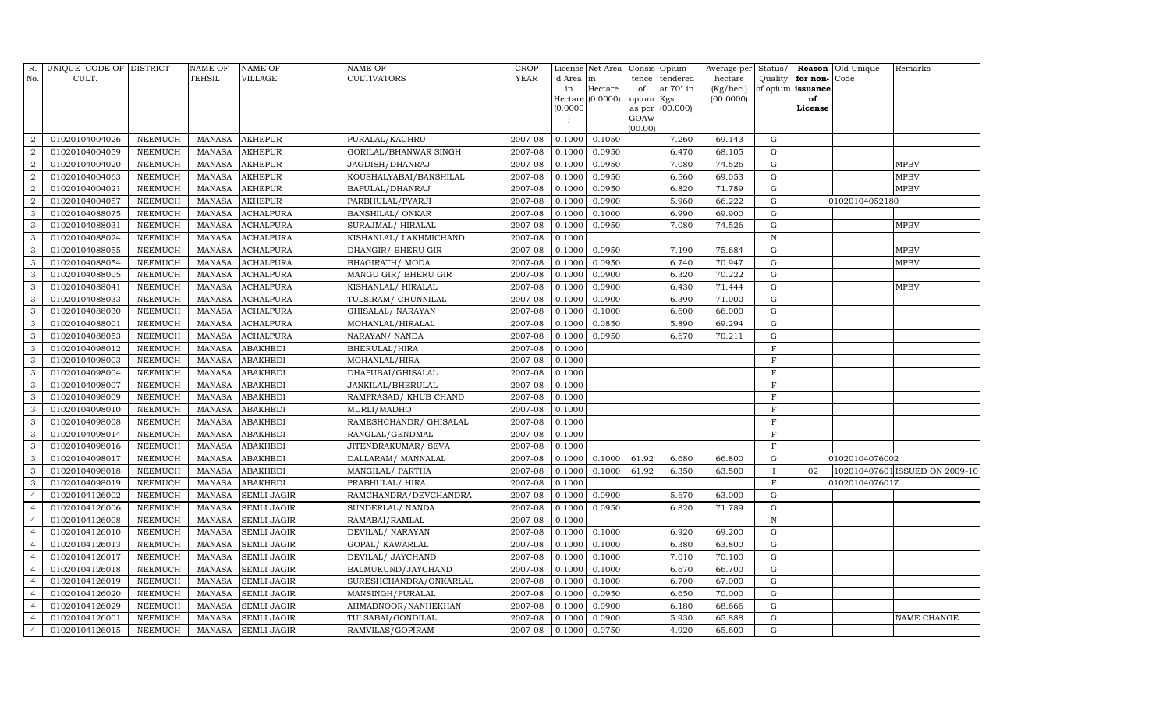| R.             | UNIQUE CODE OF DISTRICT |                | <b>NAME OF</b> | <b>NAME OF</b>     | NAME OF                 | <b>CROP</b> |           | License Net Area |                 | Consis Opium     | Average per | Status/      |                   | Reason Old Unique | Remarks                        |
|----------------|-------------------------|----------------|----------------|--------------------|-------------------------|-------------|-----------|------------------|-----------------|------------------|-------------|--------------|-------------------|-------------------|--------------------------------|
| No.            | CULT.                   |                | <b>TEHSIL</b>  | VILLAGE            | CULTIVATORS             | <b>YEAR</b> | d Area in |                  | tence           | tendered         | hectare     | Quality      | for non-Code      |                   |                                |
|                |                         |                |                |                    |                         |             | in        | Hectare          | of              | at $70^\circ$ in | (Kg/hec.)   |              | of opium issuance |                   |                                |
|                |                         |                |                |                    |                         |             | (0.0000)  | Hectare (0.0000) | opium<br>as per | Kgs<br>(00.000)  | (00.0000)   |              | of<br>License     |                   |                                |
|                |                         |                |                |                    |                         |             |           |                  | GOAW            |                  |             |              |                   |                   |                                |
|                |                         |                |                |                    |                         |             |           |                  | (00.00)         |                  |             |              |                   |                   |                                |
| $\overline{2}$ | 01020104004026          | <b>NEEMUCH</b> | MANASA         | <b>AKHEPUR</b>     | PURALAL/KACHRU          | 2007-08     | 0.1000    | 0.1050           |                 | 7.260            | 69.143      | G            |                   |                   |                                |
| 2              | 01020104004059          | <b>NEEMUCH</b> | <b>MANASA</b>  | <b>AKHEPUR</b>     | GORILAL/BHANWAR SINGH   | 2007-08     | 0.1000    | 0.0950           |                 | 6.470            | 68.105      | $\mathbf G$  |                   |                   |                                |
| 2              | 01020104004020          | <b>NEEMUCH</b> | <b>MANASA</b>  | <b>AKHEPUR</b>     | JAGDISH/DHANRAJ         | 2007-08     | 0.1000    | 0.0950           |                 | 7.080            | 74.526      | $\mathbf G$  |                   |                   | <b>MPBV</b>                    |
| $\overline{2}$ | 01020104004063          | <b>NEEMUCH</b> | <b>MANASA</b>  | <b>AKHEPUR</b>     | KOUSHALYABAI/BANSHILAL  | 2007-08     | 0.1000    | 0.0950           |                 | 6.560            | 69.053      | G            |                   |                   | <b>MPBV</b>                    |
| $\overline{a}$ | 01020104004021          | <b>NEEMUCH</b> | <b>MANASA</b>  | <b>AKHEPUR</b>     | BAPULAL/DHANRAJ         | 2007-08     | 0.1000    | 0.0950           |                 | 6.820            | 71.789      | ${\rm G}$    |                   |                   | <b>MPBV</b>                    |
| $\overline{a}$ | 01020104004057          | NEEMUCH        | <b>MANASA</b>  | <b>AKHEPUR</b>     | PARBHULAL/PYARJI        | 2007-08     | 0.1000    | 0.0900           |                 | 5.960            | 66.222      | ${\rm G}$    |                   | 01020104052180    |                                |
| 3              | 01020104088075          | <b>NEEMUCH</b> | <b>MANASA</b>  | <b>ACHALPURA</b>   | <b>BANSHILAL/ ONKAR</b> | 2007-08     | 0.1000    | 0.1000           |                 | 6.990            | 69.900      | $\mathbf G$  |                   |                   |                                |
| $\mathbf{3}$   | 01020104088031          | <b>NEEMUCH</b> | <b>MANASA</b>  | <b>ACHALPURA</b>   | SURAJMAL/HIRALAL        | 2007-08     | 0.1000    | 0.0950           |                 | 7.080            | 74.526      | $\mathbf G$  |                   |                   | <b>MPBV</b>                    |
| 3              | 01020104088024          | <b>NEEMUCH</b> | <b>MANASA</b>  | <b>ACHALPURA</b>   | KISHANLAL/ LAKHMICHAND  | 2007-08     | 0.1000    |                  |                 |                  |             | $\mathbf N$  |                   |                   |                                |
| 3              | 01020104088055          | <b>NEEMUCH</b> | <b>MANASA</b>  | <b>ACHALPURA</b>   | DHANGIR/ BHERU GIR      | 2007-08     | 0.1000    | 0.0950           |                 | 7.190            | 75.684      | $\mathbf G$  |                   |                   | <b>MPBV</b>                    |
| $\mathbf{3}$   | 01020104088054          | <b>NEEMUCH</b> | <b>MANASA</b>  | <b>ACHALPURA</b>   | BHAGIRATH/ MODA         | 2007-08     | 0.1000    | 0.0950           |                 | 6.740            | 70.947      | ${\rm G}$    |                   |                   | <b>MPBV</b>                    |
| 3              | 01020104088005          | NEEMUCH        | <b>MANASA</b>  | <b>ACHALPURA</b>   | MANGU GIR / BHERU GIR   | 2007-08     | 0.1000    | 0.0900           |                 | 6.320            | 70.222      | ${\rm G}$    |                   |                   |                                |
| 3              | 01020104088041          | <b>NEEMUCH</b> | <b>MANASA</b>  | <b>ACHALPURA</b>   | KISHANLAL/HIRALAL       | 2007-08     | 0.1000    | 0.0900           |                 | 6.430            | 71.444      | $\mathbf G$  |                   |                   | <b>MPBV</b>                    |
| 3              | 01020104088033          | <b>NEEMUCH</b> | <b>MANASA</b>  | <b>ACHALPURA</b>   | TULSIRAM/ CHUNNILAL     | 2007-08     | 0.1000    | 0.0900           |                 | 6.390            | 71.000      | $\mathbf G$  |                   |                   |                                |
| 3              | 01020104088030          | NEEMUCH        | <b>MANASA</b>  | <b>ACHALPURA</b>   | GHISALAL/ NARAYAN       | 2007-08     | 0.1000    | 0.1000           |                 | 6.600            | 66.000      | $\mathbf G$  |                   |                   |                                |
| 3              | 01020104088001          | <b>NEEMUCH</b> | <b>MANASA</b>  | <b>ACHALPURA</b>   | MOHANLAL/HIRALAL        | 2007-08     | 0.1000    | 0.0850           |                 | 5.890            | 69.294      | ${\rm G}$    |                   |                   |                                |
| 3              | 01020104088053          | <b>NEEMUCH</b> | <b>MANASA</b>  | <b>ACHALPURA</b>   | NARAYAN/ NANDA          | 2007-08     | 0.1000    | 0.0950           |                 | 6.670            | 70.211      | G            |                   |                   |                                |
| 3              | 01020104098012          | <b>NEEMUCH</b> | <b>MANASA</b>  | <b>ABAKHEDI</b>    | BHERULAL/HIRA           | 2007-08     | 0.1000    |                  |                 |                  |             | F            |                   |                   |                                |
| 3              | 01020104098003          | <b>NEEMUCH</b> | <b>MANASA</b>  | <b>ABAKHEDI</b>    | MOHANLAL/HIRA           | 2007-08     | 0.1000    |                  |                 |                  |             | $\mathbf{F}$ |                   |                   |                                |
| 3              | 01020104098004          | <b>NEEMUCH</b> | <b>MANASA</b>  | <b>ABAKHEDI</b>    | DHAPUBAI/GHISALAL       | 2007-08     | 0.1000    |                  |                 |                  |             | $\mathbf F$  |                   |                   |                                |
| 3              | 01020104098007          | <b>NEEMUCH</b> | <b>MANASA</b>  | <b>ABAKHEDI</b>    | JANKILAL/BHERULAL       | 2007-08     | 0.1000    |                  |                 |                  |             | $\mathbf F$  |                   |                   |                                |
| $\mathbf{3}$   | 01020104098009          | <b>NEEMUCH</b> | <b>MANASA</b>  | <b>ABAKHEDI</b>    | RAMPRASAD/ KHUB CHAND   | 2007-08     | 0.1000    |                  |                 |                  |             | $\mathbf F$  |                   |                   |                                |
| 3              | 01020104098010          | NEEMUCH        | <b>MANASA</b>  | <b>ABAKHEDI</b>    | MURLI/MADHO             | 2007-08     | 0.1000    |                  |                 |                  |             | $\mathbf F$  |                   |                   |                                |
| 3              | 01020104098008          | <b>NEEMUCH</b> | <b>MANASA</b>  | <b>ABAKHEDI</b>    | RAMESHCHANDR/ GHISALAL  | 2007-08     | 0.1000    |                  |                 |                  |             | F            |                   |                   |                                |
| 3              | 01020104098014          | <b>NEEMUCH</b> | <b>MANASA</b>  | <b>ABAKHEDI</b>    | RANGLAL/GENDMAL         | 2007-08     | 0.1000    |                  |                 |                  |             | $\mathbf{F}$ |                   |                   |                                |
| 3              | 01020104098016          | <b>NEEMUCH</b> | <b>MANASA</b>  | <b>ABAKHEDI</b>    | JITENDRAKUMAR/ SEVA     | 2007-08     | 0.1000    |                  |                 |                  |             | $\mathbf F$  |                   |                   |                                |
| 3              | 01020104098017          | <b>NEEMUCH</b> | <b>MANASA</b>  | <b>ABAKHEDI</b>    | DALLARAM/ MANNALAL      | 2007-08     | 0.1000    | 0.1000           | 61.92           | 6.680            | 66.800      | G            |                   | 01020104076002    |                                |
| $\mathbf{3}$   | 01020104098018          | <b>NEEMUCH</b> | <b>MANASA</b>  | <b>ABAKHEDI</b>    | MANGILAL/ PARTHA        | 2007-08     | 0.1000    | 0.1000           | 61.92           | 6.350            | 63.500      |              | 02                |                   | 102010407601 ISSUED ON 2009-10 |
| 3              | 01020104098019          | <b>NEEMUCH</b> | <b>MANASA</b>  | <b>ABAKHEDI</b>    | PRABHULAL/ HIRA         | 2007-08     | 0.1000    |                  |                 |                  |             | F            |                   | 01020104076017    |                                |
| $\overline{4}$ | 01020104126002          | NEEMUCH        | <b>MANASA</b>  | <b>SEMLI JAGIR</b> | RAMCHANDRA/DEVCHANDRA   | 2007-08     | 0.1000    | 0.0900           |                 | 5.670            | 63.000      | G            |                   |                   |                                |
| $\overline{4}$ | 01020104126006          | <b>NEEMUCH</b> | <b>MANASA</b>  | <b>SEMLI JAGIR</b> | SUNDERLAL/ NANDA        | 2007-08     | 0.1000    | 0.0950           |                 | 6.820            | 71.789      | ${\rm G}$    |                   |                   |                                |
| $\overline{4}$ | 01020104126008          | <b>NEEMUCH</b> | <b>MANASA</b>  | <b>SEMLI JAGIR</b> | RAMABAI/RAMLAL          | 2007-08     | 0.1000    |                  |                 |                  |             | ${\bf N}$    |                   |                   |                                |
| $\overline{4}$ | 01020104126010          | <b>NEEMUCH</b> | <b>MANASA</b>  | <b>SEMLI JAGIR</b> | DEVILAL/ NARAYAN        | 2007-08     | 0.1000    | 0.1000           |                 | 6.920            | 69.200      | G            |                   |                   |                                |
| $\overline{4}$ | 01020104126013          | <b>NEEMUCH</b> | <b>MANASA</b>  | <b>SEMLI JAGIR</b> | GOPAL/KAWARLAL          | 2007-08     | 0.1000    | 0.1000           |                 | 6.380            | 63.800      | $\mathbf G$  |                   |                   |                                |
| $\overline{4}$ | 01020104126017          | <b>NEEMUCH</b> | <b>MANASA</b>  | <b>SEMLI JAGIR</b> | DEVILAL/ JAYCHAND       | 2007-08     | 0.1000    | 0.1000           |                 | 7.010            | 70.100      | $\mathbf G$  |                   |                   |                                |
| $\overline{4}$ | 01020104126018          | <b>NEEMUCH</b> | <b>MANASA</b>  | <b>SEMLI JAGIR</b> | BALMUKUND/JAYCHAND      | 2007-08     | 0.1000    | 0.1000           |                 | 6.670            | 66.700      | G            |                   |                   |                                |
| $\overline{4}$ | 01020104126019          | <b>NEEMUCH</b> | <b>MANASA</b>  | <b>SEMLI JAGIR</b> | SURESHCHANDRA/ONKARLAL  | 2007-08     | 0.1000    | 0.1000           |                 | 6.700            | 67.000      | G            |                   |                   |                                |
| $\overline{4}$ | 01020104126020          | <b>NEEMUCH</b> | <b>MANASA</b>  | <b>SEMLI JAGIR</b> | MANSINGH/PURALAL        | 2007-08     | 0.1000    | 0.0950           |                 | 6.650            | 70.000      | G            |                   |                   |                                |
| $\overline{4}$ | 01020104126029          | <b>NEEMUCH</b> | <b>MANASA</b>  | <b>SEMLI JAGIR</b> | AHMADNOOR/NANHEKHAN     | 2007-08     | 0.1000    | 0.0900           |                 | 6.180            | 68.666      | $\mathbf G$  |                   |                   |                                |
| $\overline{4}$ | 01020104126001          | <b>NEEMUCH</b> | <b>MANASA</b>  | <b>SEMLI JAGIR</b> | TULSABAI/GONDILAL       | 2007-08     | 0.1000    | 0.0900           |                 | 5.930            | 65.888      | $\mathbf G$  |                   |                   | <b>NAME CHANGE</b>             |
| $\overline{4}$ | 01020104126015          | <b>NEEMUCH</b> | MANASA         | <b>SEMLI JAGIR</b> | RAMVILAS/GOPIRAM        | 2007-08     | 0.1000    | 0.0750           |                 | 4.920            | 65.600      | G            |                   |                   |                                |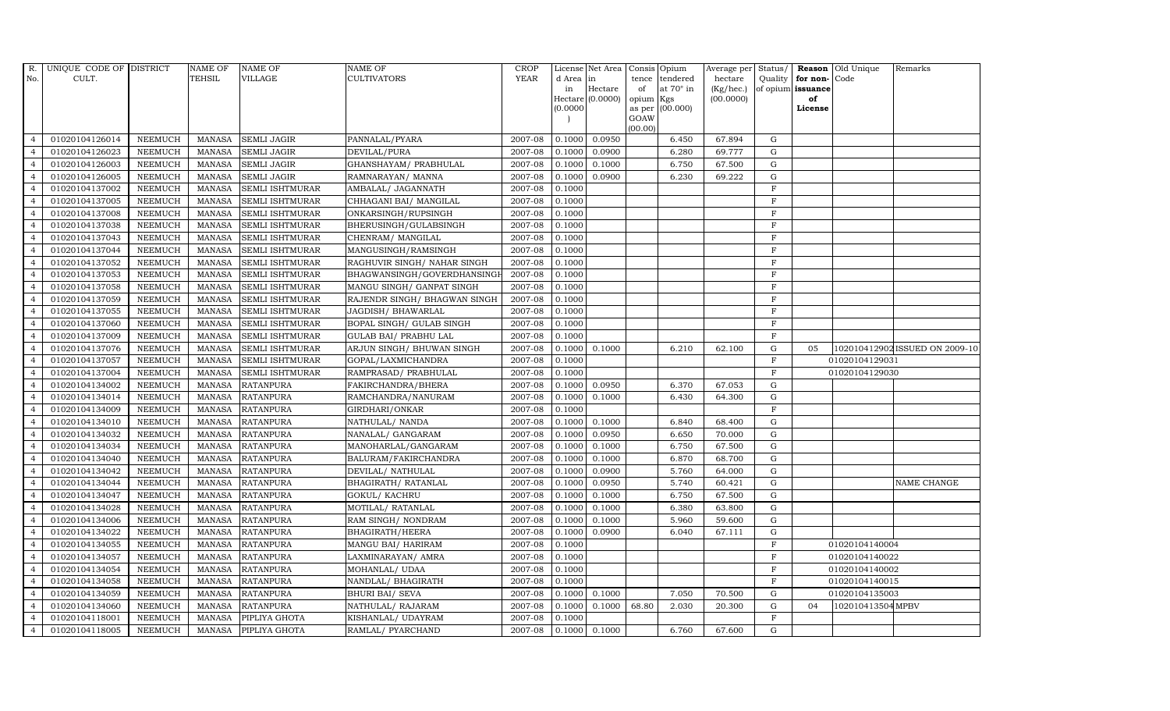| R.             | UNIQUE CODE OF DISTRICT |                | NAME OF       | <b>NAME OF</b>         | <b>NAME OF</b>                | CROP        |           | License Net Area Consis Opium |           |                  | Average per     | Status/        |                   | <b>Reason</b> Old Unique | Remarks                        |
|----------------|-------------------------|----------------|---------------|------------------------|-------------------------------|-------------|-----------|-------------------------------|-----------|------------------|-----------------|----------------|-------------------|--------------------------|--------------------------------|
| No.            | CULT.                   |                | <b>TEHSIL</b> | <b>VILLAGE</b>         | <b>CULTIVATORS</b>            | <b>YEAR</b> | d Area in |                               | tence     | tendered         | hectare         | Quality        | for non-          | Code                     |                                |
|                |                         |                |               |                        |                               |             | in        | Hectare                       | of        | at $70^\circ$ in | $(Kg/$ hec. $)$ |                | of opium issuance |                          |                                |
|                |                         |                |               |                        |                               |             | (0.0000)  | Hectare (0.0000)              | opium Kgs | as per (00.000)  | (00.0000)       |                | of<br>License     |                          |                                |
|                |                         |                |               |                        |                               |             |           |                               | GOAW      |                  |                 |                |                   |                          |                                |
|                |                         |                |               |                        |                               |             |           |                               | (00.00)   |                  |                 |                |                   |                          |                                |
| $\overline{4}$ | 01020104126014          | <b>NEEMUCH</b> | MANASA        | <b>SEMLI JAGIR</b>     | PANNALAL/PYARA                | 2007-08     | 0.1000    | 0.0950                        |           | 6.450            | 67.894          | G              |                   |                          |                                |
| $\overline{4}$ | 01020104126023          | <b>NEEMUCH</b> | <b>MANASA</b> | <b>SEMLI JAGIR</b>     | DEVILAL/PURA                  | 2007-08     | 0.1000    | 0.0900                        |           | 6.280            | 69.777          | ${\rm G}$      |                   |                          |                                |
| $\overline{4}$ | 01020104126003          | <b>NEEMUCH</b> | <b>MANASA</b> | <b>SEMLI JAGIR</b>     | GHANSHAYAM / PRABHULAL        | 2007-08     | 0.1000    | 0.1000                        |           | 6.750            | 67.500          | $\mathbf G$    |                   |                          |                                |
| $\overline{4}$ | 01020104126005          | <b>NEEMUCH</b> | <b>MANASA</b> | <b>SEMLI JAGIR</b>     | RAMNARAYAN/ MANNA             | 2007-08     | 0.1000    | 0.0900                        |           | 6.230            | 69.222          | $\mathbf G$    |                   |                          |                                |
| $\overline{4}$ | 01020104137002          | <b>NEEMUCH</b> | <b>MANASA</b> | <b>SEMLI ISHTMURAR</b> | AMBALAL/ JAGANNATH            | 2007-08     | 0.1000    |                               |           |                  |                 | $\mathbf F$    |                   |                          |                                |
| $\overline{4}$ | 01020104137005          | <b>NEEMUCH</b> | <b>MANASA</b> | SEMLI ISHTMURAR        | CHHAGANI BAI/ MANGILAL        | 2007-08     | 0.1000    |                               |           |                  |                 | $\mathbf F$    |                   |                          |                                |
| $\overline{4}$ | 01020104137008          | <b>NEEMUCH</b> | MANASA        | <b>SEMLI ISHTMURAR</b> | ONKARSINGH/RUPSINGH           | 2007-08     | 0.1000    |                               |           |                  |                 | $\rm F$        |                   |                          |                                |
| $\overline{4}$ | 01020104137038          | <b>NEEMUCH</b> | <b>MANASA</b> | <b>SEMLI ISHTMURAR</b> | BHERUSINGH/GULABSINGH         | 2007-08     | 0.1000    |                               |           |                  |                 | $\mathbf F$    |                   |                          |                                |
| $\overline{4}$ | 01020104137043          | <b>NEEMUCH</b> | <b>MANASA</b> | <b>SEMLI ISHTMURAR</b> | CHENRAM/ MANGILAL             | 2007-08     | 0.1000    |                               |           |                  |                 | $\mathbf F$    |                   |                          |                                |
| $\overline{4}$ | 01020104137044          | <b>NEEMUCH</b> | <b>MANASA</b> | <b>SEMLI ISHTMURAR</b> | MANGUSINGH/RAMSINGH           | 2007-08     | 0.1000    |                               |           |                  |                 | $\mathbf F$    |                   |                          |                                |
| $\overline{4}$ | 01020104137052          | <b>NEEMUCH</b> | <b>MANASA</b> | <b>SEMLI ISHTMURAR</b> | RAGHUVIR SINGH/ NAHAR SINGH   | 2007-08     | 0.1000    |                               |           |                  |                 | $\rm F$        |                   |                          |                                |
| $\overline{4}$ | 01020104137053          | <b>NEEMUCH</b> | <b>MANASA</b> | <b>SEMLI ISHTMURAR</b> | BHAGWANSINGH/GOVERDHANSING    | 2007-08     | 0.1000    |                               |           |                  |                 | $\rm F$        |                   |                          |                                |
| $\overline{4}$ | 01020104137058          | <b>NEEMUCH</b> | <b>MANASA</b> | <b>SEMLI ISHTMURAR</b> | MANGU SINGH/ GANPAT SINGH     | 2007-08     | 0.1000    |                               |           |                  |                 | $\mathbf F$    |                   |                          |                                |
| $\overline{4}$ | 01020104137059          | <b>NEEMUCH</b> | <b>MANASA</b> | <b>SEMLI ISHTMURAR</b> | RAJENDR SINGH / BHAGWAN SINGH | 2007-08     | 0.1000    |                               |           |                  |                 | $\mathbf F$    |                   |                          |                                |
|                | 01020104137055          | <b>NEEMUCH</b> | <b>MANASA</b> | <b>SEMLI ISHTMURAR</b> | JAGDISH / BHAWARLAL           | 2007-08     | 0.1000    |                               |           |                  |                 | $\overline{F}$ |                   |                          |                                |
| $\overline{4}$ | 01020104137060          | <b>NEEMUCH</b> | <b>MANASA</b> | <b>SEMLI ISHTMURAR</b> | BOPAL SINGH/ GULAB SINGH      | 2007-08     | 0.1000    |                               |           |                  |                 | $\rm F$        |                   |                          |                                |
| $\overline{4}$ | 01020104137009          | <b>NEEMUCH</b> | <b>MANASA</b> | <b>SEMLI ISHTMURAR</b> | <b>GULAB BAI/ PRABHU LAL</b>  | 2007-08     | 0.1000    |                               |           |                  |                 | $\mathbf F$    |                   |                          |                                |
| $\overline{4}$ | 01020104137076          | <b>NEEMUCH</b> | <b>MANASA</b> | <b>SEMLI ISHTMURAR</b> | ARJUN SINGH/ BHUWAN SINGH     | 2007-08     | 0.1000    | 0.1000                        |           | 6.210            | 62.100          | $\mathbf G$    | 05                |                          | 102010412902 ISSUED ON 2009-10 |
| $\overline{4}$ | 01020104137057          | <b>NEEMUCH</b> | <b>MANASA</b> | <b>SEMLI ISHTMURAR</b> | GOPAL/LAXMICHANDRA            | 2007-08     | 0.1000    |                               |           |                  |                 | $\mathbf F$    |                   | 01020104129031           |                                |
| $\overline{4}$ | 01020104137004          | <b>NEEMUCH</b> | <b>MANASA</b> | <b>SEMLI ISHTMURAR</b> | RAMPRASAD/ PRABHULAL          | 2007-08     | 0.1000    |                               |           |                  |                 | $_{\rm F}$     |                   | 01020104129030           |                                |
| $\overline{4}$ | 01020104134002          | <b>NEEMUCH</b> | <b>MANASA</b> | <b>RATANPURA</b>       | FAKIRCHANDRA/BHERA            | 2007-08     | 0.1000    | 0.0950                        |           | 6.370            | 67.053          | ${\rm G}$      |                   |                          |                                |
| $\overline{4}$ | 01020104134014          | <b>NEEMUCH</b> | <b>MANASA</b> | <b>RATANPURA</b>       | RAMCHANDRA/NANURAM            | 2007-08     | 0.1000    | 0.1000                        |           | 6.430            | 64.300          | $\mathbf G$    |                   |                          |                                |
| $\overline{4}$ | 01020104134009          | <b>NEEMUCH</b> | MANASA        | <b>RATANPURA</b>       | GIRDHARI/ONKAR                | 2007-08     | 0.1000    |                               |           |                  |                 | $\mathbf F$    |                   |                          |                                |
| $\overline{a}$ | 01020104134010          | <b>NEEMUCH</b> | <b>MANASA</b> | <b>RATANPURA</b>       | NATHULAL/ NANDA               | 2007-08     | 0.1000    | 0.1000                        |           | 6.840            | 68.400          | $\mathbf G$    |                   |                          |                                |
| $\overline{4}$ | 01020104134032          | <b>NEEMUCH</b> | <b>MANASA</b> | <b>RATANPURA</b>       | NANALAL/ GANGARAM             | 2007-08     | 0.1000    | 0.0950                        |           | 6.650            | 70.000          | G              |                   |                          |                                |
| $\overline{4}$ | 01020104134034          | <b>NEEMUCH</b> | MANASA        | <b>RATANPURA</b>       | MANOHARLAL/GANGARAM           | 2007-08     | 0.1000    | 0.1000                        |           | 6.750            | 67.500          | ${\rm G}$      |                   |                          |                                |
| $\overline{4}$ | 01020104134040          | <b>NEEMUCH</b> | <b>MANASA</b> | <b>RATANPURA</b>       | BALURAM/FAKIRCHANDRA          | 2007-08     | 0.1000    | 0.1000                        |           | 6.870            | 68.700          | ${\rm G}$      |                   |                          |                                |
| $\overline{4}$ | 01020104134042          | <b>NEEMUCH</b> | <b>MANASA</b> | <b>RATANPURA</b>       | DEVILAL/ NATHULAL             | 2007-08     | 0.1000    | 0.0900                        |           | 5.760            | 64.000          | $\mathbf G$    |                   |                          |                                |
| $\overline{4}$ | 01020104134044          | <b>NEEMUCH</b> | MANASA        | <b>RATANPURA</b>       | BHAGIRATH / RATANLAL          | 2007-08     | 0.1000    | 0.0950                        |           | 5.740            | 60.421          | ${\rm G}$      |                   |                          | NAME CHANGE                    |
| $\overline{4}$ | 01020104134047          | <b>NEEMUCH</b> | <b>MANASA</b> | <b>RATANPURA</b>       | <b>GOKUL/ KACHRU</b>          | 2007-08     | 0.1000    | 0.1000                        |           | 6.750            | 67.500          | $\mathbf G$    |                   |                          |                                |
| $\overline{4}$ | 01020104134028          | <b>NEEMUCH</b> | <b>MANASA</b> | <b>RATANPURA</b>       | MOTILAL/ RATANLAL             | 2007-08     | 0.1000    | 0.1000                        |           | 6.380            | 63.800          | G              |                   |                          |                                |
| $\overline{4}$ | 01020104134006          | <b>NEEMUCH</b> | <b>MANASA</b> | <b>RATANPURA</b>       | RAM SINGH/ NONDRAM            | 2007-08     | 0.1000    | 0.1000                        |           | 5.960            | 59.600          | ${\rm G}$      |                   |                          |                                |
| $\overline{4}$ | 01020104134022          | <b>NEEMUCH</b> | <b>MANASA</b> | <b>RATANPURA</b>       | BHAGIRATH/HEERA               | 2007-08     | 0.1000    | 0.0900                        |           | 6.040            | 67.111          | $\mathbf G$    |                   |                          |                                |
| $\overline{4}$ | 01020104134055          | <b>NEEMUCH</b> | MANASA        | <b>RATANPURA</b>       | MANGU BAI/ HARIRAM            | 2007-08     | 0.1000    |                               |           |                  |                 | $\mathbf F$    |                   | 01020104140004           |                                |
| $\overline{4}$ | 01020104134057          | <b>NEEMUCH</b> | <b>MANASA</b> | <b>RATANPURA</b>       | LAXMINARAYAN / AMRA           | 2007-08     | 0.1000    |                               |           |                  |                 | $\rm F$        |                   | 01020104140022           |                                |
| $\overline{4}$ | 01020104134054          | <b>NEEMUCH</b> | <b>MANASA</b> | <b>RATANPURA</b>       | MOHANLAL/ UDAA                | 2007-08     | 0.1000    |                               |           |                  |                 | $\mathbf F$    |                   | 01020104140002           |                                |
| $\overline{4}$ | 01020104134058          | <b>NEEMUCH</b> | <b>MANASA</b> | <b>RATANPURA</b>       | NANDLAL/ BHAGIRATH            | 2007-08     | 0.1000    |                               |           |                  |                 | $\rm F$        |                   | 01020104140015           |                                |
| $\overline{4}$ | 01020104134059          | <b>NEEMUCH</b> | <b>MANASA</b> | <b>RATANPURA</b>       | <b>BHURI BAI/ SEVA</b>        | 2007-08     | 0.1000    | 0.1000                        |           | 7.050            | 70.500          | $\mathbf G$    |                   | 01020104135003           |                                |
| $\overline{4}$ | 01020104134060          | <b>NEEMUCH</b> | MANASA        | <b>RATANPURA</b>       | NATHULAL/ RAJARAM             | 2007-08     | 0.1000    | 0.1000                        | 68.80     | 2.030            | 20.300          | $\mathbf G$    | 04                | 102010413504 MPBV        |                                |
| $\overline{4}$ | 01020104118001          | <b>NEEMUCH</b> | <b>MANASA</b> | PIPLIYA GHOTA          | KISHANLAL/ UDAYRAM            | 2007-08     | 0.1000    |                               |           |                  |                 | $\overline{F}$ |                   |                          |                                |
| $\overline{4}$ | 01020104118005          | <b>NEEMUCH</b> |               | MANASA PIPLIYA GHOTA   | RAMLAL/ PYARCHAND             | 2007-08     |           | $0.1000$ 0.1000               |           | 6.760            | 67.600          | G              |                   |                          |                                |
|                |                         |                |               |                        |                               |             |           |                               |           |                  |                 |                |                   |                          |                                |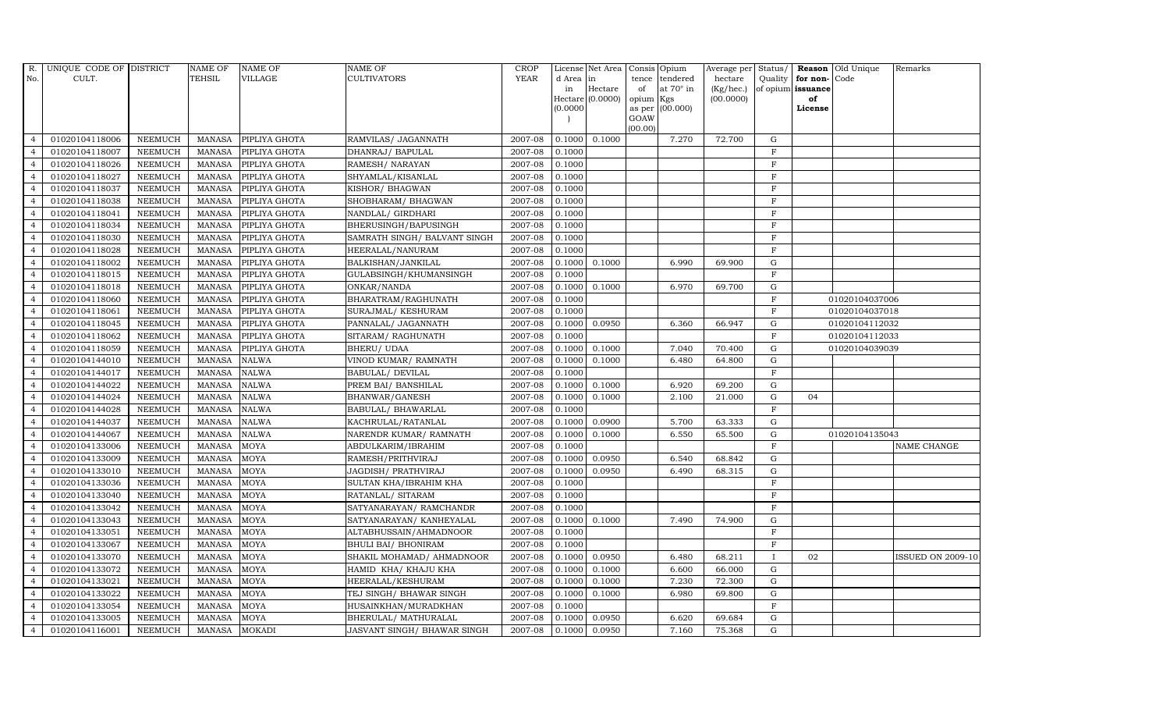| R.             | UNIQUE CODE OF DISTRICT |                | NAME OF       | <b>NAME OF</b> | <b>NAME OF</b>               | CROP        |           | License Net Area Consis Opium |           |                  | Average per     | Status/        |                   | <b>Reason</b> Old Unique | Remarks                  |
|----------------|-------------------------|----------------|---------------|----------------|------------------------------|-------------|-----------|-------------------------------|-----------|------------------|-----------------|----------------|-------------------|--------------------------|--------------------------|
| No.            | CULT.                   |                | <b>TEHSIL</b> | <b>VILLAGE</b> | <b>CULTIVATORS</b>           | <b>YEAR</b> | d Area in |                               | tence     | tendered         | hectare         | Quality        | for non-          | Code                     |                          |
|                |                         |                |               |                |                              |             | in        | Hectare                       | of        | at $70^\circ$ in | $(Kg/$ hec. $)$ |                | of opium issuance |                          |                          |
|                |                         |                |               |                |                              |             |           | Hectare (0.0000)              | opium Kgs |                  | (00.0000)       |                | of                |                          |                          |
|                |                         |                |               |                |                              |             | 0.0000    |                               | GOAW      | as per (00.000)  |                 |                | License           |                          |                          |
|                |                         |                |               |                |                              |             |           |                               | (00.00)   |                  |                 |                |                   |                          |                          |
| $\overline{4}$ | 01020104118006          | <b>NEEMUCH</b> | <b>MANASA</b> | PIPLIYA GHOTA  | RAMVILAS/ JAGANNATH          | 2007-08     | 0.1000    | 0.1000                        |           | 7.270            | 72.700          | G              |                   |                          |                          |
| $\overline{4}$ | 01020104118007          | <b>NEEMUCH</b> | MANASA        | PIPLIYA GHOTA  | DHANRAJ/ BAPULAL             | 2007-08     | 0.1000    |                               |           |                  |                 | $\rm F$        |                   |                          |                          |
| $\overline{4}$ | 01020104118026          | <b>NEEMUCH</b> | <b>MANASA</b> | PIPLIYA GHOTA  | RAMESH/ NARAYAN              | 2007-08     | 0.1000    |                               |           |                  |                 | $_{\rm F}$     |                   |                          |                          |
| $\overline{4}$ | 01020104118027          | <b>NEEMUCH</b> | MANASA        | PIPLIYA GHOTA  | SHYAMLAL/KISANLAL            | 2007-08     | 0.1000    |                               |           |                  |                 | $\overline{F}$ |                   |                          |                          |
| $\overline{4}$ | 01020104118037          | <b>NEEMUCH</b> | MANASA        | PIPLIYA GHOTA  | KISHOR/ BHAGWAN              | 2007-08     | 0.1000    |                               |           |                  |                 | $\rm F$        |                   |                          |                          |
| $\overline{4}$ | 01020104118038          | <b>NEEMUCH</b> | <b>MANASA</b> | PIPLIYA GHOTA  | SHOBHARAM / BHAGWAN          | 2007-08     | 0.1000    |                               |           |                  |                 | $\rm F$        |                   |                          |                          |
| $\overline{4}$ | 01020104118041          | <b>NEEMUCH</b> | MANASA        | PIPLIYA GHOTA  | NANDLAL/ GIRDHARI            | 2007-08     | 0.1000    |                               |           |                  |                 | $\rm F$        |                   |                          |                          |
| $\overline{4}$ | 01020104118034          | <b>NEEMUCH</b> | <b>MANASA</b> | PIPLIYA GHOTA  | BHERUSINGH/BAPUSINGH         | 2007-08     | 0.1000    |                               |           |                  |                 | $_{\rm F}$     |                   |                          |                          |
| $\overline{4}$ | 01020104118030          | <b>NEEMUCH</b> | <b>MANASA</b> | PIPLIYA GHOTA  | SAMRATH SINGH/ BALVANT SINGH | 2007-08     | 0.1000    |                               |           |                  |                 | $\overline{F}$ |                   |                          |                          |
| $\overline{4}$ | 01020104118028          | <b>NEEMUCH</b> | MANASA        | PIPLIYA GHOTA  | HEERALAL/NANURAM             | 2007-08     | 0.1000    |                               |           |                  |                 | $\mathbf F$    |                   |                          |                          |
| $\overline{4}$ | 01020104118002          | <b>NEEMUCH</b> | <b>MANASA</b> | PIPLIYA GHOTA  | BALKISHAN/JANKILAL           | 2007-08     |           | $0.1000$ $0.1000$             |           | 6.990            | 69.900          | G              |                   |                          |                          |
| $\overline{4}$ | 01020104118015          | <b>NEEMUCH</b> | <b>MANASA</b> | PIPLIYA GHOTA  | GULABSINGH/KHUMANSINGH       | 2007-08     | 0.1000    |                               |           |                  |                 | $\rm F$        |                   |                          |                          |
| $\overline{4}$ | 01020104118018          | <b>NEEMUCH</b> | MANASA        | PIPLIYA GHOTA  | ONKAR/NANDA                  | 2007-08     | 0.1000    | 0.1000                        |           | 6.970            | 69.700          | G              |                   |                          |                          |
| $\overline{4}$ | 01020104118060          | <b>NEEMUCH</b> | <b>MANASA</b> | PIPLIYA GHOTA  | BHARATRAM/RAGHUNATH          | 2007-08     | 0.1000    |                               |           |                  |                 | $\mathbf F$    |                   | 01020104037006           |                          |
| $\overline{4}$ | 01020104118061          | <b>NEEMUCH</b> | <b>MANASA</b> | PIPLIYA GHOTA  | SURAJMAL/ KESHURAM           | 2007-08     | 0.1000    |                               |           |                  |                 | $\rm F$        |                   | 01020104037018           |                          |
| $\overline{4}$ | 01020104118045          | <b>NEEMUCH</b> | <b>MANASA</b> | PIPLIYA GHOTA  | PANNALAL/ JAGANNATH          | 2007-08     |           | 0.1000 0.0950                 |           | 6.360            | 66.947          | G              |                   | 01020104112032           |                          |
| $\overline{4}$ | 01020104118062          | <b>NEEMUCH</b> | <b>MANASA</b> | PIPLIYA GHOTA  | SITARAM/RAGHUNATH            | 2007-08     | 0.1000    |                               |           |                  |                 | $\mathbf F$    |                   | 01020104112033           |                          |
| $\overline{4}$ | 01020104118059          | <b>NEEMUCH</b> | MANASA        | PIPLIYA GHOTA  | <b>BHERU/ UDAA</b>           | 2007-08     | 0.1000    | 0.1000                        |           | 7.040            | 70.400          | G              |                   | 01020104039039           |                          |
| $\overline{4}$ | 01020104144010          | <b>NEEMUCH</b> | <b>MANASA</b> | <b>NALWA</b>   | VINOD KUMAR/ RAMNATH         | 2007-08     | 0.1000    | 0.1000                        |           | 6.480            | 64.800          | $\mathbf G$    |                   |                          |                          |
| $\overline{4}$ | 01020104144017          | <b>NEEMUCH</b> | <b>MANASA</b> | <b>NALWA</b>   | BABULAL/ DEVILAL             | 2007-08     | 0.1000    |                               |           |                  |                 | $\mathbf F$    |                   |                          |                          |
| $\overline{4}$ | 01020104144022          | <b>NEEMUCH</b> | <b>MANASA</b> | <b>NALWA</b>   | PREM BAI/ BANSHILAL          | 2007-08     | 0.1000    | 0.1000                        |           | 6.920            | 69.200          | G              |                   |                          |                          |
| $\overline{4}$ | 01020104144024          | <b>NEEMUCH</b> | <b>MANASA</b> | <b>NALWA</b>   | BHANWAR/GANESH               | 2007-08     | 0.1000    | 0.1000                        |           | 2.100            | 21.000          | ${\rm G}$      | 04                |                          |                          |
| $\overline{4}$ | 01020104144028          | <b>NEEMUCH</b> | MANASA        | <b>NALWA</b>   | BABULAL/ BHAWARLAL           | 2007-08     | 0.1000    |                               |           |                  |                 | F              |                   |                          |                          |
| $\overline{4}$ | 01020104144037          | <b>NEEMUCH</b> | <b>MANASA</b> | <b>NALWA</b>   | KACHRULAL/RATANLAL           | 2007-08     | 0.1000    | 0.0900                        |           | 5.700            | 63.333          | $\mathbf G$    |                   |                          |                          |
|                | 01020104144067          | <b>NEEMUCH</b> | <b>MANASA</b> | <b>NALWA</b>   | NARENDR KUMAR/ RAMNATH       | 2007-08     | 0.1000    | 0.1000                        |           | 6.550            | 65.500          | $\mathbf G$    |                   | 01020104135043           |                          |
| $\overline{4}$ | 01020104133006          | <b>NEEMUCH</b> | <b>MANASA</b> | MOYA           | ABDULKARIM/IBRAHIM           | 2007-08     | 0.1000    |                               |           |                  |                 | $\mathbf F$    |                   |                          | NAME CHANGE              |
| $\overline{4}$ | 01020104133009          | <b>NEEMUCH</b> | <b>MANASA</b> | <b>MOYA</b>    | RAMESH/PRITHVIRAJ            | 2007-08     | 0.1000    | 0.0950                        |           | 6.540            | 68.842          | $\mathbf G$    |                   |                          |                          |
| $\overline{4}$ | 01020104133010          | <b>NEEMUCH</b> | <b>MANASA</b> | MOYA           | JAGDISH/ PRATHVIRAJ          | 2007-08     | 0.1000    | 0.0950                        |           | 6.490            | 68.315          | $\mathbf G$    |                   |                          |                          |
| $\overline{4}$ | 01020104133036          | <b>NEEMUCH</b> | <b>MANASA</b> | <b>MOYA</b>    | SULTAN KHA/IBRAHIM KHA       | 2007-08     | 0.1000    |                               |           |                  |                 | $\mathbf F$    |                   |                          |                          |
| $\overline{4}$ | 01020104133040          | <b>NEEMUCH</b> | <b>MANASA</b> | <b>MOYA</b>    | RATANLAL/ SITARAM            | 2007-08     | 0.1000    |                               |           |                  |                 | $\mathbf F$    |                   |                          |                          |
| $\overline{4}$ | 01020104133042          | <b>NEEMUCH</b> | MANASA        | <b>MOYA</b>    | SATYANARAYAN/ RAMCHANDR      | 2007-08     | 0.1000    |                               |           |                  |                 | $\mathbf F$    |                   |                          |                          |
| $\overline{4}$ | 01020104133043          | <b>NEEMUCH</b> | <b>MANASA</b> | <b>MOYA</b>    | SATYANARAYAN/KANHEYALAL      | 2007-08     | 0.1000    | 0.1000                        |           | 7.490            | 74.900          | ${\rm G}$      |                   |                          |                          |
| $\overline{4}$ | 01020104133051          | <b>NEEMUCH</b> | <b>MANASA</b> | <b>MOYA</b>    | ALTABHUSSAIN/AHMADNOOR       | 2007-08     | 0.1000    |                               |           |                  |                 | $\mathbf F$    |                   |                          |                          |
| $\overline{4}$ | 01020104133067          | <b>NEEMUCH</b> | <b>MANASA</b> | <b>MOYA</b>    | <b>BHULI BAI/ BHONIRAM</b>   | 2007-08     | 0.1000    |                               |           |                  |                 | $\mathbf F$    |                   |                          |                          |
| $\overline{4}$ | 01020104133070          | <b>NEEMUCH</b> | <b>MANASA</b> | <b>MOYA</b>    | SHAKIL MOHAMAD/ AHMADNOOR    | 2007-08     | 0.1000    | 0.0950                        |           | 6.480            | 68.211          | $\mathbf{I}$   | 02                |                          | <b>ISSUED ON 2009-10</b> |
| $\overline{4}$ | 01020104133072          | <b>NEEMUCH</b> | <b>MANASA</b> | <b>MOYA</b>    | HAMID KHA/ KHAJU KHA         | 2007-08     | 0.1000    | 0.1000                        |           | 6.600            | 66.000          | G              |                   |                          |                          |
| $\overline{4}$ | 01020104133021          | <b>NEEMUCH</b> | MANASA        | <b>MOYA</b>    | HEERALAL/KESHURAM            | 2007-08     | 0.1000    | 0.1000                        |           | 7.230            | 72.300          | ${\rm G}$      |                   |                          |                          |
| $\overline{4}$ | 01020104133022          | <b>NEEMUCH</b> | <b>MANASA</b> | <b>MOYA</b>    | TEJ SINGH/ BHAWAR SINGH      | 2007-08     | 0.1000    | 0.1000                        |           | 6.980            | 69.800          | ${\rm G}$      |                   |                          |                          |
| $\overline{4}$ | 01020104133054          | <b>NEEMUCH</b> | <b>MANASA</b> | <b>MOYA</b>    | HUSAINKHAN/MURADKHAN         | 2007-08     | 0.1000    |                               |           |                  |                 | $\mathbf F$    |                   |                          |                          |
| $\overline{4}$ | 01020104133005          | <b>NEEMUCH</b> | <b>MANASA</b> | <b>MOYA</b>    | BHERULAL/ MATHURALAL         | 2007-08     | 0.1000    | 0.0950                        |           | 6.620            | 69.684          | $\mathbf G$    |                   |                          |                          |
| $\overline{4}$ | 01020104116001          | <b>NEEMUCH</b> | MANASA MOKADI |                | JASVANT SINGH/ BHAWAR SINGH  | 2007-08     | 0.1000    | 0.0950                        |           | 7.160            | 75.368          | G              |                   |                          |                          |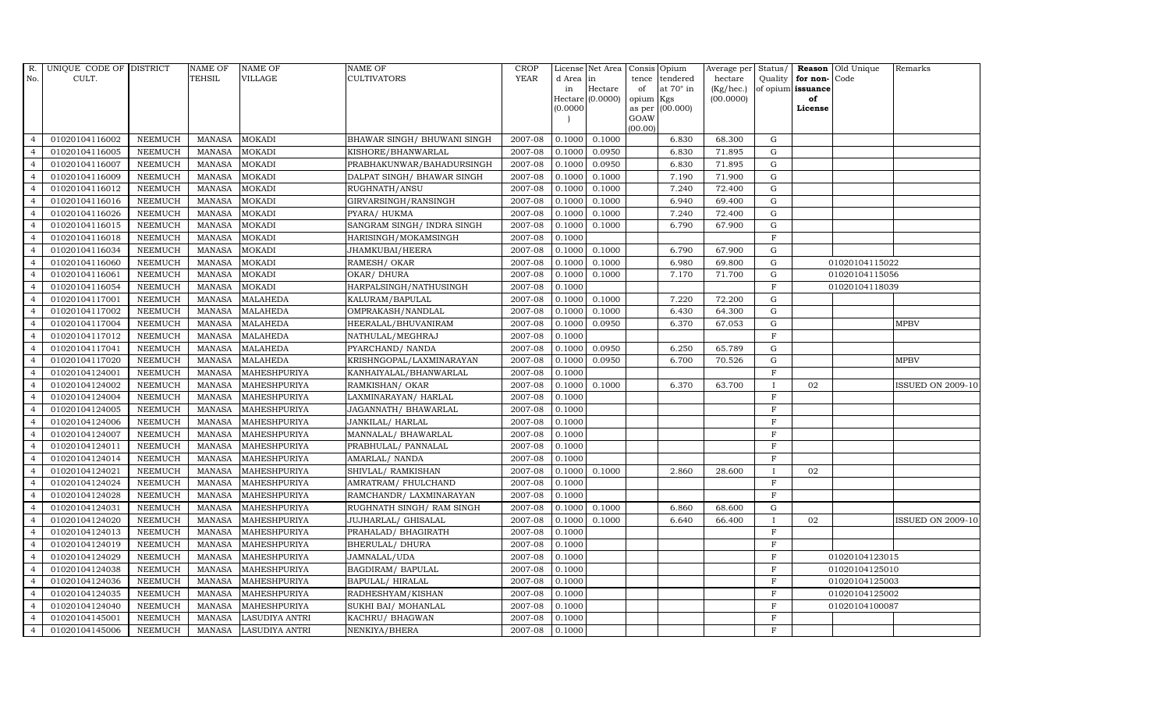| R.             | UNIQUE CODE OF DISTRICT |                | NAME OF         | <b>NAME OF</b>        | <b>NAME OF</b>               | CROP        |           | License Net Area Consis Opium |                     |                  | Average per        | Status/      |                   | <b>Reason</b> Old Unique | Remarks                  |
|----------------|-------------------------|----------------|-----------------|-----------------------|------------------------------|-------------|-----------|-------------------------------|---------------------|------------------|--------------------|--------------|-------------------|--------------------------|--------------------------|
| No.            | CULT.                   |                | <b>TEHSIL</b>   | <b>VILLAGE</b>        | <b>CULTIVATORS</b>           | <b>YEAR</b> | d Area in |                               | tence               | tendered         | hectare            | Quality      | for non-          | Code                     |                          |
|                |                         |                |                 |                       |                              |             | in        | Hectare                       | of                  | at $70^\circ$ in | $(Kg/ {\rm hec.})$ |              | of opium issuance |                          |                          |
|                |                         |                |                 |                       |                              |             | (0.0000)  | Hectare (0.0000)              | opium Kgs<br>as per | (00.000)         | (00.0000)          |              | of<br>License     |                          |                          |
|                |                         |                |                 |                       |                              |             |           |                               | GOAW                |                  |                    |              |                   |                          |                          |
|                |                         |                |                 |                       |                              |             |           |                               | (00.00)             |                  |                    |              |                   |                          |                          |
| $\overline{4}$ | 01020104116002          | <b>NEEMUCH</b> | <b>MANASA</b>   | <b>MOKADI</b>         | BHAWAR SINGH / BHUWANI SINGH | 2007-08     | 0.1000    | 0.1000                        |                     | 6.830            | 68.300             | G            |                   |                          |                          |
| $\overline{4}$ | 01020104116005          | <b>NEEMUCH</b> | <b>MANASA</b>   | <b>MOKADI</b>         | KISHORE/BHANWARLAL           | 2007-08     | 0.1000    | 0.0950                        |                     | 6.830            | 71.895             | ${\rm G}$    |                   |                          |                          |
| $\overline{4}$ | 01020104116007          | <b>NEEMUCH</b> | <b>MANASA</b>   | <b>MOKADI</b>         | PRABHAKUNWAR/BAHADURSINGH    | 2007-08     | 0.1000    | 0.0950                        |                     | 6.830            | 71.895             | $\mathbf G$  |                   |                          |                          |
| $\overline{4}$ | 01020104116009          | <b>NEEMUCH</b> | <b>MANASA</b>   | <b>MOKADI</b>         | DALPAT SINGH/ BHAWAR SINGH   | 2007-08     | 0.1000    | 0.1000                        |                     | 7.190            | 71.900             | $\mathbf G$  |                   |                          |                          |
| $\overline{4}$ | 01020104116012          | <b>NEEMUCH</b> | $\mbox{MANASA}$ | <b>MOKADI</b>         | RUGHNATH/ANSU                | 2007-08     | 0.1000    | 0.1000                        |                     | 7.240            | 72.400             | G            |                   |                          |                          |
| $\overline{4}$ | 01020104116016          | <b>NEEMUCH</b> | <b>MANASA</b>   | <b>MOKADI</b>         | GIRVARSINGH/RANSINGH         | 2007-08     | 0.1000    | 0.1000                        |                     | 6.940            | 69.400             | ${\rm G}$    |                   |                          |                          |
| $\overline{4}$ | 01020104116026          | <b>NEEMUCH</b> | MANASA          | <b>MOKADI</b>         | PYARA/ HUKMA                 | 2007-08     | 0.1000    | 0.1000                        |                     | 7.240            | 72.400             | ${\rm G}$    |                   |                          |                          |
| $\overline{4}$ | 01020104116015          | <b>NEEMUCH</b> | <b>MANASA</b>   | <b>MOKADI</b>         | SANGRAM SINGH/ INDRA SINGH   | 2007-08     | 0.1000    | 0.1000                        |                     | 6.790            | 67.900             | G            |                   |                          |                          |
| $\overline{4}$ | 01020104116018          | <b>NEEMUCH</b> | <b>MANASA</b>   | <b>MOKADI</b>         | HARISINGH/MOKAMSINGH         | 2007-08     | 0.1000    |                               |                     |                  |                    | $\mathbf F$  |                   |                          |                          |
| $\overline{4}$ | 01020104116034          | <b>NEEMUCH</b> | <b>MANASA</b>   | <b>MOKADI</b>         | JHAMKUBAI/HEERA              | 2007-08     | 0.1000    | 0.1000                        |                     | 6.790            | 67.900             | $\mathbf G$  |                   |                          |                          |
| $\overline{4}$ | 01020104116060          | <b>NEEMUCH</b> | <b>MANASA</b>   | <b>MOKADI</b>         | RAMESH/ OKAR                 | 2007-08     | 0.1000    | 0.1000                        |                     | 6.980            | 69.800             | ${\rm G}$    |                   | 01020104115022           |                          |
| $\overline{4}$ | 01020104116061          | <b>NEEMUCH</b> | <b>MANASA</b>   | <b>MOKADI</b>         | OKAR/ DHURA                  | 2007-08     | 0.1000    | 0.1000                        |                     | 7.170            | 71.700             | ${\rm G}$    |                   | 01020104115056           |                          |
| $\overline{4}$ | 01020104116054          | <b>NEEMUCH</b> | <b>MANASA</b>   | <b>MOKADI</b>         | HARPALSINGH/NATHUSINGH       | 2007-08     | 0.1000    |                               |                     |                  |                    | $\mathbf F$  |                   | 01020104118039           |                          |
| $\overline{4}$ | 01020104117001          | <b>NEEMUCH</b> | <b>MANASA</b>   | <b>MALAHEDA</b>       | KALURAM/BAPULAL              | 2007-08     | 0.1000    | 0.1000                        |                     | 7.220            | 72.200             | $\mathbf G$  |                   |                          |                          |
| $\overline{4}$ | 01020104117002          | <b>NEEMUCH</b> | <b>MANASA</b>   | <b>MALAHEDA</b>       | OMPRAKASH/NANDLAL            | 2007-08     | 0.1000    | 0.1000                        |                     | 6.430            | 64.300             | $\mathbf G$  |                   |                          |                          |
| $\overline{4}$ | 01020104117004          | <b>NEEMUCH</b> | <b>MANASA</b>   | <b>MALAHEDA</b>       | HEERALAL/BHUVANIRAM          | 2007-08     | 0.1000    | 0.0950                        |                     | 6.370            | 67.053             | $\mathbf G$  |                   |                          | <b>MPBV</b>              |
| $\overline{4}$ | 01020104117012          | <b>NEEMUCH</b> | <b>MANASA</b>   | <b>MALAHEDA</b>       | NATHULAL/MEGHRAJ             | 2007-08     | 0.1000    |                               |                     |                  |                    | $\rm F$      |                   |                          |                          |
| $\overline{4}$ | 01020104117041          | <b>NEEMUCH</b> | MANASA          | <b>MALAHEDA</b>       | PYARCHAND/ NANDA             | 2007-08     | 0.1000    | 0.0950                        |                     | 6.250            | 65.789             | G            |                   |                          |                          |
| $\overline{4}$ | 01020104117020          | <b>NEEMUCH</b> | <b>MANASA</b>   | <b>MALAHEDA</b>       | KRISHNGOPAL/LAXMINARAYAN     | 2007-08     | 0.1000    | 0.0950                        |                     | 6.700            | 70.526             | $\mathbf G$  |                   |                          | <b>MPBV</b>              |
| $\overline{4}$ | 01020104124001          | <b>NEEMUCH</b> | <b>MANASA</b>   | MAHESHPURIYA          | KANHAIYALAL/BHANWARLAL       | 2007-08     | 0.1000    |                               |                     |                  |                    | $\mathbf F$  |                   |                          |                          |
| $\overline{4}$ | 01020104124002          | <b>NEEMUCH</b> | <b>MANASA</b>   | MAHESHPURIYA          | RAMKISHAN/ OKAR              | 2007-08     | 0.1000    | 0.1000                        |                     | 6.370            | 63.700             | <b>I</b>     | 02                |                          | ISSUED ON 2009-10        |
| $\overline{4}$ | 01020104124004          | <b>NEEMUCH</b> | <b>MANASA</b>   | MAHESHPURIYA          | LAXMINARAYAN / HARLAL        | 2007-08     | 0.1000    |                               |                     |                  |                    | $\rm F$      |                   |                          |                          |
| $\overline{4}$ | 01020104124005          | <b>NEEMUCH</b> | MANASA          | MAHESHPURIYA          | JAGANNATH / BHAWARLAL        | 2007-08     | 0.1000    |                               |                     |                  |                    | F            |                   |                          |                          |
| $\overline{4}$ | 01020104124006          | <b>NEEMUCH</b> | <b>MANASA</b>   | MAHESHPURIYA          | JANKILAL/ HARLAL             | 2007-08     | 0.1000    |                               |                     |                  |                    | $\mathbf F$  |                   |                          |                          |
|                | 01020104124007          | <b>NEEMUCH</b> | <b>MANASA</b>   | MAHESHPURIYA          | MANNALAL/ BHAWARLAL          | 2007-08     | 0.1000    |                               |                     |                  |                    | $\mathbf F$  |                   |                          |                          |
| $\overline{4}$ | 01020104124011          | <b>NEEMUCH</b> | <b>MANASA</b>   | MAHESHPURIYA          | PRABHULAL/ PANNALAL          | 2007-08     | 0.1000    |                               |                     |                  |                    | $\rm F$      |                   |                          |                          |
| $\overline{4}$ | 01020104124014          | <b>NEEMUCH</b> | <b>MANASA</b>   | MAHESHPURIYA          | AMARLAL/ NANDA               | 2007-08     | 0.1000    |                               |                     |                  |                    | $\mathbf F$  |                   |                          |                          |
| $\overline{4}$ | 01020104124021          | <b>NEEMUCH</b> | <b>MANASA</b>   | MAHESHPURIYA          | SHIVLAL/ RAMKISHAN           | 2007-08     | 0.1000    | 0.1000                        |                     | 2.860            | 28.600             | $\mathbf{I}$ | 02                |                          |                          |
| $\overline{4}$ | 01020104124024          | <b>NEEMUCH</b> | <b>MANASA</b>   | MAHESHPURIYA          | AMRATRAM/ FHULCHAND          | 2007-08     | 0.1000    |                               |                     |                  |                    | $\mathbf F$  |                   |                          |                          |
| $\overline{4}$ | 01020104124028          | <b>NEEMUCH</b> | <b>MANASA</b>   | <b>MAHESHPURIYA</b>   | RAMCHANDR/ LAXMINARAYAN      | 2007-08     | 0.1000    |                               |                     |                  |                    | $\mathbf F$  |                   |                          |                          |
| $\overline{4}$ | 01020104124031          | <b>NEEMUCH</b> | MANASA          | MAHESHPURIYA          | RUGHNATH SINGH/ RAM SINGH    | 2007-08     | 0.1000    | 0.1000                        |                     | 6.860            | 68.600             | G            |                   |                          |                          |
| $\overline{4}$ | 01020104124020          | <b>NEEMUCH</b> | <b>MANASA</b>   | MAHESHPURIYA          | <b>JUJHARLAL/ GHISALAL</b>   | 2007-08     | 0.1000    | 0.1000                        |                     | 6.640            | 66.400             | $\mathbf{I}$ | 02                |                          | <b>ISSUED ON 2009-10</b> |
| $\overline{4}$ | 01020104124013          | <b>NEEMUCH</b> | <b>MANASA</b>   | MAHESHPURIYA          | PRAHALAD/ BHAGIRATH          | 2007-08     | 0.1000    |                               |                     |                  |                    | $\mathbf F$  |                   |                          |                          |
| $\overline{4}$ | 01020104124019          | <b>NEEMUCH</b> | <b>MANASA</b>   | MAHESHPURIYA          | <b>BHERULAL/ DHURA</b>       | 2007-08     | 0.1000    |                               |                     |                  |                    | $\mathbf F$  |                   |                          |                          |
| $\overline{4}$ | 01020104124029          | <b>NEEMUCH</b> | <b>MANASA</b>   | MAHESHPURIYA          | JAMNALAL/UDA                 | 2007-08     | 0.1000    |                               |                     |                  |                    | $\mathbf F$  |                   | 01020104123015           |                          |
| $\overline{4}$ | 01020104124038          | <b>NEEMUCH</b> | <b>MANASA</b>   | MAHESHPURIYA          | BAGDIRAM/ BAPULAL            | 2007-08     | 0.1000    |                               |                     |                  |                    | $\rm F$      |                   | 01020104125010           |                          |
| $\overline{4}$ | 01020104124036          | <b>NEEMUCH</b> | <b>MANASA</b>   | MAHESHPURIYA          | BAPULAL/HIRALAL              | 2007-08     | 0.1000    |                               |                     |                  |                    | $\rm F$      |                   | 01020104125003           |                          |
| $\overline{4}$ | 01020104124035          | <b>NEEMUCH</b> | <b>MANASA</b>   | MAHESHPURIYA          | RADHESHYAM/KISHAN            | 2007-08     | 0.1000    |                               |                     |                  |                    | $\mathbf F$  |                   | 01020104125002           |                          |
| $\overline{4}$ | 01020104124040          | <b>NEEMUCH</b> | <b>MANASA</b>   | MAHESHPURIYA          | SUKHI BAI/ MOHANLAL          | 2007-08     | 0.1000    |                               |                     |                  |                    | $\mathbf F$  |                   | 01020104100087           |                          |
| $\overline{4}$ | 01020104145001          | <b>NEEMUCH</b> | <b>MANASA</b>   | <b>LASUDIYA ANTRI</b> | KACHRU/ BHAGWAN              | 2007-08     | 0.1000    |                               |                     |                  |                    | $\mathbf F$  |                   |                          |                          |
| $\overline{4}$ | 01020104145006          | <b>NEEMUCH</b> |                 | MANASA LASUDIYA ANTRI | NENKIYA/BHERA                | 2007-08     | 0.1000    |                               |                     |                  |                    | F            |                   |                          |                          |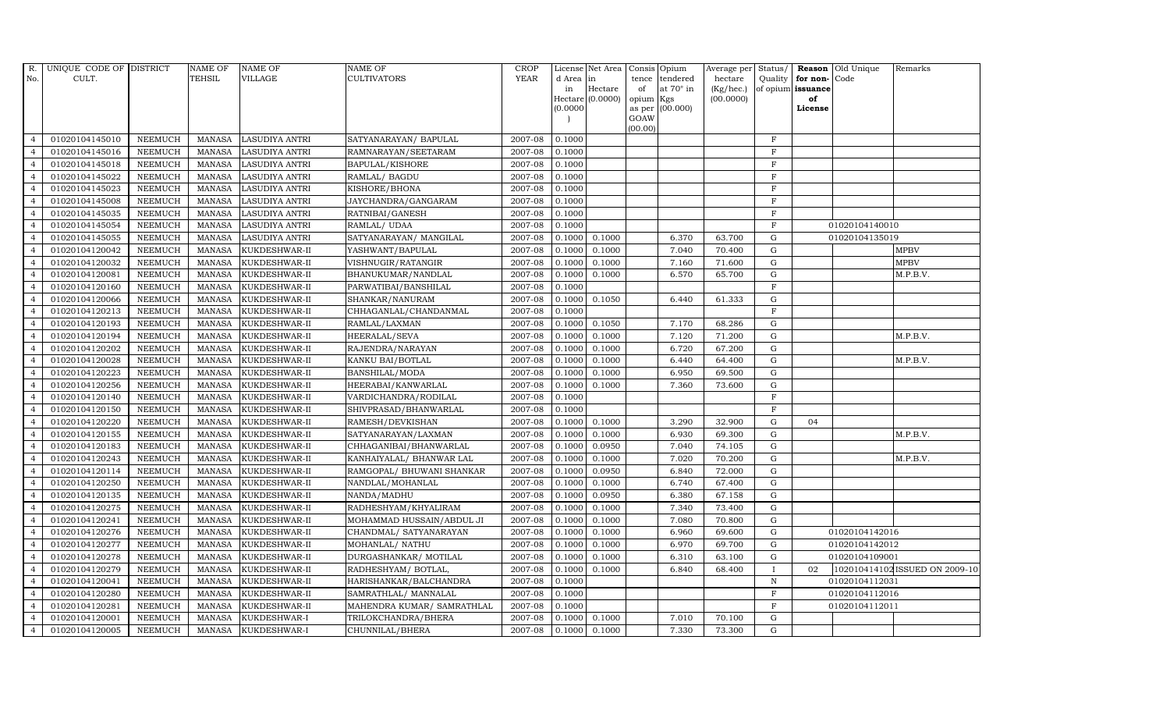| R.             | UNIQUE CODE OF DISTRICT |                | <b>NAME OF</b> | <b>NAME OF</b>        | <b>NAME OF</b>             | CROP        |           | License Net Area Consis Opium |                 |                  | Average per     | Status/        | Reason            | Old Unique     | Remarks                        |
|----------------|-------------------------|----------------|----------------|-----------------------|----------------------------|-------------|-----------|-------------------------------|-----------------|------------------|-----------------|----------------|-------------------|----------------|--------------------------------|
| No.            | CULT.                   |                | TEHSIL         | <b>VILLAGE</b>        | <b>CULTIVATORS</b>         | <b>YEAR</b> | d Area in |                               | tence           | tendered         | hectare         | Quality        | for non-          | Code           |                                |
|                |                         |                |                |                       |                            |             | in        | Hectare                       | of              | at $70^\circ$ in | $(Kg/$ hec. $)$ |                | of opium issuance |                |                                |
|                |                         |                |                |                       |                            |             |           | Hectare (0.0000)              | opium Kgs       |                  | (00.0000)       |                | of                |                |                                |
|                |                         |                |                |                       |                            |             | (0.0000)  |                               |                 | as per (00.000)  |                 |                | License           |                |                                |
|                |                         |                |                |                       |                            |             |           |                               | GOAW<br>(00.00) |                  |                 |                |                   |                |                                |
| $\overline{4}$ | 01020104145010          | <b>NEEMUCH</b> | <b>MANASA</b>  | <b>LASUDIYA ANTRI</b> | SATYANARAYAN/ BAPULAL      | 2007-08     | 0.1000    |                               |                 |                  |                 | $\,$ F         |                   |                |                                |
| $\overline{4}$ | 01020104145016          | <b>NEEMUCH</b> | MANASA         | <b>LASUDIYA ANTRI</b> | RAMNARAYAN/SEETARAM        | 2007-08     | 0.1000    |                               |                 |                  |                 | $\rm F$        |                   |                |                                |
| $\overline{4}$ | 01020104145018          | <b>NEEMUCH</b> | <b>MANASA</b>  | <b>LASUDIYA ANTRI</b> | BAPULAL/KISHORE            | 2007-08     | 0.1000    |                               |                 |                  |                 | $\mathbf F$    |                   |                |                                |
| $\overline{4}$ | 01020104145022          | <b>NEEMUCH</b> | <b>MANASA</b>  | <b>LASUDIYA ANTRI</b> | RAMLAL/ BAGDU              | 2007-08     | 0.1000    |                               |                 |                  |                 | $\overline{F}$ |                   |                |                                |
| $\overline{4}$ | 01020104145023          | <b>NEEMUCH</b> | <b>MANASA</b>  | <b>LASUDIYA ANTRI</b> | KISHORE/BHONA              | 2007-08     | 0.1000    |                               |                 |                  |                 | $\rm F$        |                   |                |                                |
| $\overline{4}$ | 01020104145008          | <b>NEEMUCH</b> | <b>MANASA</b>  | <b>LASUDIYA ANTRI</b> | JAYCHANDRA/GANGARAM        | 2007-08     | 0.1000    |                               |                 |                  |                 | $\rm F$        |                   |                |                                |
| $\overline{4}$ | 01020104145035          | <b>NEEMUCH</b> | MANASA         | <b>LASUDIYA ANTRI</b> | RATNIBAI/GANESH            | 2007-08     | 0.1000    |                               |                 |                  |                 | $\rm F$        |                   |                |                                |
| $\overline{4}$ | 01020104145054          | <b>NEEMUCH</b> | MANASA         | <b>LASUDIYA ANTRI</b> | RAMLAL/ UDAA               | 2007-08     | 0.1000    |                               |                 |                  |                 | $\rm F$        |                   | 01020104140010 |                                |
| $\overline{4}$ | 01020104145055          | <b>NEEMUCH</b> | <b>MANASA</b>  | <b>LASUDIYA ANTRI</b> | SATYANARAYAN/ MANGILAL     | 2007-08     | 0.1000    | 0.1000                        |                 | 6.370            | 63.700          | $\mathbf G$    |                   | 01020104135019 |                                |
| $\overline{4}$ | 01020104120042          | <b>NEEMUCH</b> | <b>MANASA</b>  | KUKDESHWAR-II         | YASHWANT/BAPULAL           | 2007-08     | 0.1000    | 0.1000                        |                 | 7.040            | 70.400          | $\mathbf G$    |                   |                | <b>MPBV</b>                    |
| 4              | 01020104120032          | <b>NEEMUCH</b> | <b>MANASA</b>  | KUKDESHWAR-II         | VISHNUGIR/RATANGIR         | 2007-08     | 0.1000    | 0.1000                        |                 | 7.160            | 71.600          | ${\rm G}$      |                   |                | <b>MPBV</b>                    |
| $\overline{4}$ | 01020104120081          | <b>NEEMUCH</b> | <b>MANASA</b>  | KUKDESHWAR-II         | BHANUKUMAR/NANDLAL         | 2007-08     | 0.1000    | 0.1000                        |                 | 6.570            | 65.700          | ${\rm G}$      |                   |                | M.P.B.V.                       |
| $\overline{4}$ | 01020104120160          | <b>NEEMUCH</b> | <b>MANASA</b>  | KUKDESHWAR-II         | PARWATIBAI/BANSHILAL       | 2007-08     | 0.1000    |                               |                 |                  |                 | $\mathbf F$    |                   |                |                                |
| $\overline{4}$ | 01020104120066          | <b>NEEMUCH</b> | <b>MANASA</b>  | KUKDESHWAR-II         | SHANKAR/NANURAM            | 2007-08     | 0.1000    | 0.1050                        |                 | 6.440            | 61.333          | $\mathbf G$    |                   |                |                                |
| $\overline{4}$ | 01020104120213          | <b>NEEMUCH</b> | <b>MANASA</b>  | KUKDESHWAR-II         | CHHAGANLAL/CHANDANMAL      | 2007-08     | 0.1000    |                               |                 |                  |                 | $\overline{F}$ |                   |                |                                |
| $\overline{4}$ | 01020104120193          | <b>NEEMUCH</b> | <b>MANASA</b>  | KUKDESHWAR-II         | RAMLAL/LAXMAN              | 2007-08     | 0.1000    | 0.1050                        |                 | 7.170            | 68.286          | G              |                   |                |                                |
| $\overline{4}$ | 01020104120194          | <b>NEEMUCH</b> | <b>MANASA</b>  | KUKDESHWAR-II         | HEERALAL/SEVA              | 2007-08     | 0.1000    | 0.1000                        |                 | 7.120            | 71.200          | ${\rm G}$      |                   |                | M.P.B.V.                       |
| $\overline{4}$ | 01020104120202          | <b>NEEMUCH</b> | MANASA         | KUKDESHWAR-II         | RAJENDRA/NARAYAN           | 2007-08     | 0.1000    | 0.1000                        |                 | 6.720            | 67.200          | $\mathbf G$    |                   |                |                                |
| $\overline{4}$ | 01020104120028          | <b>NEEMUCH</b> | <b>MANASA</b>  | KUKDESHWAR-II         | KANKU BAI/BOTLAL           | 2007-08     | 0.1000    | 0.1000                        |                 | 6.440            | 64.400          | $\mathbf G$    |                   |                | M.P.B.V.                       |
| $\overline{4}$ | 01020104120223          | <b>NEEMUCH</b> | <b>MANASA</b>  | KUKDESHWAR-II         | BANSHILAL/MODA             | 2007-08     | 0.1000    | 0.1000                        |                 | 6.950            | 69.500          | $\mathbf G$    |                   |                |                                |
| $\overline{4}$ | 01020104120256          | <b>NEEMUCH</b> | <b>MANASA</b>  | KUKDESHWAR-II         | HEERABAI/KANWARLAL         | 2007-08     | 0.1000    | 0.1000                        |                 | 7.360            | 73.600          | $\mathbf G$    |                   |                |                                |
| $\overline{4}$ | 01020104120140          | <b>NEEMUCH</b> | <b>MANASA</b>  | KUKDESHWAR-II         | VARDICHANDRA/RODILAL       | 2007-08     | 0.1000    |                               |                 |                  |                 | $\mathbf F$    |                   |                |                                |
| $\overline{4}$ | 01020104120150          | <b>NEEMUCH</b> | MANASA         | KUKDESHWAR-II         | SHIVPRASAD/BHANWARLAL      | 2007-08     | 0.1000    |                               |                 |                  |                 | F              |                   |                |                                |
| $\overline{4}$ | 01020104120220          | <b>NEEMUCH</b> | <b>MANASA</b>  | KUKDESHWAR-II         | RAMESH/DEVKISHAN           | 2007-08     | 0.1000    | 0.1000                        |                 | 3.290            | 32.900          | $\mathbf G$    | 04                |                |                                |
|                | 01020104120155          | <b>NEEMUCH</b> | <b>MANASA</b>  | KUKDESHWAR-II         | SATYANARAYAN/LAXMAN        | 2007-08     | 0.1000    | 0.1000                        |                 | 6.930            | 69.300          | $\mathbf G$    |                   |                | M.P.B.V.                       |
| $\overline{4}$ | 01020104120183          | <b>NEEMUCH</b> | <b>MANASA</b>  | KUKDESHWAR-II         | CHHAGANIBAI/BHANWARLAL     | 2007-08     | 0.1000    | 0.0950                        |                 | 7.040            | 74.105          | $\mathbf G$    |                   |                |                                |
| $\overline{4}$ | 01020104120243          | <b>NEEMUCH</b> | <b>MANASA</b>  | KUKDESHWAR-II         | KANHAIYALAL/ BHANWAR LAL   | 2007-08     | 0.1000    | 0.1000                        |                 | 7.020            | 70.200          | ${\rm G}$      |                   |                | M.P.B.V.                       |
| $\overline{4}$ | 01020104120114          | <b>NEEMUCH</b> | <b>MANASA</b>  | KUKDESHWAR-II         | RAMGOPAL/ BHUWANI SHANKAR  | 2007-08     | 0.1000    | 0.0950                        |                 | 6.840            | 72.000          | $\mathbf G$    |                   |                |                                |
| $\overline{4}$ | 01020104120250          | <b>NEEMUCH</b> | <b>MANASA</b>  | KUKDESHWAR-II         | NANDLAL/MOHANLAL           | 2007-08     | 0.1000    | 0.1000                        |                 | 6.740            | 67.400          | $\mathbf G$    |                   |                |                                |
| $\overline{4}$ | 01020104120135          | <b>NEEMUCH</b> | <b>MANASA</b>  | KUKDESHWAR-II         | NANDA/MADHU                | 2007-08     | 0.1000    | 0.0950                        |                 | 6.380            | 67.158          | $\mathbf G$    |                   |                |                                |
| $\overline{4}$ | 01020104120275          | <b>NEEMUCH</b> | MANASA         | KUKDESHWAR-II         | RADHESHYAM/KHYALIRAM       | 2007-08     | 0.1000    | 0.1000                        |                 | 7.340            | 73.400          | G              |                   |                |                                |
| $\overline{4}$ | 01020104120241          | <b>NEEMUCH</b> | <b>MANASA</b>  | KUKDESHWAR-II         | MOHAMMAD HUSSAIN/ABDUL JI  | 2007-08     | 0.1000    | 0.1000                        |                 | 7.080            | 70.800          | ${\rm G}$      |                   |                |                                |
| $\overline{4}$ | 01020104120276          | <b>NEEMUCH</b> | <b>MANASA</b>  | KUKDESHWAR-II         | CHANDMAL/ SATYANARAYAN     | 2007-08     | 0.1000    | 0.1000                        |                 | 6.960            | 69.600          | ${\rm G}$      |                   | 01020104142016 |                                |
| $\overline{4}$ | 01020104120277          | <b>NEEMUCH</b> | <b>MANASA</b>  | KUKDESHWAR-II         | MOHANLAL/ NATHU            | 2007-08     | 0.1000    | 0.1000                        |                 | 6.970            | 69.700          | $\mathbf G$    |                   | 01020104142012 |                                |
| $\overline{4}$ | 01020104120278          | <b>NEEMUCH</b> | <b>MANASA</b>  | KUKDESHWAR-II         | DURGASHANKAR/ MOTILAL      | 2007-08     | 0.1000    | 0.1000                        |                 | 6.310            | 63.100          | $\mathbf G$    |                   | 01020104109001 |                                |
| $\overline{4}$ | 01020104120279          | <b>NEEMUCH</b> | <b>MANASA</b>  | KUKDESHWAR-II         | RADHESHYAM/ BOTLAL,        | 2007-08     | 0.1000    | 0.1000                        |                 | 6.840            | 68.400          | $\mathbf{I}$   | 02                |                | 102010414102 ISSUED ON 2009-10 |
| $\overline{4}$ | 01020104120041          | <b>NEEMUCH</b> | <b>MANASA</b>  | KUKDESHWAR-II         | HARISHANKAR/BALCHANDRA     | 2007-08     | 0.1000    |                               |                 |                  |                 | $\,$ N         |                   | 01020104112031 |                                |
| $\overline{4}$ | 01020104120280          | <b>NEEMUCH</b> | <b>MANASA</b>  | KUKDESHWAR-II         | SAMRATHLAL/ MANNALAL       | 2007-08     | 0.1000    |                               |                 |                  |                 | $\mathbf F$    |                   | 01020104112016 |                                |
| $\overline{4}$ | 01020104120281          | <b>NEEMUCH</b> | <b>MANASA</b>  | KUKDESHWAR-II         | MAHENDRA KUMAR/ SAMRATHLAL | 2007-08     | 0.1000    |                               |                 |                  |                 | $\mathbf F$    |                   | 01020104112011 |                                |
| $\overline{4}$ | 01020104120001          | <b>NEEMUCH</b> | <b>MANASA</b>  | KUKDESHWAR-I          | TRILOKCHANDRA/BHERA        | 2007-08     | 0.1000    | 0.1000                        |                 | 7.010            | 70.100          | $\mathbf G$    |                   |                |                                |
| $\overline{4}$ | 01020104120005          | <b>NEEMUCH</b> | MANASA         | KUKDESHWAR-I          | CHUNNILAL/BHERA            | 2007-08     | 0.1000    | 0.1000                        |                 | 7.330            | 73.300          | G              |                   |                |                                |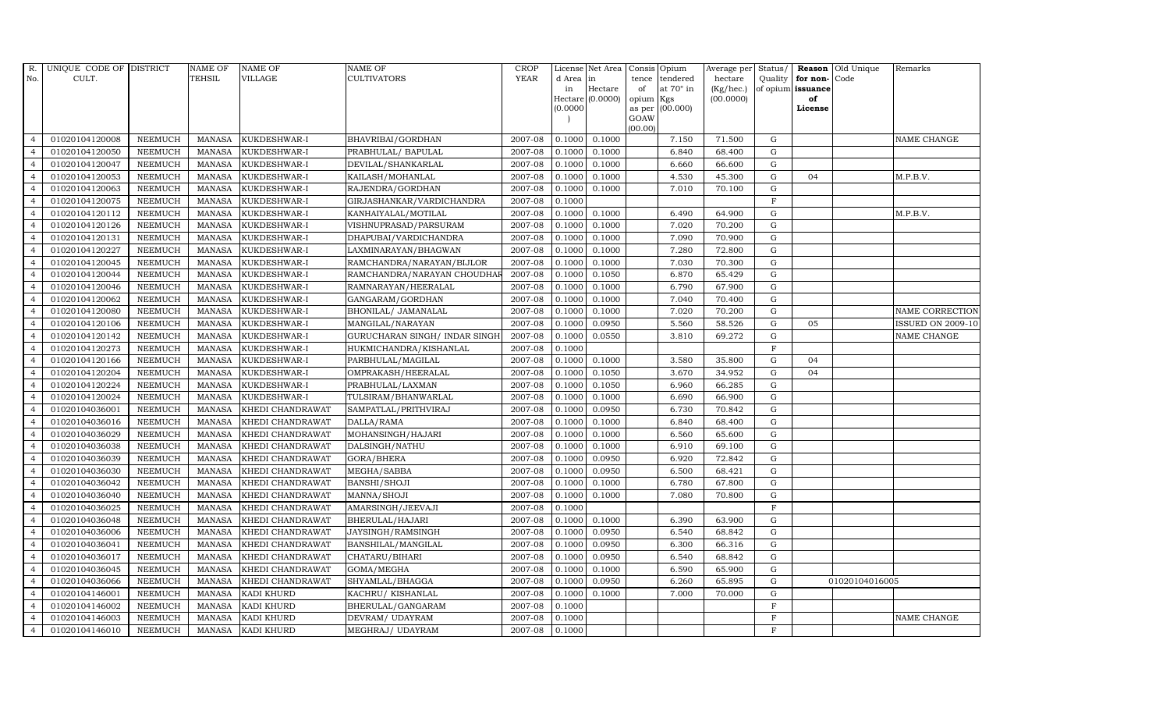| R.             | UNIQUE CODE OF DISTRICT |                | <b>NAME OF</b>  | <b>NAME OF</b>          | <b>NAME OF</b>                 | CROP        |           | License Net Area |                     | Consis Opium     | Average per     | Status/     | Reason            | Old Unique     | Remarks                  |
|----------------|-------------------------|----------------|-----------------|-------------------------|--------------------------------|-------------|-----------|------------------|---------------------|------------------|-----------------|-------------|-------------------|----------------|--------------------------|
| No.            | CULT.                   |                | <b>TEHSIL</b>   | <b>VILLAGE</b>          | <b>CULTIVATORS</b>             | <b>YEAR</b> | d Area in |                  | tence               | tendered         | hectare         | Quality     | for non-          | Code           |                          |
|                |                         |                |                 |                         |                                |             | in        | Hectare          | of                  | at $70^\circ$ in | $(Kg/$ hec. $)$ |             | of opium issuance |                |                          |
|                |                         |                |                 |                         |                                |             | (0.0000)  | Hectare (0.0000) | opium Kgs<br>as per | (00.000)         | (00.0000)       |             | of<br>License     |                |                          |
|                |                         |                |                 |                         |                                |             |           |                  | GOAW                |                  |                 |             |                   |                |                          |
|                |                         |                |                 |                         |                                |             |           |                  | (00.00)             |                  |                 |             |                   |                |                          |
| $\overline{4}$ | 01020104120008          | <b>NEEMUCH</b> | <b>MANASA</b>   | KUKDESHWAR-I            | BHAVRIBAI/GORDHAN              | 2007-08     | 0.1000    | 0.1000           |                     | 7.150            | 71.500          | G           |                   |                | NAME CHANGE              |
| $\overline{4}$ | 01020104120050          | <b>NEEMUCH</b> | <b>MANASA</b>   | KUKDESHWAR-I            | PRABHULAL/ BAPULAL             | 2007-08     | 0.1000    | 0.1000           |                     | 6.840            | 68.400          | ${\rm G}$   |                   |                |                          |
| $\overline{4}$ | 01020104120047          | <b>NEEMUCH</b> | <b>MANASA</b>   | KUKDESHWAR-I            | DEVILAL/SHANKARLAL             | 2007-08     | 0.1000    | 0.1000           |                     | 6.660            | 66.600          | G           |                   |                |                          |
| $\overline{4}$ | 01020104120053          | <b>NEEMUCH</b> | <b>MANASA</b>   | KUKDESHWAR-I            | KAILASH/MOHANLAL               | 2007-08     | 0.1000    | 0.1000           |                     | 4.530            | 45.300          | $\mathbf G$ | 04                |                | M.P.B.V.                 |
| $\overline{4}$ | 01020104120063          | <b>NEEMUCH</b> | $\mbox{MANASA}$ | KUKDESHWAR-I            | RAJENDRA/GORDHAN               | 2007-08     | 0.1000    | 0.1000           |                     | 7.010            | 70.100          | $\mathbf G$ |                   |                |                          |
| $\overline{4}$ | 01020104120075          | <b>NEEMUCH</b> | <b>MANASA</b>   | KUKDESHWAR-I            | GIRJASHANKAR/VARDICHANDRA      | 2007-08     | 0.1000    |                  |                     |                  |                 | $\mathbf F$ |                   |                |                          |
| $\overline{4}$ | 01020104120112          | <b>NEEMUCH</b> | MANASA          | KUKDESHWAR-I            | KANHAIYALAL/MOTILAL            | 2007-08     | 0.1000    | 0.1000           |                     | 6.490            | 64.900          | $\mathbf G$ |                   |                | M.P.B.V.                 |
| $\overline{4}$ | 01020104120126          | <b>NEEMUCH</b> | <b>MANASA</b>   | KUKDESHWAR-I            | VISHNUPRASAD/PARSURAM          | 2007-08     | 0.1000    | 0.1000           |                     | 7.020            | 70.200          | G           |                   |                |                          |
| $\overline{4}$ | 01020104120131          | <b>NEEMUCH</b> | <b>MANASA</b>   | KUKDESHWAR-I            | DHAPUBAI/VARDICHANDRA          | 2007-08     | 0.1000    | 0.1000           |                     | 7.090            | 70.900          | $\mathbf G$ |                   |                |                          |
| $\overline{4}$ | 01020104120227          | <b>NEEMUCH</b> | <b>MANASA</b>   | KUKDESHWAR-I            | LAXMINARAYAN/BHAGWAN           | 2007-08     | 0.1000    | 0.1000           |                     | 7.280            | 72.800          | $\mathbf G$ |                   |                |                          |
| 4              | 01020104120045          | <b>NEEMUCH</b> | <b>MANASA</b>   | KUKDESHWAR-I            | RAMCHANDRA/NARAYAN/BIJLOR      | 2007-08     | 0.1000    | 0.1000           |                     | 7.030            | 70.300          | ${\rm G}$   |                   |                |                          |
| $\overline{4}$ | 01020104120044          | <b>NEEMUCH</b> | <b>MANASA</b>   | KUKDESHWAR-I            | RAMCHANDRA/NARAYAN CHOUDHA     | 2007-08     | 0.1000    | 0.1050           |                     | 6.870            | 65.429          | ${\bf G}$   |                   |                |                          |
| $\overline{4}$ | 01020104120046          | <b>NEEMUCH</b> | <b>MANASA</b>   | KUKDESHWAR-I            | RAMNARAYAN/HEERALAL            | 2007-08     | 0.1000    | 0.1000           |                     | 6.790            | 67.900          | G           |                   |                |                          |
| $\overline{4}$ | 01020104120062          | <b>NEEMUCH</b> | <b>MANASA</b>   | KUKDESHWAR-I            | GANGARAM/GORDHAN               | 2007-08     | 0.1000    | 0.1000           |                     | 7.040            | 70.400          | $\mathbf G$ |                   |                |                          |
| $\overline{4}$ | 01020104120080          | <b>NEEMUCH</b> | <b>MANASA</b>   | KUKDESHWAR-I            | BHONILAL/ JAMANALAL            | 2007-08     | 0.1000    | 0.1000           |                     | 7.020            | 70.200          | $\mathbf G$ |                   |                | NAME CORRECTION          |
| $\overline{4}$ | 01020104120106          | <b>NEEMUCH</b> | <b>MANASA</b>   | KUKDESHWAR-I            | MANGILAL/NARAYAN               | 2007-08     | 0.1000    | 0.0950           |                     | 5.560            | 58.526          | $\mathbf G$ | 05                |                | <b>ISSUED ON 2009-10</b> |
| $\overline{4}$ | 01020104120142          | <b>NEEMUCH</b> | <b>MANASA</b>   | KUKDESHWAR-I            | GURUCHARAN SINGH / INDAR SINGH | 2007-08     | 0.1000    | 0.0550           |                     | 3.810            | 69.272          | ${\rm G}$   |                   |                | NAME CHANGE              |
| $\overline{4}$ | 01020104120273          | <b>NEEMUCH</b> | MANASA          | KUKDESHWAR-I            | HUKMICHANDRA/KISHANLAL         | 2007-08     | 0.1000    |                  |                     |                  |                 | F           |                   |                |                          |
| $\overline{4}$ | 01020104120166          | <b>NEEMUCH</b> | <b>MANASA</b>   | KUKDESHWAR-I            | PARBHULAL/MAGILAL              | 2007-08     | 0.1000    | 0.1000           |                     | 3.580            | 35.800          | $\mathbf G$ | 04                |                |                          |
| $\overline{4}$ | 01020104120204          | <b>NEEMUCH</b> | <b>MANASA</b>   | KUKDESHWAR-I            | OMPRAKASH/HEERALAL             | 2007-08     | 0.1000    | 0.1050           |                     | 3.670            | 34.952          | $\mathbf G$ | 04                |                |                          |
| $\overline{4}$ | 01020104120224          | <b>NEEMUCH</b> | <b>MANASA</b>   | KUKDESHWAR-I            | PRABHULAL/LAXMAN               | 2007-08     | 0.1000    | 0.1050           |                     | 6.960            | 66.285          | $\mathbf G$ |                   |                |                          |
| $\overline{4}$ | 01020104120024          | <b>NEEMUCH</b> | <b>MANASA</b>   | KUKDESHWAR-I            | TULSIRAM/BHANWARLAL            | 2007-08     | 0.1000    | 0.1000           |                     | 6.690            | 66.900          | ${\rm G}$   |                   |                |                          |
| $\overline{4}$ | 01020104036001          | <b>NEEMUCH</b> | MANASA          | KHEDI CHANDRAWAT        | SAMPATLAL/PRITHVIRAJ           | 2007-08     | 0.1000    | 0.0950           |                     | 6.730            | 70.842          | $\mathbf G$ |                   |                |                          |
| $\overline{4}$ | 01020104036016          | <b>NEEMUCH</b> | <b>MANASA</b>   | KHEDI CHANDRAWAT        | DALLA/RAMA                     | 2007-08     | 0.1000    | 0.1000           |                     | 6.840            | 68.400          | $\mathbf G$ |                   |                |                          |
|                | 01020104036029          | <b>NEEMUCH</b> | <b>MANASA</b>   | KHEDI CHANDRAWAT        | MOHANSINGH/HAJARI              | 2007-08     | 0.1000    | 0.1000           |                     | 6.560            | 65.600          | $\mathbf G$ |                   |                |                          |
| $\overline{4}$ | 01020104036038          | <b>NEEMUCH</b> | <b>MANASA</b>   | KHEDI CHANDRAWAT        | DALSINGH/NATHU                 | 2007-08     | 0.1000    | 0.1000           |                     | 6.910            | 69.100          | $\mathbf G$ |                   |                |                          |
| $\overline{4}$ | 01020104036039          | <b>NEEMUCH</b> | <b>MANASA</b>   | KHEDI CHANDRAWAT        | GORA/BHERA                     | 2007-08     | 0.1000    | 0.0950           |                     | 6.920            | 72.842          | $\mathbf G$ |                   |                |                          |
| $\overline{4}$ | 01020104036030          | <b>NEEMUCH</b> | <b>MANASA</b>   | KHEDI CHANDRAWAT        | MEGHA/SABBA                    | 2007-08     | 0.1000    | 0.0950           |                     | 6.500            | 68.421          | $\mathbf G$ |                   |                |                          |
| $\overline{4}$ | 01020104036042          | <b>NEEMUCH</b> | <b>MANASA</b>   | KHEDI CHANDRAWAT        | BANSHI/SHOJI                   | 2007-08     | 0.1000    | 0.1000           |                     | 6.780            | 67.800          | $\mathbf G$ |                   |                |                          |
| $\overline{4}$ | 01020104036040          | <b>NEEMUCH</b> | <b>MANASA</b>   | KHEDI CHANDRAWAT        | MANNA/SHOJI                    | 2007-08     | 0.1000    | 0.1000           |                     | 7.080            | 70.800          | $\mathbf G$ |                   |                |                          |
| $\overline{4}$ | 01020104036025          | <b>NEEMUCH</b> | MANASA          | KHEDI CHANDRAWAT        | AMARSINGH/JEEVAJI              | 2007-08     | 0.1000    |                  |                     |                  |                 | $\mathbf F$ |                   |                |                          |
| $\overline{4}$ | 01020104036048          | <b>NEEMUCH</b> | <b>MANASA</b>   | KHEDI CHANDRAWAT        | BHERULAL/HAJARI                | 2007-08     | 0.1000    | 0.1000           |                     | 6.390            | 63.900          | $\mathbf G$ |                   |                |                          |
| $\overline{4}$ | 01020104036006          | <b>NEEMUCH</b> | <b>MANASA</b>   | KHEDI CHANDRAWAT        | JAYSINGH/RAMSINGH              | 2007-08     | 0.1000    | 0.0950           |                     | 6.540            | 68.842          | ${\bf G}$   |                   |                |                          |
| $\overline{4}$ | 01020104036041          | <b>NEEMUCH</b> | <b>MANASA</b>   | <b>KHEDI CHANDRAWAT</b> | BANSHILAL/MANGILAL             | 2007-08     | 0.1000    | 0.0950           |                     | 6.300            | 66.316          | $\mathbf G$ |                   |                |                          |
| $\overline{4}$ | 01020104036017          | <b>NEEMUCH</b> | <b>MANASA</b>   | KHEDI CHANDRAWAT        | CHATARU/BIHARI                 | 2007-08     | 0.1000    | 0.0950           |                     | 6.540            | 68.842          | $\mathbf G$ |                   |                |                          |
| $\overline{4}$ | 01020104036045          | <b>NEEMUCH</b> | <b>MANASA</b>   | KHEDI CHANDRAWAT        | GOMA/MEGHA                     | 2007-08     | 0.1000    | 0.1000           |                     | 6.590            | 65.900          | ${\rm G}$   |                   |                |                          |
| $\overline{4}$ | 01020104036066          | <b>NEEMUCH</b> | <b>MANASA</b>   | KHEDI CHANDRAWAT        | SHYAMLAL/BHAGGA                | 2007-08     | 0.1000    | 0.0950           |                     | 6.260            | 65.895          | ${\rm G}$   |                   | 01020104016005 |                          |
| $\overline{4}$ | 01020104146001          | NEEMUCH        | <b>MANASA</b>   | KADI KHURD              | KACHRU/ KISHANLAL              | 2007-08     | 0.1000    | 0.1000           |                     | 7.000            | 70.000          | ${\rm G}$   |                   |                |                          |
| $\overline{4}$ | 01020104146002          | <b>NEEMUCH</b> | <b>MANASA</b>   | <b>KADI KHURD</b>       | BHERULAL/GANGARAM              | 2007-08     | 0.1000    |                  |                     |                  |                 | $\mathbf F$ |                   |                |                          |
| $\overline{4}$ | 01020104146003          | <b>NEEMUCH</b> | <b>MANASA</b>   | <b>KADI KHURD</b>       | DEVRAM/ UDAYRAM                | 2007-08     | 0.1000    |                  |                     |                  |                 | $\mathbf F$ |                   |                | NAME CHANGE              |
| $\overline{4}$ | 01020104146010          | <b>NEEMUCH</b> |                 | MANASA KADI KHURD       | MEGHRAJ/ UDAYRAM               | 2007-08     | 0.1000    |                  |                     |                  |                 | F           |                   |                |                          |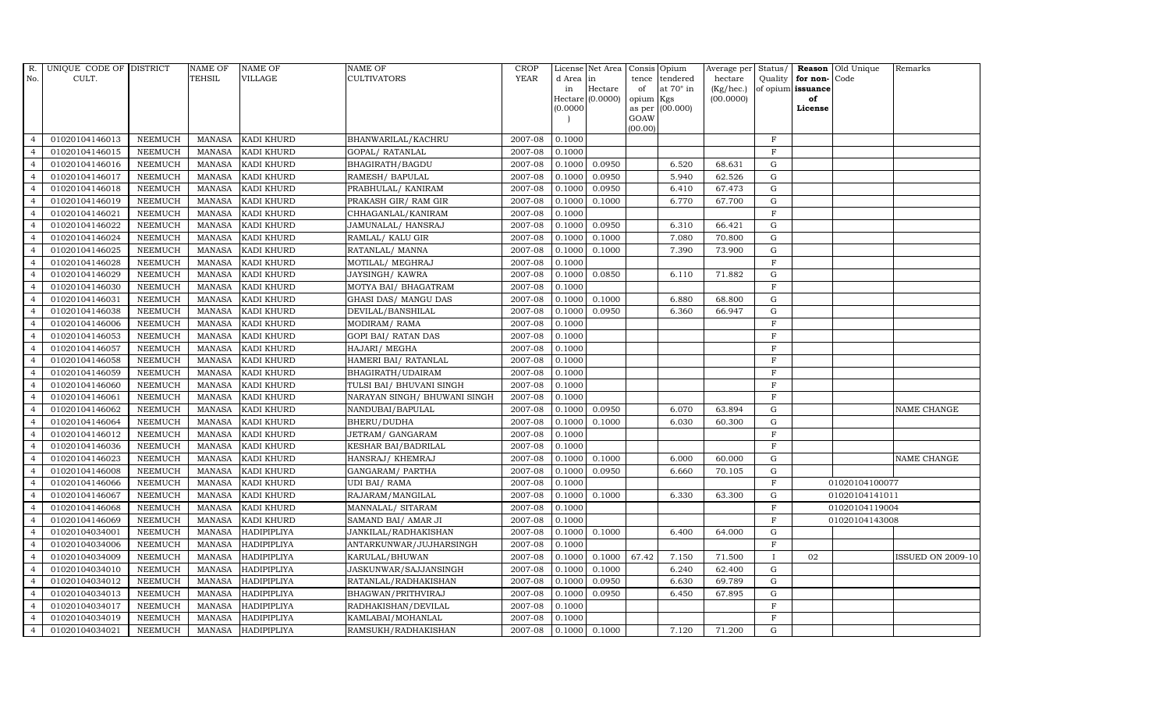| R.             | UNIQUE CODE OF DISTRICT |                | <b>NAME OF</b> | <b>NAME OF</b>     | <b>NAME OF</b>               | CROP        |           | License Net Area   Consis   Opium |           |                  | Average per | Status/      |                   | <b>Reason</b> Old Unique | Remarks                  |
|----------------|-------------------------|----------------|----------------|--------------------|------------------------------|-------------|-----------|-----------------------------------|-----------|------------------|-------------|--------------|-------------------|--------------------------|--------------------------|
| No.            | CULT.                   |                | <b>TEHSIL</b>  | <b>VILLAGE</b>     | <b>CULTIVATORS</b>           | <b>YEAR</b> | d Area in |                                   |           | tence tendered   | hectare     | Quality      | for non-          | Code                     |                          |
|                |                         |                |                |                    |                              |             | in        | Hectare                           | of        | at $70^\circ$ in | (Kg/hec.)   |              | of opium issuance |                          |                          |
|                |                         |                |                |                    |                              |             |           | Hectare (0.0000)                  | opium Kgs |                  | (00.0000)   |              | of                |                          |                          |
|                |                         |                |                |                    |                              |             | (0.0000)  |                                   | GOAW      | as per (00.000)  |             |              | License           |                          |                          |
|                |                         |                |                |                    |                              |             |           |                                   | (00.00)   |                  |             |              |                   |                          |                          |
| $\overline{4}$ | 01020104146013          | <b>NEEMUCH</b> | MANASA         | <b>KADI KHURD</b>  | BHANWARILAL/KACHRU           | 2007-08     | 0.1000    |                                   |           |                  |             | $\mathbf F$  |                   |                          |                          |
| $\overline{a}$ | 01020104146015          | <b>NEEMUCH</b> | MANASA         | KADI KHURD         | GOPAL/ RATANLAL              | 2007-08     | 0.1000    |                                   |           |                  |             | $\mathbf F$  |                   |                          |                          |
| $\overline{4}$ | 01020104146016          | <b>NEEMUCH</b> | <b>MANASA</b>  | <b>KADI KHURD</b>  | BHAGIRATH/BAGDU              | 2007-08     | 0.1000    | 0.0950                            |           | 6.520            | 68.631      | G            |                   |                          |                          |
|                | 01020104146017          | <b>NEEMUCH</b> | MANASA         | KADI KHURD         | RAMESH/ BAPULAL              | 2007-08     | 0.1000    | 0.0950                            |           | 5.940            | 62.526      | $\mathbf G$  |                   |                          |                          |
| $\overline{4}$ | 01020104146018          | <b>NEEMUCH</b> | <b>MANASA</b>  | KADI KHURD         | PRABHULAL/ KANIRAM           | 2007-08     | 0.1000    | 0.0950                            |           | 6.410            | 67.473      | ${\rm G}$    |                   |                          |                          |
| $\overline{4}$ | 01020104146019          | <b>NEEMUCH</b> | <b>MANASA</b>  | <b>KADI KHURD</b>  | PRAKASH GIR/RAM GIR          | 2007-08     | 0.1000    | 0.1000                            |           | 6.770            | 67.700      | $\mathbf G$  |                   |                          |                          |
| $\overline{4}$ | 01020104146021          | <b>NEEMUCH</b> | <b>MANASA</b>  | KADI KHURD         | CHHAGANLAL/KANIRAM           | 2007-08     | 0.1000    |                                   |           |                  |             | $\mathbf F$  |                   |                          |                          |
| $\overline{4}$ | 01020104146022          | <b>NEEMUCH</b> | <b>MANASA</b>  | KADI KHURD         | JAMUNALAL/HANSRAJ            | 2007-08     | 0.1000    | 0.0950                            |           | 6.310            | 66.421      | $\mathbf G$  |                   |                          |                          |
|                | 01020104146024          | <b>NEEMUCH</b> | <b>MANASA</b>  | <b>KADI KHURD</b>  | RAMLAL/ KALU GIR             | 2007-08     | 0.1000    | 0.1000                            |           | 7.080            | 70.800      | $\mathbf G$  |                   |                          |                          |
| $\overline{4}$ | 01020104146025          | <b>NEEMUCH</b> | <b>MANASA</b>  | KADI KHURD         | RATANLAL/ MANNA              | 2007-08     | 0.1000    | 0.1000                            |           | 7.390            | 73.900      | ${\rm G}$    |                   |                          |                          |
| $\overline{4}$ | 01020104146028          | <b>NEEMUCH</b> | <b>MANASA</b>  | KADI KHURD         | MOTILAL/ MEGHRAJ             | 2007-08     | 0.1000    |                                   |           |                  |             | $\mathbf F$  |                   |                          |                          |
| $\overline{4}$ | 01020104146029          | <b>NEEMUCH</b> | MANASA         | <b>KADI KHURD</b>  | JAYSINGH/KAWRA               | 2007-08     | 0.1000    | 0.0850                            |           | 6.110            | 71.882      | ${\rm G}$    |                   |                          |                          |
| $\overline{4}$ | 01020104146030          | <b>NEEMUCH</b> | <b>MANASA</b>  | KADI KHURD         | MOTYA BAI/ BHAGATRAM         | 2007-08     | 0.1000    |                                   |           |                  |             | $\mathbf F$  |                   |                          |                          |
| $\overline{4}$ | 01020104146031          | <b>NEEMUCH</b> | <b>MANASA</b>  | KADI KHURD         | GHASI DAS/ MANGU DAS         | 2007-08     | 0.1000    | 0.1000                            |           | 6.880            | 68.800      | G            |                   |                          |                          |
| $\overline{4}$ | 01020104146038          | <b>NEEMUCH</b> | <b>MANASA</b>  | <b>KADI KHURD</b>  | DEVILAL/BANSHILAL            | 2007-08     | 0.1000    | 0.0950                            |           | 6.360            | 66.947      | G            |                   |                          |                          |
| $\overline{4}$ | 01020104146006          | <b>NEEMUCH</b> | <b>MANASA</b>  | KADI KHURD         | MODIRAM/RAMA                 | 2007-08     | 0.1000    |                                   |           |                  |             | $\rm F$      |                   |                          |                          |
| $\overline{4}$ | 01020104146053          | <b>NEEMUCH</b> | MANASA         | KADI KHURD         | <b>GOPI BAI/ RATAN DAS</b>   | 2007-08     | 0.1000    |                                   |           |                  |             | $\mathbf F$  |                   |                          |                          |
| $\overline{4}$ | 01020104146057          | <b>NEEMUCH</b> | MANASA         | KADI KHURD         | HAJARI/ MEGHA                | 2007-08     | 0.1000    |                                   |           |                  |             | $\mathbf F$  |                   |                          |                          |
| $\overline{4}$ | 01020104146058          | <b>NEEMUCH</b> | <b>MANASA</b>  | KADI KHURD         | HAMERI BAI/ RATANLAL         | 2007-08     | 0.1000    |                                   |           |                  |             | $\mathbf F$  |                   |                          |                          |
| $\overline{4}$ | 01020104146059          | <b>NEEMUCH</b> | <b>MANASA</b>  | <b>KADI KHURD</b>  | BHAGIRATH/UDAIRAM            | 2007-08     | 0.1000    |                                   |           |                  |             | $\mathbf F$  |                   |                          |                          |
| 4              | 01020104146060          | <b>NEEMUCH</b> | <b>MANASA</b>  | KADI KHURD         | TULSI BAI/ BHUVANI SINGH     | 2007-08     | 0.1000    |                                   |           |                  |             | $\,$ F       |                   |                          |                          |
| $\overline{4}$ | 01020104146061          | <b>NEEMUCH</b> | <b>MANASA</b>  | KADI KHURD         | NARAYAN SINGH/ BHUWANI SINGH | 2007-08     | 0.1000    |                                   |           |                  |             | $\mathbf F$  |                   |                          |                          |
| $\overline{4}$ | 01020104146062          | <b>NEEMUCH</b> | MANASA         | <b>KADI KHURD</b>  | NANDUBAI/BAPULAL             | 2007-08     | 0.1000    | 0.0950                            |           | 6.070            | 63.894      | G            |                   |                          | NAME CHANGE              |
| $\overline{4}$ | 01020104146064          | <b>NEEMUCH</b> | <b>MANASA</b>  | KADI KHURD         | BHERU/DUDHA                  | 2007-08     | 0.1000    | 0.1000                            |           | 6.030            | 60.300      | $\mathbf G$  |                   |                          |                          |
| $\overline{4}$ | 01020104146012          | NEEMUCH        | <b>MANASA</b>  | KADI KHURD         | JETRAM/ GANGARAM             | 2007-08     | 0.1000    |                                   |           |                  |             | $\mathbf F$  |                   |                          |                          |
| $\overline{4}$ | 01020104146036          | <b>NEEMUCH</b> | <b>MANASA</b>  | <b>KADI KHURD</b>  | KESHAR BAI/BADRILAL          | 2007-08     | 0.1000    |                                   |           |                  |             | $\mathbf F$  |                   |                          |                          |
| $\overline{4}$ | 01020104146023          | <b>NEEMUCH</b> | <b>MANASA</b>  | KADI KHURD         | HANSRAJ/ KHEMRAJ             | 2007-08     | 0.1000    | 0.1000                            |           | 6.000            | 60.000      | ${\rm G}$    |                   |                          | NAME CHANGE              |
| $\overline{4}$ | 01020104146008          | <b>NEEMUCH</b> | MANASA         | <b>KADI KHURD</b>  | GANGARAM/ PARTHA             | 2007-08     | 0.1000    | 0.0950                            |           | 6.660            | 70.105      | $\mathbf G$  |                   |                          |                          |
| $\overline{4}$ | 01020104146066          | <b>NEEMUCH</b> | <b>MANASA</b>  | KADI KHURD         | UDI BAI/RAMA                 | 2007-08     | 0.1000    |                                   |           |                  |             | $\mathbf F$  |                   | 01020104100077           |                          |
| $\overline{4}$ | 01020104146067          | <b>NEEMUCH</b> | <b>MANASA</b>  | <b>KADI KHURD</b>  | RAJARAM / MANGILAL           | 2007-08     | 0.1000    | 0.1000                            |           | 6.330            | 63.300      | $\mathbf G$  |                   | 01020104141011           |                          |
| $\overline{4}$ | 01020104146068          | <b>NEEMUCH</b> | MANASA         | <b>KADI KHURD</b>  | MANNALAL/ SITARAM            | 2007-08     | 0.1000    |                                   |           |                  |             | $\rm F$      |                   | 01020104119004           |                          |
| $\overline{4}$ | 01020104146069          | <b>NEEMUCH</b> | <b>MANASA</b>  | KADI KHURD         | SAMAND BAI / AMAR JI         | 2007-08     | 0.1000    |                                   |           |                  |             | $\rm F$      |                   | 01020104143008           |                          |
| $\overline{4}$ | 01020104034001          | <b>NEEMUCH</b> | <b>MANASA</b>  | HADIPIPLIYA        | JANKILAL/RADHAKISHAN         | 2007-08     | 0.1000    | 0.1000                            |           | 6.400            | 64.000      | ${\rm G}$    |                   |                          |                          |
| $\overline{4}$ | 01020104034006          | <b>NEEMUCH</b> | <b>MANASA</b>  | <b>HADIPIPLIYA</b> | ANTARKUNWAR/JUJHARSINGH      | 2007-08     | 0.1000    |                                   |           |                  |             | $\mathbf F$  |                   |                          |                          |
| $\overline{4}$ | 01020104034009          | <b>NEEMUCH</b> | <b>MANASA</b>  | <b>HADIPIPLIYA</b> | KARULAL/BHUWAN               | 2007-08     | 0.1000    | 0.1000                            | 67.42     | 7.150            | 71.500      | $\mathbf{I}$ | 02                |                          | <b>ISSUED ON 2009-10</b> |
| $\overline{4}$ | 01020104034010          | <b>NEEMUCH</b> | <b>MANASA</b>  | <b>HADIPIPLIYA</b> | JASKUNWAR/SAJJANSINGH        | 2007-08     | 0.1000    | 0.1000                            |           | 6.240            | 62.400      | G            |                   |                          |                          |
| $\overline{4}$ | 01020104034012          | <b>NEEMUCH</b> | <b>MANASA</b>  | HADIPIPLIYA        | RATANLAL/RADHAKISHAN         | 2007-08     | 0.1000    | 0.0950                            |           | 6.630            | 69.789      | ${\rm G}$    |                   |                          |                          |
| $\overline{4}$ | 01020104034013          | <b>NEEMUCH</b> | <b>MANASA</b>  | <b>HADIPIPLIYA</b> | BHAGWAN/PRITHVIRAJ           | 2007-08     | 0.1000    | 0.0950                            |           | 6.450            | 67.895      | $\mathbf G$  |                   |                          |                          |
| $\overline{4}$ | 01020104034017          | <b>NEEMUCH</b> | <b>MANASA</b>  | HADIPIPLIYA        | RADHAKISHAN/DEVILAL          | 2007-08     | 0.1000    |                                   |           |                  |             | $\mathbf F$  |                   |                          |                          |
| $\overline{4}$ | 01020104034019          | <b>NEEMUCH</b> | <b>MANASA</b>  | <b>HADIPIPLIYA</b> | KAMLABAI/MOHANLAL            | 2007-08     | 0.1000    |                                   |           |                  |             | $\mathbf F$  |                   |                          |                          |
| $\overline{4}$ | 01020104034021          | <b>NEEMUCH</b> |                | MANASA HADIPIPLIYA | RAMSUKH/RADHAKISHAN          | 2007-08     |           | $0.1000$ 0.1000                   |           | 7.120            | 71.200      | G            |                   |                          |                          |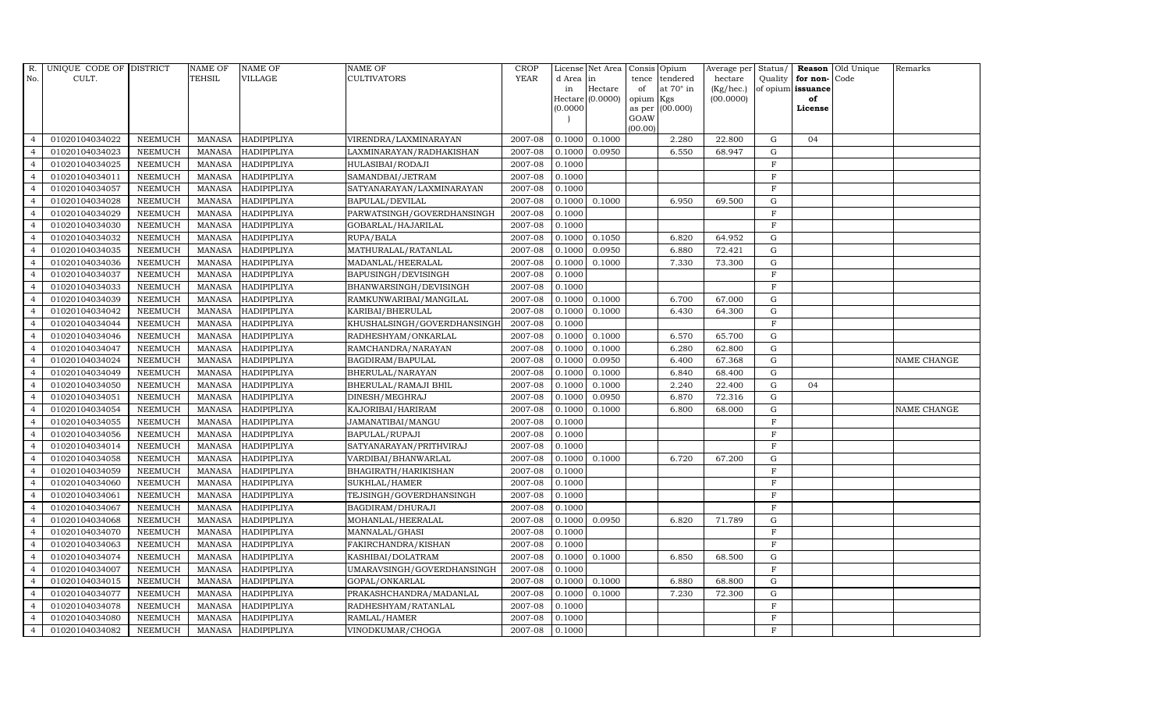| R.             | UNIQUE CODE OF DISTRICT |                | <b>NAME OF</b>  | <b>NAME OF</b>     | <b>NAME OF</b>              | CROP        |           | License Net Area Consis Opium |           |                  | Average per | Status/        | Reason            | Old Unique | Remarks     |
|----------------|-------------------------|----------------|-----------------|--------------------|-----------------------------|-------------|-----------|-------------------------------|-----------|------------------|-------------|----------------|-------------------|------------|-------------|
| No.            | CULT.                   |                | <b>TEHSIL</b>   | <b>VILLAGE</b>     | <b>CULTIVATORS</b>          | <b>YEAR</b> | d Area in |                               |           | tence tendered   | hectare     | Quality        | for non-          | Code       |             |
|                |                         |                |                 |                    |                             |             | in        | Hectare                       | of        | at $70^\circ$ in | (Kg/hec.)   |                | of opium issuance |            |             |
|                |                         |                |                 |                    |                             |             | (0.0000)  | Hectare (0.0000)              | opium Kgs | as per (00.000)  | (00.0000)   |                | of<br>License     |            |             |
|                |                         |                |                 |                    |                             |             |           |                               | GOAW      |                  |             |                |                   |            |             |
|                |                         |                |                 |                    |                             |             |           |                               | (00.00)   |                  |             |                |                   |            |             |
| $\overline{4}$ | 01020104034022          | <b>NEEMUCH</b> |                 | MANASA HADIPIPLIYA | VIRENDRA/LAXMINARAYAN       | 2007-08     | 0.1000    | 0.1000                        |           | 2.280            | 22.800      | $\mathbf G$    | 04                |            |             |
| $\overline{4}$ | 01020104034023          | <b>NEEMUCH</b> | MANASA          | <b>HADIPIPLIYA</b> | LAXMINARAYAN/RADHAKISHAN    | 2007-08     | 0.1000    | 0.0950                        |           | 6.550            | 68.947      | $\mathbf G$    |                   |            |             |
| $\overline{4}$ | 01020104034025          | <b>NEEMUCH</b> | <b>MANASA</b>   | HADIPIPLIYA        | HULASIBAI/RODAJI            | 2007-08     | 0.1000    |                               |           |                  |             | $\rm F$        |                   |            |             |
| $\overline{4}$ | 01020104034011          | <b>NEEMUCH</b> | MANASA          | HADIPIPLIYA        | SAMANDBAI/JETRAM            | 2007-08     | 0.1000    |                               |           |                  |             | $\mathbf F$    |                   |            |             |
| $\overline{4}$ | 01020104034057          | <b>NEEMUCH</b> | <b>MANASA</b>   | <b>HADIPIPLIYA</b> | SATYANARAYAN/LAXMINARAYAN   | 2007-08     | 0.1000    |                               |           |                  |             | $\mathbf F$    |                   |            |             |
| $\overline{4}$ | 01020104034028          | <b>NEEMUCH</b> | <b>MANASA</b>   | HADIPIPLIYA        | BAPULAL/DEVILAL             | 2007-08     | 0.1000    | 0.1000                        |           | 6.950            | 69.500      | ${\rm G}$      |                   |            |             |
| $\overline{4}$ | 01020104034029          | <b>NEEMUCH</b> | <b>MANASA</b>   | HADIPIPLIYA        | PARWATSINGH/GOVERDHANSINGH  | 2007-08     | 0.1000    |                               |           |                  |             | $\mathbf F$    |                   |            |             |
| $\overline{4}$ | 01020104034030          | <b>NEEMUCH</b> | <b>MANASA</b>   | <b>HADIPIPLIYA</b> | GOBARLAL/HAJARILAL          | 2007-08     | 0.1000    |                               |           |                  |             | $\mathbf F$    |                   |            |             |
| $\overline{4}$ | 01020104034032          | <b>NEEMUCH</b> | <b>MANASA</b>   | HADIPIPLIYA        | RUPA/BALA                   | 2007-08     | 0.1000    | 0.1050                        |           | 6.820            | 64.952      | G              |                   |            |             |
| $\overline{4}$ | 01020104034035          | <b>NEEMUCH</b> | <b>MANASA</b>   | HADIPIPLIYA        | MATHURALAL/RATANLAL         | 2007-08     | 0.1000    | 0.0950                        |           | 6.880            | 72.421      | G              |                   |            |             |
| $\overline{4}$ | 01020104034036          | <b>NEEMUCH</b> | <b>MANASA</b>   | HADIPIPLIYA        | MADANLAL/HEERALAL           | 2007-08     | 0.1000    | 0.1000                        |           | 7.330            | 73.300      | ${\rm G}$      |                   |            |             |
| $\overline{4}$ | 01020104034037          | <b>NEEMUCH</b> | MANASA          | <b>HADIPIPLIYA</b> | BAPUSINGH/DEVISINGH         | 2007-08     | 0.1000    |                               |           |                  |             | $\mathbf{F}$   |                   |            |             |
| $\overline{4}$ | 01020104034033          | <b>NEEMUCH</b> | MANASA          | <b>HADIPIPLIYA</b> | BHANWARSINGH/DEVISINGH      | 2007-08     | 0.1000    |                               |           |                  |             | $\mathbf{F}$   |                   |            |             |
| $\overline{4}$ | 01020104034039          | <b>NEEMUCH</b> | MANASA          | HADIPIPLIYA        | RAMKUNWARIBAI/MANGILAL      | 2007-08     | 0.1000    | 0.1000                        |           | 6.700            | 67.000      | $\mathbf G$    |                   |            |             |
| $\overline{4}$ | 01020104034042          | NEEMUCH        | $\mbox{MANASA}$ | HADIPIPLIYA        | KARIBAI/BHERULAL            | 2007-08     | 0.1000    | 0.1000                        |           | 6.430            | 64.300      | ${\rm G}$      |                   |            |             |
| $\overline{4}$ | 01020104034044          | <b>NEEMUCH</b> | MANASA          | <b>HADIPIPLIYA</b> | KHUSHALSINGH/GOVERDHANSINGH | 2007-08     | 0.1000    |                               |           |                  |             | $\mathbf F$    |                   |            |             |
| $\overline{4}$ | 01020104034046          | <b>NEEMUCH</b> | <b>MANASA</b>   | HADIPIPLIYA        | RADHESHYAM/ONKARLAL         | 2007-08     | 0.1000    | 0.1000                        |           | 6.570            | 65.700      | ${\rm G}$      |                   |            |             |
| $\overline{4}$ | 01020104034047          | <b>NEEMUCH</b> | MANASA          | HADIPIPLIYA        | RAMCHANDRA/NARAYAN          | 2007-08     | 0.1000    | 0.1000                        |           | 6.280            | 62.800      | G              |                   |            |             |
| $\overline{4}$ | 01020104034024          | <b>NEEMUCH</b> | <b>MANASA</b>   | <b>HADIPIPLIYA</b> | BAGDIRAM/BAPULAL            | 2007-08     | 0.1000    | 0.0950                        |           | 6.400            | 67.368      | $\mathbf G$    |                   |            | NAME CHANGE |
|                | 01020104034049          | NEEMUCH        | <b>MANASA</b>   | <b>HADIPIPLIYA</b> | BHERULAL/NARAYAN            | 2007-08     | 0.1000    | 0.1000                        |           | 6.840            | 68.400      | $\mathbf G$    |                   |            |             |
| $\overline{4}$ | 01020104034050          | <b>NEEMUCH</b> | <b>MANASA</b>   | HADIPIPLIYA        | BHERULAL/RAMAJI BHIL        | 2007-08     | 0.1000    | 0.1000                        |           | 2.240            | 22.400      | $\mathbf G$    | 04                |            |             |
| $\overline{4}$ | 01020104034051          | <b>NEEMUCH</b> | <b>MANASA</b>   | HADIPIPLIYA        | DINESH/MEGHRAJ              | 2007-08     | 0.1000    | 0.0950                        |           | 6.870            | 72.316      | $\mathbf G$    |                   |            |             |
| $\overline{4}$ | 01020104034054          | <b>NEEMUCH</b> | MANASA          | <b>HADIPIPLIYA</b> | KAJORIBAI/HARIRAM           | 2007-08     | 0.1000    | 0.1000                        |           | 6.800            | 68.000      | $\mathbf G$    |                   |            | NAME CHANGE |
| $\overline{4}$ | 01020104034055          | <b>NEEMUCH</b> | <b>MANASA</b>   | HADIPIPLIYA        | JAMANATIBAI/MANGU           | 2007-08     | 0.1000    |                               |           |                  |             | $\mathbf F$    |                   |            |             |
| $\overline{4}$ | 01020104034056          | <b>NEEMUCH</b> | <b>MANASA</b>   | <b>HADIPIPLIYA</b> | BAPULAL/RUPAJI              | 2007-08     | 0.1000    |                               |           |                  |             | $\mathbf F$    |                   |            |             |
| $\overline{4}$ | 01020104034014          | <b>NEEMUCH</b> | MANASA          | <b>HADIPIPLIYA</b> | SATYANARAYAN/PRITHVIRAJ     | 2007-08     | 0.1000    |                               |           |                  |             | $\rm F$        |                   |            |             |
| $\overline{4}$ | 01020104034058          | <b>NEEMUCH</b> | <b>MANASA</b>   | HADIPIPLIYA        | VARDIBAI/BHANWARLAL         | 2007-08     | 0.1000    | 0.1000                        |           | 6.720            | 67.200      | $\mathbf G$    |                   |            |             |
| $\overline{4}$ | 01020104034059          | <b>NEEMUCH</b> | MANASA          | HADIPIPLIYA        | BHAGIRATH/HARIKISHAN        | 2007-08     | 0.1000    |                               |           |                  |             | $\mathbf F$    |                   |            |             |
| $\overline{4}$ | 01020104034060          | <b>NEEMUCH</b> | MANASA          | <b>HADIPIPLIYA</b> | SUKHLAL/HAMER               | 2007-08     | 0.1000    |                               |           |                  |             | $\mathbf F$    |                   |            |             |
| $\overline{4}$ | 01020104034061          | <b>NEEMUCH</b> | <b>MANASA</b>   | HADIPIPLIYA        | TEJSINGH/GOVERDHANSINGH     | 2007-08     | 0.1000    |                               |           |                  |             | F              |                   |            |             |
| $\overline{4}$ | 01020104034067          | <b>NEEMUCH</b> | <b>MANASA</b>   | HADIPIPLIYA        | BAGDIRAM/DHURAJI            | 2007-08     | 0.1000    |                               |           |                  |             | $\mathbf F$    |                   |            |             |
| $\overline{4}$ | 01020104034068          | <b>NEEMUCH</b> | <b>MANASA</b>   | HADIPIPLIYA        | MOHANLAL/HEERALAL           | 2007-08     | 0.1000    | 0.0950                        |           | 6.820            | 71.789      | ${\rm G}$      |                   |            |             |
| $\overline{4}$ | 01020104034070          | <b>NEEMUCH</b> | MANASA          | <b>HADIPIPLIYA</b> | MANNALAL/GHASI              | 2007-08     | 0.1000    |                               |           |                  |             | $\mathbf F$    |                   |            |             |
| $\overline{4}$ | 01020104034063          | <b>NEEMUCH</b> | MANASA          | <b>HADIPIPLIYA</b> | FAKIRCHANDRA/KISHAN         | 2007-08     | 0.1000    |                               |           |                  |             | $\mathbf F$    |                   |            |             |
| $\overline{4}$ | 01020104034074          | <b>NEEMUCH</b> | <b>MANASA</b>   | <b>HADIPIPLIYA</b> | KASHIBAI/DOLATRAM           | 2007-08     | 0.1000    | 0.1000                        |           | 6.850            | 68.500      | $\mathbf G$    |                   |            |             |
| $\overline{4}$ | 01020104034007          | <b>NEEMUCH</b> | <b>MANASA</b>   | HADIPIPLIYA        | UMARAVSINGH/GOVERDHANSINGH  | 2007-08     | 0.1000    |                               |           |                  |             | $\mathbf F$    |                   |            |             |
| $\overline{4}$ | 01020104034015          | <b>NEEMUCH</b> | <b>MANASA</b>   | HADIPIPLIYA        | GOPAL/ONKARLAL              | 2007-08     | 0.1000    | 0.1000                        |           | 6.880            | 68.800      | ${\rm G}$      |                   |            |             |
| $\overline{4}$ | 01020104034077          | <b>NEEMUCH</b> | <b>MANASA</b>   | <b>HADIPIPLIYA</b> | PRAKASHCHANDRA/MADANLAL     | 2007-08     | 0.1000    | 0.1000                        |           | 7.230            | 72.300      | $\mathbf G$    |                   |            |             |
| $\overline{4}$ | 01020104034078          | <b>NEEMUCH</b> | MANASA          | HADIPIPLIYA        | RADHESHYAM/RATANLAL         | 2007-08     | 0.1000    |                               |           |                  |             | $\mathbf F$    |                   |            |             |
| $\overline{4}$ | 01020104034080          | <b>NEEMUCH</b> | <b>MANASA</b>   | <b>HADIPIPLIYA</b> | RAMLAL/HAMER                | 2007-08     | 0.1000    |                               |           |                  |             | $\overline{F}$ |                   |            |             |
| $\overline{4}$ | 01020104034082          | <b>NEEMUCH</b> |                 | MANASA HADIPIPLIYA | VINODKUMAR/CHOGA            | 2007-08     | 0.1000    |                               |           |                  |             | $\mathbf F$    |                   |            |             |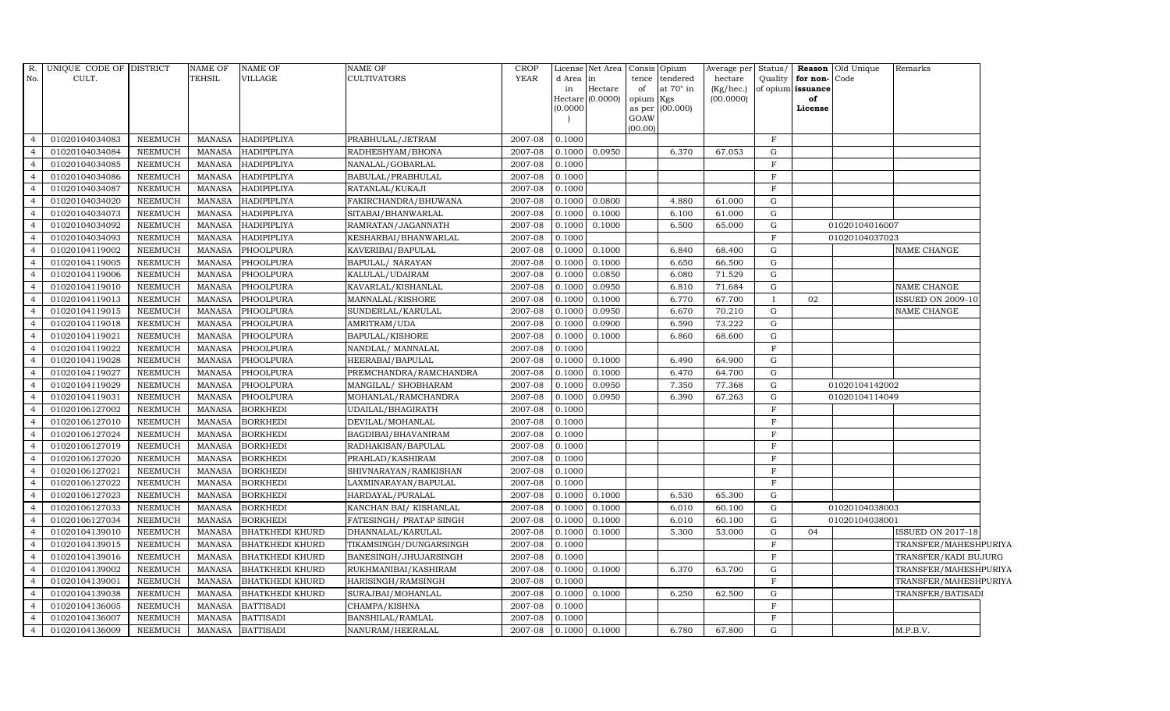| R.<br>No.                        | UNIQUE CODE OF DISTRICT<br>CULT. |                | <b>NAME OF</b><br><b>TEHSIL</b> | <b>NAME OF</b><br>VILLAGE | <b>NAME OF</b><br><b>CULTIVATORS</b> | <b>CROP</b><br>YEAR | d Area<br>in<br>(0.0000) | License Net Area<br>lin<br>Hectare<br>Hectare (0.0000) | tence<br>of<br>opium Kgs | Consis Opium<br>tendered<br>at 70° in<br>as per (00.000) | Average per Status/<br>hectare<br>$(Kg/$ hec. $)$<br>(00.0000) | Quality          | for non-<br>of opium issuance<br>of<br>License | <b>Reason</b> Old Unique<br>Code | Remarks                  |
|----------------------------------|----------------------------------|----------------|---------------------------------|---------------------------|--------------------------------------|---------------------|--------------------------|--------------------------------------------------------|--------------------------|----------------------------------------------------------|----------------------------------------------------------------|------------------|------------------------------------------------|----------------------------------|--------------------------|
|                                  |                                  |                |                                 |                           |                                      |                     |                          |                                                        | GOAW<br>(00.00)          |                                                          |                                                                |                  |                                                |                                  |                          |
| $\overline{4}$                   | 01020104034083                   | NEEMUCH        | MANASA                          | <b>HADIPIPLIYA</b>        | PRABHULAL/JETRAM                     | 2007-08             | 0.1000                   |                                                        |                          |                                                          |                                                                | $\mathbf{F}$     |                                                |                                  |                          |
|                                  | 01020104034084                   | NEEMUCH        | <b>MANASA</b>                   | <b>HADIPIPLIYA</b>        | RADHESHYAM/BHONA                     | 2007-08             | 0.1000                   | 0.0950                                                 |                          | 6.370                                                    | 67.053                                                         | G                |                                                |                                  |                          |
|                                  | 01020104034085                   | <b>NEEMUCH</b> | <b>MANASA</b>                   | <b>HADIPIPLIYA</b>        | NANALAL/GOBARLAL                     | 2007-08             | 0.1000                   |                                                        |                          |                                                          |                                                                | $_{\rm F}$       |                                                |                                  |                          |
|                                  | 01020104034086                   | <b>NEEMUCH</b> | <b>MANASA</b>                   | <b>HADIPIPLIYA</b>        | BABULAL/PRABHULAL                    | 2007-08             | 0.1000                   |                                                        |                          |                                                          |                                                                | $\mathbf F$      |                                                |                                  |                          |
| $\overline{a}$                   | 01020104034087                   | <b>NEEMUCH</b> | <b>MANASA</b>                   | <b>HADIPIPLIYA</b>        | RATANLAL/KUKAJI                      | 2007-08             | 0.1000                   |                                                        |                          |                                                          |                                                                | $\mathbf{F}$     |                                                |                                  |                          |
| $\overline{4}$                   | 01020104034020                   | <b>NEEMUCH</b> | <b>MANASA</b>                   | <b>HADIPIPLIYA</b>        | FAKIRCHANDRA/BHUWANA                 | 2007-08             | 0.1000                   | 0.0800                                                 |                          | 4.880                                                    | 61.000                                                         | G                |                                                |                                  |                          |
|                                  | 01020104034073                   | <b>NEEMUCH</b> | <b>MANASA</b>                   | <b>HADIPIPLIYA</b>        | SITABAI/BHANWARLAL                   | 2007-08             | 0.1000                   | 0.1000                                                 |                          | 6.100                                                    | 61.000                                                         | ${\rm G}$        |                                                |                                  |                          |
|                                  | 01020104034092                   | <b>NEEMUCH</b> | <b>MANASA</b>                   | <b>HADIPIPLIYA</b>        | RAMRATAN/JAGANNATH                   | 2007-08             | 0.1000                   | 0.1000                                                 |                          | 6.500                                                    | 65.000                                                         | G                |                                                | 01020104016007                   |                          |
|                                  | 01020104034093                   | <b>NEEMUCH</b> | <b>MANASA</b>                   | <b>HADIPIPLIYA</b>        | KESHARBAI/BHANWARLAL                 | 2007-08             | 0.1000                   |                                                        |                          |                                                          |                                                                | $\mathbf F$      |                                                | 01020104037023                   |                          |
| 4                                | 01020104119002                   | <b>NEEMUCH</b> | <b>MANASA</b>                   | PHOOLPURA                 | KAVERIBAI/BAPULAL                    | 2007-08             | 0.1000                   | 0.1000                                                 |                          | 6.840                                                    | 68.400                                                         | G                |                                                |                                  | NAME CHANGE              |
| $\overline{4}$                   | 01020104119005                   | <b>NEEMUCH</b> | MANASA                          | PHOOLPURA                 | BAPULAL/ NARAYAN                     | 2007-08             | 0.1000                   | 0.1000                                                 |                          | 6.650                                                    | 66.500                                                         | G                |                                                |                                  |                          |
|                                  | 01020104119006                   | NEEMUCH        | <b>MANASA</b>                   | PHOOLPURA                 | KALULAL/UDAIRAM                      | 2007-08             | 0.1000                   | 0.0850                                                 |                          | 6.080                                                    | 71.529                                                         | G                |                                                |                                  |                          |
|                                  | 01020104119010                   | <b>NEEMUCH</b> | <b>MANASA</b>                   | PHOOLPURA                 | KAVARLAL/KISHANLAL                   | 2007-08             | 0.1000                   | 0.0950                                                 |                          | 6.810                                                    | 71.684                                                         | G                |                                                |                                  | NAME CHANGE              |
|                                  | 01020104119013                   | <b>NEEMUCH</b> | <b>MANASA</b>                   | PHOOLPURA                 | MANNALAL/KISHORE                     | 2007-08             | 0.1000                   | 0.1000                                                 |                          | 6.770                                                    | 67.700                                                         | $\mathbf{I}$     | 02                                             |                                  | <b>ISSUED ON 2009-10</b> |
|                                  | 01020104119015                   | <b>NEEMUCH</b> | <b>MANASA</b>                   | PHOOLPURA                 | SUNDERLAL/KARULAL                    | 2007-08             | 0.1000                   | 0.0950                                                 |                          | 6.670                                                    | 70.210                                                         | ${\rm G}$        |                                                |                                  | NAME CHANGE              |
| $\overline{4}$                   | 01020104119018                   | <b>NEEMUCH</b> | <b>MANASA</b>                   | PHOOLPURA                 | AMRITRAM/UDA                         | 2007-08             | 0.1000                   | 0.0900                                                 |                          | 6.590                                                    | 73.222                                                         | G                |                                                |                                  |                          |
| $\overline{4}$                   | 01020104119021                   | <b>NEEMUCH</b> | <b>MANASA</b>                   | PHOOLPURA                 | BAPULAL/KISHORE                      | 2007-08             | 0.1000                   | 0.1000                                                 |                          | 6.860                                                    | 68.600                                                         | G                |                                                |                                  |                          |
| $\overline{4}$                   | 01020104119022                   | <b>NEEMUCH</b> | <b>MANASA</b>                   | PHOOLPURA                 | NANDLAL/ MANNALAL                    | 2007-08             | 0.1000                   |                                                        |                          |                                                          |                                                                | $\mathbf F$      |                                                |                                  |                          |
|                                  | 01020104119028                   | <b>NEEMUCH</b> | <b>MANASA</b>                   | PHOOLPURA                 | HEERABAI/BAPULAL                     | 2007-08             | 0.1000                   | 0.1000                                                 |                          | 6.490                                                    | 64.900                                                         | G                |                                                |                                  |                          |
|                                  | 01020104119027                   | <b>NEEMUCH</b> | <b>MANASA</b>                   | PHOOLPURA                 | PREMCHANDRA/RAMCHANDRA               | 2007-08             | 0.1000                   | 0.1000                                                 |                          | 6.470                                                    | 64.700                                                         | G                |                                                |                                  |                          |
| 4                                | 01020104119029                   | <b>NEEMUCH</b> | <b>MANASA</b>                   | PHOOLPURA                 | MANGILAL/ SHOBHARAM                  | 2007-08             | 0.1000                   | 0.0950                                                 |                          | 7.350                                                    | 77.368                                                         | G                |                                                | 01020104142002                   |                          |
| $\overline{4}$                   | 01020104119031                   | <b>NEEMUCH</b> | <b>MANASA</b>                   | PHOOLPURA                 | MOHANLAL/RAMCHANDRA                  | 2007-08             | 0.1000                   | 0.0950                                                 |                          | 6.390                                                    | 67.263                                                         | G                |                                                | 01020104114049                   |                          |
| $\overline{4}$                   | 01020106127002                   | <b>NEEMUCH</b> | <b>MANASA</b>                   | <b>BORKHEDI</b>           | UDAILAL/BHAGIRATH                    | 2007-08             | 0.1000                   |                                                        |                          |                                                          |                                                                | $\rm F$          |                                                |                                  |                          |
|                                  | 01020106127010                   | <b>NEEMUCH</b> | <b>MANASA</b>                   | <b>BORKHEDI</b>           | DEVILAL/MOHANLAL                     | 2007-08             | 0.1000                   |                                                        |                          |                                                          |                                                                | $\mathbf F$      |                                                |                                  |                          |
|                                  | 01020106127024                   | NEEMUCH        | <b>MANASA</b>                   | <b>BORKHEDI</b>           | BAGDIBAI/BHAVANIRAM                  | 2007-08             | 0.1000                   |                                                        |                          |                                                          |                                                                | F                |                                                |                                  |                          |
| 4                                | 01020106127019                   | NEEMUCH        | <b>MANASA</b>                   | <b>BORKHEDI</b>           | RADHAKISAN/BAPULAL                   | 2007-08             | 0.1000                   |                                                        |                          |                                                          |                                                                | $_{\rm F}$       |                                                |                                  |                          |
| $\overline{4}$                   | 01020106127020                   | NEEMUCH        | <b>MANASA</b>                   | <b>BORKHEDI</b>           | PRAHLAD/KASHIRAM                     | 2007-08             | 0.1000                   |                                                        |                          |                                                          |                                                                | $\mathbf F$      |                                                |                                  |                          |
| $\overline{4}$                   | 01020106127021                   | NEEMUCH        | <b>MANASA</b>                   | <b>BORKHEDI</b>           | SHIVNARAYAN/RAMKISHAN                | 2007-08             | 0.1000                   |                                                        |                          |                                                          |                                                                | $_{\rm F}$       |                                                |                                  |                          |
|                                  | 01020106127022                   | <b>NEEMUCH</b> | <b>MANASA</b>                   | <b>BORKHEDI</b>           | LAXMINARAYAN / BAPULAL               | 2007-08             | 0.1000                   |                                                        |                          |                                                          |                                                                | $\mathbf F$      |                                                |                                  |                          |
|                                  | 01020106127023                   | <b>NEEMUCH</b> | <b>MANASA</b>                   | <b>BORKHEDI</b>           | HARDAYAL/PURALAL                     | 2007-08             | 0.1000                   | 0.1000                                                 |                          | 6.530                                                    | 65.300                                                         | $\mathbf G$      |                                                |                                  |                          |
|                                  | 01020106127033                   | <b>NEEMUCH</b> | <b>MANASA</b>                   | <b>BORKHEDI</b>           | KANCHAN BAI/KISHANLAL                | 2007-08             | 0.1000                   | 0.1000                                                 |                          | 6.010                                                    | 60.100                                                         | G                |                                                | 01020104038003                   |                          |
| 4                                | 01020106127034                   | <b>NEEMUCH</b> | <b>MANASA</b>                   | <b>BORKHEDI</b>           | FATESINGH/ PRATAP SINGH              | 2007-08             | 0.1000                   | 0.1000                                                 |                          | 6.010                                                    | 60.100                                                         | G                |                                                | 01020104038001                   |                          |
| $\overline{a}$                   | 01020104139010                   | <b>NEEMUCH</b> | <b>MANASA</b>                   | <b>BHATKHEDI KHURD</b>    | DHANNALAL/KARULAL                    | 2007-08             | 0.1000                   | 0.1000                                                 |                          | 5.300                                                    | 53.000                                                         | G                | 04                                             |                                  | ISSUED ON 2017-18        |
|                                  | 01020104139015                   | <b>NEEMUCH</b> | <b>MANASA</b>                   | <b>BHATKHEDI KHURD</b>    | TIKAMSINGH/DUNGARSINGH               | 2007-08             | 0.1000                   |                                                        |                          |                                                          |                                                                | $\mathbf F$      |                                                |                                  | TRANSFER/MAHESHPURIYA    |
|                                  | 01020104139016                   | <b>NEEMUCH</b> | <b>MANASA</b>                   | <b>BHATKHEDI KHURD</b>    | BANESINGH/JHUJARSINGH                | 2007-08             | 0.1000                   |                                                        |                          |                                                          |                                                                | $\mathbf F$      |                                                |                                  | TRANSFER/KADI BUJURG     |
|                                  | 01020104139002                   | <b>NEEMUCH</b> | <b>MANASA</b>                   | <b>BHATKHEDI KHURD</b>    | RUKHMANIBAI/KASHIRAM                 | 2007-08             | 0.1000                   | 0.1000                                                 |                          | 6.370                                                    | 63.700                                                         | ${\rm G}$        |                                                |                                  | TRANSFER/MAHESHPURIYA    |
| 4                                | 01020104139001                   | <b>NEEMUCH</b> | <b>MANASA</b>                   | <b>BHATKHEDI KHURD</b>    | HARISINGH/RAMSINGH                   | 2007-08             | 0.1000                   |                                                        |                          |                                                          |                                                                | $\mathbf F$      |                                                |                                  | TRANSFER/MAHESHPURIYA    |
| $\overline{4}$<br>$\overline{a}$ | 01020104139038                   | NEEMUCH        | <b>MANASA</b>                   | <b>BHATKHEDI KHURD</b>    | SURAJBAI/MOHANLAL                    | 2007-08             | 0.1000                   | 0.1000                                                 |                          | 6.250                                                    | 62.500                                                         | G<br>$\mathbf F$ |                                                |                                  | TRANSFER/BATISADI        |
|                                  | 01020104136005                   | <b>NEEMUCH</b> | <b>MANASA</b>                   | <b>BATTISADI</b>          | CHAMPA/KISHNA                        | 2007-08             | 0.1000                   |                                                        |                          |                                                          |                                                                | $\mathbf F$      |                                                |                                  |                          |
| $\overline{4}$                   | 01020104136007                   | <b>NEEMUCH</b> | <b>MANASA</b>                   | <b>BATTISADI</b>          | BANSHILAL/RAMLAL                     | 2007-08             | 0.1000                   |                                                        |                          |                                                          |                                                                |                  |                                                |                                  |                          |
|                                  | 01020104136009                   | NEEMUCH        |                                 | MANASA BATTISADI          | NANURAM/HEERALAL                     | 2007-08             |                          | $0.1000$ $0.1000$                                      |                          | 6.780                                                    | 67.800                                                         | $\mathbf G$      |                                                |                                  | M.P.B.V.                 |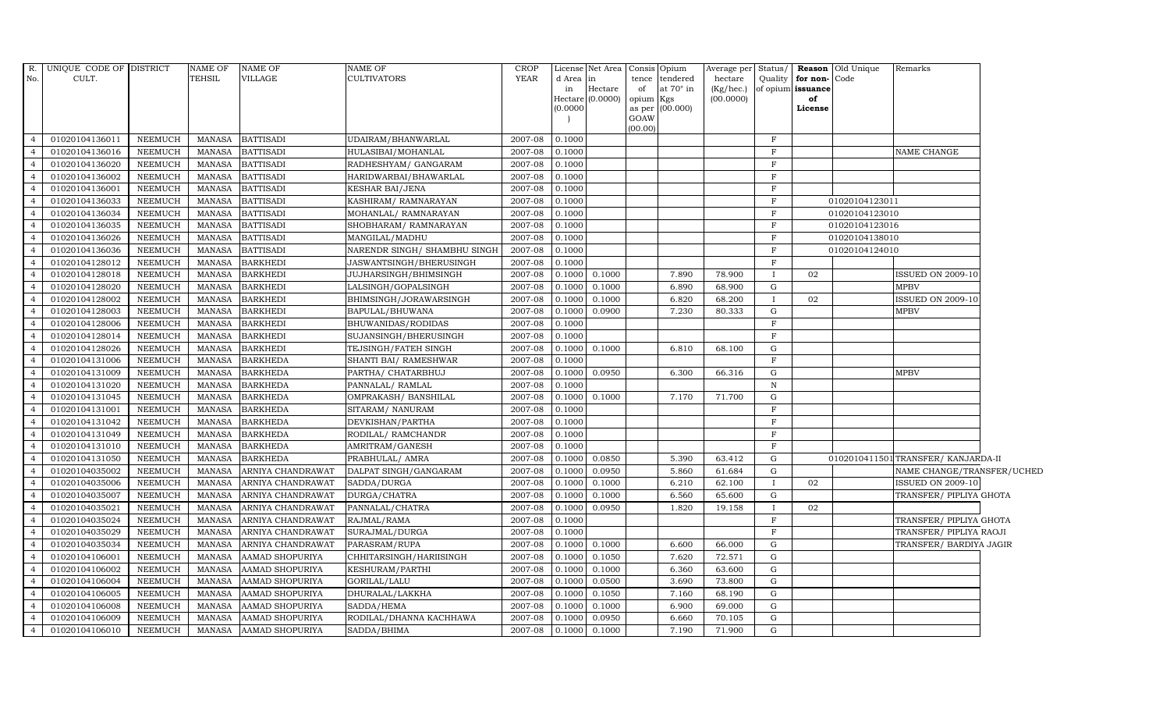| R.             | UNIQUE CODE OF DISTRICT |                | NAME OF       | <b>NAME OF</b>    | NAME OF                      | <b>CROP</b> |           | License Net Area Consis Opium |                 |                  | Average per Status/       |              |                         | <b>Reason</b> Old Unique | Remarks                           |  |
|----------------|-------------------------|----------------|---------------|-------------------|------------------------------|-------------|-----------|-------------------------------|-----------------|------------------|---------------------------|--------------|-------------------------|--------------------------|-----------------------------------|--|
| No.            | CULT.                   |                | TEHSIL        | VILLAGE           | <b>CULTIVATORS</b>           | <b>YEAR</b> | d Area in |                               |                 | tence tendered   | hectare                   | Quality      | for non-                | Code                     |                                   |  |
|                |                         |                |               |                   |                              |             | in        | Hectare<br>Hectare (0.0000)   | of<br>opium Kgs | at $70^\circ$ in | $(Kg/$ hec.)<br>(00.0000) |              | of opium issuance<br>of |                          |                                   |  |
|                |                         |                |               |                   |                              |             | (0.0000)  |                               |                 | as per (00.000)  |                           |              | License                 |                          |                                   |  |
|                |                         |                |               |                   |                              |             |           |                               | GOAW            |                  |                           |              |                         |                          |                                   |  |
|                |                         |                |               |                   |                              |             |           |                               | (00.00)         |                  |                           |              |                         |                          |                                   |  |
| $\overline{4}$ | 01020104136011          | NEEMUCH        | <b>MANASA</b> | <b>BATTISADI</b>  | UDAIRAM/BHANWARLAL           | 2007-08     | 0.1000    |                               |                 |                  |                           | $_{\rm F}$   |                         |                          |                                   |  |
| $\overline{4}$ | 01020104136016          | NEEMUCH        | <b>MANASA</b> | <b>BATTISADI</b>  | HULASIBAI/MOHANLAL           | 2007-08     | 0.1000    |                               |                 |                  |                           | $\mathbf F$  |                         |                          | NAME CHANGE                       |  |
| $\overline{4}$ | 01020104136020          | NEEMUCH        | <b>MANASA</b> | <b>BATTISADI</b>  | RADHESHYAM / GANGARAM        | 2007-08     | 0.1000    |                               |                 |                  |                           | F            |                         |                          |                                   |  |
|                | 01020104136002          | <b>NEEMUCH</b> | <b>MANASA</b> | <b>BATTISADI</b>  | HARIDWARBAI/BHAWARLAL        | 2007-08     | 0.1000    |                               |                 |                  |                           | $\mathbf{F}$ |                         |                          |                                   |  |
| $\overline{4}$ | 01020104136001          | <b>NEEMUCH</b> | <b>MANASA</b> | <b>BATTISADI</b>  | KESHAR BAI/JENA              | 2007-08     | 0.1000    |                               |                 |                  |                           | $\mathbf F$  |                         |                          |                                   |  |
| $\overline{4}$ | 01020104136033          | NEEMUCH        | <b>MANASA</b> | <b>BATTISADI</b>  | KASHIRAM / RAMNARAYAN        | 2007-08     | 0.1000    |                               |                 |                  |                           | $\mathbf F$  |                         | 01020104123011           |                                   |  |
| $\overline{4}$ | 01020104136034          | NEEMUCH        | <b>MANASA</b> | <b>BATTISADI</b>  | MOHANLAL/RAMNARAYAN          | 2007-08     | 0.1000    |                               |                 |                  |                           | $\mathbf F$  |                         | 01020104123010           |                                   |  |
| $\overline{4}$ | 01020104136035          | <b>NEEMUCH</b> | <b>MANASA</b> | <b>BATTISADI</b>  | SHOBHARAM / RAMNARAYAN       | 2007-08     | 0.1000    |                               |                 |                  |                           | $\mathbf F$  |                         | 01020104123016           |                                   |  |
|                | 01020104136026          | <b>NEEMUCH</b> | <b>MANASA</b> | <b>BATTISADI</b>  | MANGILAL/MADHU               | 2007-08     | 0.1000    |                               |                 |                  |                           | $\mathbf{F}$ |                         | 01020104138010           |                                   |  |
| $\overline{4}$ | 01020104136036          | <b>NEEMUCH</b> | <b>MANASA</b> | <b>BATTISADI</b>  | NARENDR SINGH/ SHAMBHU SINGH | 2007-08     | 0.1000    |                               |                 |                  |                           | $\mathbf F$  |                         | 01020104124010           |                                   |  |
| $\overline{4}$ | 01020104128012          | NEEMUCH        | <b>MANASA</b> | <b>BARKHEDI</b>   | JASWANTSINGH/BHERUSINGH      | 2007-08     | 0.1000    |                               |                 |                  |                           | $\mathbf F$  |                         |                          |                                   |  |
| $\overline{4}$ | 01020104128018          | NEEMUCH        | <b>MANASA</b> | <b>BARKHEDI</b>   | JUJHARSINGH/BHIMSINGH        | 2007-08     | 0.1000    | 0.1000                        |                 | 7.890            | 78.900                    | $\mathbf{I}$ | 02                      |                          | <b>ISSUED ON 2009-10</b>          |  |
| $\overline{4}$ | 01020104128020          | <b>NEEMUCH</b> | <b>MANASA</b> | <b>BARKHEDI</b>   | LALSINGH/GOPALSINGH          | 2007-08     | 0.1000    | 0.1000                        |                 | 6.890            | 68.900                    | G            |                         |                          | MPBV                              |  |
|                | 01020104128002          | <b>NEEMUCH</b> | <b>MANASA</b> | <b>BARKHEDI</b>   | BHIMSINGH/JORAWARSINGH       | 2007-08     | 0.1000    | 0.1000                        |                 | 6.820            | 68.200                    | $\mathbf{I}$ | 02                      |                          | <b>ISSUED ON 2009-10</b>          |  |
| $\overline{4}$ | 01020104128003          | NEEMUCH        | <b>MANASA</b> | <b>BARKHEDI</b>   | BAPULAL/BHUWANA              | 2007-08     | 0.1000    | 0.0900                        |                 | 7.230            | 80.333                    | ${\rm G}$    |                         |                          | MPBV                              |  |
| $\overline{4}$ | 01020104128006          | <b>NEEMUCH</b> | <b>MANASA</b> | <b>BARKHEDI</b>   | BHUWANIDAS/RODIDAS           | 2007-08     | 0.1000    |                               |                 |                  |                           | $\mathbf F$  |                         |                          |                                   |  |
| $\overline{4}$ | 01020104128014          | NEEMUCH        | <b>MANASA</b> | <b>BARKHEDI</b>   | SUJANSINGH/BHERUSINGH        | 2007-08     | 0.1000    |                               |                 |                  |                           | $\mathbf F$  |                         |                          |                                   |  |
| $\overline{4}$ | 01020104128026          | NEEMUCH        | <b>MANASA</b> | <b>BARKHEDI</b>   | TEJSINGH/FATEH SINGH         | 2007-08     | 0.1000    | 0.1000                        |                 | 6.810            | 68.100                    | G            |                         |                          |                                   |  |
| $\overline{4}$ | 01020104131006          | <b>NEEMUCH</b> | <b>MANASA</b> | <b>BARKHEDA</b>   | SHANTI BAI/ RAMESHWAR        | 2007-08     | 0.1000    |                               |                 |                  |                           | $\mathbf F$  |                         |                          |                                   |  |
|                | 01020104131009          | <b>NEEMUCH</b> | <b>MANASA</b> | <b>BARKHEDA</b>   | PARTHA/ CHATARBHUJ           | 2007-08     | 0.1000    | 0.0950                        |                 | 6.300            | 66.316                    | $\mathbf G$  |                         |                          | <b>MPBV</b>                       |  |
| $\overline{4}$ | 01020104131020          | NEEMUCH        | <b>MANASA</b> | <b>BARKHEDA</b>   | PANNALAL/ RAMLAL             | 2007-08     | 0.1000    |                               |                 |                  |                           | $\, {\rm N}$ |                         |                          |                                   |  |
| $\overline{4}$ | 01020104131045          | NEEMUCH        | <b>MANASA</b> | <b>BARKHEDA</b>   | OMPRAKASH/ BANSHILAL         | 2007-08     | 0.1000    | 0.1000                        |                 | 7.170            | 71.700                    | $\mathbf G$  |                         |                          |                                   |  |
| $\overline{4}$ | 01020104131001          | NEEMUCH        | <b>MANASA</b> | <b>BARKHEDA</b>   | SITARAM/ NANURAM             | 2007-08     | 0.1000    |                               |                 |                  |                           | $\mathbf F$  |                         |                          |                                   |  |
| $\overline{4}$ | 01020104131042          | NEEMUCH        | <b>MANASA</b> | <b>BARKHEDA</b>   | DEVKISHAN/PARTHA             | 2007-08     | 0.1000    |                               |                 |                  |                           | $\mathbf F$  |                         |                          |                                   |  |
| $\overline{4}$ | 01020104131049          | <b>NEEMUCH</b> | <b>MANASA</b> | <b>BARKHEDA</b>   | RODILAL/ RAMCHANDR           | 2007-08     | 0.1000    |                               |                 |                  |                           | $\mathbf F$  |                         |                          |                                   |  |
| $\overline{4}$ | 01020104131010          | <b>NEEMUCH</b> | <b>MANASA</b> | <b>BARKHEDA</b>   | AMRITRAM/GANESH              | 2007-08     | 0.1000    |                               |                 |                  |                           | $\mathbf F$  |                         |                          |                                   |  |
| $\overline{4}$ | 01020104131050          | NEEMUCH        | <b>MANASA</b> | <b>BARKHEDA</b>   | PRABHULAL/ AMRA              | 2007-08     | 0.1000    | 0.0850                        |                 | 5.390            | 63.412                    | G            |                         |                          | 0102010411501TRANSFER/KANJARDA-II |  |
| $\overline{4}$ | 01020104035002          | NEEMUCH        | <b>MANASA</b> | ARNIYA CHANDRAWAT | DALPAT SINGH/GANGARAM        | 2007-08     | 0.1000    | 0.0950                        |                 | 5.860            | 61.684                    | $\mathbf G$  |                         |                          | NAME CHANGE/TRANSFER/UCHED        |  |
| $\overline{4}$ | 01020104035006          | <b>NEEMUCH</b> | <b>MANASA</b> | ARNIYA CHANDRAWAT | SADDA/DURGA                  | 2007-08     | 0.1000    | 0.1000                        |                 | 6.210            | 62.100                    | $\mathbf{I}$ | 02                      |                          | <b>ISSUED ON 2009-10</b>          |  |
| $\overline{4}$ | 01020104035007          | NEEMUCH        | <b>MANASA</b> | ARNIYA CHANDRAWAT | DURGA/CHATRA                 | 2007-08     | 0.1000    | 0.1000                        |                 | 6.560            | 65.600                    | G            |                         |                          | TRANSFER/ PIPLIYA GHOTA           |  |
| $\overline{4}$ | 01020104035021          | <b>NEEMUCH</b> | <b>MANASA</b> | ARNIYA CHANDRAWAT | PANNALAL/CHATRA              | 2007-08     | 0.1000    | 0.0950                        |                 | 1.820            | 19.158                    |              | 02                      |                          |                                   |  |
| $\overline{4}$ | 01020104035024          | <b>NEEMUCH</b> | <b>MANASA</b> | ARNIYA CHANDRAWAT | RAJMAL/RAMA                  | 2007-08     | 0.1000    |                               |                 |                  |                           | $\rm F$      |                         |                          | TRANSFER/ PIPLIYA GHOTA           |  |
| $\overline{4}$ | 01020104035029          | NEEMUCH        | <b>MANASA</b> | ARNIYA CHANDRAWAT | SURAJMAL/DURGA               | 2007-08     | 0.1000    |                               |                 |                  |                           | F            |                         |                          | TRANSFER/ PIPLIYA RAOJI           |  |
| $\overline{4}$ | 01020104035034          | <b>NEEMUCH</b> | <b>MANASA</b> | ARNIYA CHANDRAWAT | PARASRAM/RUPA                | 2007-08     | 0.1000    | 0.1000                        |                 | 6.600            | 66.000                    | $\mathbf G$  |                         |                          | TRANSFER/ BARDIYA JAGIR           |  |
| $\overline{4}$ | 01020104106001          | <b>NEEMUCH</b> | <b>MANASA</b> | AAMAD SHOPURIYA   | CHHITARSINGH/HARIISINGH      | 2007-08     | 0.1000    | 0.1050                        |                 | 7.620            | 72.571                    | G            |                         |                          |                                   |  |
| $\overline{4}$ | 01020104106002          | NEEMUCH        | <b>MANASA</b> | AAMAD SHOPURIYA   | KESHURAM/PARTHI              | 2007-08     | 0.1000    | 0.1000                        |                 | 6.360            | 63.600                    | $\mathbf G$  |                         |                          |                                   |  |
| $\overline{4}$ | 01020104106004          | <b>NEEMUCH</b> | <b>MANASA</b> | AAMAD SHOPURIYA   | GORILAL/LALU                 | 2007-08     | 0.1000    | 0.0500                        |                 | 3.690            | 73.800                    | G            |                         |                          |                                   |  |
| $\overline{4}$ | 01020104106005          | NEEMUCH        | <b>MANASA</b> | AAMAD SHOPURIYA   | DHURALAL/LAKKHA              | 2007-08     | 0.1000    | 0.1050                        |                 | 7.160            | 68.190                    | $\mathbf G$  |                         |                          |                                   |  |
| $\overline{4}$ | 01020104106008          | <b>NEEMUCH</b> | <b>MANASA</b> | AAMAD SHOPURIYA   | SADDA/HEMA                   | 2007-08     | 0.1000    | 0.1000                        |                 | 6.900            | 69.000                    | $\mathbf G$  |                         |                          |                                   |  |
| $\overline{4}$ | 01020104106009          | <b>NEEMUCH</b> | <b>MANASA</b> | AAMAD SHOPURIYA   | RODILAL/DHANNA KACHHAWA      | 2007-08     | 0.1000    | 0.0950                        |                 | 6.660            | 70.105                    | $\mathbf G$  |                         |                          |                                   |  |
| $\overline{4}$ | 01020104106010          | <b>NEEMUCH</b> | <b>MANASA</b> | AAMAD SHOPURIYA   | SADDA/BHIMA                  | 2007-08     | 0.1000    | 0.1000                        |                 | 7.190            | 71.900                    | G            |                         |                          |                                   |  |
|                |                         |                |               |                   |                              |             |           |                               |                 |                  |                           |              |                         |                          |                                   |  |